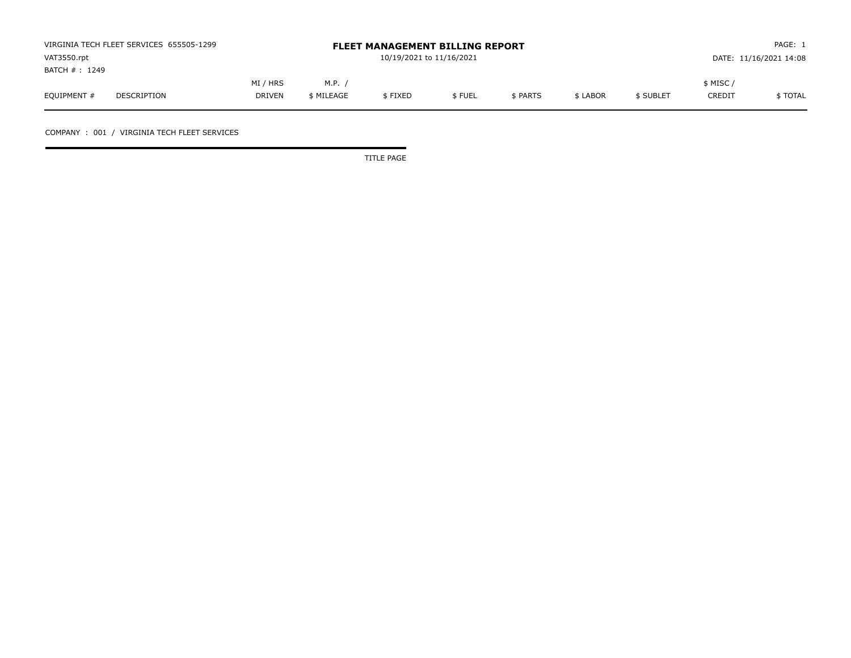|               | VIRGINIA TECH FLEET SERVICES 655505-1299 |               | <b>FLEET MANAGEMENT BILLING REPORT</b> |         | PAGE: 1 |                        |          |           |               |          |
|---------------|------------------------------------------|---------------|----------------------------------------|---------|---------|------------------------|----------|-----------|---------------|----------|
| VAT3550.rpt   |                                          |               | 10/19/2021 to 11/16/2021               |         |         | DATE: 11/16/2021 14:08 |          |           |               |          |
| BATCH #: 1249 |                                          |               |                                        |         |         |                        |          |           |               |          |
|               |                                          | MI / HRS      | M.P.                                   |         |         |                        |          |           | \$ MISC ,     |          |
| EQUIPMENT #   | DESCRIPTION                              | <b>DRIVEN</b> | \$ MILEAGE                             | \$FIXED | \$FUEL  | \$ PARTS               | \$ LABOR | \$ SUBLET | <b>CREDIT</b> | \$ TOTAL |

COMPANY : 001 / VIRGINIA TECH FLEET SERVICES

TITLE PAGE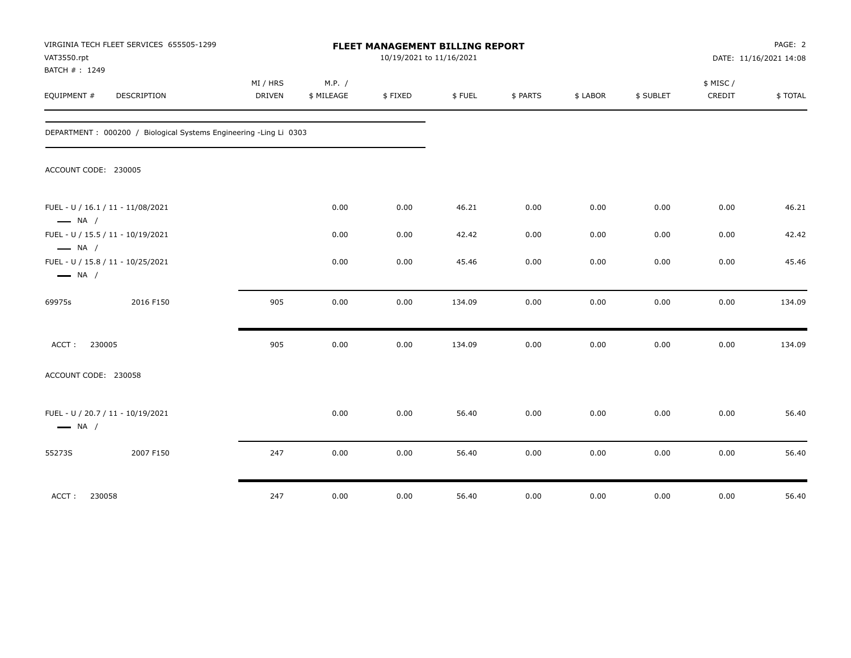| VAT3550.rpt<br>BATCH #: 1249 | VIRGINIA TECH FLEET SERVICES 655505-1299                          |                           |                      | FLEET MANAGEMENT BILLING REPORT<br>10/19/2021 to 11/16/2021 |        |          |          |           |                     | PAGE: 2<br>DATE: 11/16/2021 14:08 |
|------------------------------|-------------------------------------------------------------------|---------------------------|----------------------|-------------------------------------------------------------|--------|----------|----------|-----------|---------------------|-----------------------------------|
| EQUIPMENT #                  | <b>DESCRIPTION</b>                                                | MI / HRS<br><b>DRIVEN</b> | M.P. /<br>\$ MILEAGE | \$FIXED                                                     | \$FUEL | \$ PARTS | \$ LABOR | \$ SUBLET | \$ MISC /<br>CREDIT | \$TOTAL                           |
|                              | DEPARTMENT: 000200 / Biological Systems Engineering -Ling Li 0303 |                           |                      |                                                             |        |          |          |           |                     |                                   |
| ACCOUNT CODE: 230005         |                                                                   |                           |                      |                                                             |        |          |          |           |                     |                                   |
| $\longrightarrow$ NA /       | FUEL - U / 16.1 / 11 - 11/08/2021                                 |                           | 0.00                 | 0.00                                                        | 46.21  | 0.00     | 0.00     | 0.00      | 0.00                | 46.21                             |
| $\longrightarrow$ NA /       | FUEL - U / 15.5 / 11 - 10/19/2021                                 |                           | 0.00                 | 0.00                                                        | 42.42  | 0.00     | 0.00     | 0.00      | 0.00                | 42.42                             |
| $\longrightarrow$ NA /       | FUEL - U / 15.8 / 11 - 10/25/2021                                 |                           | 0.00                 | 0.00                                                        | 45.46  | 0.00     | 0.00     | 0.00      | 0.00                | 45.46                             |
| 69975s                       | 2016 F150                                                         | 905                       | 0.00                 | 0.00                                                        | 134.09 | 0.00     | 0.00     | 0.00      | 0.00                | 134.09                            |
| 230005<br>ACCT:              |                                                                   | 905                       | 0.00                 | 0.00                                                        | 134.09 | 0.00     | 0.00     | 0.00      | 0.00                | 134.09                            |
| ACCOUNT CODE: 230058         |                                                                   |                           |                      |                                                             |        |          |          |           |                     |                                   |
| $\longrightarrow$ NA /       | FUEL - U / 20.7 / 11 - 10/19/2021                                 |                           | 0.00                 | 0.00                                                        | 56.40  | 0.00     | 0.00     | 0.00      | 0.00                | 56.40                             |
| 55273S                       | 2007 F150                                                         | 247                       | 0.00                 | 0.00                                                        | 56.40  | 0.00     | 0.00     | 0.00      | 0.00                | 56.40                             |
| 230058<br>ACCT:              |                                                                   | 247                       | 0.00                 | 0.00                                                        | 56.40  | 0.00     | 0.00     | 0.00      | 0.00                | 56.40                             |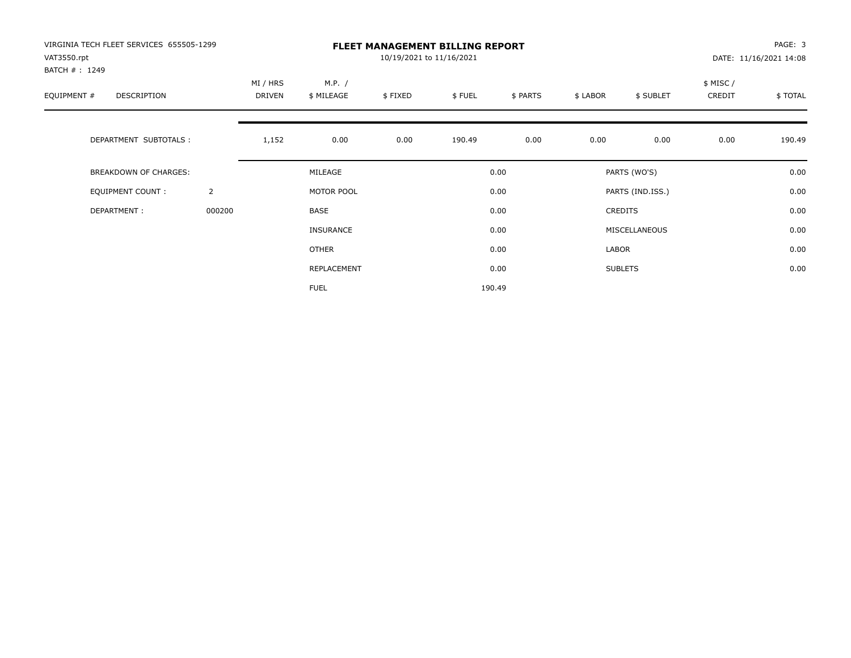| VIRGINIA TECH FLEET SERVICES 655505-1299<br>VAT3550.rpt |                |                    |                      | 10/19/2021 to 11/16/2021 | <b>FLEET MANAGEMENT BILLING REPORT</b> |          |          |                  |                    | PAGE: 3<br>DATE: 11/16/2021 14:08 |
|---------------------------------------------------------|----------------|--------------------|----------------------|--------------------------|----------------------------------------|----------|----------|------------------|--------------------|-----------------------------------|
| BATCH #: 1249<br>EQUIPMENT #<br>DESCRIPTION             |                | MI / HRS<br>DRIVEN | M.P. /<br>\$ MILEAGE | \$FIXED                  | \$FUEL                                 | \$ PARTS | \$ LABOR | \$ SUBLET        | \$ MISC/<br>CREDIT | \$TOTAL                           |
| DEPARTMENT SUBTOTALS :                                  |                | 1,152              | 0.00                 | 0.00                     | 190.49                                 | 0.00     | 0.00     | 0.00             | 0.00               | 190.49                            |
| <b>BREAKDOWN OF CHARGES:</b>                            |                |                    | MILEAGE              |                          |                                        | 0.00     |          | PARTS (WO'S)     |                    | 0.00                              |
| EQUIPMENT COUNT:                                        | $\overline{2}$ |                    | MOTOR POOL           |                          |                                        | 0.00     |          | PARTS (IND.ISS.) |                    | 0.00                              |
| DEPARTMENT:                                             | 000200         |                    | <b>BASE</b>          |                          |                                        | 0.00     |          | <b>CREDITS</b>   |                    | 0.00                              |
|                                                         |                |                    | <b>INSURANCE</b>     |                          |                                        | 0.00     |          | MISCELLANEOUS    |                    | 0.00                              |
|                                                         |                |                    | <b>OTHER</b>         |                          |                                        | 0.00     | LABOR    |                  |                    | 0.00                              |
|                                                         |                |                    | REPLACEMENT          |                          |                                        | 0.00     |          | <b>SUBLETS</b>   |                    | 0.00                              |
|                                                         |                |                    | <b>FUEL</b>          |                          |                                        | 190.49   |          |                  |                    |                                   |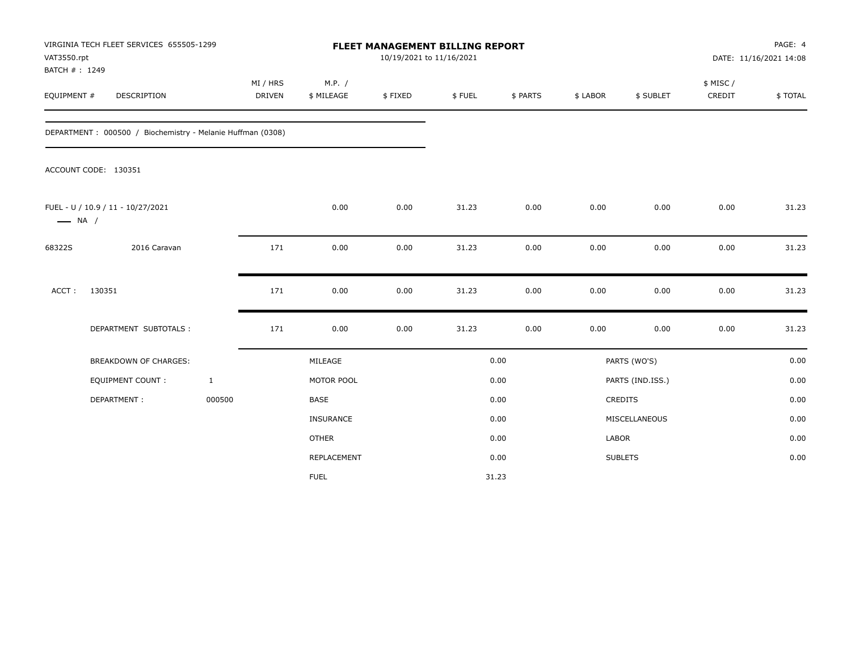| VAT3550.rpt<br>BATCH #: 1249 | VIRGINIA TECH FLEET SERVICES 655505-1299                   |              |                    |                      | FLEET MANAGEMENT BILLING REPORT<br>10/19/2021 to 11/16/2021 |        |          |          |                  |                     | PAGE: 4<br>DATE: 11/16/2021 14:08 |
|------------------------------|------------------------------------------------------------|--------------|--------------------|----------------------|-------------------------------------------------------------|--------|----------|----------|------------------|---------------------|-----------------------------------|
| EQUIPMENT #                  | DESCRIPTION                                                |              | MI / HRS<br>DRIVEN | M.P. /<br>\$ MILEAGE | \$FIXED                                                     | \$FUEL | \$ PARTS | \$ LABOR | \$ SUBLET        | \$ MISC /<br>CREDIT | \$TOTAL                           |
|                              | DEPARTMENT: 000500 / Biochemistry - Melanie Huffman (0308) |              |                    |                      |                                                             |        |          |          |                  |                     |                                   |
|                              | ACCOUNT CODE: 130351                                       |              |                    |                      |                                                             |        |          |          |                  |                     |                                   |
| $\longrightarrow$ NA /       | FUEL - U / 10.9 / 11 - 10/27/2021                          |              |                    | 0.00                 | 0.00                                                        | 31.23  | 0.00     | 0.00     | 0.00             | 0.00                | 31.23                             |
| 68322S                       | 2016 Caravan                                               |              | 171                | 0.00                 | 0.00                                                        | 31.23  | 0.00     | 0.00     | 0.00             | 0.00                | 31.23                             |
| ACCT:                        | 130351                                                     |              | 171                | 0.00                 | 0.00                                                        | 31.23  | 0.00     | 0.00     | 0.00             | 0.00                | 31.23                             |
|                              | DEPARTMENT SUBTOTALS :                                     |              | 171                | 0.00                 | 0.00                                                        | 31.23  | 0.00     | 0.00     | 0.00             | 0.00                | 31.23                             |
|                              | <b>BREAKDOWN OF CHARGES:</b>                               |              |                    | MILEAGE              |                                                             |        | 0.00     |          | PARTS (WO'S)     |                     | 0.00                              |
|                              | <b>EQUIPMENT COUNT:</b>                                    | $\mathbf{1}$ |                    | MOTOR POOL           |                                                             |        | 0.00     |          | PARTS (IND.ISS.) |                     | 0.00                              |
|                              | DEPARTMENT:                                                | 000500       |                    | <b>BASE</b>          |                                                             |        | 0.00     |          | <b>CREDITS</b>   |                     | 0.00                              |
|                              |                                                            |              |                    | INSURANCE            |                                                             |        | 0.00     |          | MISCELLANEOUS    |                     | 0.00                              |
|                              |                                                            |              |                    | <b>OTHER</b>         |                                                             |        | 0.00     | LABOR    |                  |                     | 0.00                              |
|                              |                                                            |              |                    | REPLACEMENT          |                                                             |        | 0.00     |          | <b>SUBLETS</b>   |                     | 0.00                              |
|                              |                                                            |              |                    | <b>FUEL</b>          |                                                             |        | 31.23    |          |                  |                     |                                   |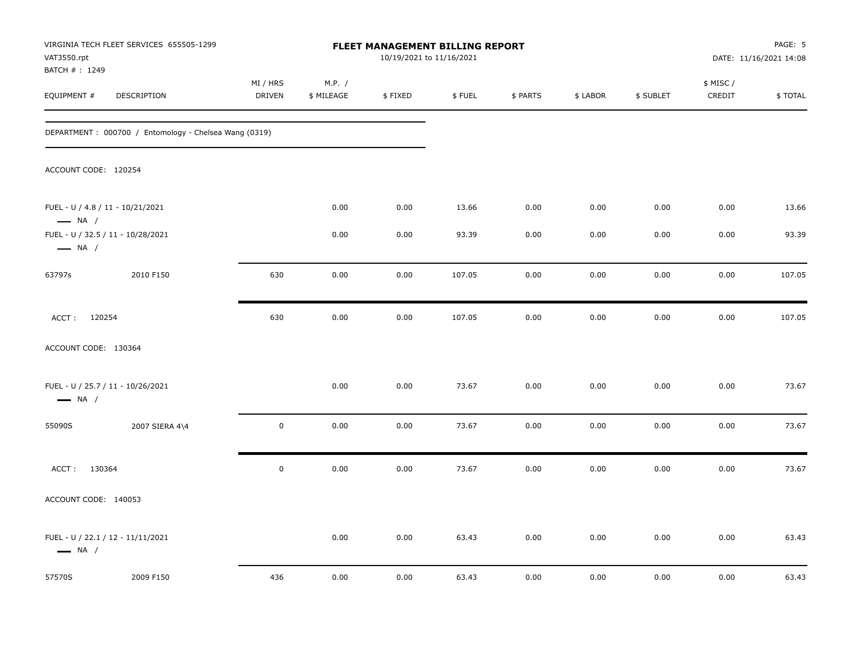| VAT3550.rpt                                                | VIRGINIA TECH FLEET SERVICES 655505-1299              |                           |                      | FLEET MANAGEMENT BILLING REPORT<br>10/19/2021 to 11/16/2021 |        |          |          |           |                     | PAGE: 5<br>DATE: 11/16/2021 14:08 |
|------------------------------------------------------------|-------------------------------------------------------|---------------------------|----------------------|-------------------------------------------------------------|--------|----------|----------|-----------|---------------------|-----------------------------------|
| BATCH #: 1249<br>EQUIPMENT #                               | DESCRIPTION                                           | MI / HRS<br><b>DRIVEN</b> | M.P. /<br>\$ MILEAGE | \$FIXED                                                     | \$FUEL | \$ PARTS | \$ LABOR | \$ SUBLET | \$ MISC /<br>CREDIT | \$TOTAL                           |
|                                                            | DEPARTMENT: 000700 / Entomology - Chelsea Wang (0319) |                           |                      |                                                             |        |          |          |           |                     |                                   |
| ACCOUNT CODE: 120254                                       |                                                       |                           |                      |                                                             |        |          |          |           |                     |                                   |
| FUEL - U / 4.8 / 11 - 10/21/2021<br>$\longrightarrow$ NA / |                                                       |                           | 0.00                 | 0.00                                                        | 13.66  | 0.00     | 0.00     | 0.00      | 0.00                | 13.66                             |
| $\longrightarrow$ NA /                                     | FUEL - U / 32.5 / 11 - 10/28/2021                     |                           | 0.00                 | 0.00                                                        | 93.39  | 0.00     | 0.00     | 0.00      | 0.00                | 93.39                             |
| 63797s                                                     | 2010 F150                                             | 630                       | 0.00                 | 0.00                                                        | 107.05 | 0.00     | 0.00     | 0.00      | 0.00                | 107.05                            |
| ACCT: 120254                                               |                                                       | 630                       | 0.00                 | 0.00                                                        | 107.05 | 0.00     | 0.00     | 0.00      | 0.00                | 107.05                            |
| ACCOUNT CODE: 130364                                       |                                                       |                           |                      |                                                             |        |          |          |           |                     |                                   |
| $\longrightarrow$ NA /                                     | FUEL - U / 25.7 / 11 - 10/26/2021                     |                           | 0.00                 | 0.00                                                        | 73.67  | 0.00     | 0.00     | 0.00      | 0.00                | 73.67                             |
| 55090S                                                     | 2007 SIERA 4\4                                        | $\mathbf 0$               | 0.00                 | 0.00                                                        | 73.67  | 0.00     | 0.00     | 0.00      | 0.00                | 73.67                             |
| ACCT: 130364                                               |                                                       | $\mathsf 0$               | 0.00                 | 0.00                                                        | 73.67  | 0.00     | 0.00     | 0.00      | 0.00                | 73.67                             |
| ACCOUNT CODE: 140053                                       |                                                       |                           |                      |                                                             |        |          |          |           |                     |                                   |
| $\longrightarrow$ NA /                                     | FUEL - U / 22.1 / 12 - 11/11/2021                     |                           | 0.00                 | 0.00                                                        | 63.43  | 0.00     | 0.00     | 0.00      | 0.00                | 63.43                             |
| 57570S                                                     | 2009 F150                                             | 436                       | 0.00                 | 0.00                                                        | 63.43  | 0.00     | 0.00     | 0.00      | 0.00                | 63.43                             |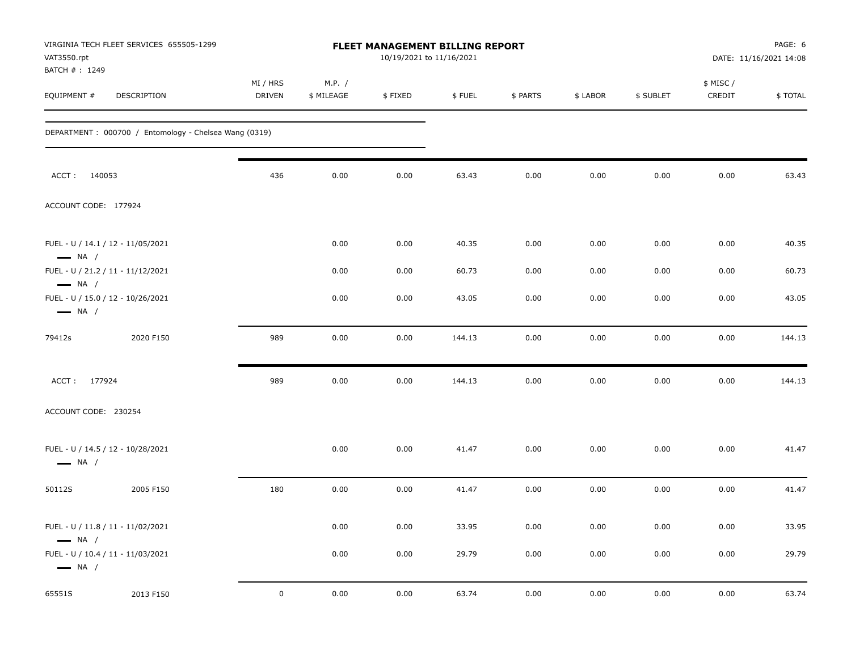| VAT3550.rpt<br>BATCH #: 1249                                | VIRGINIA TECH FLEET SERVICES 655505-1299              |                           |                      | <b>FLEET MANAGEMENT BILLING REPORT</b><br>10/19/2021 to 11/16/2021 |        |          |          |           |                     | PAGE: 6<br>DATE: 11/16/2021 14:08 |
|-------------------------------------------------------------|-------------------------------------------------------|---------------------------|----------------------|--------------------------------------------------------------------|--------|----------|----------|-----------|---------------------|-----------------------------------|
| EQUIPMENT #                                                 | DESCRIPTION                                           | MI / HRS<br><b>DRIVEN</b> | M.P. /<br>\$ MILEAGE | \$FIXED                                                            | \$FUEL | \$ PARTS | \$ LABOR | \$ SUBLET | \$ MISC /<br>CREDIT | \$TOTAL                           |
|                                                             | DEPARTMENT: 000700 / Entomology - Chelsea Wang (0319) |                           |                      |                                                                    |        |          |          |           |                     |                                   |
| ACCT: 140053                                                |                                                       | 436                       | 0.00                 | 0.00                                                               | 63.43  | 0.00     | 0.00     | 0.00      | 0.00                | 63.43                             |
| ACCOUNT CODE: 177924                                        |                                                       |                           |                      |                                                                    |        |          |          |           |                     |                                   |
| FUEL - U / 14.1 / 12 - 11/05/2021<br>$\longrightarrow$ NA / |                                                       |                           | 0.00                 | 0.00                                                               | 40.35  | 0.00     | 0.00     | 0.00      | 0.00                | 40.35                             |
| FUEL - U / 21.2 / 11 - 11/12/2021<br>$\longrightarrow$ NA / |                                                       |                           | 0.00                 | 0.00                                                               | 60.73  | 0.00     | 0.00     | 0.00      | 0.00                | 60.73                             |
| FUEL - U / 15.0 / 12 - 10/26/2021<br>$\longrightarrow$ NA / |                                                       |                           | 0.00                 | 0.00                                                               | 43.05  | 0.00     | 0.00     | 0.00      | 0.00                | 43.05                             |
| 79412s                                                      | 2020 F150                                             | 989                       | 0.00                 | 0.00                                                               | 144.13 | 0.00     | 0.00     | 0.00      | 0.00                | 144.13                            |
| ACCT: 177924                                                |                                                       | 989                       | 0.00                 | 0.00                                                               | 144.13 | 0.00     | 0.00     | 0.00      | 0.00                | 144.13                            |
| ACCOUNT CODE: 230254                                        |                                                       |                           |                      |                                                                    |        |          |          |           |                     |                                   |
| FUEL - U / 14.5 / 12 - 10/28/2021<br>$\longrightarrow$ NA / |                                                       |                           | 0.00                 | 0.00                                                               | 41.47  | 0.00     | 0.00     | 0.00      | 0.00                | 41.47                             |
| 50112S                                                      | 2005 F150                                             | 180                       | 0.00                 | 0.00                                                               | 41.47  | 0.00     | 0.00     | 0.00      | 0.00                | 41.47                             |
| FUEL - U / 11.8 / 11 - 11/02/2021<br>$\longrightarrow$ NA / |                                                       |                           | 0.00                 | 0.00                                                               | 33.95  | $0.00\,$ | 0.00     | 0.00      | 0.00                | 33.95                             |
| FUEL - U / 10.4 / 11 - 11/03/2021<br>$\longrightarrow$ NA / |                                                       |                           | 0.00                 | 0.00                                                               | 29.79  | 0.00     | 0.00     | 0.00      | 0.00                | 29.79                             |
| 65551S                                                      | 2013 F150                                             | $\mathbf 0$               | 0.00                 | 0.00                                                               | 63.74  | 0.00     | $0.00\,$ | 0.00      | 0.00                | 63.74                             |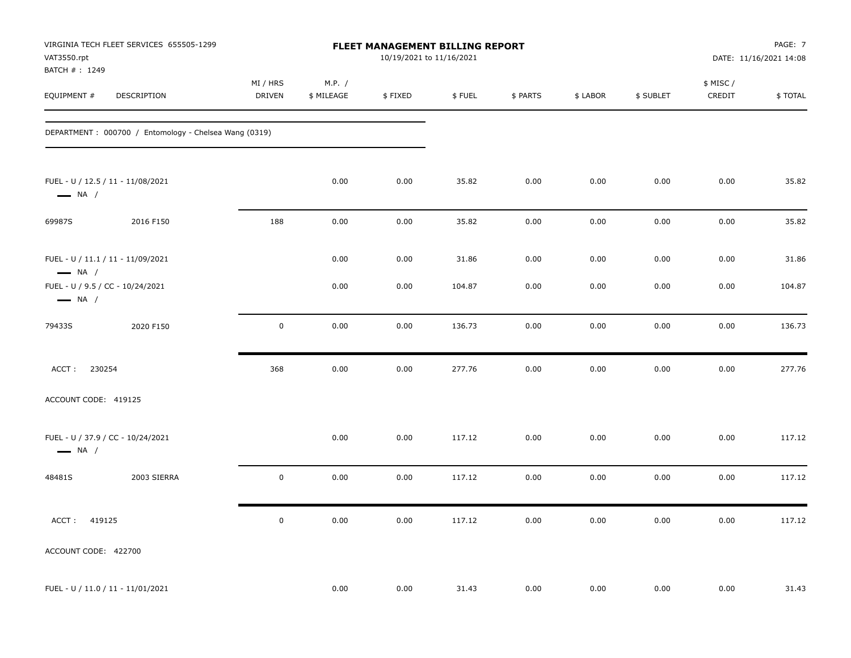| VAT3550.rpt<br>BATCH #: 1249 | VIRGINIA TECH FLEET SERVICES 655505-1299              |                           |                      | FLEET MANAGEMENT BILLING REPORT<br>10/19/2021 to 11/16/2021 |        |          |          |           |                    | PAGE: 7<br>DATE: 11/16/2021 14:08 |
|------------------------------|-------------------------------------------------------|---------------------------|----------------------|-------------------------------------------------------------|--------|----------|----------|-----------|--------------------|-----------------------------------|
| EQUIPMENT #                  | DESCRIPTION                                           | MI / HRS<br><b>DRIVEN</b> | M.P. /<br>\$ MILEAGE | \$FIXED                                                     | \$FUEL | \$ PARTS | \$ LABOR | \$ SUBLET | \$ MISC/<br>CREDIT | \$TOTAL                           |
|                              | DEPARTMENT: 000700 / Entomology - Chelsea Wang (0319) |                           |                      |                                                             |        |          |          |           |                    |                                   |
| $\longrightarrow$ NA /       | FUEL - U / 12.5 / 11 - 11/08/2021                     |                           | 0.00                 | 0.00                                                        | 35.82  | 0.00     | 0.00     | 0.00      | 0.00               | 35.82                             |
| 69987S                       | 2016 F150                                             | 188                       | 0.00                 | 0.00                                                        | 35.82  | 0.00     | 0.00     | 0.00      | 0.00               | 35.82                             |
| $\longrightarrow$ NA /       | FUEL - U / 11.1 / 11 - 11/09/2021                     |                           | 0.00                 | 0.00                                                        | 31.86  | 0.00     | 0.00     | 0.00      | 0.00               | 31.86                             |
| $\longrightarrow$ NA /       | FUEL - U / 9.5 / CC - 10/24/2021                      |                           | 0.00                 | 0.00                                                        | 104.87 | 0.00     | 0.00     | 0.00      | 0.00               | 104.87                            |
| 79433S                       | 2020 F150                                             | $\mathbf 0$               | 0.00                 | 0.00                                                        | 136.73 | 0.00     | 0.00     | 0.00      | 0.00               | 136.73                            |
| 230254<br>ACCT:              |                                                       | 368                       | 0.00                 | 0.00                                                        | 277.76 | 0.00     | 0.00     | 0.00      | 0.00               | 277.76                            |
| ACCOUNT CODE: 419125         |                                                       |                           |                      |                                                             |        |          |          |           |                    |                                   |
| $\longrightarrow$ NA /       | FUEL - U / 37.9 / CC - 10/24/2021                     |                           | 0.00                 | 0.00                                                        | 117.12 | 0.00     | 0.00     | 0.00      | 0.00               | 117.12                            |
| 48481S                       | 2003 SIERRA                                           | $\pmb{0}$                 | 0.00                 | 0.00                                                        | 117.12 | 0.00     | 0.00     | 0.00      | 0.00               | 117.12                            |
| ACCT: 419125                 |                                                       | $\pmb{0}$                 | 0.00                 | 0.00                                                        | 117.12 | 0.00     | 0.00     | 0.00      | 0.00               | 117.12                            |
| ACCOUNT CODE: 422700         |                                                       |                           |                      |                                                             |        |          |          |           |                    |                                   |
|                              | FUEL - U / 11.0 / 11 - 11/01/2021                     |                           | 0.00                 | 0.00                                                        | 31.43  | 0.00     | 0.00     | 0.00      | 0.00               | 31.43                             |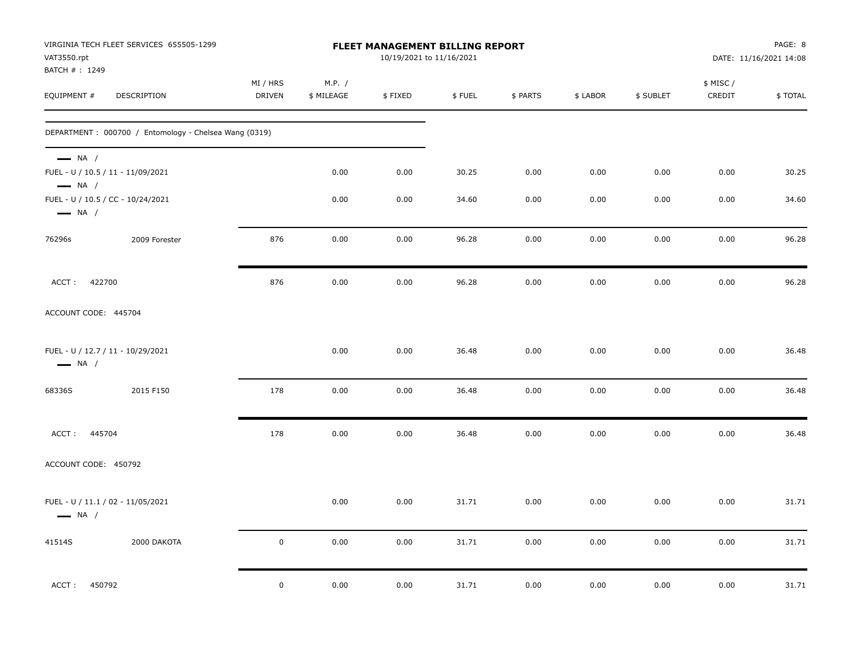| VAT3550.rpt<br>BATCH #: 1249                     | VIRGINIA TECH FLEET SERVICES 655505-1299              |                           | FLEET MANAGEMENT BILLING REPORT<br>10/19/2021 to 11/16/2021 |         |        |          |          |           | PAGE: 8<br>DATE: 11/16/2021 14:08 |         |
|--------------------------------------------------|-------------------------------------------------------|---------------------------|-------------------------------------------------------------|---------|--------|----------|----------|-----------|-----------------------------------|---------|
| EQUIPMENT #                                      | DESCRIPTION                                           | MI / HRS<br><b>DRIVEN</b> | M.P. /<br>\$ MILEAGE                                        | \$FIXED | \$FUEL | \$ PARTS | \$ LABOR | \$ SUBLET | \$ MISC /<br>CREDIT               | \$TOTAL |
|                                                  | DEPARTMENT: 000700 / Entomology - Chelsea Wang (0319) |                           |                                                             |         |        |          |          |           |                                   |         |
| $\longrightarrow$ NA /<br>$\longrightarrow$ NA / | FUEL - U / 10.5 / 11 - 11/09/2021                     |                           | 0.00                                                        | 0.00    | 30.25  | 0.00     | 0.00     | 0.00      | 0.00                              | 30.25   |
| $\longrightarrow$ NA /                           | FUEL - U / 10.5 / CC - 10/24/2021                     |                           | 0.00                                                        | 0.00    | 34.60  | 0.00     | 0.00     | 0.00      | 0.00                              | 34.60   |
| 76296s                                           | 2009 Forester                                         | 876                       | 0.00                                                        | 0.00    | 96.28  | 0.00     | 0.00     | 0.00      | 0.00                              | 96.28   |
| 422700<br>ACCT:                                  |                                                       | 876                       | 0.00                                                        | 0.00    | 96.28  | 0.00     | 0.00     | 0.00      | 0.00                              | 96.28   |
| ACCOUNT CODE: 445704                             |                                                       |                           |                                                             |         |        |          |          |           |                                   |         |
| $\longrightarrow$ NA /                           | FUEL - U / 12.7 / 11 - 10/29/2021                     |                           | 0.00                                                        | 0.00    | 36.48  | 0.00     | 0.00     | 0.00      | 0.00                              | 36.48   |
| 68336S                                           | 2015 F150                                             | 178                       | 0.00                                                        | 0.00    | 36.48  | 0.00     | 0.00     | 0.00      | 0.00                              | 36.48   |
| ACCT: 445704                                     |                                                       | 178                       | 0.00                                                        | 0.00    | 36.48  | 0.00     | 0.00     | 0.00      | 0.00                              | 36.48   |
| ACCOUNT CODE: 450792                             |                                                       |                           |                                                             |         |        |          |          |           |                                   |         |
| $\longrightarrow$ NA /                           | FUEL - U / 11.1 / 02 - 11/05/2021                     |                           | 0.00                                                        | 0.00    | 31.71  | 0.00     | 0.00     | 0.00      | 0.00                              | 31.71   |
| 41514S                                           | 2000 DAKOTA                                           | $\mathbf 0$               | 0.00                                                        | 0.00    | 31.71  | 0.00     | 0.00     | 0.00      | 0.00                              | 31.71   |
| ACCT: 450792                                     |                                                       | $\mathsf 0$               | 0.00                                                        | 0.00    | 31.71  | 0.00     | 0.00     | 0.00      | 0.00                              | 31.71   |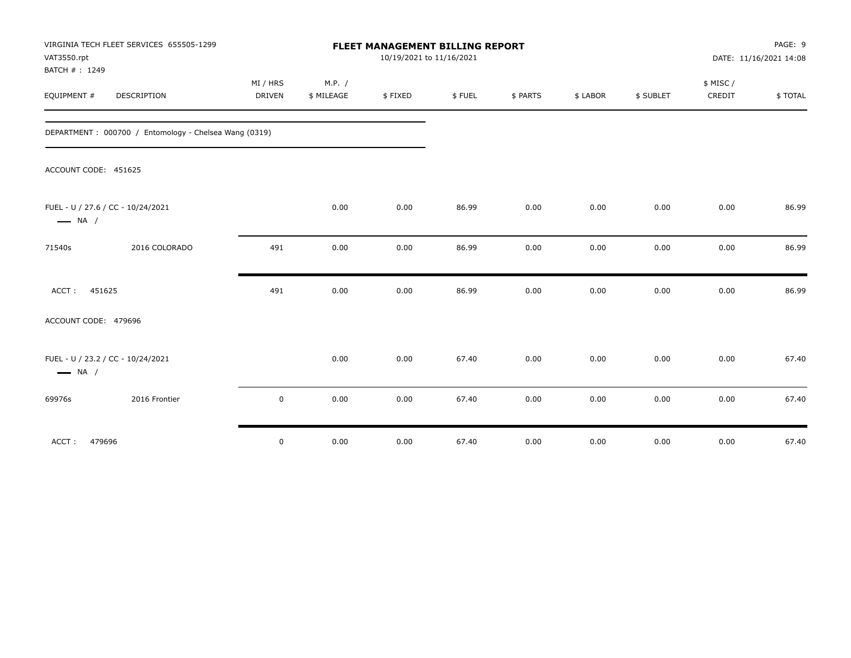| VAT3550.rpt<br>BATCH #: 1249                                | VIRGINIA TECH FLEET SERVICES 655505-1299              |                    |                      | <b>FLEET MANAGEMENT BILLING REPORT</b><br>10/19/2021 to 11/16/2021 |        |          |          |           |                     | PAGE: 9<br>DATE: 11/16/2021 14:08 |
|-------------------------------------------------------------|-------------------------------------------------------|--------------------|----------------------|--------------------------------------------------------------------|--------|----------|----------|-----------|---------------------|-----------------------------------|
| EQUIPMENT #                                                 | DESCRIPTION                                           | MI / HRS<br>DRIVEN | M.P. /<br>\$ MILEAGE | \$FIXED                                                            | \$FUEL | \$ PARTS | \$ LABOR | \$ SUBLET | \$ MISC /<br>CREDIT | \$TOTAL                           |
|                                                             | DEPARTMENT: 000700 / Entomology - Chelsea Wang (0319) |                    |                      |                                                                    |        |          |          |           |                     |                                   |
| ACCOUNT CODE: 451625                                        |                                                       |                    |                      |                                                                    |        |          |          |           |                     |                                   |
| FUEL - U / 27.6 / CC - 10/24/2021<br>$\longrightarrow$ NA / |                                                       |                    | 0.00                 | 0.00                                                               | 86.99  | 0.00     | 0.00     | 0.00      | 0.00                | 86.99                             |
| 71540s                                                      | 2016 COLORADO                                         | 491                | 0.00                 | 0.00                                                               | 86.99  | 0.00     | 0.00     | 0.00      | 0.00                | 86.99                             |
| 451625<br>ACCT:                                             |                                                       | 491                | 0.00                 | 0.00                                                               | 86.99  | 0.00     | 0.00     | 0.00      | 0.00                | 86.99                             |
| ACCOUNT CODE: 479696                                        |                                                       |                    |                      |                                                                    |        |          |          |           |                     |                                   |
| FUEL - U / 23.2 / CC - 10/24/2021<br>$\longrightarrow$ NA / |                                                       |                    | 0.00                 | 0.00                                                               | 67.40  | 0.00     | 0.00     | 0.00      | 0.00                | 67.40                             |
| 69976s                                                      | 2016 Frontier                                         | 0                  | 0.00                 | 0.00                                                               | 67.40  | 0.00     | 0.00     | 0.00      | 0.00                | 67.40                             |
| ACCT:<br>479696                                             |                                                       | $\mathbf 0$        | 0.00                 | 0.00                                                               | 67.40  | 0.00     | 0.00     | 0.00      | 0.00                | 67.40                             |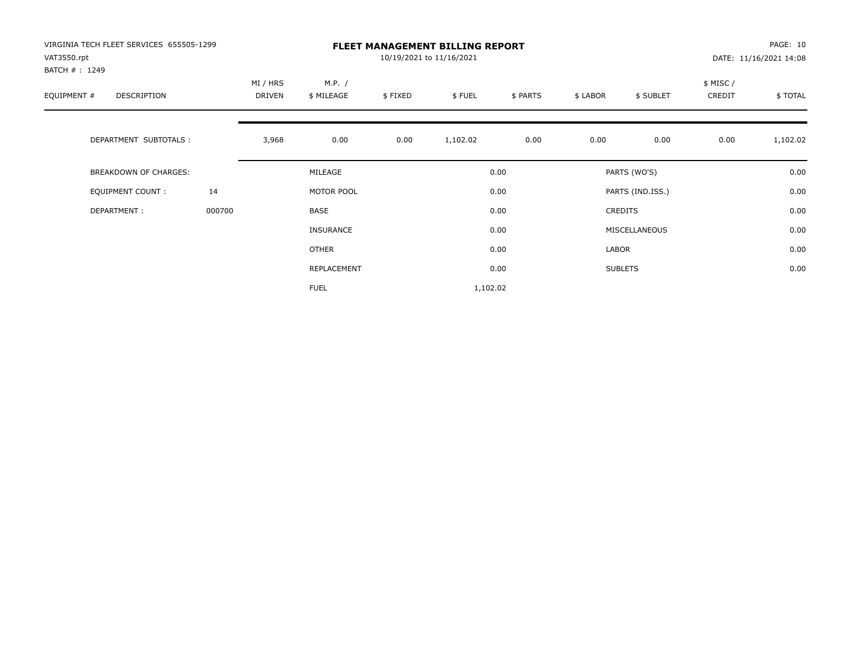| VIRGINIA TECH FLEET SERVICES 655505-1299<br>VAT3550.rpt<br>BATCH #: 1249 |        |                    |                      |         | <b>FLEET MANAGEMENT BILLING REPORT</b><br>10/19/2021 to 11/16/2021 |          |          |                  |                     | PAGE: 10<br>DATE: 11/16/2021 14:08 |
|--------------------------------------------------------------------------|--------|--------------------|----------------------|---------|--------------------------------------------------------------------|----------|----------|------------------|---------------------|------------------------------------|
| EQUIPMENT #<br><b>DESCRIPTION</b>                                        |        | MI / HRS<br>DRIVEN | M.P. /<br>\$ MILEAGE | \$FIXED | \$FUEL                                                             | \$ PARTS | \$ LABOR | \$ SUBLET        | \$ MISC /<br>CREDIT | \$TOTAL                            |
| DEPARTMENT SUBTOTALS :                                                   |        | 3,968              | 0.00                 | 0.00    | 1,102.02                                                           | 0.00     | 0.00     | 0.00             | 0.00                | 1,102.02                           |
| <b>BREAKDOWN OF CHARGES:</b>                                             |        |                    | MILEAGE              |         |                                                                    | 0.00     |          | PARTS (WO'S)     |                     | 0.00                               |
| EQUIPMENT COUNT:                                                         | 14     |                    | MOTOR POOL           |         |                                                                    | 0.00     |          | PARTS (IND.ISS.) |                     | 0.00                               |
| DEPARTMENT:                                                              | 000700 |                    | <b>BASE</b>          |         |                                                                    | 0.00     |          | <b>CREDITS</b>   |                     | 0.00                               |
|                                                                          |        |                    | INSURANCE            |         |                                                                    | 0.00     |          | MISCELLANEOUS    |                     | 0.00                               |
|                                                                          |        |                    | <b>OTHER</b>         |         |                                                                    | 0.00     | LABOR    |                  |                     | 0.00                               |
|                                                                          |        |                    | REPLACEMENT          |         |                                                                    | 0.00     |          | <b>SUBLETS</b>   |                     | 0.00                               |
|                                                                          |        |                    | <b>FUEL</b>          |         | 1,102.02                                                           |          |          |                  |                     |                                    |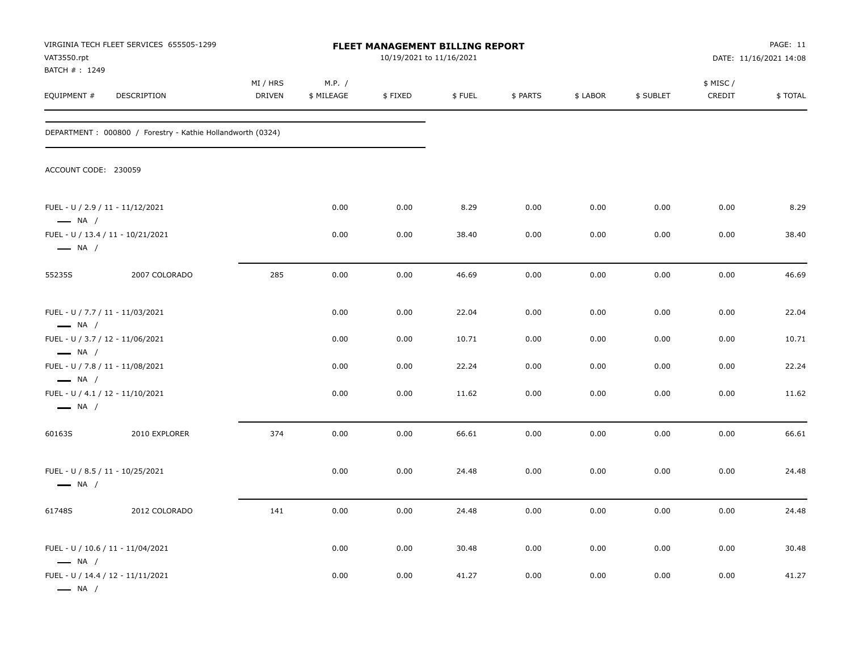| VAT3550.rpt<br>BATCH #: 1249                                                         | VIRGINIA TECH FLEET SERVICES 655505-1299                    |                           |                      | FLEET MANAGEMENT BILLING REPORT<br>10/19/2021 to 11/16/2021 |        |          |          |           |                    | PAGE: 11<br>DATE: 11/16/2021 14:08 |
|--------------------------------------------------------------------------------------|-------------------------------------------------------------|---------------------------|----------------------|-------------------------------------------------------------|--------|----------|----------|-----------|--------------------|------------------------------------|
| EQUIPMENT #                                                                          | DESCRIPTION                                                 | MI / HRS<br><b>DRIVEN</b> | M.P. /<br>\$ MILEAGE | \$FIXED                                                     | \$FUEL | \$ PARTS | \$ LABOR | \$ SUBLET | \$ MISC/<br>CREDIT | \$TOTAL                            |
|                                                                                      | DEPARTMENT : 000800 / Forestry - Kathie Hollandworth (0324) |                           |                      |                                                             |        |          |          |           |                    |                                    |
| ACCOUNT CODE: 230059                                                                 |                                                             |                           |                      |                                                             |        |          |          |           |                    |                                    |
| FUEL - U / 2.9 / 11 - 11/12/2021<br>$\longrightarrow$ NA /                           |                                                             |                           | 0.00                 | 0.00                                                        | 8.29   | 0.00     | 0.00     | 0.00      | 0.00               | 8.29                               |
| $\longrightarrow$ NA /                                                               | FUEL - U / 13.4 / 11 - 10/21/2021                           |                           | 0.00                 | 0.00                                                        | 38.40  | 0.00     | 0.00     | 0.00      | 0.00               | 38.40                              |
| 55235S                                                                               | 2007 COLORADO                                               | 285                       | 0.00                 | 0.00                                                        | 46.69  | 0.00     | 0.00     | 0.00      | 0.00               | 46.69                              |
| FUEL - U / 7.7 / 11 - 11/03/2021<br>$\longrightarrow$ NA /                           |                                                             |                           | 0.00                 | 0.00                                                        | 22.04  | 0.00     | 0.00     | 0.00      | 0.00               | 22.04                              |
| FUEL - U / 3.7 / 12 - 11/06/2021                                                     |                                                             |                           | 0.00                 | 0.00                                                        | 10.71  | 0.00     | 0.00     | 0.00      | 0.00               | 10.71                              |
| $\longrightarrow$ NA /<br>FUEL - U / 7.8 / 11 - 11/08/2021                           |                                                             |                           | 0.00                 | 0.00                                                        | 22.24  | 0.00     | 0.00     | 0.00      | 0.00               | 22.24                              |
| $\longrightarrow$ NA /<br>FUEL - U / 4.1 / 12 - 11/10/2021<br>$\longrightarrow$ NA / |                                                             |                           | 0.00                 | 0.00                                                        | 11.62  | 0.00     | 0.00     | 0.00      | 0.00               | 11.62                              |
| 60163S                                                                               | 2010 EXPLORER                                               | 374                       | 0.00                 | 0.00                                                        | 66.61  | 0.00     | 0.00     | 0.00      | 0.00               | 66.61                              |
| FUEL - U / 8.5 / 11 - 10/25/2021<br>$\longrightarrow$ NA /                           |                                                             |                           | 0.00                 | 0.00                                                        | 24.48  | 0.00     | 0.00     | 0.00      | 0.00               | 24.48                              |
| 61748S                                                                               | 2012 COLORADO                                               | 141                       | 0.00                 | 0.00                                                        | 24.48  | 0.00     | 0.00     | 0.00      | 0.00               | 24.48                              |
| $\longrightarrow$ NA /                                                               | FUEL - U / 10.6 / 11 - 11/04/2021                           |                           | 0.00                 | 0.00                                                        | 30.48  | 0.00     | 0.00     | 0.00      | 0.00               | 30.48                              |
| $\longrightarrow$ NA /                                                               | FUEL - U / 14.4 / 12 - 11/11/2021                           |                           | 0.00                 | 0.00                                                        | 41.27  | 0.00     | 0.00     | 0.00      | 0.00               | 41.27                              |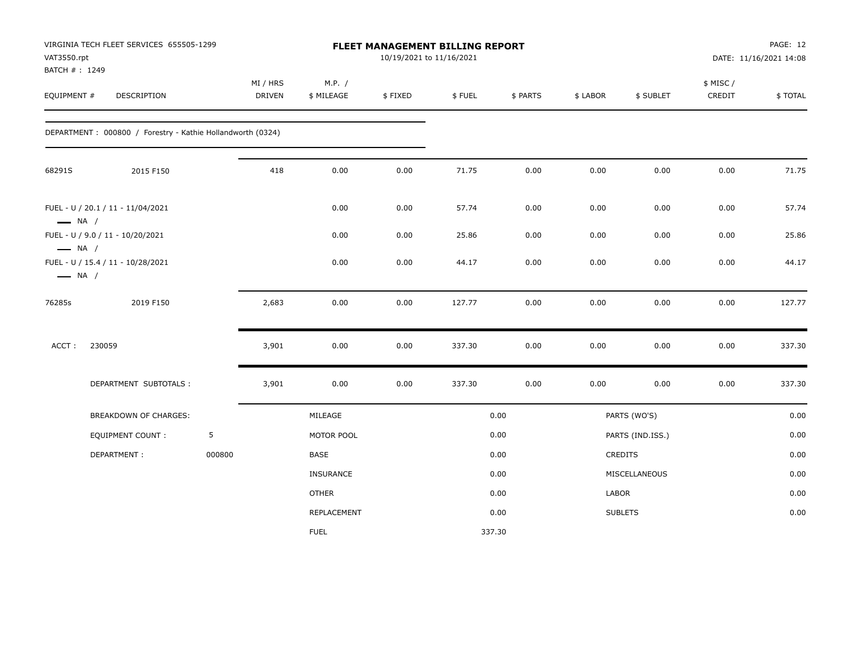| VAT3550.rpt                                      | VIRGINIA TECH FLEET SERVICES 655505-1299<br>BATCH #: 1249<br><b>DESCRIPTION</b> |        |                           |                      | FLEET MANAGEMENT BILLING REPORT<br>10/19/2021 to 11/16/2021 |        |          |          |                  |                     | PAGE: 12<br>DATE: 11/16/2021 14:08 |
|--------------------------------------------------|---------------------------------------------------------------------------------|--------|---------------------------|----------------------|-------------------------------------------------------------|--------|----------|----------|------------------|---------------------|------------------------------------|
| EQUIPMENT #                                      |                                                                                 |        | MI / HRS<br><b>DRIVEN</b> | M.P. /<br>\$ MILEAGE | \$FIXED                                                     | \$FUEL | \$ PARTS | \$ LABOR | \$ SUBLET        | \$ MISC /<br>CREDIT | \$TOTAL                            |
|                                                  | DEPARTMENT: 000800 / Forestry - Kathie Hollandworth (0324)                      |        |                           |                      |                                                             |        |          |          |                  |                     |                                    |
| 68291S                                           | 2015 F150                                                                       |        | 418                       | 0.00                 | 0.00                                                        | 71.75  | 0.00     | 0.00     | 0.00             | 0.00                | 71.75                              |
| $\longrightarrow$ NA /                           | FUEL - U / 20.1 / 11 - 11/04/2021                                               |        |                           | 0.00                 | 0.00                                                        | 57.74  | 0.00     | 0.00     | 0.00             | 0.00                | 57.74                              |
|                                                  | FUEL - U / 9.0 / 11 - 10/20/2021                                                |        |                           | 0.00                 | 0.00                                                        | 25.86  | 0.00     | 0.00     | 0.00             | 0.00                | 25.86                              |
| $\longrightarrow$ NA /<br>$\longrightarrow$ NA / | FUEL - U / 15.4 / 11 - 10/28/2021                                               |        |                           | 0.00                 | 0.00                                                        | 44.17  | 0.00     | 0.00     | 0.00             | 0.00                | 44.17                              |
| 76285s                                           | 2019 F150                                                                       |        | 2,683                     | 0.00                 | 0.00                                                        | 127.77 | 0.00     | 0.00     | 0.00             | 0.00                | 127.77                             |
| ACCT:                                            | 230059                                                                          |        | 3,901                     | 0.00                 | 0.00                                                        | 337.30 | 0.00     | 0.00     | 0.00             | 0.00                | 337.30                             |
|                                                  | DEPARTMENT SUBTOTALS :                                                          |        | 3,901                     | 0.00                 | 0.00                                                        | 337.30 | 0.00     | 0.00     | 0.00             | 0.00                | 337.30                             |
|                                                  | BREAKDOWN OF CHARGES:                                                           |        |                           | MILEAGE              |                                                             |        | 0.00     |          | PARTS (WO'S)     |                     | 0.00                               |
|                                                  | <b>EQUIPMENT COUNT:</b>                                                         | 5      |                           | MOTOR POOL           |                                                             |        | 0.00     |          | PARTS (IND.ISS.) |                     | 0.00                               |
|                                                  | DEPARTMENT:                                                                     | 000800 |                           | <b>BASE</b>          |                                                             |        | 0.00     |          | <b>CREDITS</b>   |                     | 0.00                               |
|                                                  |                                                                                 |        |                           | <b>INSURANCE</b>     |                                                             |        | 0.00     |          | MISCELLANEOUS    |                     | 0.00                               |
|                                                  |                                                                                 |        |                           | <b>OTHER</b>         |                                                             |        | 0.00     | LABOR    |                  |                     | 0.00                               |
|                                                  |                                                                                 |        |                           | REPLACEMENT          |                                                             |        | 0.00     |          | <b>SUBLETS</b>   |                     | 0.00                               |
|                                                  |                                                                                 |        |                           | <b>FUEL</b>          |                                                             |        | 337.30   |          |                  |                     |                                    |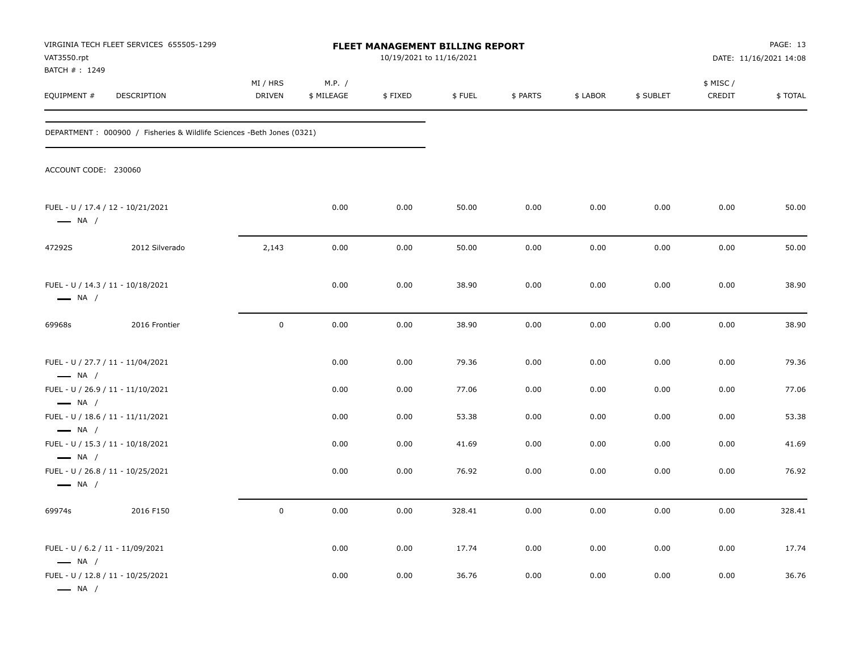| VAT3550.rpt<br>BATCH #: 1249                                                                    | VIRGINIA TECH FLEET SERVICES 655505-1299                               |                           |                      | <b>FLEET MANAGEMENT BILLING REPORT</b><br>10/19/2021 to 11/16/2021 |                |              |              |              |                     | PAGE: 13<br>DATE: 11/16/2021 14:08 |
|-------------------------------------------------------------------------------------------------|------------------------------------------------------------------------|---------------------------|----------------------|--------------------------------------------------------------------|----------------|--------------|--------------|--------------|---------------------|------------------------------------|
| EQUIPMENT #                                                                                     | DESCRIPTION                                                            | MI / HRS<br><b>DRIVEN</b> | M.P. /<br>\$ MILEAGE | \$FIXED                                                            | \$FUEL         | \$ PARTS     | \$ LABOR     | \$ SUBLET    | \$ MISC /<br>CREDIT | \$TOTAL                            |
|                                                                                                 | DEPARTMENT : 000900 / Fisheries & Wildlife Sciences -Beth Jones (0321) |                           |                      |                                                                    |                |              |              |              |                     |                                    |
| ACCOUNT CODE: 230060                                                                            |                                                                        |                           |                      |                                                                    |                |              |              |              |                     |                                    |
| FUEL - U / 17.4 / 12 - 10/21/2021<br>$\longrightarrow$ NA /                                     |                                                                        |                           | 0.00                 | 0.00                                                               | 50.00          | 0.00         | 0.00         | 0.00         | 0.00                | 50.00                              |
| 47292S                                                                                          | 2012 Silverado                                                         | 2,143                     | 0.00                 | 0.00                                                               | 50.00          | 0.00         | 0.00         | 0.00         | 0.00                | 50.00                              |
| FUEL - U / 14.3 / 11 - 10/18/2021<br>$\longrightarrow$ NA /                                     |                                                                        |                           | 0.00                 | 0.00                                                               | 38.90          | 0.00         | 0.00         | 0.00         | 0.00                | 38.90                              |
| 69968s                                                                                          | 2016 Frontier                                                          | $\mathbf 0$               | 0.00                 | 0.00                                                               | 38.90          | 0.00         | 0.00         | 0.00         | 0.00                | 38.90                              |
| FUEL - U / 27.7 / 11 - 11/04/2021<br>$\longrightarrow$ NA /                                     |                                                                        |                           | 0.00                 | 0.00                                                               | 79.36          | 0.00         | 0.00         | 0.00         | 0.00                | 79.36                              |
| FUEL - U / 26.9 / 11 - 11/10/2021<br>$\longrightarrow$ NA /                                     |                                                                        |                           | 0.00                 | 0.00                                                               | 77.06          | 0.00         | 0.00         | 0.00         | 0.00                | 77.06                              |
| FUEL - U / 18.6 / 11 - 11/11/2021<br>$\longrightarrow$ NA /                                     |                                                                        |                           | 0.00                 | 0.00                                                               | 53.38          | 0.00         | 0.00         | 0.00         | 0.00                | 53.38                              |
| FUEL - U / 15.3 / 11 - 10/18/2021<br>$\longrightarrow$ NA /                                     |                                                                        |                           | 0.00                 | 0.00                                                               | 41.69          | 0.00         | 0.00         | 0.00         | 0.00                | 41.69                              |
| FUEL - U / 26.8 / 11 - 10/25/2021<br>$\longrightarrow$ NA /                                     |                                                                        |                           | 0.00                 | 0.00                                                               | 76.92          | 0.00         | 0.00         | 0.00         | 0.00                | 76.92                              |
| 69974s                                                                                          | 2016 F150                                                              | $\pmb{0}$                 | 0.00                 | 0.00                                                               | 328.41         | 0.00         | 0.00         | 0.00         | 0.00                | 328.41                             |
| FUEL - U / 6.2 / 11 - 11/09/2021<br>$\longrightarrow$ NA /<br>FUEL - U / 12.8 / 11 - 10/25/2021 |                                                                        |                           | 0.00<br>0.00         | 0.00<br>0.00                                                       | 17.74<br>36.76 | 0.00<br>0.00 | 0.00<br>0.00 | 0.00<br>0.00 | 0.00<br>0.00        | 17.74<br>36.76                     |
| $\longrightarrow$ NA /                                                                          |                                                                        |                           |                      |                                                                    |                |              |              |              |                     |                                    |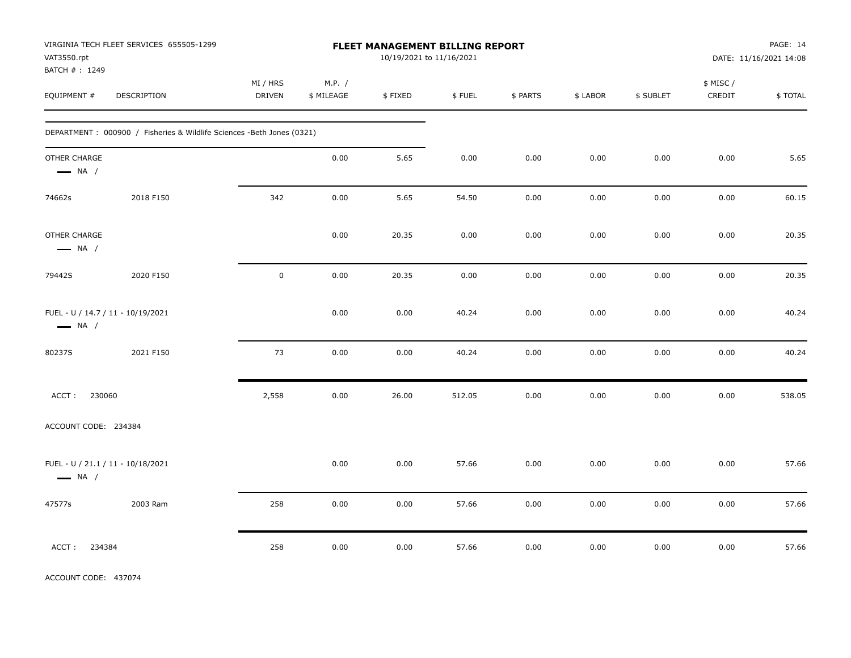| VAT3550.rpt<br>BATCH #: 1249                                | VIRGINIA TECH FLEET SERVICES 655505-1299                               |                    |                      |         | FLEET MANAGEMENT BILLING REPORT<br>10/19/2021 to 11/16/2021 |          |          |           |                     | PAGE: 14<br>DATE: 11/16/2021 14:08 |
|-------------------------------------------------------------|------------------------------------------------------------------------|--------------------|----------------------|---------|-------------------------------------------------------------|----------|----------|-----------|---------------------|------------------------------------|
| EQUIPMENT #                                                 | DESCRIPTION                                                            | MI / HRS<br>DRIVEN | M.P. /<br>\$ MILEAGE | \$FIXED | \$FUEL                                                      | \$ PARTS | \$ LABOR | \$ SUBLET | \$ MISC /<br>CREDIT | \$TOTAL                            |
|                                                             | DEPARTMENT : 000900 / Fisheries & Wildlife Sciences -Beth Jones (0321) |                    |                      |         |                                                             |          |          |           |                     |                                    |
| OTHER CHARGE<br>$\longrightarrow$ NA /                      |                                                                        |                    | 0.00                 | 5.65    | 0.00                                                        | 0.00     | 0.00     | 0.00      | 0.00                | 5.65                               |
| 74662s                                                      | 2018 F150                                                              | 342                | 0.00                 | 5.65    | 54.50                                                       | 0.00     | 0.00     | 0.00      | 0.00                | 60.15                              |
| OTHER CHARGE<br>$\longrightarrow$ NA /                      |                                                                        |                    | 0.00                 | 20.35   | 0.00                                                        | 0.00     | 0.00     | 0.00      | 0.00                | 20.35                              |
| 79442S                                                      | 2020 F150                                                              | $\mathsf 0$        | 0.00                 | 20.35   | 0.00                                                        | 0.00     | 0.00     | 0.00      | 0.00                | 20.35                              |
| FUEL - U / 14.7 / 11 - 10/19/2021<br>$\longrightarrow$ NA / |                                                                        |                    | 0.00                 | 0.00    | 40.24                                                       | 0.00     | 0.00     | 0.00      | 0.00                | 40.24                              |
| 80237S                                                      | 2021 F150                                                              | 73                 | 0.00                 | 0.00    | 40.24                                                       | 0.00     | 0.00     | 0.00      | 0.00                | 40.24                              |
| 230060<br>ACCT:                                             |                                                                        | 2,558              | 0.00                 | 26.00   | 512.05                                                      | 0.00     | 0.00     | 0.00      | 0.00                | 538.05                             |
| ACCOUNT CODE: 234384                                        |                                                                        |                    |                      |         |                                                             |          |          |           |                     |                                    |
| FUEL - U / 21.1 / 11 - 10/18/2021<br>$\longrightarrow$ NA / |                                                                        |                    | 0.00                 | 0.00    | 57.66                                                       | 0.00     | 0.00     | 0.00      | 0.00                | 57.66                              |
| 47577s                                                      | 2003 Ram                                                               | 258                | 0.00                 | 0.00    | 57.66                                                       | 0.00     | 0.00     | 0.00      | 0.00                | 57.66                              |
| 234384<br>ACCT:                                             |                                                                        | 258                | 0.00                 | 0.00    | 57.66                                                       | 0.00     | 0.00     | 0.00      | 0.00                | 57.66                              |

ACCOUNT CODE: 437074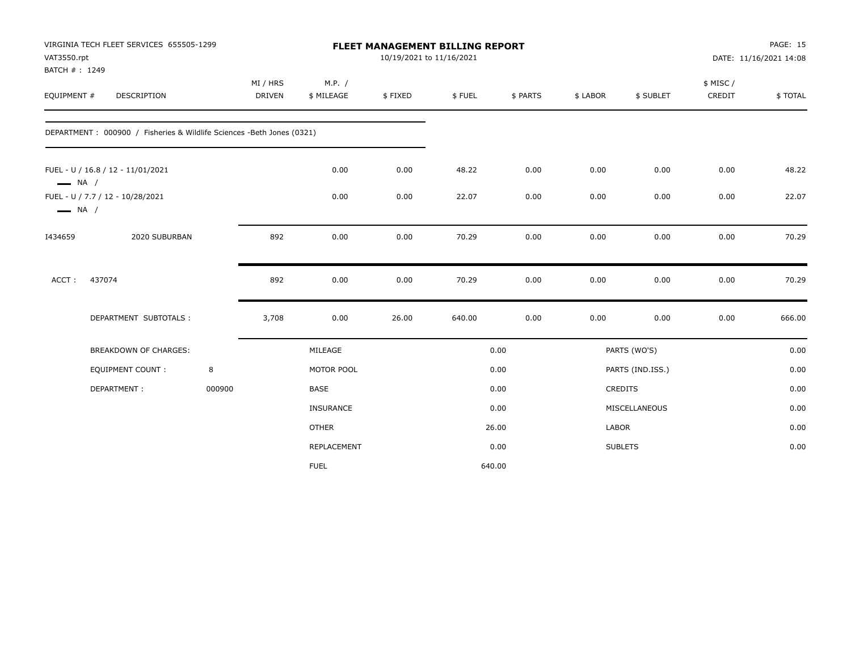| VAT3550.rpt            | VIRGINIA TECH FLEET SERVICES 655505-1299<br>BATCH #: 1249              |        |                    |                      | 10/19/2021 to 11/16/2021 | FLEET MANAGEMENT BILLING REPORT |          |              |                  |                    | PAGE: 15<br>DATE: 11/16/2021 14:08 |
|------------------------|------------------------------------------------------------------------|--------|--------------------|----------------------|--------------------------|---------------------------------|----------|--------------|------------------|--------------------|------------------------------------|
| EQUIPMENT #            | DESCRIPTION                                                            |        | MI / HRS<br>DRIVEN | M.P. /<br>\$ MILEAGE | \$FIXED                  | \$FUEL                          | \$ PARTS | \$ LABOR     | \$ SUBLET        | \$ MISC/<br>CREDIT | \$TOTAL                            |
|                        | DEPARTMENT : 000900 / Fisheries & Wildlife Sciences -Beth Jones (0321) |        |                    |                      |                          |                                 |          |              |                  |                    |                                    |
| $\longrightarrow$ NA / | FUEL - U / 16.8 / 12 - 11/01/2021                                      |        |                    | 0.00                 | 0.00                     | 48.22                           | 0.00     | 0.00         | 0.00             | 0.00               | 48.22                              |
| $\longrightarrow$ NA / | FUEL - U / 7.7 / 12 - 10/28/2021                                       |        |                    | 0.00                 | 0.00                     | 22.07                           | 0.00     | 0.00         | 0.00             | 0.00               | 22.07                              |
| I434659                | 2020 SUBURBAN                                                          |        | 892                | 0.00                 | 0.00                     | 70.29                           | 0.00     | 0.00         | 0.00             | 0.00               | 70.29                              |
| ACCT:                  | 437074                                                                 |        | 892                | 0.00                 | 0.00                     | 70.29                           | 0.00     | 0.00         | 0.00             | 0.00               | 70.29                              |
|                        | DEPARTMENT SUBTOTALS :                                                 |        | 3,708              | 0.00                 | 26.00                    | 640.00                          | 0.00     | 0.00         | 0.00             | 0.00               | 666.00                             |
|                        | BREAKDOWN OF CHARGES:                                                  |        |                    | MILEAGE              |                          |                                 | 0.00     |              | PARTS (WO'S)     |                    | 0.00                               |
|                        | <b>EQUIPMENT COUNT:</b>                                                | 8      |                    | MOTOR POOL           |                          |                                 | 0.00     |              | PARTS (IND.ISS.) |                    | 0.00                               |
|                        | DEPARTMENT:                                                            | 000900 |                    | <b>BASE</b>          |                          |                                 | 0.00     |              | <b>CREDITS</b>   |                    | 0.00                               |
|                        |                                                                        |        |                    | <b>INSURANCE</b>     |                          |                                 | 0.00     |              | MISCELLANEOUS    |                    | 0.00                               |
|                        |                                                                        |        |                    | <b>OTHER</b>         |                          |                                 | 26.00    | <b>LABOR</b> |                  |                    | 0.00                               |
|                        |                                                                        |        |                    | REPLACEMENT          |                          |                                 | 0.00     |              | <b>SUBLETS</b>   |                    | 0.00                               |
|                        |                                                                        |        |                    | <b>FUEL</b>          |                          |                                 | 640.00   |              |                  |                    |                                    |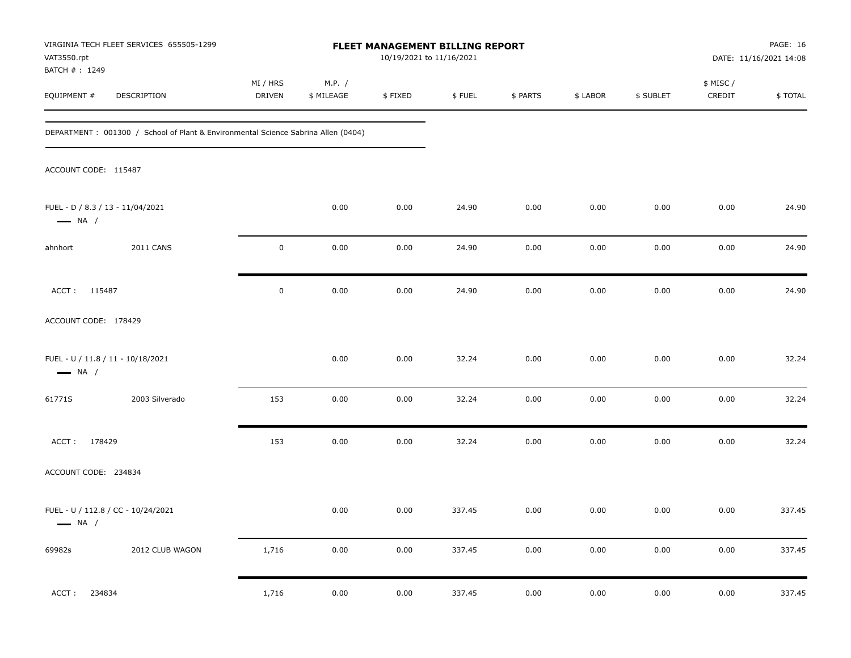| VIRGINIA TECH FLEET SERVICES 655505-1299<br>VAT3550.rpt                            |                           |                      |          | FLEET MANAGEMENT BILLING REPORT<br>10/19/2021 to 11/16/2021 |          |          |           |                     | PAGE: 16<br>DATE: 11/16/2021 14:08 |
|------------------------------------------------------------------------------------|---------------------------|----------------------|----------|-------------------------------------------------------------|----------|----------|-----------|---------------------|------------------------------------|
| BATCH #: 1249<br>EQUIPMENT #<br>DESCRIPTION                                        | MI / HRS<br><b>DRIVEN</b> | M.P. /<br>\$ MILEAGE | \$FIXED  | \$FUEL                                                      | \$ PARTS | \$ LABOR | \$ SUBLET | \$ MISC /<br>CREDIT | \$TOTAL                            |
| DEPARTMENT : 001300 / School of Plant & Environmental Science Sabrina Allen (0404) |                           |                      |          |                                                             |          |          |           |                     |                                    |
| ACCOUNT CODE: 115487                                                               |                           |                      |          |                                                             |          |          |           |                     |                                    |
| FUEL - D / 8.3 / 13 - 11/04/2021<br>$\longrightarrow$ NA /                         |                           | 0.00                 | 0.00     | 24.90                                                       | 0.00     | 0.00     | 0.00      | 0.00                | 24.90                              |
| <b>2011 CANS</b><br>ahnhort                                                        | $\mathbf 0$               | 0.00                 | 0.00     | 24.90                                                       | 0.00     | 0.00     | 0.00      | 0.00                | 24.90                              |
| ACCT: 115487                                                                       | $\mathbf 0$               | 0.00                 | 0.00     | 24.90                                                       | 0.00     | 0.00     | 0.00      | 0.00                | 24.90                              |
| ACCOUNT CODE: 178429                                                               |                           |                      |          |                                                             |          |          |           |                     |                                    |
| FUEL - U / 11.8 / 11 - 10/18/2021<br>$\longrightarrow$ NA /                        |                           | 0.00                 | 0.00     | 32.24                                                       | 0.00     | 0.00     | 0.00      | 0.00                | 32.24                              |
| 2003 Silverado<br>61771S                                                           | 153                       | 0.00                 | 0.00     | 32.24                                                       | 0.00     | 0.00     | 0.00      | 0.00                | 32.24                              |
| ACCT: 178429                                                                       | 153                       | 0.00                 | 0.00     | 32.24                                                       | 0.00     | 0.00     | 0.00      | 0.00                | 32.24                              |
| ACCOUNT CODE: 234834                                                               |                           |                      |          |                                                             |          |          |           |                     |                                    |
| FUEL - U / 112.8 / CC - 10/24/2021<br>$\longrightarrow$ NA /                       |                           | 0.00                 | 0.00     | 337.45                                                      | 0.00     | 0.00     | 0.00      | 0.00                | 337.45                             |
| 2012 CLUB WAGON<br>69982s                                                          | 1,716                     | $0.00\,$             | $0.00\,$ | 337.45                                                      | 0.00     | $0.00\,$ | 0.00      | 0.00                | 337.45                             |
| 234834<br>ACCT:                                                                    | 1,716                     | 0.00                 | 0.00     | 337.45                                                      | 0.00     | 0.00     | 0.00      | 0.00                | 337.45                             |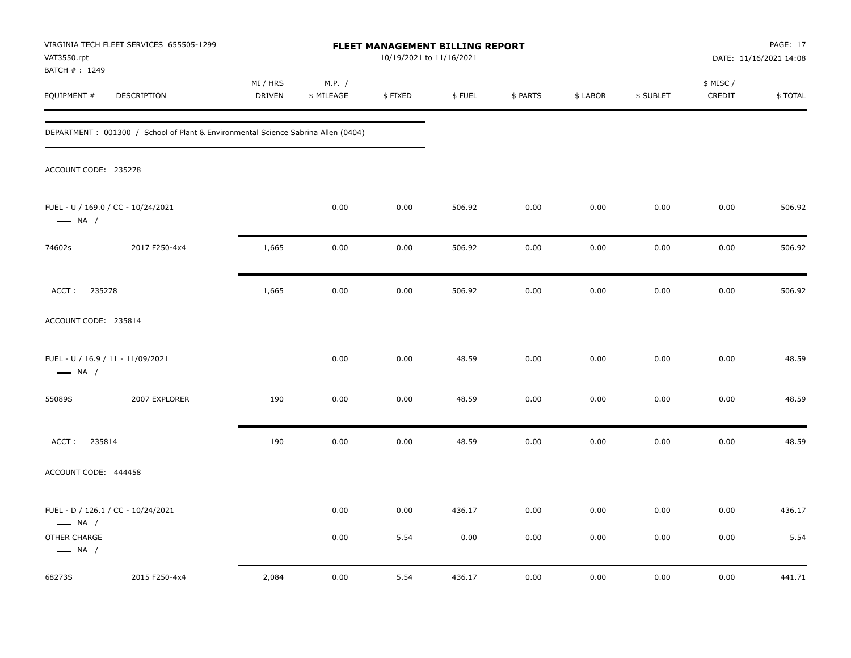| VAT3550.rpt<br>BATCH #: 1249           | VIRGINIA TECH FLEET SERVICES 655505-1299                                          |                    |                      | FLEET MANAGEMENT BILLING REPORT<br>10/19/2021 to 11/16/2021 |        |          |          |           |                     | PAGE: 17<br>DATE: 11/16/2021 14:08 |
|----------------------------------------|-----------------------------------------------------------------------------------|--------------------|----------------------|-------------------------------------------------------------|--------|----------|----------|-----------|---------------------|------------------------------------|
| EQUIPMENT #                            | DESCRIPTION                                                                       | MI / HRS<br>DRIVEN | M.P. /<br>\$ MILEAGE | \$FIXED                                                     | \$FUEL | \$ PARTS | \$ LABOR | \$ SUBLET | \$ MISC /<br>CREDIT | \$TOTAL                            |
|                                        | DEPARTMENT: 001300 / School of Plant & Environmental Science Sabrina Allen (0404) |                    |                      |                                                             |        |          |          |           |                     |                                    |
| ACCOUNT CODE: 235278                   |                                                                                   |                    |                      |                                                             |        |          |          |           |                     |                                    |
| $\longrightarrow$ NA /                 | FUEL - U / 169.0 / CC - 10/24/2021                                                |                    | 0.00                 | 0.00                                                        | 506.92 | 0.00     | 0.00     | 0.00      | 0.00                | 506.92                             |
| 74602s                                 | 2017 F250-4x4                                                                     | 1,665              | 0.00                 | 0.00                                                        | 506.92 | 0.00     | 0.00     | 0.00      | 0.00                | 506.92                             |
| 235278<br>ACCT:                        |                                                                                   | 1,665              | 0.00                 | 0.00                                                        | 506.92 | 0.00     | 0.00     | 0.00      | 0.00                | 506.92                             |
| ACCOUNT CODE: 235814                   |                                                                                   |                    |                      |                                                             |        |          |          |           |                     |                                    |
| $\longrightarrow$ NA /                 | FUEL - U / 16.9 / 11 - 11/09/2021                                                 |                    | 0.00                 | 0.00                                                        | 48.59  | 0.00     | 0.00     | 0.00      | 0.00                | 48.59                              |
| 55089S                                 | 2007 EXPLORER                                                                     | 190                | 0.00                 | 0.00                                                        | 48.59  | 0.00     | 0.00     | 0.00      | 0.00                | 48.59                              |
| 235814<br>ACCT:                        |                                                                                   | 190                | 0.00                 | 0.00                                                        | 48.59  | 0.00     | 0.00     | 0.00      | 0.00                | 48.59                              |
| ACCOUNT CODE: 444458                   |                                                                                   |                    |                      |                                                             |        |          |          |           |                     |                                    |
| $\longrightarrow$ NA /                 | FUEL - D / 126.1 / CC - 10/24/2021                                                |                    | 0.00                 | 0.00                                                        | 436.17 | 0.00     | 0.00     | 0.00      | 0.00                | 436.17                             |
| OTHER CHARGE<br>$\longrightarrow$ NA / |                                                                                   |                    | 0.00                 | 5.54                                                        | 0.00   | 0.00     | 0.00     | 0.00      | 0.00                | 5.54                               |
| 68273S                                 | 2015 F250-4x4                                                                     | 2,084              | 0.00                 | 5.54                                                        | 436.17 | 0.00     | 0.00     | 0.00      | 0.00                | 441.71                             |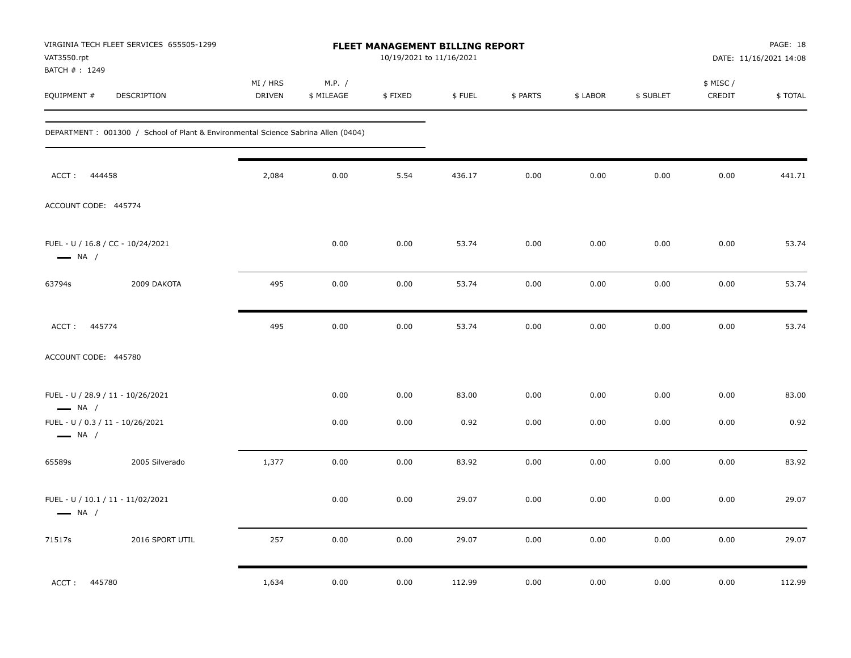| VAT3550.rpt                                                | VIRGINIA TECH FLEET SERVICES 655505-1299                                           |                    |                      | FLEET MANAGEMENT BILLING REPORT<br>10/19/2021 to 11/16/2021 |        |          |          |           |                     | PAGE: 18<br>DATE: 11/16/2021 14:08 |
|------------------------------------------------------------|------------------------------------------------------------------------------------|--------------------|----------------------|-------------------------------------------------------------|--------|----------|----------|-----------|---------------------|------------------------------------|
| BATCH #: 1249<br>EQUIPMENT #                               | DESCRIPTION                                                                        | MI / HRS<br>DRIVEN | M.P. /<br>\$ MILEAGE | \$FIXED                                                     | \$FUEL | \$ PARTS | \$ LABOR | \$ SUBLET | \$ MISC /<br>CREDIT | \$TOTAL                            |
|                                                            | DEPARTMENT : 001300 / School of Plant & Environmental Science Sabrina Allen (0404) |                    |                      |                                                             |        |          |          |           |                     |                                    |
| ACCT:<br>444458                                            |                                                                                    | 2,084              | 0.00                 | 5.54                                                        | 436.17 | 0.00     | 0.00     | 0.00      | 0.00                | 441.71                             |
| ACCOUNT CODE: 445774                                       |                                                                                    |                    |                      |                                                             |        |          |          |           |                     |                                    |
| $\longrightarrow$ NA /                                     | FUEL - U / 16.8 / CC - 10/24/2021                                                  |                    | 0.00                 | 0.00                                                        | 53.74  | 0.00     | 0.00     | 0.00      | 0.00                | 53.74                              |
| 63794s                                                     | 2009 DAKOTA                                                                        | 495                | 0.00                 | 0.00                                                        | 53.74  | 0.00     | 0.00     | 0.00      | 0.00                | 53.74                              |
| 445774<br>ACCT:                                            |                                                                                    | 495                | 0.00                 | 0.00                                                        | 53.74  | 0.00     | 0.00     | 0.00      | 0.00                | 53.74                              |
| ACCOUNT CODE: 445780                                       |                                                                                    |                    |                      |                                                             |        |          |          |           |                     |                                    |
| $\longrightarrow$ NA /                                     | FUEL - U / 28.9 / 11 - 10/26/2021                                                  |                    | 0.00                 | 0.00                                                        | 83.00  | 0.00     | 0.00     | 0.00      | 0.00                | 83.00                              |
| FUEL - U / 0.3 / 11 - 10/26/2021<br>$\longrightarrow$ NA / |                                                                                    |                    | 0.00                 | 0.00                                                        | 0.92   | 0.00     | 0.00     | 0.00      | 0.00                | 0.92                               |
| 65589s                                                     | 2005 Silverado                                                                     | 1,377              | 0.00                 | 0.00                                                        | 83.92  | 0.00     | 0.00     | 0.00      | 0.00                | 83.92                              |
| $\longrightarrow$ NA /                                     | FUEL - U / 10.1 / 11 - 11/02/2021                                                  |                    | 0.00                 | 0.00                                                        | 29.07  | 0.00     | 0.00     | 0.00      | 0.00                | 29.07                              |
| 71517s                                                     | 2016 SPORT UTIL                                                                    | 257                | 0.00                 | 0.00                                                        | 29.07  | 0.00     | 0.00     | 0.00      | 0.00                | 29.07                              |
| ACCT: 445780                                               |                                                                                    | 1,634              | 0.00                 | 0.00                                                        | 112.99 | 0.00     | 0.00     | 0.00      | 0.00                | 112.99                             |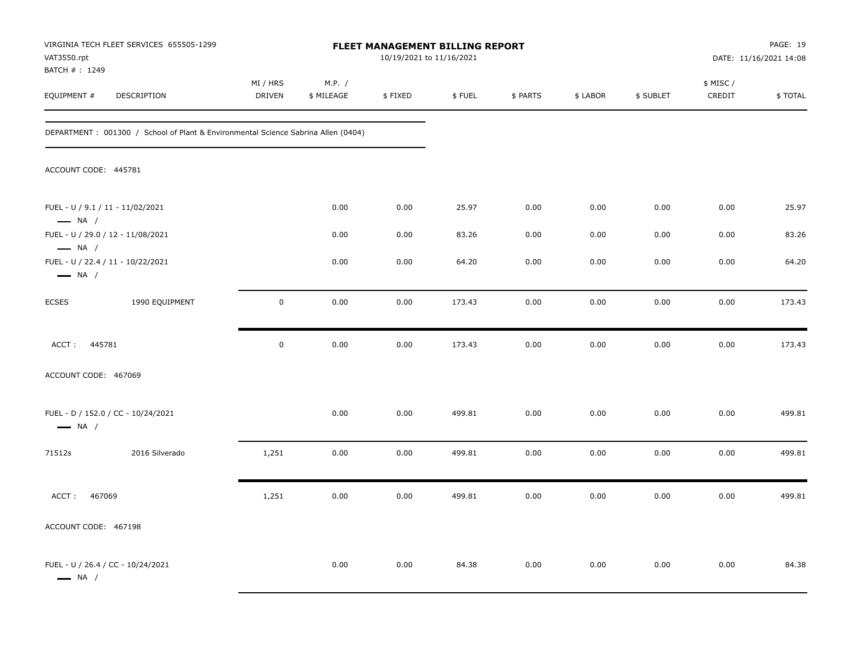| VAT3550.rpt<br>BATCH #: 1249                               | VIRGINIA TECH FLEET SERVICES 655505-1299                                          |                     |                      | FLEET MANAGEMENT BILLING REPORT<br>10/19/2021 to 11/16/2021 |        |          |          |           |                     | PAGE: 19<br>DATE: 11/16/2021 14:08 |
|------------------------------------------------------------|-----------------------------------------------------------------------------------|---------------------|----------------------|-------------------------------------------------------------|--------|----------|----------|-----------|---------------------|------------------------------------|
| EQUIPMENT #                                                | DESCRIPTION                                                                       | MI / HRS<br>DRIVEN  | M.P. /<br>\$ MILEAGE | \$FIXED                                                     | \$FUEL | \$ PARTS | \$ LABOR | \$ SUBLET | \$ MISC /<br>CREDIT | \$TOTAL                            |
|                                                            | DEPARTMENT: 001300 / School of Plant & Environmental Science Sabrina Allen (0404) |                     |                      |                                                             |        |          |          |           |                     |                                    |
| ACCOUNT CODE: 445781                                       |                                                                                   |                     |                      |                                                             |        |          |          |           |                     |                                    |
| FUEL - U / 9.1 / 11 - 11/02/2021<br>$\longrightarrow$ NA / |                                                                                   |                     | 0.00                 | 0.00                                                        | 25.97  | 0.00     | 0.00     | 0.00      | 0.00                | 25.97                              |
| $\longrightarrow$ NA /                                     | FUEL - U / 29.0 / 12 - 11/08/2021                                                 |                     | 0.00                 | 0.00                                                        | 83.26  | 0.00     | 0.00     | 0.00      | 0.00                | 83.26                              |
| $\longrightarrow$ NA /                                     | FUEL - U / 22.4 / 11 - 10/22/2021                                                 |                     | 0.00                 | 0.00                                                        | 64.20  | 0.00     | 0.00     | 0.00      | 0.00                | 64.20                              |
| <b>ECSES</b>                                               | 1990 EQUIPMENT                                                                    | $\mathsf{O}\xspace$ | 0.00                 | 0.00                                                        | 173.43 | 0.00     | 0.00     | 0.00      | 0.00                | 173.43                             |
| 445781<br>ACCT:                                            |                                                                                   | $\mathbf 0$         | 0.00                 | 0.00                                                        | 173.43 | 0.00     | 0.00     | 0.00      | 0.00                | 173.43                             |
| ACCOUNT CODE: 467069                                       |                                                                                   |                     |                      |                                                             |        |          |          |           |                     |                                    |
| $\longrightarrow$ NA /                                     | FUEL - D / 152.0 / CC - 10/24/2021                                                |                     | 0.00                 | 0.00                                                        | 499.81 | 0.00     | 0.00     | 0.00      | 0.00                | 499.81                             |
| 71512s                                                     | 2016 Silverado                                                                    | 1,251               | 0.00                 | 0.00                                                        | 499.81 | 0.00     | 0.00     | 0.00      | 0.00                | 499.81                             |
| 467069<br>ACCT:                                            |                                                                                   | 1,251               | 0.00                 | 0.00                                                        | 499.81 | 0.00     | 0.00     | 0.00      | 0.00                | 499.81                             |
| ACCOUNT CODE: 467198                                       |                                                                                   |                     |                      |                                                             |        |          |          |           |                     |                                    |
| $\longrightarrow$ NA /                                     | FUEL - U / 26.4 / CC - 10/24/2021                                                 |                     | 0.00                 | 0.00                                                        | 84.38  | 0.00     | 0.00     | 0.00      | 0.00                | 84.38                              |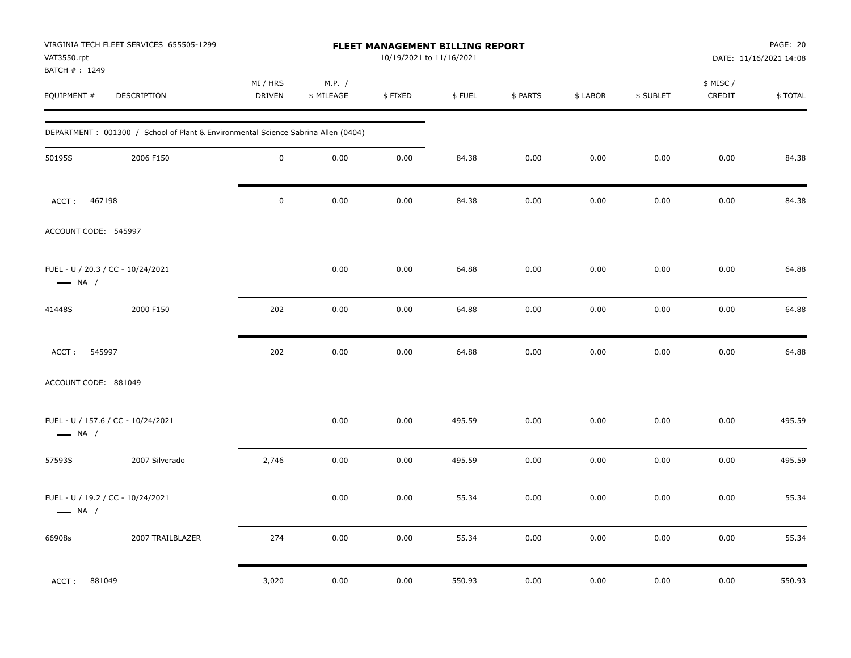| VAT3550.rpt<br>BATCH #: 1249                                 | VIRGINIA TECH FLEET SERVICES 655505-1299                                           |                           |                      | <b>FLEET MANAGEMENT BILLING REPORT</b><br>10/19/2021 to 11/16/2021 |        |          |          |           |                     | PAGE: 20<br>DATE: 11/16/2021 14:08 |
|--------------------------------------------------------------|------------------------------------------------------------------------------------|---------------------------|----------------------|--------------------------------------------------------------------|--------|----------|----------|-----------|---------------------|------------------------------------|
| EQUIPMENT #                                                  | DESCRIPTION                                                                        | MI / HRS<br><b>DRIVEN</b> | M.P. /<br>\$ MILEAGE | \$FIXED                                                            | \$FUEL | \$ PARTS | \$ LABOR | \$ SUBLET | \$ MISC /<br>CREDIT | \$TOTAL                            |
|                                                              | DEPARTMENT : 001300 / School of Plant & Environmental Science Sabrina Allen (0404) |                           |                      |                                                                    |        |          |          |           |                     |                                    |
| 50195S                                                       | 2006 F150                                                                          | $\mathbf 0$               | 0.00                 | 0.00                                                               | 84.38  | 0.00     | 0.00     | 0.00      | 0.00                | 84.38                              |
| ACCT:<br>467198                                              |                                                                                    | $\mathsf 0$               | 0.00                 | 0.00                                                               | 84.38  | 0.00     | 0.00     | 0.00      | 0.00                | 84.38                              |
| ACCOUNT CODE: 545997                                         |                                                                                    |                           |                      |                                                                    |        |          |          |           |                     |                                    |
| FUEL - U / 20.3 / CC - 10/24/2021<br>$\longrightarrow$ NA /  |                                                                                    |                           | 0.00                 | 0.00                                                               | 64.88  | 0.00     | 0.00     | 0.00      | 0.00                | 64.88                              |
| 41448S                                                       | 2000 F150                                                                          | 202                       | 0.00                 | 0.00                                                               | 64.88  | 0.00     | 0.00     | 0.00      | 0.00                | 64.88                              |
| ACCT:<br>545997                                              |                                                                                    | 202                       | 0.00                 | 0.00                                                               | 64.88  | 0.00     | 0.00     | 0.00      | 0.00                | 64.88                              |
| ACCOUNT CODE: 881049                                         |                                                                                    |                           |                      |                                                                    |        |          |          |           |                     |                                    |
| FUEL - U / 157.6 / CC - 10/24/2021<br>$\longrightarrow$ NA / |                                                                                    |                           | 0.00                 | 0.00                                                               | 495.59 | 0.00     | 0.00     | 0.00      | 0.00                | 495.59                             |
| 57593S                                                       | 2007 Silverado                                                                     | 2,746                     | 0.00                 | 0.00                                                               | 495.59 | 0.00     | 0.00     | 0.00      | 0.00                | 495.59                             |
| FUEL - U / 19.2 / CC - 10/24/2021<br>$\longrightarrow$ NA /  |                                                                                    |                           | 0.00                 | 0.00                                                               | 55.34  | 0.00     | 0.00     | 0.00      | 0.00                | 55.34                              |
| 66908s                                                       | 2007 TRAILBLAZER                                                                   | 274                       | 0.00                 | 0.00                                                               | 55.34  | 0.00     | 0.00     | 0.00      | 0.00                | 55.34                              |
| ACCT:<br>881049                                              |                                                                                    | 3,020                     | 0.00                 | 0.00                                                               | 550.93 | 0.00     | 0.00     | 0.00      | 0.00                | 550.93                             |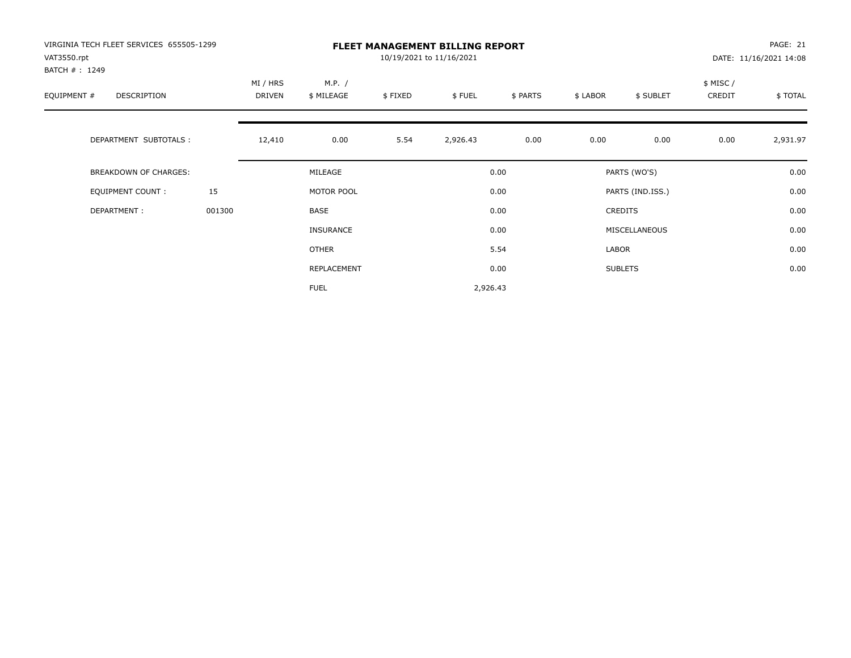| VIRGINIA TECH FLEET SERVICES 655505-1299<br>VAT3550.rpt<br>BATCH #: 1249 |        |                    |                      |         | <b>FLEET MANAGEMENT BILLING REPORT</b><br>10/19/2021 to 11/16/2021 |          |          |                  |                     | PAGE: 21<br>DATE: 11/16/2021 14:08 |
|--------------------------------------------------------------------------|--------|--------------------|----------------------|---------|--------------------------------------------------------------------|----------|----------|------------------|---------------------|------------------------------------|
| EQUIPMENT #<br>DESCRIPTION                                               |        | MI / HRS<br>DRIVEN | M.P. /<br>\$ MILEAGE | \$FIXED | \$FUEL                                                             | \$ PARTS | \$ LABOR | \$ SUBLET        | \$ MISC /<br>CREDIT | \$TOTAL                            |
| DEPARTMENT SUBTOTALS :                                                   |        | 12,410             | 0.00                 | 5.54    | 2,926.43                                                           | 0.00     | 0.00     | 0.00             | 0.00                | 2,931.97                           |
| BREAKDOWN OF CHARGES:                                                    |        |                    | MILEAGE              |         |                                                                    | 0.00     |          | PARTS (WO'S)     |                     | 0.00                               |
| <b>EQUIPMENT COUNT:</b>                                                  | 15     |                    | MOTOR POOL           |         |                                                                    | 0.00     |          | PARTS (IND.ISS.) |                     | 0.00                               |
| DEPARTMENT:                                                              | 001300 |                    | BASE                 |         |                                                                    | 0.00     |          | <b>CREDITS</b>   |                     | 0.00                               |
|                                                                          |        |                    | <b>INSURANCE</b>     |         |                                                                    | 0.00     |          | MISCELLANEOUS    |                     | 0.00                               |
|                                                                          |        |                    | <b>OTHER</b>         |         |                                                                    | 5.54     | LABOR    |                  |                     | 0.00                               |
|                                                                          |        |                    | REPLACEMENT          |         |                                                                    | 0.00     |          | <b>SUBLETS</b>   |                     | 0.00                               |
|                                                                          |        |                    | <b>FUEL</b>          |         | 2,926.43                                                           |          |          |                  |                     |                                    |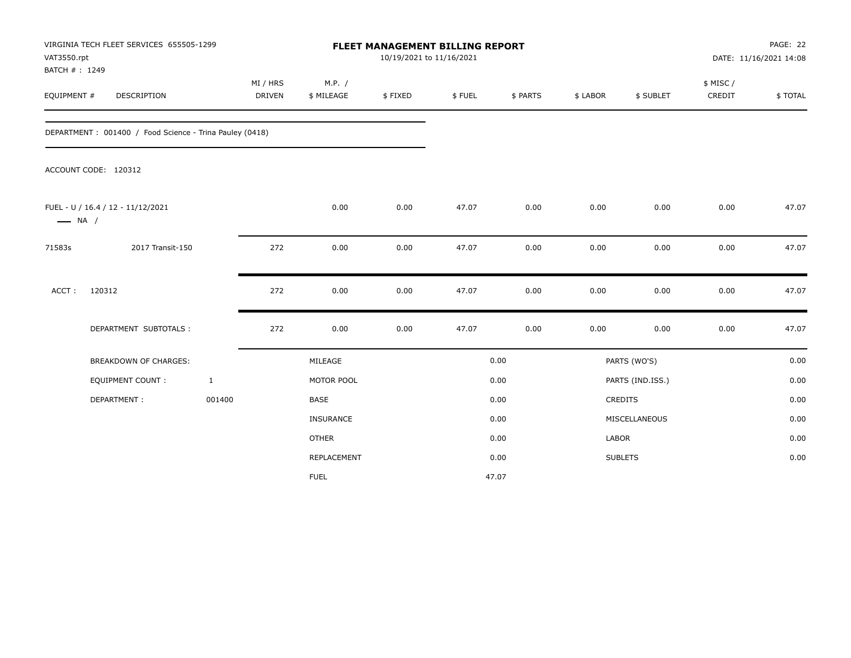| VAT3550.rpt<br>BATCH #: 1249 | VIRGINIA TECH FLEET SERVICES 655505-1299                |              |                           |                      | FLEET MANAGEMENT BILLING REPORT<br>10/19/2021 to 11/16/2021 |        |          |          |                  |                    | PAGE: 22<br>DATE: 11/16/2021 14:08 |
|------------------------------|---------------------------------------------------------|--------------|---------------------------|----------------------|-------------------------------------------------------------|--------|----------|----------|------------------|--------------------|------------------------------------|
| EQUIPMENT #                  | <b>DESCRIPTION</b>                                      |              | MI / HRS<br><b>DRIVEN</b> | M.P. /<br>\$ MILEAGE | \$FIXED                                                     | \$FUEL | \$ PARTS | \$ LABOR | \$ SUBLET        | \$ MISC/<br>CREDIT | \$TOTAL                            |
|                              | DEPARTMENT: 001400 / Food Science - Trina Pauley (0418) |              |                           |                      |                                                             |        |          |          |                  |                    |                                    |
|                              | ACCOUNT CODE: 120312                                    |              |                           |                      |                                                             |        |          |          |                  |                    |                                    |
| $\longrightarrow$ NA /       | FUEL - U / 16.4 / 12 - 11/12/2021                       |              |                           | 0.00                 | 0.00                                                        | 47.07  | 0.00     | 0.00     | 0.00             | 0.00               | 47.07                              |
| 71583s                       | 2017 Transit-150                                        |              | 272                       | 0.00                 | 0.00                                                        | 47.07  | 0.00     | 0.00     | 0.00             | 0.00               | 47.07                              |
| ACCT:                        | 120312                                                  |              | 272                       | 0.00                 | 0.00                                                        | 47.07  | 0.00     | 0.00     | 0.00             | 0.00               | 47.07                              |
|                              | DEPARTMENT SUBTOTALS :                                  |              | 272                       | 0.00                 | 0.00                                                        | 47.07  | 0.00     | 0.00     | 0.00             | 0.00               | 47.07                              |
|                              | <b>BREAKDOWN OF CHARGES:</b>                            |              |                           | MILEAGE              |                                                             |        | 0.00     |          | PARTS (WO'S)     |                    | 0.00                               |
|                              | <b>EQUIPMENT COUNT:</b>                                 | $\mathbf{1}$ |                           | MOTOR POOL           |                                                             |        | 0.00     |          | PARTS (IND.ISS.) |                    | 0.00                               |
|                              | DEPARTMENT:                                             | 001400       |                           | <b>BASE</b>          |                                                             |        | 0.00     |          | <b>CREDITS</b>   |                    | 0.00                               |
|                              |                                                         |              |                           | <b>INSURANCE</b>     |                                                             |        | 0.00     |          | MISCELLANEOUS    |                    | 0.00                               |
|                              |                                                         |              |                           | <b>OTHER</b>         |                                                             |        | 0.00     | LABOR    |                  |                    | 0.00                               |
|                              |                                                         |              |                           | REPLACEMENT          |                                                             |        | 0.00     |          | <b>SUBLETS</b>   |                    | 0.00                               |
|                              |                                                         |              |                           | <b>FUEL</b>          |                                                             |        | 47.07    |          |                  |                    |                                    |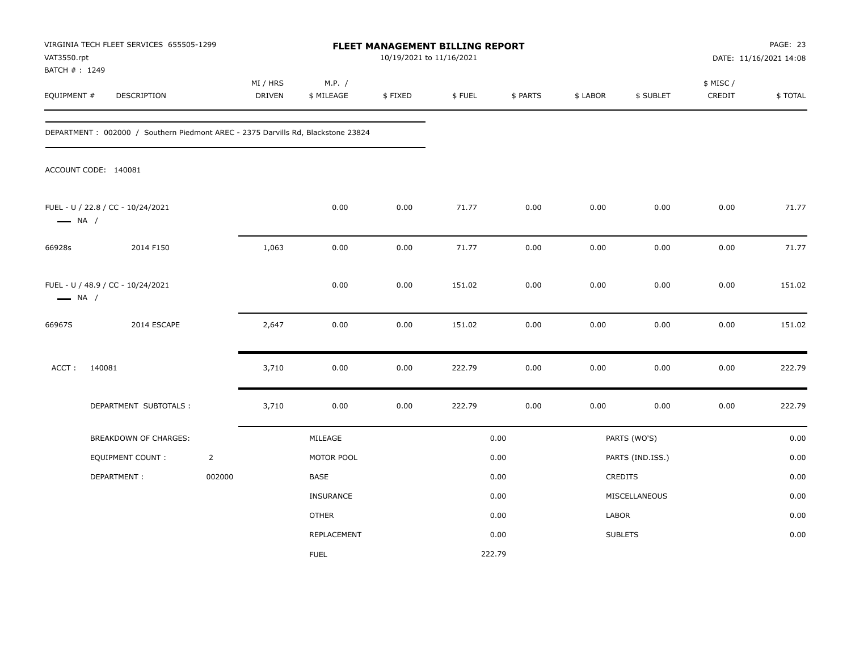| VAT3550.rpt                  | VIRGINIA TECH FLEET SERVICES 655505-1299                                         |                |                    |                      | 10/19/2021 to 11/16/2021 | FLEET MANAGEMENT BILLING REPORT |          |          |                  |                     | PAGE: 23<br>DATE: 11/16/2021 14:08 |
|------------------------------|----------------------------------------------------------------------------------|----------------|--------------------|----------------------|--------------------------|---------------------------------|----------|----------|------------------|---------------------|------------------------------------|
| BATCH #: 1249<br>EQUIPMENT # | DESCRIPTION                                                                      |                | MI / HRS<br>DRIVEN | M.P. /<br>\$ MILEAGE | \$FIXED                  | \$FUEL                          | \$ PARTS | \$ LABOR | \$ SUBLET        | \$ MISC /<br>CREDIT | \$TOTAL                            |
|                              | DEPARTMENT: 002000 / Southern Piedmont AREC - 2375 Darvills Rd, Blackstone 23824 |                |                    |                      |                          |                                 |          |          |                  |                     |                                    |
|                              | ACCOUNT CODE: 140081                                                             |                |                    |                      |                          |                                 |          |          |                  |                     |                                    |
| $\longrightarrow$ NA /       | FUEL - U / 22.8 / CC - 10/24/2021                                                |                |                    | 0.00                 | 0.00                     | 71.77                           | 0.00     | 0.00     | 0.00             | 0.00                | 71.77                              |
| 66928s                       | 2014 F150                                                                        |                | 1,063              | 0.00                 | 0.00                     | 71.77                           | 0.00     | 0.00     | 0.00             | 0.00                | 71.77                              |
| $\longrightarrow$ NA /       | FUEL - U / 48.9 / CC - 10/24/2021                                                |                |                    | 0.00                 | 0.00                     | 151.02                          | 0.00     | 0.00     | 0.00             | 0.00                | 151.02                             |
| 66967S                       | 2014 ESCAPE                                                                      |                | 2,647              | 0.00                 | 0.00                     | 151.02                          | 0.00     | 0.00     | 0.00             | 0.00                | 151.02                             |
| ACCT:                        | 140081                                                                           |                | 3,710              | 0.00                 | 0.00                     | 222.79                          | 0.00     | 0.00     | 0.00             | 0.00                | 222.79                             |
|                              | DEPARTMENT SUBTOTALS :                                                           |                | 3,710              | 0.00                 | 0.00                     | 222.79                          | 0.00     | 0.00     | 0.00             | 0.00                | 222.79                             |
|                              | BREAKDOWN OF CHARGES:                                                            |                |                    | MILEAGE              |                          |                                 | 0.00     |          | PARTS (WO'S)     |                     | 0.00                               |
|                              | <b>EQUIPMENT COUNT:</b>                                                          | $\overline{2}$ |                    | MOTOR POOL           |                          |                                 | 0.00     |          | PARTS (IND.ISS.) |                     | 0.00                               |
|                              | DEPARTMENT:                                                                      | 002000         |                    | BASE                 |                          |                                 | 0.00     |          | CREDITS          |                     | 0.00                               |
|                              |                                                                                  |                |                    | INSURANCE            |                          |                                 | 0.00     |          | MISCELLANEOUS    |                     | 0.00                               |
|                              |                                                                                  |                |                    | <b>OTHER</b>         |                          |                                 | 0.00     | LABOR    |                  |                     | 0.00                               |
|                              |                                                                                  |                |                    | REPLACEMENT          |                          |                                 | 0.00     |          | <b>SUBLETS</b>   |                     | 0.00                               |
|                              |                                                                                  |                |                    | <b>FUEL</b>          |                          | 222.79                          |          |          |                  |                     |                                    |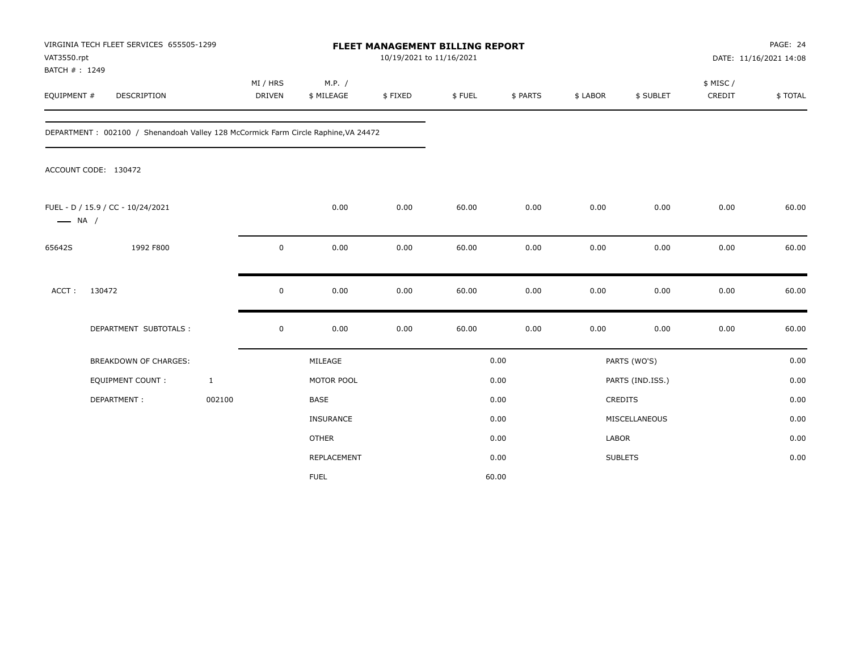| VAT3550.rpt<br>BATCH #: 1249 | VIRGINIA TECH FLEET SERVICES 655505-1299                                           |                           |                      | FLEET MANAGEMENT BILLING REPORT<br>10/19/2021 to 11/16/2021 |        |          |              |                  | PAGE: 24<br>DATE: 11/16/2021 14:08 |         |  |  |
|------------------------------|------------------------------------------------------------------------------------|---------------------------|----------------------|-------------------------------------------------------------|--------|----------|--------------|------------------|------------------------------------|---------|--|--|
| EQUIPMENT #                  | <b>DESCRIPTION</b>                                                                 | MI / HRS<br><b>DRIVEN</b> | M.P. /<br>\$ MILEAGE | \$FIXED                                                     | \$FUEL | \$ PARTS | \$ LABOR     | \$ SUBLET        | \$ MISC /<br>CREDIT                | \$TOTAL |  |  |
|                              | DEPARTMENT: 002100 / Shenandoah Valley 128 McCormick Farm Circle Raphine, VA 24472 |                           |                      |                                                             |        |          |              |                  |                                    |         |  |  |
|                              | ACCOUNT CODE: 130472                                                               |                           |                      |                                                             |        |          |              |                  |                                    |         |  |  |
| $\longrightarrow$ NA /       | FUEL - D / 15.9 / CC - 10/24/2021                                                  |                           | 0.00                 | 0.00                                                        | 60.00  | 0.00     | 0.00         | 0.00             | 0.00                               | 60.00   |  |  |
| 65642S                       | 1992 F800                                                                          | 0                         | 0.00                 | 0.00                                                        | 60.00  | 0.00     | 0.00         | 0.00             | 0.00                               | 60.00   |  |  |
| ACCT:                        | 130472                                                                             | 0                         | 0.00                 | 0.00                                                        | 60.00  | 0.00     | 0.00         | 0.00             | 0.00                               | 60.00   |  |  |
|                              | DEPARTMENT SUBTOTALS :                                                             | $\mathsf 0$               | 0.00                 | 0.00                                                        | 60.00  | 0.00     | 0.00         | 0.00             | 0.00                               | 60.00   |  |  |
|                              | <b>BREAKDOWN OF CHARGES:</b>                                                       |                           | MILEAGE              |                                                             |        | 0.00     |              | PARTS (WO'S)     |                                    | 0.00    |  |  |
|                              | <b>EQUIPMENT COUNT:</b>                                                            | $\mathbf{1}$              | MOTOR POOL           |                                                             |        | 0.00     |              | PARTS (IND.ISS.) |                                    | 0.00    |  |  |
|                              | DEPARTMENT:                                                                        | 002100                    | <b>BASE</b>          |                                                             |        | 0.00     |              | <b>CREDITS</b>   |                                    | 0.00    |  |  |
|                              |                                                                                    |                           | <b>INSURANCE</b>     |                                                             |        | 0.00     |              | MISCELLANEOUS    |                                    | 0.00    |  |  |
|                              |                                                                                    |                           | <b>OTHER</b>         |                                                             |        | 0.00     | <b>LABOR</b> |                  |                                    | 0.00    |  |  |
|                              |                                                                                    |                           | REPLACEMENT          |                                                             |        | 0.00     |              | <b>SUBLETS</b>   |                                    | 0.00    |  |  |
|                              |                                                                                    |                           | <b>FUEL</b>          |                                                             |        | 60.00    |              |                  |                                    |         |  |  |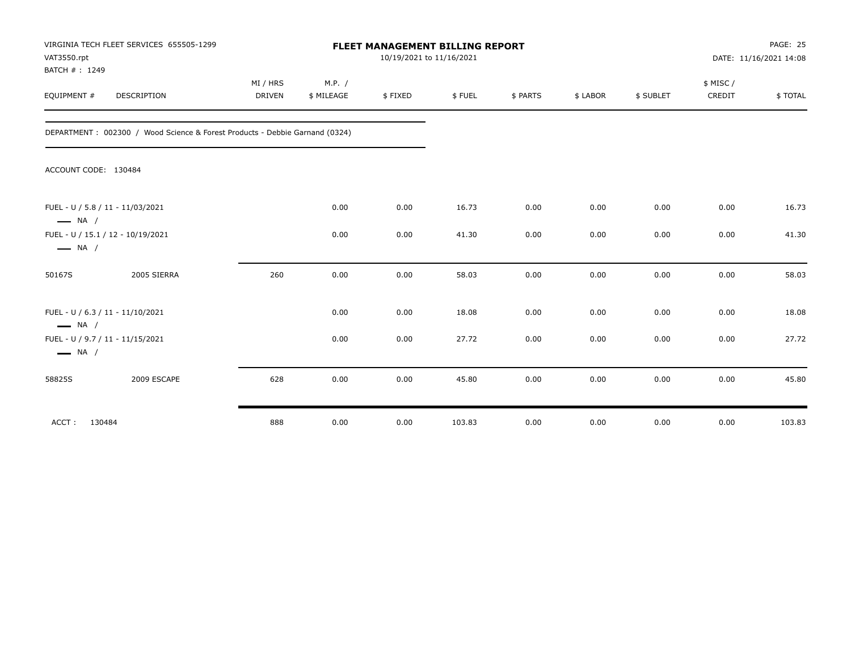| VAT3550.rpt<br>BATCH #: 1249 | VIRGINIA TECH FLEET SERVICES 655505-1299                                    | <b>FLEET MANAGEMENT BILLING REPORT</b><br>10/19/2021 to 11/16/2021 |            |         |        |          |          |           |          | <b>PAGE: 25</b><br>DATE: 11/16/2021 14:08 |  |
|------------------------------|-----------------------------------------------------------------------------|--------------------------------------------------------------------|------------|---------|--------|----------|----------|-----------|----------|-------------------------------------------|--|
|                              |                                                                             | MI / HRS                                                           | M.P. /     |         |        |          |          |           | \$ MISC/ |                                           |  |
| EQUIPMENT #                  | DESCRIPTION                                                                 | <b>DRIVEN</b>                                                      | \$ MILEAGE | \$FIXED | \$FUEL | \$ PARTS | \$ LABOR | \$ SUBLET | CREDIT   | \$TOTAL                                   |  |
|                              | DEPARTMENT: 002300 / Wood Science & Forest Products - Debbie Garnand (0324) |                                                                    |            |         |        |          |          |           |          |                                           |  |
| ACCOUNT CODE: 130484         |                                                                             |                                                                    |            |         |        |          |          |           |          |                                           |  |
| $\longrightarrow$ NA /       | FUEL - U / 5.8 / 11 - 11/03/2021                                            |                                                                    | 0.00       | 0.00    | 16.73  | 0.00     | 0.00     | 0.00      | 0.00     | 16.73                                     |  |
| $\longrightarrow$ NA /       | FUEL - U / 15.1 / 12 - 10/19/2021                                           |                                                                    | 0.00       | 0.00    | 41.30  | 0.00     | 0.00     | 0.00      | 0.00     | 41.30                                     |  |
| 50167S                       | 2005 SIERRA                                                                 | 260                                                                | 0.00       | 0.00    | 58.03  | 0.00     | 0.00     | 0.00      | 0.00     | 58.03                                     |  |
| $\longrightarrow$ NA /       | FUEL - U / 6.3 / 11 - 11/10/2021                                            |                                                                    | 0.00       | 0.00    | 18.08  | 0.00     | 0.00     | 0.00      | 0.00     | 18.08                                     |  |
| $\longrightarrow$ NA /       | FUEL - U / 9.7 / 11 - 11/15/2021                                            |                                                                    | 0.00       | 0.00    | 27.72  | 0.00     | 0.00     | 0.00      | 0.00     | 27.72                                     |  |
| 58825S                       | 2009 ESCAPE                                                                 | 628                                                                | 0.00       | 0.00    | 45.80  | 0.00     | 0.00     | 0.00      | 0.00     | 45.80                                     |  |
| ACCT:<br>130484              |                                                                             | 888                                                                | 0.00       | 0.00    | 103.83 | 0.00     | 0.00     | 0.00      | 0.00     | 103.83                                    |  |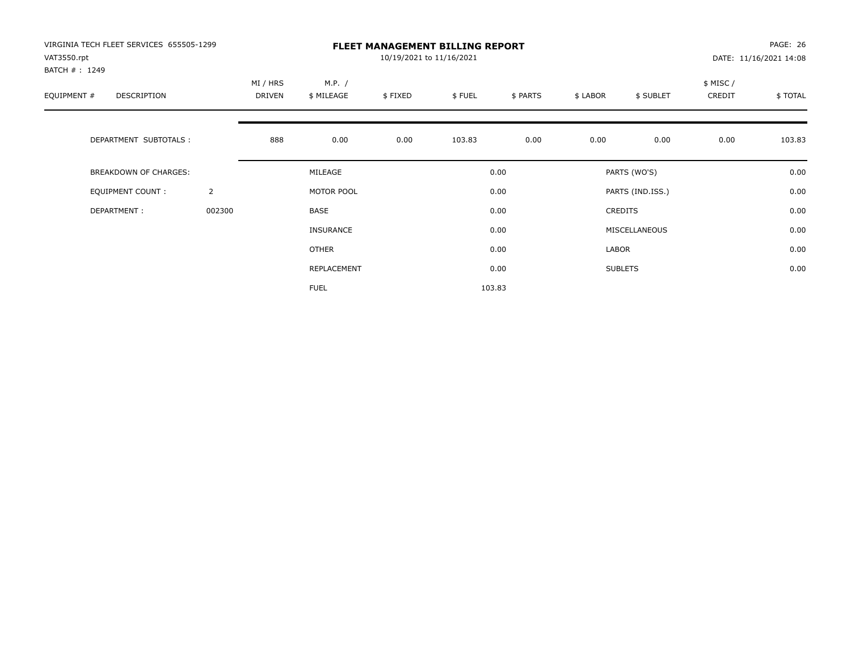| VIRGINIA TECH FLEET SERVICES 655505-1299<br>VAT3550.rpt<br>BATCH #: 1249 |                | <b>FLEET MANAGEMENT BILLING REPORT</b><br>10/19/2021 to 11/16/2021 |                      |         |        |          |          |                  |                     | PAGE: 26<br>DATE: 11/16/2021 14:08 |  |
|--------------------------------------------------------------------------|----------------|--------------------------------------------------------------------|----------------------|---------|--------|----------|----------|------------------|---------------------|------------------------------------|--|
| EQUIPMENT #<br><b>DESCRIPTION</b>                                        |                | MI / HRS<br>DRIVEN                                                 | M.P. /<br>\$ MILEAGE | \$FIXED | \$FUEL | \$ PARTS | \$ LABOR | \$ SUBLET        | \$ MISC /<br>CREDIT | \$TOTAL                            |  |
| DEPARTMENT SUBTOTALS :                                                   |                | 888                                                                | 0.00                 | 0.00    | 103.83 | 0.00     | 0.00     | 0.00             | 0.00                | 103.83                             |  |
| <b>BREAKDOWN OF CHARGES:</b>                                             |                |                                                                    | MILEAGE              |         |        | 0.00     |          | PARTS (WO'S)     |                     | 0.00                               |  |
| EQUIPMENT COUNT:                                                         | $\overline{2}$ |                                                                    | MOTOR POOL           |         |        | 0.00     |          | PARTS (IND.ISS.) |                     | 0.00                               |  |
| DEPARTMENT:                                                              | 002300         |                                                                    | <b>BASE</b>          |         |        | 0.00     |          | <b>CREDITS</b>   |                     | 0.00                               |  |
|                                                                          |                |                                                                    | INSURANCE            |         |        | 0.00     |          | MISCELLANEOUS    |                     | 0.00                               |  |
|                                                                          |                |                                                                    | <b>OTHER</b>         |         |        | 0.00     | LABOR    |                  |                     | 0.00                               |  |
|                                                                          |                |                                                                    | REPLACEMENT          |         |        | 0.00     |          | <b>SUBLETS</b>   |                     | 0.00                               |  |
|                                                                          |                |                                                                    | <b>FUEL</b>          |         |        | 103.83   |          |                  |                     |                                    |  |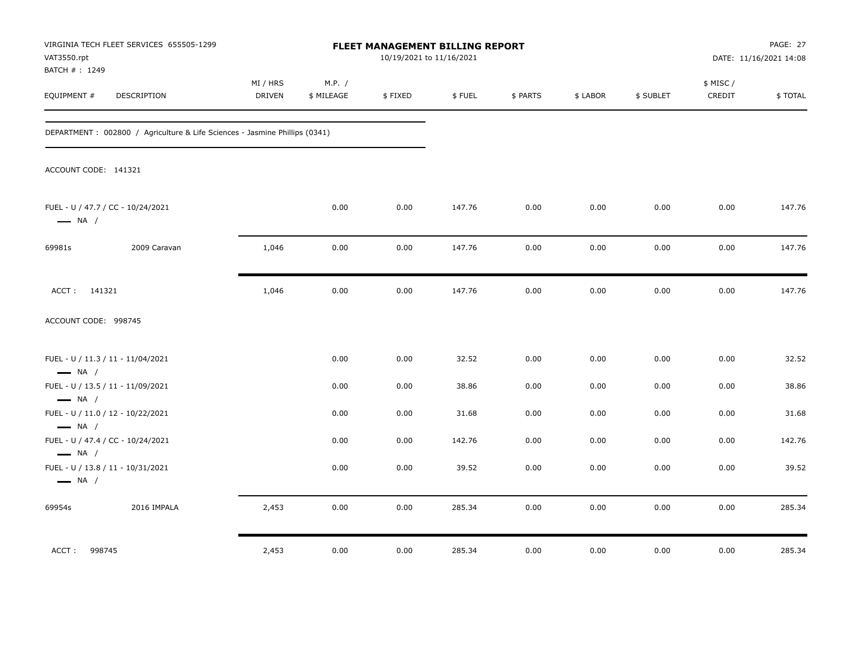| VAT3550.rpt<br>BATCH #: 1249                     | VIRGINIA TECH FLEET SERVICES 655505-1299                                    |                           |                      | <b>FLEET MANAGEMENT BILLING REPORT</b><br>10/19/2021 to 11/16/2021 |        |          |          |           |                    | PAGE: 27<br>DATE: 11/16/2021 14:08 |
|--------------------------------------------------|-----------------------------------------------------------------------------|---------------------------|----------------------|--------------------------------------------------------------------|--------|----------|----------|-----------|--------------------|------------------------------------|
| EQUIPMENT #                                      | <b>DESCRIPTION</b>                                                          | MI / HRS<br><b>DRIVEN</b> | M.P. /<br>\$ MILEAGE | \$FIXED                                                            | \$FUEL | \$ PARTS | \$ LABOR | \$ SUBLET | \$ MISC/<br>CREDIT | \$TOTAL                            |
|                                                  | DEPARTMENT : 002800 / Agriculture & Life Sciences - Jasmine Phillips (0341) |                           |                      |                                                                    |        |          |          |           |                    |                                    |
| ACCOUNT CODE: 141321                             |                                                                             |                           |                      |                                                                    |        |          |          |           |                    |                                    |
| $\longrightarrow$ NA /                           | FUEL - U / 47.7 / CC - 10/24/2021                                           |                           | 0.00                 | 0.00                                                               | 147.76 | 0.00     | 0.00     | 0.00      | 0.00               | 147.76                             |
| 69981s                                           | 2009 Caravan                                                                | 1,046                     | 0.00                 | 0.00                                                               | 147.76 | 0.00     | 0.00     | 0.00      | 0.00               | 147.76                             |
| ACCT: 141321                                     |                                                                             | 1,046                     | 0.00                 | 0.00                                                               | 147.76 | 0.00     | 0.00     | 0.00      | 0.00               | 147.76                             |
| ACCOUNT CODE: 998745                             |                                                                             |                           |                      |                                                                    |        |          |          |           |                    |                                    |
| $\longrightarrow$ NA /                           | FUEL - U / 11.3 / 11 - 11/04/2021                                           |                           | 0.00                 | 0.00                                                               | 32.52  | 0.00     | 0.00     | 0.00      | 0.00               | 32.52                              |
|                                                  | FUEL - U / 13.5 / 11 - 11/09/2021                                           |                           | 0.00                 | 0.00                                                               | 38.86  | 0.00     | 0.00     | 0.00      | 0.00               | 38.86                              |
| $\longrightarrow$ NA /<br>$\longrightarrow$ NA / | FUEL - U / 11.0 / 12 - 10/22/2021                                           |                           | 0.00                 | 0.00                                                               | 31.68  | 0.00     | 0.00     | 0.00      | 0.00               | 31.68                              |
|                                                  | FUEL - U / 47.4 / CC - 10/24/2021                                           |                           | 0.00                 | 0.00                                                               | 142.76 | 0.00     | 0.00     | 0.00      | 0.00               | 142.76                             |
| $\longrightarrow$ NA /<br>$\longrightarrow$ NA / | FUEL - U / 13.8 / 11 - 10/31/2021                                           |                           | 0.00                 | 0.00                                                               | 39.52  | 0.00     | 0.00     | 0.00      | 0.00               | 39.52                              |
| 69954s                                           | 2016 IMPALA                                                                 | 2,453                     | 0.00                 | 0.00                                                               | 285.34 | 0.00     | 0.00     | 0.00      | 0.00               | 285.34                             |
| ACCT: 998745                                     |                                                                             | 2,453                     | 0.00                 | 0.00                                                               | 285.34 | 0.00     | 0.00     | 0.00      | 0.00               | 285.34                             |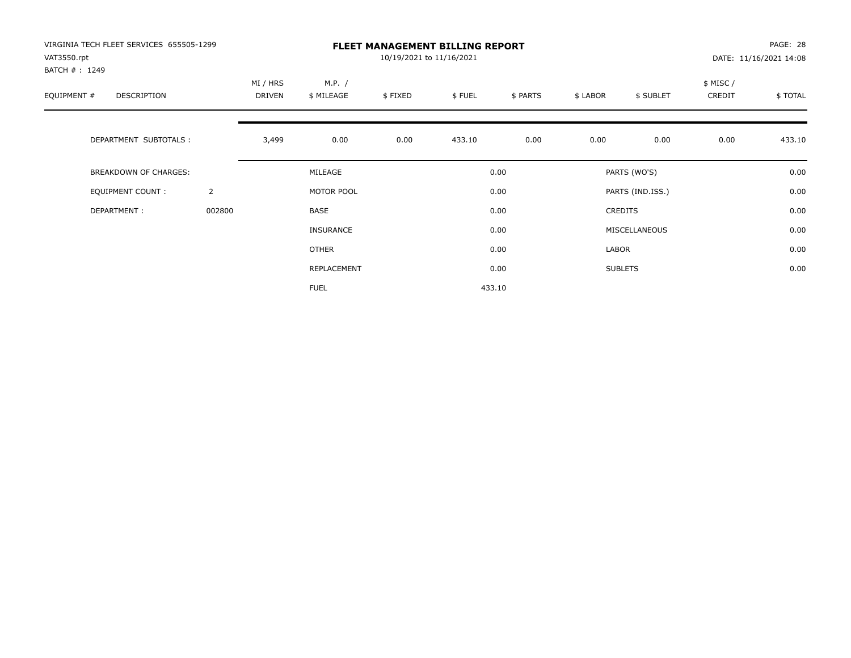| VIRGINIA TECH FLEET SERVICES 655505-1299<br>VAT3550.rpt<br>BATCH #: 1249 |                | <b>FLEET MANAGEMENT BILLING REPORT</b><br>10/19/2021 to 11/16/2021 |                      |         |        |          |          |                  | PAGE: 28<br>DATE: 11/16/2021 14:08 |         |  |
|--------------------------------------------------------------------------|----------------|--------------------------------------------------------------------|----------------------|---------|--------|----------|----------|------------------|------------------------------------|---------|--|
| EQUIPMENT #<br><b>DESCRIPTION</b>                                        |                | MI / HRS<br>DRIVEN                                                 | M.P. /<br>\$ MILEAGE | \$FIXED | \$FUEL | \$ PARTS | \$ LABOR | \$ SUBLET        | \$ MISC /<br>CREDIT                | \$TOTAL |  |
| DEPARTMENT SUBTOTALS :                                                   |                | 3,499                                                              | 0.00                 | 0.00    | 433.10 | 0.00     | 0.00     | 0.00             | 0.00                               | 433.10  |  |
| <b>BREAKDOWN OF CHARGES:</b>                                             |                |                                                                    | MILEAGE              |         |        | 0.00     |          | PARTS (WO'S)     |                                    | 0.00    |  |
| EQUIPMENT COUNT:                                                         | $\overline{2}$ |                                                                    | MOTOR POOL           |         |        | 0.00     |          | PARTS (IND.ISS.) |                                    | 0.00    |  |
| DEPARTMENT:                                                              | 002800         |                                                                    | <b>BASE</b>          |         |        | 0.00     |          | <b>CREDITS</b>   |                                    | 0.00    |  |
|                                                                          |                |                                                                    | INSURANCE            |         |        | 0.00     |          | MISCELLANEOUS    |                                    | 0.00    |  |
|                                                                          |                |                                                                    | <b>OTHER</b>         |         |        | 0.00     | LABOR    |                  |                                    | 0.00    |  |
|                                                                          |                |                                                                    | REPLACEMENT          |         |        | 0.00     |          | <b>SUBLETS</b>   |                                    | 0.00    |  |
|                                                                          |                |                                                                    | <b>FUEL</b>          |         |        | 433.10   |          |                  |                                    |         |  |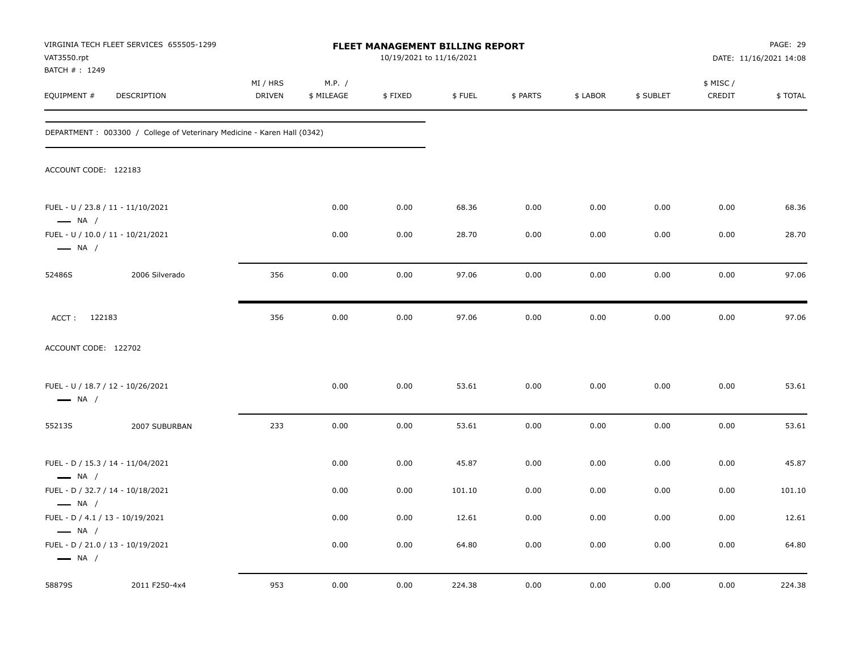| VAT3550.rpt                                                | VIRGINIA TECH FLEET SERVICES 655505-1299                                 | FLEET MANAGEMENT BILLING REPORT<br>10/19/2021 to 11/16/2021 |                      |         |        |          |          |           | PAGE: 29<br>DATE: 11/16/2021 14:08 |         |
|------------------------------------------------------------|--------------------------------------------------------------------------|-------------------------------------------------------------|----------------------|---------|--------|----------|----------|-----------|------------------------------------|---------|
| BATCH #: 1249<br>EQUIPMENT #                               | DESCRIPTION                                                              | MI / HRS<br>DRIVEN                                          | M.P. /<br>\$ MILEAGE | \$FIXED | \$FUEL | \$ PARTS | \$ LABOR | \$ SUBLET | \$ MISC /<br>CREDIT                | \$TOTAL |
|                                                            | DEPARTMENT : 003300 / College of Veterinary Medicine - Karen Hall (0342) |                                                             |                      |         |        |          |          |           |                                    |         |
| ACCOUNT CODE: 122183                                       |                                                                          |                                                             |                      |         |        |          |          |           |                                    |         |
| $\longrightarrow$ NA /                                     | FUEL - U / 23.8 / 11 - 11/10/2021                                        |                                                             | 0.00                 | 0.00    | 68.36  | 0.00     | 0.00     | 0.00      | 0.00                               | 68.36   |
| $\longrightarrow$ NA /                                     | FUEL - U / 10.0 / 11 - 10/21/2021                                        |                                                             | 0.00                 | 0.00    | 28.70  | 0.00     | 0.00     | 0.00      | 0.00                               | 28.70   |
| 52486S                                                     | 2006 Silverado                                                           | 356                                                         | 0.00                 | 0.00    | 97.06  | 0.00     | 0.00     | 0.00      | 0.00                               | 97.06   |
| ACCT: 122183                                               |                                                                          | 356                                                         | 0.00                 | 0.00    | 97.06  | 0.00     | 0.00     | 0.00      | 0.00                               | 97.06   |
| ACCOUNT CODE: 122702                                       |                                                                          |                                                             |                      |         |        |          |          |           |                                    |         |
| $\longrightarrow$ NA /                                     | FUEL - U / 18.7 / 12 - 10/26/2021                                        |                                                             | 0.00                 | 0.00    | 53.61  | 0.00     | 0.00     | 0.00      | 0.00                               | 53.61   |
| 55213S                                                     | 2007 SUBURBAN                                                            | 233                                                         | 0.00                 | 0.00    | 53.61  | 0.00     | 0.00     | 0.00      | 0.00                               | 53.61   |
| $\longrightarrow$ NA /                                     | FUEL - D / 15.3 / 14 - 11/04/2021                                        |                                                             | 0.00                 | 0.00    | 45.87  | 0.00     | 0.00     | 0.00      | 0.00                               | 45.87   |
|                                                            | FUEL - D / 32.7 / 14 - 10/18/2021                                        |                                                             | 0.00                 | 0.00    | 101.10 | 0.00     | 0.00     | 0.00      | 0.00                               | 101.10  |
| $\longrightarrow$ NA /<br>FUEL - D / 4.1 / 13 - 10/19/2021 |                                                                          |                                                             | 0.00                 | 0.00    | 12.61  | 0.00     | 0.00     | 0.00      | 0.00                               | 12.61   |
| $\longrightarrow$ NA /<br>$\longrightarrow$ NA /           | FUEL - D / 21.0 / 13 - 10/19/2021                                        |                                                             | 0.00                 | 0.00    | 64.80  | 0.00     | 0.00     | 0.00      | 0.00                               | 64.80   |
| 58879S                                                     | 2011 F250-4x4                                                            | 953                                                         | 0.00                 | 0.00    | 224.38 | 0.00     | 0.00     | 0.00      | 0.00                               | 224.38  |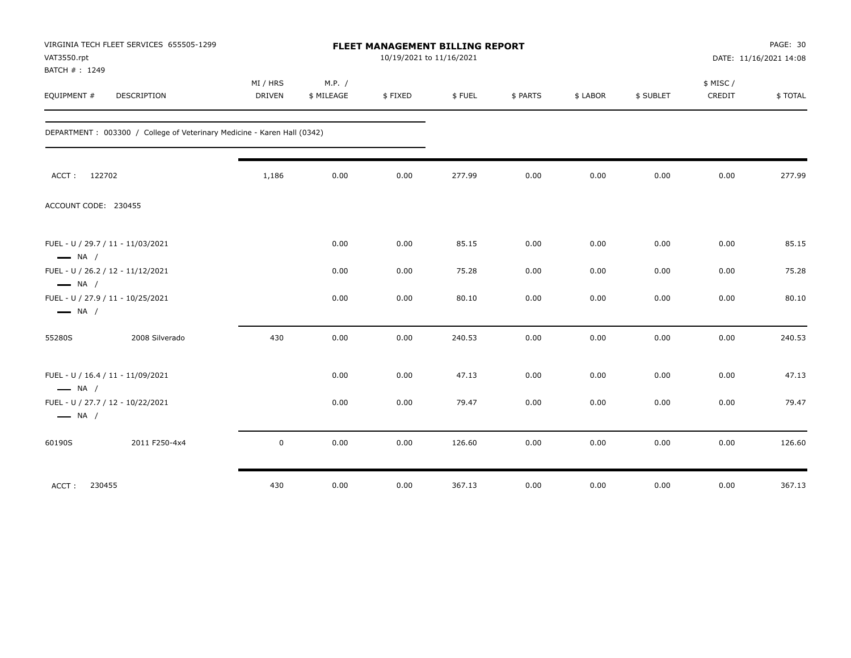| VAT3550.rpt<br>BATCH #: 1249 | VIRGINIA TECH FLEET SERVICES 655505-1299                                 | FLEET MANAGEMENT BILLING REPORT<br>10/19/2021 to 11/16/2021 |                      |         |        |          |          |           |                    | PAGE: 30<br>DATE: 11/16/2021 14:08 |  |
|------------------------------|--------------------------------------------------------------------------|-------------------------------------------------------------|----------------------|---------|--------|----------|----------|-----------|--------------------|------------------------------------|--|
| EQUIPMENT #                  | <b>DESCRIPTION</b>                                                       | MI / HRS<br><b>DRIVEN</b>                                   | M.P. /<br>\$ MILEAGE | \$FIXED | \$FUEL | \$ PARTS | \$ LABOR | \$ SUBLET | \$ MISC/<br>CREDIT | <b>\$TOTAL</b>                     |  |
|                              | DEPARTMENT : 003300 / College of Veterinary Medicine - Karen Hall (0342) |                                                             |                      |         |        |          |          |           |                    |                                    |  |
|                              | ACCT: 122702                                                             | 1,186                                                       | 0.00                 | 0.00    | 277.99 | 0.00     | 0.00     | 0.00      | 0.00               | 277.99                             |  |
|                              | ACCOUNT CODE: 230455                                                     |                                                             |                      |         |        |          |          |           |                    |                                    |  |
| $\longrightarrow$ NA /       | FUEL - U / 29.7 / 11 - 11/03/2021                                        |                                                             | 0.00                 | 0.00    | 85.15  | 0.00     | 0.00     | 0.00      | 0.00               | 85.15                              |  |
| $\longrightarrow$ NA /       | FUEL - U / 26.2 / 12 - 11/12/2021                                        |                                                             | 0.00                 | 0.00    | 75.28  | 0.00     | 0.00     | 0.00      | 0.00               | 75.28                              |  |
| $\longrightarrow$ NA /       | FUEL - U / 27.9 / 11 - 10/25/2021                                        |                                                             | 0.00                 | 0.00    | 80.10  | 0.00     | 0.00     | 0.00      | 0.00               | 80.10                              |  |
| 55280S                       | 2008 Silverado                                                           | 430                                                         | 0.00                 | 0.00    | 240.53 | 0.00     | 0.00     | 0.00      | 0.00               | 240.53                             |  |
| $\longrightarrow$ NA /       | FUEL - U / 16.4 / 11 - 11/09/2021                                        |                                                             | 0.00                 | 0.00    | 47.13  | 0.00     | 0.00     | 0.00      | 0.00               | 47.13                              |  |
| $\longrightarrow$ NA /       | FUEL - U / 27.7 / 12 - 10/22/2021                                        |                                                             | 0.00                 | 0.00    | 79.47  | 0.00     | 0.00     | 0.00      | 0.00               | 79.47                              |  |
| 60190S                       | 2011 F250-4x4                                                            | 0                                                           | 0.00                 | 0.00    | 126.60 | 0.00     | 0.00     | 0.00      | 0.00               | 126.60                             |  |
| ACCT:                        | 230455                                                                   | 430                                                         | 0.00                 | 0.00    | 367.13 | 0.00     | 0.00     | 0.00      | 0.00               | 367.13                             |  |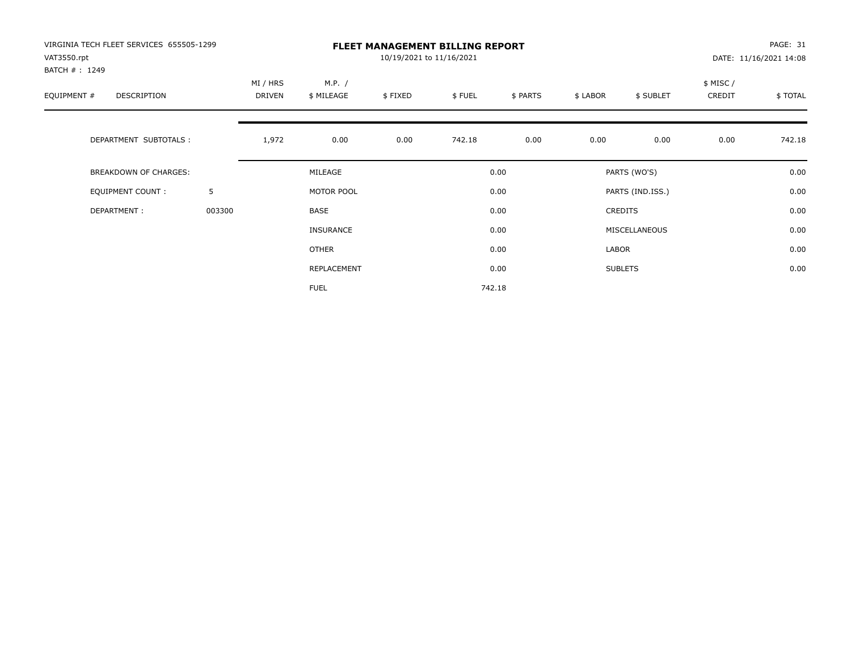| VIRGINIA TECH FLEET SERVICES 655505-1299<br>VAT3550.rpt<br>BATCH #: 1249 |        | <b>FLEET MANAGEMENT BILLING REPORT</b><br>10/19/2021 to 11/16/2021 |                      |         |        |          |          |                  |                     | PAGE: 31<br>DATE: 11/16/2021 14:08 |  |
|--------------------------------------------------------------------------|--------|--------------------------------------------------------------------|----------------------|---------|--------|----------|----------|------------------|---------------------|------------------------------------|--|
| EQUIPMENT #<br>DESCRIPTION                                               |        | MI / HRS<br><b>DRIVEN</b>                                          | M.P. /<br>\$ MILEAGE | \$FIXED | \$FUEL | \$ PARTS | \$ LABOR | \$ SUBLET        | \$ MISC /<br>CREDIT | \$TOTAL                            |  |
| DEPARTMENT SUBTOTALS :                                                   |        | 1,972                                                              | 0.00                 | 0.00    | 742.18 | 0.00     | 0.00     | 0.00             | 0.00                | 742.18                             |  |
| <b>BREAKDOWN OF CHARGES:</b>                                             |        |                                                                    | MILEAGE              |         |        | 0.00     |          | PARTS (WO'S)     |                     | 0.00                               |  |
| EQUIPMENT COUNT:                                                         | 5      |                                                                    | MOTOR POOL           |         |        | 0.00     |          | PARTS (IND.ISS.) |                     | 0.00                               |  |
| DEPARTMENT:                                                              | 003300 |                                                                    | <b>BASE</b>          |         |        | 0.00     |          | <b>CREDITS</b>   |                     | 0.00                               |  |
|                                                                          |        |                                                                    | <b>INSURANCE</b>     |         |        | 0.00     |          | MISCELLANEOUS    |                     | 0.00                               |  |
|                                                                          |        |                                                                    | <b>OTHER</b>         |         |        | 0.00     | LABOR    |                  |                     | 0.00                               |  |
|                                                                          |        |                                                                    | REPLACEMENT          |         |        | 0.00     |          | <b>SUBLETS</b>   |                     | 0.00                               |  |
|                                                                          |        |                                                                    | <b>FUEL</b>          |         |        | 742.18   |          |                  |                     |                                    |  |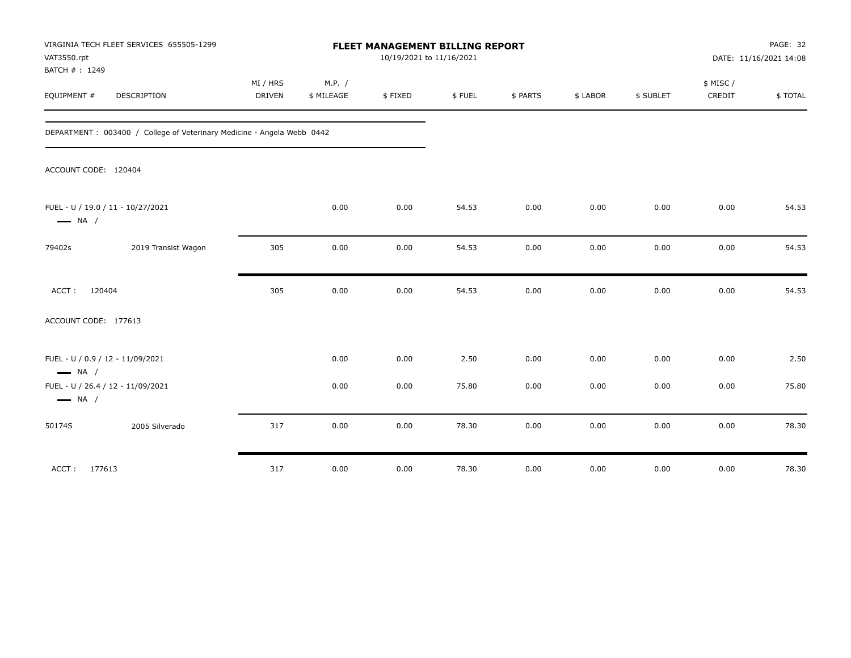| VIRGINIA TECH FLEET SERVICES 655505-1299<br>VAT3550.rpt<br>BATCH #: 1249 | FLEET MANAGEMENT BILLING REPORT<br>10/19/2021 to 11/16/2021 |                      |         |        |          |          |           |                    | PAGE: 32<br>DATE: 11/16/2021 14:08 |  |
|--------------------------------------------------------------------------|-------------------------------------------------------------|----------------------|---------|--------|----------|----------|-----------|--------------------|------------------------------------|--|
| EQUIPMENT #<br><b>DESCRIPTION</b>                                        | MI / HRS<br>DRIVEN                                          | M.P. /<br>\$ MILEAGE | \$FIXED | \$FUEL | \$ PARTS | \$ LABOR | \$ SUBLET | \$ MISC/<br>CREDIT | \$TOTAL                            |  |
| DEPARTMENT: 003400 / College of Veterinary Medicine - Angela Webb 0442   |                                                             |                      |         |        |          |          |           |                    |                                    |  |
| ACCOUNT CODE: 120404                                                     |                                                             |                      |         |        |          |          |           |                    |                                    |  |
| FUEL - U / 19.0 / 11 - 10/27/2021<br>$\longrightarrow$ NA /              |                                                             | 0.00                 | 0.00    | 54.53  | 0.00     | 0.00     | 0.00      | 0.00               | 54.53                              |  |
| 2019 Transist Wagon<br>79402s                                            | 305                                                         | 0.00                 | 0.00    | 54.53  | 0.00     | 0.00     | 0.00      | 0.00               | 54.53                              |  |
| ACCT:<br>120404                                                          | 305                                                         | 0.00                 | 0.00    | 54.53  | 0.00     | 0.00     | 0.00      | 0.00               | 54.53                              |  |
| ACCOUNT CODE: 177613                                                     |                                                             |                      |         |        |          |          |           |                    |                                    |  |
| FUEL - U / 0.9 / 12 - 11/09/2021<br>$\longrightarrow$ NA /               |                                                             | 0.00                 | 0.00    | 2.50   | 0.00     | 0.00     | 0.00      | 0.00               | 2.50                               |  |
| FUEL - U / 26.4 / 12 - 11/09/2021<br>$\longrightarrow$ NA /              |                                                             | 0.00                 | 0.00    | 75.80  | 0.00     | 0.00     | 0.00      | 0.00               | 75.80                              |  |
| 2005 Silverado<br>50174S                                                 | 317                                                         | 0.00                 | 0.00    | 78.30  | 0.00     | 0.00     | 0.00      | 0.00               | 78.30                              |  |
| ACCT: 177613                                                             | 317                                                         | 0.00                 | 0.00    | 78.30  | 0.00     | 0.00     | 0.00      | 0.00               | 78.30                              |  |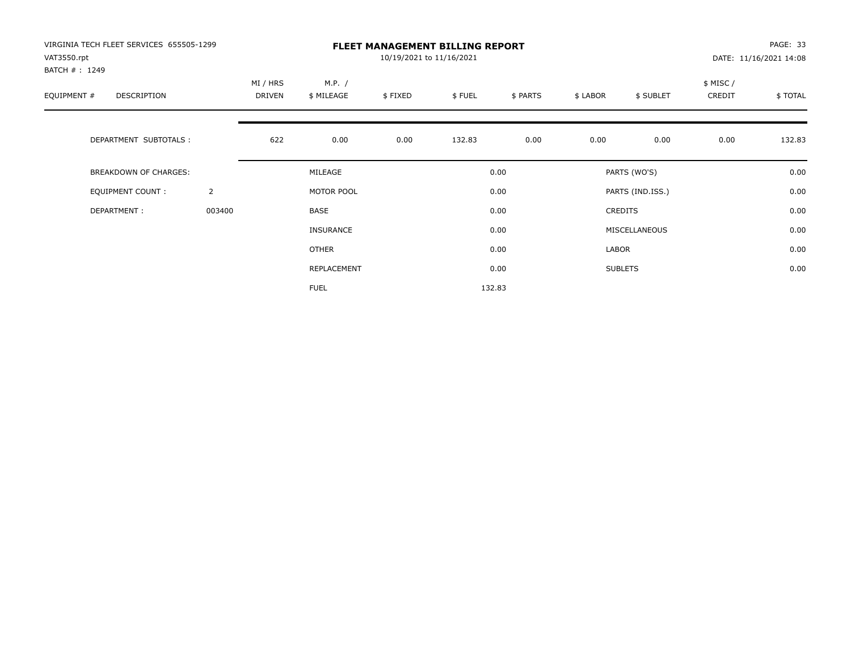| VIRGINIA TECH FLEET SERVICES 655505-1299<br>VAT3550.rpt<br>BATCH #: 1249 |                | <b>FLEET MANAGEMENT BILLING REPORT</b><br>10/19/2021 to 11/16/2021 |                      |         |        |          |          |                  | PAGE: 33<br>DATE: 11/16/2021 14:08 |         |  |
|--------------------------------------------------------------------------|----------------|--------------------------------------------------------------------|----------------------|---------|--------|----------|----------|------------------|------------------------------------|---------|--|
| EQUIPMENT #<br><b>DESCRIPTION</b>                                        |                | MI / HRS<br>DRIVEN                                                 | M.P. /<br>\$ MILEAGE | \$FIXED | \$FUEL | \$ PARTS | \$ LABOR | \$ SUBLET        | \$ MISC /<br>CREDIT                | \$TOTAL |  |
| DEPARTMENT SUBTOTALS :                                                   |                | 622                                                                | 0.00                 | 0.00    | 132.83 | 0.00     | 0.00     | 0.00             | 0.00                               | 132.83  |  |
| <b>BREAKDOWN OF CHARGES:</b>                                             |                |                                                                    | MILEAGE              |         |        | 0.00     |          | PARTS (WO'S)     |                                    | 0.00    |  |
| EQUIPMENT COUNT:                                                         | $\overline{2}$ |                                                                    | MOTOR POOL           |         |        | 0.00     |          | PARTS (IND.ISS.) |                                    | 0.00    |  |
| DEPARTMENT:                                                              | 003400         |                                                                    | <b>BASE</b>          |         |        | 0.00     |          | <b>CREDITS</b>   |                                    | 0.00    |  |
|                                                                          |                |                                                                    | INSURANCE            |         |        | 0.00     |          | MISCELLANEOUS    |                                    | 0.00    |  |
|                                                                          |                |                                                                    | OTHER                |         |        | 0.00     | LABOR    |                  |                                    | 0.00    |  |
|                                                                          |                |                                                                    | REPLACEMENT          |         |        | 0.00     |          | <b>SUBLETS</b>   |                                    | 0.00    |  |
|                                                                          |                |                                                                    | <b>FUEL</b>          |         |        | 132.83   |          |                  |                                    |         |  |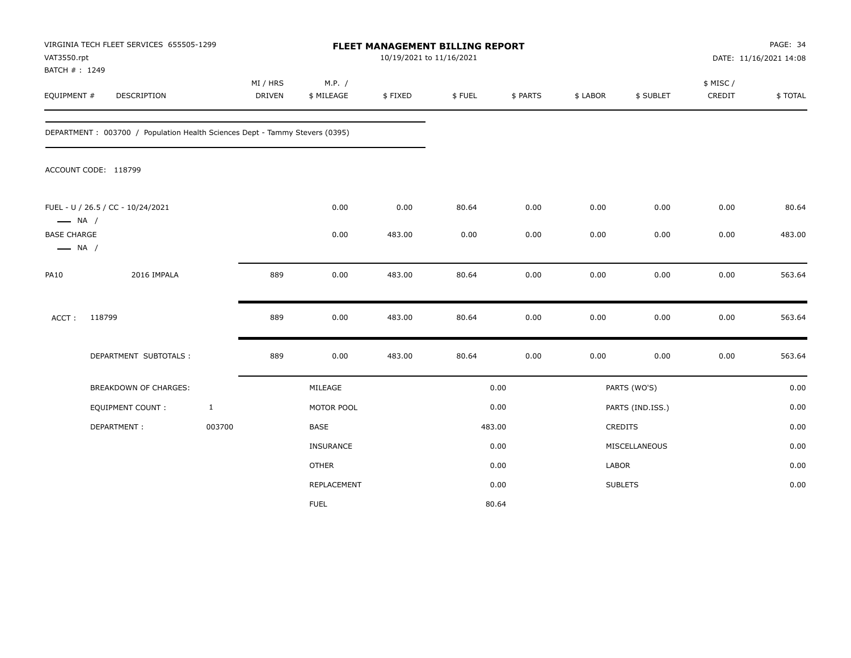| VAT3550.rpt<br>BATCH #: 1249                 | VIRGINIA TECH FLEET SERVICES 655505-1299                                    |              |                    |                      | 10/19/2021 to 11/16/2021 | FLEET MANAGEMENT BILLING REPORT |          |          |                  |                    | PAGE: 34<br>DATE: 11/16/2021 14:08 |
|----------------------------------------------|-----------------------------------------------------------------------------|--------------|--------------------|----------------------|--------------------------|---------------------------------|----------|----------|------------------|--------------------|------------------------------------|
| EQUIPMENT #                                  | DESCRIPTION                                                                 |              | MI / HRS<br>DRIVEN | M.P. /<br>\$ MILEAGE | \$FIXED                  | \$FUEL                          | \$ PARTS | \$ LABOR | \$ SUBLET        | \$ MISC/<br>CREDIT | \$TOTAL                            |
|                                              | DEPARTMENT: 003700 / Population Health Sciences Dept - Tammy Stevers (0395) |              |                    |                      |                          |                                 |          |          |                  |                    |                                    |
|                                              | ACCOUNT CODE: 118799                                                        |              |                    |                      |                          |                                 |          |          |                  |                    |                                    |
| $\longrightarrow$ NA /                       | FUEL - U / 26.5 / CC - 10/24/2021                                           |              |                    | 0.00                 | 0.00                     | 80.64                           | 0.00     | 0.00     | 0.00             | 0.00               | 80.64                              |
| <b>BASE CHARGE</b><br>$\longrightarrow$ NA / |                                                                             |              |                    | 0.00                 | 483.00                   | 0.00                            | 0.00     | 0.00     | 0.00             | 0.00               | 483.00                             |
| <b>PA10</b>                                  | 2016 IMPALA                                                                 |              | 889                | 0.00                 | 483.00                   | 80.64                           | 0.00     | 0.00     | 0.00             | 0.00               | 563.64                             |
| ACCT:                                        | 118799                                                                      |              | 889                | 0.00                 | 483.00                   | 80.64                           | 0.00     | 0.00     | 0.00             | 0.00               | 563.64                             |
|                                              | DEPARTMENT SUBTOTALS :                                                      |              | 889                | 0.00                 | 483.00                   | 80.64                           | 0.00     | 0.00     | 0.00             | 0.00               | 563.64                             |
|                                              | BREAKDOWN OF CHARGES:                                                       |              |                    | MILEAGE              |                          |                                 | 0.00     |          | PARTS (WO'S)     |                    | 0.00                               |
|                                              | <b>EQUIPMENT COUNT:</b>                                                     | $\mathbf{1}$ |                    | MOTOR POOL           |                          |                                 | 0.00     |          | PARTS (IND.ISS.) |                    | 0.00                               |
|                                              | DEPARTMENT:                                                                 | 003700       |                    | BASE                 |                          |                                 | 483.00   |          | <b>CREDITS</b>   |                    | 0.00                               |
|                                              |                                                                             |              |                    | <b>INSURANCE</b>     |                          |                                 | 0.00     |          | MISCELLANEOUS    |                    | 0.00                               |
|                                              |                                                                             |              |                    | <b>OTHER</b>         |                          |                                 | 0.00     | LABOR    |                  |                    | 0.00                               |
|                                              |                                                                             |              |                    | REPLACEMENT          |                          |                                 | 0.00     |          | <b>SUBLETS</b>   |                    | 0.00                               |
|                                              |                                                                             |              |                    | <b>FUEL</b>          |                          |                                 | 80.64    |          |                  |                    |                                    |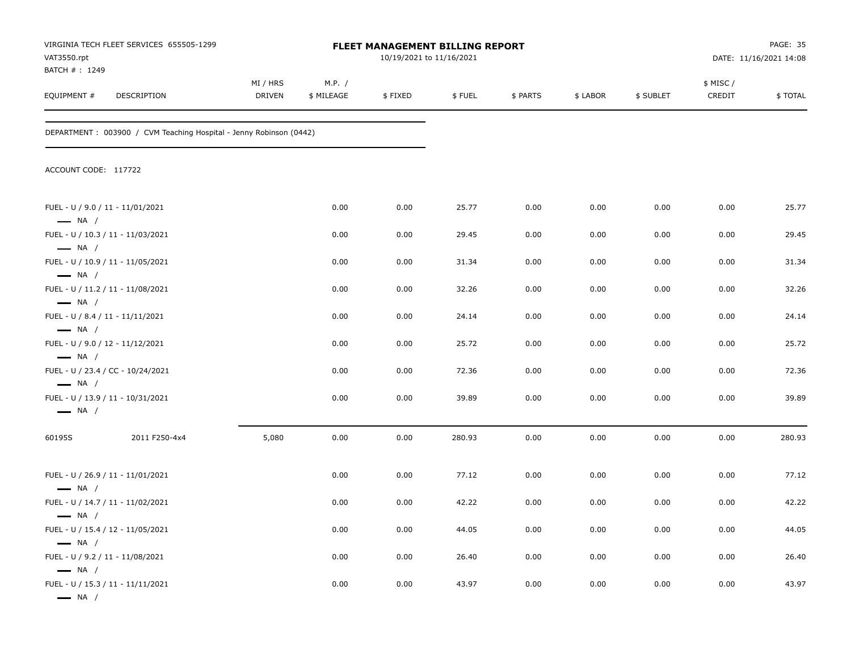| VAT3550.rpt<br>BATCH #: 1249                               | VIRGINIA TECH FLEET SERVICES 655505-1299                           | FLEET MANAGEMENT BILLING REPORT<br>10/19/2021 to 11/16/2021 |                      |         |        |          |          |           | PAGE: 35<br>DATE: 11/16/2021 14:08 |                |
|------------------------------------------------------------|--------------------------------------------------------------------|-------------------------------------------------------------|----------------------|---------|--------|----------|----------|-----------|------------------------------------|----------------|
| EQUIPMENT#                                                 | DESCRIPTION                                                        | MI / HRS<br>DRIVEN                                          | M.P. /<br>\$ MILEAGE | \$FIXED | \$FUEL | \$ PARTS | \$ LABOR | \$ SUBLET | \$ MISC/<br>CREDIT                 | <b>\$TOTAL</b> |
|                                                            | DEPARTMENT: 003900 / CVM Teaching Hospital - Jenny Robinson (0442) |                                                             |                      |         |        |          |          |           |                                    |                |
| ACCOUNT CODE: 117722                                       |                                                                    |                                                             |                      |         |        |          |          |           |                                    |                |
| FUEL - U / 9.0 / 11 - 11/01/2021<br>$\longrightarrow$ NA / |                                                                    |                                                             | 0.00                 | 0.00    | 25.77  | 0.00     | 0.00     | 0.00      | 0.00                               | 25.77          |
|                                                            | FUEL - U / 10.3 / 11 - 11/03/2021                                  |                                                             | 0.00                 | 0.00    | 29.45  | 0.00     | 0.00     | 0.00      | 0.00                               | 29.45          |
| $\longrightarrow$ NA /<br>$\longrightarrow$ NA /           | FUEL - U / 10.9 / 11 - 11/05/2021                                  |                                                             | 0.00                 | 0.00    | 31.34  | 0.00     | 0.00     | 0.00      | 0.00                               | 31.34          |
| $\longrightarrow$ NA /                                     | FUEL - U / 11.2 / 11 - 11/08/2021                                  |                                                             | 0.00                 | 0.00    | 32.26  | 0.00     | 0.00     | 0.00      | 0.00                               | 32.26          |
| FUEL - U / 8.4 / 11 - 11/11/2021<br>$-$ NA $/$             |                                                                    |                                                             | 0.00                 | 0.00    | 24.14  | 0.00     | 0.00     | 0.00      | 0.00                               | 24.14          |
| FUEL - U / 9.0 / 12 - 11/12/2021                           |                                                                    |                                                             | 0.00                 | 0.00    | 25.72  | 0.00     | 0.00     | 0.00      | 0.00                               | 25.72          |
| $\longrightarrow$ NA /                                     | FUEL - U / 23.4 / CC - 10/24/2021                                  |                                                             | 0.00                 | 0.00    | 72.36  | 0.00     | 0.00     | 0.00      | 0.00                               | 72.36          |
| $\longrightarrow$ NA /<br>$\longrightarrow$ NA /           | FUEL - U / 13.9 / 11 - 10/31/2021                                  |                                                             | 0.00                 | 0.00    | 39.89  | 0.00     | 0.00     | 0.00      | 0.00                               | 39.89          |
| 60195S                                                     | 2011 F250-4x4                                                      | 5,080                                                       | 0.00                 | 0.00    | 280.93 | 0.00     | 0.00     | 0.00      | 0.00                               | 280.93         |
| $\longrightarrow$ NA /                                     | FUEL - U / 26.9 / 11 - 11/01/2021                                  |                                                             | 0.00                 | 0.00    | 77.12  | 0.00     | 0.00     | 0.00      | 0.00                               | 77.12          |
|                                                            | FUEL - U / 14.7 / 11 - 11/02/2021                                  |                                                             | 0.00                 | 0.00    | 42.22  | 0.00     | 0.00     | 0.00      | 0.00                               | 42.22          |
| — NA /                                                     | FUEL - U / 15.4 / 12 - 11/05/2021                                  |                                                             | 0.00                 | 0.00    | 44.05  | 0.00     | 0.00     | 0.00      | 0.00                               | 44.05          |
| $\longrightarrow$ NA /<br>FUEL - U / 9.2 / 11 - 11/08/2021 |                                                                    |                                                             | 0.00                 | 0.00    | 26.40  | 0.00     | 0.00     | 0.00      | 0.00                               | 26.40          |
| $\longrightarrow$ NA /<br>$\longrightarrow$ NA /           | FUEL - U / 15.3 / 11 - 11/11/2021                                  |                                                             | 0.00                 | 0.00    | 43.97  | 0.00     | 0.00     | 0.00      | 0.00                               | 43.97          |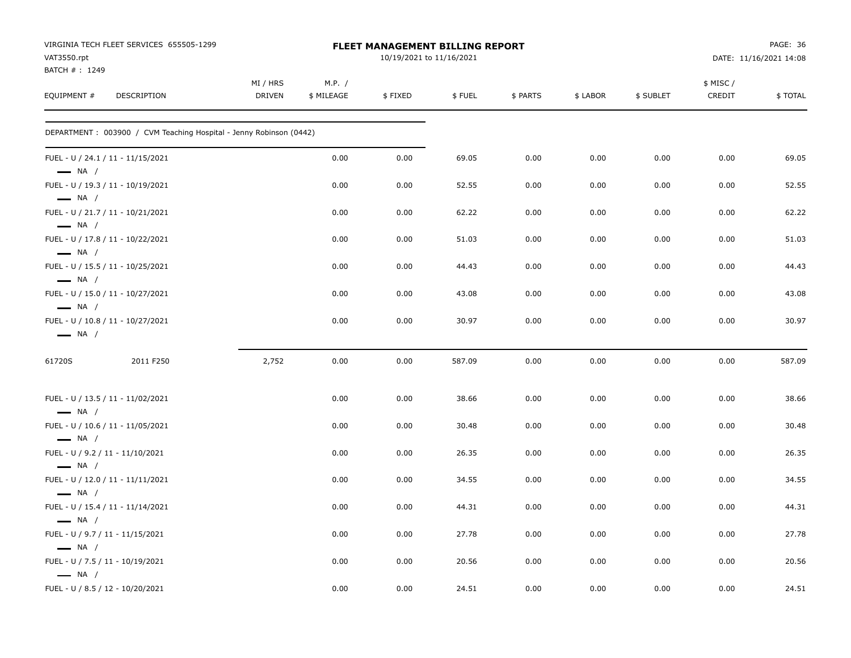| VIRGINIA TECH FLEET SERVICES 655505-1299<br>VAT3550.rpt<br>BATCH #: 1249 |                           | FLEET MANAGEMENT BILLING REPORT | PAGE: 36<br>DATE: 11/16/2021 14:08 |        |          |          |           |                     |         |
|--------------------------------------------------------------------------|---------------------------|---------------------------------|------------------------------------|--------|----------|----------|-----------|---------------------|---------|
| EQUIPMENT #<br><b>DESCRIPTION</b>                                        | MI / HRS<br><b>DRIVEN</b> | M.P. /<br>\$ MILEAGE            | \$FIXED                            | \$FUEL | \$ PARTS | \$ LABOR | \$ SUBLET | \$ MISC /<br>CREDIT | \$TOTAL |
| DEPARTMENT : 003900 / CVM Teaching Hospital - Jenny Robinson (0442)      |                           |                                 |                                    |        |          |          |           |                     |         |
| FUEL - U / 24.1 / 11 - 11/15/2021<br>$\longrightarrow$ NA /              |                           | 0.00                            | 0.00                               | 69.05  | 0.00     | 0.00     | 0.00      | 0.00                | 69.05   |
| FUEL - U / 19.3 / 11 - 10/19/2021<br>$\longrightarrow$ NA /              |                           | 0.00                            | 0.00                               | 52.55  | 0.00     | 0.00     | 0.00      | 0.00                | 52.55   |
| FUEL - U / 21.7 / 11 - 10/21/2021<br>$\longrightarrow$ NA /              |                           | 0.00                            | 0.00                               | 62.22  | 0.00     | 0.00     | 0.00      | 0.00                | 62.22   |
| FUEL - U / 17.8 / 11 - 10/22/2021<br>$\longrightarrow$ NA /              |                           | 0.00                            | 0.00                               | 51.03  | 0.00     | 0.00     | 0.00      | 0.00                | 51.03   |
| FUEL - U / 15.5 / 11 - 10/25/2021<br>$\longrightarrow$ NA /              |                           | 0.00                            | 0.00                               | 44.43  | 0.00     | 0.00     | 0.00      | 0.00                | 44.43   |
| FUEL - U / 15.0 / 11 - 10/27/2021<br>$\longrightarrow$ NA /              |                           | 0.00                            | 0.00                               | 43.08  | 0.00     | 0.00     | 0.00      | 0.00                | 43.08   |
| FUEL - U / 10.8 / 11 - 10/27/2021<br>$\longrightarrow$ NA /              |                           | 0.00                            | 0.00                               | 30.97  | 0.00     | 0.00     | 0.00      | 0.00                | 30.97   |
| 61720S<br>2011 F250                                                      | 2,752                     | 0.00                            | 0.00                               | 587.09 | 0.00     | 0.00     | 0.00      | 0.00                | 587.09  |
| FUEL - U / 13.5 / 11 - 11/02/2021<br>$\longrightarrow$ NA /              |                           | 0.00                            | 0.00                               | 38.66  | 0.00     | 0.00     | 0.00      | 0.00                | 38.66   |
| FUEL - U / 10.6 / 11 - 11/05/2021<br>$\longrightarrow$ NA /              |                           | 0.00                            | 0.00                               | 30.48  | 0.00     | 0.00     | 0.00      | 0.00                | 30.48   |
| FUEL - U / 9.2 / 11 - 11/10/2021<br>$\longrightarrow$ NA /               |                           | 0.00                            | 0.00                               | 26.35  | 0.00     | 0.00     | 0.00      | 0.00                | 26.35   |
| FUEL - U / 12.0 / 11 - 11/11/2021<br>$\longrightarrow$ NA /              |                           | 0.00                            | 0.00                               | 34.55  | 0.00     | 0.00     | 0.00      | 0.00                | 34.55   |
| FUEL - U / 15.4 / 11 - 11/14/2021<br>$\longrightarrow$ NA /              |                           | 0.00                            | 0.00                               | 44.31  | 0.00     | 0.00     | 0.00      | 0.00                | 44.31   |
| FUEL - U / 9.7 / 11 - 11/15/2021<br>$\longrightarrow$ NA /               |                           | 0.00                            | 0.00                               | 27.78  | 0.00     | 0.00     | 0.00      | 0.00                | 27.78   |
| FUEL - U / 7.5 / 11 - 10/19/2021<br>$\longrightarrow$ NA /               |                           | 0.00                            | 0.00                               | 20.56  | 0.00     | 0.00     | 0.00      | 0.00                | 20.56   |
| FUEL - U / 8.5 / 12 - 10/20/2021                                         |                           | 0.00                            | 0.00                               | 24.51  | 0.00     | 0.00     | 0.00      | 0.00                | 24.51   |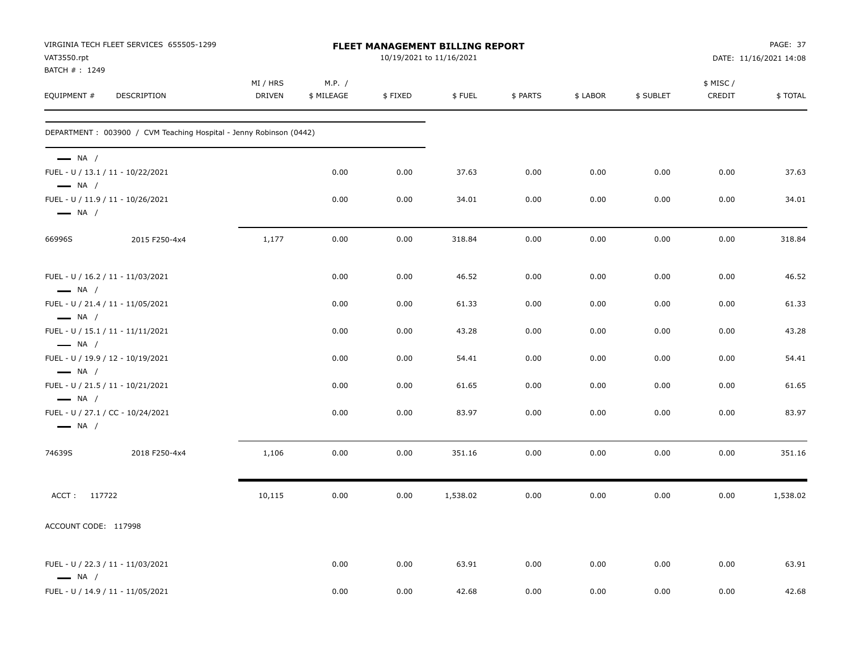| VAT3550.rpt                                      | VIRGINIA TECH FLEET SERVICES 655505-1299                            |                           |                      |         | FLEET MANAGEMENT BILLING REPORT<br>10/19/2021 to 11/16/2021 |          |          | PAGE: 37<br>DATE: 11/16/2021 14:08 |                     |          |
|--------------------------------------------------|---------------------------------------------------------------------|---------------------------|----------------------|---------|-------------------------------------------------------------|----------|----------|------------------------------------|---------------------|----------|
| BATCH #: 1249<br>EQUIPMENT #                     | <b>DESCRIPTION</b>                                                  | MI / HRS<br><b>DRIVEN</b> | M.P. /<br>\$ MILEAGE | \$FIXED | \$FUEL                                                      | \$ PARTS | \$ LABOR | \$ SUBLET                          | \$ MISC /<br>CREDIT | \$TOTAL  |
|                                                  | DEPARTMENT : 003900 / CVM Teaching Hospital - Jenny Robinson (0442) |                           |                      |         |                                                             |          |          |                                    |                     |          |
| $\longrightarrow$ NA /<br>$\longrightarrow$ NA / | FUEL - U / 13.1 / 11 - 10/22/2021                                   |                           | 0.00                 | 0.00    | 37.63                                                       | 0.00     | 0.00     | 0.00                               | 0.00                | 37.63    |
| $\longrightarrow$ NA /                           | FUEL - U / 11.9 / 11 - 10/26/2021                                   |                           | 0.00                 | 0.00    | 34.01                                                       | 0.00     | 0.00     | 0.00                               | 0.00                | 34.01    |
| 66996S                                           | 2015 F250-4x4                                                       | 1,177                     | 0.00                 | 0.00    | 318.84                                                      | 0.00     | 0.00     | 0.00                               | 0.00                | 318.84   |
| $\longrightarrow$ NA /                           | FUEL - U / 16.2 / 11 - 11/03/2021                                   |                           | 0.00                 | 0.00    | 46.52                                                       | 0.00     | 0.00     | 0.00                               | 0.00                | 46.52    |
| $\longrightarrow$ NA /                           | FUEL - U / 21.4 / 11 - 11/05/2021                                   |                           | 0.00                 | 0.00    | 61.33                                                       | 0.00     | 0.00     | 0.00                               | 0.00                | 61.33    |
| $\longrightarrow$ NA /                           | FUEL - U / 15.1 / 11 - 11/11/2021                                   |                           | 0.00                 | 0.00    | 43.28                                                       | 0.00     | 0.00     | 0.00                               | 0.00                | 43.28    |
| $\longrightarrow$ NA /                           | FUEL - U / 19.9 / 12 - 10/19/2021                                   |                           | 0.00                 | 0.00    | 54.41                                                       | 0.00     | 0.00     | 0.00                               | 0.00                | 54.41    |
| $\longrightarrow$ NA /                           | FUEL - U / 21.5 / 11 - 10/21/2021                                   |                           | 0.00                 | 0.00    | 61.65                                                       | 0.00     | 0.00     | 0.00                               | 0.00                | 61.65    |
| $\longrightarrow$ NA /                           | FUEL - U / 27.1 / CC - 10/24/2021                                   |                           | 0.00                 | 0.00    | 83.97                                                       | 0.00     | 0.00     | 0.00                               | 0.00                | 83.97    |
| 74639S                                           | 2018 F250-4x4                                                       | 1,106                     | 0.00                 | 0.00    | 351.16                                                      | 0.00     | 0.00     | 0.00                               | 0.00                | 351.16   |
| ACCT: 117722                                     |                                                                     | 10,115                    | 0.00                 | 0.00    | 1,538.02                                                    | 0.00     | 0.00     | 0.00                               | 0.00                | 1,538.02 |
| ACCOUNT CODE: 117998                             |                                                                     |                           |                      |         |                                                             |          |          |                                    |                     |          |
| $\longrightarrow$ NA /                           | FUEL - U / 22.3 / 11 - 11/03/2021                                   |                           | 0.00                 | 0.00    | 63.91                                                       | 0.00     | 0.00     | 0.00                               | 0.00                | 63.91    |
|                                                  | FUEL - U / 14.9 / 11 - 11/05/2021                                   |                           | 0.00                 | 0.00    | 42.68                                                       | 0.00     | 0.00     | 0.00                               | 0.00                | 42.68    |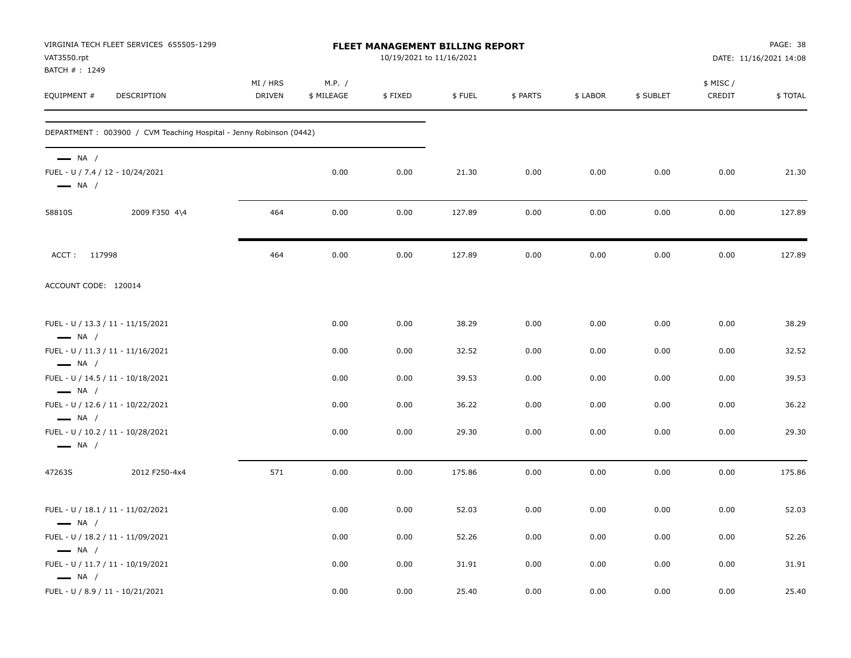| VAT3550.rpt<br>BATCH #: 1249                     | VIRGINIA TECH FLEET SERVICES 655505-1299                           |                           |                      | FLEET MANAGEMENT BILLING REPORT<br>10/19/2021 to 11/16/2021 |        |          |          |           |                    | PAGE: 38<br>DATE: 11/16/2021 14:08 |
|--------------------------------------------------|--------------------------------------------------------------------|---------------------------|----------------------|-------------------------------------------------------------|--------|----------|----------|-----------|--------------------|------------------------------------|
| EQUIPMENT #                                      | DESCRIPTION                                                        | MI / HRS<br><b>DRIVEN</b> | M.P. /<br>\$ MILEAGE | \$FIXED                                                     | \$FUEL | \$ PARTS | \$ LABOR | \$ SUBLET | \$ MISC/<br>CREDIT | \$TOTAL                            |
|                                                  | DEPARTMENT: 003900 / CVM Teaching Hospital - Jenny Robinson (0442) |                           |                      |                                                             |        |          |          |           |                    |                                    |
| $\longrightarrow$ NA /<br>$\longrightarrow$ NA / | FUEL - U / 7.4 / 12 - 10/24/2021                                   |                           | 0.00                 | 0.00                                                        | 21.30  | 0.00     | 0.00     | 0.00      | 0.00               | 21.30                              |
| 58810S                                           | 2009 F350 4\4                                                      | 464                       | 0.00                 | 0.00                                                        | 127.89 | 0.00     | 0.00     | 0.00      | 0.00               | 127.89                             |
| ACCT: 117998                                     |                                                                    | 464                       | 0.00                 | 0.00                                                        | 127.89 | 0.00     | 0.00     | 0.00      | 0.00               | 127.89                             |
| ACCOUNT CODE: 120014                             |                                                                    |                           |                      |                                                             |        |          |          |           |                    |                                    |
| $\longrightarrow$ NA /                           | FUEL - U / 13.3 / 11 - 11/15/2021                                  |                           | 0.00                 | 0.00                                                        | 38.29  | 0.00     | 0.00     | 0.00      | 0.00               | 38.29                              |
|                                                  | FUEL - U / 11.3 / 11 - 11/16/2021                                  |                           | 0.00                 | 0.00                                                        | 32.52  | 0.00     | 0.00     | 0.00      | 0.00               | 32.52                              |
| $\longrightarrow$ NA /<br>$\longrightarrow$ NA / | FUEL - U / 14.5 / 11 - 10/18/2021                                  |                           | 0.00                 | 0.00                                                        | 39.53  | 0.00     | 0.00     | 0.00      | 0.00               | 39.53                              |
| $\longrightarrow$ NA /                           | FUEL - U / 12.6 / 11 - 10/22/2021                                  |                           | 0.00                 | 0.00                                                        | 36.22  | 0.00     | 0.00     | 0.00      | 0.00               | 36.22                              |
| $\longrightarrow$ NA /                           | FUEL - U / 10.2 / 11 - 10/28/2021                                  |                           | 0.00                 | 0.00                                                        | 29.30  | 0.00     | 0.00     | 0.00      | 0.00               | 29.30                              |
| 47263S                                           | 2012 F250-4x4                                                      | 571                       | 0.00                 | 0.00                                                        | 175.86 | 0.00     | 0.00     | 0.00      | 0.00               | 175.86                             |
| $\longrightarrow$ NA /                           | FUEL - U / 18.1 / 11 - 11/02/2021                                  |                           | 0.00                 | 0.00                                                        | 52.03  | 0.00     | 0.00     | 0.00      | 0.00               | 52.03                              |
| $\longrightarrow$ NA /                           | FUEL - U / 18.2 / 11 - 11/09/2021                                  |                           | 0.00                 | 0.00                                                        | 52.26  | 0.00     | 0.00     | 0.00      | 0.00               | 52.26                              |
| $\longrightarrow$ NA /                           | FUEL - U / 11.7 / 11 - 10/19/2021                                  |                           | 0.00                 | 0.00                                                        | 31.91  | 0.00     | 0.00     | 0.00      | 0.00               | 31.91                              |
|                                                  | FUEL - U / 8.9 / 11 - 10/21/2021                                   |                           | 0.00                 | 0.00                                                        | 25.40  | 0.00     | 0.00     | 0.00      | 0.00               | 25.40                              |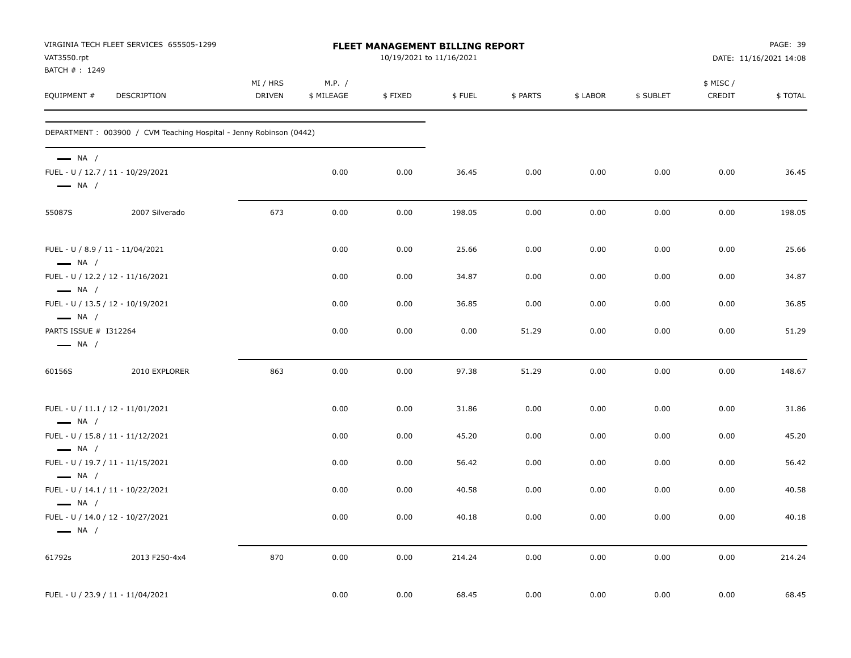| VAT3550.rpt                                      | VIRGINIA TECH FLEET SERVICES 655505-1299                            |                    |                      | <b>FLEET MANAGEMENT BILLING REPORT</b><br>10/19/2021 to 11/16/2021 |        |          |          |           | PAGE: 39<br>DATE: 11/16/2021 14:08 |         |  |
|--------------------------------------------------|---------------------------------------------------------------------|--------------------|----------------------|--------------------------------------------------------------------|--------|----------|----------|-----------|------------------------------------|---------|--|
| BATCH #: 1249<br>EQUIPMENT #                     | DESCRIPTION                                                         | MI / HRS<br>DRIVEN | M.P. /<br>\$ MILEAGE | \$FIXED                                                            | \$FUEL | \$ PARTS | \$ LABOR | \$ SUBLET | \$ MISC/<br>CREDIT                 | \$TOTAL |  |
|                                                  | DEPARTMENT : 003900 / CVM Teaching Hospital - Jenny Robinson (0442) |                    |                      |                                                                    |        |          |          |           |                                    |         |  |
| $\longrightarrow$ NA /<br>$\longrightarrow$ NA / | FUEL - U / 12.7 / 11 - 10/29/2021                                   |                    | 0.00                 | 0.00                                                               | 36.45  | 0.00     | 0.00     | 0.00      | 0.00                               | 36.45   |  |
| 55087S                                           | 2007 Silverado                                                      | 673                | 0.00                 | 0.00                                                               | 198.05 | 0.00     | 0.00     | 0.00      | 0.00                               | 198.05  |  |
| $\longrightarrow$ NA /                           | FUEL - U / 8.9 / 11 - 11/04/2021                                    |                    | 0.00                 | 0.00                                                               | 25.66  | 0.00     | 0.00     | 0.00      | 0.00                               | 25.66   |  |
| $\longrightarrow$ NA /                           | FUEL - U / 12.2 / 12 - 11/16/2021                                   |                    | 0.00                 | 0.00                                                               | 34.87  | 0.00     | 0.00     | 0.00      | 0.00                               | 34.87   |  |
| $\longrightarrow$ NA /                           | FUEL - U / 13.5 / 12 - 10/19/2021                                   |                    | 0.00                 | 0.00                                                               | 36.85  | 0.00     | 0.00     | 0.00      | 0.00                               | 36.85   |  |
| PARTS ISSUE # I312264<br>$\longrightarrow$ NA /  |                                                                     |                    | 0.00                 | 0.00                                                               | 0.00   | 51.29    | 0.00     | 0.00      | 0.00                               | 51.29   |  |
| 60156S                                           | 2010 EXPLORER                                                       | 863                | 0.00                 | 0.00                                                               | 97.38  | 51.29    | 0.00     | 0.00      | 0.00                               | 148.67  |  |
| $\longrightarrow$ NA /                           | FUEL - U / 11.1 / 12 - 11/01/2021                                   |                    | 0.00                 | 0.00                                                               | 31.86  | 0.00     | 0.00     | 0.00      | 0.00                               | 31.86   |  |
| $\longrightarrow$ NA /                           | FUEL - U / 15.8 / 11 - 11/12/2021                                   |                    | 0.00                 | 0.00                                                               | 45.20  | 0.00     | 0.00     | 0.00      | 0.00                               | 45.20   |  |
| $\longrightarrow$ NA /                           | FUEL - U / 19.7 / 11 - 11/15/2021                                   |                    | 0.00                 | 0.00                                                               | 56.42  | 0.00     | 0.00     | 0.00      | 0.00                               | 56.42   |  |
| $\longrightarrow$ NA /                           | FUEL - U / 14.1 / 11 - 10/22/2021                                   |                    | 0.00                 | 0.00                                                               | 40.58  | 0.00     | 0.00     | 0.00      | 0.00                               | 40.58   |  |
| $\longrightarrow$ NA /                           | FUEL - U / 14.0 / 12 - 10/27/2021                                   |                    | 0.00                 | 0.00                                                               | 40.18  | 0.00     | 0.00     | 0.00      | 0.00                               | 40.18   |  |
| 61792s                                           | 2013 F250-4x4                                                       | 870                | 0.00                 | 0.00                                                               | 214.24 | 0.00     | 0.00     | 0.00      | 0.00                               | 214.24  |  |
|                                                  | FUEL - U / 23.9 / 11 - 11/04/2021                                   |                    | 0.00                 | 0.00                                                               | 68.45  | 0.00     | 0.00     | 0.00      | 0.00                               | 68.45   |  |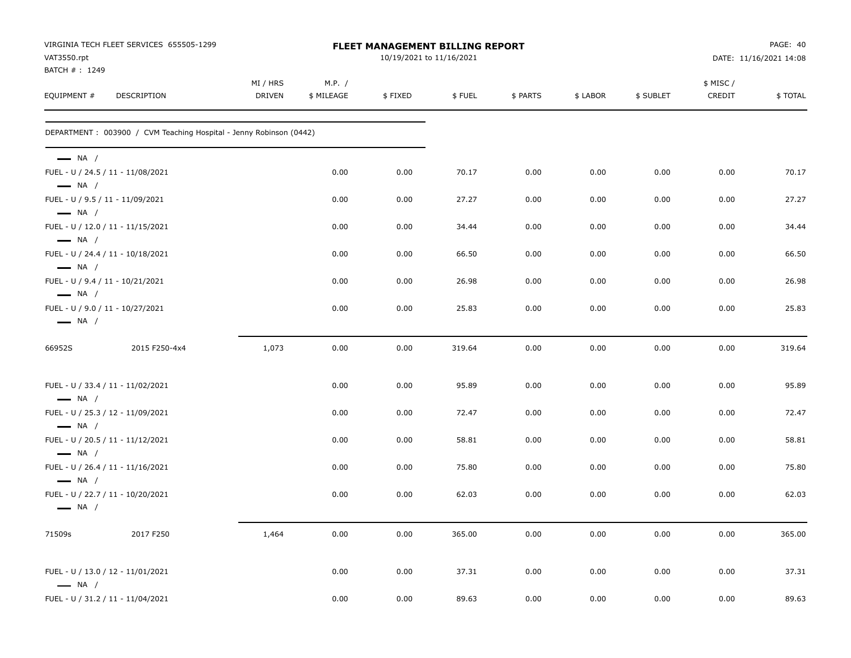| VAT3550.rpt                  | VIRGINIA TECH FLEET SERVICES 655505-1299                            |                    |                      |         | FLEET MANAGEMENT BILLING REPORT<br>10/19/2021 to 11/16/2021 |          |          |           | PAGE: 40<br>DATE: 11/16/2021 14:08 |         |
|------------------------------|---------------------------------------------------------------------|--------------------|----------------------|---------|-------------------------------------------------------------|----------|----------|-----------|------------------------------------|---------|
| BATCH #: 1249<br>EQUIPMENT # | DESCRIPTION                                                         | MI / HRS<br>DRIVEN | M.P. /<br>\$ MILEAGE | \$FIXED | \$FUEL                                                      | \$ PARTS | \$ LABOR | \$ SUBLET | \$ MISC/<br>CREDIT                 | \$TOTAL |
|                              | DEPARTMENT : 003900 / CVM Teaching Hospital - Jenny Robinson (0442) |                    |                      |         |                                                             |          |          |           |                                    |         |
| $\longrightarrow$ NA /       |                                                                     |                    |                      |         |                                                             |          |          |           |                                    |         |
| $\longrightarrow$ NA /       | FUEL - U / 24.5 / 11 - 11/08/2021                                   |                    | 0.00                 | 0.00    | 70.17                                                       | 0.00     | 0.00     | 0.00      | 0.00                               | 70.17   |
| $\longrightarrow$ NA /       | FUEL - U / 9.5 / 11 - 11/09/2021                                    |                    | 0.00                 | 0.00    | 27.27                                                       | 0.00     | 0.00     | 0.00      | 0.00                               | 27.27   |
| $\longrightarrow$ NA /       | FUEL - U / 12.0 / 11 - 11/15/2021                                   |                    | 0.00                 | 0.00    | 34.44                                                       | 0.00     | 0.00     | 0.00      | 0.00                               | 34.44   |
| $-$ NA $/$                   | FUEL - U / 24.4 / 11 - 10/18/2021                                   |                    | 0.00                 | 0.00    | 66.50                                                       | 0.00     | 0.00     | 0.00      | 0.00                               | 66.50   |
| $\longrightarrow$ NA /       | FUEL - U / 9.4 / 11 - 10/21/2021                                    |                    | 0.00                 | 0.00    | 26.98                                                       | 0.00     | 0.00     | 0.00      | 0.00                               | 26.98   |
| $\longrightarrow$ NA /       | FUEL - U / 9.0 / 11 - 10/27/2021                                    |                    | 0.00                 | 0.00    | 25.83                                                       | 0.00     | 0.00     | 0.00      | 0.00                               | 25.83   |
| 66952S                       | 2015 F250-4x4                                                       | 1,073              | 0.00                 | 0.00    | 319.64                                                      | 0.00     | 0.00     | 0.00      | 0.00                               | 319.64  |
| $\longrightarrow$ NA /       | FUEL - U / 33.4 / 11 - 11/02/2021                                   |                    | 0.00                 | 0.00    | 95.89                                                       | 0.00     | 0.00     | 0.00      | 0.00                               | 95.89   |
| $\longrightarrow$ NA /       | FUEL - U / 25.3 / 12 - 11/09/2021                                   |                    | 0.00                 | 0.00    | 72.47                                                       | 0.00     | 0.00     | 0.00      | 0.00                               | 72.47   |
| $\longrightarrow$ NA /       | FUEL - U / 20.5 / 11 - 11/12/2021                                   |                    | 0.00                 | 0.00    | 58.81                                                       | 0.00     | 0.00     | 0.00      | 0.00                               | 58.81   |
| $\longrightarrow$ NA /       | FUEL - U / 26.4 / 11 - 11/16/2021                                   |                    | 0.00                 | 0.00    | 75.80                                                       | 0.00     | 0.00     | 0.00      | 0.00                               | 75.80   |
| $\longrightarrow$ NA /       | FUEL - U / 22.7 / 11 - 10/20/2021                                   |                    | 0.00                 | 0.00    | 62.03                                                       | 0.00     | 0.00     | 0.00      | 0.00                               | 62.03   |
| 71509s                       | 2017 F250                                                           | 1,464              | 0.00                 | 0.00    | 365.00                                                      | 0.00     | 0.00     | 0.00      | 0.00                               | 365.00  |
| $\longrightarrow$ NA /       | FUEL - U / 13.0 / 12 - 11/01/2021                                   |                    | 0.00                 | 0.00    | 37.31                                                       | 0.00     | 0.00     | 0.00      | 0.00                               | 37.31   |
|                              | FUEL - U / 31.2 / 11 - 11/04/2021                                   |                    | 0.00                 | 0.00    | 89.63                                                       | 0.00     | 0.00     | 0.00      | 0.00                               | 89.63   |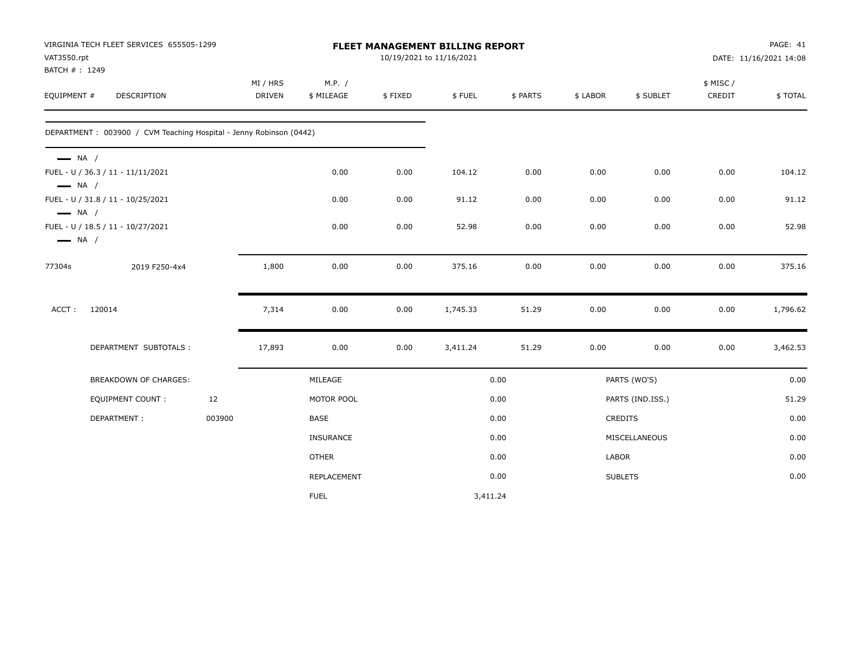| VAT3550.rpt<br>BATCH #: 1249                     | VIRGINIA TECH FLEET SERVICES 655505-1299                           |        |                           |                      |         | FLEET MANAGEMENT BILLING REPORT<br>10/19/2021 to 11/16/2021 |          | PAGE: 41<br>DATE: 11/16/2021 14:08 |                  |                    |          |
|--------------------------------------------------|--------------------------------------------------------------------|--------|---------------------------|----------------------|---------|-------------------------------------------------------------|----------|------------------------------------|------------------|--------------------|----------|
| EQUIPMENT #                                      | DESCRIPTION                                                        |        | MI / HRS<br><b>DRIVEN</b> | M.P. /<br>\$ MILEAGE | \$FIXED | \$FUEL                                                      | \$ PARTS | \$ LABOR                           | \$ SUBLET        | \$ MISC/<br>CREDIT | \$TOTAL  |
|                                                  | DEPARTMENT: 003900 / CVM Teaching Hospital - Jenny Robinson (0442) |        |                           |                      |         |                                                             |          |                                    |                  |                    |          |
| $\longrightarrow$ NA /                           | FUEL - U / 36.3 / 11 - 11/11/2021                                  |        |                           | 0.00                 | 0.00    | 104.12                                                      | 0.00     | 0.00                               | 0.00             | 0.00               | 104.12   |
| $\longrightarrow$ NA /<br>$\longrightarrow$ NA / | FUEL - U / 31.8 / 11 - 10/25/2021                                  |        |                           | 0.00                 | 0.00    | 91.12                                                       | 0.00     | 0.00                               | 0.00             | 0.00               | 91.12    |
| $\longrightarrow$ NA /                           | FUEL - U / 18.5 / 11 - 10/27/2021                                  |        |                           | 0.00                 | 0.00    | 52.98                                                       | 0.00     | 0.00                               | 0.00             | 0.00               | 52.98    |
| 77304s                                           | 2019 F250-4x4                                                      |        | 1,800                     | 0.00                 | 0.00    | 375.16                                                      | 0.00     | 0.00                               | 0.00             | 0.00               | 375.16   |
| ACCT:                                            | 120014                                                             |        | 7,314                     | 0.00                 | 0.00    | 1,745.33                                                    | 51.29    | 0.00                               | 0.00             | 0.00               | 1,796.62 |
|                                                  | DEPARTMENT SUBTOTALS :                                             |        | 17,893                    | 0.00                 | 0.00    | 3,411.24                                                    | 51.29    | 0.00                               | 0.00             | 0.00               | 3,462.53 |
|                                                  | BREAKDOWN OF CHARGES:                                              |        |                           | MILEAGE              |         |                                                             | 0.00     |                                    | PARTS (WO'S)     |                    | 0.00     |
|                                                  | <b>EQUIPMENT COUNT:</b>                                            | 12     |                           | MOTOR POOL           |         |                                                             | 0.00     |                                    | PARTS (IND.ISS.) |                    | 51.29    |
|                                                  | DEPARTMENT:                                                        | 003900 |                           | <b>BASE</b>          |         |                                                             | 0.00     |                                    | CREDITS          |                    | 0.00     |
|                                                  |                                                                    |        |                           | <b>INSURANCE</b>     |         |                                                             | 0.00     |                                    | MISCELLANEOUS    |                    | 0.00     |
|                                                  |                                                                    |        |                           | <b>OTHER</b>         |         |                                                             | 0.00     | LABOR                              |                  |                    | 0.00     |
|                                                  |                                                                    |        |                           | REPLACEMENT          |         |                                                             | 0.00     |                                    | <b>SUBLETS</b>   |                    | 0.00     |
|                                                  |                                                                    |        |                           | <b>FUEL</b>          |         | 3,411.24                                                    |          |                                    |                  |                    |          |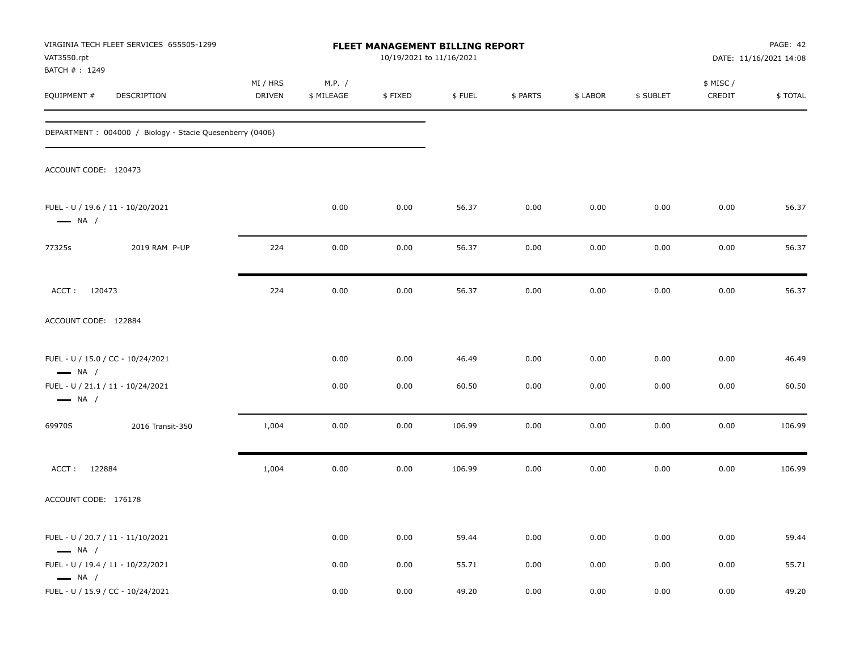| VAT3550.rpt<br>BATCH #: 1249 | VIRGINIA TECH FLEET SERVICES 655505-1299                 | FLEET MANAGEMENT BILLING REPORT<br>10/19/2021 to 11/16/2021 |                      |         |        |          |          |           |                     | PAGE: 42<br>DATE: 11/16/2021 14:08 |
|------------------------------|----------------------------------------------------------|-------------------------------------------------------------|----------------------|---------|--------|----------|----------|-----------|---------------------|------------------------------------|
| EQUIPMENT #                  | DESCRIPTION                                              | MI / HRS<br><b>DRIVEN</b>                                   | M.P. /<br>\$ MILEAGE | \$FIXED | \$FUEL | \$ PARTS | \$ LABOR | \$ SUBLET | \$ MISC /<br>CREDIT | \$TOTAL                            |
|                              | DEPARTMENT: 004000 / Biology - Stacie Quesenberry (0406) |                                                             |                      |         |        |          |          |           |                     |                                    |
| ACCOUNT CODE: 120473         |                                                          |                                                             |                      |         |        |          |          |           |                     |                                    |
| $\longrightarrow$ NA /       | FUEL - U / 19.6 / 11 - 10/20/2021                        |                                                             | 0.00                 | 0.00    | 56.37  | 0.00     | 0.00     | 0.00      | 0.00                | 56.37                              |
| 77325s                       | 2019 RAM P-UP                                            | 224                                                         | 0.00                 | 0.00    | 56.37  | 0.00     | 0.00     | 0.00      | 0.00                | 56.37                              |
| ACCT: 120473                 |                                                          | 224                                                         | 0.00                 | 0.00    | 56.37  | 0.00     | 0.00     | 0.00      | 0.00                | 56.37                              |
| ACCOUNT CODE: 122884         |                                                          |                                                             |                      |         |        |          |          |           |                     |                                    |
| $\longrightarrow$ NA /       | FUEL - U / 15.0 / CC - 10/24/2021                        |                                                             | 0.00                 | 0.00    | 46.49  | 0.00     | 0.00     | 0.00      | 0.00                | 46.49                              |
| $\longrightarrow$ NA /       | FUEL - U / 21.1 / 11 - 10/24/2021                        |                                                             | 0.00                 | 0.00    | 60.50  | 0.00     | 0.00     | 0.00      | 0.00                | 60.50                              |
| 69970S                       | 2016 Transit-350                                         | 1,004                                                       | 0.00                 | 0.00    | 106.99 | 0.00     | 0.00     | 0.00      | 0.00                | 106.99                             |
| ACCT: 122884                 |                                                          | 1,004                                                       | 0.00                 | 0.00    | 106.99 | 0.00     | 0.00     | 0.00      | 0.00                | 106.99                             |
| ACCOUNT CODE: 176178         |                                                          |                                                             |                      |         |        |          |          |           |                     |                                    |
| $\longrightarrow$ NA /       | FUEL - U / 20.7 / 11 - 11/10/2021                        |                                                             | 0.00                 | 0.00    | 59.44  | 0.00     | 0.00     | 0.00      | 0.00                | 59.44                              |
| $\longrightarrow$ NA /       | FUEL - U / 19.4 / 11 - 10/22/2021                        |                                                             | 0.00                 | 0.00    | 55.71  | 0.00     | 0.00     | 0.00      | 0.00                | 55.71                              |
|                              | FUEL - U / 15.9 / CC - 10/24/2021                        |                                                             | 0.00                 | 0.00    | 49.20  | 0.00     | 0.00     | 0.00      | 0.00                | 49.20                              |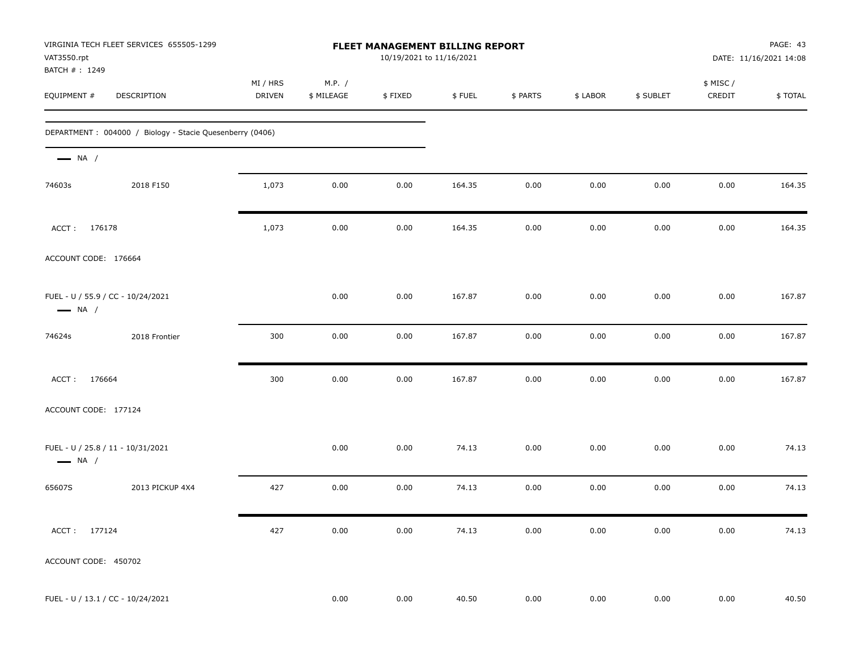| VAT3550.rpt<br>BATCH #: 1249                                | VIRGINIA TECH FLEET SERVICES 655505-1299                 | FLEET MANAGEMENT BILLING REPORT<br>10/19/2021 to 11/16/2021 |                      |          |        |          |          | PAGE: 43<br>DATE: 11/16/2021 14:08 |                     |         |
|-------------------------------------------------------------|----------------------------------------------------------|-------------------------------------------------------------|----------------------|----------|--------|----------|----------|------------------------------------|---------------------|---------|
| EQUIPMENT #                                                 | DESCRIPTION                                              | MI / HRS<br>DRIVEN                                          | M.P. /<br>\$ MILEAGE | \$FIXED  | \$FUEL | \$ PARTS | \$ LABOR | \$ SUBLET                          | \$ MISC /<br>CREDIT | \$TOTAL |
|                                                             | DEPARTMENT: 004000 / Biology - Stacie Quesenberry (0406) |                                                             |                      |          |        |          |          |                                    |                     |         |
| $\longrightarrow$ NA /                                      |                                                          |                                                             |                      |          |        |          |          |                                    |                     |         |
| 74603s                                                      | 2018 F150                                                | 1,073                                                       | 0.00                 | 0.00     | 164.35 | 0.00     | 0.00     | 0.00                               | 0.00                | 164.35  |
| ACCT: 176178                                                |                                                          | 1,073                                                       | 0.00                 | 0.00     | 164.35 | 0.00     | 0.00     | 0.00                               | 0.00                | 164.35  |
| ACCOUNT CODE: 176664                                        |                                                          |                                                             |                      |          |        |          |          |                                    |                     |         |
| FUEL - U / 55.9 / CC - 10/24/2021<br>$\longrightarrow$ NA / |                                                          |                                                             | 0.00                 | 0.00     | 167.87 | 0.00     | 0.00     | 0.00                               | 0.00                | 167.87  |
| 74624s                                                      | 2018 Frontier                                            | 300                                                         | 0.00                 | 0.00     | 167.87 | 0.00     | 0.00     | 0.00                               | 0.00                | 167.87  |
| ACCT: 176664                                                |                                                          | 300                                                         | 0.00                 | 0.00     | 167.87 | 0.00     | 0.00     | 0.00                               | 0.00                | 167.87  |
| ACCOUNT CODE: 177124                                        |                                                          |                                                             |                      |          |        |          |          |                                    |                     |         |
| FUEL - U / 25.8 / 11 - 10/31/2021<br>$\longrightarrow$ NA / |                                                          |                                                             | 0.00                 | 0.00     | 74.13  | 0.00     | 0.00     | 0.00                               | 0.00                | 74.13   |
| 65607S                                                      | 2013 PICKUP 4X4                                          | 427                                                         | 0.00                 | 0.00     | 74.13  | 0.00     | 0.00     | 0.00                               | 0.00                | 74.13   |
| ACCT: 177124                                                |                                                          | 427                                                         | 0.00                 | $0.00\,$ | 74.13  | $0.00\,$ | $0.00\,$ | 0.00                               | $0.00\,$            | 74.13   |
| ACCOUNT CODE: 450702                                        |                                                          |                                                             |                      |          |        |          |          |                                    |                     |         |
| FUEL - U / 13.1 / CC - 10/24/2021                           |                                                          |                                                             | 0.00                 | 0.00     | 40.50  | 0.00     | 0.00     | 0.00                               | 0.00                | 40.50   |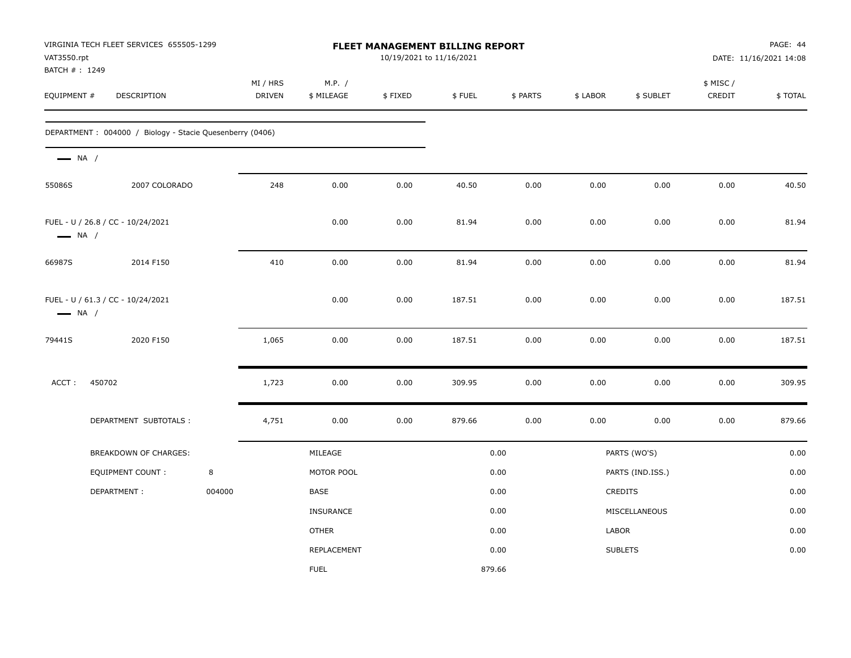| VAT3550.rpt<br>BATCH #: 1249 | VIRGINIA TECH FLEET SERVICES 655505-1299                 |        |                    |                      |         | FLEET MANAGEMENT BILLING REPORT<br>10/19/2021 to 11/16/2021 |          |          |                  | PAGE: 44<br>DATE: 11/16/2021 14:08 |                |  |
|------------------------------|----------------------------------------------------------|--------|--------------------|----------------------|---------|-------------------------------------------------------------|----------|----------|------------------|------------------------------------|----------------|--|
| EQUIPMENT #                  | DESCRIPTION                                              |        | MI / HRS<br>DRIVEN | M.P. /<br>\$ MILEAGE | \$FIXED | \$FUEL                                                      | \$ PARTS | \$ LABOR | \$ SUBLET        | \$ MISC /<br>CREDIT                | <b>\$TOTAL</b> |  |
|                              | DEPARTMENT: 004000 / Biology - Stacie Quesenberry (0406) |        |                    |                      |         |                                                             |          |          |                  |                                    |                |  |
| $\longrightarrow$ NA /       |                                                          |        |                    |                      |         |                                                             |          |          |                  |                                    |                |  |
| 55086S                       | 2007 COLORADO                                            |        | 248                | 0.00                 | 0.00    | 40.50                                                       | 0.00     | 0.00     | 0.00             | 0.00                               | 40.50          |  |
| $\longrightarrow$ NA /       | FUEL - U / 26.8 / CC - 10/24/2021                        |        |                    | 0.00                 | 0.00    | 81.94                                                       | 0.00     | 0.00     | 0.00             | 0.00                               | 81.94          |  |
| 66987S                       | 2014 F150                                                |        | 410                | 0.00                 | 0.00    | 81.94                                                       | 0.00     | 0.00     | 0.00             | 0.00                               | 81.94          |  |
| $\longrightarrow$ NA /       | FUEL - U / 61.3 / CC - 10/24/2021                        |        |                    | 0.00                 | 0.00    | 187.51                                                      | 0.00     | 0.00     | 0.00             | 0.00                               | 187.51         |  |
| 79441S                       | 2020 F150                                                |        | 1,065              | 0.00                 | 0.00    | 187.51                                                      | 0.00     | 0.00     | 0.00             | 0.00                               | 187.51         |  |
| ACCT:                        | 450702                                                   |        | 1,723              | 0.00                 | 0.00    | 309.95                                                      | 0.00     | 0.00     | 0.00             | 0.00                               | 309.95         |  |
|                              | DEPARTMENT SUBTOTALS :                                   |        | 4,751              | 0.00                 | 0.00    | 879.66                                                      | 0.00     | 0.00     | 0.00             | 0.00                               | 879.66         |  |
|                              | <b>BREAKDOWN OF CHARGES:</b>                             |        |                    | MILEAGE              |         |                                                             | 0.00     |          | PARTS (WO'S)     |                                    | 0.00           |  |
|                              | <b>EQUIPMENT COUNT:</b>                                  | 8      |                    | MOTOR POOL           |         |                                                             | 0.00     |          | PARTS (IND.ISS.) |                                    | 0.00           |  |
|                              | DEPARTMENT:                                              | 004000 |                    | <b>BASE</b>          |         |                                                             | 0.00     |          | <b>CREDITS</b>   |                                    | 0.00           |  |
|                              |                                                          |        |                    | <b>INSURANCE</b>     |         |                                                             | 0.00     |          | MISCELLANEOUS    |                                    | 0.00           |  |
|                              |                                                          |        |                    | <b>OTHER</b>         |         |                                                             | 0.00     | LABOR    |                  |                                    | 0.00           |  |
|                              |                                                          |        |                    | REPLACEMENT          |         |                                                             | 0.00     |          | <b>SUBLETS</b>   |                                    | 0.00           |  |
|                              |                                                          |        |                    | <b>FUEL</b>          |         | 879.66                                                      |          |          |                  |                                    |                |  |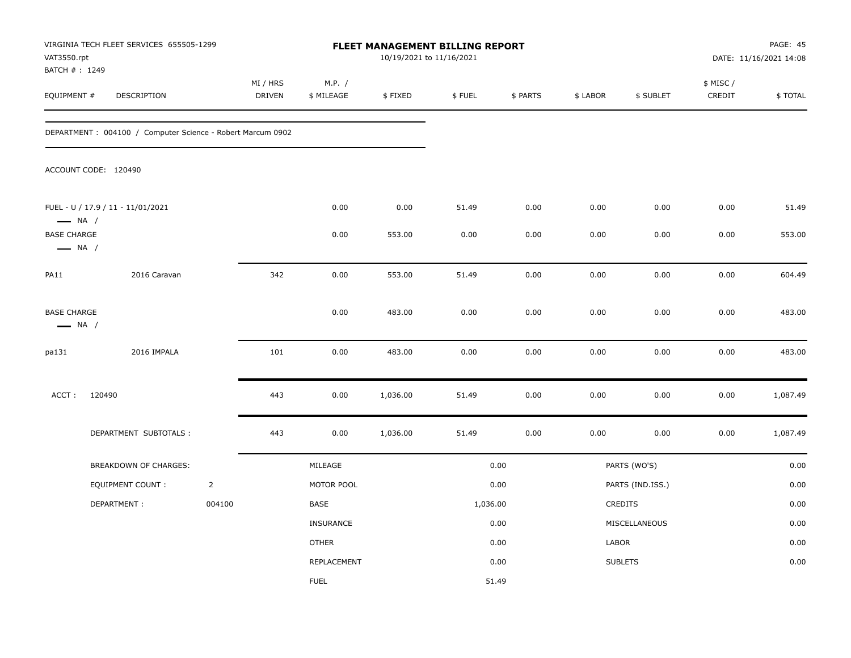| VAT3550.rpt<br>BATCH #: 1249                 | VIRGINIA TECH FLEET SERVICES 655505-1299                    |                | <b>FLEET MANAGEMENT BILLING REPORT</b><br>10/19/2021 to 11/16/2021 |                      |          |          |          |          | PAGE: 45<br>DATE: 11/16/2021 14:08 |                     |          |
|----------------------------------------------|-------------------------------------------------------------|----------------|--------------------------------------------------------------------|----------------------|----------|----------|----------|----------|------------------------------------|---------------------|----------|
| EQUIPMENT #                                  | DESCRIPTION                                                 |                | MI / HRS<br>DRIVEN                                                 | M.P. /<br>\$ MILEAGE | \$FIXED  | \$FUEL   | \$ PARTS | \$ LABOR | \$ SUBLET                          | \$ MISC /<br>CREDIT | \$TOTAL  |
|                                              | DEPARTMENT : 004100 / Computer Science - Robert Marcum 0902 |                |                                                                    |                      |          |          |          |          |                                    |                     |          |
|                                              | ACCOUNT CODE: 120490                                        |                |                                                                    |                      |          |          |          |          |                                    |                     |          |
| $\longrightarrow$ NA /                       | FUEL - U / 17.9 / 11 - 11/01/2021                           |                |                                                                    | 0.00                 | 0.00     | 51.49    | 0.00     | 0.00     | 0.00                               | 0.00                | 51.49    |
| <b>BASE CHARGE</b><br>$\longrightarrow$ NA / |                                                             |                |                                                                    | 0.00                 | 553.00   | 0.00     | 0.00     | 0.00     | 0.00                               | 0.00                | 553.00   |
| PA11                                         | 2016 Caravan                                                |                | 342                                                                | 0.00                 | 553.00   | 51.49    | 0.00     | 0.00     | 0.00                               | 0.00                | 604.49   |
| <b>BASE CHARGE</b><br>$\longrightarrow$ NA / |                                                             |                |                                                                    | 0.00                 | 483.00   | 0.00     | 0.00     | 0.00     | 0.00                               | 0.00                | 483.00   |
| pa131                                        | 2016 IMPALA                                                 |                | 101                                                                | 0.00                 | 483.00   | 0.00     | 0.00     | 0.00     | 0.00                               | 0.00                | 483.00   |
| ACCT:                                        | 120490                                                      |                | 443                                                                | 0.00                 | 1,036.00 | 51.49    | 0.00     | 0.00     | 0.00                               | 0.00                | 1,087.49 |
|                                              | DEPARTMENT SUBTOTALS :                                      |                | 443                                                                | 0.00                 | 1,036.00 | 51.49    | 0.00     | 0.00     | 0.00                               | 0.00                | 1,087.49 |
|                                              | BREAKDOWN OF CHARGES:                                       |                |                                                                    | MILEAGE              |          |          | 0.00     |          | PARTS (WO'S)                       |                     | 0.00     |
|                                              | <b>EQUIPMENT COUNT:</b>                                     | $\overline{2}$ |                                                                    | MOTOR POOL           |          |          | 0.00     |          | PARTS (IND.ISS.)                   |                     | 0.00     |
|                                              | DEPARTMENT:                                                 | 004100         |                                                                    | BASE                 |          | 1,036.00 |          |          | CREDITS                            |                     | 0.00     |
|                                              |                                                             |                |                                                                    | INSURANCE            |          |          | 0.00     |          | MISCELLANEOUS                      |                     | 0.00     |
|                                              |                                                             |                |                                                                    | <b>OTHER</b>         |          |          | 0.00     | LABOR    |                                    |                     | 0.00     |
|                                              |                                                             |                |                                                                    | REPLACEMENT          |          |          | 0.00     |          | <b>SUBLETS</b>                     |                     | 0.00     |
|                                              |                                                             |                |                                                                    | <b>FUEL</b>          |          |          | 51.49    |          |                                    |                     |          |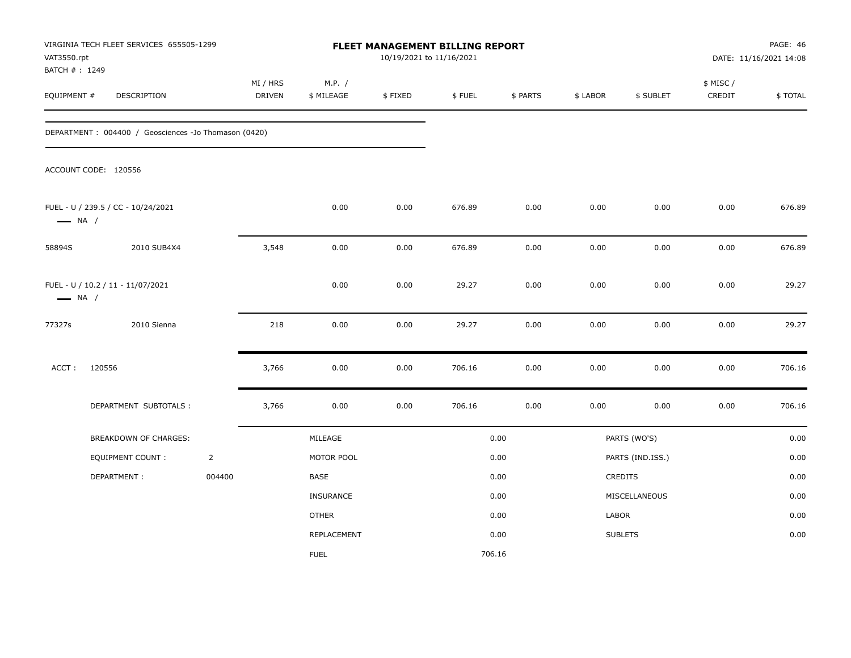| VAT3550.rpt<br>BATCH #: 1249 | VIRGINIA TECH FLEET SERVICES 655505-1299             |                |                           |                      | FLEET MANAGEMENT BILLING REPORT<br>10/19/2021 to 11/16/2021 |        |          |          |                  |                    | PAGE: 46<br>DATE: 11/16/2021 14:08 |
|------------------------------|------------------------------------------------------|----------------|---------------------------|----------------------|-------------------------------------------------------------|--------|----------|----------|------------------|--------------------|------------------------------------|
| EQUIPMENT #                  | <b>DESCRIPTION</b>                                   |                | MI / HRS<br><b>DRIVEN</b> | M.P. /<br>\$ MILEAGE | \$FIXED                                                     | \$FUEL | \$ PARTS | \$ LABOR | \$ SUBLET        | \$ MISC/<br>CREDIT | \$TOTAL                            |
|                              | DEPARTMENT: 004400 / Geosciences -Jo Thomason (0420) |                |                           |                      |                                                             |        |          |          |                  |                    |                                    |
|                              | ACCOUNT CODE: 120556                                 |                |                           |                      |                                                             |        |          |          |                  |                    |                                    |
| $\longrightarrow$ NA /       | FUEL - U / 239.5 / CC - 10/24/2021                   |                |                           | 0.00                 | 0.00                                                        | 676.89 | 0.00     | 0.00     | 0.00             | 0.00               | 676.89                             |
| 58894S                       | 2010 SUB4X4                                          |                | 3,548                     | 0.00                 | 0.00                                                        | 676.89 | $0.00\,$ | 0.00     | 0.00             | 0.00               | 676.89                             |
| $\longrightarrow$ NA /       | FUEL - U / 10.2 / 11 - 11/07/2021                    |                |                           | 0.00                 | 0.00                                                        | 29.27  | 0.00     | 0.00     | 0.00             | 0.00               | 29.27                              |
| 77327s                       | 2010 Sienna                                          |                | 218                       | 0.00                 | 0.00                                                        | 29.27  | 0.00     | 0.00     | 0.00             | 0.00               | 29.27                              |
| ACCT:                        | 120556                                               |                | 3,766                     | 0.00                 | 0.00                                                        | 706.16 | 0.00     | 0.00     | 0.00             | 0.00               | 706.16                             |
|                              | DEPARTMENT SUBTOTALS :                               |                | 3,766                     | 0.00                 | 0.00                                                        | 706.16 | 0.00     | 0.00     | 0.00             | 0.00               | 706.16                             |
|                              | BREAKDOWN OF CHARGES:                                |                |                           | MILEAGE              |                                                             |        | 0.00     |          | PARTS (WO'S)     |                    | 0.00                               |
|                              | EQUIPMENT COUNT :                                    | $\overline{2}$ |                           | MOTOR POOL           |                                                             |        | 0.00     |          | PARTS (IND.ISS.) |                    | 0.00                               |
|                              | DEPARTMENT:                                          | 004400         |                           | <b>BASE</b>          |                                                             |        | 0.00     |          | <b>CREDITS</b>   |                    | 0.00                               |
|                              |                                                      |                |                           | <b>INSURANCE</b>     |                                                             |        | 0.00     |          | MISCELLANEOUS    |                    | 0.00                               |
|                              |                                                      |                |                           | <b>OTHER</b>         |                                                             |        | 0.00     | LABOR    |                  |                    | 0.00                               |
|                              |                                                      |                |                           | REPLACEMENT          |                                                             |        | 0.00     |          | <b>SUBLETS</b>   |                    | 0.00                               |
|                              |                                                      |                |                           | <b>FUEL</b>          |                                                             |        | 706.16   |          |                  |                    |                                    |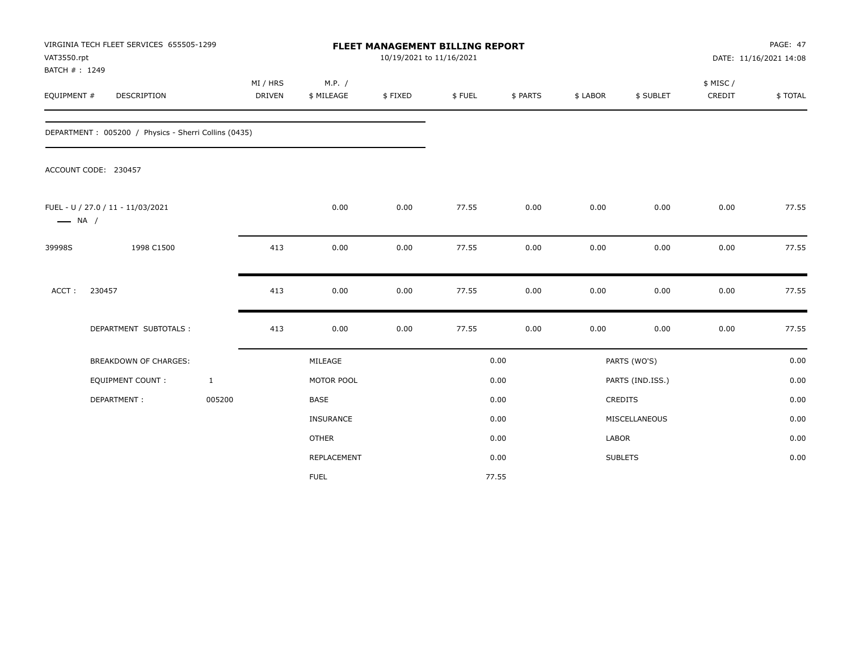| VAT3550.rpt<br>BATCH #: 1249 | VIRGINIA TECH FLEET SERVICES 655505-1299             |                           |     |                      | FLEET MANAGEMENT BILLING REPORT<br>10/19/2021 to 11/16/2021 |        |          |          |                  |                     | <b>PAGE: 47</b><br>DATE: 11/16/2021 14:08 |
|------------------------------|------------------------------------------------------|---------------------------|-----|----------------------|-------------------------------------------------------------|--------|----------|----------|------------------|---------------------|-------------------------------------------|
| EQUIPMENT #                  | <b>DESCRIPTION</b>                                   | MI / HRS<br><b>DRIVEN</b> |     | M.P. /<br>\$ MILEAGE | \$FIXED                                                     | \$FUEL | \$ PARTS | \$ LABOR | \$ SUBLET        | \$ MISC /<br>CREDIT | \$TOTAL                                   |
|                              | DEPARTMENT: 005200 / Physics - Sherri Collins (0435) |                           |     |                      |                                                             |        |          |          |                  |                     |                                           |
|                              | ACCOUNT CODE: 230457                                 |                           |     |                      |                                                             |        |          |          |                  |                     |                                           |
| $\longrightarrow$ NA /       | FUEL - U / 27.0 / 11 - 11/03/2021                    |                           |     | 0.00                 | 0.00                                                        | 77.55  | 0.00     | 0.00     | 0.00             | 0.00                | 77.55                                     |
| 39998S                       | 1998 C1500                                           |                           | 413 | 0.00                 | 0.00                                                        | 77.55  | 0.00     | 0.00     | 0.00             | 0.00                | 77.55                                     |
| ACCT:                        | 230457                                               |                           | 413 | 0.00                 | 0.00                                                        | 77.55  | 0.00     | 0.00     | 0.00             | 0.00                | 77.55                                     |
|                              | DEPARTMENT SUBTOTALS :                               |                           | 413 | 0.00                 | 0.00                                                        | 77.55  | 0.00     | 0.00     | 0.00             | 0.00                | 77.55                                     |
|                              | <b>BREAKDOWN OF CHARGES:</b>                         |                           |     | MILEAGE              |                                                             |        | 0.00     |          | PARTS (WO'S)     |                     | 0.00                                      |
|                              | <b>EQUIPMENT COUNT:</b>                              | $\mathbf{1}$              |     | MOTOR POOL           |                                                             |        | 0.00     |          | PARTS (IND.ISS.) |                     | 0.00                                      |
|                              | DEPARTMENT:                                          | 005200                    |     | <b>BASE</b>          |                                                             |        | 0.00     |          | <b>CREDITS</b>   |                     | 0.00                                      |
|                              |                                                      |                           |     | <b>INSURANCE</b>     |                                                             |        | 0.00     |          | MISCELLANEOUS    |                     | 0.00                                      |
|                              |                                                      |                           |     | <b>OTHER</b>         |                                                             |        | 0.00     | LABOR    |                  |                     | 0.00                                      |
|                              |                                                      |                           |     | REPLACEMENT          |                                                             |        | 0.00     |          | <b>SUBLETS</b>   |                     | 0.00                                      |
|                              |                                                      |                           |     | <b>FUEL</b>          |                                                             |        | 77.55    |          |                  |                     |                                           |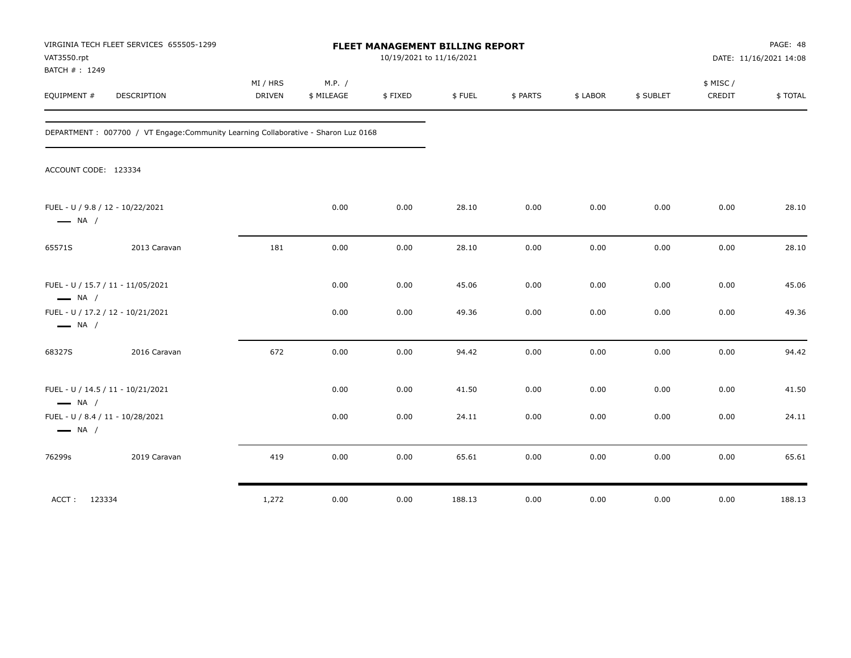| VAT3550.rpt<br>BATCH #: 1249                                | VIRGINIA TECH FLEET SERVICES 655505-1299                                            | FLEET MANAGEMENT BILLING REPORT<br>10/19/2021 to 11/16/2021 |                      |         |        |          |          |           | PAGE: 48<br>DATE: 11/16/2021 14:08 |         |
|-------------------------------------------------------------|-------------------------------------------------------------------------------------|-------------------------------------------------------------|----------------------|---------|--------|----------|----------|-----------|------------------------------------|---------|
| EQUIPMENT #                                                 | <b>DESCRIPTION</b>                                                                  | MI / HRS<br><b>DRIVEN</b>                                   | M.P. /<br>\$ MILEAGE | \$FIXED | \$FUEL | \$ PARTS | \$ LABOR | \$ SUBLET | \$ MISC/<br>CREDIT                 | \$TOTAL |
|                                                             | DEPARTMENT : 007700 / VT Engage: Community Learning Collaborative - Sharon Luz 0168 |                                                             |                      |         |        |          |          |           |                                    |         |
| ACCOUNT CODE: 123334                                        |                                                                                     |                                                             |                      |         |        |          |          |           |                                    |         |
| FUEL - U / 9.8 / 12 - 10/22/2021<br>$\longrightarrow$ NA /  |                                                                                     |                                                             | 0.00                 | 0.00    | 28.10  | 0.00     | 0.00     | 0.00      | 0.00                               | 28.10   |
| 65571S                                                      | 2013 Caravan                                                                        | 181                                                         | 0.00                 | 0.00    | 28.10  | 0.00     | 0.00     | 0.00      | 0.00                               | 28.10   |
| FUEL - U / 15.7 / 11 - 11/05/2021<br>$\longrightarrow$ NA / |                                                                                     |                                                             | 0.00                 | 0.00    | 45.06  | 0.00     | 0.00     | 0.00      | 0.00                               | 45.06   |
| FUEL - U / 17.2 / 12 - 10/21/2021<br>$\longrightarrow$ NA / |                                                                                     |                                                             | 0.00                 | 0.00    | 49.36  | 0.00     | 0.00     | 0.00      | 0.00                               | 49.36   |
| 68327S                                                      | 2016 Caravan                                                                        | 672                                                         | 0.00                 | 0.00    | 94.42  | 0.00     | 0.00     | 0.00      | 0.00                               | 94.42   |
| FUEL - U / 14.5 / 11 - 10/21/2021<br>$\longrightarrow$ NA / |                                                                                     |                                                             | 0.00                 | 0.00    | 41.50  | 0.00     | 0.00     | 0.00      | 0.00                               | 41.50   |
| FUEL - U / 8.4 / 11 - 10/28/2021<br>$\longrightarrow$ NA /  |                                                                                     |                                                             | 0.00                 | 0.00    | 24.11  | 0.00     | 0.00     | 0.00      | 0.00                               | 24.11   |
| 76299s                                                      | 2019 Caravan                                                                        | 419                                                         | 0.00                 | 0.00    | 65.61  | 0.00     | 0.00     | 0.00      | 0.00                               | 65.61   |
| ACCT: 123334                                                |                                                                                     | 1,272                                                       | 0.00                 | 0.00    | 188.13 | 0.00     | 0.00     | 0.00      | 0.00                               | 188.13  |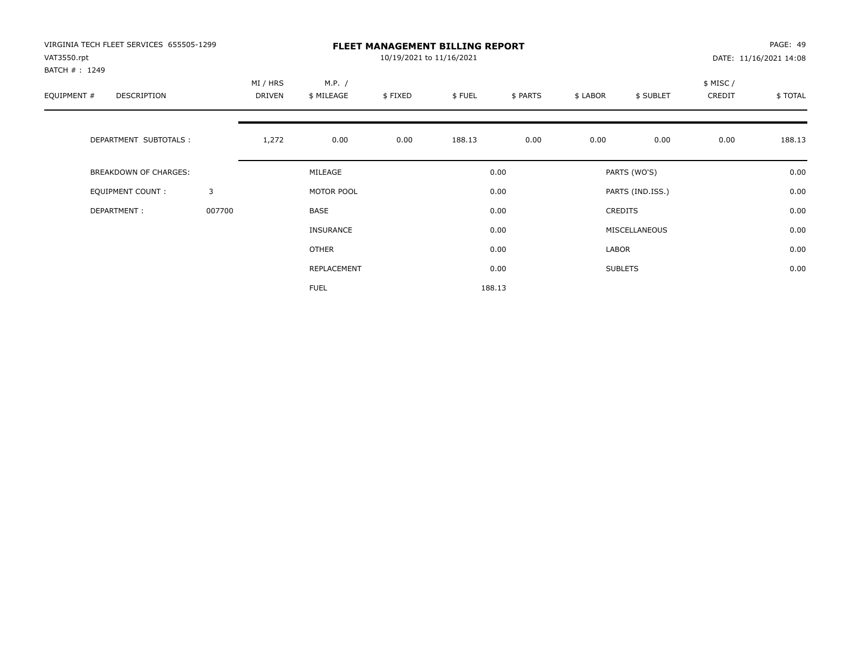| VIRGINIA TECH FLEET SERVICES 655505-1299<br>VAT3550.rpt |        |                    |                      | 10/19/2021 to 11/16/2021 | <b>FLEET MANAGEMENT BILLING REPORT</b> |          |          |                  |                    | PAGE: 49<br>DATE: 11/16/2021 14:08 |
|---------------------------------------------------------|--------|--------------------|----------------------|--------------------------|----------------------------------------|----------|----------|------------------|--------------------|------------------------------------|
| BATCH #: 1249<br>EQUIPMENT #<br>DESCRIPTION             |        | MI / HRS<br>DRIVEN | M.P. /<br>\$ MILEAGE | \$FIXED                  | \$FUEL                                 | \$ PARTS | \$ LABOR | \$ SUBLET        | \$ MISC/<br>CREDIT | \$TOTAL                            |
| DEPARTMENT SUBTOTALS :                                  |        | 1,272              | 0.00                 | 0.00                     | 188.13                                 | 0.00     | 0.00     | 0.00             | 0.00               | 188.13                             |
| <b>BREAKDOWN OF CHARGES:</b>                            |        |                    | MILEAGE              |                          |                                        | 0.00     |          | PARTS (WO'S)     |                    | 0.00                               |
| <b>EQUIPMENT COUNT:</b>                                 | 3      |                    | MOTOR POOL           |                          |                                        | 0.00     |          | PARTS (IND.ISS.) |                    | 0.00                               |
| DEPARTMENT:                                             | 007700 |                    | BASE                 |                          |                                        | 0.00     |          | CREDITS          |                    | 0.00                               |
|                                                         |        |                    | INSURANCE            |                          |                                        | 0.00     |          | MISCELLANEOUS    |                    | 0.00                               |
|                                                         |        |                    | OTHER                |                          |                                        | 0.00     | LABOR    |                  |                    | 0.00                               |
|                                                         |        |                    | REPLACEMENT          |                          |                                        | 0.00     |          | <b>SUBLETS</b>   |                    | 0.00                               |
|                                                         |        |                    | <b>FUEL</b>          |                          |                                        | 188.13   |          |                  |                    |                                    |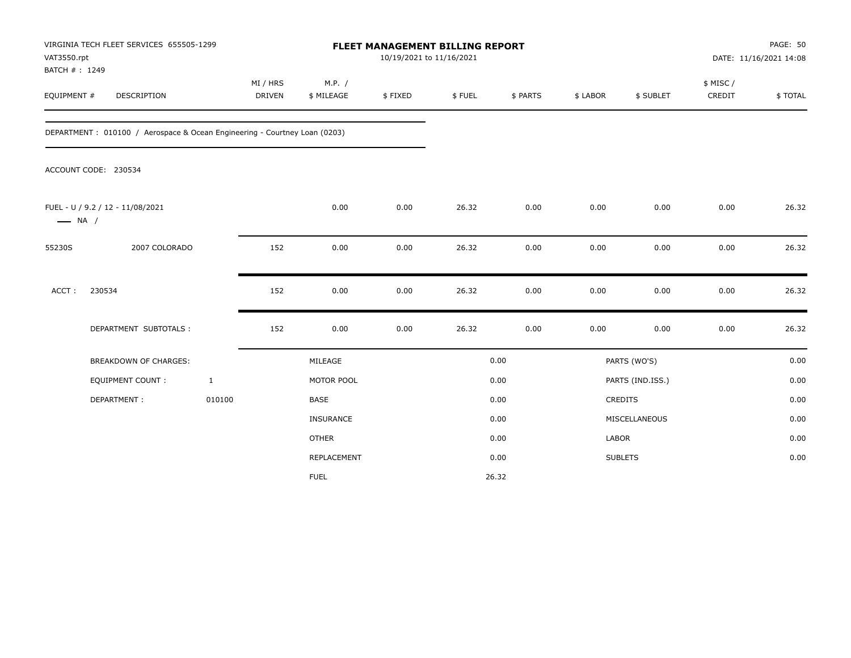| VAT3550.rpt<br>BATCH #: 1249 | VIRGINIA TECH FLEET SERVICES 655505-1299                                  |                           |                      | FLEET MANAGEMENT BILLING REPORT<br>10/19/2021 to 11/16/2021 |        |          |              |                  |                     | PAGE: 50<br>DATE: 11/16/2021 14:08 |
|------------------------------|---------------------------------------------------------------------------|---------------------------|----------------------|-------------------------------------------------------------|--------|----------|--------------|------------------|---------------------|------------------------------------|
| EQUIPMENT #                  | DESCRIPTION                                                               | MI / HRS<br><b>DRIVEN</b> | M.P. /<br>\$ MILEAGE | \$FIXED                                                     | \$FUEL | \$ PARTS | \$ LABOR     | \$ SUBLET        | \$ MISC /<br>CREDIT | \$TOTAL                            |
|                              | DEPARTMENT: 010100 / Aerospace & Ocean Engineering - Courtney Loan (0203) |                           |                      |                                                             |        |          |              |                  |                     |                                    |
|                              | ACCOUNT CODE: 230534                                                      |                           |                      |                                                             |        |          |              |                  |                     |                                    |
| $\longrightarrow$ NA /       | FUEL - U / 9.2 / 12 - 11/08/2021                                          |                           | 0.00                 | 0.00                                                        | 26.32  | 0.00     | 0.00         | 0.00             | 0.00                | 26.32                              |
| 55230S                       | 2007 COLORADO                                                             | 152                       | 0.00                 | 0.00                                                        | 26.32  | 0.00     | 0.00         | 0.00             | 0.00                | 26.32                              |
| ACCT:                        | 230534                                                                    | 152                       | 0.00                 | 0.00                                                        | 26.32  | 0.00     | 0.00         | 0.00             | 0.00                | 26.32                              |
|                              | DEPARTMENT SUBTOTALS :                                                    | 152                       | 0.00                 | 0.00                                                        | 26.32  | 0.00     | 0.00         | 0.00             | 0.00                | 26.32                              |
|                              | <b>BREAKDOWN OF CHARGES:</b>                                              |                           | MILEAGE              |                                                             |        | 0.00     |              | PARTS (WO'S)     |                     | 0.00                               |
|                              | EQUIPMENT COUNT:                                                          | $\mathbf{1}$              | MOTOR POOL           |                                                             |        | 0.00     |              | PARTS (IND.ISS.) |                     | 0.00                               |
|                              | DEPARTMENT:                                                               | 010100                    | BASE                 |                                                             |        | 0.00     |              | CREDITS          |                     | 0.00                               |
|                              |                                                                           |                           | INSURANCE            |                                                             |        | 0.00     |              | MISCELLANEOUS    |                     | 0.00                               |
|                              |                                                                           |                           | <b>OTHER</b>         |                                                             |        | 0.00     | <b>LABOR</b> |                  |                     | 0.00                               |
|                              |                                                                           |                           | REPLACEMENT          |                                                             |        | 0.00     |              | <b>SUBLETS</b>   |                     | 0.00                               |
|                              |                                                                           |                           | <b>FUEL</b>          |                                                             |        | 26.32    |              |                  |                     |                                    |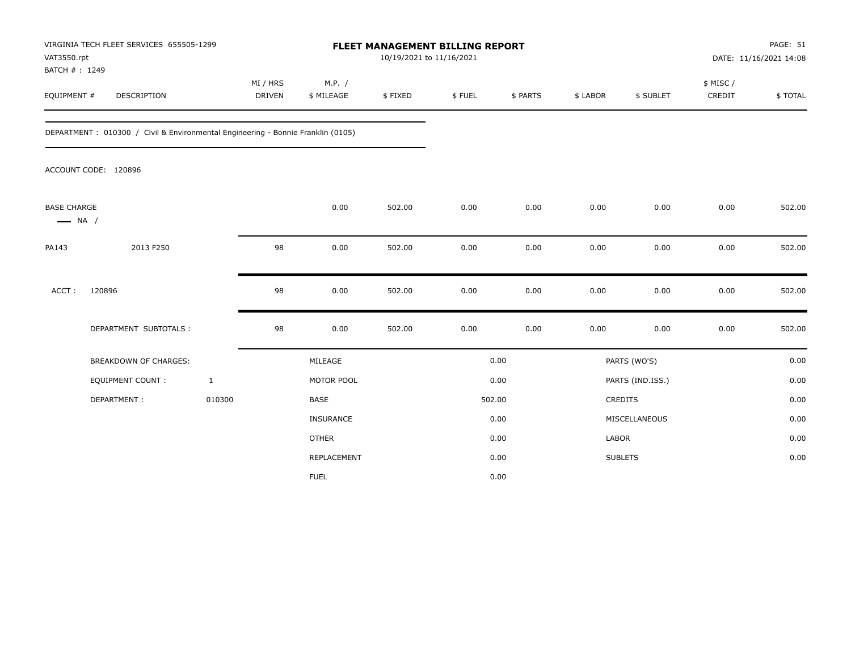| VAT3550.rpt<br>BATCH #: 1249                 | VIRGINIA TECH FLEET SERVICES 655505-1299                                        |                           |                      | FLEET MANAGEMENT BILLING REPORT<br>10/19/2021 to 11/16/2021 |        |          |              |                  |                     | PAGE: 51<br>DATE: 11/16/2021 14:08 |
|----------------------------------------------|---------------------------------------------------------------------------------|---------------------------|----------------------|-------------------------------------------------------------|--------|----------|--------------|------------------|---------------------|------------------------------------|
| EQUIPMENT #                                  | <b>DESCRIPTION</b>                                                              | MI / HRS<br><b>DRIVEN</b> | M.P. /<br>\$ MILEAGE | \$FIXED                                                     | \$FUEL | \$ PARTS | \$ LABOR     | \$ SUBLET        | \$ MISC /<br>CREDIT | \$TOTAL                            |
|                                              | DEPARTMENT: 010300 / Civil & Environmental Engineering - Bonnie Franklin (0105) |                           |                      |                                                             |        |          |              |                  |                     |                                    |
|                                              | ACCOUNT CODE: 120896                                                            |                           |                      |                                                             |        |          |              |                  |                     |                                    |
| <b>BASE CHARGE</b><br>$\longrightarrow$ NA / |                                                                                 |                           | 0.00                 | 502.00                                                      | 0.00   | 0.00     | 0.00         | 0.00             | 0.00                | 502.00                             |
| PA143                                        | 2013 F250                                                                       | 98                        | 0.00                 | 502.00                                                      | 0.00   | 0.00     | 0.00         | 0.00             | 0.00                | 502.00                             |
| $ACCT$ :                                     | 120896                                                                          | 98                        | 0.00                 | 502.00                                                      | 0.00   | 0.00     | 0.00         | 0.00             | 0.00                | 502.00                             |
|                                              | DEPARTMENT SUBTOTALS :                                                          | 98                        | 0.00                 | 502.00                                                      | 0.00   | 0.00     | 0.00         | 0.00             | 0.00                | 502.00                             |
|                                              | <b>BREAKDOWN OF CHARGES:</b>                                                    |                           | MILEAGE              |                                                             |        | 0.00     |              | PARTS (WO'S)     |                     | 0.00                               |
|                                              | <b>EQUIPMENT COUNT:</b>                                                         | $\mathbf{1}$              | MOTOR POOL           |                                                             |        | 0.00     |              | PARTS (IND.ISS.) |                     | 0.00                               |
|                                              | DEPARTMENT:                                                                     | 010300                    | <b>BASE</b>          |                                                             |        | 502.00   |              | <b>CREDITS</b>   |                     | 0.00                               |
|                                              |                                                                                 |                           | <b>INSURANCE</b>     |                                                             |        | 0.00     |              | MISCELLANEOUS    |                     | 0.00                               |
|                                              |                                                                                 |                           | <b>OTHER</b>         |                                                             |        | 0.00     | <b>LABOR</b> |                  |                     | 0.00                               |
|                                              |                                                                                 |                           | REPLACEMENT          |                                                             |        | 0.00     |              | <b>SUBLETS</b>   |                     | 0.00                               |
|                                              |                                                                                 |                           | <b>FUEL</b>          |                                                             |        | 0.00     |              |                  |                     |                                    |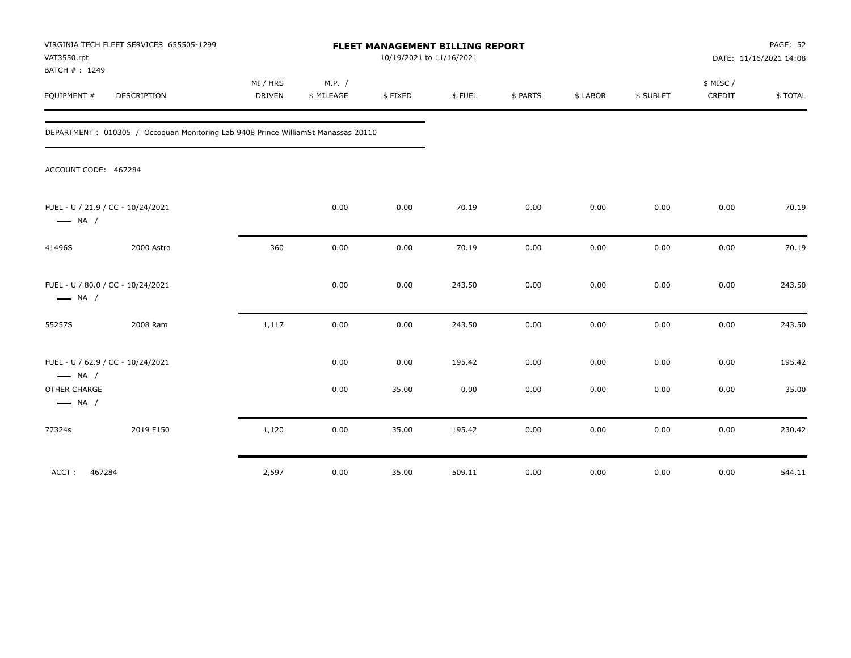| VAT3550.rpt<br>BATCH #: 1249                                | VIRGINIA TECH FLEET SERVICES 655505-1299                                          |                           |                      |         | FLEET MANAGEMENT BILLING REPORT<br>10/19/2021 to 11/16/2021 |          |          |           |                    | PAGE: 52<br>DATE: 11/16/2021 14:08 |
|-------------------------------------------------------------|-----------------------------------------------------------------------------------|---------------------------|----------------------|---------|-------------------------------------------------------------|----------|----------|-----------|--------------------|------------------------------------|
| EQUIPMENT #                                                 | <b>DESCRIPTION</b>                                                                | MI / HRS<br><b>DRIVEN</b> | M.P. /<br>\$ MILEAGE | \$FIXED | \$FUEL                                                      | \$ PARTS | \$ LABOR | \$ SUBLET | \$ MISC/<br>CREDIT | \$TOTAL                            |
|                                                             | DEPARTMENT: 010305 / Occoquan Monitoring Lab 9408 Prince WilliamSt Manassas 20110 |                           |                      |         |                                                             |          |          |           |                    |                                    |
| ACCOUNT CODE: 467284                                        |                                                                                   |                           |                      |         |                                                             |          |          |           |                    |                                    |
| FUEL - U / 21.9 / CC - 10/24/2021<br>$\longrightarrow$ NA / |                                                                                   |                           | 0.00                 | 0.00    | 70.19                                                       | 0.00     | 0.00     | 0.00      | 0.00               | 70.19                              |
| 41496S                                                      | 2000 Astro                                                                        | 360                       | 0.00                 | 0.00    | 70.19                                                       | 0.00     | 0.00     | 0.00      | 0.00               | 70.19                              |
| FUEL - U / 80.0 / CC - 10/24/2021<br>$\longrightarrow$ NA / |                                                                                   |                           | 0.00                 | 0.00    | 243.50                                                      | 0.00     | 0.00     | 0.00      | 0.00               | 243.50                             |
| 55257S                                                      | 2008 Ram                                                                          | 1,117                     | 0.00                 | 0.00    | 243.50                                                      | 0.00     | 0.00     | 0.00      | 0.00               | 243.50                             |
| FUEL - U / 62.9 / CC - 10/24/2021<br>$\longrightarrow$ NA / |                                                                                   |                           | 0.00                 | 0.00    | 195.42                                                      | 0.00     | 0.00     | 0.00      | 0.00               | 195.42                             |
| OTHER CHARGE<br>$\longrightarrow$ NA /                      |                                                                                   |                           | 0.00                 | 35.00   | 0.00                                                        | 0.00     | 0.00     | 0.00      | 0.00               | 35.00                              |
| 77324s                                                      | 2019 F150                                                                         | 1,120                     | 0.00                 | 35.00   | 195.42                                                      | 0.00     | 0.00     | 0.00      | 0.00               | 230.42                             |
| 467284<br>ACCT:                                             |                                                                                   | 2,597                     | 0.00                 | 35.00   | 509.11                                                      | 0.00     | 0.00     | 0.00      | 0.00               | 544.11                             |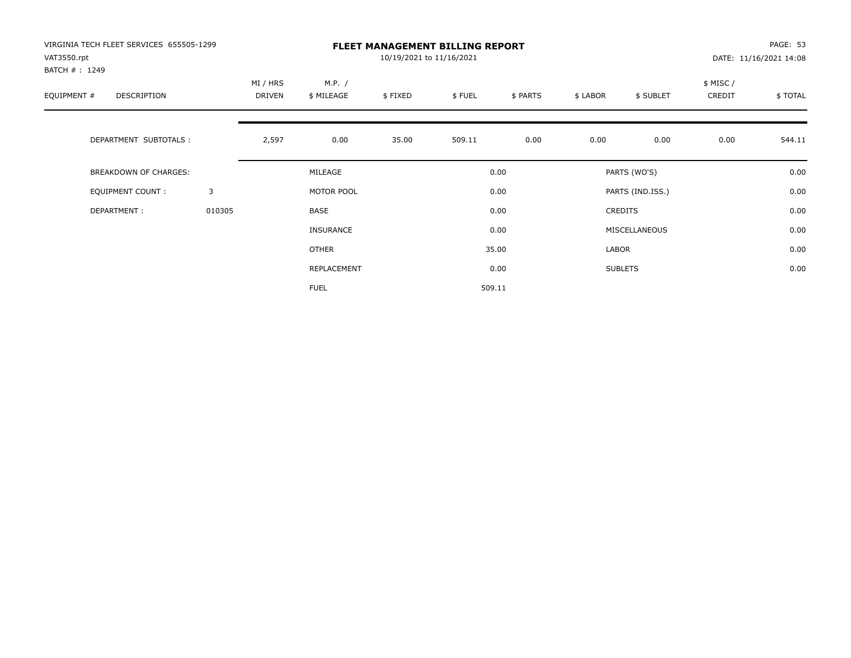| VIRGINIA TECH FLEET SERVICES 655505-1299<br>VAT3550.rpt |        |                           |                      | 10/19/2021 to 11/16/2021 | <b>FLEET MANAGEMENT BILLING REPORT</b> |          |          |                  |                     | PAGE: 53<br>DATE: 11/16/2021 14:08 |
|---------------------------------------------------------|--------|---------------------------|----------------------|--------------------------|----------------------------------------|----------|----------|------------------|---------------------|------------------------------------|
| BATCH #: 1249<br>EQUIPMENT #<br><b>DESCRIPTION</b>      |        | MI / HRS<br><b>DRIVEN</b> | M.P. /<br>\$ MILEAGE | \$FIXED                  | \$FUEL                                 | \$ PARTS | \$ LABOR | \$ SUBLET        | \$ MISC /<br>CREDIT | \$TOTAL                            |
| DEPARTMENT SUBTOTALS :                                  |        | 2,597                     | 0.00                 | 35.00                    | 509.11                                 | 0.00     | 0.00     | 0.00             | 0.00                | 544.11                             |
| <b>BREAKDOWN OF CHARGES:</b>                            |        |                           | MILEAGE              |                          |                                        | 0.00     |          | PARTS (WO'S)     |                     | 0.00                               |
| EQUIPMENT COUNT:                                        | 3      |                           | MOTOR POOL           |                          |                                        | 0.00     |          | PARTS (IND.ISS.) |                     | 0.00                               |
| DEPARTMENT:                                             | 010305 |                           | <b>BASE</b>          |                          |                                        | 0.00     |          | <b>CREDITS</b>   |                     | 0.00                               |
|                                                         |        |                           | INSURANCE            |                          |                                        | 0.00     |          | MISCELLANEOUS    |                     | 0.00                               |
|                                                         |        |                           | OTHER                |                          |                                        | 35.00    | LABOR    |                  |                     | 0.00                               |
|                                                         |        |                           | REPLACEMENT          |                          |                                        | 0.00     |          | <b>SUBLETS</b>   |                     | 0.00                               |
|                                                         |        |                           | <b>FUEL</b>          |                          |                                        | 509.11   |          |                  |                     |                                    |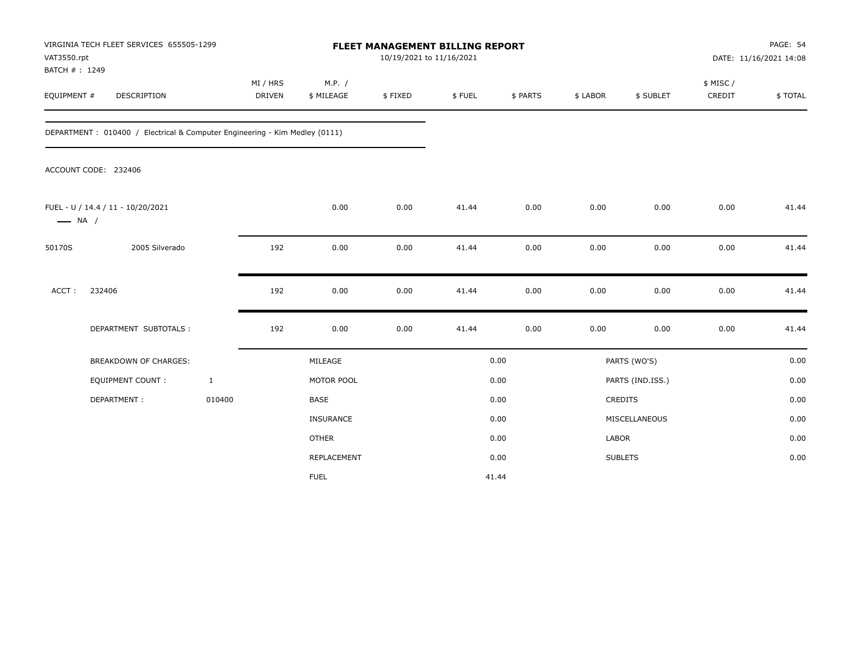| VAT3550.rpt                  | VIRGINIA TECH FLEET SERVICES 655505-1299                                   |                           |                      | <b>FLEET MANAGEMENT BILLING REPORT</b><br>10/19/2021 to 11/16/2021 |        |          |              |                  |                     | PAGE: 54<br>DATE: 11/16/2021 14:08 |
|------------------------------|----------------------------------------------------------------------------|---------------------------|----------------------|--------------------------------------------------------------------|--------|----------|--------------|------------------|---------------------|------------------------------------|
| BATCH #: 1249<br>EQUIPMENT # | DESCRIPTION                                                                | MI / HRS<br><b>DRIVEN</b> | M.P. /<br>\$ MILEAGE | \$FIXED                                                            | \$FUEL | \$ PARTS | \$ LABOR     | \$ SUBLET        | \$ MISC /<br>CREDIT | \$TOTAL                            |
|                              | DEPARTMENT: 010400 / Electrical & Computer Engineering - Kim Medley (0111) |                           |                      |                                                                    |        |          |              |                  |                     |                                    |
|                              | ACCOUNT CODE: 232406                                                       |                           |                      |                                                                    |        |          |              |                  |                     |                                    |
| $\longrightarrow$ NA /       | FUEL - U / 14.4 / 11 - 10/20/2021                                          |                           | 0.00                 | 0.00                                                               | 41.44  | 0.00     | 0.00         | 0.00             | 0.00                | 41.44                              |
| 50170S                       | 2005 Silverado                                                             | 192                       | 0.00                 | 0.00                                                               | 41.44  | 0.00     | 0.00         | 0.00             | 0.00                | 41.44                              |
| ACCT:                        | 232406                                                                     | 192                       | 0.00                 | 0.00                                                               | 41.44  | 0.00     | 0.00         | 0.00             | 0.00                | 41.44                              |
|                              | DEPARTMENT SUBTOTALS :                                                     | 192                       | 0.00                 | 0.00                                                               | 41.44  | 0.00     | 0.00         | 0.00             | 0.00                | 41.44                              |
|                              | BREAKDOWN OF CHARGES:                                                      |                           | MILEAGE              |                                                                    |        | 0.00     |              | PARTS (WO'S)     |                     | 0.00                               |
|                              | <b>EQUIPMENT COUNT:</b>                                                    | $\mathbf{1}$              | MOTOR POOL           |                                                                    |        | 0.00     |              | PARTS (IND.ISS.) |                     | 0.00                               |
|                              | DEPARTMENT:                                                                | 010400                    | BASE                 |                                                                    |        | 0.00     |              | CREDITS          |                     | 0.00                               |
|                              |                                                                            |                           | INSURANCE            |                                                                    |        | 0.00     |              | MISCELLANEOUS    |                     | 0.00                               |
|                              |                                                                            |                           | <b>OTHER</b>         |                                                                    |        | 0.00     | <b>LABOR</b> |                  |                     | 0.00                               |
|                              |                                                                            |                           | REPLACEMENT          |                                                                    |        | 0.00     |              | <b>SUBLETS</b>   |                     | 0.00                               |
|                              |                                                                            |                           | <b>FUEL</b>          |                                                                    |        | 41.44    |              |                  |                     |                                    |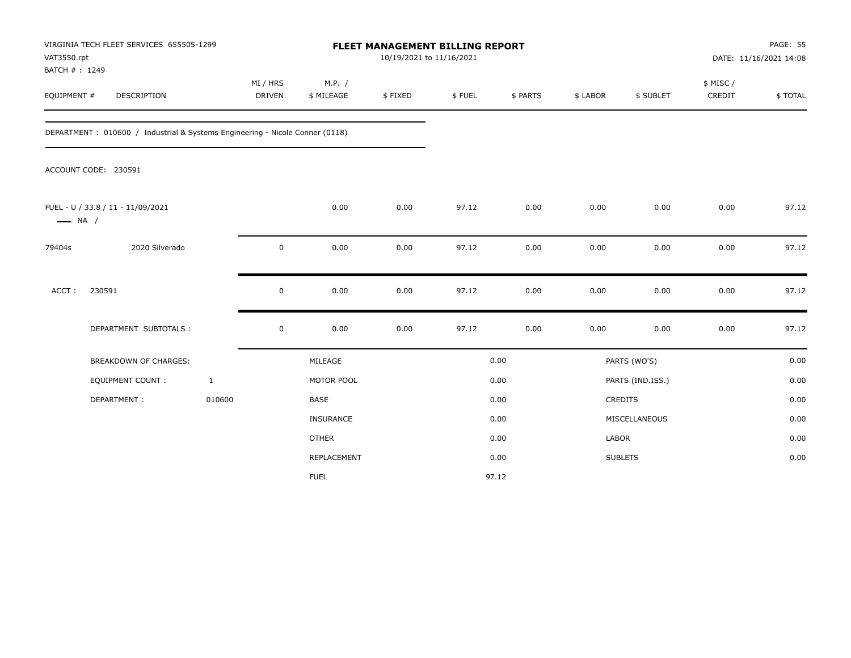| VAT3550.rpt                  | VIRGINIA TECH FLEET SERVICES 655505-1299                                     |                           |                      | FLEET MANAGEMENT BILLING REPORT<br>10/19/2021 to 11/16/2021 |        |          |          |                  |                     | PAGE: 55<br>DATE: 11/16/2021 14:08 |
|------------------------------|------------------------------------------------------------------------------|---------------------------|----------------------|-------------------------------------------------------------|--------|----------|----------|------------------|---------------------|------------------------------------|
| BATCH #: 1249<br>EQUIPMENT # | DESCRIPTION                                                                  | MI / HRS<br><b>DRIVEN</b> | M.P. /<br>\$ MILEAGE | \$FIXED                                                     | \$FUEL | \$ PARTS | \$ LABOR | \$ SUBLET        | \$ MISC /<br>CREDIT | \$TOTAL                            |
|                              | DEPARTMENT: 010600 / Industrial & Systems Engineering - Nicole Conner (0118) |                           |                      |                                                             |        |          |          |                  |                     |                                    |
|                              | ACCOUNT CODE: 230591                                                         |                           |                      |                                                             |        |          |          |                  |                     |                                    |
| $\longrightarrow$ NA /       | FUEL - U / 33.8 / 11 - 11/09/2021                                            |                           | 0.00                 | 0.00                                                        | 97.12  | 0.00     | 0.00     | 0.00             | 0.00                | 97.12                              |
| 79404s                       | 2020 Silverado                                                               | 0                         | 0.00                 | 0.00                                                        | 97.12  | 0.00     | 0.00     | 0.00             | 0.00                | 97.12                              |
| ACCT:                        | 230591                                                                       | 0                         | 0.00                 | 0.00                                                        | 97.12  | 0.00     | 0.00     | 0.00             | 0.00                | 97.12                              |
|                              | DEPARTMENT SUBTOTALS :                                                       | $\mathsf 0$               | 0.00                 | 0.00                                                        | 97.12  | 0.00     | 0.00     | 0.00             | 0.00                | 97.12                              |
|                              | <b>BREAKDOWN OF CHARGES:</b>                                                 |                           | MILEAGE              |                                                             |        | 0.00     |          | PARTS (WO'S)     |                     | 0.00                               |
|                              | EQUIPMENT COUNT:                                                             | $\mathbf{1}$              | MOTOR POOL           |                                                             |        | 0.00     |          | PARTS (IND.ISS.) |                     | 0.00                               |
|                              | DEPARTMENT:                                                                  | 010600                    | <b>BASE</b>          |                                                             |        | 0.00     |          | CREDITS          |                     | 0.00                               |
|                              |                                                                              |                           | <b>INSURANCE</b>     |                                                             |        | 0.00     |          | MISCELLANEOUS    |                     | 0.00                               |
|                              |                                                                              |                           | <b>OTHER</b>         |                                                             |        | 0.00     | LABOR    |                  |                     | 0.00                               |
|                              |                                                                              |                           | REPLACEMENT          |                                                             |        | 0.00     |          | <b>SUBLETS</b>   |                     | 0.00                               |
|                              |                                                                              |                           | <b>FUEL</b>          |                                                             |        | 97.12    |          |                  |                     |                                    |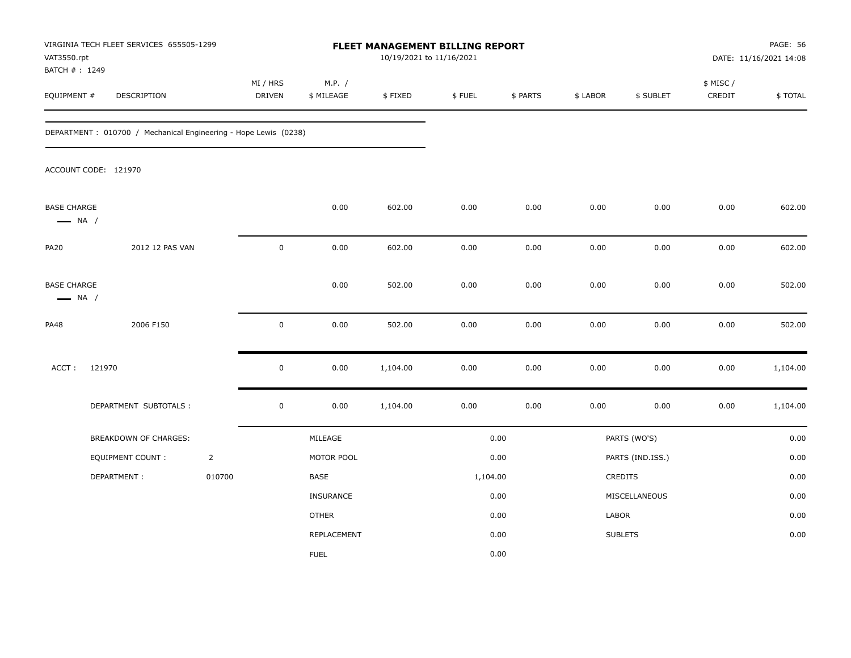| VAT3550.rpt                                  | VIRGINIA TECH FLEET SERVICES 655505-1299                        |                |                    |                      | 10/19/2021 to 11/16/2021 | FLEET MANAGEMENT BILLING REPORT |          |          |                  |                     | <b>PAGE: 56</b><br>DATE: 11/16/2021 14:08 |
|----------------------------------------------|-----------------------------------------------------------------|----------------|--------------------|----------------------|--------------------------|---------------------------------|----------|----------|------------------|---------------------|-------------------------------------------|
| BATCH #: 1249<br>EQUIPMENT #                 | DESCRIPTION                                                     |                | MI / HRS<br>DRIVEN | M.P. /<br>\$ MILEAGE | \$FIXED                  | \$FUEL                          | \$ PARTS | \$ LABOR | \$ SUBLET        | \$ MISC /<br>CREDIT | \$TOTAL                                   |
|                                              | DEPARTMENT: 010700 / Mechanical Engineering - Hope Lewis (0238) |                |                    |                      |                          |                                 |          |          |                  |                     |                                           |
|                                              | ACCOUNT CODE: 121970                                            |                |                    |                      |                          |                                 |          |          |                  |                     |                                           |
| <b>BASE CHARGE</b><br>$\longrightarrow$ NA / |                                                                 |                |                    | 0.00                 | 602.00                   | 0.00                            | 0.00     | 0.00     | 0.00             | 0.00                | 602.00                                    |
| <b>PA20</b>                                  | 2012 12 PAS VAN                                                 |                | $\pmb{0}$          | 0.00                 | 602.00                   | 0.00                            | 0.00     | 0.00     | 0.00             | 0.00                | 602.00                                    |
| <b>BASE CHARGE</b><br>$\longrightarrow$ NA / |                                                                 |                |                    | 0.00                 | 502.00                   | 0.00                            | 0.00     | 0.00     | 0.00             | 0.00                | 502.00                                    |
| <b>PA48</b>                                  | 2006 F150                                                       |                | $\pmb{0}$          | $0.00\,$             | 502.00                   | 0.00                            | 0.00     | 0.00     | 0.00             | 0.00                | 502.00                                    |
| ACCT:                                        | 121970                                                          |                | $\mathbf 0$        | 0.00                 | 1,104.00                 | 0.00                            | 0.00     | 0.00     | 0.00             | 0.00                | 1,104.00                                  |
|                                              | DEPARTMENT SUBTOTALS :                                          |                | $\pmb{0}$          | 0.00                 | 1,104.00                 | 0.00                            | 0.00     | 0.00     | 0.00             | 0.00                | 1,104.00                                  |
|                                              | BREAKDOWN OF CHARGES:                                           |                |                    | MILEAGE              |                          |                                 | 0.00     |          | PARTS (WO'S)     |                     | 0.00                                      |
|                                              | EQUIPMENT COUNT:                                                | $\overline{2}$ |                    | MOTOR POOL           |                          |                                 | 0.00     |          | PARTS (IND.ISS.) |                     | 0.00                                      |
|                                              | DEPARTMENT:                                                     | 010700         |                    | <b>BASE</b>          |                          | 1,104.00                        |          |          | CREDITS          |                     | 0.00                                      |
|                                              |                                                                 |                |                    | INSURANCE            |                          |                                 | 0.00     |          | MISCELLANEOUS    |                     | 0.00                                      |
|                                              |                                                                 |                |                    | <b>OTHER</b>         |                          |                                 | 0.00     | LABOR    |                  |                     | 0.00                                      |
|                                              |                                                                 |                |                    | REPLACEMENT          |                          |                                 | 0.00     |          | <b>SUBLETS</b>   |                     | 0.00                                      |
|                                              |                                                                 |                |                    | <b>FUEL</b>          |                          |                                 | 0.00     |          |                  |                     |                                           |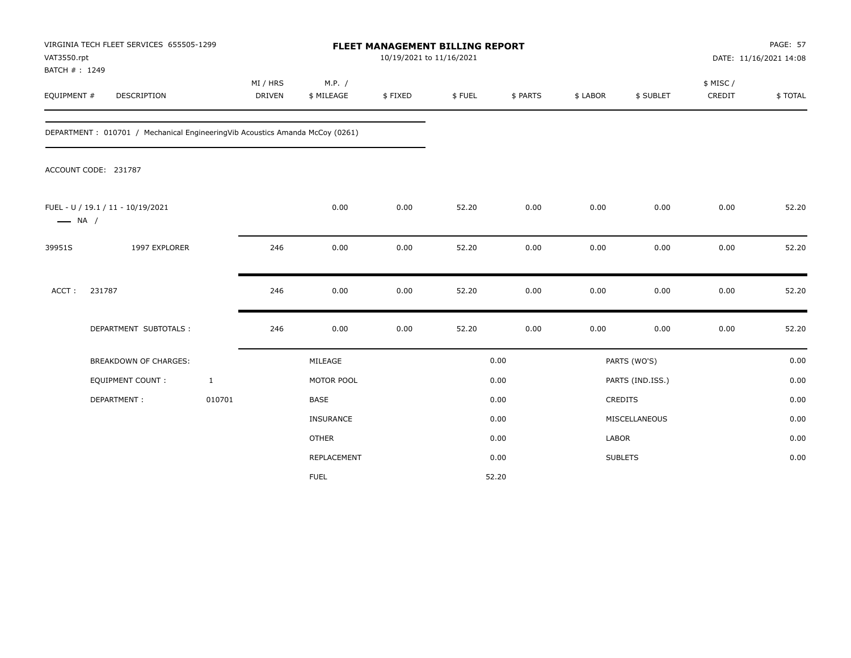| VAT3550.rpt                  | VIRGINIA TECH FLEET SERVICES 655505-1299                                     |                           |                      | FLEET MANAGEMENT BILLING REPORT<br>10/19/2021 to 11/16/2021 |        |          |              |                  |                     | PAGE: 57<br>DATE: 11/16/2021 14:08 |
|------------------------------|------------------------------------------------------------------------------|---------------------------|----------------------|-------------------------------------------------------------|--------|----------|--------------|------------------|---------------------|------------------------------------|
| BATCH #: 1249<br>EQUIPMENT # | <b>DESCRIPTION</b>                                                           | MI / HRS<br><b>DRIVEN</b> | M.P. /<br>\$ MILEAGE | \$FIXED                                                     | \$FUEL | \$ PARTS | \$ LABOR     | \$ SUBLET        | \$ MISC /<br>CREDIT | \$TOTAL                            |
|                              | DEPARTMENT: 010701 / Mechanical EngineeringVib Acoustics Amanda McCoy (0261) |                           |                      |                                                             |        |          |              |                  |                     |                                    |
|                              | ACCOUNT CODE: 231787                                                         |                           |                      |                                                             |        |          |              |                  |                     |                                    |
| $\longrightarrow$ NA /       | FUEL - U / 19.1 / 11 - 10/19/2021                                            |                           | 0.00                 | 0.00                                                        | 52.20  | 0.00     | 0.00         | 0.00             | 0.00                | 52.20                              |
| 39951S                       | 1997 EXPLORER                                                                | 246                       | 0.00                 | 0.00                                                        | 52.20  | 0.00     | 0.00         | 0.00             | 0.00                | 52.20                              |
| ACCT:                        | 231787                                                                       | 246                       | 0.00                 | 0.00                                                        | 52.20  | 0.00     | 0.00         | 0.00             | 0.00                | 52.20                              |
|                              | DEPARTMENT SUBTOTALS :                                                       | 246                       | 0.00                 | 0.00                                                        | 52.20  | 0.00     | 0.00         | 0.00             | 0.00                | 52.20                              |
|                              | <b>BREAKDOWN OF CHARGES:</b>                                                 |                           | MILEAGE              |                                                             |        | 0.00     |              | PARTS (WO'S)     |                     | 0.00                               |
|                              | EQUIPMENT COUNT:                                                             | $\mathbf{1}$              | MOTOR POOL           |                                                             |        | 0.00     |              | PARTS (IND.ISS.) |                     | 0.00                               |
|                              | DEPARTMENT:                                                                  | 010701                    | BASE                 |                                                             |        | 0.00     |              | CREDITS          |                     | 0.00                               |
|                              |                                                                              |                           | INSURANCE            |                                                             |        | 0.00     |              | MISCELLANEOUS    |                     | 0.00                               |
|                              |                                                                              |                           | <b>OTHER</b>         |                                                             |        | 0.00     | <b>LABOR</b> |                  |                     | 0.00                               |
|                              |                                                                              |                           | REPLACEMENT          |                                                             |        | 0.00     |              | <b>SUBLETS</b>   |                     | 0.00                               |
|                              |                                                                              |                           | <b>FUEL</b>          |                                                             |        | 52.20    |              |                  |                     |                                    |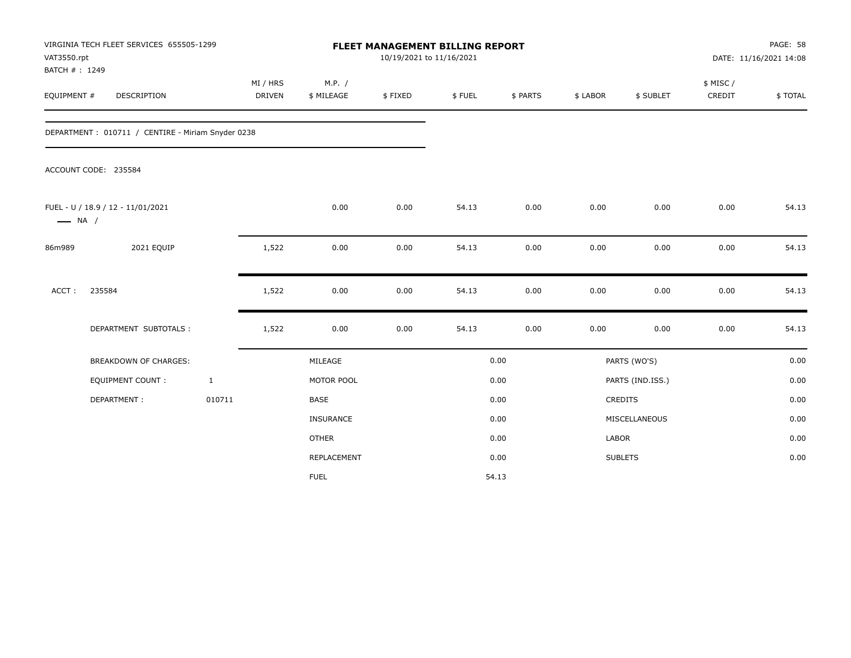| VAT3550.rpt<br>BATCH #: 1249 | VIRGINIA TECH FLEET SERVICES 655505-1299          |              |                           |                      | FLEET MANAGEMENT BILLING REPORT<br>10/19/2021 to 11/16/2021 |        |          |          |                  |                     | PAGE: 58<br>DATE: 11/16/2021 14:08 |
|------------------------------|---------------------------------------------------|--------------|---------------------------|----------------------|-------------------------------------------------------------|--------|----------|----------|------------------|---------------------|------------------------------------|
| EQUIPMENT #                  | <b>DESCRIPTION</b>                                |              | MI / HRS<br><b>DRIVEN</b> | M.P. /<br>\$ MILEAGE | \$FIXED                                                     | \$FUEL | \$ PARTS | \$ LABOR | \$ SUBLET        | \$ MISC /<br>CREDIT | \$TOTAL                            |
|                              | DEPARTMENT: 010711 / CENTIRE - Miriam Snyder 0238 |              |                           |                      |                                                             |        |          |          |                  |                     |                                    |
|                              | ACCOUNT CODE: 235584                              |              |                           |                      |                                                             |        |          |          |                  |                     |                                    |
| $\longrightarrow$ NA /       | FUEL - U / 18.9 / 12 - 11/01/2021                 |              |                           | 0.00                 | 0.00                                                        | 54.13  | 0.00     | 0.00     | 0.00             | 0.00                | 54.13                              |
| 86m989                       | 2021 EQUIP                                        |              | 1,522                     | 0.00                 | 0.00                                                        | 54.13  | 0.00     | 0.00     | 0.00             | 0.00                | 54.13                              |
| ACCT:                        | 235584                                            |              | 1,522                     | 0.00                 | 0.00                                                        | 54.13  | 0.00     | 0.00     | 0.00             | 0.00                | 54.13                              |
|                              | DEPARTMENT SUBTOTALS :                            |              | 1,522                     | 0.00                 | 0.00                                                        | 54.13  | 0.00     | 0.00     | 0.00             | 0.00                | 54.13                              |
|                              | <b>BREAKDOWN OF CHARGES:</b>                      |              |                           | MILEAGE              |                                                             |        | 0.00     |          | PARTS (WO'S)     |                     | 0.00                               |
|                              | <b>EQUIPMENT COUNT:</b>                           | $\mathbf{1}$ |                           | MOTOR POOL           |                                                             |        | 0.00     |          | PARTS (IND.ISS.) |                     | 0.00                               |
|                              | DEPARTMENT:                                       | 010711       |                           | <b>BASE</b>          |                                                             |        | 0.00     |          | <b>CREDITS</b>   |                     | 0.00                               |
|                              |                                                   |              |                           | INSURANCE            |                                                             |        | 0.00     |          | MISCELLANEOUS    |                     | 0.00                               |
|                              |                                                   |              |                           | <b>OTHER</b>         |                                                             |        | 0.00     | LABOR    |                  |                     | 0.00                               |
|                              |                                                   |              |                           | REPLACEMENT          |                                                             |        | 0.00     |          | <b>SUBLETS</b>   |                     | 0.00                               |
|                              |                                                   |              |                           | <b>FUEL</b>          |                                                             |        | 54.13    |          |                  |                     |                                    |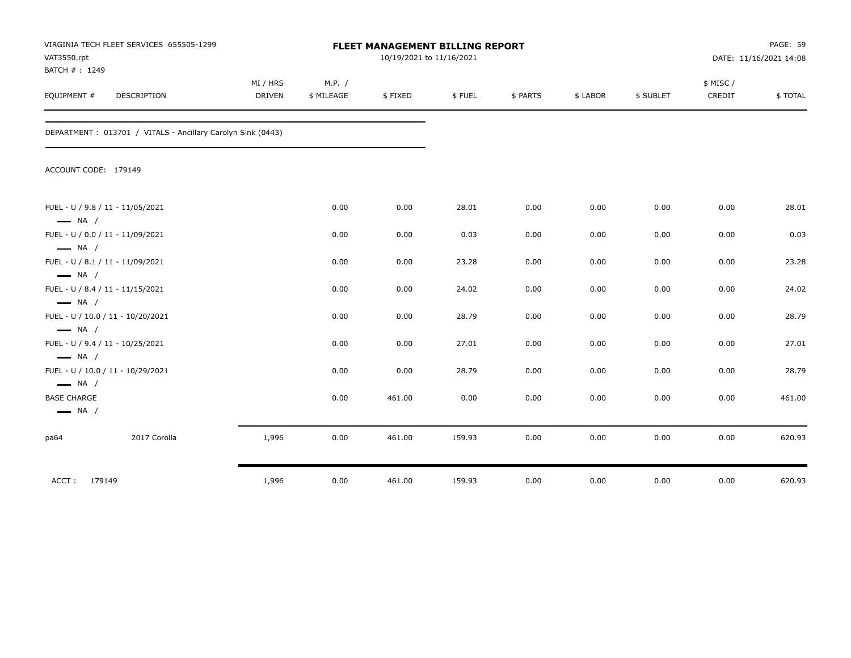| VAT3550.rpt<br>BATCH #: 1249                 | VIRGINIA TECH FLEET SERVICES 655505-1299                    |                           |                      | <b>FLEET MANAGEMENT BILLING REPORT</b><br>10/19/2021 to 11/16/2021 |        |          |          |           |                     | PAGE: 59<br>DATE: 11/16/2021 14:08 |
|----------------------------------------------|-------------------------------------------------------------|---------------------------|----------------------|--------------------------------------------------------------------|--------|----------|----------|-----------|---------------------|------------------------------------|
| EQUIPMENT #                                  | DESCRIPTION                                                 | MI / HRS<br><b>DRIVEN</b> | M.P. /<br>\$ MILEAGE | \$FIXED                                                            | \$FUEL | \$ PARTS | \$ LABOR | \$ SUBLET | \$ MISC /<br>CREDIT | \$TOTAL                            |
|                                              | DEPARTMENT: 013701 / VITALS - Ancillary Carolyn Sink (0443) |                           |                      |                                                                    |        |          |          |           |                     |                                    |
| ACCOUNT CODE: 179149                         |                                                             |                           |                      |                                                                    |        |          |          |           |                     |                                    |
| $\longrightarrow$ NA /                       | FUEL - U / 9.8 / 11 - 11/05/2021                            |                           | 0.00                 | 0.00                                                               | 28.01  | 0.00     | 0.00     | 0.00      | 0.00                | 28.01                              |
| $\longrightarrow$ NA /                       | FUEL - U / 0.0 / 11 - 11/09/2021                            |                           | 0.00                 | 0.00                                                               | 0.03   | 0.00     | 0.00     | 0.00      | 0.00                | 0.03                               |
| $\longrightarrow$ NA /                       | FUEL - U / 8.1 / 11 - 11/09/2021                            |                           | 0.00                 | 0.00                                                               | 23.28  | 0.00     | 0.00     | 0.00      | 0.00                | 23.28                              |
| $\longrightarrow$ NA /                       | FUEL - U / 8.4 / 11 - 11/15/2021                            |                           | 0.00                 | 0.00                                                               | 24.02  | 0.00     | 0.00     | 0.00      | 0.00                | 24.02                              |
| $\longrightarrow$ NA /                       | FUEL - U / 10.0 / 11 - 10/20/2021                           |                           | 0.00                 | 0.00                                                               | 28.79  | 0.00     | 0.00     | 0.00      | 0.00                | 28.79                              |
| $\longrightarrow$ NA /                       | FUEL - U / 9.4 / 11 - 10/25/2021                            |                           | 0.00                 | 0.00                                                               | 27.01  | 0.00     | 0.00     | 0.00      | 0.00                | 27.01                              |
| $\longrightarrow$ NA /                       | FUEL - U / 10.0 / 11 - 10/29/2021                           |                           | 0.00                 | 0.00                                                               | 28.79  | 0.00     | 0.00     | 0.00      | 0.00                | 28.79                              |
| <b>BASE CHARGE</b><br>$\longrightarrow$ NA / |                                                             |                           | 0.00                 | 461.00                                                             | 0.00   | 0.00     | 0.00     | 0.00      | 0.00                | 461.00                             |
| pa64                                         | 2017 Corolla                                                | 1,996                     | 0.00                 | 461.00                                                             | 159.93 | 0.00     | 0.00     | 0.00      | 0.00                | 620.93                             |
| ACCT: 179149                                 |                                                             | 1,996                     | 0.00                 | 461.00                                                             | 159.93 | 0.00     | 0.00     | 0.00      | 0.00                | 620.93                             |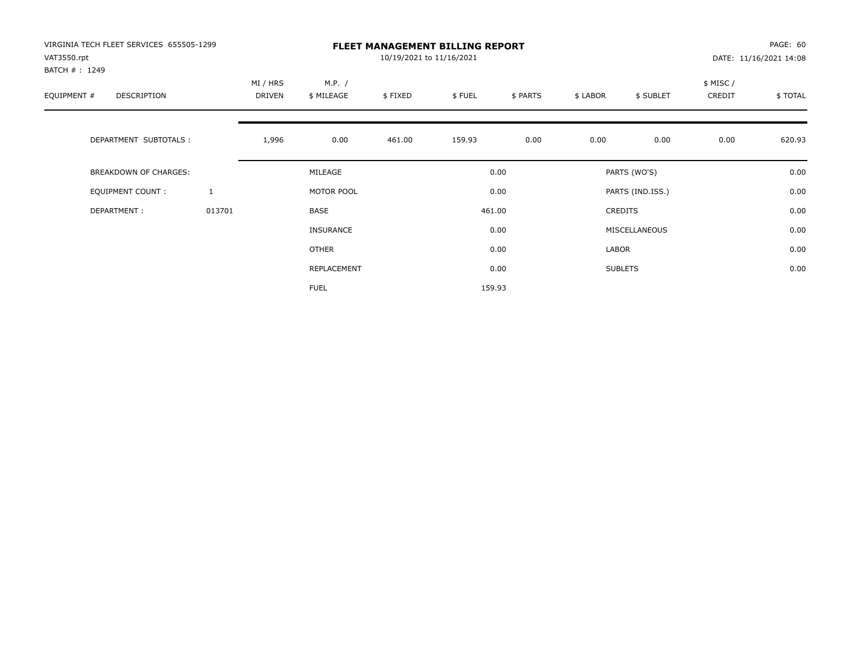| VIRGINIA TECH FLEET SERVICES 655505-1299<br>VAT3550.rpt |              |                           |                      | 10/19/2021 to 11/16/2021 | <b>FLEET MANAGEMENT BILLING REPORT</b> |          |          |                  |                     | PAGE: 60<br>DATE: 11/16/2021 14:08 |
|---------------------------------------------------------|--------------|---------------------------|----------------------|--------------------------|----------------------------------------|----------|----------|------------------|---------------------|------------------------------------|
| BATCH #: 1249<br>EQUIPMENT #<br><b>DESCRIPTION</b>      |              | MI / HRS<br><b>DRIVEN</b> | M.P. /<br>\$ MILEAGE | \$FIXED                  | \$FUEL                                 | \$ PARTS | \$ LABOR | \$ SUBLET        | \$ MISC /<br>CREDIT | \$TOTAL                            |
| DEPARTMENT SUBTOTALS :                                  |              | 1,996                     | 0.00                 | 461.00                   | 159.93                                 | 0.00     | 0.00     | 0.00             | 0.00                | 620.93                             |
| <b>BREAKDOWN OF CHARGES:</b>                            |              |                           | MILEAGE              |                          |                                        | 0.00     |          | PARTS (WO'S)     |                     | 0.00                               |
| EQUIPMENT COUNT:                                        | $\mathbf{1}$ |                           | MOTOR POOL           |                          |                                        | 0.00     |          | PARTS (IND.ISS.) |                     | 0.00                               |
| DEPARTMENT:                                             | 013701       |                           | <b>BASE</b>          |                          |                                        | 461.00   |          | <b>CREDITS</b>   |                     | 0.00                               |
|                                                         |              |                           | INSURANCE            |                          |                                        | 0.00     |          | MISCELLANEOUS    |                     | 0.00                               |
|                                                         |              |                           | OTHER                |                          |                                        | 0.00     | LABOR    |                  |                     | 0.00                               |
|                                                         |              |                           | REPLACEMENT          |                          |                                        | 0.00     |          | <b>SUBLETS</b>   |                     | 0.00                               |
|                                                         |              |                           | <b>FUEL</b>          |                          |                                        | 159.93   |          |                  |                     |                                    |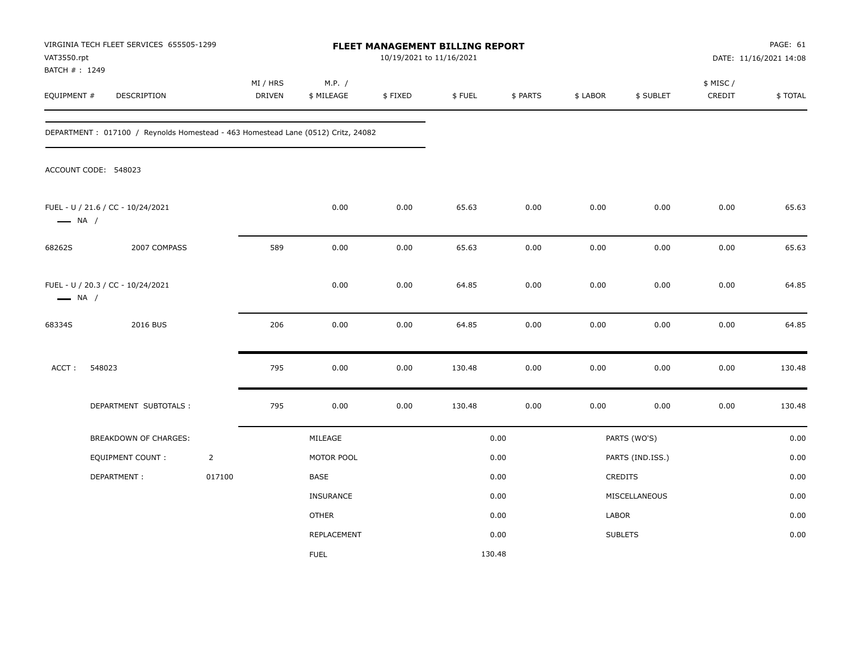| VAT3550.rpt<br>BATCH #: 1249 | VIRGINIA TECH FLEET SERVICES 655505-1299                                         |                |                    |                      | 10/19/2021 to 11/16/2021 | FLEET MANAGEMENT BILLING REPORT |          |          |                  |                     | PAGE: 61<br>DATE: 11/16/2021 14:08 |
|------------------------------|----------------------------------------------------------------------------------|----------------|--------------------|----------------------|--------------------------|---------------------------------|----------|----------|------------------|---------------------|------------------------------------|
| EQUIPMENT #                  | DESCRIPTION                                                                      |                | MI / HRS<br>DRIVEN | M.P. /<br>\$ MILEAGE | \$FIXED                  | \$FUEL                          | \$ PARTS | \$ LABOR | \$ SUBLET        | \$ MISC /<br>CREDIT | \$TOTAL                            |
|                              | DEPARTMENT: 017100 / Reynolds Homestead - 463 Homestead Lane (0512) Critz, 24082 |                |                    |                      |                          |                                 |          |          |                  |                     |                                    |
|                              | ACCOUNT CODE: 548023                                                             |                |                    |                      |                          |                                 |          |          |                  |                     |                                    |
| $\longrightarrow$ NA /       | FUEL - U / 21.6 / CC - 10/24/2021                                                |                |                    | 0.00                 | 0.00                     | 65.63                           | 0.00     | 0.00     | 0.00             | 0.00                | 65.63                              |
| 68262S                       | 2007 COMPASS                                                                     |                | 589                | 0.00                 | 0.00                     | 65.63                           | 0.00     | 0.00     | 0.00             | 0.00                | 65.63                              |
| $\longrightarrow$ NA /       | FUEL - U / 20.3 / CC - 10/24/2021                                                |                |                    | 0.00                 | 0.00                     | 64.85                           | 0.00     | 0.00     | 0.00             | 0.00                | 64.85                              |
| 68334S                       | 2016 BUS                                                                         |                | 206                | 0.00                 | 0.00                     | 64.85                           | 0.00     | 0.00     | 0.00             | 0.00                | 64.85                              |
| ACCT:                        | 548023                                                                           |                | 795                | 0.00                 | 0.00                     | 130.48                          | 0.00     | 0.00     | 0.00             | 0.00                | 130.48                             |
|                              | DEPARTMENT SUBTOTALS :                                                           |                | 795                | 0.00                 | 0.00                     | 130.48                          | 0.00     | 0.00     | 0.00             | 0.00                | 130.48                             |
|                              | BREAKDOWN OF CHARGES:                                                            |                |                    | MILEAGE              |                          |                                 | 0.00     |          | PARTS (WO'S)     |                     | 0.00                               |
|                              | <b>EQUIPMENT COUNT:</b>                                                          | $\overline{2}$ |                    | MOTOR POOL           |                          |                                 | 0.00     |          | PARTS (IND.ISS.) |                     | 0.00                               |
|                              | DEPARTMENT:                                                                      | 017100         |                    | BASE                 |                          |                                 | 0.00     |          | CREDITS          |                     | 0.00                               |
|                              |                                                                                  |                |                    | <b>INSURANCE</b>     |                          |                                 | 0.00     |          | MISCELLANEOUS    |                     | 0.00                               |
|                              |                                                                                  |                |                    | <b>OTHER</b>         |                          |                                 | 0.00     | LABOR    |                  |                     | 0.00                               |
|                              |                                                                                  |                |                    | REPLACEMENT          |                          |                                 | 0.00     |          | <b>SUBLETS</b>   |                     | 0.00                               |
|                              |                                                                                  |                |                    | <b>FUEL</b>          |                          |                                 | 130.48   |          |                  |                     |                                    |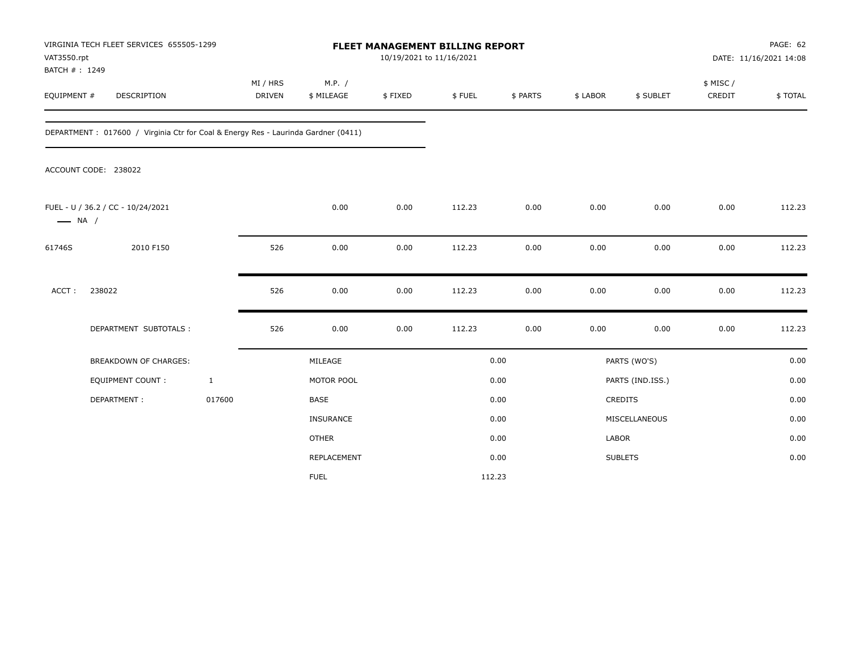| VAT3550.rpt                  | VIRGINIA TECH FLEET SERVICES 655505-1299                                          |                           |                      | <b>FLEET MANAGEMENT BILLING REPORT</b><br>10/19/2021 to 11/16/2021 |        |          | PAGE: 62<br>DATE: 11/16/2021 14:08<br>\$ MISC /<br>\$ LABOR<br>\$ SUBLET<br>CREDIT |                  |      |         |  |  |
|------------------------------|-----------------------------------------------------------------------------------|---------------------------|----------------------|--------------------------------------------------------------------|--------|----------|------------------------------------------------------------------------------------|------------------|------|---------|--|--|
| BATCH #: 1249<br>EQUIPMENT # | DESCRIPTION                                                                       | MI / HRS<br><b>DRIVEN</b> | M.P. /<br>\$ MILEAGE | \$FIXED                                                            | \$FUEL | \$ PARTS |                                                                                    |                  |      | \$TOTAL |  |  |
|                              | DEPARTMENT: 017600 / Virginia Ctr for Coal & Energy Res - Laurinda Gardner (0411) |                           |                      |                                                                    |        |          |                                                                                    |                  |      |         |  |  |
|                              | ACCOUNT CODE: 238022                                                              |                           |                      |                                                                    |        |          |                                                                                    |                  |      |         |  |  |
| $\longrightarrow$ NA /       | FUEL - U / 36.2 / CC - 10/24/2021                                                 |                           | 0.00                 | 0.00                                                               | 112.23 | 0.00     | 0.00                                                                               | 0.00             | 0.00 | 112.23  |  |  |
| 61746S                       | 2010 F150                                                                         | 526                       | 0.00                 | 0.00                                                               | 112.23 | 0.00     | 0.00                                                                               | 0.00             | 0.00 | 112.23  |  |  |
| ACCT:                        | 238022                                                                            | 526                       | 0.00                 | 0.00                                                               | 112.23 | 0.00     | 0.00                                                                               | 0.00             | 0.00 | 112.23  |  |  |
|                              | DEPARTMENT SUBTOTALS :                                                            | 526                       | 0.00                 | 0.00                                                               | 112.23 | 0.00     | 0.00                                                                               | 0.00             | 0.00 | 112.23  |  |  |
|                              | <b>BREAKDOWN OF CHARGES:</b>                                                      |                           | MILEAGE              |                                                                    |        | 0.00     |                                                                                    | PARTS (WO'S)     |      | 0.00    |  |  |
|                              | <b>EQUIPMENT COUNT:</b>                                                           | $\mathbf{1}$              | MOTOR POOL           |                                                                    |        | 0.00     |                                                                                    | PARTS (IND.ISS.) |      | 0.00    |  |  |
|                              | DEPARTMENT:                                                                       | 017600                    | <b>BASE</b>          |                                                                    |        | 0.00     |                                                                                    | CREDITS          |      | 0.00    |  |  |
|                              |                                                                                   |                           | INSURANCE            |                                                                    |        | 0.00     |                                                                                    | MISCELLANEOUS    |      | 0.00    |  |  |
|                              |                                                                                   |                           | <b>OTHER</b>         |                                                                    |        | 0.00     | LABOR                                                                              |                  |      | 0.00    |  |  |
|                              |                                                                                   |                           | REPLACEMENT          |                                                                    |        | 0.00     |                                                                                    | <b>SUBLETS</b>   |      | 0.00    |  |  |
|                              |                                                                                   |                           | <b>FUEL</b>          |                                                                    |        | 112.23   |                                                                                    |                  |      |         |  |  |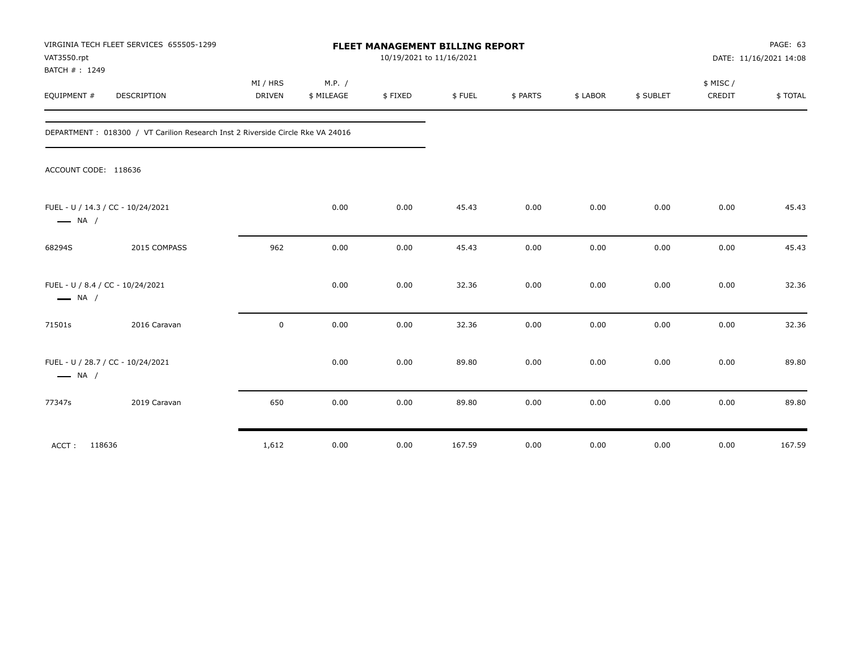| VAT3550.rpt<br>BATCH #: 1249                               | VIRGINIA TECH FLEET SERVICES 655505-1299                                        |                           |                      | FLEET MANAGEMENT BILLING REPORT | 10/19/2021 to 11/16/2021 |          |          |           | PAGE: 63<br>DATE: 11/16/2021 14:08 |         |
|------------------------------------------------------------|---------------------------------------------------------------------------------|---------------------------|----------------------|---------------------------------|--------------------------|----------|----------|-----------|------------------------------------|---------|
| EQUIPMENT #                                                | DESCRIPTION                                                                     | MI / HRS<br><b>DRIVEN</b> | M.P. /<br>\$ MILEAGE | \$FIXED                         | \$FUEL                   | \$ PARTS | \$ LABOR | \$ SUBLET | \$ MISC/<br>CREDIT                 | \$TOTAL |
|                                                            | DEPARTMENT : 018300 / VT Carilion Research Inst 2 Riverside Circle Rke VA 24016 |                           |                      |                                 |                          |          |          |           |                                    |         |
| ACCOUNT CODE: 118636                                       |                                                                                 |                           |                      |                                 |                          |          |          |           |                                    |         |
| $\longrightarrow$ NA /                                     | FUEL - U / 14.3 / CC - 10/24/2021                                               |                           | 0.00                 | 0.00                            | 45.43                    | 0.00     | 0.00     | 0.00      | 0.00                               | 45.43   |
| 68294S                                                     | 2015 COMPASS                                                                    | 962                       | 0.00                 | 0.00                            | 45.43                    | 0.00     | 0.00     | 0.00      | 0.00                               | 45.43   |
| FUEL - U / 8.4 / CC - 10/24/2021<br>$\longrightarrow$ NA / |                                                                                 |                           | 0.00                 | 0.00                            | 32.36                    | 0.00     | 0.00     | 0.00      | 0.00                               | 32.36   |
| 71501s                                                     | 2016 Caravan                                                                    | 0                         | 0.00                 | 0.00                            | 32.36                    | 0.00     | 0.00     | 0.00      | 0.00                               | 32.36   |
| $\longrightarrow$ NA /                                     | FUEL - U / 28.7 / CC - 10/24/2021                                               |                           | 0.00                 | 0.00                            | 89.80                    | 0.00     | 0.00     | 0.00      | 0.00                               | 89.80   |
| 77347s                                                     | 2019 Caravan                                                                    | 650                       | 0.00                 | 0.00                            | 89.80                    | 0.00     | 0.00     | 0.00      | 0.00                               | 89.80   |
| ACCT:<br>118636                                            |                                                                                 | 1,612                     | 0.00                 | 0.00                            | 167.59                   | 0.00     | 0.00     | 0.00      | 0.00                               | 167.59  |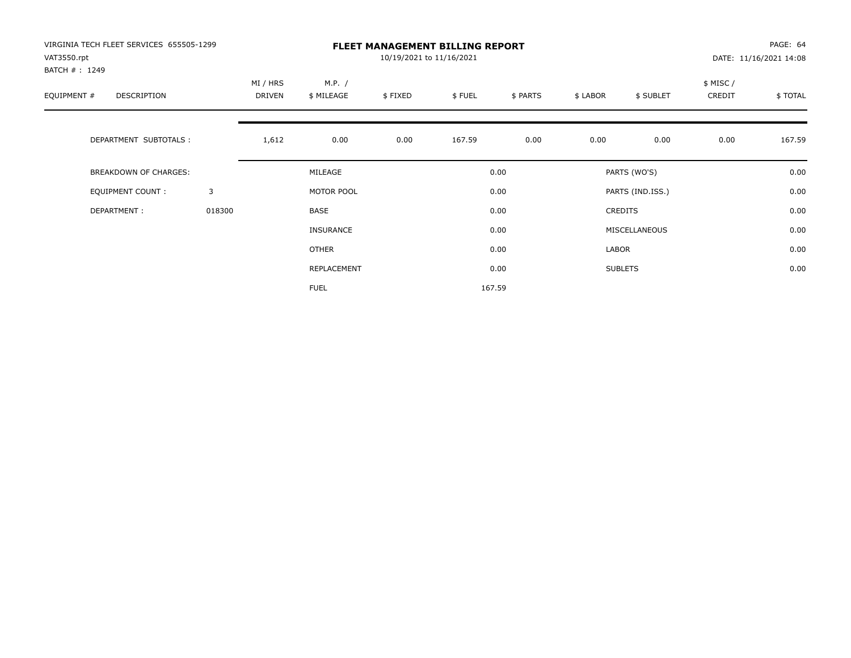| VIRGINIA TECH FLEET SERVICES 655505-1299<br>VAT3550.rpt |        |                    | <b>FLEET MANAGEMENT BILLING REPORT</b><br>10/19/2021 to 11/16/2021 |         |        |          |          |                  |                    |         |
|---------------------------------------------------------|--------|--------------------|--------------------------------------------------------------------|---------|--------|----------|----------|------------------|--------------------|---------|
| BATCH #: 1249<br>EQUIPMENT #<br>DESCRIPTION             |        | MI / HRS<br>DRIVEN | M.P. /<br>\$ MILEAGE                                               | \$FIXED | \$FUEL | \$ PARTS | \$ LABOR | \$ SUBLET        | \$ MISC/<br>CREDIT | \$TOTAL |
| DEPARTMENT SUBTOTALS :                                  |        | 1,612              | 0.00                                                               | 0.00    | 167.59 | 0.00     | 0.00     | 0.00             | 0.00               | 167.59  |
| <b>BREAKDOWN OF CHARGES:</b>                            |        |                    | MILEAGE                                                            |         |        | 0.00     |          | PARTS (WO'S)     |                    | 0.00    |
| <b>EQUIPMENT COUNT:</b>                                 | 3      |                    | MOTOR POOL                                                         |         |        | 0.00     |          | PARTS (IND.ISS.) |                    | 0.00    |
| DEPARTMENT:                                             | 018300 |                    | BASE                                                               |         |        | 0.00     |          | CREDITS          |                    | 0.00    |
|                                                         |        |                    | INSURANCE                                                          |         |        | 0.00     |          | MISCELLANEOUS    |                    | 0.00    |
|                                                         |        |                    | OTHER                                                              |         |        | 0.00     | LABOR    |                  |                    | 0.00    |
|                                                         |        |                    | REPLACEMENT                                                        |         |        | 0.00     |          | <b>SUBLETS</b>   |                    | 0.00    |
|                                                         |        |                    | <b>FUEL</b>                                                        |         |        | 167.59   |          |                  |                    |         |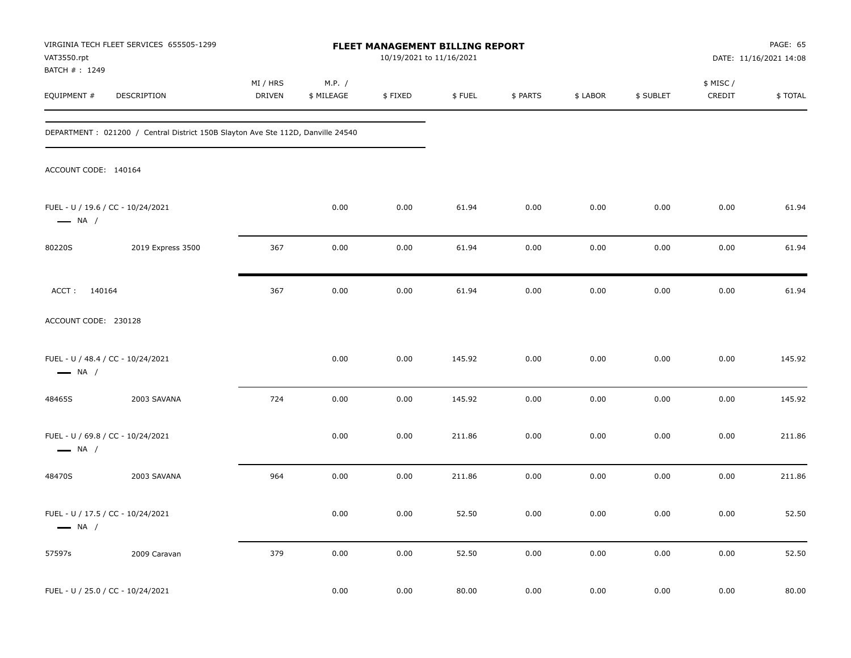| VAT3550.rpt                  | VIRGINIA TECH FLEET SERVICES 655505-1299                                        |                    |                      | FLEET MANAGEMENT BILLING REPORT<br>10/19/2021 to 11/16/2021 |        |          |          |           |                     | PAGE: 65<br>DATE: 11/16/2021 14:08 |
|------------------------------|---------------------------------------------------------------------------------|--------------------|----------------------|-------------------------------------------------------------|--------|----------|----------|-----------|---------------------|------------------------------------|
| BATCH #: 1249<br>EQUIPMENT # | DESCRIPTION                                                                     | MI / HRS<br>DRIVEN | M.P. /<br>\$ MILEAGE | \$FIXED                                                     | \$FUEL | \$ PARTS | \$ LABOR | \$ SUBLET | \$ MISC /<br>CREDIT | \$TOTAL                            |
|                              | DEPARTMENT: 021200 / Central District 150B Slayton Ave Ste 112D, Danville 24540 |                    |                      |                                                             |        |          |          |           |                     |                                    |
| ACCOUNT CODE: 140164         |                                                                                 |                    |                      |                                                             |        |          |          |           |                     |                                    |
| $\longrightarrow$ NA /       | FUEL - U / 19.6 / CC - 10/24/2021                                               |                    | 0.00                 | 0.00                                                        | 61.94  | 0.00     | 0.00     | 0.00      | 0.00                | 61.94                              |
| 80220S                       | 2019 Express 3500                                                               | 367                | 0.00                 | 0.00                                                        | 61.94  | 0.00     | 0.00     | 0.00      | 0.00                | 61.94                              |
| ACCT: 140164                 |                                                                                 | 367                | 0.00                 | 0.00                                                        | 61.94  | 0.00     | 0.00     | 0.00      | 0.00                | 61.94                              |
| ACCOUNT CODE: 230128         |                                                                                 |                    |                      |                                                             |        |          |          |           |                     |                                    |
| $\longrightarrow$ NA /       | FUEL - U / 48.4 / CC - 10/24/2021                                               |                    | 0.00                 | 0.00                                                        | 145.92 | 0.00     | 0.00     | 0.00      | 0.00                | 145.92                             |
| 48465S                       | 2003 SAVANA                                                                     | 724                | 0.00                 | 0.00                                                        | 145.92 | 0.00     | 0.00     | 0.00      | 0.00                | 145.92                             |
| $\longrightarrow$ NA /       | FUEL - U / 69.8 / CC - 10/24/2021                                               |                    | 0.00                 | 0.00                                                        | 211.86 | 0.00     | 0.00     | 0.00      | 0.00                | 211.86                             |
| 48470S                       | 2003 SAVANA                                                                     | 964                | 0.00                 | 0.00                                                        | 211.86 | 0.00     | 0.00     | 0.00      | 0.00                | 211.86                             |
| $\longrightarrow$ NA /       | FUEL - U / 17.5 / CC - 10/24/2021                                               |                    | 0.00                 | 0.00                                                        | 52.50  | 0.00     | 0.00     | 0.00      | 0.00                | 52.50                              |
| 57597s                       | 2009 Caravan                                                                    | 379                | 0.00                 | 0.00                                                        | 52.50  | 0.00     | 0.00     | 0.00      | 0.00                | 52.50                              |
|                              | FUEL - U / 25.0 / CC - 10/24/2021                                               |                    | 0.00                 | 0.00                                                        | 80.00  | 0.00     | 0.00     | 0.00      | 0.00                | 80.00                              |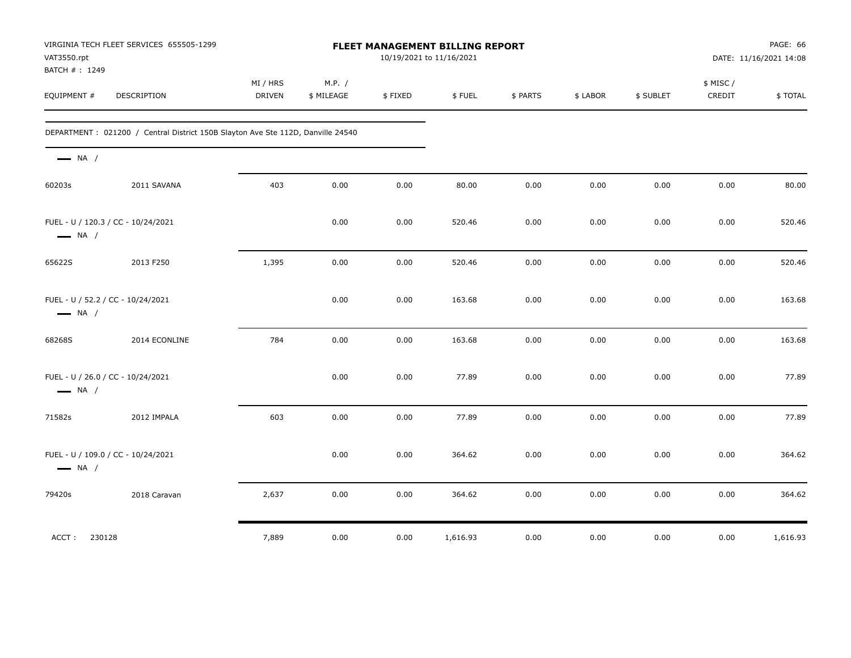| VAT3550.rpt<br>BATCH #: 1249                                | VIRGINIA TECH FLEET SERVICES 655505-1299                                         |                           |                      |         | FLEET MANAGEMENT BILLING REPORT<br>10/19/2021 to 11/16/2021 |          |          |           |                    | PAGE: 66<br>DATE: 11/16/2021 14:08 |
|-------------------------------------------------------------|----------------------------------------------------------------------------------|---------------------------|----------------------|---------|-------------------------------------------------------------|----------|----------|-----------|--------------------|------------------------------------|
| EQUIPMENT #                                                 | DESCRIPTION                                                                      | MI / HRS<br><b>DRIVEN</b> | M.P. /<br>\$ MILEAGE | \$FIXED | \$FUEL                                                      | \$ PARTS | \$ LABOR | \$ SUBLET | \$ MISC/<br>CREDIT | \$TOTAL                            |
|                                                             | DEPARTMENT : 021200 / Central District 150B Slayton Ave Ste 112D, Danville 24540 |                           |                      |         |                                                             |          |          |           |                    |                                    |
| $\longrightarrow$ NA /                                      |                                                                                  |                           |                      |         |                                                             |          |          |           |                    |                                    |
| 60203s                                                      | 2011 SAVANA                                                                      | 403                       | 0.00                 | 0.00    | 80.00                                                       | 0.00     | 0.00     | 0.00      | 0.00               | 80.00                              |
| $\longrightarrow$ NA /                                      | FUEL - U / 120.3 / CC - 10/24/2021                                               |                           | 0.00                 | 0.00    | 520.46                                                      | 0.00     | 0.00     | 0.00      | 0.00               | 520.46                             |
| 65622S                                                      | 2013 F250                                                                        | 1,395                     | 0.00                 | 0.00    | 520.46                                                      | 0.00     | 0.00     | 0.00      | 0.00               | 520.46                             |
| FUEL - U / 52.2 / CC - 10/24/2021<br>$\longrightarrow$ NA / |                                                                                  |                           | 0.00                 | 0.00    | 163.68                                                      | 0.00     | 0.00     | 0.00      | 0.00               | 163.68                             |
| 68268S                                                      | 2014 ECONLINE                                                                    | 784                       | 0.00                 | 0.00    | 163.68                                                      | 0.00     | 0.00     | 0.00      | 0.00               | 163.68                             |
| FUEL - U / 26.0 / CC - 10/24/2021<br>$\longrightarrow$ NA / |                                                                                  |                           | 0.00                 | 0.00    | 77.89                                                       | 0.00     | 0.00     | 0.00      | 0.00               | 77.89                              |
| 71582s                                                      | 2012 IMPALA                                                                      | 603                       | 0.00                 | 0.00    | 77.89                                                       | $0.00\,$ | 0.00     | 0.00      | 0.00               | 77.89                              |
| $\longrightarrow$ NA /                                      | FUEL - U / 109.0 / CC - 10/24/2021                                               |                           | 0.00                 | 0.00    | 364.62                                                      | 0.00     | 0.00     | 0.00      | 0.00               | 364.62                             |
| 79420s                                                      | 2018 Caravan                                                                     | 2,637                     | 0.00                 | 0.00    | 364.62                                                      | 0.00     | 0.00     | 0.00      | 0.00               | 364.62                             |
| 230128<br>ACCT:                                             |                                                                                  | 7,889                     | 0.00                 | 0.00    | 1,616.93                                                    | 0.00     | $0.00\,$ | 0.00      | 0.00               | 1,616.93                           |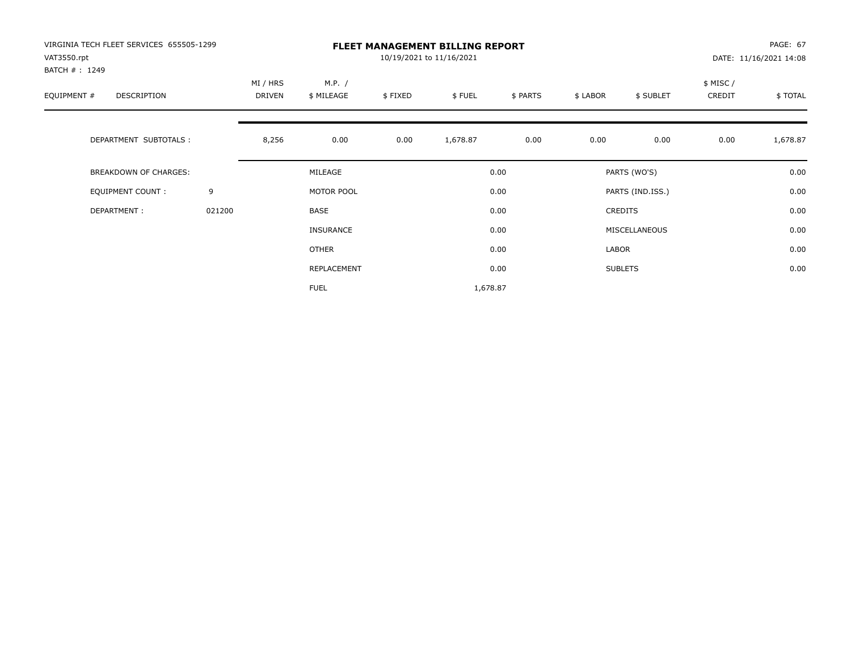| VIRGINIA TECH FLEET SERVICES 655505-1299<br>VAT3550.rpt |        |                           |                      |         | <b>FLEET MANAGEMENT BILLING REPORT</b><br>10/19/2021 to 11/16/2021 |          |          |                  |                     | PAGE: 67<br>DATE: 11/16/2021 14:08 |
|---------------------------------------------------------|--------|---------------------------|----------------------|---------|--------------------------------------------------------------------|----------|----------|------------------|---------------------|------------------------------------|
| BATCH #: 1249<br>EQUIPMENT #<br><b>DESCRIPTION</b>      |        | MI / HRS<br><b>DRIVEN</b> | M.P. /<br>\$ MILEAGE | \$FIXED | \$FUEL                                                             | \$ PARTS | \$ LABOR | \$ SUBLET        | \$ MISC /<br>CREDIT | \$TOTAL                            |
| DEPARTMENT SUBTOTALS :                                  |        | 8,256                     | 0.00                 | 0.00    | 1,678.87                                                           | 0.00     | 0.00     | 0.00             | 0.00                | 1,678.87                           |
| <b>BREAKDOWN OF CHARGES:</b>                            |        |                           | MILEAGE              |         |                                                                    | 0.00     |          | PARTS (WO'S)     |                     | 0.00                               |
| EQUIPMENT COUNT:                                        | 9      |                           | MOTOR POOL           |         |                                                                    | 0.00     |          | PARTS (IND.ISS.) |                     | 0.00                               |
| DEPARTMENT:                                             | 021200 |                           | <b>BASE</b>          |         |                                                                    | 0.00     |          | <b>CREDITS</b>   |                     | 0.00                               |
|                                                         |        |                           | INSURANCE            |         |                                                                    | 0.00     |          | MISCELLANEOUS    |                     | 0.00                               |
|                                                         |        |                           | <b>OTHER</b>         |         |                                                                    | 0.00     | LABOR    |                  |                     | 0.00                               |
|                                                         |        |                           | REPLACEMENT          |         |                                                                    | 0.00     |          | <b>SUBLETS</b>   |                     | 0.00                               |
|                                                         |        |                           | <b>FUEL</b>          |         | 1,678.87                                                           |          |          |                  |                     |                                    |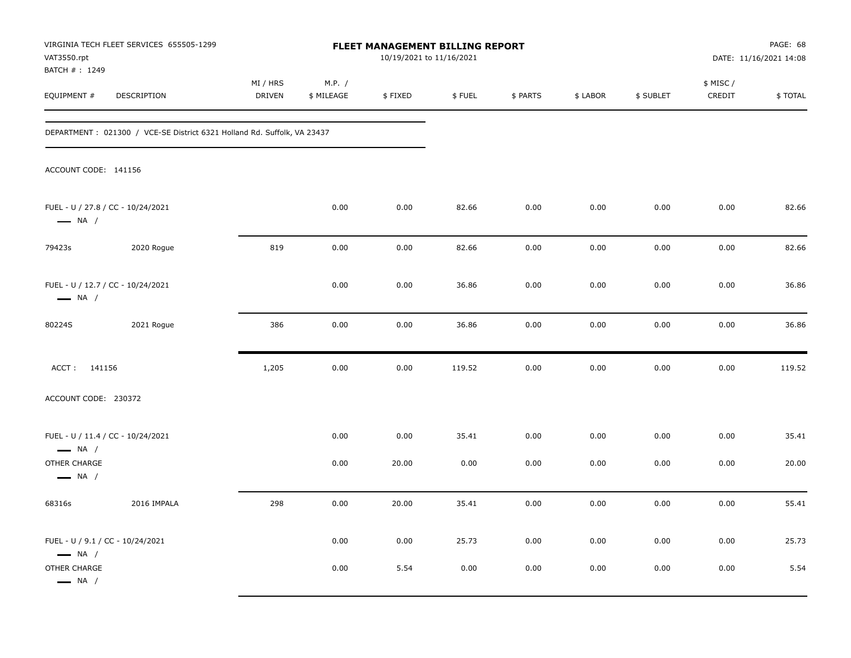| VAT3550.rpt<br>BATCH #: 1249                                | VIRGINIA TECH FLEET SERVICES 655505-1299                                 |                    |                      | FLEET MANAGEMENT BILLING REPORT<br>10/19/2021 to 11/16/2021 |        |          |          |           |                     | PAGE: 68<br>DATE: 11/16/2021 14:08 |
|-------------------------------------------------------------|--------------------------------------------------------------------------|--------------------|----------------------|-------------------------------------------------------------|--------|----------|----------|-----------|---------------------|------------------------------------|
| EQUIPMENT #                                                 | DESCRIPTION                                                              | MI / HRS<br>DRIVEN | M.P. /<br>\$ MILEAGE | \$FIXED                                                     | \$FUEL | \$ PARTS | \$ LABOR | \$ SUBLET | \$ MISC /<br>CREDIT | \$TOTAL                            |
|                                                             | DEPARTMENT : 021300 / VCE-SE District 6321 Holland Rd. Suffolk, VA 23437 |                    |                      |                                                             |        |          |          |           |                     |                                    |
| ACCOUNT CODE: 141156                                        |                                                                          |                    |                      |                                                             |        |          |          |           |                     |                                    |
| $\longrightarrow$ NA /                                      | FUEL - U / 27.8 / CC - 10/24/2021                                        |                    | 0.00                 | 0.00                                                        | 82.66  | 0.00     | 0.00     | 0.00      | 0.00                | 82.66                              |
| 79423s                                                      | 2020 Rogue                                                               | 819                | 0.00                 | 0.00                                                        | 82.66  | 0.00     | 0.00     | 0.00      | 0.00                | 82.66                              |
| $\longrightarrow$ NA /                                      | FUEL - U / 12.7 / CC - 10/24/2021                                        |                    | 0.00                 | 0.00                                                        | 36.86  | 0.00     | 0.00     | 0.00      | 0.00                | 36.86                              |
| 80224S                                                      | 2021 Rogue                                                               | 386                | 0.00                 | 0.00                                                        | 36.86  | 0.00     | 0.00     | 0.00      | 0.00                | 36.86                              |
| ACCT: 141156                                                |                                                                          | 1,205              | 0.00                 | 0.00                                                        | 119.52 | 0.00     | 0.00     | 0.00      | 0.00                | 119.52                             |
| ACCOUNT CODE: 230372                                        |                                                                          |                    |                      |                                                             |        |          |          |           |                     |                                    |
| FUEL - U / 11.4 / CC - 10/24/2021<br>$\longrightarrow$ NA / |                                                                          |                    | 0.00                 | 0.00                                                        | 35.41  | 0.00     | 0.00     | 0.00      | 0.00                | 35.41                              |
| OTHER CHARGE<br>$\longrightarrow$ NA /                      |                                                                          |                    | 0.00                 | 20.00                                                       | 0.00   | 0.00     | 0.00     | 0.00      | 0.00                | 20.00                              |
| 68316s                                                      | 2016 IMPALA                                                              | 298                | 0.00                 | 20.00                                                       | 35.41  | 0.00     | 0.00     | 0.00      | 0.00                | 55.41                              |
| FUEL - U / 9.1 / CC - 10/24/2021<br>$\longrightarrow$ NA /  |                                                                          |                    | 0.00                 | 0.00                                                        | 25.73  | 0.00     | 0.00     | 0.00      | 0.00                | 25.73                              |
| OTHER CHARGE<br>$\longrightarrow$ NA /                      |                                                                          |                    | 0.00                 | 5.54                                                        | 0.00   | 0.00     | 0.00     | 0.00      | 0.00                | 5.54                               |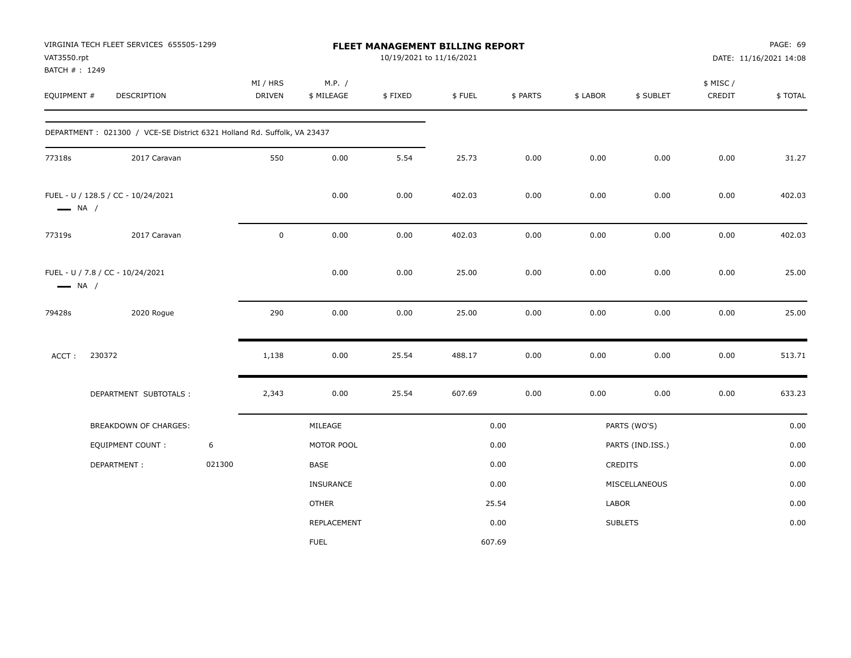| VAT3550.rpt<br>BATCH #: 1249 | VIRGINIA TECH FLEET SERVICES 655505-1299                                |        |                           |                      | 10/19/2021 to 11/16/2021 | FLEET MANAGEMENT BILLING REPORT |          |          |                  |                     | PAGE: 69<br>DATE: 11/16/2021 14:08 |
|------------------------------|-------------------------------------------------------------------------|--------|---------------------------|----------------------|--------------------------|---------------------------------|----------|----------|------------------|---------------------|------------------------------------|
| EQUIPMENT #                  | DESCRIPTION                                                             |        | MI / HRS<br><b>DRIVEN</b> | M.P. /<br>\$ MILEAGE | \$FIXED                  | \$FUEL                          | \$ PARTS | \$ LABOR | \$ SUBLET        | \$ MISC /<br>CREDIT | \$TOTAL                            |
|                              | DEPARTMENT: 021300 / VCE-SE District 6321 Holland Rd. Suffolk, VA 23437 |        |                           |                      |                          |                                 |          |          |                  |                     |                                    |
| 77318s                       | 2017 Caravan                                                            |        | 550                       | 0.00                 | 5.54                     | 25.73                           | 0.00     | 0.00     | 0.00             | 0.00                | 31.27                              |
| $\longrightarrow$ NA /       | FUEL - U / 128.5 / CC - 10/24/2021                                      |        |                           | 0.00                 | 0.00                     | 402.03                          | 0.00     | 0.00     | 0.00             | 0.00                | 402.03                             |
| 77319s                       | 2017 Caravan                                                            |        | $\mathsf 0$               | 0.00                 | 0.00                     | 402.03                          | 0.00     | 0.00     | 0.00             | 0.00                | 402.03                             |
| $\longrightarrow$ NA /       | FUEL - U / 7.8 / CC - 10/24/2021                                        |        |                           | 0.00                 | 0.00                     | 25.00                           | 0.00     | 0.00     | 0.00             | 0.00                | 25.00                              |
| 79428s                       | 2020 Rogue                                                              |        | 290                       | 0.00                 | 0.00                     | 25.00                           | 0.00     | 0.00     | 0.00             | 0.00                | 25.00                              |
| ACCT:                        | 230372                                                                  |        | 1,138                     | 0.00                 | 25.54                    | 488.17                          | 0.00     | 0.00     | 0.00             | 0.00                | 513.71                             |
|                              | DEPARTMENT SUBTOTALS :                                                  |        | 2,343                     | 0.00                 | 25.54                    | 607.69                          | 0.00     | 0.00     | 0.00             | 0.00                | 633.23                             |
|                              | <b>BREAKDOWN OF CHARGES:</b>                                            |        |                           | MILEAGE              |                          |                                 | 0.00     |          | PARTS (WO'S)     |                     | 0.00                               |
|                              | <b>EQUIPMENT COUNT:</b>                                                 | 6      |                           | MOTOR POOL           |                          |                                 | 0.00     |          | PARTS (IND.ISS.) |                     | 0.00                               |
|                              | DEPARTMENT:                                                             | 021300 |                           | BASE                 |                          |                                 | 0.00     |          | CREDITS          |                     | 0.00                               |
|                              |                                                                         |        |                           | <b>INSURANCE</b>     |                          |                                 | 0.00     |          | MISCELLANEOUS    |                     | 0.00                               |
|                              |                                                                         |        |                           | <b>OTHER</b>         |                          |                                 | 25.54    | LABOR    |                  |                     | 0.00                               |
|                              |                                                                         |        |                           | REPLACEMENT          |                          |                                 | 0.00     |          | <b>SUBLETS</b>   |                     | 0.00                               |
|                              |                                                                         |        |                           | <b>FUEL</b>          |                          | 607.69                          |          |          |                  |                     |                                    |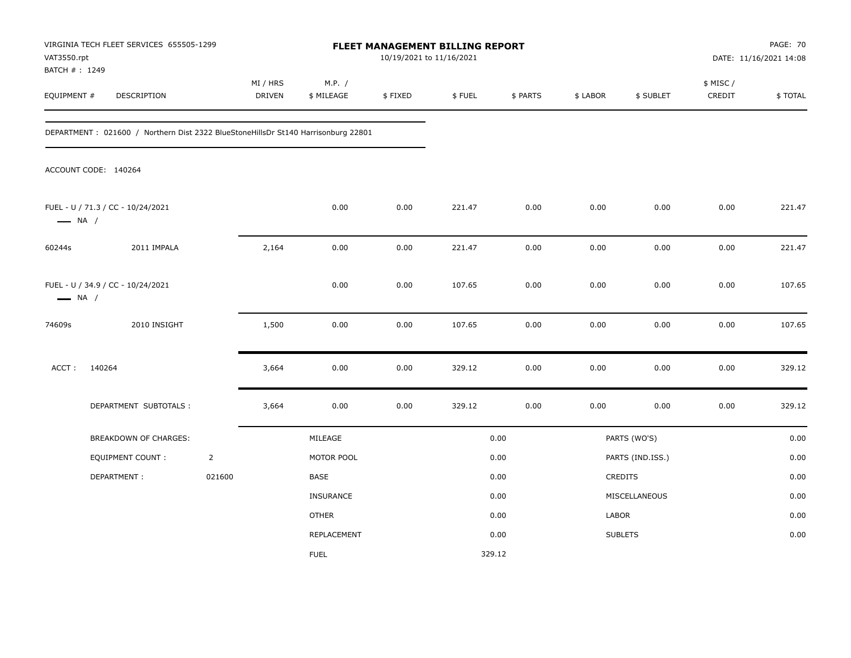| VAT3550.rpt<br>BATCH #: 1249 | VIRGINIA TECH FLEET SERVICES 655505-1299                                          |                |                           |                      | 10/19/2021 to 11/16/2021 | FLEET MANAGEMENT BILLING REPORT |          |          |                  |                     | <b>PAGE: 70</b><br>DATE: 11/16/2021 14:08 |
|------------------------------|-----------------------------------------------------------------------------------|----------------|---------------------------|----------------------|--------------------------|---------------------------------|----------|----------|------------------|---------------------|-------------------------------------------|
| EQUIPMENT #                  | DESCRIPTION                                                                       |                | MI / HRS<br><b>DRIVEN</b> | M.P. /<br>\$ MILEAGE | \$FIXED                  | \$FUEL                          | \$ PARTS | \$ LABOR | \$ SUBLET        | \$ MISC /<br>CREDIT | \$TOTAL                                   |
|                              | DEPARTMENT: 021600 / Northern Dist 2322 BlueStoneHillsDr St140 Harrisonburg 22801 |                |                           |                      |                          |                                 |          |          |                  |                     |                                           |
|                              | ACCOUNT CODE: 140264                                                              |                |                           |                      |                          |                                 |          |          |                  |                     |                                           |
| $\longrightarrow$ NA /       | FUEL - U / 71.3 / CC - 10/24/2021                                                 |                |                           | 0.00                 | 0.00                     | 221.47                          | 0.00     | 0.00     | 0.00             | 0.00                | 221.47                                    |
| 60244s                       | 2011 IMPALA                                                                       |                | 2,164                     | 0.00                 | 0.00                     | 221.47                          | 0.00     | 0.00     | 0.00             | 0.00                | 221.47                                    |
| $\longrightarrow$ NA /       | FUEL - U / 34.9 / CC - 10/24/2021                                                 |                |                           | 0.00                 | 0.00                     | 107.65                          | 0.00     | 0.00     | 0.00             | 0.00                | 107.65                                    |
| 74609s                       | 2010 INSIGHT                                                                      |                | 1,500                     | 0.00                 | 0.00                     | 107.65                          | 0.00     | 0.00     | 0.00             | 0.00                | 107.65                                    |
| ACCT:                        | 140264                                                                            |                | 3,664                     | 0.00                 | 0.00                     | 329.12                          | 0.00     | 0.00     | 0.00             | 0.00                | 329.12                                    |
|                              | DEPARTMENT SUBTOTALS :                                                            |                | 3,664                     | 0.00                 | 0.00                     | 329.12                          | 0.00     | 0.00     | 0.00             | 0.00                | 329.12                                    |
|                              | <b>BREAKDOWN OF CHARGES:</b>                                                      |                |                           | MILEAGE              |                          |                                 | 0.00     |          | PARTS (WO'S)     |                     | 0.00                                      |
|                              | <b>EQUIPMENT COUNT:</b>                                                           | $\overline{2}$ |                           | MOTOR POOL           |                          |                                 | 0.00     |          | PARTS (IND.ISS.) |                     | 0.00                                      |
|                              | DEPARTMENT:                                                                       | 021600         |                           | BASE                 |                          |                                 | 0.00     |          | CREDITS          |                     | 0.00                                      |
|                              |                                                                                   |                |                           | INSURANCE            |                          |                                 | 0.00     |          | MISCELLANEOUS    |                     | 0.00                                      |
|                              |                                                                                   |                |                           | <b>OTHER</b>         |                          |                                 | 0.00     | LABOR    |                  |                     | 0.00                                      |
|                              |                                                                                   |                |                           | REPLACEMENT          |                          |                                 | 0.00     |          | <b>SUBLETS</b>   |                     | 0.00                                      |
|                              |                                                                                   |                |                           | <b>FUEL</b>          |                          | 329.12                          |          |          |                  |                     |                                           |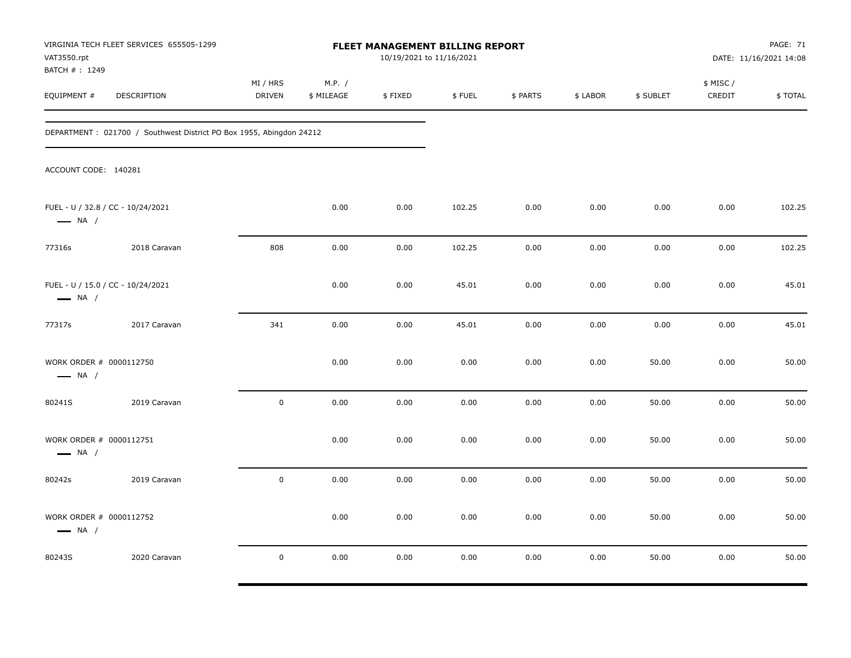| VAT3550.rpt<br>BATCH #: 1249                                | VIRGINIA TECH FLEET SERVICES 655505-1299                            |                           |                      | <b>FLEET MANAGEMENT BILLING REPORT</b><br>10/19/2021 to 11/16/2021 |        |          |          |           |                     | PAGE: 71<br>DATE: 11/16/2021 14:08 |
|-------------------------------------------------------------|---------------------------------------------------------------------|---------------------------|----------------------|--------------------------------------------------------------------|--------|----------|----------|-----------|---------------------|------------------------------------|
| EQUIPMENT #                                                 | DESCRIPTION                                                         | MI / HRS<br><b>DRIVEN</b> | M.P. /<br>\$ MILEAGE | \$FIXED                                                            | \$FUEL | \$ PARTS | \$ LABOR | \$ SUBLET | \$ MISC /<br>CREDIT | \$TOTAL                            |
|                                                             | DEPARTMENT: 021700 / Southwest District PO Box 1955, Abingdon 24212 |                           |                      |                                                                    |        |          |          |           |                     |                                    |
| ACCOUNT CODE: 140281                                        |                                                                     |                           |                      |                                                                    |        |          |          |           |                     |                                    |
| $\longrightarrow$ NA /                                      | FUEL - U / 32.8 / CC - 10/24/2021                                   |                           | 0.00                 | 0.00                                                               | 102.25 | 0.00     | 0.00     | 0.00      | 0.00                | 102.25                             |
| 77316s                                                      | 2018 Caravan                                                        | 808                       | 0.00                 | 0.00                                                               | 102.25 | 0.00     | 0.00     | 0.00      | 0.00                | 102.25                             |
| FUEL - U / 15.0 / CC - 10/24/2021<br>$\longrightarrow$ NA / |                                                                     |                           | 0.00                 | 0.00                                                               | 45.01  | 0.00     | 0.00     | 0.00      | 0.00                | 45.01                              |
| 77317s                                                      | 2017 Caravan                                                        | 341                       | 0.00                 | 0.00                                                               | 45.01  | 0.00     | 0.00     | 0.00      | 0.00                | 45.01                              |
| WORK ORDER # 0000112750<br>$\longrightarrow$ NA /           |                                                                     |                           | 0.00                 | 0.00                                                               | 0.00   | 0.00     | 0.00     | 50.00     | 0.00                | 50.00                              |
| 80241S                                                      | 2019 Caravan                                                        | $\mathsf 0$               | 0.00                 | 0.00                                                               | 0.00   | 0.00     | 0.00     | 50.00     | 0.00                | 50.00                              |
| WORK ORDER # 0000112751<br>$\longrightarrow$ NA /           |                                                                     |                           | 0.00                 | 0.00                                                               | 0.00   | 0.00     | 0.00     | 50.00     | 0.00                | 50.00                              |
| 80242s                                                      | 2019 Caravan                                                        | $\mathsf 0$               | 0.00                 | 0.00                                                               | 0.00   | 0.00     | 0.00     | 50.00     | 0.00                | 50.00                              |
| WORK ORDER # 0000112752<br>$\longrightarrow$ NA /           |                                                                     |                           | 0.00                 | 0.00                                                               | 0.00   | 0.00     | 0.00     | 50.00     | 0.00                | 50.00                              |
| 80243S                                                      | 2020 Caravan                                                        | $\mathbf 0$               | 0.00                 | 0.00                                                               | 0.00   | 0.00     | 0.00     | 50.00     | 0.00                | 50.00                              |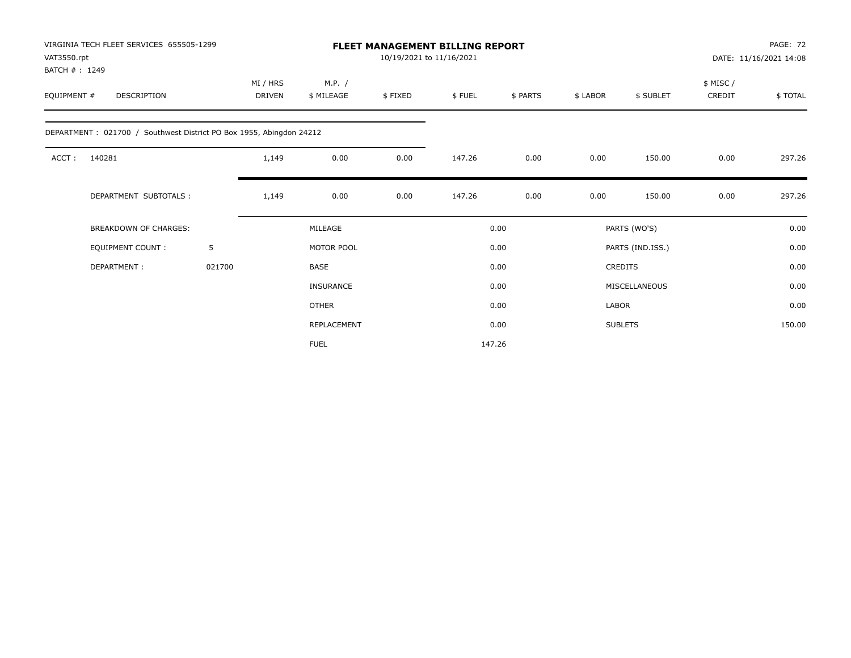| VIRGINIA TECH FLEET SERVICES 655505-1299<br>VAT3550.rpt<br>BATCH #: 1249 |                              |        |                           |                      | <b>FLEET MANAGEMENT BILLING REPORT</b><br>10/19/2021 to 11/16/2021 |        |          |          |                  | PAGE: 72<br>DATE: 11/16/2021 14:08 |          |
|--------------------------------------------------------------------------|------------------------------|--------|---------------------------|----------------------|--------------------------------------------------------------------|--------|----------|----------|------------------|------------------------------------|----------|
| EQUIPMENT #                                                              | DESCRIPTION                  |        | MI / HRS<br><b>DRIVEN</b> | M.P. /<br>\$ MILEAGE | \$FIXED                                                            | \$FUEL | \$ PARTS | \$ LABOR | \$ SUBLET        | \$ MISC /<br>CREDIT                | \$ TOTAL |
| DEPARTMENT: 021700 / Southwest District PO Box 1955, Abingdon 24212      |                              |        |                           |                      |                                                                    |        |          |          |                  |                                    |          |
| ACCT:<br>140281                                                          |                              |        | 1,149                     | 0.00                 | 0.00                                                               | 147.26 | 0.00     | 0.00     | 150.00           | 0.00                               | 297.26   |
|                                                                          | DEPARTMENT SUBTOTALS :       |        | 1,149                     | 0.00                 | 0.00                                                               | 147.26 | 0.00     | 0.00     | 150.00           | 0.00                               | 297.26   |
|                                                                          | <b>BREAKDOWN OF CHARGES:</b> |        |                           | MILEAGE              |                                                                    |        | 0.00     |          | PARTS (WO'S)     |                                    | 0.00     |
| <b>EQUIPMENT COUNT:</b>                                                  |                              | 5      |                           | MOTOR POOL           |                                                                    |        | 0.00     |          | PARTS (IND.ISS.) |                                    | 0.00     |
| DEPARTMENT:                                                              |                              | 021700 |                           | <b>BASE</b>          |                                                                    |        | 0.00     |          | <b>CREDITS</b>   |                                    | 0.00     |
|                                                                          |                              |        |                           | <b>INSURANCE</b>     |                                                                    |        | 0.00     |          | MISCELLANEOUS    |                                    | 0.00     |
|                                                                          |                              |        |                           | <b>OTHER</b>         |                                                                    |        | 0.00     | LABOR    |                  |                                    | 0.00     |
|                                                                          |                              |        |                           | REPLACEMENT          |                                                                    |        | 0.00     |          | <b>SUBLETS</b>   |                                    | 150.00   |
|                                                                          |                              |        |                           | <b>FUEL</b>          |                                                                    |        | 147.26   |          |                  |                                    |          |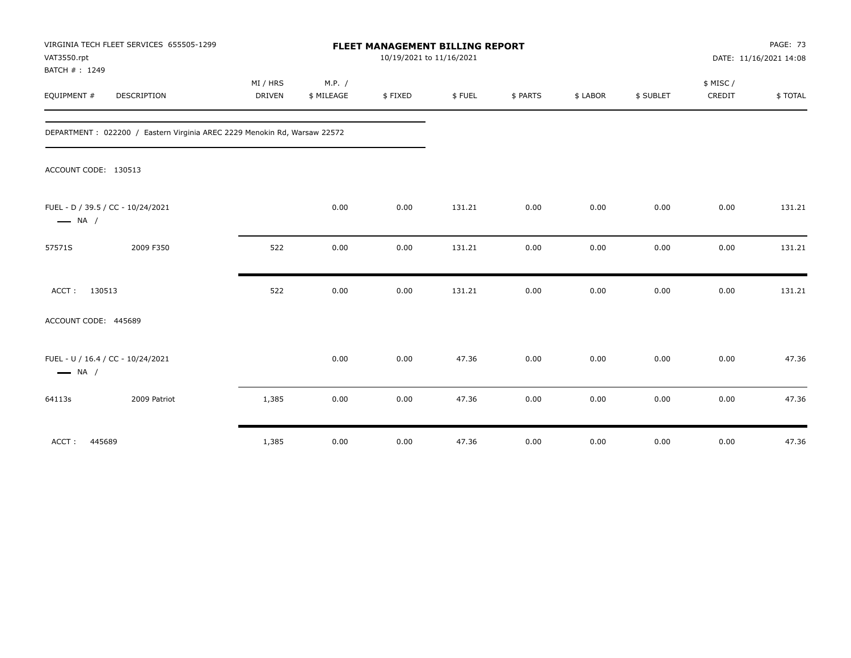| VIRGINIA TECH FLEET SERVICES 655505-1299<br>VAT3550.rpt<br>BATCH #: 1249  |                    |                      | FLEET MANAGEMENT BILLING REPORT<br>10/19/2021 to 11/16/2021 |        |          |          |           |                    | PAGE: 73<br>DATE: 11/16/2021 14:08 |
|---------------------------------------------------------------------------|--------------------|----------------------|-------------------------------------------------------------|--------|----------|----------|-----------|--------------------|------------------------------------|
| EQUIPMENT #<br><b>DESCRIPTION</b>                                         | MI / HRS<br>DRIVEN | M.P. /<br>\$ MILEAGE | \$FIXED                                                     | \$FUEL | \$ PARTS | \$ LABOR | \$ SUBLET | \$ MISC/<br>CREDIT | \$TOTAL                            |
| DEPARTMENT : 022200 / Eastern Virginia AREC 2229 Menokin Rd, Warsaw 22572 |                    |                      |                                                             |        |          |          |           |                    |                                    |
| ACCOUNT CODE: 130513                                                      |                    |                      |                                                             |        |          |          |           |                    |                                    |
| FUEL - D / 39.5 / CC - 10/24/2021<br>$\longrightarrow$ NA /               |                    | 0.00                 | 0.00                                                        | 131.21 | 0.00     | 0.00     | 0.00      | 0.00               | 131.21                             |
| 2009 F350<br>57571S                                                       | 522                | 0.00                 | 0.00                                                        | 131.21 | 0.00     | 0.00     | 0.00      | 0.00               | 131.21                             |
| ACCT: 130513                                                              | 522                | 0.00                 | 0.00                                                        | 131.21 | 0.00     | 0.00     | 0.00      | 0.00               | 131.21                             |
| ACCOUNT CODE: 445689                                                      |                    |                      |                                                             |        |          |          |           |                    |                                    |
| FUEL - U / 16.4 / CC - 10/24/2021<br>$\longrightarrow$ NA /               |                    | 0.00                 | 0.00                                                        | 47.36  | 0.00     | 0.00     | 0.00      | 0.00               | 47.36                              |
| 2009 Patriot<br>64113s                                                    | 1,385              | 0.00                 | 0.00                                                        | 47.36  | 0.00     | 0.00     | 0.00      | 0.00               | 47.36                              |
| 445689<br>ACCT:                                                           | 1,385              | 0.00                 | 0.00                                                        | 47.36  | 0.00     | 0.00     | 0.00      | 0.00               | 47.36                              |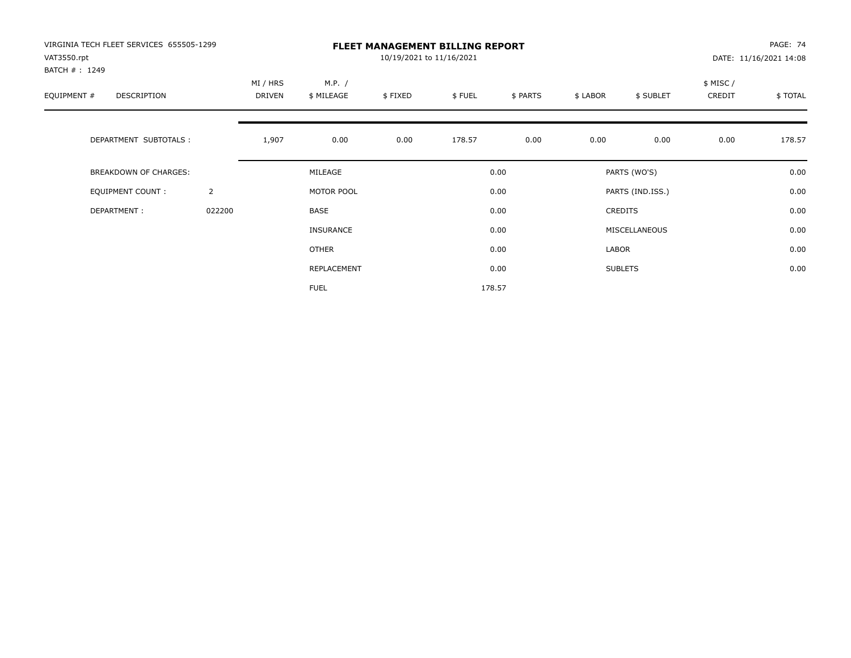| VIRGINIA TECH FLEET SERVICES 655505-1299<br>VAT3550.rpt<br>BATCH #: 1249 |                | <b>FLEET MANAGEMENT BILLING REPORT</b><br>10/19/2021 to 11/16/2021 |                      |         |        |          |          |                  |                     | PAGE: 74<br>DATE: 11/16/2021 14:08 |
|--------------------------------------------------------------------------|----------------|--------------------------------------------------------------------|----------------------|---------|--------|----------|----------|------------------|---------------------|------------------------------------|
| EQUIPMENT #<br><b>DESCRIPTION</b>                                        |                | MI / HRS<br><b>DRIVEN</b>                                          | M.P. /<br>\$ MILEAGE | \$FIXED | \$FUEL | \$ PARTS | \$ LABOR | \$ SUBLET        | \$ MISC /<br>CREDIT | \$TOTAL                            |
| DEPARTMENT SUBTOTALS :                                                   |                | 1,907                                                              | 0.00                 | 0.00    | 178.57 | 0.00     | 0.00     | 0.00             | 0.00                | 178.57                             |
| <b>BREAKDOWN OF CHARGES:</b>                                             |                |                                                                    | MILEAGE              |         |        | 0.00     |          | PARTS (WO'S)     |                     | 0.00                               |
| EQUIPMENT COUNT:                                                         | $\overline{2}$ |                                                                    | MOTOR POOL           |         |        | 0.00     |          | PARTS (IND.ISS.) |                     | 0.00                               |
| DEPARTMENT:                                                              | 022200         |                                                                    | <b>BASE</b>          |         |        | 0.00     |          | <b>CREDITS</b>   |                     | 0.00                               |
|                                                                          |                |                                                                    | INSURANCE            |         |        | 0.00     |          | MISCELLANEOUS    |                     | 0.00                               |
|                                                                          |                |                                                                    | OTHER                |         |        | 0.00     | LABOR    |                  |                     | 0.00                               |
|                                                                          |                |                                                                    | REPLACEMENT          |         |        | 0.00     |          | <b>SUBLETS</b>   |                     | 0.00                               |
|                                                                          |                |                                                                    | <b>FUEL</b>          |         |        | 178.57   |          |                  |                     |                                    |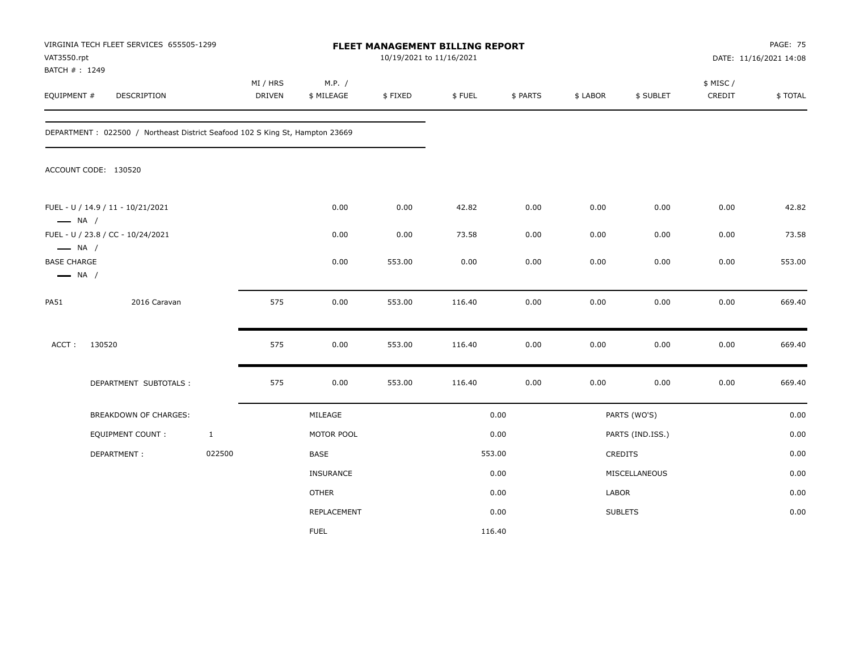| VAT3550.rpt<br>BATCH #: 1249                                           | VIRGINIA TECH FLEET SERVICES 655505-1299                                     |              |                    |                      | 10/19/2021 to 11/16/2021 | FLEET MANAGEMENT BILLING REPORT |          |          |                  | <b>PAGE: 75</b><br>DATE: 11/16/2021 14:08 |         |
|------------------------------------------------------------------------|------------------------------------------------------------------------------|--------------|--------------------|----------------------|--------------------------|---------------------------------|----------|----------|------------------|-------------------------------------------|---------|
| EQUIPMENT #                                                            | DESCRIPTION                                                                  |              | MI / HRS<br>DRIVEN | M.P. /<br>\$ MILEAGE | \$FIXED                  | \$FUEL                          | \$ PARTS | \$ LABOR | \$ SUBLET        | \$ MISC /<br>CREDIT                       | \$TOTAL |
|                                                                        | DEPARTMENT: 022500 / Northeast District Seafood 102 S King St, Hampton 23669 |              |                    |                      |                          |                                 |          |          |                  |                                           |         |
|                                                                        | ACCOUNT CODE: 130520                                                         |              |                    |                      |                          |                                 |          |          |                  |                                           |         |
| $\longrightarrow$ NA /                                                 | FUEL - U / 14.9 / 11 - 10/21/2021                                            |              |                    | 0.00                 | 0.00                     | 42.82                           | 0.00     | 0.00     | 0.00             | 0.00                                      | 42.82   |
|                                                                        | FUEL - U / 23.8 / CC - 10/24/2021                                            |              |                    | 0.00                 | 0.00                     | 73.58                           | 0.00     | 0.00     | 0.00             | 0.00                                      | 73.58   |
| $\longrightarrow$ NA /<br><b>BASE CHARGE</b><br>$\longrightarrow$ NA / |                                                                              |              |                    | 0.00                 | 553.00                   | 0.00                            | 0.00     | 0.00     | 0.00             | 0.00                                      | 553.00  |
| <b>PA51</b>                                                            | 2016 Caravan                                                                 |              | 575                | 0.00                 | 553.00                   | 116.40                          | 0.00     | 0.00     | 0.00             | 0.00                                      | 669.40  |
| ACCT:                                                                  | 130520                                                                       |              | 575                | 0.00                 | 553.00                   | 116.40                          | 0.00     | 0.00     | 0.00             | 0.00                                      | 669.40  |
|                                                                        | DEPARTMENT SUBTOTALS :                                                       |              | 575                | 0.00                 | 553.00                   | 116.40                          | 0.00     | 0.00     | 0.00             | 0.00                                      | 669.40  |
|                                                                        | BREAKDOWN OF CHARGES:                                                        |              |                    | MILEAGE              |                          |                                 | 0.00     |          | PARTS (WO'S)     |                                           | 0.00    |
|                                                                        | EQUIPMENT COUNT :                                                            | $\mathbf{1}$ |                    | MOTOR POOL           |                          |                                 | 0.00     |          | PARTS (IND.ISS.) |                                           | 0.00    |
|                                                                        | DEPARTMENT:                                                                  | 022500       |                    | <b>BASE</b>          |                          |                                 | 553.00   |          | CREDITS          |                                           | 0.00    |
|                                                                        |                                                                              |              |                    | <b>INSURANCE</b>     |                          |                                 | 0.00     |          | MISCELLANEOUS    |                                           | 0.00    |
|                                                                        |                                                                              |              |                    | <b>OTHER</b>         |                          |                                 | 0.00     | LABOR    |                  |                                           | 0.00    |
|                                                                        |                                                                              |              |                    | <b>REPLACEMENT</b>   |                          |                                 | 0.00     |          | <b>SUBLETS</b>   |                                           | 0.00    |
|                                                                        |                                                                              |              |                    | <b>FUEL</b>          |                          | 116.40                          |          |          |                  |                                           |         |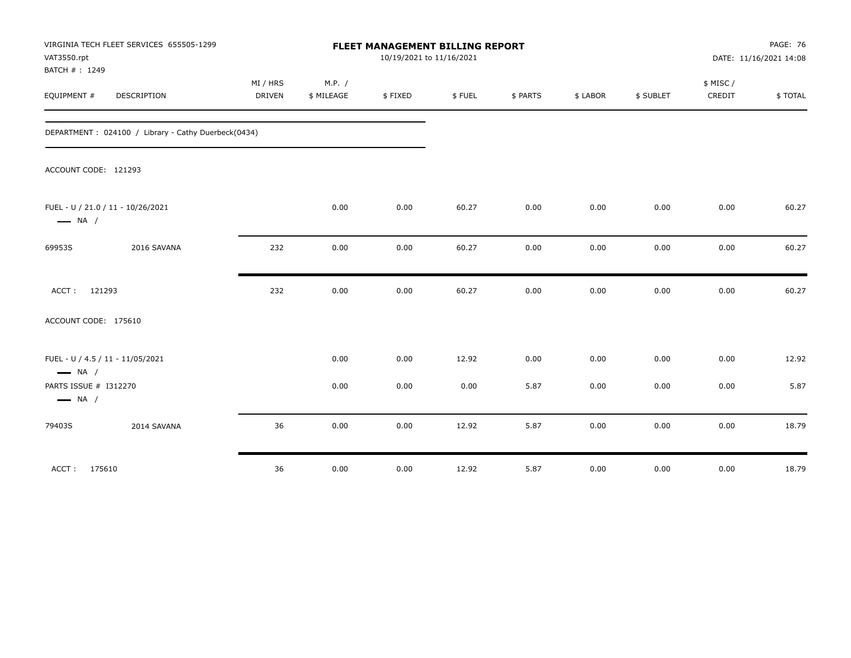|                                                 | VIRGINIA TECH FLEET SERVICES 655505-1299            |          | PAGE: 76<br>FLEET MANAGEMENT BILLING REPORT |                          |        |          |          |           |           |                        |
|-------------------------------------------------|-----------------------------------------------------|----------|---------------------------------------------|--------------------------|--------|----------|----------|-----------|-----------|------------------------|
| VAT3550.rpt                                     |                                                     |          |                                             | 10/19/2021 to 11/16/2021 |        |          |          |           |           | DATE: 11/16/2021 14:08 |
| BATCH #: 1249                                   |                                                     |          |                                             |                          |        |          |          |           |           |                        |
|                                                 |                                                     | MI / HRS | M.P. /                                      |                          |        |          |          |           | \$ MISC / |                        |
| EQUIPMENT #                                     | <b>DESCRIPTION</b>                                  | DRIVEN   | \$ MILEAGE                                  | \$FIXED                  | \$FUEL | \$ PARTS | \$ LABOR | \$ SUBLET | CREDIT    | \$TOTAL                |
|                                                 | DEPARTMENT: 024100 / Library - Cathy Duerbeck(0434) |          |                                             |                          |        |          |          |           |           |                        |
| ACCOUNT CODE: 121293                            |                                                     |          |                                             |                          |        |          |          |           |           |                        |
| $\longrightarrow$ NA /                          | FUEL - U / 21.0 / 11 - 10/26/2021                   |          | 0.00                                        | 0.00                     | 60.27  | 0.00     | 0.00     | 0.00      | 0.00      | 60.27                  |
| 69953S                                          | 2016 SAVANA                                         | 232      | 0.00                                        | 0.00                     | 60.27  | 0.00     | 0.00     | 0.00      | 0.00      | 60.27                  |
| ACCT: 121293                                    |                                                     | 232      | 0.00                                        | 0.00                     | 60.27  | 0.00     | 0.00     | 0.00      | 0.00      | 60.27                  |
| ACCOUNT CODE: 175610                            |                                                     |          |                                             |                          |        |          |          |           |           |                        |
| $\longrightarrow$ NA /                          | FUEL - U / 4.5 / 11 - 11/05/2021                    |          | 0.00                                        | 0.00                     | 12.92  | 0.00     | 0.00     | 0.00      | 0.00      | 12.92                  |
| PARTS ISSUE # I312270<br>$\longrightarrow$ NA / |                                                     |          | 0.00                                        | 0.00                     | 0.00   | 5.87     | 0.00     | 0.00      | 0.00      | 5.87                   |
| 79403S                                          | 2014 SAVANA                                         | 36       | 0.00                                        | 0.00                     | 12.92  | 5.87     | 0.00     | 0.00      | 0.00      | 18.79                  |
| ACCT: 175610                                    |                                                     | 36       | 0.00                                        | 0.00                     | 12.92  | 5.87     | 0.00     | 0.00      | 0.00      | 18.79                  |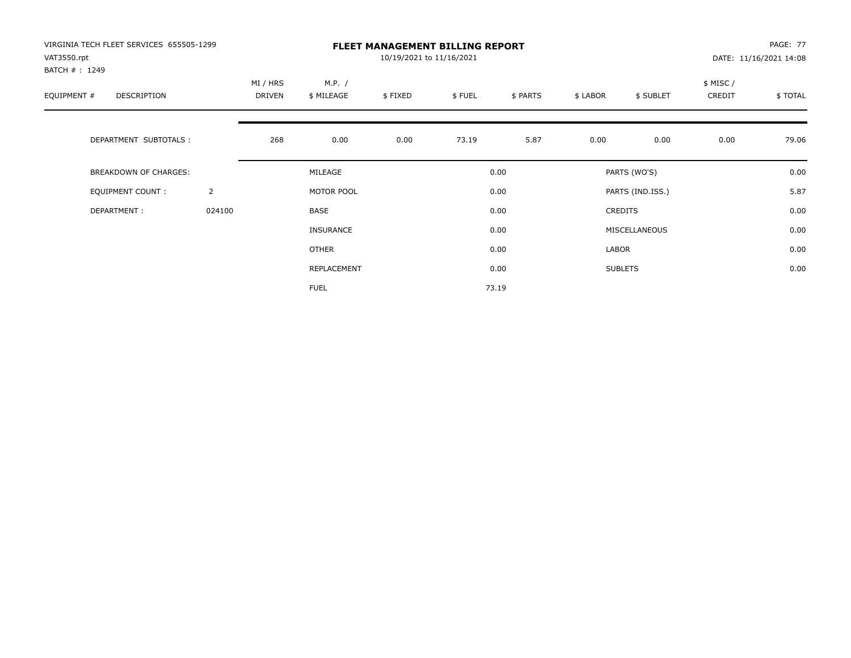| VIRGINIA TECH FLEET SERVICES 655505-1299<br>VAT3550.rpt<br>BATCH #: 1249 |                | <b>FLEET MANAGEMENT BILLING REPORT</b><br>10/19/2021 to 11/16/2021 |                      |         |        |          |          |                  |                     | <b>PAGE: 77</b><br>DATE: 11/16/2021 14:08 |
|--------------------------------------------------------------------------|----------------|--------------------------------------------------------------------|----------------------|---------|--------|----------|----------|------------------|---------------------|-------------------------------------------|
| EQUIPMENT #<br><b>DESCRIPTION</b>                                        |                | MI / HRS<br><b>DRIVEN</b>                                          | M.P. /<br>\$ MILEAGE | \$FIXED | \$FUEL | \$ PARTS | \$ LABOR | \$ SUBLET        | \$ MISC /<br>CREDIT | \$TOTAL                                   |
| DEPARTMENT SUBTOTALS :                                                   |                | 268                                                                | 0.00                 | 0.00    | 73.19  | 5.87     | 0.00     | 0.00             | 0.00                | 79.06                                     |
| <b>BREAKDOWN OF CHARGES:</b>                                             |                |                                                                    | MILEAGE              |         |        | 0.00     |          | PARTS (WO'S)     |                     | 0.00                                      |
| <b>EQUIPMENT COUNT:</b>                                                  | $\overline{2}$ |                                                                    | MOTOR POOL           |         |        | 0.00     |          | PARTS (IND.ISS.) |                     | 5.87                                      |
| DEPARTMENT:                                                              | 024100         |                                                                    | <b>BASE</b>          |         |        | 0.00     |          | <b>CREDITS</b>   |                     | 0.00                                      |
|                                                                          |                |                                                                    | INSURANCE            |         |        | 0.00     |          | MISCELLANEOUS    |                     | 0.00                                      |
|                                                                          |                |                                                                    | OTHER                |         |        | 0.00     | LABOR    |                  |                     | 0.00                                      |
|                                                                          |                |                                                                    | REPLACEMENT          |         |        | 0.00     |          | <b>SUBLETS</b>   |                     | 0.00                                      |
|                                                                          |                |                                                                    | <b>FUEL</b>          |         |        | 73.19    |          |                  |                     |                                           |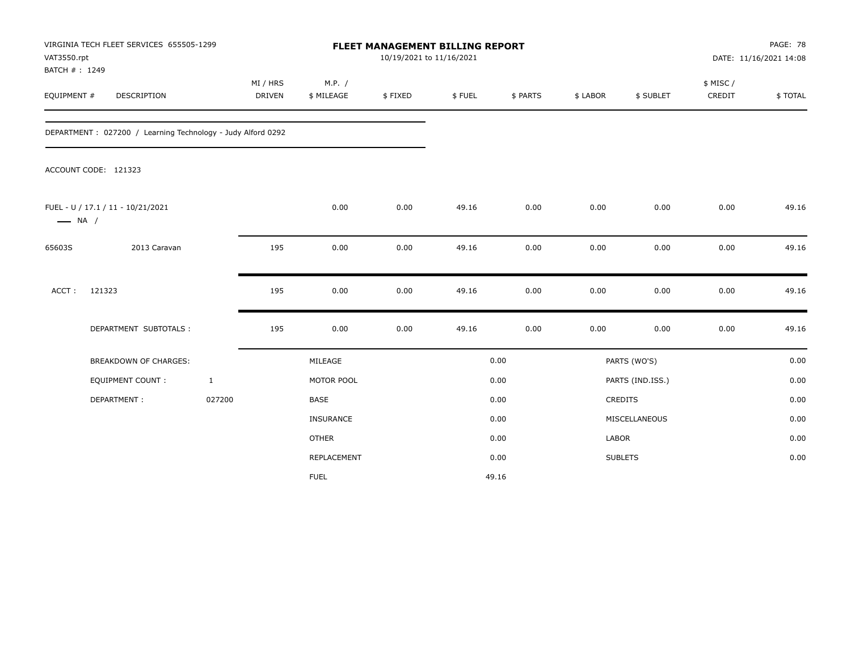| VAT3550.rpt                  | VIRGINIA TECH FLEET SERVICES 655505-1299                    |                           | <b>FLEET MANAGEMENT BILLING REPORT</b><br>10/19/2021 to 11/16/2021 |         |        |          |              |                  |                     | PAGE: 78<br>DATE: 11/16/2021 14:08 |  |
|------------------------------|-------------------------------------------------------------|---------------------------|--------------------------------------------------------------------|---------|--------|----------|--------------|------------------|---------------------|------------------------------------|--|
| BATCH #: 1249<br>EQUIPMENT # | DESCRIPTION                                                 | MI / HRS<br><b>DRIVEN</b> | M.P. /<br>\$ MILEAGE                                               | \$FIXED | \$FUEL | \$ PARTS | \$ LABOR     | \$ SUBLET        | \$ MISC /<br>CREDIT | \$TOTAL                            |  |
|                              | DEPARTMENT: 027200 / Learning Technology - Judy Alford 0292 |                           |                                                                    |         |        |          |              |                  |                     |                                    |  |
|                              | ACCOUNT CODE: 121323                                        |                           |                                                                    |         |        |          |              |                  |                     |                                    |  |
| $\longrightarrow$ NA /       | FUEL - U / 17.1 / 11 - 10/21/2021                           |                           | 0.00                                                               | 0.00    | 49.16  | 0.00     | 0.00         | 0.00             | 0.00                | 49.16                              |  |
| 65603S                       | 2013 Caravan                                                | 195                       | 0.00                                                               | 0.00    | 49.16  | 0.00     | 0.00         | 0.00             | 0.00                | 49.16                              |  |
| ACCT:                        | 121323                                                      | 195                       | 0.00                                                               | 0.00    | 49.16  | 0.00     | 0.00         | 0.00             | 0.00                | 49.16                              |  |
|                              | DEPARTMENT SUBTOTALS :                                      | 195                       | 0.00                                                               | 0.00    | 49.16  | 0.00     | 0.00         | 0.00             | 0.00                | 49.16                              |  |
|                              | BREAKDOWN OF CHARGES:                                       |                           | MILEAGE                                                            |         |        | 0.00     |              | PARTS (WO'S)     |                     | 0.00                               |  |
|                              | EQUIPMENT COUNT :                                           | $\mathbf{1}$              | MOTOR POOL                                                         |         |        | 0.00     |              | PARTS (IND.ISS.) |                     | 0.00                               |  |
|                              | DEPARTMENT:                                                 | 027200                    | <b>BASE</b>                                                        |         |        | 0.00     |              | CREDITS          |                     | 0.00                               |  |
|                              |                                                             |                           | INSURANCE                                                          |         |        | 0.00     |              | MISCELLANEOUS    |                     | 0.00                               |  |
|                              |                                                             |                           | <b>OTHER</b>                                                       |         |        | 0.00     | <b>LABOR</b> |                  |                     | 0.00                               |  |
|                              |                                                             |                           | REPLACEMENT                                                        |         |        | 0.00     |              | <b>SUBLETS</b>   |                     | 0.00                               |  |
|                              |                                                             |                           | <b>FUEL</b>                                                        |         |        | 49.16    |              |                  |                     |                                    |  |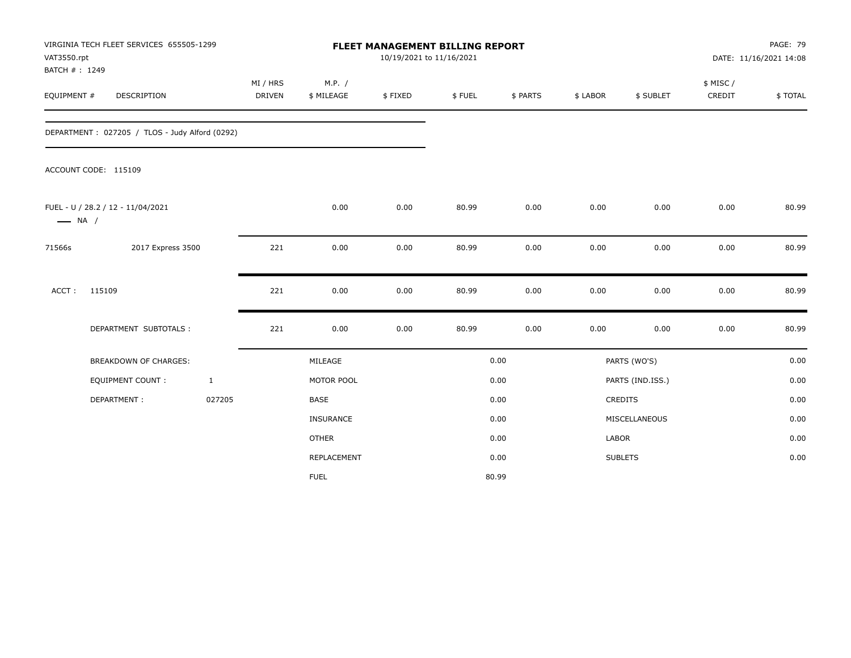| VAT3550.rpt                  | VIRGINIA TECH FLEET SERVICES 655505-1299       |                           |                      | FLEET MANAGEMENT BILLING REPORT | 10/19/2021 to 11/16/2021 |          |          |                  |                     | PAGE: 79<br>DATE: 11/16/2021 14:08 |
|------------------------------|------------------------------------------------|---------------------------|----------------------|---------------------------------|--------------------------|----------|----------|------------------|---------------------|------------------------------------|
| BATCH #: 1249<br>EQUIPMENT # | DESCRIPTION                                    | MI / HRS<br><b>DRIVEN</b> | M.P. /<br>\$ MILEAGE | \$FIXED                         | \$FUEL                   | \$ PARTS | \$ LABOR | \$ SUBLET        | \$ MISC /<br>CREDIT | \$TOTAL                            |
|                              | DEPARTMENT: 027205 / TLOS - Judy Alford (0292) |                           |                      |                                 |                          |          |          |                  |                     |                                    |
|                              | ACCOUNT CODE: 115109                           |                           |                      |                                 |                          |          |          |                  |                     |                                    |
| $\longrightarrow$ NA /       | FUEL - U / 28.2 / 12 - 11/04/2021              |                           | 0.00                 | 0.00                            | 80.99                    | 0.00     | 0.00     | 0.00             | 0.00                | 80.99                              |
| 71566s                       | 2017 Express 3500                              | 221                       | 0.00                 | 0.00                            | 80.99                    | 0.00     | 0.00     | 0.00             | 0.00                | 80.99                              |
| ACCT:                        | 115109                                         | 221                       | 0.00                 | 0.00                            | 80.99                    | 0.00     | 0.00     | 0.00             | 0.00                | 80.99                              |
|                              | DEPARTMENT SUBTOTALS :                         | 221                       | 0.00                 | 0.00                            | 80.99                    | 0.00     | 0.00     | 0.00             | 0.00                | 80.99                              |
|                              | BREAKDOWN OF CHARGES:                          |                           | MILEAGE              |                                 |                          | 0.00     |          | PARTS (WO'S)     |                     | 0.00                               |
|                              | <b>EQUIPMENT COUNT:</b>                        | $\mathbf{1}$              | MOTOR POOL           |                                 |                          | 0.00     |          | PARTS (IND.ISS.) |                     | 0.00                               |
|                              | DEPARTMENT:                                    | 027205                    | <b>BASE</b>          |                                 |                          | 0.00     |          | <b>CREDITS</b>   |                     | 0.00                               |
|                              |                                                |                           | INSURANCE            |                                 |                          | 0.00     |          | MISCELLANEOUS    |                     | 0.00                               |
|                              |                                                |                           | <b>OTHER</b>         |                                 |                          | 0.00     | LABOR    |                  |                     | 0.00                               |
|                              |                                                |                           | REPLACEMENT          |                                 |                          | 0.00     |          | <b>SUBLETS</b>   |                     | 0.00                               |
|                              |                                                |                           | <b>FUEL</b>          |                                 |                          | 80.99    |          |                  |                     |                                    |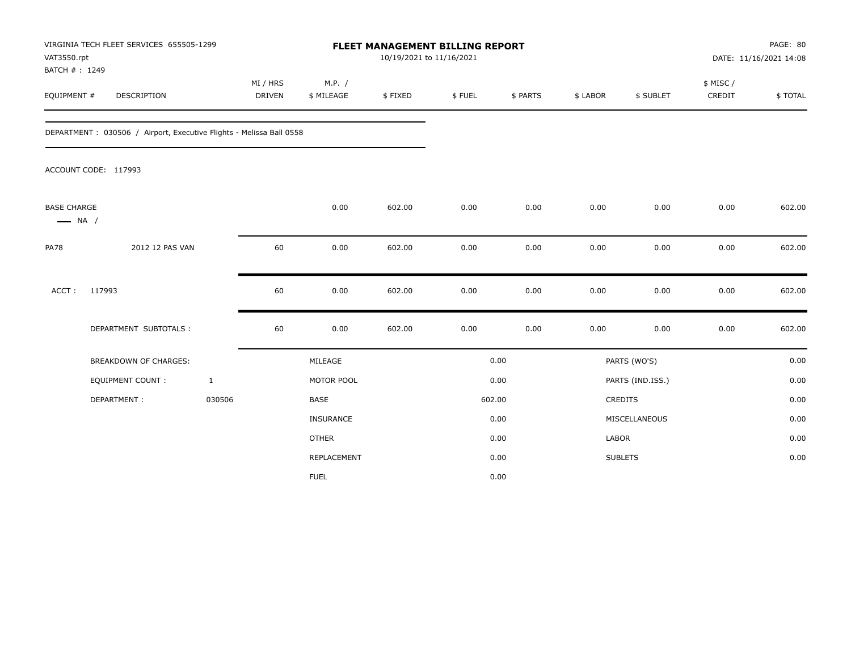| VAT3550.rpt<br>BATCH #: 1249                 | VIRGINIA TECH FLEET SERVICES 655505-1299                             |                           |                      | FLEET MANAGEMENT BILLING REPORT<br>10/19/2021 to 11/16/2021 |        |          |              |                  |                     | PAGE: 80<br>DATE: 11/16/2021 14:08 |
|----------------------------------------------|----------------------------------------------------------------------|---------------------------|----------------------|-------------------------------------------------------------|--------|----------|--------------|------------------|---------------------|------------------------------------|
| EQUIPMENT #                                  | <b>DESCRIPTION</b>                                                   | MI / HRS<br><b>DRIVEN</b> | M.P. /<br>\$ MILEAGE | \$FIXED                                                     | \$FUEL | \$ PARTS | \$ LABOR     | \$ SUBLET        | \$ MISC /<br>CREDIT | \$TOTAL                            |
|                                              | DEPARTMENT : 030506 / Airport, Executive Flights - Melissa Ball 0558 |                           |                      |                                                             |        |          |              |                  |                     |                                    |
|                                              | ACCOUNT CODE: 117993                                                 |                           |                      |                                                             |        |          |              |                  |                     |                                    |
| <b>BASE CHARGE</b><br>$\longrightarrow$ NA / |                                                                      |                           | 0.00                 | 602.00                                                      | 0.00   | 0.00     | 0.00         | 0.00             | 0.00                | 602.00                             |
| <b>PA78</b>                                  | 2012 12 PAS VAN                                                      | 60                        | 0.00                 | 602.00                                                      | 0.00   | 0.00     | 0.00         | 0.00             | 0.00                | 602.00                             |
| ACCT:                                        | 117993                                                               | 60                        | 0.00                 | 602.00                                                      | 0.00   | 0.00     | 0.00         | 0.00             | 0.00                | 602.00                             |
|                                              | DEPARTMENT SUBTOTALS :                                               | 60                        | 0.00                 | 602.00                                                      | 0.00   | 0.00     | 0.00         | 0.00             | 0.00                | 602.00                             |
|                                              | <b>BREAKDOWN OF CHARGES:</b>                                         |                           | MILEAGE              |                                                             |        | 0.00     |              | PARTS (WO'S)     |                     | 0.00                               |
|                                              | <b>EQUIPMENT COUNT:</b>                                              | $\mathbf{1}$              | MOTOR POOL           |                                                             |        | 0.00     |              | PARTS (IND.ISS.) |                     | 0.00                               |
|                                              | DEPARTMENT:                                                          | 030506                    | <b>BASE</b>          |                                                             |        | 602.00   |              | <b>CREDITS</b>   |                     | 0.00                               |
|                                              |                                                                      |                           | <b>INSURANCE</b>     |                                                             |        | 0.00     |              | MISCELLANEOUS    |                     | 0.00                               |
|                                              |                                                                      |                           | <b>OTHER</b>         |                                                             |        | 0.00     | <b>LABOR</b> |                  |                     | 0.00                               |
|                                              |                                                                      |                           | REPLACEMENT          |                                                             |        | 0.00     |              | <b>SUBLETS</b>   |                     | 0.00                               |
|                                              |                                                                      |                           | <b>FUEL</b>          |                                                             |        | 0.00     |              |                  |                     |                                    |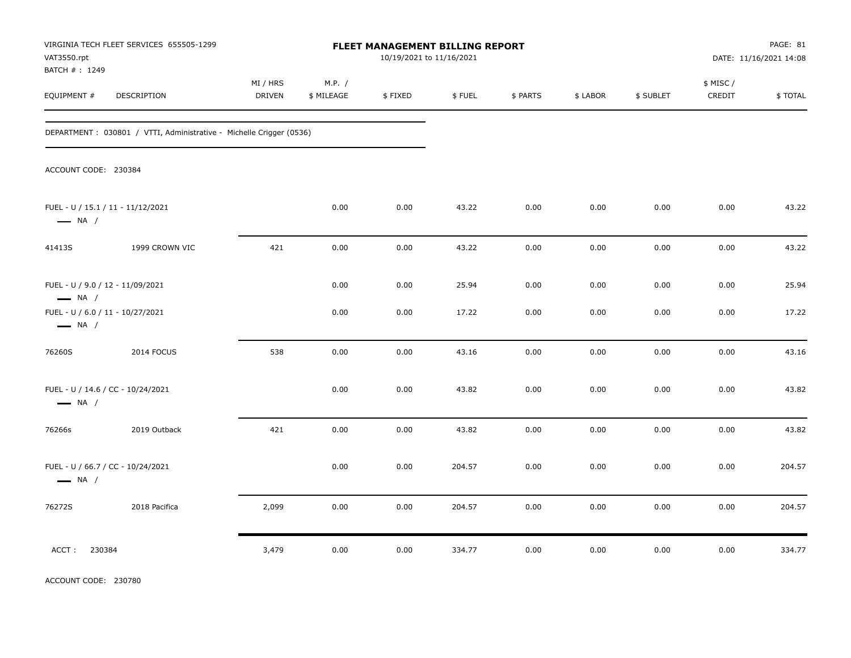| VAT3550.rpt                                                 | VIRGINIA TECH FLEET SERVICES 655505-1299                             | FLEET MANAGEMENT BILLING REPORT<br>10/19/2021 to 11/16/2021 |                      |         |        |          |          |           | PAGE: 81<br>DATE: 11/16/2021 14:08 |         |
|-------------------------------------------------------------|----------------------------------------------------------------------|-------------------------------------------------------------|----------------------|---------|--------|----------|----------|-----------|------------------------------------|---------|
| BATCH #: 1249<br>EQUIPMENT #                                | DESCRIPTION                                                          | MI / HRS<br>DRIVEN                                          | M.P. /<br>\$ MILEAGE | \$FIXED | \$FUEL | \$ PARTS | \$ LABOR | \$ SUBLET | \$ MISC /<br>CREDIT                | \$TOTAL |
|                                                             | DEPARTMENT : 030801 / VTTI, Administrative - Michelle Crigger (0536) |                                                             |                      |         |        |          |          |           |                                    |         |
| ACCOUNT CODE: 230384                                        |                                                                      |                                                             |                      |         |        |          |          |           |                                    |         |
| FUEL - U / 15.1 / 11 - 11/12/2021<br>$\longrightarrow$ NA / |                                                                      |                                                             | 0.00                 | 0.00    | 43.22  | 0.00     | 0.00     | 0.00      | 0.00                               | 43.22   |
| 41413S                                                      | 1999 CROWN VIC                                                       | 421                                                         | 0.00                 | 0.00    | 43.22  | 0.00     | 0.00     | 0.00      | 0.00                               | 43.22   |
| FUEL - U / 9.0 / 12 - 11/09/2021<br>$\longrightarrow$ NA /  |                                                                      |                                                             | 0.00                 | 0.00    | 25.94  | 0.00     | 0.00     | 0.00      | 0.00                               | 25.94   |
| FUEL - U / 6.0 / 11 - 10/27/2021<br>$\longrightarrow$ NA /  |                                                                      |                                                             | 0.00                 | 0.00    | 17.22  | 0.00     | 0.00     | 0.00      | 0.00                               | 17.22   |
| 76260S                                                      | 2014 FOCUS                                                           | 538                                                         | 0.00                 | 0.00    | 43.16  | 0.00     | 0.00     | 0.00      | 0.00                               | 43.16   |
| FUEL - U / 14.6 / CC - 10/24/2021<br>$\longrightarrow$ NA / |                                                                      |                                                             | 0.00                 | 0.00    | 43.82  | 0.00     | 0.00     | 0.00      | 0.00                               | 43.82   |
| 76266s                                                      | 2019 Outback                                                         | 421                                                         | 0.00                 | 0.00    | 43.82  | 0.00     | 0.00     | 0.00      | 0.00                               | 43.82   |
| FUEL - U / 66.7 / CC - 10/24/2021<br>$\longrightarrow$ NA / |                                                                      |                                                             | 0.00                 | 0.00    | 204.57 | 0.00     | 0.00     | 0.00      | 0.00                               | 204.57  |
| 76272S                                                      | 2018 Pacifica                                                        | 2,099                                                       | 0.00                 | 0.00    | 204.57 | 0.00     | 0.00     | 0.00      | 0.00                               | 204.57  |
| 230384<br>ACCT:                                             |                                                                      | 3,479                                                       | 0.00                 | 0.00    | 334.77 | 0.00     | 0.00     | 0.00      | 0.00                               | 334.77  |

ACCOUNT CODE: 230780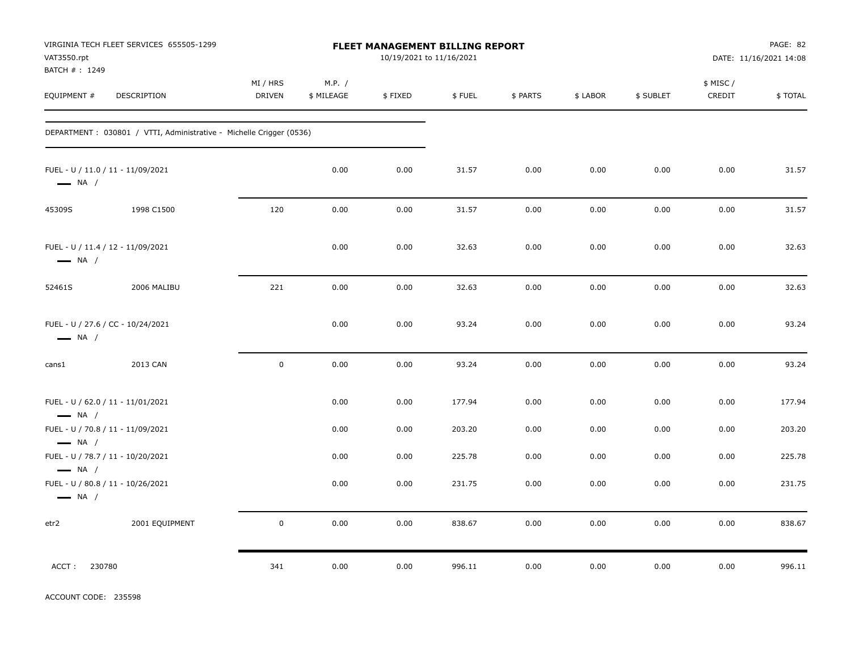| VAT3550.rpt<br>BATCH #: 1249                                | VIRGINIA TECH FLEET SERVICES 655505-1299                             |                    |                      | FLEET MANAGEMENT BILLING REPORT<br>10/19/2021 to 11/16/2021 |        |          |          |           |                     | PAGE: 82<br>DATE: 11/16/2021 14:08 |
|-------------------------------------------------------------|----------------------------------------------------------------------|--------------------|----------------------|-------------------------------------------------------------|--------|----------|----------|-----------|---------------------|------------------------------------|
| EQUIPMENT #                                                 | DESCRIPTION                                                          | MI / HRS<br>DRIVEN | M.P. /<br>\$ MILEAGE | \$FIXED                                                     | \$FUEL | \$ PARTS | \$ LABOR | \$ SUBLET | \$ MISC /<br>CREDIT | \$TOTAL                            |
|                                                             | DEPARTMENT : 030801 / VTTI, Administrative - Michelle Crigger (0536) |                    |                      |                                                             |        |          |          |           |                     |                                    |
| FUEL - U / 11.0 / 11 - 11/09/2021<br>$\longrightarrow$ NA / |                                                                      |                    | 0.00                 | 0.00                                                        | 31.57  | 0.00     | 0.00     | 0.00      | 0.00                | 31.57                              |
| 45309S                                                      | 1998 C1500                                                           | 120                | 0.00                 | 0.00                                                        | 31.57  | 0.00     | 0.00     | 0.00      | 0.00                | 31.57                              |
| FUEL - U / 11.4 / 12 - 11/09/2021<br>$\longrightarrow$ NA / |                                                                      |                    | 0.00                 | 0.00                                                        | 32.63  | 0.00     | 0.00     | 0.00      | 0.00                | 32.63                              |
| 52461S                                                      | 2006 MALIBU                                                          | 221                | 0.00                 | 0.00                                                        | 32.63  | 0.00     | 0.00     | 0.00      | 0.00                | 32.63                              |
| FUEL - U / 27.6 / CC - 10/24/2021<br>$\longrightarrow$ NA / |                                                                      |                    | 0.00                 | 0.00                                                        | 93.24  | 0.00     | 0.00     | 0.00      | 0.00                | 93.24                              |
| cans1                                                       | 2013 CAN                                                             | $\pmb{0}$          | 0.00                 | 0.00                                                        | 93.24  | 0.00     | 0.00     | 0.00      | 0.00                | 93.24                              |
| FUEL - U / 62.0 / 11 - 11/01/2021<br>$\longrightarrow$ NA / |                                                                      |                    | 0.00                 | 0.00                                                        | 177.94 | 0.00     | 0.00     | 0.00      | 0.00                | 177.94                             |
| FUEL - U / 70.8 / 11 - 11/09/2021<br>$\longrightarrow$ NA / |                                                                      |                    | 0.00                 | 0.00                                                        | 203.20 | 0.00     | 0.00     | 0.00      | 0.00                | 203.20                             |
| FUEL - U / 78.7 / 11 - 10/20/2021<br>$\longrightarrow$ NA / |                                                                      |                    | 0.00                 | 0.00                                                        | 225.78 | 0.00     | 0.00     | 0.00      | 0.00                | 225.78                             |
| FUEL - U / 80.8 / 11 - 10/26/2021<br>$\longrightarrow$ NA / |                                                                      |                    | 0.00                 | 0.00                                                        | 231.75 | 0.00     | 0.00     | 0.00      | 0.00                | 231.75                             |
| etr2                                                        | 2001 EQUIPMENT                                                       | $\pmb{0}$          | 0.00                 | 0.00                                                        | 838.67 | 0.00     | 0.00     | 0.00      | 0.00                | 838.67                             |
| ACCT:<br>230780                                             |                                                                      | 341                | 0.00                 | 0.00                                                        | 996.11 | 0.00     | 0.00     | 0.00      | 0.00                | 996.11                             |

ACCOUNT CODE: 235598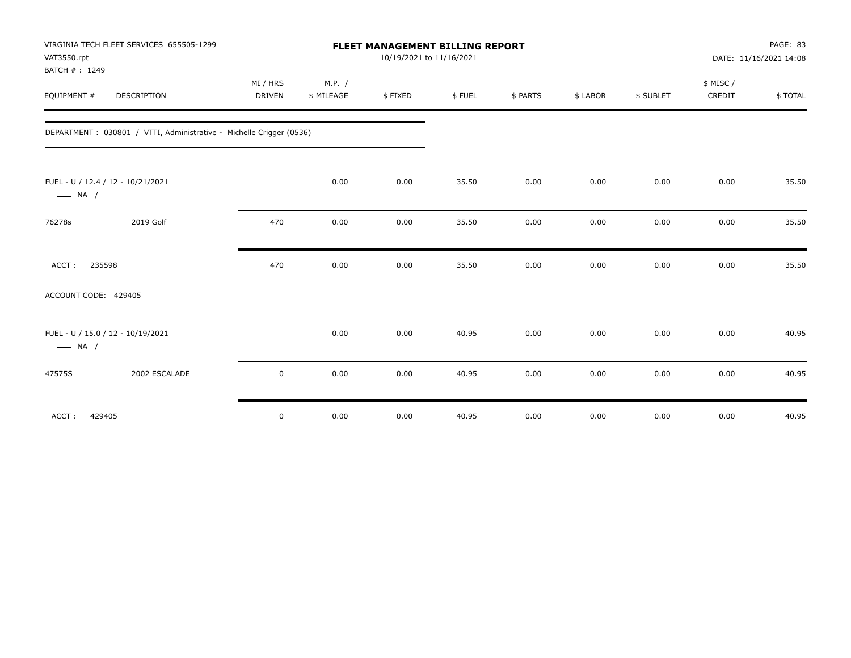| VAT3550.rpt<br>BATCH #: 1249 | VIRGINIA TECH FLEET SERVICES 655505-1299                             |               |            | FLEET MANAGEMENT BILLING REPORT | 10/19/2021 to 11/16/2021 |          |          |           |          | PAGE: 83<br>DATE: 11/16/2021 14:08 |
|------------------------------|----------------------------------------------------------------------|---------------|------------|---------------------------------|--------------------------|----------|----------|-----------|----------|------------------------------------|
|                              |                                                                      | MI / HRS      | M.P. /     |                                 |                          |          |          |           | \$ MISC/ |                                    |
| EQUIPMENT #                  | DESCRIPTION                                                          | <b>DRIVEN</b> | \$ MILEAGE | \$FIXED                         | \$FUEL                   | \$ PARTS | \$ LABOR | \$ SUBLET | CREDIT   | \$TOTAL                            |
|                              | DEPARTMENT : 030801 / VTTI, Administrative - Michelle Crigger (0536) |               |            |                                 |                          |          |          |           |          |                                    |
| $\longrightarrow$ NA /       | FUEL - U / 12.4 / 12 - 10/21/2021                                    |               | 0.00       | 0.00                            | 35.50                    | 0.00     | 0.00     | 0.00      | 0.00     | 35.50                              |
| 76278s                       | 2019 Golf                                                            | 470           | 0.00       | 0.00                            | 35.50                    | 0.00     | 0.00     | 0.00      | 0.00     | 35.50                              |
| 235598<br>ACCT:              |                                                                      | 470           | 0.00       | 0.00                            | 35.50                    | 0.00     | 0.00     | 0.00      | 0.00     | 35.50                              |
| ACCOUNT CODE: 429405         |                                                                      |               |            |                                 |                          |          |          |           |          |                                    |
| $\longrightarrow$ NA /       | FUEL - U / 15.0 / 12 - 10/19/2021                                    |               | 0.00       | 0.00                            | 40.95                    | 0.00     | 0.00     | 0.00      | 0.00     | 40.95                              |
| 47575S                       | 2002 ESCALADE                                                        | $\mathbf 0$   | 0.00       | 0.00                            | 40.95                    | 0.00     | 0.00     | 0.00      | 0.00     | 40.95                              |
| 429405<br>ACCT:              |                                                                      | $\mathbf 0$   | 0.00       | 0.00                            | 40.95                    | 0.00     | 0.00     | 0.00      | 0.00     | 40.95                              |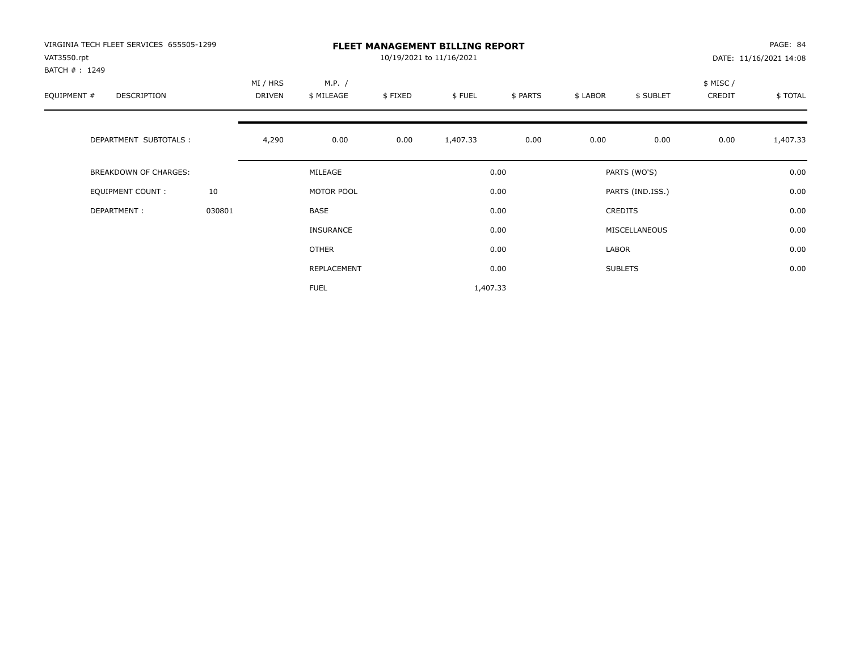| VIRGINIA TECH FLEET SERVICES 655505-1299<br>VAT3550.rpt |        |                           |                      |         | <b>FLEET MANAGEMENT BILLING REPORT</b><br>10/19/2021 to 11/16/2021 |          |          |                  |                     | PAGE: 84<br>DATE: 11/16/2021 14:08 |
|---------------------------------------------------------|--------|---------------------------|----------------------|---------|--------------------------------------------------------------------|----------|----------|------------------|---------------------|------------------------------------|
| BATCH #: 1249<br>EQUIPMENT #<br><b>DESCRIPTION</b>      |        | MI / HRS<br><b>DRIVEN</b> | M.P. /<br>\$ MILEAGE | \$FIXED | \$FUEL                                                             | \$ PARTS | \$ LABOR | \$ SUBLET        | \$ MISC /<br>CREDIT | \$TOTAL                            |
| DEPARTMENT SUBTOTALS :                                  |        | 4,290                     | 0.00                 | 0.00    | 1,407.33                                                           | 0.00     | 0.00     | 0.00             | 0.00                | 1,407.33                           |
| <b>BREAKDOWN OF CHARGES:</b>                            |        |                           | MILEAGE              |         |                                                                    | 0.00     |          | PARTS (WO'S)     |                     | 0.00                               |
| EQUIPMENT COUNT:                                        | 10     |                           | MOTOR POOL           |         |                                                                    | 0.00     |          | PARTS (IND.ISS.) |                     | 0.00                               |
| DEPARTMENT:                                             | 030801 |                           | <b>BASE</b>          |         |                                                                    | 0.00     |          | <b>CREDITS</b>   |                     | 0.00                               |
|                                                         |        |                           | INSURANCE            |         |                                                                    | 0.00     |          | MISCELLANEOUS    |                     | 0.00                               |
|                                                         |        |                           | OTHER                |         |                                                                    | 0.00     | LABOR    |                  |                     | 0.00                               |
|                                                         |        |                           | REPLACEMENT          |         |                                                                    | 0.00     |          | <b>SUBLETS</b>   |                     | 0.00                               |
|                                                         |        |                           | <b>FUEL</b>          |         | 1,407.33                                                           |          |          |                  |                     |                                    |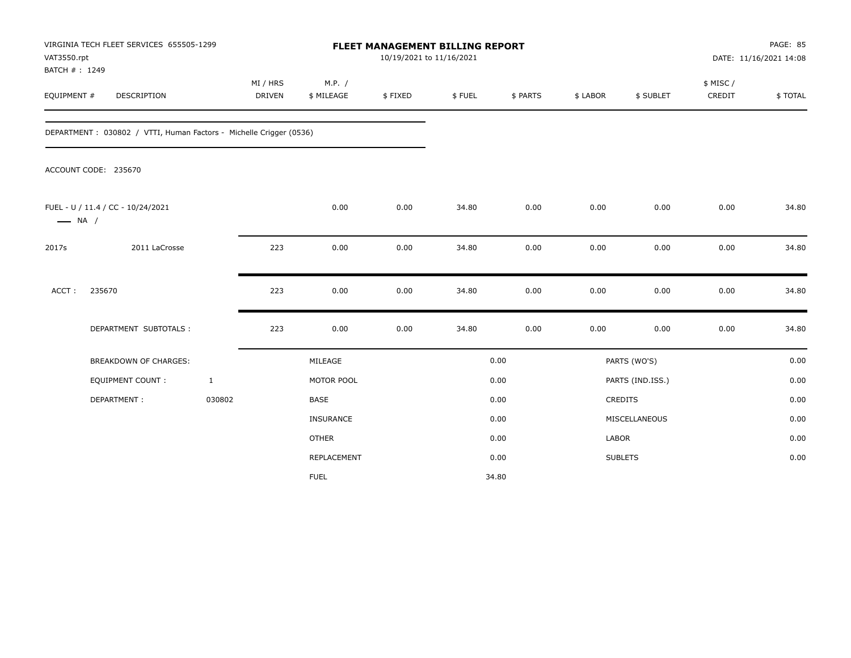| VAT3550.rpt<br>BATCH #: 1249 | VIRGINIA TECH FLEET SERVICES 655505-1299                           |              |                           |                      | <b>FLEET MANAGEMENT BILLING REPORT</b><br>10/19/2021 to 11/16/2021 |        |          |          |                  |                     | PAGE: 85<br>DATE: 11/16/2021 14:08 |
|------------------------------|--------------------------------------------------------------------|--------------|---------------------------|----------------------|--------------------------------------------------------------------|--------|----------|----------|------------------|---------------------|------------------------------------|
| EQUIPMENT #                  | DESCRIPTION                                                        |              | MI / HRS<br><b>DRIVEN</b> | M.P. /<br>\$ MILEAGE | \$FIXED                                                            | \$FUEL | \$ PARTS | \$ LABOR | \$ SUBLET        | \$ MISC /<br>CREDIT | \$TOTAL                            |
|                              | DEPARTMENT: 030802 / VTTI, Human Factors - Michelle Crigger (0536) |              |                           |                      |                                                                    |        |          |          |                  |                     |                                    |
|                              | ACCOUNT CODE: 235670                                               |              |                           |                      |                                                                    |        |          |          |                  |                     |                                    |
| $\longrightarrow$ NA /       | FUEL - U / 11.4 / CC - 10/24/2021                                  |              |                           | 0.00                 | 0.00                                                               | 34.80  | 0.00     | 0.00     | 0.00             | 0.00                | 34.80                              |
| 2017s                        | 2011 LaCrosse                                                      |              | 223                       | 0.00                 | 0.00                                                               | 34.80  | 0.00     | 0.00     | 0.00             | 0.00                | 34.80                              |
| ACCT:                        | 235670                                                             |              | 223                       | 0.00                 | 0.00                                                               | 34.80  | 0.00     | 0.00     | 0.00             | 0.00                | 34.80                              |
|                              | DEPARTMENT SUBTOTALS :                                             |              | 223                       | 0.00                 | 0.00                                                               | 34.80  | 0.00     | 0.00     | 0.00             | 0.00                | 34.80                              |
|                              | <b>BREAKDOWN OF CHARGES:</b>                                       |              |                           | MILEAGE              |                                                                    |        | 0.00     |          | PARTS (WO'S)     |                     | 0.00                               |
|                              | <b>EQUIPMENT COUNT:</b>                                            | $\mathbf{1}$ |                           | MOTOR POOL           |                                                                    |        | 0.00     |          | PARTS (IND.ISS.) |                     | 0.00                               |
|                              | DEPARTMENT:                                                        | 030802       |                           | <b>BASE</b>          |                                                                    |        | 0.00     |          | CREDITS          |                     | 0.00                               |
|                              |                                                                    |              |                           | INSURANCE            |                                                                    |        | 0.00     |          | MISCELLANEOUS    |                     | 0.00                               |
|                              |                                                                    |              |                           | <b>OTHER</b>         |                                                                    |        | 0.00     | LABOR    |                  |                     | 0.00                               |
|                              |                                                                    |              |                           | <b>REPLACEMENT</b>   |                                                                    |        | 0.00     |          | <b>SUBLETS</b>   |                     | 0.00                               |
|                              |                                                                    |              |                           | <b>FUEL</b>          |                                                                    |        | 34.80    |          |                  |                     |                                    |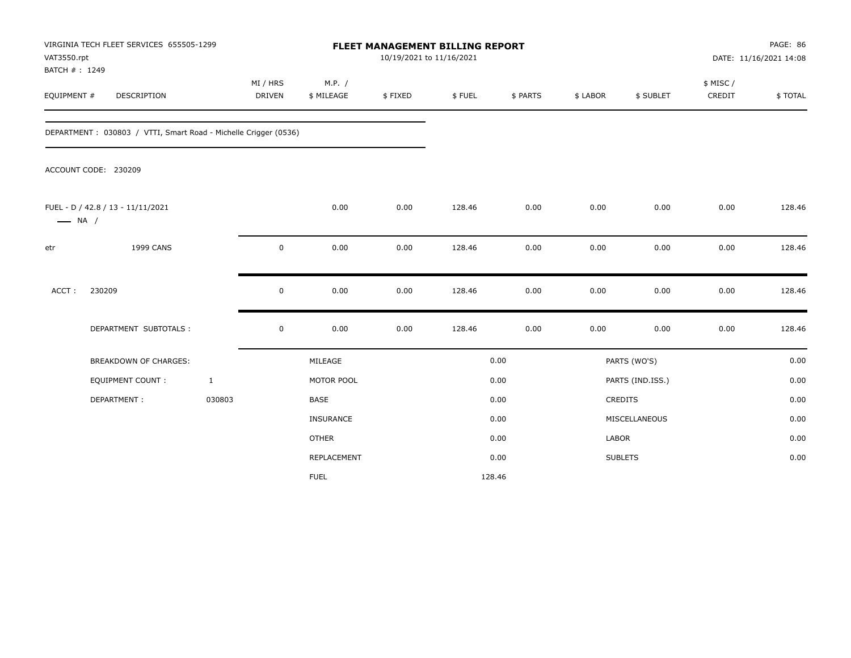| VAT3550.rpt                  | VIRGINIA TECH FLEET SERVICES 655505-1299                        |              |                           |                      |         |        | <b>FLEET MANAGEMENT BILLING REPORT</b><br>10/19/2021 to 11/16/2021 |          |                  |                     | PAGE: 86<br>DATE: 11/16/2021 14:08 |  |
|------------------------------|-----------------------------------------------------------------|--------------|---------------------------|----------------------|---------|--------|--------------------------------------------------------------------|----------|------------------|---------------------|------------------------------------|--|
| BATCH #: 1249<br>EQUIPMENT # | DESCRIPTION                                                     |              | MI / HRS<br><b>DRIVEN</b> | M.P. /<br>\$ MILEAGE | \$FIXED | \$FUEL | \$ PARTS                                                           | \$ LABOR | \$ SUBLET        | \$ MISC /<br>CREDIT | \$TOTAL                            |  |
|                              | DEPARTMENT: 030803 / VTTI, Smart Road - Michelle Crigger (0536) |              |                           |                      |         |        |                                                                    |          |                  |                     |                                    |  |
|                              | ACCOUNT CODE: 230209                                            |              |                           |                      |         |        |                                                                    |          |                  |                     |                                    |  |
| $\longrightarrow$ NA /       | FUEL - D / 42.8 / 13 - 11/11/2021                               |              |                           | 0.00                 | 0.00    | 128.46 | 0.00                                                               | 0.00     | 0.00             | 0.00                | 128.46                             |  |
| etr                          | 1999 CANS                                                       |              | $\mathsf 0$               | 0.00                 | 0.00    | 128.46 | 0.00                                                               | 0.00     | 0.00             | 0.00                | 128.46                             |  |
| ACCT:                        | 230209                                                          |              | 0                         | 0.00                 | 0.00    | 128.46 | 0.00                                                               | 0.00     | 0.00             | 0.00                | 128.46                             |  |
|                              | DEPARTMENT SUBTOTALS :                                          |              | $\mathbf 0$               | 0.00                 | 0.00    | 128.46 | 0.00                                                               | 0.00     | 0.00             | 0.00                | 128.46                             |  |
|                              | <b>BREAKDOWN OF CHARGES:</b>                                    |              |                           | MILEAGE              |         |        | 0.00                                                               |          | PARTS (WO'S)     |                     | 0.00                               |  |
|                              | EQUIPMENT COUNT:                                                | $\mathbf{1}$ |                           | MOTOR POOL           |         |        | 0.00                                                               |          | PARTS (IND.ISS.) |                     | 0.00                               |  |
|                              | DEPARTMENT:                                                     | 030803       |                           | <b>BASE</b>          |         |        | 0.00                                                               |          | <b>CREDITS</b>   |                     | 0.00                               |  |
|                              |                                                                 |              |                           | <b>INSURANCE</b>     |         |        | 0.00                                                               |          | MISCELLANEOUS    |                     | 0.00                               |  |
|                              |                                                                 |              |                           | <b>OTHER</b>         |         |        | 0.00                                                               | LABOR    |                  |                     | 0.00                               |  |
|                              |                                                                 |              |                           | REPLACEMENT          |         |        | 0.00                                                               |          | <b>SUBLETS</b>   |                     | 0.00                               |  |
|                              |                                                                 |              |                           | <b>FUEL</b>          |         | 128.46 |                                                                    |          |                  |                     |                                    |  |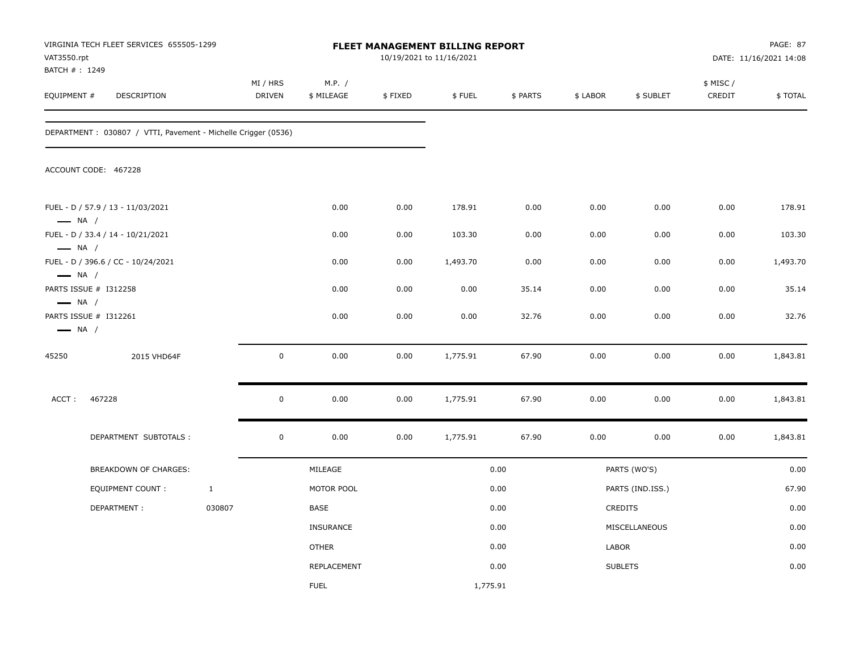| VAT3550.rpt<br>BATCH #: 1249                     | VIRGINIA TECH FLEET SERVICES 655505-1299                       |              |                    |                      |         | FLEET MANAGEMENT BILLING REPORT<br>10/19/2021 to 11/16/2021 |          |          |                  |                     | PAGE: 87<br>DATE: 11/16/2021 14:08 |
|--------------------------------------------------|----------------------------------------------------------------|--------------|--------------------|----------------------|---------|-------------------------------------------------------------|----------|----------|------------------|---------------------|------------------------------------|
| EQUIPMENT #                                      | DESCRIPTION                                                    |              | MI / HRS<br>DRIVEN | M.P. /<br>\$ MILEAGE | \$FIXED | \$FUEL                                                      | \$ PARTS | \$ LABOR | \$ SUBLET        | \$ MISC /<br>CREDIT | \$TOTAL                            |
|                                                  | DEPARTMENT : 030807 / VTTI, Pavement - Michelle Crigger (0536) |              |                    |                      |         |                                                             |          |          |                  |                     |                                    |
|                                                  | ACCOUNT CODE: 467228                                           |              |                    |                      |         |                                                             |          |          |                  |                     |                                    |
| $\longrightarrow$ NA /                           | FUEL - D / 57.9 / 13 - 11/03/2021                              |              |                    | 0.00                 | 0.00    | 178.91                                                      | 0.00     | 0.00     | 0.00             | 0.00                | 178.91                             |
|                                                  | FUEL - D / 33.4 / 14 - 10/21/2021                              |              |                    | 0.00                 | 0.00    | 103.30                                                      | 0.00     | 0.00     | 0.00             | 0.00                | 103.30                             |
| $\longrightarrow$ NA /<br>$\longrightarrow$ NA / | FUEL - D / 396.6 / CC - 10/24/2021                             |              |                    | 0.00                 | 0.00    | 1,493.70                                                    | 0.00     | 0.00     | 0.00             | 0.00                | 1,493.70                           |
| $\longrightarrow$ NA /                           | PARTS ISSUE # I312258                                          |              |                    | 0.00                 | 0.00    | 0.00                                                        | 35.14    | 0.00     | 0.00             | 0.00                | 35.14                              |
| $\longrightarrow$ NA /                           | PARTS ISSUE # I312261                                          |              |                    | 0.00                 | 0.00    | 0.00                                                        | 32.76    | 0.00     | 0.00             | 0.00                | 32.76                              |
| 45250                                            | 2015 VHD64F                                                    |              | $\mathbf 0$        | 0.00                 | 0.00    | 1,775.91                                                    | 67.90    | 0.00     | 0.00             | 0.00                | 1,843.81                           |
| ACCT:                                            | 467228                                                         |              | $\mathbf 0$        | 0.00                 | 0.00    | 1,775.91                                                    | 67.90    | 0.00     | 0.00             | 0.00                | 1,843.81                           |
|                                                  | DEPARTMENT SUBTOTALS :                                         |              | $\pmb{0}$          | 0.00                 | 0.00    | 1,775.91                                                    | 67.90    | 0.00     | 0.00             | 0.00                | 1,843.81                           |
|                                                  | BREAKDOWN OF CHARGES:                                          |              |                    | MILEAGE              |         |                                                             | 0.00     |          | PARTS (WO'S)     |                     | 0.00                               |
|                                                  | <b>EQUIPMENT COUNT:</b>                                        | $\mathbf{1}$ |                    | MOTOR POOL           |         |                                                             | 0.00     |          | PARTS (IND.ISS.) |                     | 67.90                              |
|                                                  | DEPARTMENT:                                                    | 030807       |                    | BASE                 |         |                                                             | 0.00     |          | CREDITS          |                     | 0.00                               |
|                                                  |                                                                |              |                    | <b>INSURANCE</b>     |         |                                                             | 0.00     |          | MISCELLANEOUS    |                     | 0.00                               |
|                                                  |                                                                |              |                    | <b>OTHER</b>         |         |                                                             | 0.00     | LABOR    |                  |                     | 0.00                               |
|                                                  |                                                                |              |                    | REPLACEMENT          |         |                                                             | 0.00     |          | <b>SUBLETS</b>   |                     | 0.00                               |
|                                                  |                                                                |              |                    | <b>FUEL</b>          |         | 1,775.91                                                    |          |          |                  |                     |                                    |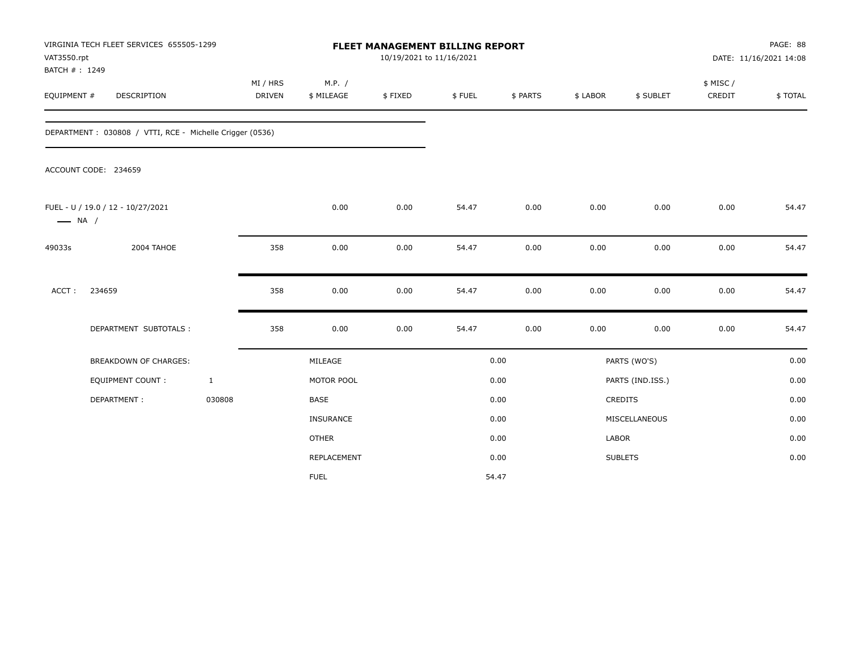| VAT3550.rpt<br>BATCH #: 1249 | VIRGINIA TECH FLEET SERVICES 655505-1299                 |                           |                      |         | <b>FLEET MANAGEMENT BILLING REPORT</b><br>10/19/2021 to 11/16/2021 |          |          |                  | PAGE: 88<br>DATE: 11/16/2021 14:08 |         |  |
|------------------------------|----------------------------------------------------------|---------------------------|----------------------|---------|--------------------------------------------------------------------|----------|----------|------------------|------------------------------------|---------|--|
| EQUIPMENT #                  | DESCRIPTION                                              | MI / HRS<br><b>DRIVEN</b> | M.P. /<br>\$ MILEAGE | \$FIXED | \$FUEL                                                             | \$ PARTS | \$ LABOR | \$ SUBLET        | \$ MISC /<br>CREDIT                | \$TOTAL |  |
|                              | DEPARTMENT: 030808 / VTTI, RCE - Michelle Crigger (0536) |                           |                      |         |                                                                    |          |          |                  |                                    |         |  |
|                              | ACCOUNT CODE: 234659                                     |                           |                      |         |                                                                    |          |          |                  |                                    |         |  |
| $\longrightarrow$ NA /       | FUEL - U / 19.0 / 12 - 10/27/2021                        |                           | 0.00                 | 0.00    | 54.47                                                              | 0.00     | 0.00     | 0.00             | 0.00                               | 54.47   |  |
| 49033s                       | 2004 TAHOE                                               | 358                       | 0.00                 | 0.00    | 54.47                                                              | 0.00     | 0.00     | 0.00             | 0.00                               | 54.47   |  |
| ACCT:                        | 234659                                                   | 358                       | 0.00                 | 0.00    | 54.47                                                              | 0.00     | 0.00     | 0.00             | 0.00                               | 54.47   |  |
|                              | DEPARTMENT SUBTOTALS :                                   | 358                       | 0.00                 | 0.00    | 54.47                                                              | 0.00     | 0.00     | 0.00             | 0.00                               | 54.47   |  |
|                              | <b>BREAKDOWN OF CHARGES:</b>                             |                           | MILEAGE              |         |                                                                    | 0.00     |          | PARTS (WO'S)     |                                    | 0.00    |  |
|                              | <b>EQUIPMENT COUNT:</b>                                  | $\mathbf{1}$              | MOTOR POOL           |         |                                                                    | 0.00     |          | PARTS (IND.ISS.) |                                    | 0.00    |  |
|                              | DEPARTMENT:                                              | 030808                    | <b>BASE</b>          |         |                                                                    | 0.00     |          | <b>CREDITS</b>   |                                    | 0.00    |  |
|                              |                                                          |                           | <b>INSURANCE</b>     |         |                                                                    | 0.00     |          | MISCELLANEOUS    |                                    | 0.00    |  |
|                              |                                                          |                           | <b>OTHER</b>         |         |                                                                    | 0.00     | LABOR    |                  |                                    | 0.00    |  |
|                              |                                                          |                           | REPLACEMENT          |         |                                                                    | 0.00     |          | <b>SUBLETS</b>   |                                    | 0.00    |  |
|                              |                                                          |                           | <b>FUEL</b>          |         |                                                                    | 54.47    |          |                  |                                    |         |  |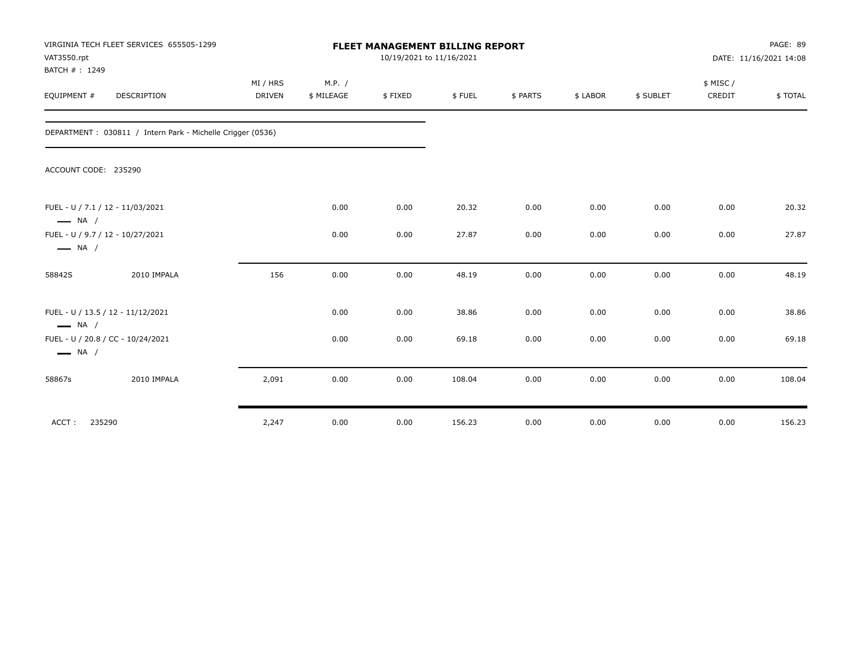| VAT3550.rpt<br>BATCH #: 1249                               | VIRGINIA TECH FLEET SERVICES 655505-1299                   |                           | <b>FLEET MANAGEMENT BILLING REPORT</b><br>10/19/2021 to 11/16/2021 |         |        |          |          |           |                    | PAGE: 89<br>DATE: 11/16/2021 14:08 |  |
|------------------------------------------------------------|------------------------------------------------------------|---------------------------|--------------------------------------------------------------------|---------|--------|----------|----------|-----------|--------------------|------------------------------------|--|
| EQUIPMENT #                                                | DESCRIPTION                                                | MI / HRS<br><b>DRIVEN</b> | M.P. /<br>\$ MILEAGE                                               | \$FIXED | \$FUEL | \$ PARTS | \$ LABOR | \$ SUBLET | \$ MISC/<br>CREDIT | \$TOTAL                            |  |
|                                                            | DEPARTMENT: 030811 / Intern Park - Michelle Crigger (0536) |                           |                                                                    |         |        |          |          |           |                    |                                    |  |
| ACCOUNT CODE: 235290                                       |                                                            |                           |                                                                    |         |        |          |          |           |                    |                                    |  |
| FUEL - U / 7.1 / 12 - 11/03/2021<br>$\longrightarrow$ NA / |                                                            |                           | 0.00                                                               | 0.00    | 20.32  | 0.00     | 0.00     | 0.00      | 0.00               | 20.32                              |  |
| FUEL - U / 9.7 / 12 - 10/27/2021<br>$\longrightarrow$ NA / |                                                            |                           | 0.00                                                               | 0.00    | 27.87  | 0.00     | 0.00     | 0.00      | 0.00               | 27.87                              |  |
| 58842S                                                     | 2010 IMPALA                                                | 156                       | 0.00                                                               | 0.00    | 48.19  | 0.00     | 0.00     | 0.00      | 0.00               | 48.19                              |  |
| $\longrightarrow$ NA /                                     | FUEL - U / 13.5 / 12 - 11/12/2021                          |                           | 0.00                                                               | 0.00    | 38.86  | 0.00     | 0.00     | 0.00      | 0.00               | 38.86                              |  |
| $\longrightarrow$ NA /                                     | FUEL - U / 20.8 / CC - 10/24/2021                          |                           | 0.00                                                               | 0.00    | 69.18  | 0.00     | 0.00     | 0.00      | 0.00               | 69.18                              |  |
| 58867s                                                     | 2010 IMPALA                                                | 2,091                     | 0.00                                                               | 0.00    | 108.04 | 0.00     | 0.00     | 0.00      | 0.00               | 108.04                             |  |
| ACCT:<br>235290                                            |                                                            | 2,247                     | 0.00                                                               | 0.00    | 156.23 | 0.00     | 0.00     | 0.00      | 0.00               | 156.23                             |  |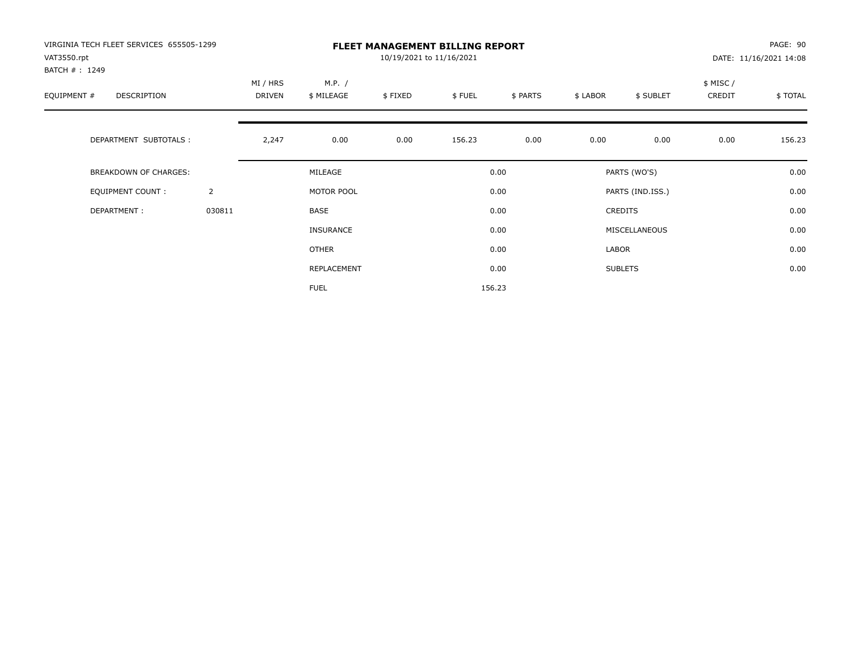| VIRGINIA TECH FLEET SERVICES 655505-1299<br>VAT3550.rpt<br>BATCH #: 1249 |                | <b>FLEET MANAGEMENT BILLING REPORT</b><br>10/19/2021 to 11/16/2021 |                      |         |        |          |          |                  |                    | PAGE: 90<br>DATE: 11/16/2021 14:08 |  |
|--------------------------------------------------------------------------|----------------|--------------------------------------------------------------------|----------------------|---------|--------|----------|----------|------------------|--------------------|------------------------------------|--|
| EQUIPMENT #<br>DESCRIPTION                                               |                | MI / HRS<br>DRIVEN                                                 | M.P. /<br>\$ MILEAGE | \$FIXED | \$FUEL | \$ PARTS | \$ LABOR | \$ SUBLET        | \$ MISC/<br>CREDIT | \$TOTAL                            |  |
| DEPARTMENT SUBTOTALS :                                                   |                | 2,247                                                              | 0.00                 | 0.00    | 156.23 | 0.00     | 0.00     | 0.00             | 0.00               | 156.23                             |  |
| <b>BREAKDOWN OF CHARGES:</b>                                             |                |                                                                    | MILEAGE              |         |        | 0.00     |          | PARTS (WO'S)     |                    | 0.00                               |  |
| <b>EQUIPMENT COUNT:</b>                                                  | $\overline{2}$ |                                                                    | MOTOR POOL           |         |        | 0.00     |          | PARTS (IND.ISS.) |                    | 0.00                               |  |
| DEPARTMENT:                                                              | 030811         |                                                                    | BASE                 |         |        | 0.00     |          | CREDITS          |                    | 0.00                               |  |
|                                                                          |                |                                                                    | INSURANCE            |         |        | 0.00     |          | MISCELLANEOUS    |                    | 0.00                               |  |
|                                                                          |                |                                                                    | OTHER                |         |        | 0.00     | LABOR    |                  |                    | 0.00                               |  |
|                                                                          |                |                                                                    | REPLACEMENT          |         |        | 0.00     |          | <b>SUBLETS</b>   |                    | 0.00                               |  |
|                                                                          |                |                                                                    | <b>FUEL</b>          |         |        | 156.23   |          |                  |                    |                                    |  |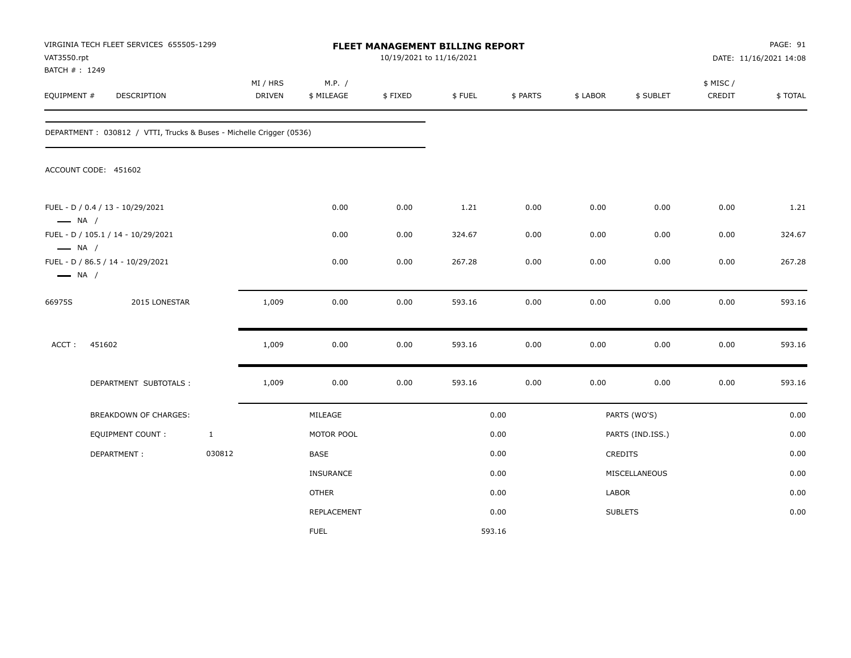| VAT3550.rpt<br>BATCH #: 1249                     | VIRGINIA TECH FLEET SERVICES 655505-1299                            |              |                           |                      | FLEET MANAGEMENT BILLING REPORT<br>10/19/2021 to 11/16/2021 |        |          |          |                  |                     | PAGE: 91<br>DATE: 11/16/2021 14:08 |
|--------------------------------------------------|---------------------------------------------------------------------|--------------|---------------------------|----------------------|-------------------------------------------------------------|--------|----------|----------|------------------|---------------------|------------------------------------|
| EQUIPMENT #                                      | DESCRIPTION                                                         |              | MI / HRS<br><b>DRIVEN</b> | M.P. /<br>\$ MILEAGE | \$FIXED                                                     | \$FUEL | \$ PARTS | \$ LABOR | \$ SUBLET        | \$ MISC /<br>CREDIT | \$TOTAL                            |
|                                                  | DEPARTMENT: 030812 / VTTI, Trucks & Buses - Michelle Crigger (0536) |              |                           |                      |                                                             |        |          |          |                  |                     |                                    |
|                                                  | ACCOUNT CODE: 451602                                                |              |                           |                      |                                                             |        |          |          |                  |                     |                                    |
| $\longrightarrow$ NA /                           | FUEL - D / 0.4 / 13 - 10/29/2021                                    |              |                           | 0.00                 | 0.00                                                        | 1.21   | 0.00     | 0.00     | 0.00             | 0.00                | 1.21                               |
|                                                  | FUEL - D / 105.1 / 14 - 10/29/2021                                  |              |                           | 0.00                 | 0.00                                                        | 324.67 | 0.00     | 0.00     | 0.00             | 0.00                | 324.67                             |
| $\longrightarrow$ NA /<br>$\longrightarrow$ NA / | FUEL - D / 86.5 / 14 - 10/29/2021                                   |              |                           | 0.00                 | 0.00                                                        | 267.28 | 0.00     | 0.00     | 0.00             | 0.00                | 267.28                             |
| 66975S                                           | 2015 LONESTAR                                                       |              | 1,009                     | 0.00                 | 0.00                                                        | 593.16 | 0.00     | 0.00     | 0.00             | 0.00                | 593.16                             |
| ACCT:                                            | 451602                                                              |              | 1,009                     | 0.00                 | 0.00                                                        | 593.16 | 0.00     | 0.00     | 0.00             | 0.00                | 593.16                             |
|                                                  | DEPARTMENT SUBTOTALS :                                              |              | 1,009                     | 0.00                 | 0.00                                                        | 593.16 | 0.00     | 0.00     | 0.00             | 0.00                | 593.16                             |
|                                                  | BREAKDOWN OF CHARGES:                                               |              |                           | MILEAGE              |                                                             |        | 0.00     |          | PARTS (WO'S)     |                     | 0.00                               |
|                                                  | EQUIPMENT COUNT :                                                   | $\mathbf{1}$ |                           | MOTOR POOL           |                                                             |        | 0.00     |          | PARTS (IND.ISS.) |                     | 0.00                               |
|                                                  | DEPARTMENT:                                                         | 030812       |                           | BASE                 |                                                             |        | 0.00     |          | CREDITS          |                     | 0.00                               |
|                                                  |                                                                     |              |                           | <b>INSURANCE</b>     |                                                             |        | 0.00     |          | MISCELLANEOUS    |                     | 0.00                               |
|                                                  |                                                                     |              |                           | <b>OTHER</b>         |                                                             |        | 0.00     | LABOR    |                  |                     | 0.00                               |
|                                                  |                                                                     |              |                           | REPLACEMENT          |                                                             |        | 0.00     |          | <b>SUBLETS</b>   |                     | 0.00                               |
|                                                  |                                                                     |              |                           | <b>FUEL</b>          |                                                             |        | 593.16   |          |                  |                     |                                    |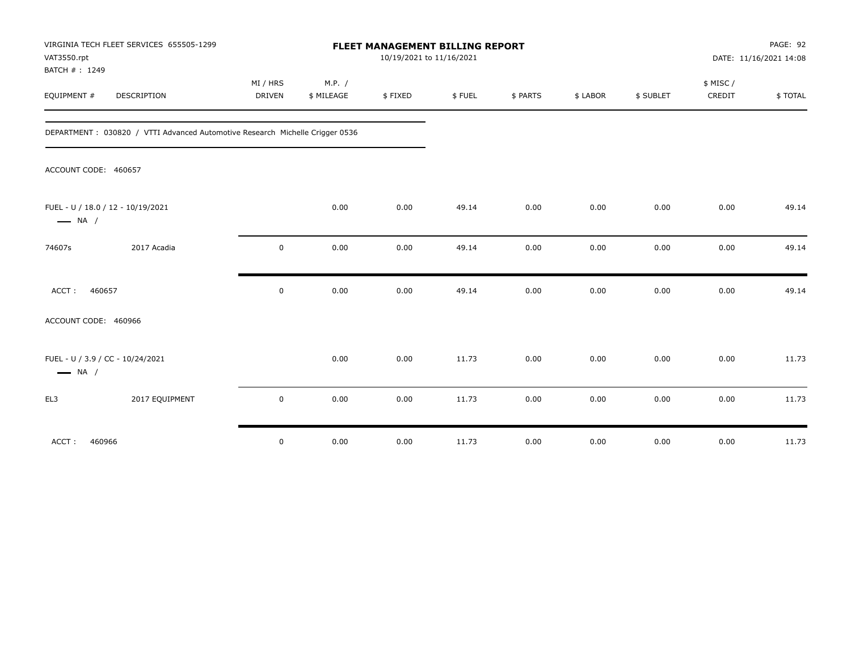| VAT3550.rpt<br>BATCH #: 1249                                | VIRGINIA TECH FLEET SERVICES 655505-1299                                     |                    |                      | 10/19/2021 to 11/16/2021 | FLEET MANAGEMENT BILLING REPORT |          |          |           |                     | PAGE: 92<br>DATE: 11/16/2021 14:08 |
|-------------------------------------------------------------|------------------------------------------------------------------------------|--------------------|----------------------|--------------------------|---------------------------------|----------|----------|-----------|---------------------|------------------------------------|
| EQUIPMENT #                                                 | <b>DESCRIPTION</b>                                                           | MI / HRS<br>DRIVEN | M.P. /<br>\$ MILEAGE | \$FIXED                  | \$FUEL                          | \$ PARTS | \$ LABOR | \$ SUBLET | \$ MISC /<br>CREDIT | \$TOTAL                            |
|                                                             | DEPARTMENT: 030820 / VTTI Advanced Automotive Research Michelle Crigger 0536 |                    |                      |                          |                                 |          |          |           |                     |                                    |
| ACCOUNT CODE: 460657                                        |                                                                              |                    |                      |                          |                                 |          |          |           |                     |                                    |
| FUEL - U / 18.0 / 12 - 10/19/2021<br>$\longrightarrow$ NA / |                                                                              |                    | 0.00                 | 0.00                     | 49.14                           | 0.00     | 0.00     | 0.00      | 0.00                | 49.14                              |
| 74607s                                                      | 2017 Acadia                                                                  | $\mathsf 0$        | 0.00                 | 0.00                     | 49.14                           | 0.00     | 0.00     | 0.00      | 0.00                | 49.14                              |
| 460657<br>ACCT:                                             |                                                                              | $\mathbf 0$        | 0.00                 | 0.00                     | 49.14                           | 0.00     | 0.00     | 0.00      | 0.00                | 49.14                              |
| ACCOUNT CODE: 460966                                        |                                                                              |                    |                      |                          |                                 |          |          |           |                     |                                    |
| FUEL - U / 3.9 / CC - 10/24/2021<br>$\longrightarrow$ NA /  |                                                                              |                    | 0.00                 | 0.00                     | 11.73                           | 0.00     | 0.00     | 0.00      | 0.00                | 11.73                              |
| EL3                                                         | 2017 EQUIPMENT                                                               | $\mathsf 0$        | 0.00                 | 0.00                     | 11.73                           | 0.00     | 0.00     | 0.00      | 0.00                | 11.73                              |
| 460966<br>ACCT:                                             |                                                                              | $\mathsf 0$        | 0.00                 | 0.00                     | 11.73                           | 0.00     | 0.00     | 0.00      | 0.00                | 11.73                              |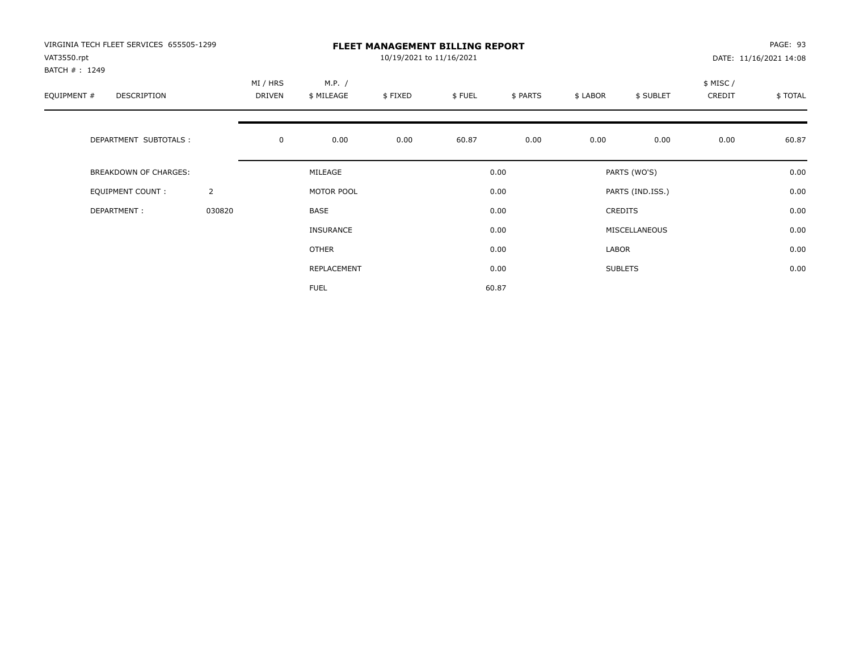| VIRGINIA TECH FLEET SERVICES 655505-1299<br>VAT3550.rpt<br>BATCH #: 1249 |                | <b>FLEET MANAGEMENT BILLING REPORT</b><br>10/19/2021 to 11/16/2021 |              |      |        |          |          |                  |                    | PAGE: 93<br>DATE: 11/16/2021 14:08 |  |
|--------------------------------------------------------------------------|----------------|--------------------------------------------------------------------|--------------|------|--------|----------|----------|------------------|--------------------|------------------------------------|--|
| EQUIPMENT #<br>DESCRIPTION                                               |                | MI / HRS<br>M.P. /<br>DRIVEN<br>\$ MILEAGE<br>\$FIXED              |              |      | \$FUEL | \$ PARTS | \$ LABOR | \$ SUBLET        | \$ MISC/<br>CREDIT | \$TOTAL                            |  |
| DEPARTMENT SUBTOTALS :                                                   |                | $\mathbf 0$                                                        | 0.00         | 0.00 | 60.87  | 0.00     | 0.00     | 0.00             | 0.00               | 60.87                              |  |
| <b>BREAKDOWN OF CHARGES:</b>                                             |                |                                                                    | MILEAGE      |      |        | 0.00     |          | PARTS (WO'S)     |                    | 0.00                               |  |
| EQUIPMENT COUNT:                                                         | $\overline{2}$ |                                                                    | MOTOR POOL   |      |        | 0.00     |          | PARTS (IND.ISS.) |                    | 0.00                               |  |
| DEPARTMENT:                                                              | 030820         |                                                                    | <b>BASE</b>  |      |        | 0.00     |          | <b>CREDITS</b>   |                    | 0.00                               |  |
|                                                                          |                |                                                                    | INSURANCE    |      |        | 0.00     |          | MISCELLANEOUS    |                    | 0.00                               |  |
|                                                                          |                |                                                                    | <b>OTHER</b> |      |        | 0.00     | LABOR    |                  |                    | 0.00                               |  |
|                                                                          |                |                                                                    | REPLACEMENT  |      |        | 0.00     |          | <b>SUBLETS</b>   |                    | 0.00                               |  |
|                                                                          |                |                                                                    | <b>FUEL</b>  |      |        | 60.87    |          |                  |                    |                                    |  |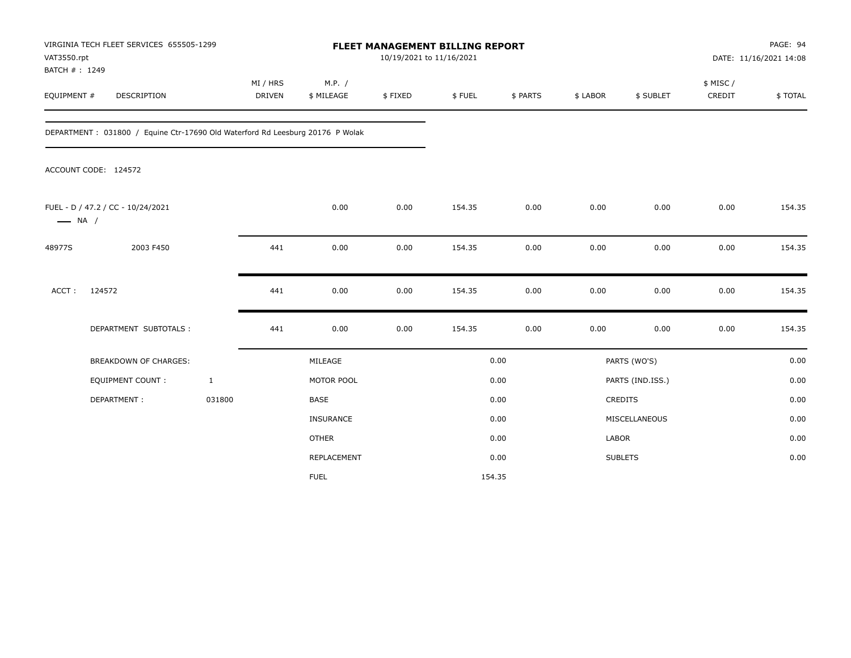| VAT3550.rpt                  | VIRGINIA TECH FLEET SERVICES 655505-1299                                      |                           | FLEET MANAGEMENT BILLING REPORT<br>10/19/2021 to 11/16/2021 |         |        |          |              |                  |                     | PAGE: 94<br>DATE: 11/16/2021 14:08 |  |
|------------------------------|-------------------------------------------------------------------------------|---------------------------|-------------------------------------------------------------|---------|--------|----------|--------------|------------------|---------------------|------------------------------------|--|
| BATCH #: 1249<br>EQUIPMENT # | DESCRIPTION                                                                   | MI / HRS<br><b>DRIVEN</b> | M.P. /<br>\$ MILEAGE                                        | \$FIXED | \$FUEL | \$ PARTS | \$ LABOR     | \$ SUBLET        | \$ MISC /<br>CREDIT | \$TOTAL                            |  |
|                              | DEPARTMENT: 031800 / Equine Ctr-17690 Old Waterford Rd Leesburg 20176 P Wolak |                           |                                                             |         |        |          |              |                  |                     |                                    |  |
|                              | ACCOUNT CODE: 124572                                                          |                           |                                                             |         |        |          |              |                  |                     |                                    |  |
| $\longrightarrow$ NA /       | FUEL - D / 47.2 / CC - 10/24/2021                                             |                           | 0.00                                                        | 0.00    | 154.35 | 0.00     | 0.00         | 0.00             | 0.00                | 154.35                             |  |
| 48977S                       | 2003 F450                                                                     | 441                       | 0.00                                                        | 0.00    | 154.35 | 0.00     | 0.00         | 0.00             | 0.00                | 154.35                             |  |
| ACCT:                        | 124572                                                                        | 441                       | 0.00                                                        | 0.00    | 154.35 | 0.00     | 0.00         | 0.00             | 0.00                | 154.35                             |  |
|                              | DEPARTMENT SUBTOTALS :                                                        | 441                       | 0.00                                                        | 0.00    | 154.35 | 0.00     | 0.00         | 0.00             | 0.00                | 154.35                             |  |
|                              | BREAKDOWN OF CHARGES:                                                         |                           | MILEAGE                                                     |         |        | 0.00     |              | PARTS (WO'S)     |                     | 0.00                               |  |
|                              | EQUIPMENT COUNT :                                                             | $\mathbf{1}$              | MOTOR POOL                                                  |         |        | 0.00     |              | PARTS (IND.ISS.) |                     | 0.00                               |  |
|                              | DEPARTMENT:                                                                   | 031800                    | <b>BASE</b>                                                 |         |        | 0.00     |              | CREDITS          |                     | 0.00                               |  |
|                              |                                                                               |                           | INSURANCE                                                   |         |        | 0.00     |              | MISCELLANEOUS    |                     | 0.00                               |  |
|                              |                                                                               |                           | <b>OTHER</b>                                                |         |        | 0.00     | <b>LABOR</b> |                  |                     | 0.00                               |  |
|                              |                                                                               |                           | REPLACEMENT                                                 |         |        | 0.00     |              | <b>SUBLETS</b>   |                     | 0.00                               |  |
|                              |                                                                               |                           | <b>FUEL</b>                                                 |         |        | 154.35   |              |                  |                     |                                    |  |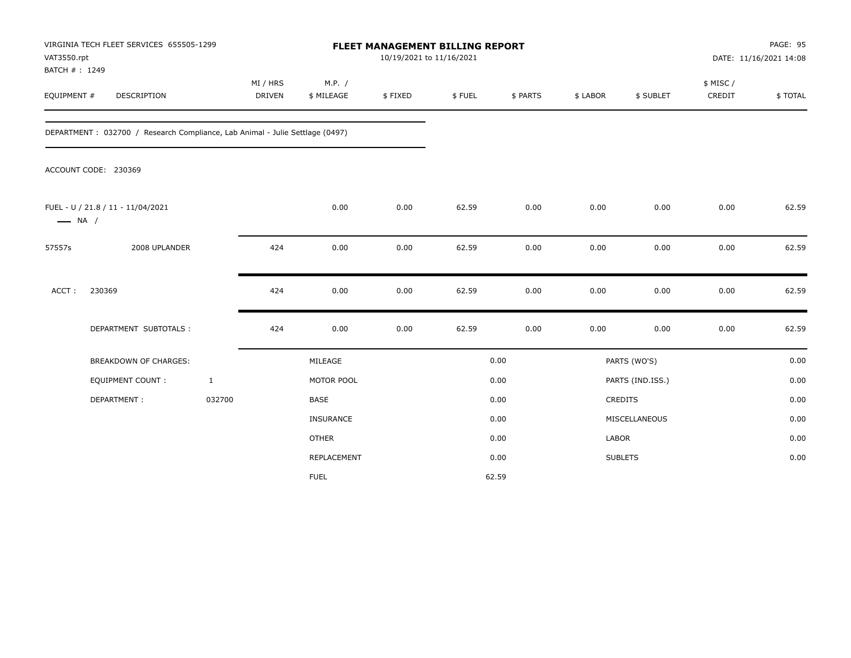| VAT3550.rpt<br>BATCH #: 1249 | VIRGINIA TECH FLEET SERVICES 655505-1299                                     |                           |                      | FLEET MANAGEMENT BILLING REPORT<br>10/19/2021 to 11/16/2021 |        |          |          |                  |                     | PAGE: 95<br>DATE: 11/16/2021 14:08 |
|------------------------------|------------------------------------------------------------------------------|---------------------------|----------------------|-------------------------------------------------------------|--------|----------|----------|------------------|---------------------|------------------------------------|
| EQUIPMENT #                  | DESCRIPTION                                                                  | MI / HRS<br><b>DRIVEN</b> | M.P. /<br>\$ MILEAGE | \$FIXED                                                     | \$FUEL | \$ PARTS | \$ LABOR | \$ SUBLET        | \$ MISC /<br>CREDIT | \$TOTAL                            |
|                              | DEPARTMENT: 032700 / Research Compliance, Lab Animal - Julie Settlage (0497) |                           |                      |                                                             |        |          |          |                  |                     |                                    |
|                              | ACCOUNT CODE: 230369                                                         |                           |                      |                                                             |        |          |          |                  |                     |                                    |
| $\longrightarrow$ NA /       | FUEL - U / 21.8 / 11 - 11/04/2021                                            |                           | 0.00                 | 0.00                                                        | 62.59  | 0.00     | 0.00     | 0.00             | 0.00                | 62.59                              |
| 57557s                       | 2008 UPLANDER                                                                | 424                       | 0.00                 | 0.00                                                        | 62.59  | 0.00     | 0.00     | 0.00             | 0.00                | 62.59                              |
| ACCT:                        | 230369                                                                       | 424                       | 0.00                 | 0.00                                                        | 62.59  | 0.00     | 0.00     | 0.00             | 0.00                | 62.59                              |
|                              | DEPARTMENT SUBTOTALS :                                                       | 424                       | 0.00                 | 0.00                                                        | 62.59  | 0.00     | 0.00     | 0.00             | 0.00                | 62.59                              |
|                              | <b>BREAKDOWN OF CHARGES:</b>                                                 |                           | MILEAGE              |                                                             |        | 0.00     |          | PARTS (WO'S)     |                     | 0.00                               |
|                              | <b>EQUIPMENT COUNT:</b>                                                      | $\mathbf{1}$              | MOTOR POOL           |                                                             |        | 0.00     |          | PARTS (IND.ISS.) |                     | 0.00                               |
|                              | DEPARTMENT:                                                                  | 032700                    | <b>BASE</b>          |                                                             |        | 0.00     |          | <b>CREDITS</b>   |                     | 0.00                               |
|                              |                                                                              |                           | INSURANCE            |                                                             |        | 0.00     |          | MISCELLANEOUS    |                     | 0.00                               |
|                              |                                                                              |                           | <b>OTHER</b>         |                                                             |        | 0.00     | LABOR    |                  |                     | 0.00                               |
|                              |                                                                              |                           | REPLACEMENT          |                                                             |        | 0.00     |          | <b>SUBLETS</b>   |                     | 0.00                               |
|                              |                                                                              |                           | <b>FUEL</b>          |                                                             |        | 62.59    |          |                  |                     |                                    |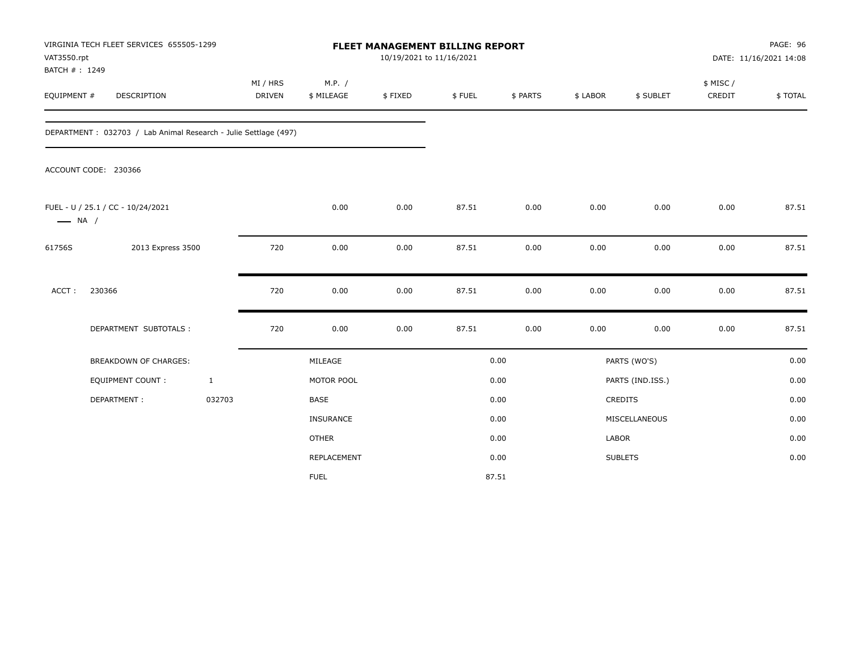| VAT3550.rpt<br>BATCH #: 1249 | VIRGINIA TECH FLEET SERVICES 655505-1299                        |              |                           |                      | <b>FLEET MANAGEMENT BILLING REPORT</b><br>10/19/2021 to 11/16/2021 |        |          |          |                  |                     | PAGE: 96<br>DATE: 11/16/2021 14:08 |
|------------------------------|-----------------------------------------------------------------|--------------|---------------------------|----------------------|--------------------------------------------------------------------|--------|----------|----------|------------------|---------------------|------------------------------------|
| EQUIPMENT #                  | DESCRIPTION                                                     |              | MI / HRS<br><b>DRIVEN</b> | M.P. /<br>\$ MILEAGE | \$FIXED                                                            | \$FUEL | \$ PARTS | \$ LABOR | \$ SUBLET        | \$ MISC /<br>CREDIT | \$TOTAL                            |
|                              | DEPARTMENT: 032703 / Lab Animal Research - Julie Settlage (497) |              |                           |                      |                                                                    |        |          |          |                  |                     |                                    |
|                              | ACCOUNT CODE: 230366                                            |              |                           |                      |                                                                    |        |          |          |                  |                     |                                    |
| $\longrightarrow$ NA /       | FUEL - U / 25.1 / CC - 10/24/2021                               |              |                           | 0.00                 | 0.00                                                               | 87.51  | 0.00     | 0.00     | 0.00             | 0.00                | 87.51                              |
| 61756S                       | 2013 Express 3500                                               |              | 720                       | 0.00                 | 0.00                                                               | 87.51  | 0.00     | 0.00     | 0.00             | 0.00                | 87.51                              |
| ACCT:                        | 230366                                                          |              | 720                       | 0.00                 | 0.00                                                               | 87.51  | 0.00     | 0.00     | 0.00             | 0.00                | 87.51                              |
|                              | DEPARTMENT SUBTOTALS :                                          |              | 720                       | 0.00                 | 0.00                                                               | 87.51  | 0.00     | 0.00     | 0.00             | 0.00                | 87.51                              |
|                              | BREAKDOWN OF CHARGES:                                           |              |                           | MILEAGE              |                                                                    |        | 0.00     |          | PARTS (WO'S)     |                     | 0.00                               |
|                              | EQUIPMENT COUNT:                                                | $\mathbf{1}$ |                           | MOTOR POOL           |                                                                    |        | 0.00     |          | PARTS (IND.ISS.) |                     | 0.00                               |
|                              | DEPARTMENT:                                                     | 032703       |                           | <b>BASE</b>          |                                                                    |        | 0.00     |          | <b>CREDITS</b>   |                     | 0.00                               |
|                              |                                                                 |              |                           | <b>INSURANCE</b>     |                                                                    |        | 0.00     |          | MISCELLANEOUS    |                     | 0.00                               |
|                              |                                                                 |              |                           | <b>OTHER</b>         |                                                                    |        | 0.00     | LABOR    |                  |                     | 0.00                               |
|                              |                                                                 |              |                           | REPLACEMENT          |                                                                    |        | 0.00     |          | <b>SUBLETS</b>   |                     | 0.00                               |
|                              |                                                                 |              |                           | <b>FUEL</b>          |                                                                    |        | 87.51    |          |                  |                     |                                    |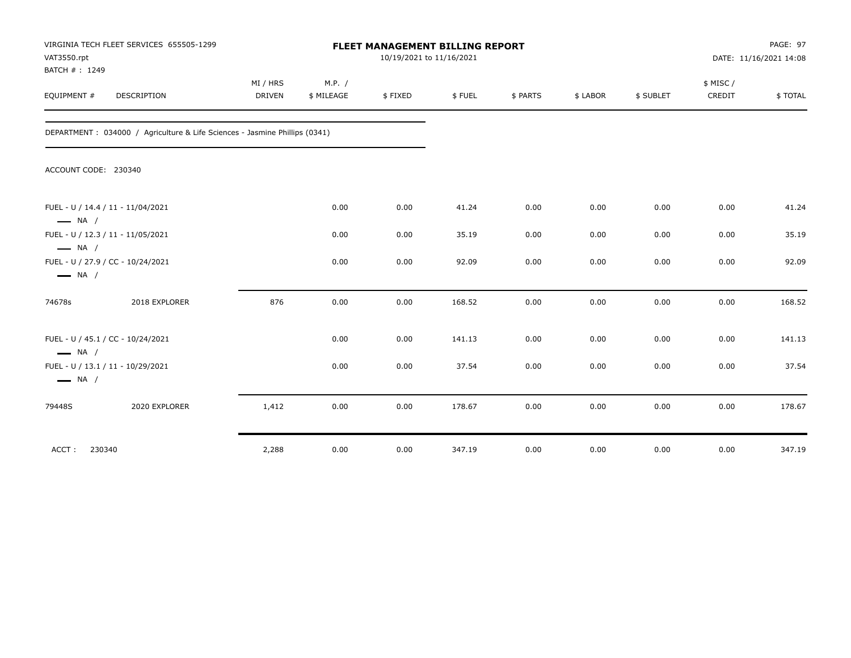| VAT3550.rpt<br>BATCH #: 1249                     | VIRGINIA TECH FLEET SERVICES 655505-1299                                    | FLEET MANAGEMENT BILLING REPORT<br>10/19/2021 to 11/16/2021 |                      |         |        |          |          |           | PAGE: 97<br>DATE: 11/16/2021 14:08 |         |
|--------------------------------------------------|-----------------------------------------------------------------------------|-------------------------------------------------------------|----------------------|---------|--------|----------|----------|-----------|------------------------------------|---------|
| EQUIPMENT #                                      | <b>DESCRIPTION</b>                                                          | MI / HRS<br><b>DRIVEN</b>                                   | M.P. /<br>\$ MILEAGE | \$FIXED | \$FUEL | \$ PARTS | \$ LABOR | \$ SUBLET | \$ MISC/<br>CREDIT                 | \$TOTAL |
|                                                  | DEPARTMENT : 034000 / Agriculture & Life Sciences - Jasmine Phillips (0341) |                                                             |                      |         |        |          |          |           |                                    |         |
| ACCOUNT CODE: 230340                             |                                                                             |                                                             |                      |         |        |          |          |           |                                    |         |
| $\longrightarrow$ NA /                           | FUEL - U / 14.4 / 11 - 11/04/2021                                           |                                                             | 0.00                 | 0.00    | 41.24  | 0.00     | 0.00     | 0.00      | 0.00                               | 41.24   |
|                                                  | FUEL - U / 12.3 / 11 - 11/05/2021                                           |                                                             | 0.00                 | 0.00    | 35.19  | 0.00     | 0.00     | 0.00      | 0.00                               | 35.19   |
| $\longrightarrow$ NA /<br>$\longrightarrow$ NA / | FUEL - U / 27.9 / CC - 10/24/2021                                           |                                                             | 0.00                 | 0.00    | 92.09  | 0.00     | 0.00     | 0.00      | 0.00                               | 92.09   |
| 74678s                                           | 2018 EXPLORER                                                               | 876                                                         | 0.00                 | 0.00    | 168.52 | 0.00     | 0.00     | 0.00      | 0.00                               | 168.52  |
| $\longrightarrow$ NA /                           | FUEL - U / 45.1 / CC - 10/24/2021                                           |                                                             | 0.00                 | 0.00    | 141.13 | 0.00     | 0.00     | 0.00      | 0.00                               | 141.13  |
| $\longrightarrow$ NA /                           | FUEL - U / 13.1 / 11 - 10/29/2021                                           |                                                             | 0.00                 | 0.00    | 37.54  | 0.00     | 0.00     | 0.00      | 0.00                               | 37.54   |
| 79448S                                           | 2020 EXPLORER                                                               | 1,412                                                       | 0.00                 | 0.00    | 178.67 | 0.00     | 0.00     | 0.00      | 0.00                               | 178.67  |
| ACCT:<br>230340                                  |                                                                             | 2,288                                                       | 0.00                 | 0.00    | 347.19 | 0.00     | 0.00     | 0.00      | 0.00                               | 347.19  |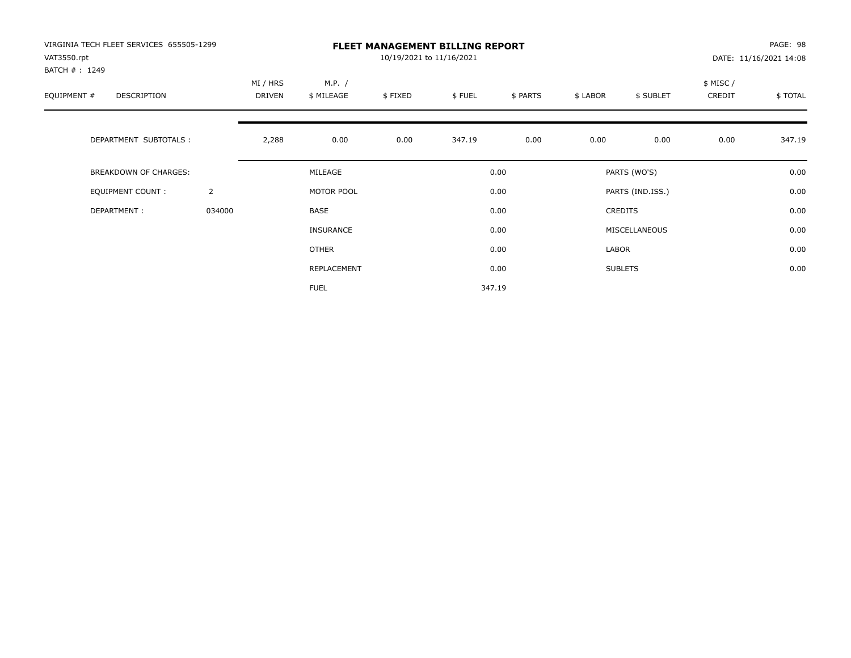| VIRGINIA TECH FLEET SERVICES 655505-1299<br>VAT3550.rpt |                | <b>FLEET MANAGEMENT BILLING REPORT</b><br>10/19/2021 to 11/16/2021 |                      |         |        |          |          |                  |                     | PAGE: 98<br>DATE: 11/16/2021 14:08 |  |
|---------------------------------------------------------|----------------|--------------------------------------------------------------------|----------------------|---------|--------|----------|----------|------------------|---------------------|------------------------------------|--|
| BATCH #: 1249<br>EQUIPMENT #<br><b>DESCRIPTION</b>      |                | MI / HRS<br>DRIVEN                                                 | M.P. /<br>\$ MILEAGE | \$FIXED | \$FUEL | \$ PARTS | \$ LABOR | \$ SUBLET        | \$ MISC /<br>CREDIT | \$TOTAL                            |  |
| DEPARTMENT SUBTOTALS :                                  |                | 2,288                                                              | 0.00                 | 0.00    | 347.19 | 0.00     | 0.00     | 0.00             | 0.00                | 347.19                             |  |
| <b>BREAKDOWN OF CHARGES:</b>                            |                |                                                                    | MILEAGE              |         |        | 0.00     |          | PARTS (WO'S)     |                     | 0.00                               |  |
| EQUIPMENT COUNT:                                        | $\overline{2}$ |                                                                    | MOTOR POOL           |         |        | 0.00     |          | PARTS (IND.ISS.) |                     | 0.00                               |  |
| DEPARTMENT:                                             | 034000         |                                                                    | <b>BASE</b>          |         |        | 0.00     |          | <b>CREDITS</b>   |                     | 0.00                               |  |
|                                                         |                |                                                                    | INSURANCE            |         |        | 0.00     |          | MISCELLANEOUS    |                     | 0.00                               |  |
|                                                         |                |                                                                    | OTHER                |         |        | 0.00     | LABOR    |                  |                     | 0.00                               |  |
|                                                         |                |                                                                    | REPLACEMENT          |         |        | 0.00     |          | <b>SUBLETS</b>   |                     | 0.00                               |  |
|                                                         |                |                                                                    | <b>FUEL</b>          |         |        | 347.19   |          |                  |                     |                                    |  |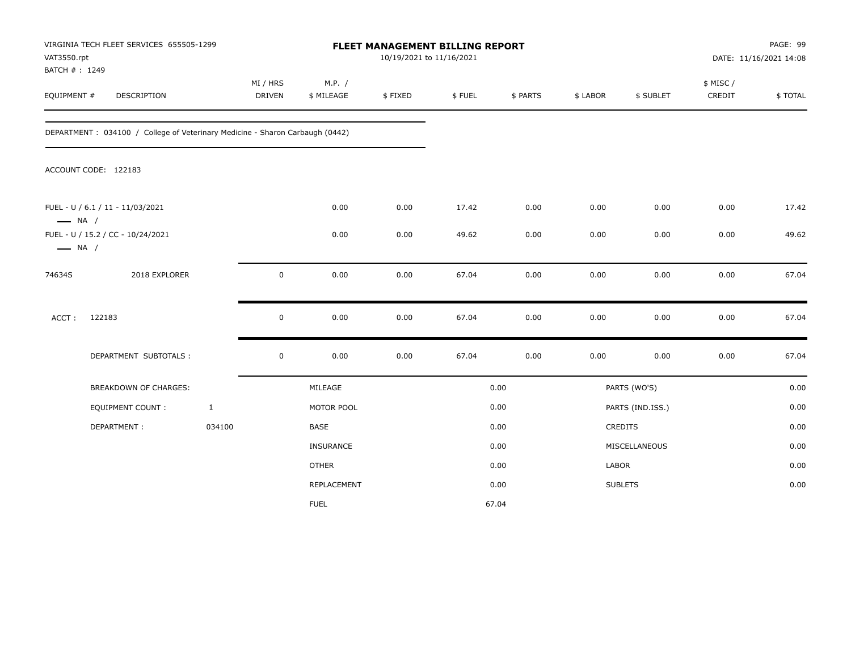|                        | VIRGINIA TECH FLEET SERVICES 655505-1299<br>VAT3550.rpt<br>BATCH #: 1249     |              |                    |                      |         | FLEET MANAGEMENT BILLING REPORT<br>10/19/2021 to 11/16/2021 |          |          |                  | PAGE: 99<br>DATE: 11/16/2021 14:08 |         |  |
|------------------------|------------------------------------------------------------------------------|--------------|--------------------|----------------------|---------|-------------------------------------------------------------|----------|----------|------------------|------------------------------------|---------|--|
| EQUIPMENT #            | DESCRIPTION                                                                  |              | MI / HRS<br>DRIVEN | M.P. /<br>\$ MILEAGE | \$FIXED | \$FUEL                                                      | \$ PARTS | \$ LABOR | \$ SUBLET        | \$ MISC/<br>CREDIT                 | \$TOTAL |  |
|                        | DEPARTMENT: 034100 / College of Veterinary Medicine - Sharon Carbaugh (0442) |              |                    |                      |         |                                                             |          |          |                  |                                    |         |  |
|                        | ACCOUNT CODE: 122183                                                         |              |                    |                      |         |                                                             |          |          |                  |                                    |         |  |
| $\longrightarrow$ NA / | FUEL - U / 6.1 / 11 - 11/03/2021                                             |              |                    | 0.00                 | 0.00    | 17.42                                                       | 0.00     | 0.00     | 0.00             | 0.00                               | 17.42   |  |
| $\longrightarrow$ NA / | FUEL - U / 15.2 / CC - 10/24/2021                                            |              |                    | 0.00                 | 0.00    | 49.62                                                       | 0.00     | 0.00     | 0.00             | 0.00                               | 49.62   |  |
| 74634S                 | 2018 EXPLORER                                                                |              | $\mathbf 0$        | 0.00                 | 0.00    | 67.04                                                       | 0.00     | 0.00     | 0.00             | 0.00                               | 67.04   |  |
| ACCT:                  | 122183                                                                       |              | $\mathsf 0$        | 0.00                 | 0.00    | 67.04                                                       | 0.00     | 0.00     | 0.00             | 0.00                               | 67.04   |  |
|                        | DEPARTMENT SUBTOTALS :                                                       |              | $\mathsf 0$        | 0.00                 | 0.00    | 67.04                                                       | 0.00     | 0.00     | 0.00             | 0.00                               | 67.04   |  |
|                        | <b>BREAKDOWN OF CHARGES:</b>                                                 |              |                    | MILEAGE              |         |                                                             | 0.00     |          | PARTS (WO'S)     |                                    | 0.00    |  |
|                        | <b>EQUIPMENT COUNT:</b>                                                      | $\mathbf{1}$ |                    | MOTOR POOL           |         |                                                             | 0.00     |          | PARTS (IND.ISS.) |                                    | 0.00    |  |
|                        | DEPARTMENT:                                                                  | 034100       |                    | BASE                 |         |                                                             | 0.00     |          | <b>CREDITS</b>   |                                    | 0.00    |  |
|                        |                                                                              |              |                    | <b>INSURANCE</b>     |         |                                                             | 0.00     |          | MISCELLANEOUS    |                                    | 0.00    |  |
|                        |                                                                              |              |                    | <b>OTHER</b>         |         |                                                             | 0.00     | LABOR    |                  |                                    | 0.00    |  |
|                        |                                                                              |              |                    | REPLACEMENT          |         |                                                             | 0.00     |          | <b>SUBLETS</b>   |                                    | 0.00    |  |
|                        |                                                                              |              |                    | <b>FUEL</b>          |         |                                                             | 67.04    |          |                  |                                    |         |  |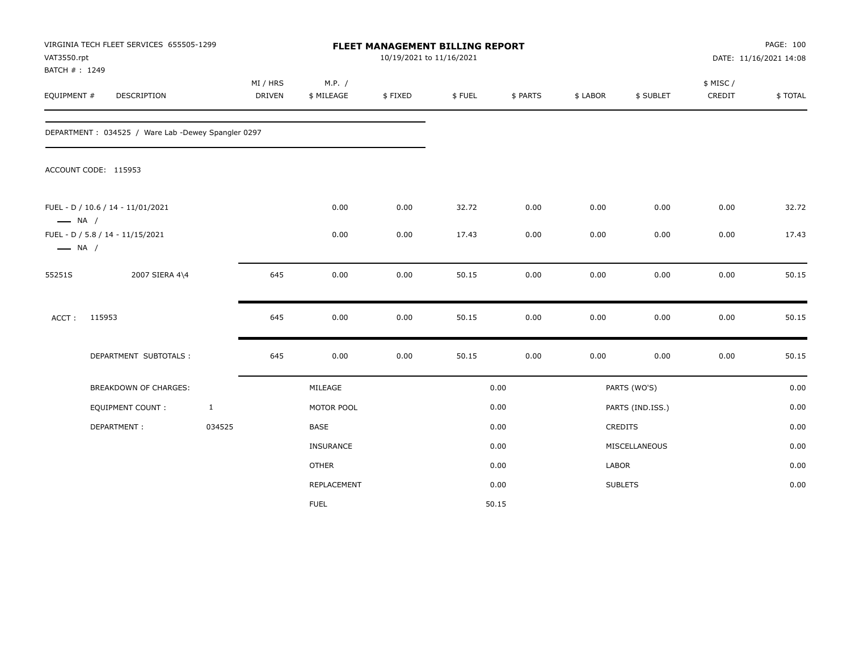| VAT3550.rpt<br>BATCH #: 1249 | VIRGINIA TECH FLEET SERVICES 655505-1299           |              |                           |                      |         | FLEET MANAGEMENT BILLING REPORT<br>10/19/2021 to 11/16/2021 |          |          |                  | PAGE: 100<br>DATE: 11/16/2021 14:08 |         |
|------------------------------|----------------------------------------------------|--------------|---------------------------|----------------------|---------|-------------------------------------------------------------|----------|----------|------------------|-------------------------------------|---------|
| EQUIPMENT #                  | DESCRIPTION                                        |              | MI / HRS<br><b>DRIVEN</b> | M.P. /<br>\$ MILEAGE | \$FIXED | \$FUEL                                                      | \$ PARTS | \$ LABOR | \$ SUBLET        | \$ MISC/<br>CREDIT                  | \$TOTAL |
|                              | DEPARTMENT: 034525 / Ware Lab -Dewey Spangler 0297 |              |                           |                      |         |                                                             |          |          |                  |                                     |         |
|                              | ACCOUNT CODE: 115953                               |              |                           |                      |         |                                                             |          |          |                  |                                     |         |
| $\longrightarrow$ NA /       | FUEL - D / 10.6 / 14 - 11/01/2021                  |              |                           | 0.00                 | 0.00    | 32.72                                                       | 0.00     | 0.00     | 0.00             | 0.00                                | 32.72   |
| $\longrightarrow$ NA /       | FUEL - D / 5.8 / 14 - 11/15/2021                   |              |                           | 0.00                 | 0.00    | 17.43                                                       | 0.00     | 0.00     | 0.00             | 0.00                                | 17.43   |
| 55251S                       | 2007 SIERA 4\4                                     |              | 645                       | 0.00                 | 0.00    | 50.15                                                       | 0.00     | 0.00     | 0.00             | 0.00                                | 50.15   |
| ACCT:                        | 115953                                             |              | 645                       | 0.00                 | 0.00    | 50.15                                                       | 0.00     | 0.00     | 0.00             | 0.00                                | 50.15   |
|                              | DEPARTMENT SUBTOTALS :                             |              | 645                       | 0.00                 | 0.00    | 50.15                                                       | 0.00     | 0.00     | 0.00             | $0.00\,$                            | 50.15   |
|                              | <b>BREAKDOWN OF CHARGES:</b>                       |              |                           | MILEAGE              |         |                                                             | 0.00     |          | PARTS (WO'S)     |                                     | 0.00    |
|                              | <b>EQUIPMENT COUNT:</b>                            | $\mathbf{1}$ |                           | MOTOR POOL           |         |                                                             | 0.00     |          | PARTS (IND.ISS.) |                                     | 0.00    |
|                              | DEPARTMENT:                                        | 034525       |                           | BASE                 |         |                                                             | 0.00     |          | CREDITS          |                                     | 0.00    |
|                              |                                                    |              |                           | <b>INSURANCE</b>     |         |                                                             | 0.00     |          | MISCELLANEOUS    |                                     | 0.00    |
|                              |                                                    |              |                           | <b>OTHER</b>         |         |                                                             | 0.00     | LABOR    |                  |                                     | 0.00    |
|                              |                                                    |              |                           | REPLACEMENT          |         |                                                             | 0.00     |          | <b>SUBLETS</b>   |                                     | 0.00    |
|                              |                                                    |              |                           | <b>FUEL</b>          |         |                                                             | 50.15    |          |                  |                                     |         |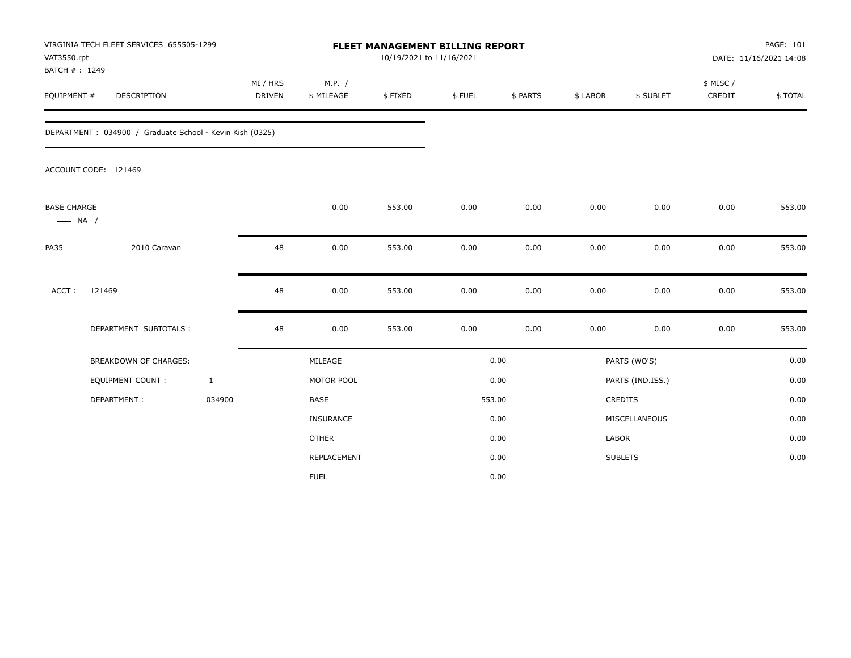| VAT3550.rpt<br>BATCH #: 1249                 | VIRGINIA TECH FLEET SERVICES 655505-1299                 |              |                           |                      | FLEET MANAGEMENT BILLING REPORT<br>10/19/2021 to 11/16/2021 |        |          |          |                  |                    | PAGE: 101<br>DATE: 11/16/2021 14:08 |
|----------------------------------------------|----------------------------------------------------------|--------------|---------------------------|----------------------|-------------------------------------------------------------|--------|----------|----------|------------------|--------------------|-------------------------------------|
| EQUIPMENT #                                  | DESCRIPTION                                              |              | MI / HRS<br><b>DRIVEN</b> | M.P. /<br>\$ MILEAGE | \$FIXED                                                     | \$FUEL | \$ PARTS | \$ LABOR | \$ SUBLET        | \$ MISC/<br>CREDIT | \$TOTAL                             |
|                                              | DEPARTMENT: 034900 / Graduate School - Kevin Kish (0325) |              |                           |                      |                                                             |        |          |          |                  |                    |                                     |
|                                              | ACCOUNT CODE: 121469                                     |              |                           |                      |                                                             |        |          |          |                  |                    |                                     |
| <b>BASE CHARGE</b><br>$\longrightarrow$ NA / |                                                          |              |                           | 0.00                 | 553.00                                                      | 0.00   | 0.00     | 0.00     | 0.00             | 0.00               | 553.00                              |
| <b>PA35</b>                                  | 2010 Caravan                                             |              | 48                        | 0.00                 | 553.00                                                      | 0.00   | 0.00     | 0.00     | 0.00             | 0.00               | 553.00                              |
| ACCT:                                        | 121469                                                   |              | 48                        | 0.00                 | 553.00                                                      | 0.00   | 0.00     | 0.00     | 0.00             | 0.00               | 553.00                              |
|                                              | DEPARTMENT SUBTOTALS :                                   |              | 48                        | 0.00                 | 553.00                                                      | 0.00   | 0.00     | 0.00     | 0.00             | 0.00               | 553.00                              |
|                                              | <b>BREAKDOWN OF CHARGES:</b>                             |              |                           | MILEAGE              |                                                             |        | 0.00     |          | PARTS (WO'S)     |                    | 0.00                                |
|                                              | EQUIPMENT COUNT :                                        | $\mathbf{1}$ |                           | MOTOR POOL           |                                                             |        | 0.00     |          | PARTS (IND.ISS.) |                    | 0.00                                |
|                                              | DEPARTMENT:                                              | 034900       |                           | <b>BASE</b>          |                                                             |        | 553.00   |          | <b>CREDITS</b>   |                    | 0.00                                |
|                                              |                                                          |              |                           | <b>INSURANCE</b>     |                                                             |        | 0.00     |          | MISCELLANEOUS    |                    | 0.00                                |
|                                              |                                                          |              |                           | <b>OTHER</b>         |                                                             |        | 0.00     | LABOR    |                  |                    | 0.00                                |
|                                              |                                                          |              |                           | <b>REPLACEMENT</b>   |                                                             |        | 0.00     |          | <b>SUBLETS</b>   |                    | 0.00                                |
|                                              |                                                          |              |                           | <b>FUEL</b>          |                                                             |        | 0.00     |          |                  |                    |                                     |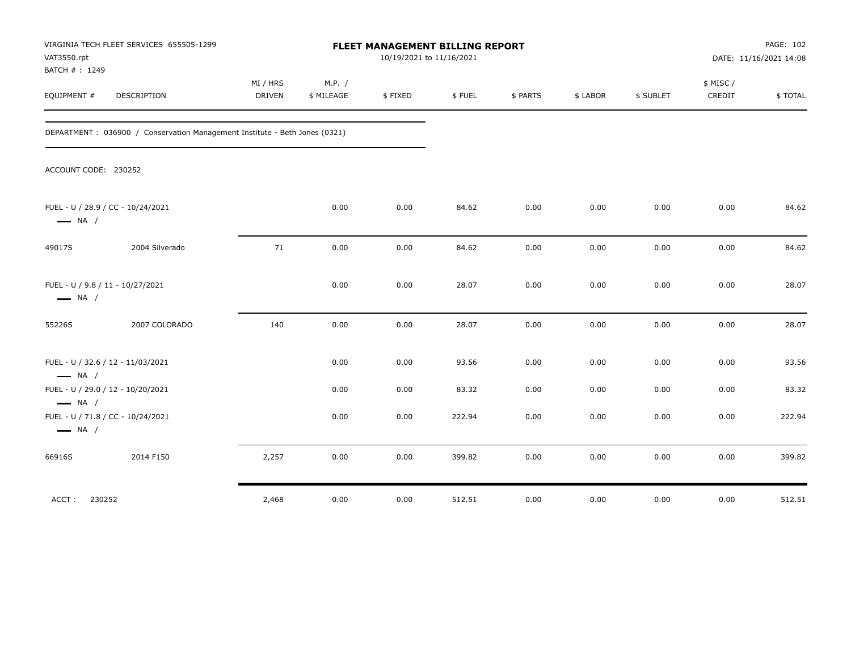| VAT3550.rpt<br>BATCH #: 1249                               | VIRGINIA TECH FLEET SERVICES 655505-1299                                    | FLEET MANAGEMENT BILLING REPORT<br>10/19/2021 to 11/16/2021 |                      |         |        |          |          |           | PAGE: 102<br>DATE: 11/16/2021 14:08 |         |
|------------------------------------------------------------|-----------------------------------------------------------------------------|-------------------------------------------------------------|----------------------|---------|--------|----------|----------|-----------|-------------------------------------|---------|
| EQUIPMENT #                                                | DESCRIPTION                                                                 | MI / HRS<br><b>DRIVEN</b>                                   | M.P. /<br>\$ MILEAGE | \$FIXED | \$FUEL | \$ PARTS | \$ LABOR | \$ SUBLET | \$ MISC/<br>CREDIT                  | \$TOTAL |
|                                                            | DEPARTMENT : 036900 / Conservation Management Institute - Beth Jones (0321) |                                                             |                      |         |        |          |          |           |                                     |         |
| ACCOUNT CODE: 230252                                       |                                                                             |                                                             |                      |         |        |          |          |           |                                     |         |
| $\longrightarrow$ NA /                                     | FUEL - U / 28.9 / CC - 10/24/2021                                           |                                                             | 0.00                 | 0.00    | 84.62  | 0.00     | 0.00     | 0.00      | 0.00                                | 84.62   |
| 49017S                                                     | 2004 Silverado                                                              | 71                                                          | 0.00                 | 0.00    | 84.62  | 0.00     | 0.00     | 0.00      | 0.00                                | 84.62   |
| FUEL - U / 9.8 / 11 - 10/27/2021<br>$\longrightarrow$ NA / |                                                                             |                                                             | 0.00                 | 0.00    | 28.07  | 0.00     | 0.00     | 0.00      | 0.00                                | 28.07   |
| 55226S                                                     | 2007 COLORADO                                                               | 140                                                         | 0.00                 | 0.00    | 28.07  | 0.00     | 0.00     | 0.00      | 0.00                                | 28.07   |
| $\longrightarrow$ NA /                                     | FUEL - U / 32.6 / 12 - 11/03/2021                                           |                                                             | 0.00                 | 0.00    | 93.56  | 0.00     | 0.00     | 0.00      | 0.00                                | 93.56   |
|                                                            | FUEL - U / 29.0 / 12 - 10/20/2021                                           |                                                             | 0.00                 | 0.00    | 83.32  | 0.00     | 0.00     | 0.00      | 0.00                                | 83.32   |
| $\longrightarrow$ NA /<br>$\longrightarrow$ NA /           | FUEL - U / 71.8 / CC - 10/24/2021                                           |                                                             | 0.00                 | 0.00    | 222.94 | 0.00     | 0.00     | 0.00      | 0.00                                | 222.94  |
| 66916S                                                     | 2014 F150                                                                   | 2,257                                                       | 0.00                 | 0.00    | 399.82 | 0.00     | 0.00     | 0.00      | 0.00                                | 399.82  |
| 230252<br>ACCT:                                            |                                                                             | 2,468                                                       | 0.00                 | 0.00    | 512.51 | 0.00     | 0.00     | 0.00      | 0.00                                | 512.51  |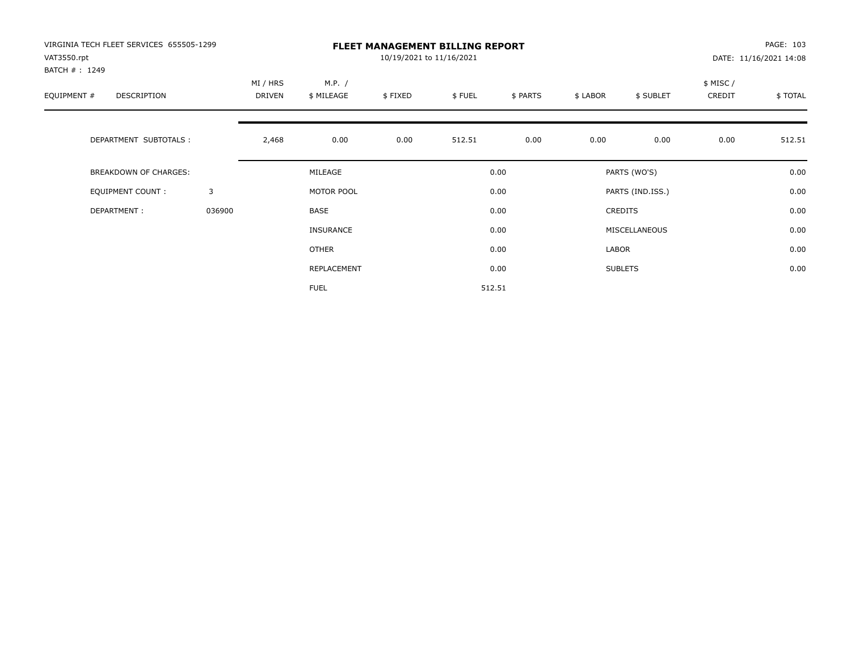| VIRGINIA TECH FLEET SERVICES 655505-1299<br>VAT3550.rpt<br>BATCH #: 1249 |        | <b>FLEET MANAGEMENT BILLING REPORT</b><br>10/19/2021 to 11/16/2021 |                      |         |        |          |          |                  |                     | PAGE: 103<br>DATE: 11/16/2021 14:08 |  |
|--------------------------------------------------------------------------|--------|--------------------------------------------------------------------|----------------------|---------|--------|----------|----------|------------------|---------------------|-------------------------------------|--|
| EQUIPMENT #<br>DESCRIPTION                                               |        | MI / HRS<br><b>DRIVEN</b>                                          | M.P. /<br>\$ MILEAGE | \$FIXED | \$FUEL | \$ PARTS | \$ LABOR | \$ SUBLET        | \$ MISC /<br>CREDIT | \$TOTAL                             |  |
| DEPARTMENT SUBTOTALS :                                                   |        | 2,468                                                              | 0.00                 | 0.00    | 512.51 | 0.00     | 0.00     | 0.00             | 0.00                | 512.51                              |  |
| <b>BREAKDOWN OF CHARGES:</b>                                             |        |                                                                    | MILEAGE              |         |        | 0.00     |          | PARTS (WO'S)     |                     | 0.00                                |  |
| EQUIPMENT COUNT:                                                         | 3      |                                                                    | MOTOR POOL           |         |        | 0.00     |          | PARTS (IND.ISS.) |                     | 0.00                                |  |
| DEPARTMENT:                                                              | 036900 |                                                                    | <b>BASE</b>          |         |        | 0.00     |          | <b>CREDITS</b>   |                     | 0.00                                |  |
|                                                                          |        |                                                                    | INSURANCE            |         |        | 0.00     |          | MISCELLANEOUS    |                     | 0.00                                |  |
|                                                                          |        |                                                                    | <b>OTHER</b>         |         |        | 0.00     | LABOR    |                  |                     | 0.00                                |  |
|                                                                          |        |                                                                    | REPLACEMENT          |         |        | 0.00     |          | <b>SUBLETS</b>   |                     | 0.00                                |  |
|                                                                          |        |                                                                    | <b>FUEL</b>          |         |        | 512.51   |          |                  |                     |                                     |  |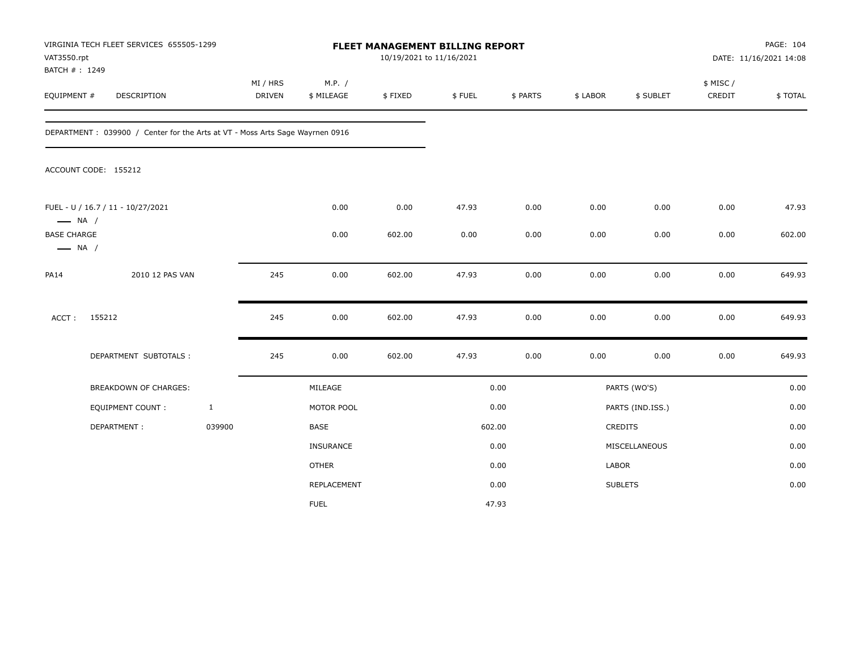| VAT3550.rpt<br>BATCH #: 1249                 | VIRGINIA TECH FLEET SERVICES 655505-1299                                      |              |                    |                      |         | FLEET MANAGEMENT BILLING REPORT<br>10/19/2021 to 11/16/2021 |          |          |                  | PAGE: 104<br>DATE: 11/16/2021 14:08 |         |
|----------------------------------------------|-------------------------------------------------------------------------------|--------------|--------------------|----------------------|---------|-------------------------------------------------------------|----------|----------|------------------|-------------------------------------|---------|
| EQUIPMENT #                                  | DESCRIPTION                                                                   |              | MI / HRS<br>DRIVEN | M.P. /<br>\$ MILEAGE | \$FIXED | \$FUEL                                                      | \$ PARTS | \$ LABOR | \$ SUBLET        | \$ MISC /<br>CREDIT                 | \$TOTAL |
|                                              | DEPARTMENT : 039900 / Center for the Arts at VT - Moss Arts Sage Wayrnen 0916 |              |                    |                      |         |                                                             |          |          |                  |                                     |         |
|                                              | ACCOUNT CODE: 155212                                                          |              |                    |                      |         |                                                             |          |          |                  |                                     |         |
| $\longrightarrow$ NA /                       | FUEL - U / 16.7 / 11 - 10/27/2021                                             |              |                    | 0.00                 | 0.00    | 47.93                                                       | 0.00     | 0.00     | 0.00             | 0.00                                | 47.93   |
| <b>BASE CHARGE</b><br>$\longrightarrow$ NA / |                                                                               |              |                    | 0.00                 | 602.00  | 0.00                                                        | 0.00     | 0.00     | 0.00             | 0.00                                | 602.00  |
| <b>PA14</b>                                  | 2010 12 PAS VAN                                                               |              | 245                | 0.00                 | 602.00  | 47.93                                                       | 0.00     | 0.00     | 0.00             | 0.00                                | 649.93  |
| ACCT:                                        | 155212                                                                        |              | 245                | 0.00                 | 602.00  | 47.93                                                       | 0.00     | 0.00     | 0.00             | 0.00                                | 649.93  |
|                                              | DEPARTMENT SUBTOTALS :                                                        |              | 245                | 0.00                 | 602.00  | 47.93                                                       | 0.00     | 0.00     | 0.00             | 0.00                                | 649.93  |
|                                              | <b>BREAKDOWN OF CHARGES:</b>                                                  |              |                    | MILEAGE              |         |                                                             | 0.00     |          | PARTS (WO'S)     |                                     | 0.00    |
|                                              | EQUIPMENT COUNT:                                                              | $\mathbf{1}$ |                    | MOTOR POOL           |         |                                                             | 0.00     |          | PARTS (IND.ISS.) |                                     | 0.00    |
|                                              | DEPARTMENT:                                                                   | 039900       |                    | BASE                 |         |                                                             | 602.00   |          | CREDITS          |                                     | 0.00    |
|                                              |                                                                               |              |                    | INSURANCE            |         |                                                             | 0.00     |          | MISCELLANEOUS    |                                     | 0.00    |
|                                              |                                                                               |              |                    | <b>OTHER</b>         |         |                                                             | 0.00     | LABOR    |                  |                                     | 0.00    |
|                                              |                                                                               |              |                    | REPLACEMENT          |         |                                                             | 0.00     |          | <b>SUBLETS</b>   |                                     | 0.00    |
|                                              |                                                                               |              |                    | <b>FUEL</b>          |         |                                                             | 47.93    |          |                  |                                     |         |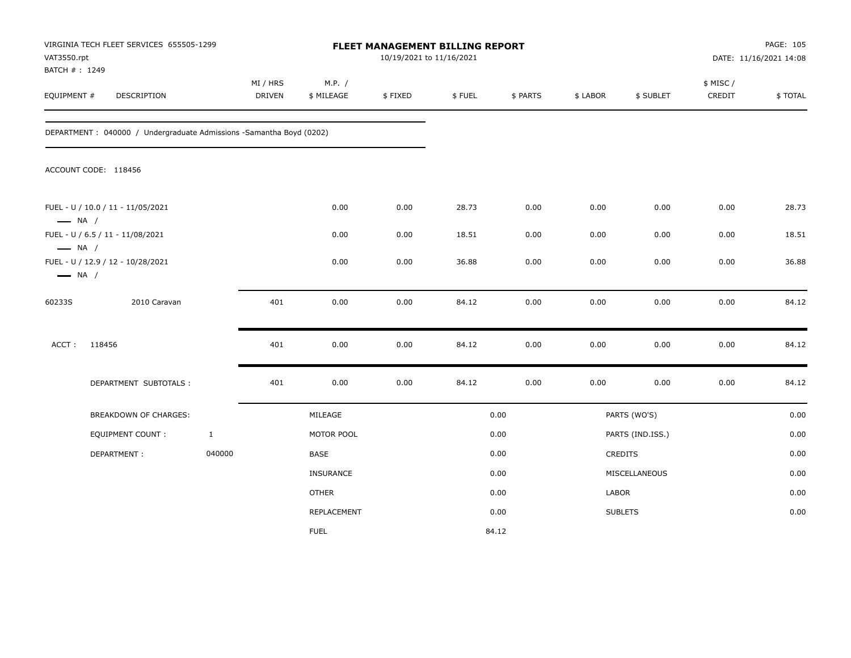|                                                  | VIRGINIA TECH FLEET SERVICES 655505-1299<br>VAT3550.rpt<br>BATCH #: 1249 |              |                           |                      | FLEET MANAGEMENT BILLING REPORT<br>10/19/2021 to 11/16/2021 |        |          |          |                  | PAGE: 105<br>DATE: 11/16/2021 14:08 |         |
|--------------------------------------------------|--------------------------------------------------------------------------|--------------|---------------------------|----------------------|-------------------------------------------------------------|--------|----------|----------|------------------|-------------------------------------|---------|
| EQUIPMENT #                                      | DESCRIPTION                                                              |              | MI / HRS<br><b>DRIVEN</b> | M.P. /<br>\$ MILEAGE | \$FIXED                                                     | \$FUEL | \$ PARTS | \$ LABOR | \$ SUBLET        | \$ MISC /<br>CREDIT                 | \$TOTAL |
|                                                  | DEPARTMENT: 040000 / Undergraduate Admissions -Samantha Boyd (0202)      |              |                           |                      |                                                             |        |          |          |                  |                                     |         |
|                                                  | ACCOUNT CODE: 118456                                                     |              |                           |                      |                                                             |        |          |          |                  |                                     |         |
| $\longrightarrow$ NA /                           | FUEL - U / 10.0 / 11 - 11/05/2021                                        |              |                           | 0.00                 | 0.00                                                        | 28.73  | 0.00     | 0.00     | 0.00             | 0.00                                | 28.73   |
|                                                  | FUEL - U / 6.5 / 11 - 11/08/2021                                         |              |                           | 0.00                 | 0.00                                                        | 18.51  | 0.00     | 0.00     | 0.00             | 0.00                                | 18.51   |
| $\longrightarrow$ NA /<br>$\longrightarrow$ NA / | FUEL - U / 12.9 / 12 - 10/28/2021                                        |              |                           | 0.00                 | 0.00                                                        | 36.88  | 0.00     | 0.00     | 0.00             | 0.00                                | 36.88   |
| 60233S                                           | 2010 Caravan                                                             |              | 401                       | 0.00                 | 0.00                                                        | 84.12  | 0.00     | 0.00     | 0.00             | 0.00                                | 84.12   |
| ACCT:                                            | 118456                                                                   |              | 401                       | 0.00                 | 0.00                                                        | 84.12  | 0.00     | 0.00     | 0.00             | 0.00                                | 84.12   |
|                                                  | DEPARTMENT SUBTOTALS :                                                   |              | 401                       | 0.00                 | 0.00                                                        | 84.12  | 0.00     | 0.00     | 0.00             | 0.00                                | 84.12   |
|                                                  | BREAKDOWN OF CHARGES:                                                    |              |                           | MILEAGE              |                                                             |        | 0.00     |          | PARTS (WO'S)     |                                     | 0.00    |
|                                                  | EQUIPMENT COUNT:                                                         | $\mathbf{1}$ |                           | MOTOR POOL           |                                                             |        | 0.00     |          | PARTS (IND.ISS.) |                                     | 0.00    |
|                                                  | DEPARTMENT:                                                              | 040000       |                           | BASE                 |                                                             |        | 0.00     |          | CREDITS          |                                     | 0.00    |
|                                                  |                                                                          |              |                           | <b>INSURANCE</b>     |                                                             |        | 0.00     |          | MISCELLANEOUS    |                                     | 0.00    |
|                                                  |                                                                          |              |                           | <b>OTHER</b>         |                                                             |        | 0.00     | LABOR    |                  |                                     | 0.00    |
|                                                  |                                                                          |              |                           | <b>REPLACEMENT</b>   |                                                             |        | 0.00     |          | <b>SUBLETS</b>   |                                     | 0.00    |
|                                                  |                                                                          |              |                           | <b>FUEL</b>          |                                                             |        | 84.12    |          |                  |                                     |         |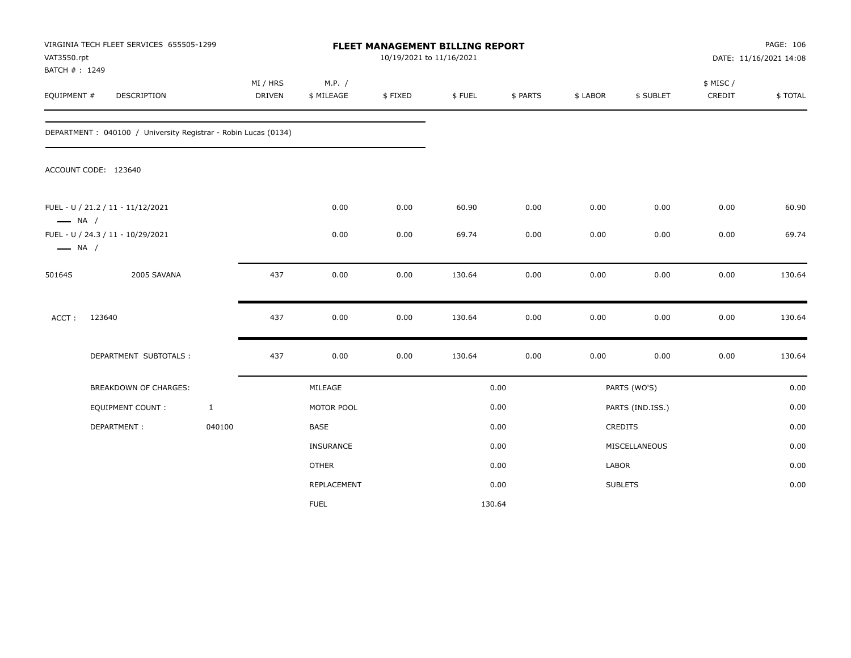| VAT3550.rpt<br>BATCH #: 1249 | VIRGINIA TECH FLEET SERVICES 655505-1299                        |              |                           |                      |         | FLEET MANAGEMENT BILLING REPORT<br>10/19/2021 to 11/16/2021 |          |          |                  | PAGE: 106<br>DATE: 11/16/2021 14:08 |         |
|------------------------------|-----------------------------------------------------------------|--------------|---------------------------|----------------------|---------|-------------------------------------------------------------|----------|----------|------------------|-------------------------------------|---------|
| EQUIPMENT #                  | DESCRIPTION                                                     |              | MI / HRS<br><b>DRIVEN</b> | M.P. /<br>\$ MILEAGE | \$FIXED | \$FUEL                                                      | \$ PARTS | \$ LABOR | \$ SUBLET        | \$ MISC/<br>CREDIT                  | \$TOTAL |
|                              | DEPARTMENT : 040100 / University Registrar - Robin Lucas (0134) |              |                           |                      |         |                                                             |          |          |                  |                                     |         |
|                              | ACCOUNT CODE: 123640                                            |              |                           |                      |         |                                                             |          |          |                  |                                     |         |
| $\longrightarrow$ NA /       | FUEL - U / 21.2 / 11 - 11/12/2021                               |              |                           | 0.00                 | 0.00    | 60.90                                                       | 0.00     | 0.00     | 0.00             | 0.00                                | 60.90   |
| $\longrightarrow$ NA /       | FUEL - U / 24.3 / 11 - 10/29/2021                               |              |                           | 0.00                 | 0.00    | 69.74                                                       | 0.00     | 0.00     | 0.00             | 0.00                                | 69.74   |
| 50164S                       | 2005 SAVANA                                                     |              | 437                       | 0.00                 | 0.00    | 130.64                                                      | 0.00     | 0.00     | 0.00             | 0.00                                | 130.64  |
| ACCT:                        | 123640                                                          |              | 437                       | 0.00                 | 0.00    | 130.64                                                      | 0.00     | 0.00     | 0.00             | 0.00                                | 130.64  |
|                              | DEPARTMENT SUBTOTALS :                                          |              | 437                       | 0.00                 | 0.00    | 130.64                                                      | 0.00     | 0.00     | 0.00             | 0.00                                | 130.64  |
|                              | <b>BREAKDOWN OF CHARGES:</b>                                    |              |                           | MILEAGE              |         |                                                             | 0.00     |          | PARTS (WO'S)     |                                     | 0.00    |
|                              | <b>EQUIPMENT COUNT:</b>                                         | $\mathbf{1}$ |                           | MOTOR POOL           |         |                                                             | 0.00     |          | PARTS (IND.ISS.) |                                     | 0.00    |
|                              | DEPARTMENT:                                                     | 040100       |                           | BASE                 |         |                                                             | 0.00     |          | CREDITS          |                                     | 0.00    |
|                              |                                                                 |              |                           | <b>INSURANCE</b>     |         |                                                             | 0.00     |          | MISCELLANEOUS    |                                     | 0.00    |
|                              |                                                                 |              |                           | <b>OTHER</b>         |         |                                                             | 0.00     | LABOR    |                  |                                     | 0.00    |
|                              |                                                                 |              |                           | REPLACEMENT          |         |                                                             | 0.00     |          | <b>SUBLETS</b>   |                                     | 0.00    |
|                              |                                                                 |              |                           | <b>FUEL</b>          |         | 130.64                                                      |          |          |                  |                                     |         |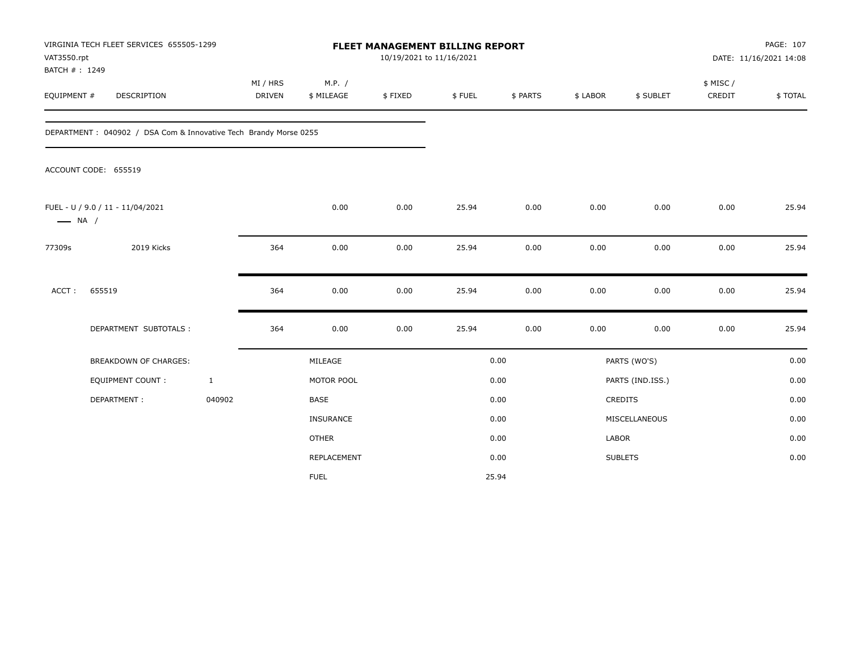| VAT3550.rpt<br>BATCH #: 1249 | VIRGINIA TECH FLEET SERVICES 655505-1299                          |                           |                      |         | FLEET MANAGEMENT BILLING REPORT<br>10/19/2021 to 11/16/2021 |          |              |                  | PAGE: 107<br>DATE: 11/16/2021 14:08 |         |
|------------------------------|-------------------------------------------------------------------|---------------------------|----------------------|---------|-------------------------------------------------------------|----------|--------------|------------------|-------------------------------------|---------|
| EQUIPMENT #                  | <b>DESCRIPTION</b>                                                | MI / HRS<br><b>DRIVEN</b> | M.P. /<br>\$ MILEAGE | \$FIXED | \$FUEL                                                      | \$ PARTS | \$ LABOR     | \$ SUBLET        | \$ MISC/<br>CREDIT                  | \$TOTAL |
|                              | DEPARTMENT : 040902 / DSA Com & Innovative Tech Brandy Morse 0255 |                           |                      |         |                                                             |          |              |                  |                                     |         |
|                              | ACCOUNT CODE: 655519                                              |                           |                      |         |                                                             |          |              |                  |                                     |         |
| $\longrightarrow$ NA /       | FUEL - U / 9.0 / 11 - 11/04/2021                                  |                           | 0.00                 | 0.00    | 25.94                                                       | 0.00     | 0.00         | 0.00             | 0.00                                | 25.94   |
| 77309s                       | 2019 Kicks                                                        | 364                       | 0.00                 | 0.00    | 25.94                                                       | 0.00     | 0.00         | 0.00             | 0.00                                | 25.94   |
| ACCT:                        | 655519                                                            | 364                       | 0.00                 | 0.00    | 25.94                                                       | 0.00     | 0.00         | 0.00             | 0.00                                | 25.94   |
|                              | DEPARTMENT SUBTOTALS :                                            | 364                       | 0.00                 | 0.00    | 25.94                                                       | 0.00     | 0.00         | 0.00             | 0.00                                | 25.94   |
|                              | <b>BREAKDOWN OF CHARGES:</b>                                      |                           | MILEAGE              |         |                                                             | 0.00     |              | PARTS (WO'S)     |                                     | 0.00    |
|                              | <b>EQUIPMENT COUNT:</b>                                           | $\mathbf{1}$              | MOTOR POOL           |         |                                                             | 0.00     |              | PARTS (IND.ISS.) |                                     | 0.00    |
|                              | DEPARTMENT:                                                       | 040902                    | <b>BASE</b>          |         |                                                             | 0.00     |              | <b>CREDITS</b>   |                                     | 0.00    |
|                              |                                                                   |                           | <b>INSURANCE</b>     |         |                                                             | 0.00     |              | MISCELLANEOUS    |                                     | 0.00    |
|                              |                                                                   |                           | <b>OTHER</b>         |         |                                                             | 0.00     | <b>LABOR</b> |                  |                                     | 0.00    |
|                              |                                                                   |                           | REPLACEMENT          |         |                                                             | 0.00     |              | <b>SUBLETS</b>   |                                     | 0.00    |
|                              |                                                                   |                           | <b>FUEL</b>          |         |                                                             | 25.94    |              |                  |                                     |         |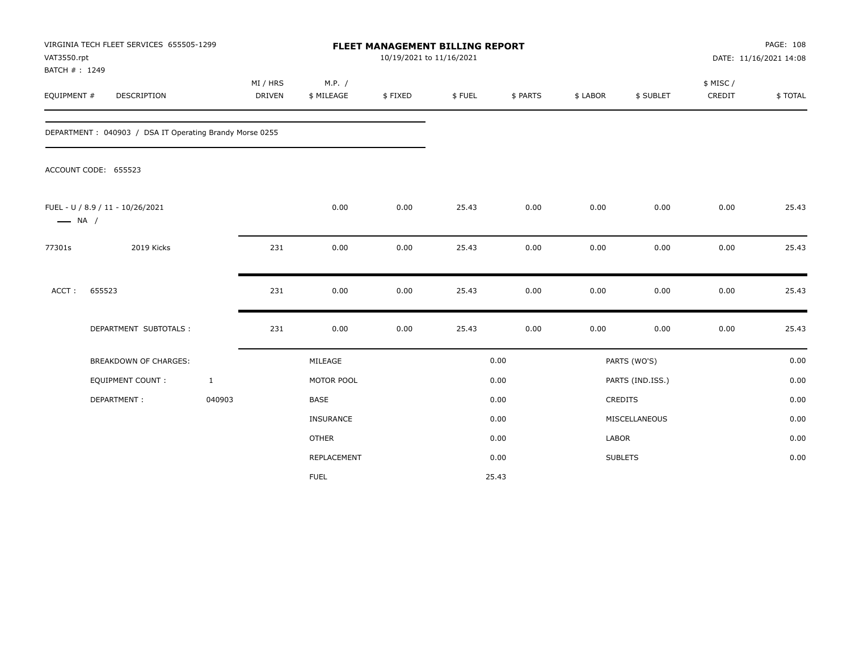| VAT3550.rpt<br>BATCH #: 1249 | VIRGINIA TECH FLEET SERVICES 655505-1299                |                           |                      |         | <b>FLEET MANAGEMENT BILLING REPORT</b><br>10/19/2021 to 11/16/2021 |          |          |                  | PAGE: 108<br>DATE: 11/16/2021 14:08 |         |  |
|------------------------------|---------------------------------------------------------|---------------------------|----------------------|---------|--------------------------------------------------------------------|----------|----------|------------------|-------------------------------------|---------|--|
| EQUIPMENT #                  | DESCRIPTION                                             | MI / HRS<br><b>DRIVEN</b> | M.P. /<br>\$ MILEAGE | \$FIXED | \$FUEL                                                             | \$ PARTS | \$ LABOR | \$ SUBLET        | \$ MISC /<br>CREDIT                 | \$TOTAL |  |
|                              | DEPARTMENT: 040903 / DSA IT Operating Brandy Morse 0255 |                           |                      |         |                                                                    |          |          |                  |                                     |         |  |
|                              | ACCOUNT CODE: 655523                                    |                           |                      |         |                                                                    |          |          |                  |                                     |         |  |
| $\longrightarrow$ NA /       | FUEL - U / 8.9 / 11 - 10/26/2021                        |                           | 0.00                 | 0.00    | 25.43                                                              | 0.00     | 0.00     | 0.00             | 0.00                                | 25.43   |  |
| 77301s                       | 2019 Kicks                                              | 231                       | 0.00                 | 0.00    | 25.43                                                              | 0.00     | 0.00     | 0.00             | 0.00                                | 25.43   |  |
| ACCT:                        | 655523                                                  | 231                       | 0.00                 | 0.00    | 25.43                                                              | 0.00     | 0.00     | 0.00             | 0.00                                | 25.43   |  |
|                              | DEPARTMENT SUBTOTALS :                                  | 231                       | 0.00                 | 0.00    | 25.43                                                              | 0.00     | 0.00     | 0.00             | 0.00                                | 25.43   |  |
|                              | <b>BREAKDOWN OF CHARGES:</b>                            |                           | MILEAGE              |         |                                                                    | 0.00     |          | PARTS (WO'S)     |                                     | 0.00    |  |
|                              | <b>EQUIPMENT COUNT:</b>                                 | $\mathbf{1}$              | MOTOR POOL           |         |                                                                    | 0.00     |          | PARTS (IND.ISS.) |                                     | 0.00    |  |
|                              | DEPARTMENT:                                             | 040903                    | <b>BASE</b>          |         |                                                                    | 0.00     |          | CREDITS          |                                     | 0.00    |  |
|                              |                                                         |                           | INSURANCE            |         |                                                                    | 0.00     |          | MISCELLANEOUS    |                                     | 0.00    |  |
|                              |                                                         |                           | <b>OTHER</b>         |         |                                                                    | 0.00     | LABOR    |                  |                                     | 0.00    |  |
|                              |                                                         |                           | REPLACEMENT          |         |                                                                    | 0.00     |          | <b>SUBLETS</b>   |                                     | 0.00    |  |
|                              |                                                         |                           | <b>FUEL</b>          |         |                                                                    | 25.43    |          |                  |                                     |         |  |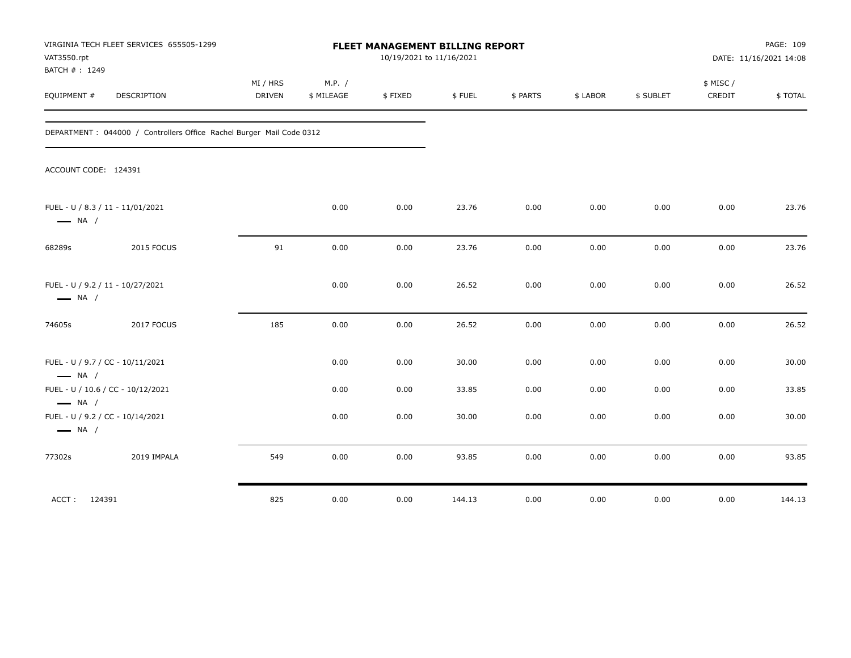| VAT3550.rpt<br>BATCH #: 1249                                                         | VIRGINIA TECH FLEET SERVICES 655505-1299                              | FLEET MANAGEMENT BILLING REPORT<br>10/19/2021 to 11/16/2021 |                      |         |        |          |          |           | PAGE: 109<br>DATE: 11/16/2021 14:08 |         |
|--------------------------------------------------------------------------------------|-----------------------------------------------------------------------|-------------------------------------------------------------|----------------------|---------|--------|----------|----------|-----------|-------------------------------------|---------|
| EQUIPMENT #                                                                          | DESCRIPTION                                                           | MI / HRS<br><b>DRIVEN</b>                                   | M.P. /<br>\$ MILEAGE | \$FIXED | \$FUEL | \$ PARTS | \$ LABOR | \$ SUBLET | \$ MISC/<br>CREDIT                  | \$TOTAL |
|                                                                                      | DEPARTMENT : 044000 / Controllers Office Rachel Burger Mail Code 0312 |                                                             |                      |         |        |          |          |           |                                     |         |
| ACCOUNT CODE: 124391                                                                 |                                                                       |                                                             |                      |         |        |          |          |           |                                     |         |
| FUEL - U / 8.3 / 11 - 11/01/2021<br>$\longrightarrow$ NA /                           |                                                                       |                                                             | 0.00                 | 0.00    | 23.76  | 0.00     | 0.00     | 0.00      | 0.00                                | 23.76   |
| 68289s                                                                               | 2015 FOCUS                                                            | 91                                                          | 0.00                 | 0.00    | 23.76  | 0.00     | 0.00     | 0.00      | 0.00                                | 23.76   |
| FUEL - U / 9.2 / 11 - 10/27/2021<br>$\longrightarrow$ NA /                           |                                                                       |                                                             | 0.00                 | 0.00    | 26.52  | 0.00     | 0.00     | 0.00      | 0.00                                | 26.52   |
| 74605s                                                                               | 2017 FOCUS                                                            | 185                                                         | 0.00                 | 0.00    | 26.52  | 0.00     | 0.00     | 0.00      | 0.00                                | 26.52   |
| FUEL - U / 9.7 / CC - 10/11/2021<br>$\longrightarrow$ NA /                           |                                                                       |                                                             | 0.00                 | 0.00    | 30.00  | 0.00     | 0.00     | 0.00      | 0.00                                | 30.00   |
| FUEL - U / 10.6 / CC - 10/12/2021                                                    |                                                                       |                                                             | 0.00                 | 0.00    | 33.85  | 0.00     | 0.00     | 0.00      | 0.00                                | 33.85   |
| $\longrightarrow$ NA /<br>FUEL - U / 9.2 / CC - 10/14/2021<br>$\longrightarrow$ NA / |                                                                       |                                                             | 0.00                 | 0.00    | 30.00  | 0.00     | 0.00     | 0.00      | 0.00                                | 30.00   |
| 77302s                                                                               | 2019 IMPALA                                                           | 549                                                         | 0.00                 | 0.00    | 93.85  | 0.00     | 0.00     | 0.00      | 0.00                                | 93.85   |
| 124391<br>ACCT:                                                                      |                                                                       | 825                                                         | 0.00                 | 0.00    | 144.13 | 0.00     | 0.00     | 0.00      | 0.00                                | 144.13  |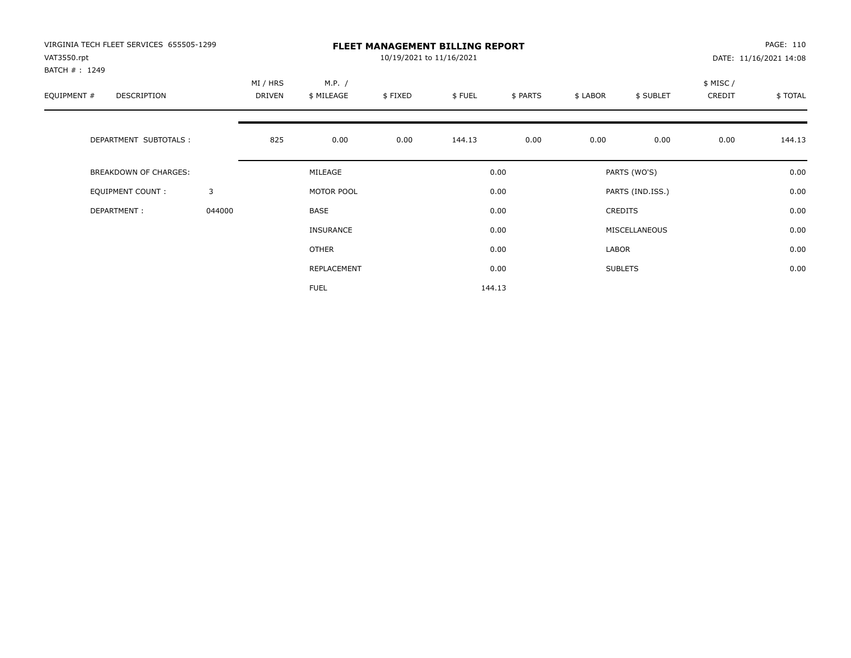| VIRGINIA TECH FLEET SERVICES 655505-1299<br>VAT3550.rpt<br>BATCH #: 1249 |        | <b>FLEET MANAGEMENT BILLING REPORT</b><br>10/19/2021 to 11/16/2021 |                      |         |        |          |          |                  |                     | PAGE: 110<br>DATE: 11/16/2021 14:08 |  |
|--------------------------------------------------------------------------|--------|--------------------------------------------------------------------|----------------------|---------|--------|----------|----------|------------------|---------------------|-------------------------------------|--|
| EQUIPMENT #<br><b>DESCRIPTION</b>                                        |        | MI / HRS<br><b>DRIVEN</b>                                          | M.P. /<br>\$ MILEAGE | \$FIXED | \$FUEL | \$ PARTS | \$ LABOR | \$ SUBLET        | \$ MISC /<br>CREDIT | \$TOTAL                             |  |
| DEPARTMENT SUBTOTALS :                                                   |        | 825                                                                | 0.00                 | 0.00    | 144.13 | 0.00     | 0.00     | 0.00             | 0.00                | 144.13                              |  |
| <b>BREAKDOWN OF CHARGES:</b>                                             |        |                                                                    | MILEAGE              |         |        | 0.00     |          | PARTS (WO'S)     |                     | 0.00                                |  |
| EQUIPMENT COUNT:                                                         | 3      |                                                                    | MOTOR POOL           |         |        | 0.00     |          | PARTS (IND.ISS.) |                     | 0.00                                |  |
| DEPARTMENT:                                                              | 044000 |                                                                    | <b>BASE</b>          |         |        | 0.00     |          | <b>CREDITS</b>   |                     | 0.00                                |  |
|                                                                          |        |                                                                    | INSURANCE            |         |        | 0.00     |          | MISCELLANEOUS    |                     | 0.00                                |  |
|                                                                          |        |                                                                    | <b>OTHER</b>         |         |        | 0.00     | LABOR    |                  |                     | 0.00                                |  |
|                                                                          |        |                                                                    | REPLACEMENT          |         |        | 0.00     |          | <b>SUBLETS</b>   |                     | 0.00                                |  |
|                                                                          |        |                                                                    | <b>FUEL</b>          |         |        | 144.13   |          |                  |                     |                                     |  |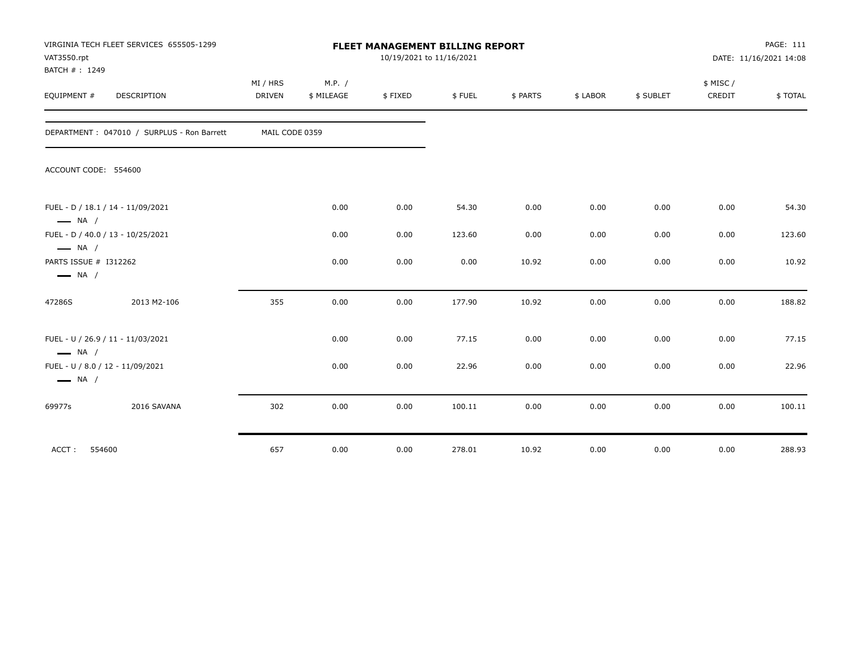| VAT3550.rpt<br>BATCH #: 1249                                     | VIRGINIA TECH FLEET SERVICES 655505-1299   | FLEET MANAGEMENT BILLING REPORT<br>10/19/2021 to 11/16/2021 |                      |         |        |          |          |           |                     | PAGE: 111<br>DATE: 11/16/2021 14:08 |  |
|------------------------------------------------------------------|--------------------------------------------|-------------------------------------------------------------|----------------------|---------|--------|----------|----------|-----------|---------------------|-------------------------------------|--|
| EQUIPMENT #                                                      | DESCRIPTION                                | MI / HRS<br><b>DRIVEN</b>                                   | M.P. /<br>\$ MILEAGE | \$FIXED | \$FUEL | \$ PARTS | \$ LABOR | \$ SUBLET | \$ MISC /<br>CREDIT | \$TOTAL                             |  |
|                                                                  | DEPARTMENT: 047010 / SURPLUS - Ron Barrett | MAIL CODE 0359                                              |                      |         |        |          |          |           |                     |                                     |  |
| ACCOUNT CODE: 554600                                             |                                            |                                                             |                      |         |        |          |          |           |                     |                                     |  |
| $\longrightarrow$ NA /                                           | FUEL - D / 18.1 / 14 - 11/09/2021          |                                                             | 0.00                 | 0.00    | 54.30  | 0.00     | 0.00     | 0.00      | 0.00                | 54.30                               |  |
|                                                                  | FUEL - D / 40.0 / 13 - 10/25/2021          |                                                             | 0.00                 | 0.00    | 123.60 | 0.00     | 0.00     | 0.00      | 0.00                | 123.60                              |  |
| $\equiv$ NA /<br>PARTS ISSUE # I312262<br>$\longrightarrow$ NA / |                                            |                                                             | 0.00                 | 0.00    | 0.00   | 10.92    | 0.00     | 0.00      | 0.00                | 10.92                               |  |
| 47286S                                                           | 2013 M2-106                                | 355                                                         | 0.00                 | 0.00    | 177.90 | 10.92    | 0.00     | 0.00      | 0.00                | 188.82                              |  |
| $\longrightarrow$ NA /                                           | FUEL - U / 26.9 / 11 - 11/03/2021          |                                                             | 0.00                 | 0.00    | 77.15  | 0.00     | 0.00     | 0.00      | 0.00                | 77.15                               |  |
| $\longrightarrow$ NA /                                           | FUEL - U / 8.0 / 12 - 11/09/2021           |                                                             | 0.00                 | 0.00    | 22.96  | 0.00     | 0.00     | 0.00      | 0.00                | 22.96                               |  |
| 69977s                                                           | 2016 SAVANA                                | 302                                                         | 0.00                 | 0.00    | 100.11 | 0.00     | 0.00     | 0.00      | 0.00                | 100.11                              |  |
| ACCT:                                                            | 554600                                     | 657                                                         | 0.00                 | 0.00    | 278.01 | 10.92    | 0.00     | 0.00      | 0.00                | 288.93                              |  |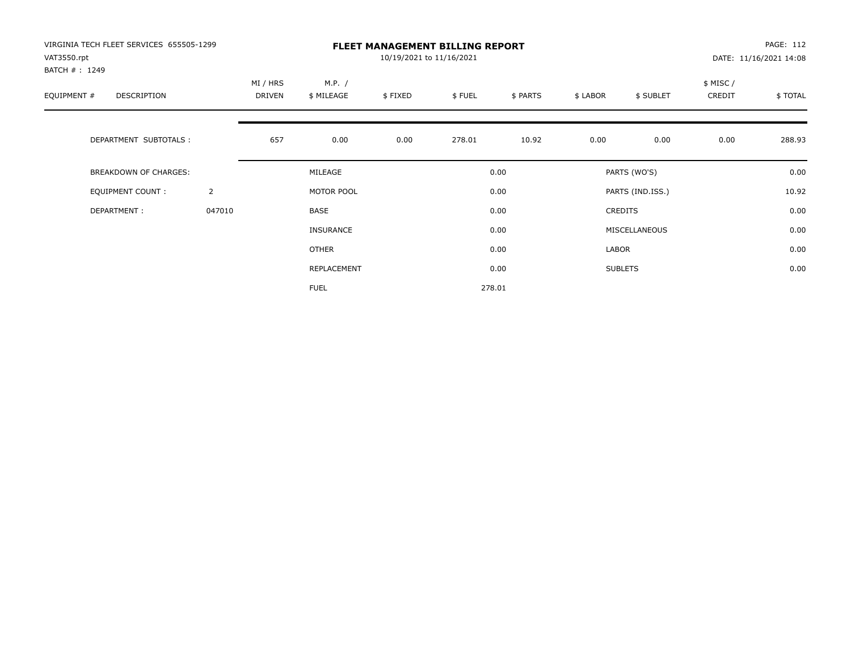| VIRGINIA TECH FLEET SERVICES 655505-1299<br>VAT3550.rpt<br>BATCH #: 1249 |                | <b>FLEET MANAGEMENT BILLING REPORT</b><br>10/19/2021 to 11/16/2021 |                      |         |        |          |          |                  |                     | PAGE: 112<br>DATE: 11/16/2021 14:08 |  |
|--------------------------------------------------------------------------|----------------|--------------------------------------------------------------------|----------------------|---------|--------|----------|----------|------------------|---------------------|-------------------------------------|--|
| EQUIPMENT #<br><b>DESCRIPTION</b>                                        |                | MI / HRS<br><b>DRIVEN</b>                                          | M.P. /<br>\$ MILEAGE | \$FIXED | \$FUEL | \$ PARTS | \$ LABOR | \$ SUBLET        | \$ MISC /<br>CREDIT | \$TOTAL                             |  |
| DEPARTMENT SUBTOTALS :                                                   |                | 657                                                                | 0.00                 | 0.00    | 278.01 | 10.92    | 0.00     | 0.00             | 0.00                | 288.93                              |  |
| <b>BREAKDOWN OF CHARGES:</b>                                             |                |                                                                    | MILEAGE              |         |        | 0.00     |          | PARTS (WO'S)     |                     | 0.00                                |  |
| <b>EQUIPMENT COUNT:</b>                                                  | $\overline{2}$ |                                                                    | MOTOR POOL           |         |        | 0.00     |          | PARTS (IND.ISS.) |                     | 10.92                               |  |
| DEPARTMENT:                                                              | 047010         |                                                                    | <b>BASE</b>          |         |        | 0.00     |          | <b>CREDITS</b>   |                     | 0.00                                |  |
|                                                                          |                |                                                                    | INSURANCE            |         |        | 0.00     |          | MISCELLANEOUS    |                     | 0.00                                |  |
|                                                                          |                |                                                                    | <b>OTHER</b>         |         |        | 0.00     | LABOR    |                  |                     | 0.00                                |  |
|                                                                          |                |                                                                    | REPLACEMENT          |         |        | 0.00     |          | <b>SUBLETS</b>   |                     | 0.00                                |  |
|                                                                          |                |                                                                    | <b>FUEL</b>          |         |        | 278.01   |          |                  |                     |                                     |  |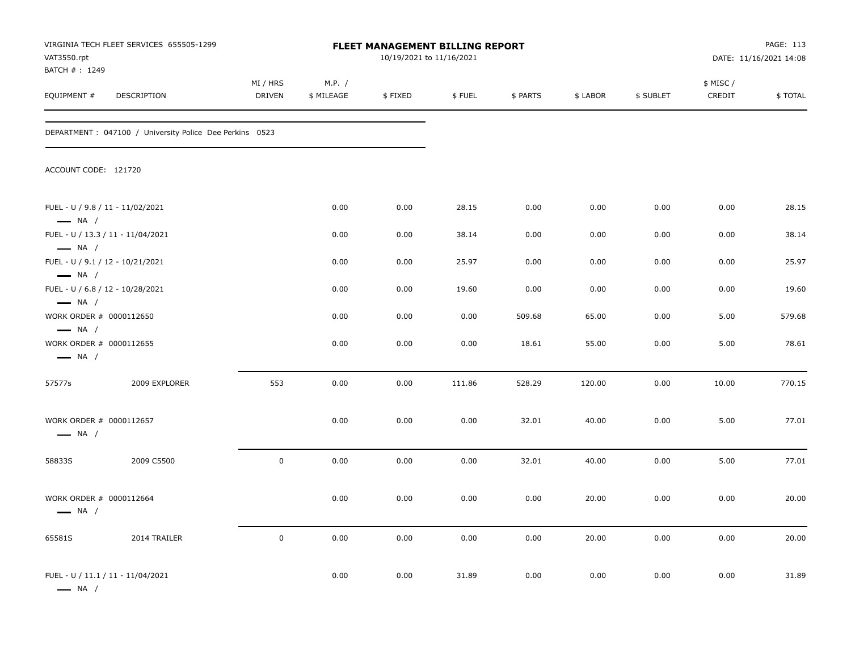| VIRGINIA TECH FLEET SERVICES 655505-1299<br>FLEET MANAGEMENT BILLING REPORT<br>VAT3550.rpt<br>BATCH #: 1249 |                                                          |                           |                      |         | 10/19/2021 to 11/16/2021 | PAGE: 113<br>DATE: 11/16/2021 14:08 |          |           |                     |         |
|-------------------------------------------------------------------------------------------------------------|----------------------------------------------------------|---------------------------|----------------------|---------|--------------------------|-------------------------------------|----------|-----------|---------------------|---------|
| EQUIPMENT #                                                                                                 | DESCRIPTION                                              | MI / HRS<br><b>DRIVEN</b> | M.P. /<br>\$ MILEAGE | \$FIXED | \$FUEL                   | \$ PARTS                            | \$ LABOR | \$ SUBLET | \$ MISC /<br>CREDIT | \$TOTAL |
|                                                                                                             | DEPARTMENT : 047100 / University Police Dee Perkins 0523 |                           |                      |         |                          |                                     |          |           |                     |         |
| ACCOUNT CODE: 121720                                                                                        |                                                          |                           |                      |         |                          |                                     |          |           |                     |         |
| FUEL - U / 9.8 / 11 - 11/02/2021<br>$\longrightarrow$ NA /                                                  |                                                          |                           | 0.00                 | 0.00    | 28.15                    | 0.00                                | 0.00     | 0.00      | 0.00                | 28.15   |
| $\longrightarrow$ NA /                                                                                      | FUEL - U / 13.3 / 11 - 11/04/2021                        |                           | 0.00                 | 0.00    | 38.14                    | 0.00                                | 0.00     | 0.00      | 0.00                | 38.14   |
| FUEL - U / 9.1 / 12 - 10/21/2021<br>$\longrightarrow$ NA /                                                  |                                                          |                           | 0.00                 | 0.00    | 25.97                    | 0.00                                | 0.00     | 0.00      | 0.00                | 25.97   |
| FUEL - U / 6.8 / 12 - 10/28/2021<br>$\longrightarrow$ NA /                                                  |                                                          |                           | 0.00                 | 0.00    | 19.60                    | 0.00                                | 0.00     | 0.00      | 0.00                | 19.60   |
| WORK ORDER # 0000112650                                                                                     |                                                          |                           | 0.00                 | 0.00    | 0.00                     | 509.68                              | 65.00    | 0.00      | 5.00                | 579.68  |
| $\longrightarrow$ NA /<br>WORK ORDER # 0000112655<br>$\longrightarrow$ NA /                                 |                                                          |                           | 0.00                 | 0.00    | 0.00                     | 18.61                               | 55.00    | 0.00      | 5.00                | 78.61   |
| 57577s                                                                                                      | 2009 EXPLORER                                            | 553                       | 0.00                 | 0.00    | 111.86                   | 528.29                              | 120.00   | 0.00      | 10.00               | 770.15  |
| WORK ORDER # 0000112657<br>$\longrightarrow$ NA /                                                           |                                                          |                           | 0.00                 | 0.00    | 0.00                     | 32.01                               | 40.00    | 0.00      | 5.00                | 77.01   |
| 58833S                                                                                                      | 2009 C5500                                               | $\mathbf 0$               | 0.00                 | 0.00    | 0.00                     | 32.01                               | 40.00    | 0.00      | 5.00                | 77.01   |
| WORK ORDER # 0000112664<br>$\longrightarrow$ NA /                                                           |                                                          |                           | 0.00                 | 0.00    | 0.00                     | 0.00                                | 20.00    | 0.00      | 0.00                | 20.00   |
| 65581S                                                                                                      | 2014 TRAILER                                             | $\mathsf 0$               | 0.00                 | 0.00    | 0.00                     | 0.00                                | 20.00    | 0.00      | 0.00                | 20.00   |
| $\longrightarrow$ NA /                                                                                      | FUEL - U / 11.1 / 11 - 11/04/2021                        |                           | 0.00                 | 0.00    | 31.89                    | 0.00                                | 0.00     | 0.00      | 0.00                | 31.89   |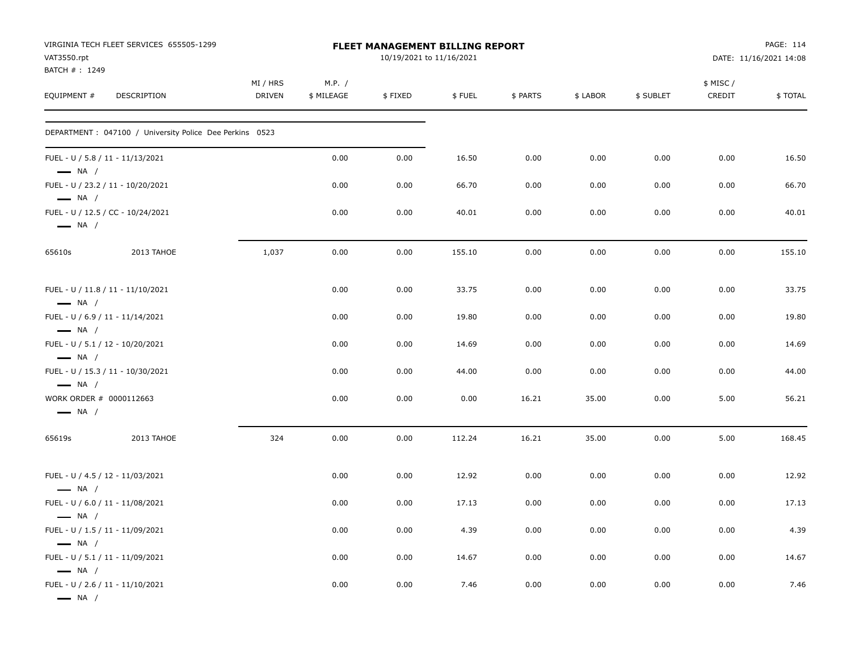| VAT3550.rpt<br>BATCH #: 1249 | VIRGINIA TECH FLEET SERVICES 655505-1299                 |                    |                      | FLEET MANAGEMENT BILLING REPORT<br>10/19/2021 to 11/16/2021 |        |          |          |           |                     | PAGE: 114<br>DATE: 11/16/2021 14:08 |
|------------------------------|----------------------------------------------------------|--------------------|----------------------|-------------------------------------------------------------|--------|----------|----------|-----------|---------------------|-------------------------------------|
| EQUIPMENT #                  | DESCRIPTION                                              | MI / HRS<br>DRIVEN | M.P. /<br>\$ MILEAGE | \$FIXED                                                     | \$FUEL | \$ PARTS | \$ LABOR | \$ SUBLET | \$ MISC /<br>CREDIT | \$TOTAL                             |
|                              | DEPARTMENT : 047100 / University Police Dee Perkins 0523 |                    |                      |                                                             |        |          |          |           |                     |                                     |
| $\longrightarrow$ NA /       | FUEL - U / 5.8 / 11 - 11/13/2021                         |                    | 0.00                 | 0.00                                                        | 16.50  | 0.00     | 0.00     | 0.00      | 0.00                | 16.50                               |
| $\longrightarrow$ NA /       | FUEL - U / 23.2 / 11 - 10/20/2021                        |                    | 0.00                 | 0.00                                                        | 66.70  | 0.00     | 0.00     | 0.00      | 0.00                | 66.70                               |
| $\longrightarrow$ NA /       | FUEL - U / 12.5 / CC - 10/24/2021                        |                    | 0.00                 | 0.00                                                        | 40.01  | 0.00     | 0.00     | 0.00      | 0.00                | 40.01                               |
| 65610s                       | 2013 TAHOE                                               | 1,037              | 0.00                 | 0.00                                                        | 155.10 | 0.00     | 0.00     | 0.00      | 0.00                | 155.10                              |
| $\longrightarrow$ NA /       | FUEL - U / 11.8 / 11 - 11/10/2021                        |                    | 0.00                 | 0.00                                                        | 33.75  | 0.00     | 0.00     | 0.00      | 0.00                | 33.75                               |
| $\longrightarrow$ NA /       | FUEL - U / 6.9 / 11 - 11/14/2021                         |                    | 0.00                 | 0.00                                                        | 19.80  | 0.00     | 0.00     | 0.00      | 0.00                | 19.80                               |
| $-$ NA /                     | FUEL - U / 5.1 / 12 - 10/20/2021                         |                    | 0.00                 | 0.00                                                        | 14.69  | 0.00     | 0.00     | 0.00      | 0.00                | 14.69                               |
| $\longrightarrow$ NA /       | FUEL - U / 15.3 / 11 - 10/30/2021                        |                    | 0.00                 | 0.00                                                        | 44.00  | 0.00     | 0.00     | 0.00      | 0.00                | 44.00                               |
| $\longrightarrow$ NA /       | WORK ORDER # 0000112663                                  |                    | 0.00                 | 0.00                                                        | 0.00   | 16.21    | 35.00    | 0.00      | 5.00                | 56.21                               |
| 65619s                       | 2013 TAHOE                                               | 324                | 0.00                 | 0.00                                                        | 112.24 | 16.21    | 35.00    | 0.00      | 5.00                | 168.45                              |
| $\longrightarrow$ NA /       | FUEL - U / 4.5 / 12 - 11/03/2021                         |                    | 0.00                 | 0.00                                                        | 12.92  | 0.00     | 0.00     | 0.00      | 0.00                | 12.92                               |
| $\longrightarrow$ NA /       | FUEL - U / 6.0 / 11 - 11/08/2021                         |                    | 0.00                 | 0.00                                                        | 17.13  | 0.00     | 0.00     | 0.00      | 0.00                | 17.13                               |
| $\longrightarrow$ NA /       | FUEL - U / 1.5 / 11 - 11/09/2021                         |                    | 0.00                 | 0.00                                                        | 4.39   | 0.00     | 0.00     | 0.00      | 0.00                | 4.39                                |
| $\longrightarrow$ NA /       | FUEL - U / 5.1 / 11 - 11/09/2021                         |                    | 0.00                 | 0.00                                                        | 14.67  | 0.00     | 0.00     | 0.00      | 0.00                | 14.67                               |
| $\longrightarrow$ NA /       | FUEL - U / 2.6 / 11 - 11/10/2021                         |                    | 0.00                 | 0.00                                                        | 7.46   | 0.00     | 0.00     | 0.00      | 0.00                | 7.46                                |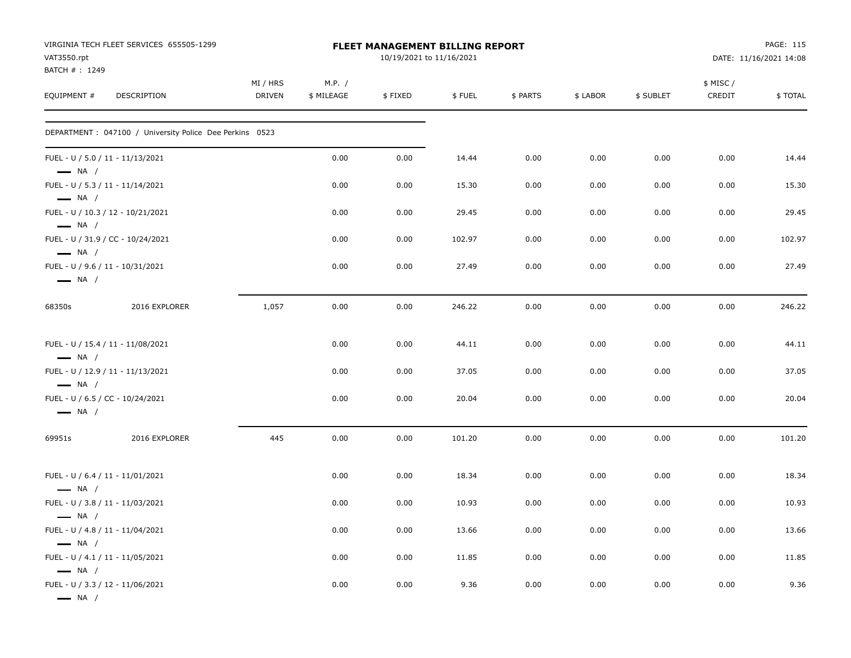| VAT3550.rpt<br>BATCH #: 1249 | VIRGINIA TECH FLEET SERVICES 655505-1299                 |                    |                      | <b>FLEET MANAGEMENT BILLING REPORT</b><br>10/19/2021 to 11/16/2021 |        |          |          |           |                     | PAGE: 115<br>DATE: 11/16/2021 14:08 |
|------------------------------|----------------------------------------------------------|--------------------|----------------------|--------------------------------------------------------------------|--------|----------|----------|-----------|---------------------|-------------------------------------|
| EQUIPMENT #                  | DESCRIPTION                                              | MI / HRS<br>DRIVEN | M.P. /<br>\$ MILEAGE | \$FIXED                                                            | \$FUEL | \$ PARTS | \$ LABOR | \$ SUBLET | \$ MISC /<br>CREDIT | \$TOTAL                             |
|                              | DEPARTMENT : 047100 / University Police Dee Perkins 0523 |                    |                      |                                                                    |        |          |          |           |                     |                                     |
| $\longrightarrow$ NA /       | FUEL - U / 5.0 / 11 - 11/13/2021                         |                    | 0.00                 | 0.00                                                               | 14.44  | 0.00     | 0.00     | 0.00      | 0.00                | 14.44                               |
| $\longrightarrow$ NA /       | FUEL - U / 5.3 / 11 - 11/14/2021                         |                    | 0.00                 | 0.00                                                               | 15.30  | 0.00     | 0.00     | 0.00      | 0.00                | 15.30                               |
| $\longrightarrow$ NA /       | FUEL - U / 10.3 / 12 - 10/21/2021                        |                    | 0.00                 | 0.00                                                               | 29.45  | 0.00     | 0.00     | 0.00      | 0.00                | 29.45                               |
| $\longrightarrow$ NA /       | FUEL - U / 31.9 / CC - 10/24/2021                        |                    | 0.00                 | 0.00                                                               | 102.97 | 0.00     | 0.00     | 0.00      | 0.00                | 102.97                              |
| $\longrightarrow$ NA /       | FUEL - U / 9.6 / 11 - 10/31/2021                         |                    | 0.00                 | 0.00                                                               | 27.49  | 0.00     | 0.00     | 0.00      | 0.00                | 27.49                               |
| 68350s                       | 2016 EXPLORER                                            | 1,057              | 0.00                 | 0.00                                                               | 246.22 | 0.00     | 0.00     | 0.00      | 0.00                | 246.22                              |
| $\longrightarrow$ NA /       | FUEL - U / 15.4 / 11 - 11/08/2021                        |                    | 0.00                 | 0.00                                                               | 44.11  | 0.00     | 0.00     | 0.00      | 0.00                | 44.11                               |
| $\longrightarrow$ NA /       | FUEL - U / 12.9 / 11 - 11/13/2021                        |                    | 0.00                 | 0.00                                                               | 37.05  | 0.00     | 0.00     | 0.00      | 0.00                | 37.05                               |
| $\longrightarrow$ NA /       | FUEL - U / 6.5 / CC - 10/24/2021                         |                    | 0.00                 | 0.00                                                               | 20.04  | 0.00     | 0.00     | 0.00      | 0.00                | 20.04                               |
| 69951s                       | 2016 EXPLORER                                            | 445                | 0.00                 | 0.00                                                               | 101.20 | 0.00     | 0.00     | 0.00      | 0.00                | 101.20                              |
| $\longrightarrow$ NA /       | FUEL - U / 6.4 / 11 - 11/01/2021                         |                    | 0.00                 | 0.00                                                               | 18.34  | 0.00     | 0.00     | 0.00      | 0.00                | 18.34                               |
| $\longrightarrow$ NA /       | FUEL - U / 3.8 / 11 - 11/03/2021                         |                    | 0.00                 | 0.00                                                               | 10.93  | 0.00     | 0.00     | 0.00      | 0.00                | 10.93                               |
| $\longrightarrow$ NA /       | FUEL - U / 4.8 / 11 - 11/04/2021                         |                    | 0.00                 | 0.00                                                               | 13.66  | 0.00     | 0.00     | 0.00      | 0.00                | 13.66                               |
| $\longrightarrow$ NA /       | FUEL - U / 4.1 / 11 - 11/05/2021                         |                    | 0.00                 | 0.00                                                               | 11.85  | 0.00     | 0.00     | 0.00      | 0.00                | 11.85                               |
| $\longrightarrow$ NA $/$     | FUEL - U / 3.3 / 12 - 11/06/2021                         |                    | 0.00                 | 0.00                                                               | 9.36   | 0.00     | 0.00     | 0.00      | 0.00                | 9.36                                |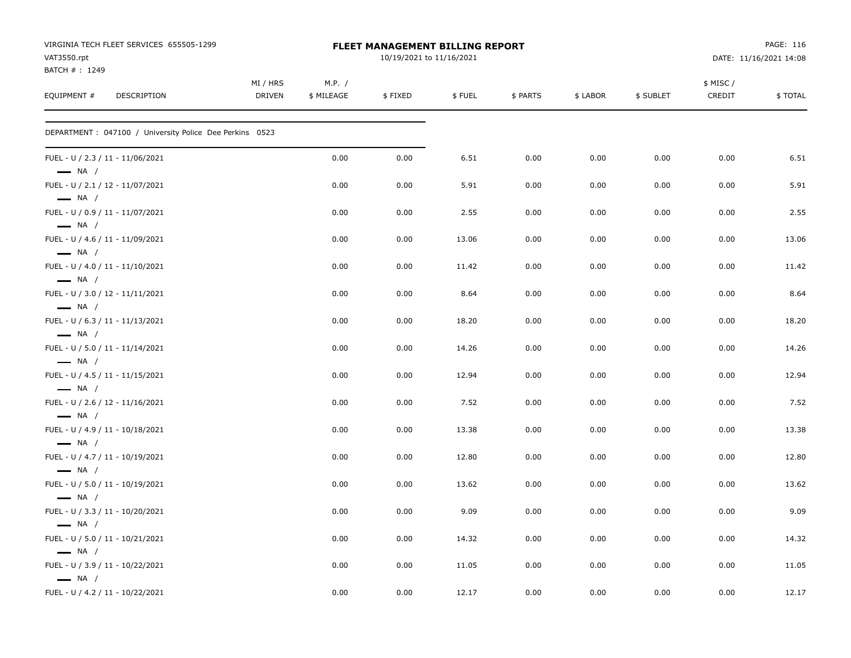| VIRGINIA TECH FLEET SERVICES 655505-1299<br>VAT3550.rpt<br>BATCH #: 1249 |                           | <b>FLEET MANAGEMENT BILLING REPORT</b> |         | PAGE: 116<br>DATE: 11/16/2021 14:08 |          |          |           |                    |         |
|--------------------------------------------------------------------------|---------------------------|----------------------------------------|---------|-------------------------------------|----------|----------|-----------|--------------------|---------|
| EQUIPMENT #<br>DESCRIPTION                                               | MI / HRS<br><b>DRIVEN</b> | M.P. /<br>\$ MILEAGE                   | \$FIXED | \$FUEL                              | \$ PARTS | \$ LABOR | \$ SUBLET | \$ MISC/<br>CREDIT | \$TOTAL |
| DEPARTMENT : 047100 / University Police Dee Perkins 0523                 |                           |                                        |         |                                     |          |          |           |                    |         |
| FUEL - U / 2.3 / 11 - 11/06/2021<br>$\longrightarrow$ NA /               |                           | 0.00                                   | 0.00    | 6.51                                | 0.00     | 0.00     | 0.00      | 0.00               | 6.51    |
| FUEL - U / 2.1 / 12 - 11/07/2021<br>$\longrightarrow$ NA /               |                           | 0.00                                   | 0.00    | 5.91                                | 0.00     | 0.00     | 0.00      | 0.00               | 5.91    |
| FUEL - U / 0.9 / 11 - 11/07/2021<br>$\longrightarrow$ NA /               |                           | 0.00                                   | 0.00    | 2.55                                | 0.00     | 0.00     | 0.00      | 0.00               | 2.55    |
| FUEL - U / 4.6 / 11 - 11/09/2021<br>$\longrightarrow$ NA /               |                           | 0.00                                   | 0.00    | 13.06                               | 0.00     | 0.00     | 0.00      | 0.00               | 13.06   |
| FUEL - U / 4.0 / 11 - 11/10/2021<br>$\longrightarrow$ NA /               |                           | 0.00                                   | 0.00    | 11.42                               | 0.00     | 0.00     | 0.00      | 0.00               | 11.42   |
| FUEL - U / 3.0 / 12 - 11/11/2021<br>$\longrightarrow$ NA /               |                           | 0.00                                   | 0.00    | 8.64                                | 0.00     | 0.00     | 0.00      | 0.00               | 8.64    |
| FUEL - U / 6.3 / 11 - 11/13/2021<br>$\longrightarrow$ NA /               |                           | 0.00                                   | 0.00    | 18.20                               | 0.00     | 0.00     | 0.00      | 0.00               | 18.20   |
| FUEL - U / 5.0 / 11 - 11/14/2021<br>$\longrightarrow$ NA /               |                           | 0.00                                   | 0.00    | 14.26                               | 0.00     | 0.00     | 0.00      | 0.00               | 14.26   |
| FUEL - U / 4.5 / 11 - 11/15/2021<br>$\longrightarrow$ NA /               |                           | 0.00                                   | 0.00    | 12.94                               | 0.00     | 0.00     | 0.00      | 0.00               | 12.94   |
| FUEL - U / 2.6 / 12 - 11/16/2021<br>$\longrightarrow$ NA /               |                           | 0.00                                   | 0.00    | 7.52                                | 0.00     | 0.00     | 0.00      | 0.00               | 7.52    |
| FUEL - U / 4.9 / 11 - 10/18/2021<br>$\longrightarrow$ NA /               |                           | 0.00                                   | 0.00    | 13.38                               | 0.00     | 0.00     | 0.00      | 0.00               | 13.38   |
| FUEL - U / 4.7 / 11 - 10/19/2021<br>$\longrightarrow$ NA /               |                           | 0.00                                   | 0.00    | 12.80                               | 0.00     | 0.00     | 0.00      | 0.00               | 12.80   |
| FUEL - U / 5.0 / 11 - 10/19/2021<br>$\longrightarrow$ NA /               |                           | 0.00                                   | 0.00    | 13.62                               | 0.00     | 0.00     | 0.00      | 0.00               | 13.62   |
| FUEL - U / 3.3 / 11 - 10/20/2021<br>$\longrightarrow$ NA /               |                           | 0.00                                   | 0.00    | 9.09                                | 0.00     | 0.00     | 0.00      | 0.00               | 9.09    |
| FUEL - U / 5.0 / 11 - 10/21/2021<br>$\longrightarrow$ NA /               |                           | 0.00                                   | 0.00    | 14.32                               | 0.00     | 0.00     | 0.00      | 0.00               | 14.32   |
| FUEL - U / 3.9 / 11 - 10/22/2021<br>$\longrightarrow$ NA /               |                           | 0.00                                   | 0.00    | 11.05                               | 0.00     | 0.00     | 0.00      | 0.00               | 11.05   |
| FUEL - U / 4.2 / 11 - 10/22/2021                                         |                           | 0.00                                   | 0.00    | 12.17                               | 0.00     | 0.00     | 0.00      | 0.00               | 12.17   |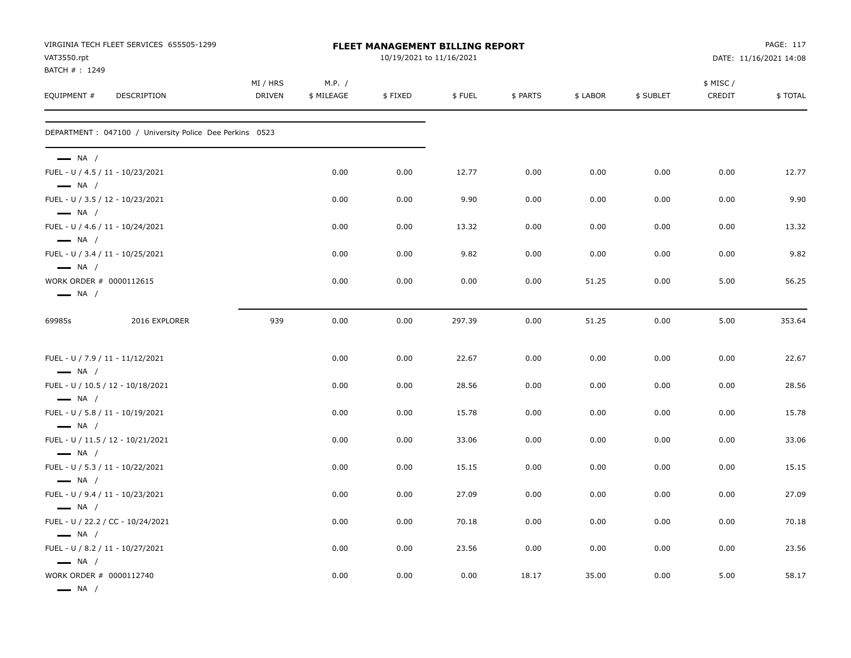| VAT3550.rpt                                                                 | VIRGINIA TECH FLEET SERVICES 655505-1299                 | <b>FLEET MANAGEMENT BILLING REPORT</b><br>10/19/2021 to 11/16/2021 |                      |         |        |          |          |           |                    | PAGE: 117<br>DATE: 11/16/2021 14:08 |  |
|-----------------------------------------------------------------------------|----------------------------------------------------------|--------------------------------------------------------------------|----------------------|---------|--------|----------|----------|-----------|--------------------|-------------------------------------|--|
| BATCH #: 1249<br>EQUIPMENT #                                                | <b>DESCRIPTION</b>                                       | MI / HRS<br><b>DRIVEN</b>                                          | M.P. /<br>\$ MILEAGE | \$FIXED | \$FUEL | \$ PARTS | \$ LABOR | \$ SUBLET | \$ MISC/<br>CREDIT | \$TOTAL                             |  |
|                                                                             | DEPARTMENT : 047100 / University Police Dee Perkins 0523 |                                                                    |                      |         |        |          |          |           |                    |                                     |  |
| $\longrightarrow$ NA /<br>$\longrightarrow$ NA /                            | FUEL - U / 4.5 / 11 - 10/23/2021                         |                                                                    | 0.00                 | 0.00    | 12.77  | 0.00     | 0.00     | 0.00      | 0.00               | 12.77                               |  |
|                                                                             | FUEL - U / 3.5 / 12 - 10/23/2021                         |                                                                    | 0.00                 | 0.00    | 9.90   | 0.00     | 0.00     | 0.00      | 0.00               | 9.90                                |  |
| $\longrightarrow$ NA /<br>$\longrightarrow$ NA /                            | FUEL - U / 4.6 / 11 - 10/24/2021                         |                                                                    | 0.00                 | 0.00    | 13.32  | 0.00     | 0.00     | 0.00      | 0.00               | 13.32                               |  |
|                                                                             | FUEL - U / 3.4 / 11 - 10/25/2021                         |                                                                    | 0.00                 | 0.00    | 9.82   | 0.00     | 0.00     | 0.00      | 0.00               | 9.82                                |  |
| $\longrightarrow$ NA /<br>WORK ORDER # 0000112615<br>$\longrightarrow$ NA / |                                                          |                                                                    | 0.00                 | 0.00    | 0.00   | 0.00     | 51.25    | 0.00      | 5.00               | 56.25                               |  |
| 69985s                                                                      | 2016 EXPLORER                                            | 939                                                                | 0.00                 | 0.00    | 297.39 | 0.00     | 51.25    | 0.00      | 5.00               | 353.64                              |  |
| $\longrightarrow$ NA /                                                      | FUEL - U / 7.9 / 11 - 11/12/2021                         |                                                                    | 0.00                 | 0.00    | 22.67  | 0.00     | 0.00     | 0.00      | 0.00               | 22.67                               |  |
|                                                                             | FUEL - U / 10.5 / 12 - 10/18/2021                        |                                                                    | 0.00                 | 0.00    | 28.56  | 0.00     | 0.00     | 0.00      | 0.00               | 28.56                               |  |
| $\longrightarrow$ NA /<br>$\longrightarrow$ NA /                            | FUEL - U / 5.8 / 11 - 10/19/2021                         |                                                                    | 0.00                 | 0.00    | 15.78  | 0.00     | 0.00     | 0.00      | 0.00               | 15.78                               |  |
| $-$ NA $/$                                                                  | FUEL - U / 11.5 / 12 - 10/21/2021                        |                                                                    | 0.00                 | 0.00    | 33.06  | 0.00     | 0.00     | 0.00      | 0.00               | 33.06                               |  |
| $\longrightarrow$ NA /                                                      | FUEL - U / 5.3 / 11 - 10/22/2021                         |                                                                    | 0.00                 | 0.00    | 15.15  | 0.00     | 0.00     | 0.00      | 0.00               | 15.15                               |  |
| $\longrightarrow$ NA /                                                      | FUEL - U / 9.4 / 11 - 10/23/2021                         |                                                                    | 0.00                 | 0.00    | 27.09  | 0.00     | 0.00     | 0.00      | 0.00               | 27.09                               |  |
| $\longrightarrow$ NA /                                                      | FUEL - U / 22.2 / CC - 10/24/2021                        |                                                                    | 0.00                 | 0.00    | 70.18  | 0.00     | 0.00     | 0.00      | 0.00               | 70.18                               |  |
| $\longrightarrow$ NA /                                                      | FUEL - U / 8.2 / 11 - 10/27/2021                         |                                                                    | 0.00                 | 0.00    | 23.56  | 0.00     | 0.00     | 0.00      | 0.00               | 23.56                               |  |
| WORK ORDER # 0000112740<br>$\longrightarrow$ NA /                           |                                                          |                                                                    | 0.00                 | 0.00    | 0.00   | 18.17    | 35.00    | 0.00      | 5.00               | 58.17                               |  |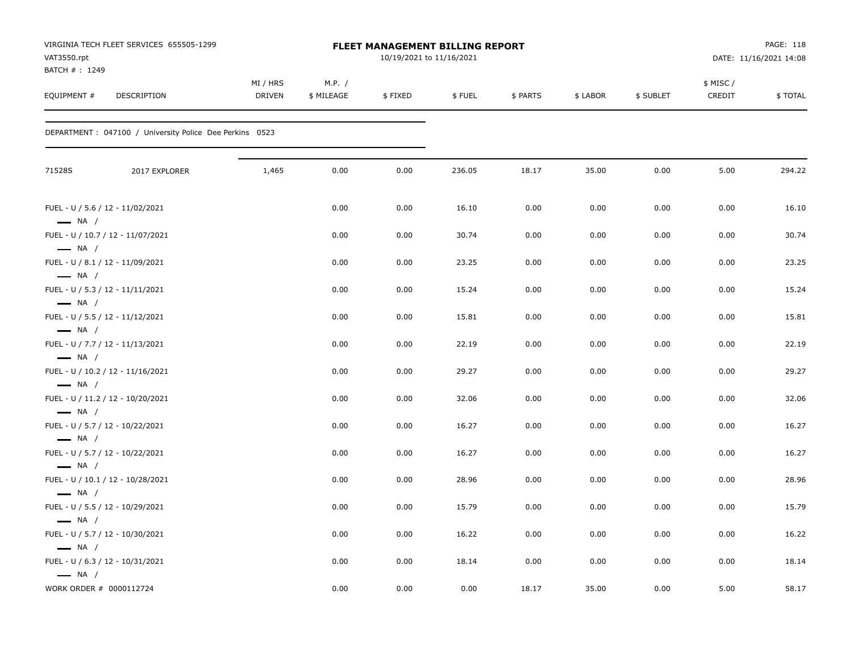| VAT3550.rpt<br>BATCH #: 1249                      | VIRGINIA TECH FLEET SERVICES 655505-1299                 | <b>FLEET MANAGEMENT BILLING REPORT</b><br>10/19/2021 to 11/16/2021 |                      |         |        |          |          |           | PAGE: 118<br>DATE: 11/16/2021 14:08 |         |
|---------------------------------------------------|----------------------------------------------------------|--------------------------------------------------------------------|----------------------|---------|--------|----------|----------|-----------|-------------------------------------|---------|
| EQUIPMENT #                                       | DESCRIPTION                                              | MI / HRS<br>DRIVEN                                                 | M.P. /<br>\$ MILEAGE | \$FIXED | \$FUEL | \$ PARTS | \$ LABOR | \$ SUBLET | \$ MISC /<br>CREDIT                 | \$TOTAL |
|                                                   | DEPARTMENT : 047100 / University Police Dee Perkins 0523 |                                                                    |                      |         |        |          |          |           |                                     |         |
| 71528S                                            | 2017 EXPLORER                                            | 1,465                                                              | 0.00                 | 0.00    | 236.05 | 18.17    | 35.00    | 0.00      | 5.00                                | 294.22  |
|                                                   | FUEL - U / 5.6 / 12 - 11/02/2021                         |                                                                    | 0.00                 | 0.00    | 16.10  | 0.00     | 0.00     | 0.00      | 0.00                                | 16.10   |
| $\longrightarrow$ NA /                            | FUEL - U / 10.7 / 12 - 11/07/2021                        |                                                                    | 0.00                 | 0.00    | 30.74  | 0.00     | 0.00     | 0.00      | 0.00                                | 30.74   |
| $\longrightarrow$ NA /                            | FUEL - U / 8.1 / 12 - 11/09/2021                         |                                                                    | 0.00                 | 0.00    | 23.25  | 0.00     | 0.00     | 0.00      | 0.00                                | 23.25   |
| $\longrightarrow$ NA /                            | FUEL - U / 5.3 / 12 - 11/11/2021                         |                                                                    | 0.00                 | 0.00    | 15.24  | 0.00     | 0.00     | 0.00      | 0.00                                | 15.24   |
| $\longrightarrow$ NA /                            | FUEL - U / 5.5 / 12 - 11/12/2021                         |                                                                    | 0.00                 | 0.00    | 15.81  | 0.00     | 0.00     | 0.00      | 0.00                                | 15.81   |
| $\longrightarrow$ NA /                            | FUEL - U / 7.7 / 12 - 11/13/2021                         |                                                                    | 0.00                 | 0.00    | 22.19  | 0.00     | 0.00     | 0.00      | 0.00                                | 22.19   |
| $\longrightarrow$ NA /                            | FUEL - U / 10.2 / 12 - 11/16/2021                        |                                                                    | 0.00                 | 0.00    | 29.27  | 0.00     | 0.00     | 0.00      | 0.00                                | 29.27   |
| $\longrightarrow$ NA /                            | FUEL - U / 11.2 / 12 - 10/20/2021                        |                                                                    | 0.00                 | 0.00    | 32.06  | 0.00     | 0.00     | 0.00      | 0.00                                | 32.06   |
| $\longrightarrow$ NA /                            | FUEL - U / 5.7 / 12 - 10/22/2021                         |                                                                    | 0.00                 | 0.00    | 16.27  | 0.00     | 0.00     | 0.00      | 0.00                                | 16.27   |
| $\longrightarrow$ NA /                            | FUEL - U / 5.7 / 12 - 10/22/2021                         |                                                                    | 0.00                 | 0.00    | 16.27  | 0.00     | 0.00     | 0.00      | 0.00                                | 16.27   |
| $\longrightarrow$ NA /                            | FUEL - U / 10.1 / 12 - 10/28/2021                        |                                                                    | 0.00                 | 0.00    | 28.96  | 0.00     | 0.00     | 0.00      | 0.00                                | 28.96   |
| $\longrightarrow$ NA /                            | FUEL - U / 5.5 / 12 - 10/29/2021                         |                                                                    | 0.00                 | 0.00    | 15.79  | 0.00     | 0.00     | 0.00      | 0.00                                | 15.79   |
| $\longrightarrow$ NA /                            | FUEL - U / 5.7 / 12 - 10/30/2021                         |                                                                    | 0.00                 | 0.00    | 16.22  | 0.00     | 0.00     | 0.00      | 0.00                                | 16.22   |
| $\longrightarrow$ NA /                            | FUEL - U / 6.3 / 12 - 10/31/2021                         |                                                                    | 0.00                 | 0.00    | 18.14  | 0.00     | 0.00     | 0.00      | 0.00                                | 18.14   |
| $\longrightarrow$ NA /<br>WORK ORDER # 0000112724 |                                                          |                                                                    | 0.00                 | 0.00    | 0.00   | 18.17    | 35.00    | 0.00      | 5.00                                | 58.17   |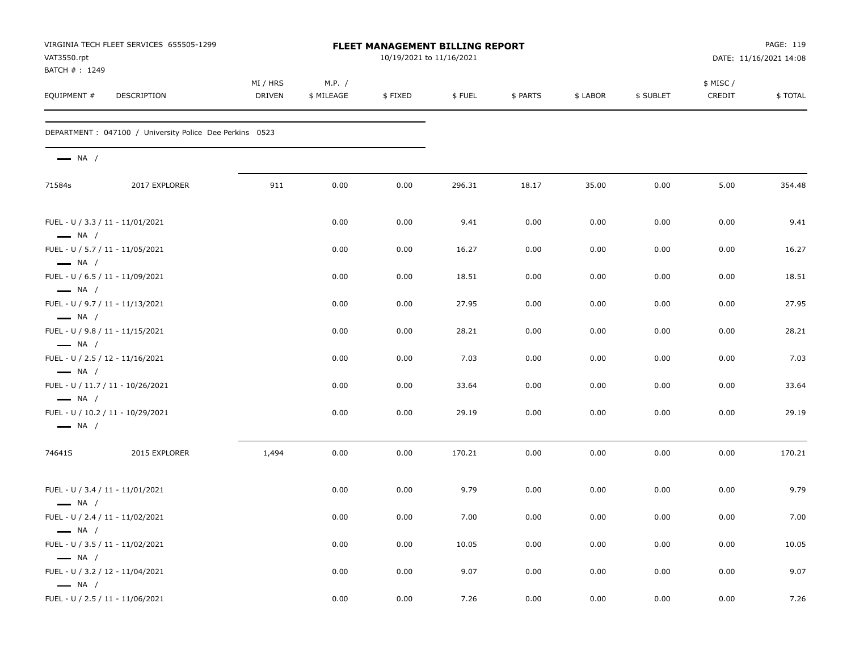| VAT3550.rpt                                      | VIRGINIA TECH FLEET SERVICES 655505-1299                 | <b>FLEET MANAGEMENT BILLING REPORT</b><br>10/19/2021 to 11/16/2021 |                      |         |        |          |          |           |                    | PAGE: 119<br>DATE: 11/16/2021 14:08 |  |
|--------------------------------------------------|----------------------------------------------------------|--------------------------------------------------------------------|----------------------|---------|--------|----------|----------|-----------|--------------------|-------------------------------------|--|
| BATCH #: 1249<br>EQUIPMENT #                     | DESCRIPTION                                              | MI / HRS<br><b>DRIVEN</b>                                          | M.P. /<br>\$ MILEAGE | \$FIXED | \$FUEL | \$ PARTS | \$ LABOR | \$ SUBLET | \$ MISC/<br>CREDIT | \$TOTAL                             |  |
|                                                  | DEPARTMENT : 047100 / University Police Dee Perkins 0523 |                                                                    |                      |         |        |          |          |           |                    |                                     |  |
| $\longrightarrow$ NA /                           |                                                          |                                                                    |                      |         |        |          |          |           |                    |                                     |  |
| 71584s                                           | 2017 EXPLORER                                            | 911                                                                | 0.00                 | 0.00    | 296.31 | 18.17    | 35.00    | 0.00      | 5.00               | 354.48                              |  |
| $\longrightarrow$ NA /                           | FUEL - U / 3.3 / 11 - 11/01/2021                         |                                                                    | 0.00                 | 0.00    | 9.41   | 0.00     | 0.00     | 0.00      | 0.00               | 9.41                                |  |
| $\longrightarrow$ NA /                           | FUEL - U / 5.7 / 11 - 11/05/2021                         |                                                                    | 0.00                 | 0.00    | 16.27  | 0.00     | 0.00     | 0.00      | 0.00               | 16.27                               |  |
| $\longrightarrow$ NA /                           | FUEL - U / 6.5 / 11 - 11/09/2021                         |                                                                    | 0.00                 | 0.00    | 18.51  | 0.00     | 0.00     | 0.00      | 0.00               | 18.51                               |  |
|                                                  | FUEL - U / 9.7 / 11 - 11/13/2021                         |                                                                    | 0.00                 | 0.00    | 27.95  | 0.00     | 0.00     | 0.00      | 0.00               | 27.95                               |  |
| $\longrightarrow$ NA /                           | FUEL - U / 9.8 / 11 - 11/15/2021                         |                                                                    | 0.00                 | 0.00    | 28.21  | 0.00     | 0.00     | 0.00      | 0.00               | 28.21                               |  |
| $\longrightarrow$ NA /                           | FUEL - U / 2.5 / 12 - 11/16/2021                         |                                                                    | 0.00                 | 0.00    | 7.03   | 0.00     | 0.00     | 0.00      | 0.00               | 7.03                                |  |
| $\longrightarrow$ NA /                           | FUEL - U / 11.7 / 11 - 10/26/2021                        |                                                                    | 0.00                 | 0.00    | 33.64  | 0.00     | 0.00     | 0.00      | 0.00               | 33.64                               |  |
| $\longrightarrow$ NA /<br>$\longrightarrow$ NA / | FUEL - U / 10.2 / 11 - 10/29/2021                        |                                                                    | 0.00                 | 0.00    | 29.19  | 0.00     | 0.00     | 0.00      | 0.00               | 29.19                               |  |
| 74641S                                           | 2015 EXPLORER                                            | 1,494                                                              | 0.00                 | 0.00    | 170.21 | 0.00     | 0.00     | 0.00      | 0.00               | 170.21                              |  |
|                                                  | FUEL - U / 3.4 / 11 - 11/01/2021                         |                                                                    | 0.00                 | 0.00    | 9.79   | 0.00     | 0.00     | 0.00      | 0.00               | 9.79                                |  |
| $\longrightarrow$ NA /                           | FUEL - U / 2.4 / 11 - 11/02/2021                         |                                                                    | 0.00                 | 0.00    | 7.00   | 0.00     | 0.00     | 0.00      | $0.00\,$           | 7.00                                |  |
| $\longrightarrow$ NA /                           | FUEL - U / 3.5 / 11 - 11/02/2021                         |                                                                    | 0.00                 | 0.00    | 10.05  | 0.00     | 0.00     | 0.00      | 0.00               | 10.05                               |  |
| $\longrightarrow$ NA /                           | FUEL - U / 3.2 / 12 - 11/04/2021                         |                                                                    | 0.00                 | 0.00    | 9.07   | 0.00     | 0.00     | 0.00      | 0.00               | 9.07                                |  |
| $\longrightarrow$ NA /                           | FUEL - U / 2.5 / 11 - 11/06/2021                         |                                                                    | 0.00                 | 0.00    | 7.26   | 0.00     | 0.00     | 0.00      | $0.00\,$           | 7.26                                |  |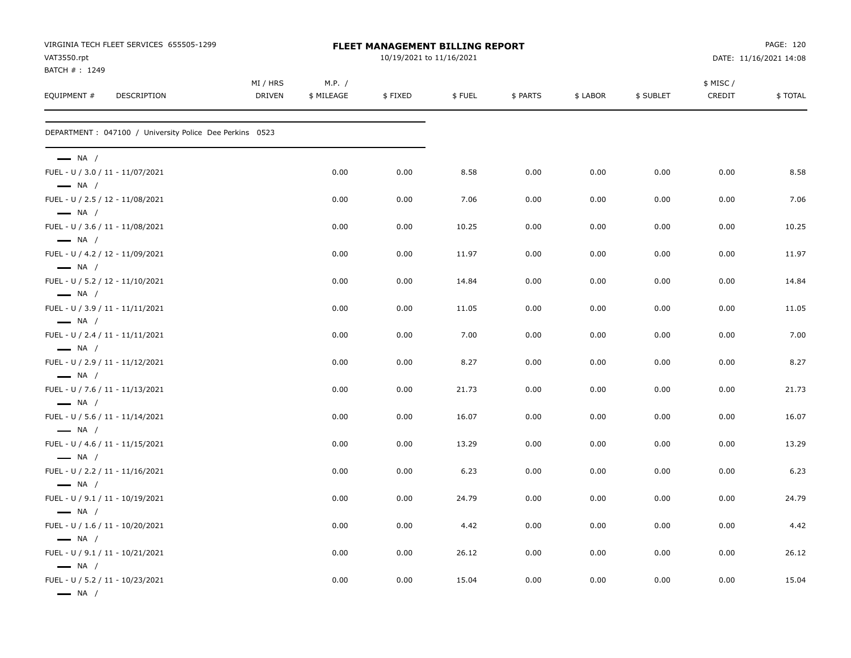| VIRGINIA TECH FLEET SERVICES 655505-1299<br>VAT3550.rpt<br>BATCH #: 1249 | FLEET MANAGEMENT BILLING REPORT<br>10/19/2021 to 11/16/2021 |                      |         |        |          |          |           | PAGE: 120<br>DATE: 11/16/2021 14:08 |         |
|--------------------------------------------------------------------------|-------------------------------------------------------------|----------------------|---------|--------|----------|----------|-----------|-------------------------------------|---------|
| EQUIPMENT #<br><b>DESCRIPTION</b>                                        | MI / HRS<br><b>DRIVEN</b>                                   | M.P. /<br>\$ MILEAGE | \$FIXED | \$FUEL | \$ PARTS | \$ LABOR | \$ SUBLET | \$ MISC /<br>CREDIT                 | \$TOTAL |
| DEPARTMENT : 047100 / University Police Dee Perkins 0523                 |                                                             |                      |         |        |          |          |           |                                     |         |
| $\longrightarrow$ NA /                                                   |                                                             |                      |         |        |          |          |           |                                     |         |
| FUEL - U / 3.0 / 11 - 11/07/2021<br>$\longrightarrow$ NA /               |                                                             | 0.00                 | 0.00    | 8.58   | 0.00     | 0.00     | 0.00      | 0.00                                | 8.58    |
| FUEL - U / 2.5 / 12 - 11/08/2021<br>$\longrightarrow$ NA /               |                                                             | 0.00                 | 0.00    | 7.06   | 0.00     | 0.00     | 0.00      | 0.00                                | 7.06    |
| FUEL - U / 3.6 / 11 - 11/08/2021<br>$\longrightarrow$ NA /               |                                                             | 0.00                 | 0.00    | 10.25  | 0.00     | 0.00     | 0.00      | 0.00                                | 10.25   |
| FUEL - U / 4.2 / 12 - 11/09/2021<br>$\longrightarrow$ NA /               |                                                             | 0.00                 | 0.00    | 11.97  | 0.00     | 0.00     | 0.00      | 0.00                                | 11.97   |
| FUEL - U / 5.2 / 12 - 11/10/2021<br>$\longrightarrow$ NA /               |                                                             | 0.00                 | 0.00    | 14.84  | 0.00     | 0.00     | 0.00      | 0.00                                | 14.84   |
| FUEL - U / 3.9 / 11 - 11/11/2021<br>$\longrightarrow$ NA /               |                                                             | 0.00                 | 0.00    | 11.05  | 0.00     | 0.00     | 0.00      | 0.00                                | 11.05   |
| FUEL - U / 2.4 / 11 - 11/11/2021<br>$\longrightarrow$ NA /               |                                                             | 0.00                 | 0.00    | 7.00   | 0.00     | 0.00     | 0.00      | 0.00                                | 7.00    |
| FUEL - U / 2.9 / 11 - 11/12/2021<br>$\longrightarrow$ NA /               |                                                             | 0.00                 | 0.00    | 8.27   | 0.00     | 0.00     | 0.00      | 0.00                                | 8.27    |
| FUEL - U / 7.6 / 11 - 11/13/2021<br>$\longrightarrow$ NA /               |                                                             | 0.00                 | 0.00    | 21.73  | 0.00     | 0.00     | 0.00      | 0.00                                | 21.73   |
| FUEL - U / 5.6 / 11 - 11/14/2021<br>$\longrightarrow$ NA /               |                                                             | 0.00                 | 0.00    | 16.07  | 0.00     | 0.00     | 0.00      | 0.00                                | 16.07   |
| FUEL - U / 4.6 / 11 - 11/15/2021<br>$\longrightarrow$ NA /               |                                                             | 0.00                 | 0.00    | 13.29  | 0.00     | 0.00     | 0.00      | 0.00                                | 13.29   |
| FUEL - U / 2.2 / 11 - 11/16/2021<br>$\longrightarrow$ NA /               |                                                             | 0.00                 | 0.00    | 6.23   | 0.00     | 0.00     | 0.00      | 0.00                                | 6.23    |
| FUEL - U / 9.1 / 11 - 10/19/2021<br>$\longrightarrow$ NA /               |                                                             | 0.00                 | 0.00    | 24.79  | 0.00     | 0.00     | 0.00      | 0.00                                | 24.79   |
| FUEL - U / 1.6 / 11 - 10/20/2021<br>$\longrightarrow$ NA /               |                                                             | 0.00                 | 0.00    | 4.42   | 0.00     | 0.00     | 0.00      | 0.00                                | 4.42    |
| FUEL - U / 9.1 / 11 - 10/21/2021<br>$\longrightarrow$ NA /               |                                                             | 0.00                 | 0.00    | 26.12  | 0.00     | 0.00     | 0.00      | 0.00                                | 26.12   |
| FUEL - U / 5.2 / 11 - 10/23/2021<br>$\longrightarrow$ NA /               |                                                             | 0.00                 | 0.00    | 15.04  | 0.00     | 0.00     | 0.00      | 0.00                                | 15.04   |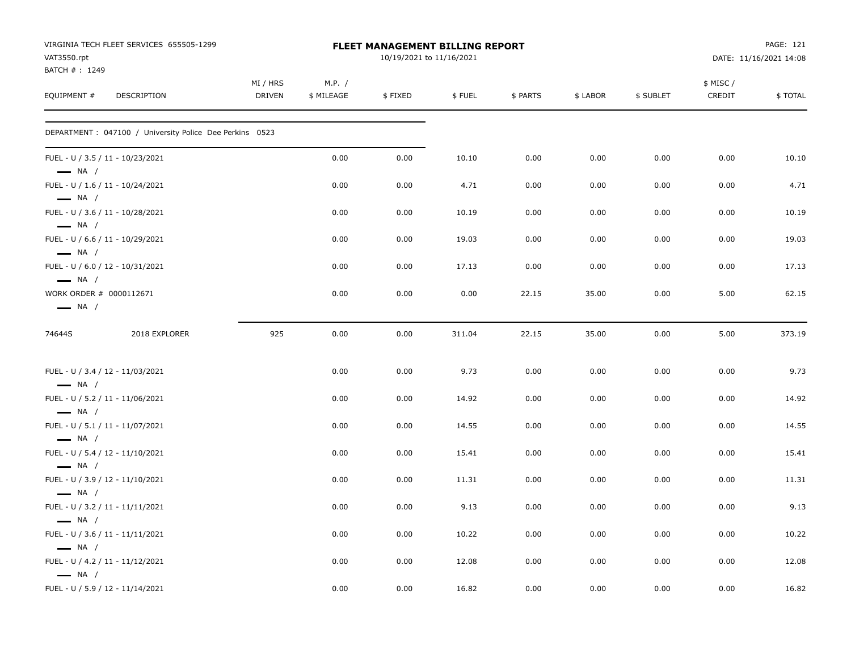| VAT3550.rpt<br>BATCH #: 1249                               | VIRGINIA TECH FLEET SERVICES 655505-1299                 |                    |                      | <b>FLEET MANAGEMENT BILLING REPORT</b><br>10/19/2021 to 11/16/2021 |        |          |          |           |                     | PAGE: 121<br>DATE: 11/16/2021 14:08 |
|------------------------------------------------------------|----------------------------------------------------------|--------------------|----------------------|--------------------------------------------------------------------|--------|----------|----------|-----------|---------------------|-------------------------------------|
| EQUIPMENT #                                                | DESCRIPTION                                              | MI / HRS<br>DRIVEN | M.P. /<br>\$ MILEAGE | \$FIXED                                                            | \$FUEL | \$ PARTS | \$ LABOR | \$ SUBLET | \$ MISC /<br>CREDIT | \$TOTAL                             |
|                                                            | DEPARTMENT : 047100 / University Police Dee Perkins 0523 |                    |                      |                                                                    |        |          |          |           |                     |                                     |
| FUEL - U / 3.5 / 11 - 10/23/2021<br>$\longrightarrow$ NA / |                                                          |                    | 0.00                 | 0.00                                                               | 10.10  | 0.00     | 0.00     | 0.00      | 0.00                | 10.10                               |
| FUEL - U / 1.6 / 11 - 10/24/2021<br>$\longrightarrow$ NA / |                                                          |                    | 0.00                 | 0.00                                                               | 4.71   | 0.00     | 0.00     | 0.00      | 0.00                | 4.71                                |
| FUEL - U / 3.6 / 11 - 10/28/2021<br>$\longrightarrow$ NA / |                                                          |                    | 0.00                 | 0.00                                                               | 10.19  | 0.00     | 0.00     | 0.00      | 0.00                | 10.19                               |
| FUEL - U / 6.6 / 11 - 10/29/2021<br>$\longrightarrow$ NA / |                                                          |                    | 0.00                 | 0.00                                                               | 19.03  | 0.00     | 0.00     | 0.00      | 0.00                | 19.03                               |
| FUEL - U / 6.0 / 12 - 10/31/2021<br>$\longrightarrow$ NA / |                                                          |                    | 0.00                 | 0.00                                                               | 17.13  | 0.00     | 0.00     | 0.00      | 0.00                | 17.13                               |
| WORK ORDER # 0000112671<br>$\longrightarrow$ NA /          |                                                          |                    | 0.00                 | 0.00                                                               | 0.00   | 22.15    | 35.00    | 0.00      | 5.00                | 62.15                               |
| 74644S                                                     | 2018 EXPLORER                                            | 925                | 0.00                 | 0.00                                                               | 311.04 | 22.15    | 35.00    | 0.00      | 5.00                | 373.19                              |
| FUEL - U / 3.4 / 12 - 11/03/2021<br>$\longrightarrow$ NA / |                                                          |                    | 0.00                 | 0.00                                                               | 9.73   | 0.00     | 0.00     | 0.00      | 0.00                | 9.73                                |
| FUEL - U / 5.2 / 11 - 11/06/2021<br>$\longrightarrow$ NA / |                                                          |                    | 0.00                 | 0.00                                                               | 14.92  | 0.00     | 0.00     | 0.00      | 0.00                | 14.92                               |
| FUEL - U / 5.1 / 11 - 11/07/2021<br>$\longrightarrow$ NA / |                                                          |                    | 0.00                 | 0.00                                                               | 14.55  | 0.00     | 0.00     | 0.00      | 0.00                | 14.55                               |
| FUEL - U / 5.4 / 12 - 11/10/2021<br>$\longrightarrow$ NA / |                                                          |                    | 0.00                 | 0.00                                                               | 15.41  | 0.00     | 0.00     | 0.00      | 0.00                | 15.41                               |
| FUEL - U / 3.9 / 12 - 11/10/2021<br>$\longrightarrow$ NA / |                                                          |                    | 0.00                 | 0.00                                                               | 11.31  | 0.00     | 0.00     | 0.00      | 0.00                | 11.31                               |
| FUEL - U / 3.2 / 11 - 11/11/2021<br>$\longrightarrow$ NA / |                                                          |                    | 0.00                 | 0.00                                                               | 9.13   | 0.00     | 0.00     | 0.00      | 0.00                | 9.13                                |
| FUEL - U / 3.6 / 11 - 11/11/2021<br>$\longrightarrow$ NA / |                                                          |                    | 0.00                 | 0.00                                                               | 10.22  | 0.00     | 0.00     | 0.00      | 0.00                | 10.22                               |
| FUEL - U / 4.2 / 11 - 11/12/2021<br>$\longrightarrow$ NA / |                                                          |                    | 0.00                 | 0.00                                                               | 12.08  | 0.00     | 0.00     | 0.00      | 0.00                | 12.08                               |
| FUEL - U / 5.9 / 12 - 11/14/2021                           |                                                          |                    | 0.00                 | 0.00                                                               | 16.82  | 0.00     | 0.00     | 0.00      | 0.00                | 16.82                               |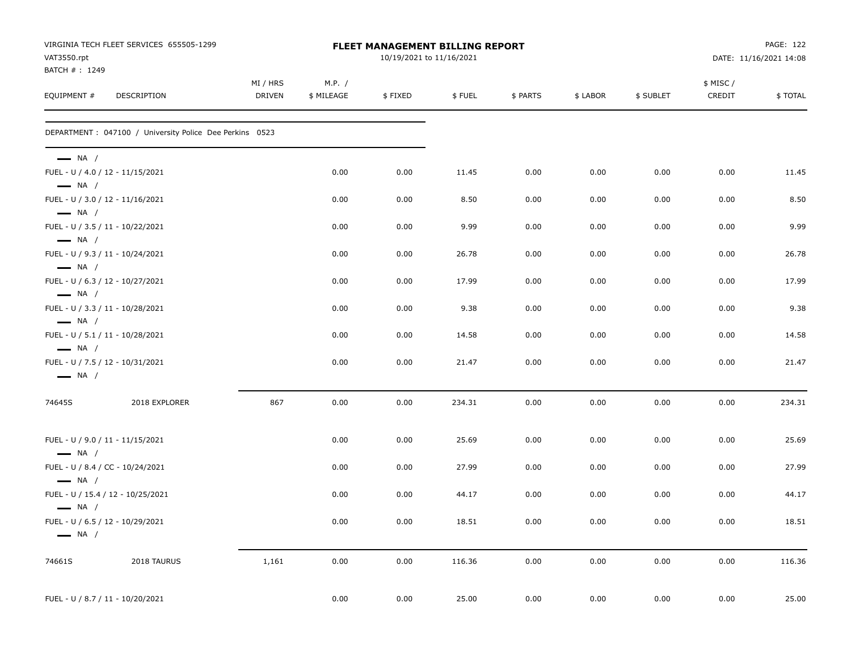| VAT3550.rpt                                                                          | VIRGINIA TECH FLEET SERVICES 655505-1299                 |                    |                      | FLEET MANAGEMENT BILLING REPORT<br>10/19/2021 to 11/16/2021 |        |          |          |           |                     | PAGE: 122<br>DATE: 11/16/2021 14:08 |
|--------------------------------------------------------------------------------------|----------------------------------------------------------|--------------------|----------------------|-------------------------------------------------------------|--------|----------|----------|-----------|---------------------|-------------------------------------|
| BATCH #: 1249                                                                        |                                                          |                    |                      |                                                             |        |          |          |           |                     |                                     |
| EQUIPMENT #                                                                          | DESCRIPTION                                              | MI / HRS<br>DRIVEN | M.P. /<br>\$ MILEAGE | \$FIXED                                                     | \$FUEL | \$ PARTS | \$ LABOR | \$ SUBLET | \$ MISC /<br>CREDIT | \$TOTAL                             |
|                                                                                      | DEPARTMENT : 047100 / University Police Dee Perkins 0523 |                    |                      |                                                             |        |          |          |           |                     |                                     |
| $\longrightarrow$ NA /<br>FUEL - U / 4.0 / 12 - 11/15/2021                           |                                                          |                    | 0.00                 | 0.00                                                        | 11.45  | 0.00     | 0.00     | 0.00      | 0.00                | 11.45                               |
| $\longrightarrow$ NA /                                                               |                                                          |                    |                      |                                                             |        |          |          |           |                     |                                     |
| FUEL - U / 3.0 / 12 - 11/16/2021<br>$\longrightarrow$ NA /                           |                                                          |                    | 0.00                 | 0.00                                                        | 8.50   | 0.00     | 0.00     | 0.00      | 0.00                | 8.50                                |
| FUEL - U / 3.5 / 11 - 10/22/2021<br>$\longrightarrow$ NA /                           |                                                          |                    | 0.00                 | 0.00                                                        | 9.99   | 0.00     | 0.00     | 0.00      | 0.00                | 9.99                                |
| FUEL - U / 9.3 / 11 - 10/24/2021<br>$-$ NA $/$                                       |                                                          |                    | 0.00                 | 0.00                                                        | 26.78  | 0.00     | 0.00     | 0.00      | 0.00                | 26.78                               |
| FUEL - U / 6.3 / 12 - 10/27/2021                                                     |                                                          |                    | 0.00                 | 0.00                                                        | 17.99  | 0.00     | 0.00     | 0.00      | 0.00                | 17.99                               |
| $\longrightarrow$ NA /<br>FUEL - U / 3.3 / 11 - 10/28/2021                           |                                                          |                    | 0.00                 | 0.00                                                        | 9.38   | 0.00     | 0.00     | 0.00      | 0.00                | 9.38                                |
| $\longrightarrow$ NA /<br>FUEL - U / 5.1 / 11 - 10/28/2021                           |                                                          |                    | 0.00                 | 0.00                                                        | 14.58  | 0.00     | 0.00     | 0.00      | 0.00                | 14.58                               |
| $\longrightarrow$ NA /<br>FUEL - U / 7.5 / 12 - 10/31/2021<br>$\longrightarrow$ NA / |                                                          |                    | 0.00                 | 0.00                                                        | 21.47  | 0.00     | 0.00     | 0.00      | 0.00                | 21.47                               |
| 74645S                                                                               | 2018 EXPLORER                                            | 867                | 0.00                 | 0.00                                                        | 234.31 | 0.00     | 0.00     | 0.00      | 0.00                | 234.31                              |
| FUEL - U / 9.0 / 11 - 11/15/2021                                                     |                                                          |                    | 0.00                 | 0.00                                                        | 25.69  | 0.00     | 0.00     | 0.00      | 0.00                | 25.69                               |
| $\longrightarrow$ NA /<br>FUEL - U / 8.4 / CC - 10/24/2021<br>$\longrightarrow$ NA / |                                                          |                    | 0.00                 | 0.00                                                        | 27.99  | 0.00     | 0.00     | 0.00      | 0.00                | 27.99                               |
| $\longrightarrow$ NA /                                                               | FUEL - U / 15.4 / 12 - 10/25/2021                        |                    | 0.00                 | 0.00                                                        | 44.17  | 0.00     | 0.00     | 0.00      | 0.00                | 44.17                               |
| FUEL - U / 6.5 / 12 - 10/29/2021<br>$\longrightarrow$ NA /                           |                                                          |                    | 0.00                 | 0.00                                                        | 18.51  | 0.00     | 0.00     | 0.00      | 0.00                | 18.51                               |
| 74661S                                                                               | 2018 TAURUS                                              | 1,161              | 0.00                 | 0.00                                                        | 116.36 | 0.00     | 0.00     | 0.00      | 0.00                | 116.36                              |
| FUEL - U / 8.7 / 11 - 10/20/2021                                                     |                                                          |                    | 0.00                 | 0.00                                                        | 25.00  | 0.00     | 0.00     | 0.00      | 0.00                | 25.00                               |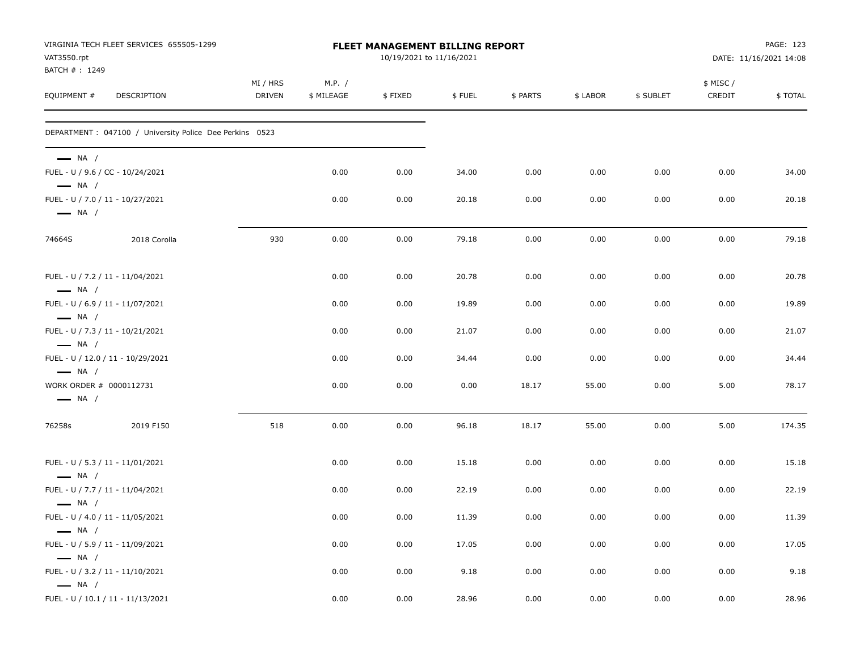| VAT3550.rpt                                       | VIRGINIA TECH FLEET SERVICES 655505-1299                 |                    |                      | FLEET MANAGEMENT BILLING REPORT<br>10/19/2021 to 11/16/2021 |        |          |          |           |                    | PAGE: 123<br>DATE: 11/16/2021 14:08 |
|---------------------------------------------------|----------------------------------------------------------|--------------------|----------------------|-------------------------------------------------------------|--------|----------|----------|-----------|--------------------|-------------------------------------|
| BATCH #: 1249<br>EQUIPMENT #                      | DESCRIPTION                                              | MI / HRS<br>DRIVEN | M.P. /<br>\$ MILEAGE | \$FIXED                                                     | \$FUEL | \$ PARTS | \$ LABOR | \$ SUBLET | \$ MISC/<br>CREDIT | \$TOTAL                             |
|                                                   | DEPARTMENT : 047100 / University Police Dee Perkins 0523 |                    |                      |                                                             |        |          |          |           |                    |                                     |
| $\longrightarrow$ NA /<br>$\longrightarrow$ NA /  | FUEL - U / 9.6 / CC - 10/24/2021                         |                    | 0.00                 | 0.00                                                        | 34.00  | 0.00     | 0.00     | 0.00      | 0.00               | 34.00                               |
| $\longrightarrow$ NA /                            | FUEL - U / 7.0 / 11 - 10/27/2021                         |                    | 0.00                 | 0.00                                                        | 20.18  | 0.00     | 0.00     | 0.00      | 0.00               | 20.18                               |
| 74664S                                            | 2018 Corolla                                             | 930                | 0.00                 | 0.00                                                        | 79.18  | 0.00     | 0.00     | 0.00      | 0.00               | 79.18                               |
| $\longrightarrow$ NA /                            | FUEL - U / 7.2 / 11 - 11/04/2021                         |                    | 0.00                 | 0.00                                                        | 20.78  | 0.00     | 0.00     | 0.00      | 0.00               | 20.78                               |
| $\longrightarrow$ NA /                            | FUEL - U / 6.9 / 11 - 11/07/2021                         |                    | 0.00                 | 0.00                                                        | 19.89  | 0.00     | 0.00     | 0.00      | 0.00               | 19.89                               |
| $\longrightarrow$ NA /                            | FUEL - U / 7.3 / 11 - 10/21/2021                         |                    | 0.00                 | 0.00                                                        | 21.07  | 0.00     | 0.00     | 0.00      | 0.00               | 21.07                               |
| $\longrightarrow$ NA /                            | FUEL - U / 12.0 / 11 - 10/29/2021                        |                    | 0.00                 | 0.00                                                        | 34.44  | 0.00     | 0.00     | 0.00      | 0.00               | 34.44                               |
| WORK ORDER # 0000112731<br>$\longrightarrow$ NA / |                                                          |                    | 0.00                 | 0.00                                                        | 0.00   | 18.17    | 55.00    | 0.00      | 5.00               | 78.17                               |
| 76258s                                            | 2019 F150                                                | 518                | 0.00                 | 0.00                                                        | 96.18  | 18.17    | 55.00    | 0.00      | 5.00               | 174.35                              |
| $\longrightarrow$ NA /                            | FUEL - U / 5.3 / 11 - 11/01/2021                         |                    | 0.00                 | 0.00                                                        | 15.18  | 0.00     | 0.00     | 0.00      | 0.00               | 15.18                               |
| $\longrightarrow$ NA /                            | FUEL - U / 7.7 / 11 - 11/04/2021                         |                    | 0.00                 | 0.00                                                        | 22.19  | 0.00     | 0.00     | 0.00      | 0.00               | 22.19                               |
| $\longrightarrow$ NA /                            | FUEL - U / 4.0 / 11 - 11/05/2021                         |                    | 0.00                 | 0.00                                                        | 11.39  | 0.00     | 0.00     | 0.00      | 0.00               | 11.39                               |
|                                                   | FUEL - U / 5.9 / 11 - 11/09/2021                         |                    | 0.00                 | 0.00                                                        | 17.05  | 0.00     | 0.00     | 0.00      | 0.00               | 17.05                               |
| $\longrightarrow$ NA /<br>$\longrightarrow$ NA /  | FUEL - U / 3.2 / 11 - 11/10/2021                         |                    | 0.00                 | 0.00                                                        | 9.18   | 0.00     | 0.00     | 0.00      | 0.00               | 9.18                                |
|                                                   | FUEL - U / 10.1 / 11 - 11/13/2021                        |                    | 0.00                 | 0.00                                                        | 28.96  | 0.00     | 0.00     | 0.00      | 0.00               | 28.96                               |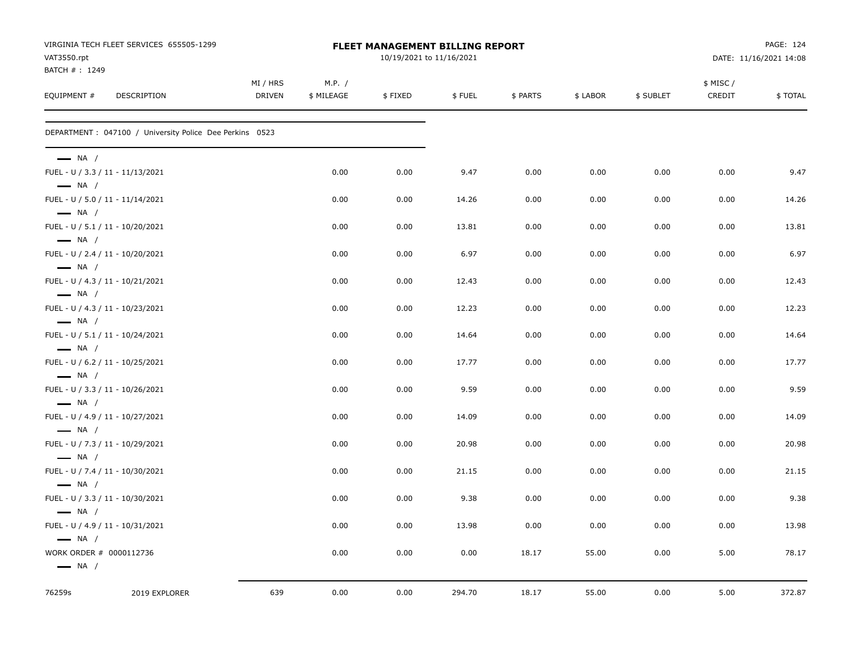|                                                   | VIRGINIA TECH FLEET SERVICES 655505-1299                 |          |            | FLEET MANAGEMENT BILLING REPORT |        |          |          |           |          | PAGE: 124              |
|---------------------------------------------------|----------------------------------------------------------|----------|------------|---------------------------------|--------|----------|----------|-----------|----------|------------------------|
| VAT3550.rpt<br>BATCH #: 1249                      |                                                          |          |            | 10/19/2021 to 11/16/2021        |        |          |          |           |          | DATE: 11/16/2021 14:08 |
|                                                   |                                                          | MI / HRS | M.P. /     |                                 |        |          |          |           | \$ MISC/ |                        |
| EQUIPMENT #                                       | DESCRIPTION                                              | DRIVEN   | \$ MILEAGE | \$FIXED                         | \$FUEL | \$ PARTS | \$ LABOR | \$ SUBLET | CREDIT   | \$TOTAL                |
|                                                   | DEPARTMENT : 047100 / University Police Dee Perkins 0523 |          |            |                                 |        |          |          |           |          |                        |
| $\longrightarrow$ NA /                            |                                                          |          |            |                                 |        |          |          |           |          |                        |
| $\longrightarrow$ NA /                            | FUEL - U / 3.3 / 11 - 11/13/2021                         |          | 0.00       | 0.00                            | 9.47   | 0.00     | 0.00     | 0.00      | 0.00     | 9.47                   |
| $\longrightarrow$ NA /                            | FUEL - U / 5.0 / 11 - 11/14/2021                         |          | 0.00       | 0.00                            | 14.26  | 0.00     | 0.00     | 0.00      | 0.00     | 14.26                  |
| $\longrightarrow$ NA /                            | FUEL - U / 5.1 / 11 - 10/20/2021                         |          | 0.00       | 0.00                            | 13.81  | 0.00     | 0.00     | 0.00      | 0.00     | 13.81                  |
| $\longrightarrow$ NA /                            | FUEL - U / 2.4 / 11 - 10/20/2021                         |          | 0.00       | 0.00                            | 6.97   | 0.00     | 0.00     | 0.00      | 0.00     | 6.97                   |
| $\longrightarrow$ NA /                            | FUEL - U / 4.3 / 11 - 10/21/2021                         |          | 0.00       | 0.00                            | 12.43  | 0.00     | 0.00     | 0.00      | 0.00     | 12.43                  |
| $\longrightarrow$ NA /                            | FUEL - U / 4.3 / 11 - 10/23/2021                         |          | 0.00       | 0.00                            | 12.23  | 0.00     | 0.00     | 0.00      | 0.00     | 12.23                  |
| $\longrightarrow$ NA /                            | FUEL - U / 5.1 / 11 - 10/24/2021                         |          | 0.00       | 0.00                            | 14.64  | 0.00     | 0.00     | 0.00      | 0.00     | 14.64                  |
| $\longrightarrow$ NA /                            | FUEL - U / 6.2 / 11 - 10/25/2021                         |          | 0.00       | 0.00                            | 17.77  | 0.00     | 0.00     | 0.00      | 0.00     | 17.77                  |
|                                                   | FUEL - U / 3.3 / 11 - 10/26/2021                         |          | 0.00       | 0.00                            | 9.59   | 0.00     | 0.00     | 0.00      | 0.00     | 9.59                   |
| $\longrightarrow$ NA /                            | FUEL - U / 4.9 / 11 - 10/27/2021                         |          | 0.00       | 0.00                            | 14.09  | 0.00     | 0.00     | 0.00      | 0.00     | 14.09                  |
| $\longrightarrow$ NA /                            | FUEL - U / 7.3 / 11 - 10/29/2021                         |          | 0.00       | 0.00                            | 20.98  | 0.00     | 0.00     | 0.00      | 0.00     | 20.98                  |
| $\longrightarrow$ NA /                            | FUEL - U / 7.4 / 11 - 10/30/2021                         |          | 0.00       | 0.00                            | 21.15  | 0.00     | 0.00     | 0.00      | 0.00     | 21.15                  |
| $\longrightarrow$ NA /                            | FUEL - U / 3.3 / 11 - 10/30/2021                         |          | 0.00       | 0.00                            | 9.38   | 0.00     | 0.00     | 0.00      | 0.00     | 9.38                   |
| $\longrightarrow$ NA /                            | FUEL - U / 4.9 / 11 - 10/31/2021                         |          | 0.00       | 0.00                            | 13.98  | 0.00     | 0.00     | 0.00      | 0.00     | 13.98                  |
| $\longrightarrow$ NA /<br>WORK ORDER # 0000112736 |                                                          |          | 0.00       | 0.00                            | 0.00   | 18.17    | 55.00    | 0.00      | 5.00     | 78.17                  |
| $\longrightarrow$ NA /                            |                                                          |          |            |                                 |        |          |          |           |          |                        |
| 76259s                                            | 2019 EXPLORER                                            | 639      | 0.00       | 0.00                            | 294.70 | 18.17    | 55.00    | 0.00      | 5.00     | 372.87                 |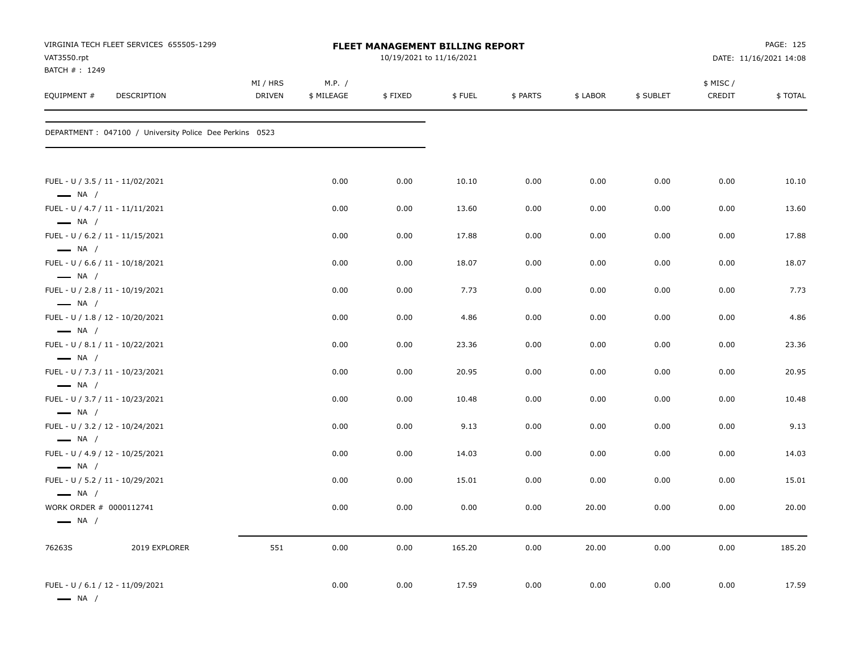|                                                   | VIRGINIA TECH FLEET SERVICES 655505-1299                             |               |              |              | FLEET MANAGEMENT BILLING REPORT |              |              |              |              | PAGE: 125              |
|---------------------------------------------------|----------------------------------------------------------------------|---------------|--------------|--------------|---------------------------------|--------------|--------------|--------------|--------------|------------------------|
| VAT3550.rpt                                       |                                                                      |               |              |              | 10/19/2021 to 11/16/2021        |              |              |              |              | DATE: 11/16/2021 14:08 |
| BATCH #: 1249                                     |                                                                      | MI / HRS      | M.P. /       |              |                                 |              |              |              | \$ MISC/     |                        |
| EQUIPMENT #                                       | DESCRIPTION                                                          | <b>DRIVEN</b> | \$ MILEAGE   | \$FIXED      | \$FUEL                          | \$ PARTS     | \$ LABOR     | \$ SUBLET    | CREDIT       | \$TOTAL                |
|                                                   | DEPARTMENT : 047100 / University Police Dee Perkins 0523             |               |              |              |                                 |              |              |              |              |                        |
|                                                   | FUEL - U / 3.5 / 11 - 11/02/2021                                     |               | 0.00         | 0.00         | 10.10                           | 0.00         | 0.00         | 0.00         | 0.00         | 10.10                  |
| $\longrightarrow$ NA /<br>$\longrightarrow$ NA /  | FUEL - U / 4.7 / 11 - 11/11/2021                                     |               | 0.00         | 0.00         | 13.60                           | 0.00         | 0.00         | 0.00         | 0.00         | 13.60                  |
| $\longrightarrow$ NA /                            | FUEL - U / 6.2 / 11 - 11/15/2021                                     |               | 0.00         | 0.00         | 17.88                           | 0.00         | 0.00         | 0.00         | 0.00         | 17.88                  |
| $\longrightarrow$ NA /                            | FUEL - U / 6.6 / 11 - 10/18/2021                                     |               | 0.00         | 0.00         | 18.07                           | 0.00         | 0.00         | 0.00         | 0.00         | 18.07                  |
| $\longrightarrow$ NA /                            | FUEL - U / 2.8 / 11 - 10/19/2021                                     |               | 0.00         | 0.00         | 7.73                            | 0.00         | 0.00         | 0.00         | 0.00         | 7.73                   |
| $\longrightarrow$ NA /                            | FUEL - U / 1.8 / 12 - 10/20/2021                                     |               | 0.00         | 0.00         | 4.86                            | 0.00         | 0.00         | 0.00         | 0.00         | 4.86                   |
| $\longrightarrow$ NA /                            | FUEL - U / 8.1 / 11 - 10/22/2021                                     |               | 0.00         | 0.00         | 23.36                           | 0.00         | 0.00         | 0.00         | 0.00         | 23.36                  |
| $\longrightarrow$ NA /                            | FUEL - U / 7.3 / 11 - 10/23/2021                                     |               | 0.00         | 0.00         | 20.95                           | 0.00         | 0.00         | 0.00         | 0.00         | 20.95                  |
| $\longrightarrow$ NA /                            | FUEL - U / 3.7 / 11 - 10/23/2021                                     |               | 0.00         | 0.00         | 10.48                           | 0.00         | 0.00         | 0.00         | 0.00         | 10.48                  |
| $-$ NA $/$                                        | FUEL - U / 3.2 / 12 - 10/24/2021<br>FUEL - U / 4.9 / 12 - 10/25/2021 |               | 0.00<br>0.00 | 0.00         | 9.13                            | 0.00         | 0.00         | 0.00         | 0.00<br>0.00 | 9.13<br>14.03          |
| $\longrightarrow$ NA /                            | FUEL - U / 5.2 / 11 - 10/29/2021                                     |               | 0.00         | 0.00<br>0.00 | 14.03<br>15.01                  | 0.00<br>0.00 | 0.00<br>0.00 | 0.00<br>0.00 | 0.00         | 15.01                  |
| $\longrightarrow$ NA /<br>WORK ORDER # 0000112741 |                                                                      |               |              |              | 0.00                            |              |              |              |              | 20.00                  |
| $\longrightarrow$ NA /                            |                                                                      |               | 0.00         | 0.00         |                                 | 0.00         | 20.00        | 0.00         | 0.00         |                        |
| 76263S                                            | 2019 EXPLORER                                                        | 551           | 0.00         | 0.00         | 165.20                          | 0.00         | 20.00        | 0.00         | 0.00         | 185.20                 |
| $\longrightarrow$ NA /                            | FUEL - U / 6.1 / 12 - 11/09/2021                                     |               | 0.00         | 0.00         | 17.59                           | 0.00         | 0.00         | 0.00         | 0.00         | 17.59                  |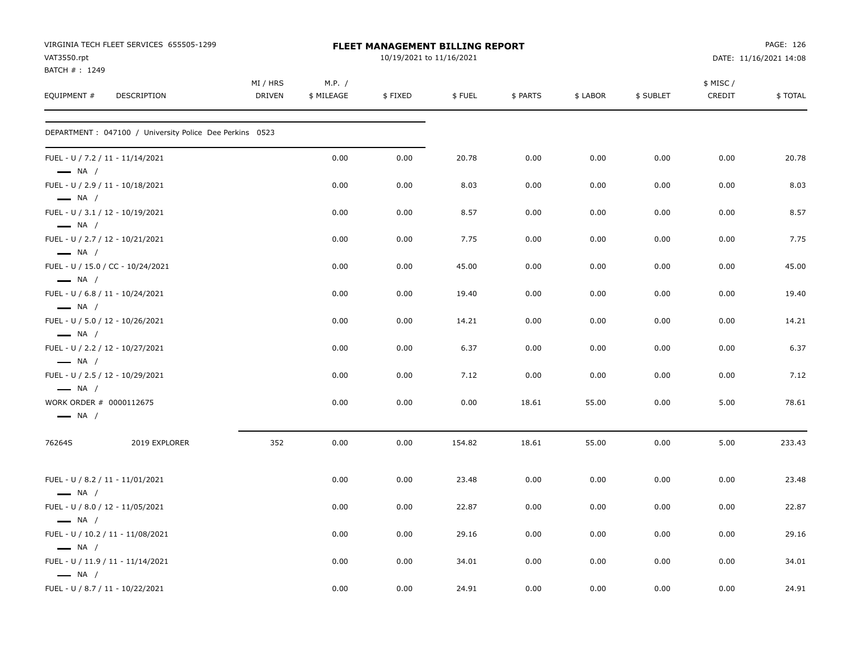| VAT3550.rpt                  | VIRGINIA TECH FLEET SERVICES 655505-1299                 |                    |                      | <b>FLEET MANAGEMENT BILLING REPORT</b><br>10/19/2021 to 11/16/2021 |        |          |          |           |                    | PAGE: 126<br>DATE: 11/16/2021 14:08 |
|------------------------------|----------------------------------------------------------|--------------------|----------------------|--------------------------------------------------------------------|--------|----------|----------|-----------|--------------------|-------------------------------------|
| BATCH #: 1249<br>EQUIPMENT # | DESCRIPTION                                              | MI / HRS<br>DRIVEN | M.P. /<br>\$ MILEAGE | \$FIXED                                                            | \$FUEL | \$ PARTS | \$ LABOR | \$ SUBLET | \$ MISC/<br>CREDIT | \$TOTAL                             |
|                              | DEPARTMENT : 047100 / University Police Dee Perkins 0523 |                    |                      |                                                                    |        |          |          |           |                    |                                     |
| $\longrightarrow$ NA /       | FUEL - U / 7.2 / 11 - 11/14/2021                         |                    | 0.00                 | 0.00                                                               | 20.78  | 0.00     | 0.00     | 0.00      | 0.00               | 20.78                               |
| $\longrightarrow$ NA /       | FUEL - U / 2.9 / 11 - 10/18/2021                         |                    | 0.00                 | 0.00                                                               | 8.03   | 0.00     | 0.00     | 0.00      | 0.00               | 8.03                                |
| $-$ NA $/$                   | FUEL - U / 3.1 / 12 - 10/19/2021                         |                    | 0.00                 | 0.00                                                               | 8.57   | 0.00     | 0.00     | 0.00      | 0.00               | 8.57                                |
| $\longrightarrow$ NA /       | FUEL - U / 2.7 / 12 - 10/21/2021                         |                    | 0.00                 | 0.00                                                               | 7.75   | 0.00     | 0.00     | 0.00      | 0.00               | 7.75                                |
| $\longrightarrow$ NA /       | FUEL - U / 15.0 / CC - 10/24/2021                        |                    | 0.00                 | 0.00                                                               | 45.00  | 0.00     | 0.00     | 0.00      | 0.00               | 45.00                               |
| $\longrightarrow$ NA /       | FUEL - U / 6.8 / 11 - 10/24/2021                         |                    | 0.00                 | 0.00                                                               | 19.40  | 0.00     | 0.00     | 0.00      | 0.00               | 19.40                               |
| $\longrightarrow$ NA /       | FUEL - U / 5.0 / 12 - 10/26/2021                         |                    | 0.00                 | 0.00                                                               | 14.21  | 0.00     | 0.00     | 0.00      | 0.00               | 14.21                               |
| $\longrightarrow$ NA /       | FUEL - U / 2.2 / 12 - 10/27/2021                         |                    | 0.00                 | 0.00                                                               | 6.37   | 0.00     | 0.00     | 0.00      | 0.00               | 6.37                                |
| $\longrightarrow$ NA /       | FUEL - U / 2.5 / 12 - 10/29/2021                         |                    | 0.00                 | 0.00                                                               | 7.12   | 0.00     | 0.00     | 0.00      | 0.00               | 7.12                                |
| $\longrightarrow$ NA /       | WORK ORDER # 0000112675                                  |                    | 0.00                 | 0.00                                                               | 0.00   | 18.61    | 55.00    | 0.00      | 5.00               | 78.61                               |
| 76264S                       | 2019 EXPLORER                                            | 352                | 0.00                 | 0.00                                                               | 154.82 | 18.61    | 55.00    | 0.00      | 5.00               | 233.43                              |
| $\longrightarrow$ NA /       | FUEL - U / 8.2 / 11 - 11/01/2021                         |                    | 0.00                 | 0.00                                                               | 23.48  | 0.00     | 0.00     | 0.00      | 0.00               | 23.48                               |
| $\longrightarrow$ NA /       | FUEL - U / 8.0 / 12 - 11/05/2021                         |                    | 0.00                 | 0.00                                                               | 22.87  | 0.00     | 0.00     | 0.00      | 0.00               | 22.87                               |
| $\longrightarrow$ NA /       | FUEL - U / 10.2 / 11 - 11/08/2021                        |                    | 0.00                 | 0.00                                                               | 29.16  | 0.00     | 0.00     | 0.00      | 0.00               | 29.16                               |
| $\longrightarrow$ NA /       | FUEL - U / 11.9 / 11 - 11/14/2021                        |                    | 0.00                 | 0.00                                                               | 34.01  | 0.00     | 0.00     | 0.00      | 0.00               | 34.01                               |
|                              | FUEL - U / 8.7 / 11 - 10/22/2021                         |                    | 0.00                 | 0.00                                                               | 24.91  | 0.00     | 0.00     | 0.00      | 0.00               | 24.91                               |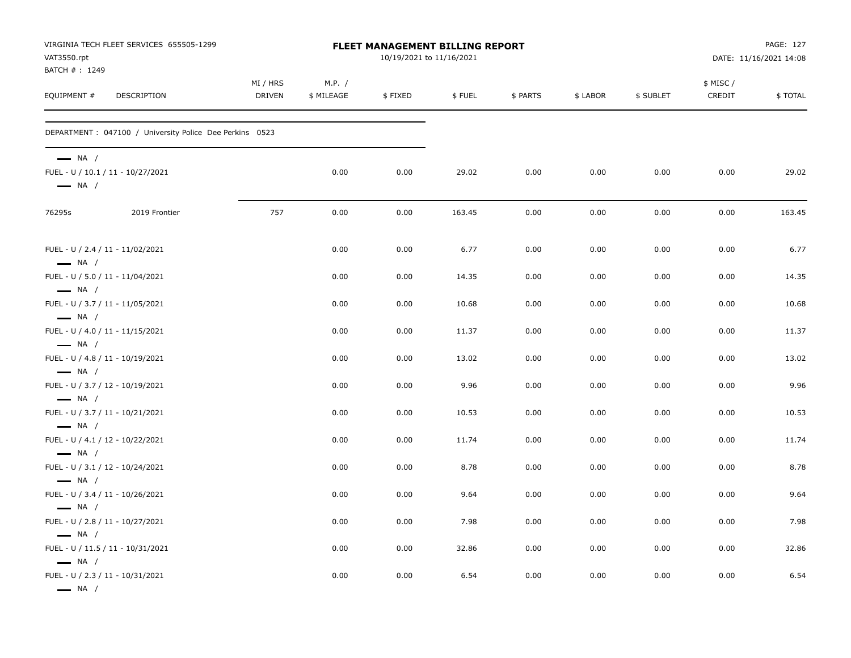| VAT3550.rpt<br>BATCH #: 1249                                                         | VIRGINIA TECH FLEET SERVICES 655505-1299                 |                           |                      | FLEET MANAGEMENT BILLING REPORT<br>10/19/2021 to 11/16/2021 |        |          |          |           |                     | PAGE: 127<br>DATE: 11/16/2021 14:08 |
|--------------------------------------------------------------------------------------|----------------------------------------------------------|---------------------------|----------------------|-------------------------------------------------------------|--------|----------|----------|-----------|---------------------|-------------------------------------|
| EQUIPMENT #                                                                          | DESCRIPTION                                              | MI / HRS<br><b>DRIVEN</b> | M.P. /<br>\$ MILEAGE | \$FIXED                                                     | \$FUEL | \$ PARTS | \$ LABOR | \$ SUBLET | \$ MISC /<br>CREDIT | \$TOTAL                             |
|                                                                                      | DEPARTMENT : 047100 / University Police Dee Perkins 0523 |                           |                      |                                                             |        |          |          |           |                     |                                     |
| $\longrightarrow$ NA /<br>$\longrightarrow$ NA /                                     | FUEL - U / 10.1 / 11 - 10/27/2021                        |                           | 0.00                 | 0.00                                                        | 29.02  | 0.00     | 0.00     | 0.00      | 0.00                | 29.02                               |
| 76295s                                                                               | 2019 Frontier                                            | 757                       | 0.00                 | 0.00                                                        | 163.45 | 0.00     | 0.00     | 0.00      | 0.00                | 163.45                              |
| FUEL - U / 2.4 / 11 - 11/02/2021<br>$\longrightarrow$ NA /                           |                                                          |                           | 0.00                 | 0.00                                                        | 6.77   | 0.00     | 0.00     | 0.00      | 0.00                | 6.77                                |
| FUEL - U / 5.0 / 11 - 11/04/2021                                                     |                                                          |                           | 0.00                 | 0.00                                                        | 14.35  | 0.00     | 0.00     | 0.00      | 0.00                | 14.35                               |
| $\longrightarrow$ NA /<br>FUEL - U / 3.7 / 11 - 11/05/2021<br>$\longrightarrow$ NA / |                                                          |                           | 0.00                 | 0.00                                                        | 10.68  | 0.00     | 0.00     | 0.00      | 0.00                | 10.68                               |
| FUEL - U / 4.0 / 11 - 11/15/2021                                                     |                                                          |                           | 0.00                 | 0.00                                                        | 11.37  | 0.00     | 0.00     | 0.00      | 0.00                | 11.37                               |
| $\longrightarrow$ NA /<br>FUEL - U / 4.8 / 11 - 10/19/2021<br>$\longrightarrow$ NA / |                                                          |                           | 0.00                 | 0.00                                                        | 13.02  | 0.00     | 0.00     | 0.00      | 0.00                | 13.02                               |
| FUEL - U / 3.7 / 12 - 10/19/2021                                                     |                                                          |                           | 0.00                 | 0.00                                                        | 9.96   | 0.00     | 0.00     | 0.00      | 0.00                | 9.96                                |
| $\longrightarrow$ NA /<br>FUEL - U / 3.7 / 11 - 10/21/2021<br>$\longrightarrow$ NA / |                                                          |                           | 0.00                 | 0.00                                                        | 10.53  | 0.00     | 0.00     | 0.00      | 0.00                | 10.53                               |
| FUEL - U / 4.1 / 12 - 10/22/2021                                                     |                                                          |                           | 0.00                 | 0.00                                                        | 11.74  | 0.00     | 0.00     | 0.00      | 0.00                | 11.74                               |
| $\longrightarrow$ NA /<br>FUEL - U / 3.1 / 12 - 10/24/2021<br>$\longrightarrow$ NA / |                                                          |                           | 0.00                 | 0.00                                                        | 8.78   | 0.00     | 0.00     | 0.00      | 0.00                | 8.78                                |
| FUEL - U / 3.4 / 11 - 10/26/2021                                                     |                                                          |                           | 0.00                 | 0.00                                                        | 9.64   | 0.00     | 0.00     | 0.00      | 0.00                | 9.64                                |
| $\longrightarrow$ NA /<br>FUEL - U / 2.8 / 11 - 10/27/2021                           |                                                          |                           | 0.00                 | 0.00                                                        | 7.98   | 0.00     | 0.00     | 0.00      | 0.00                | 7.98                                |
| $\longrightarrow$ NA /<br>FUEL - U / 11.5 / 11 - 10/31/2021                          |                                                          |                           | 0.00                 | 0.00                                                        | 32.86  | 0.00     | 0.00     | 0.00      | 0.00                | 32.86                               |
| $\longrightarrow$ NA /<br>FUEL - U / 2.3 / 11 - 10/31/2021<br>$\longrightarrow$ NA / |                                                          |                           | 0.00                 | 0.00                                                        | 6.54   | 0.00     | 0.00     | 0.00      | 0.00                | 6.54                                |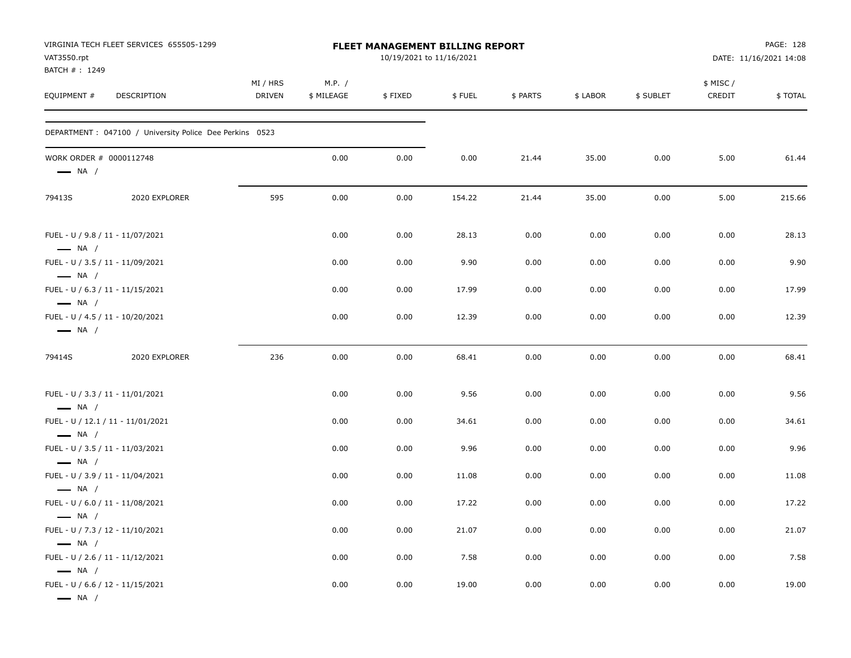| VAT3550.rpt<br>BATCH #: 1249                      | VIRGINIA TECH FLEET SERVICES 655505-1299                 |                    |                      | FLEET MANAGEMENT BILLING REPORT<br>10/19/2021 to 11/16/2021 |        |          |          |           |                    | PAGE: 128<br>DATE: 11/16/2021 14:08 |
|---------------------------------------------------|----------------------------------------------------------|--------------------|----------------------|-------------------------------------------------------------|--------|----------|----------|-----------|--------------------|-------------------------------------|
| EQUIPMENT #                                       | <b>DESCRIPTION</b>                                       | MI / HRS<br>DRIVEN | M.P. /<br>\$ MILEAGE | \$FIXED                                                     | \$FUEL | \$ PARTS | \$ LABOR | \$ SUBLET | \$ MISC/<br>CREDIT | \$TOTAL                             |
|                                                   | DEPARTMENT : 047100 / University Police Dee Perkins 0523 |                    |                      |                                                             |        |          |          |           |                    |                                     |
| WORK ORDER # 0000112748<br>$\longrightarrow$ NA / |                                                          |                    | 0.00                 | 0.00                                                        | 0.00   | 21.44    | 35.00    | 0.00      | 5.00               | 61.44                               |
| 79413S                                            | 2020 EXPLORER                                            | 595                | 0.00                 | 0.00                                                        | 154.22 | 21.44    | 35.00    | 0.00      | 5.00               | 215.66                              |
| $\longrightarrow$ NA /                            | FUEL - U / 9.8 / 11 - 11/07/2021                         |                    | 0.00                 | 0.00                                                        | 28.13  | 0.00     | 0.00     | 0.00      | 0.00               | 28.13                               |
| $\longrightarrow$ NA /                            | FUEL - U / 3.5 / 11 - 11/09/2021                         |                    | 0.00                 | 0.00                                                        | 9.90   | 0.00     | 0.00     | 0.00      | 0.00               | 9.90                                |
| $\longrightarrow$ NA /                            | FUEL - U / 6.3 / 11 - 11/15/2021                         |                    | 0.00                 | 0.00                                                        | 17.99  | 0.00     | 0.00     | 0.00      | 0.00               | 17.99                               |
| $\longrightarrow$ NA /                            | FUEL - U / 4.5 / 11 - 10/20/2021                         |                    | 0.00                 | 0.00                                                        | 12.39  | 0.00     | 0.00     | 0.00      | 0.00               | 12.39                               |
| 79414S                                            | 2020 EXPLORER                                            | 236                | 0.00                 | 0.00                                                        | 68.41  | 0.00     | 0.00     | 0.00      | 0.00               | 68.41                               |
| $\longrightarrow$ NA /                            | FUEL - U / 3.3 / 11 - 11/01/2021                         |                    | 0.00                 | 0.00                                                        | 9.56   | 0.00     | 0.00     | 0.00      | 0.00               | 9.56                                |
| $\longrightarrow$ NA /                            | FUEL - U / 12.1 / 11 - 11/01/2021                        |                    | 0.00                 | 0.00                                                        | 34.61  | 0.00     | 0.00     | 0.00      | 0.00               | 34.61                               |
|                                                   | FUEL - U / 3.5 / 11 - 11/03/2021                         |                    | 0.00                 | 0.00                                                        | 9.96   | 0.00     | 0.00     | 0.00      | 0.00               | 9.96                                |
| $\longrightarrow$ NA /                            | FUEL - U / 3.9 / 11 - 11/04/2021                         |                    | 0.00                 | 0.00                                                        | 11.08  | 0.00     | 0.00     | 0.00      | 0.00               | 11.08                               |
| $\longrightarrow$ NA /                            | FUEL - U / 6.0 / 11 - 11/08/2021                         |                    | 0.00                 | 0.00                                                        | 17.22  | 0.00     | 0.00     | 0.00      | 0.00               | 17.22                               |
| $\longrightarrow$ NA /                            | FUEL - U / 7.3 / 12 - 11/10/2021                         |                    | 0.00                 | 0.00                                                        | 21.07  | 0.00     | 0.00     | 0.00      | 0.00               | 21.07                               |
| $\longrightarrow$ NA /                            | FUEL - U / 2.6 / 11 - 11/12/2021                         |                    | 0.00                 | 0.00                                                        | 7.58   | 0.00     | 0.00     | 0.00      | 0.00               | 7.58                                |
| $\longrightarrow$ NA /<br>$\longrightarrow$ NA /  | FUEL - U / 6.6 / 12 - 11/15/2021                         |                    | 0.00                 | 0.00                                                        | 19.00  | 0.00     | 0.00     | 0.00      | 0.00               | 19.00                               |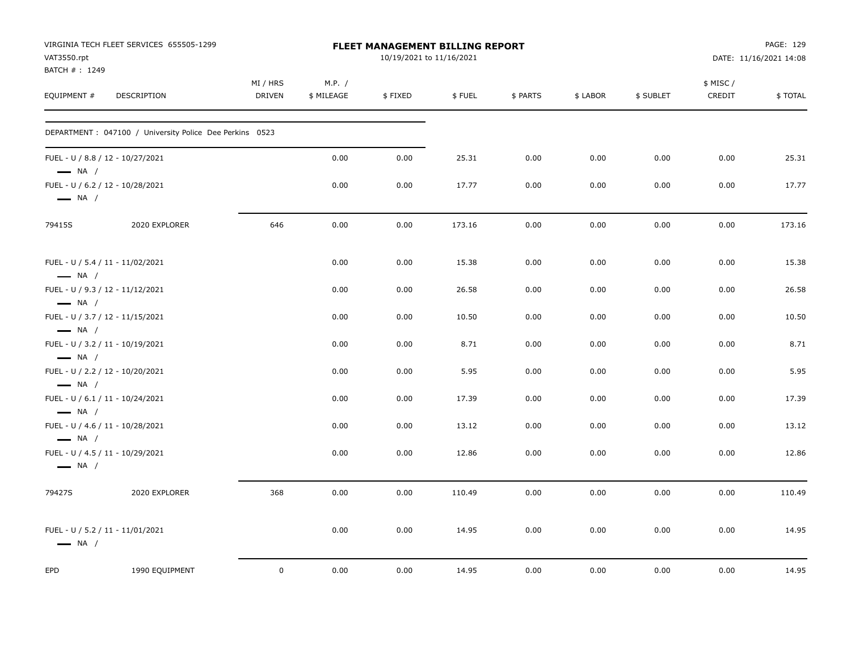| VAT3550.rpt<br>BATCH #: 1249                               | VIRGINIA TECH FLEET SERVICES 655505-1299                 |                           |                      | FLEET MANAGEMENT BILLING REPORT<br>10/19/2021 to 11/16/2021 |        |          |          |           |                    | PAGE: 129<br>DATE: 11/16/2021 14:08 |
|------------------------------------------------------------|----------------------------------------------------------|---------------------------|----------------------|-------------------------------------------------------------|--------|----------|----------|-----------|--------------------|-------------------------------------|
| EQUIPMENT #                                                | <b>DESCRIPTION</b>                                       | MI / HRS<br><b>DRIVEN</b> | M.P. /<br>\$ MILEAGE | \$FIXED                                                     | \$FUEL | \$ PARTS | \$ LABOR | \$ SUBLET | \$ MISC/<br>CREDIT | \$TOTAL                             |
|                                                            | DEPARTMENT : 047100 / University Police Dee Perkins 0523 |                           |                      |                                                             |        |          |          |           |                    |                                     |
| $\longrightarrow$ NA /                                     | FUEL - U / 8.8 / 12 - 10/27/2021                         |                           | 0.00                 | 0.00                                                        | 25.31  | 0.00     | 0.00     | 0.00      | 0.00               | 25.31                               |
| $\longrightarrow$ NA /                                     | FUEL - U / 6.2 / 12 - 10/28/2021                         |                           | 0.00                 | 0.00                                                        | 17.77  | 0.00     | 0.00     | 0.00      | 0.00               | 17.77                               |
| 79415S                                                     | 2020 EXPLORER                                            | 646                       | 0.00                 | 0.00                                                        | 173.16 | 0.00     | 0.00     | 0.00      | 0.00               | 173.16                              |
| FUEL - U / 5.4 / 11 - 11/02/2021<br>$\longrightarrow$ NA / |                                                          |                           | 0.00                 | 0.00                                                        | 15.38  | 0.00     | 0.00     | 0.00      | 0.00               | 15.38                               |
| $\longrightarrow$ NA /                                     | FUEL - U / 9.3 / 12 - 11/12/2021                         |                           | 0.00                 | 0.00                                                        | 26.58  | 0.00     | 0.00     | 0.00      | 0.00               | 26.58                               |
| $\longrightarrow$ NA /                                     | FUEL - U / 3.7 / 12 - 11/15/2021                         |                           | 0.00                 | 0.00                                                        | 10.50  | 0.00     | 0.00     | 0.00      | 0.00               | 10.50                               |
| $\longrightarrow$ NA /                                     | FUEL - U / 3.2 / 11 - 10/19/2021                         |                           | 0.00                 | 0.00                                                        | 8.71   | 0.00     | 0.00     | 0.00      | 0.00               | 8.71                                |
| $\longrightarrow$ NA /                                     | FUEL - U / 2.2 / 12 - 10/20/2021                         |                           | 0.00                 | 0.00                                                        | 5.95   | 0.00     | 0.00     | 0.00      | 0.00               | 5.95                                |
| $\longrightarrow$ NA /                                     | FUEL - U / 6.1 / 11 - 10/24/2021                         |                           | 0.00                 | 0.00                                                        | 17.39  | 0.00     | 0.00     | 0.00      | 0.00               | 17.39                               |
| $\longrightarrow$ NA /                                     | FUEL - U / 4.6 / 11 - 10/28/2021                         |                           | 0.00                 | 0.00                                                        | 13.12  | 0.00     | 0.00     | 0.00      | 0.00               | 13.12                               |
| $\longrightarrow$ NA /                                     | FUEL - U / 4.5 / 11 - 10/29/2021                         |                           | 0.00                 | 0.00                                                        | 12.86  | 0.00     | 0.00     | 0.00      | 0.00               | 12.86                               |
| 79427S                                                     | 2020 EXPLORER                                            | 368                       | 0.00                 | 0.00                                                        | 110.49 | 0.00     | 0.00     | 0.00      | 0.00               | 110.49                              |
| $\longrightarrow$ NA /                                     | FUEL - U / 5.2 / 11 - 11/01/2021                         |                           | 0.00                 | 0.00                                                        | 14.95  | 0.00     | 0.00     | 0.00      | 0.00               | 14.95                               |
| EPD                                                        | 1990 EQUIPMENT                                           | $\mathsf{O}$              | 0.00                 | 0.00                                                        | 14.95  | 0.00     | 0.00     | 0.00      | 0.00               | 14.95                               |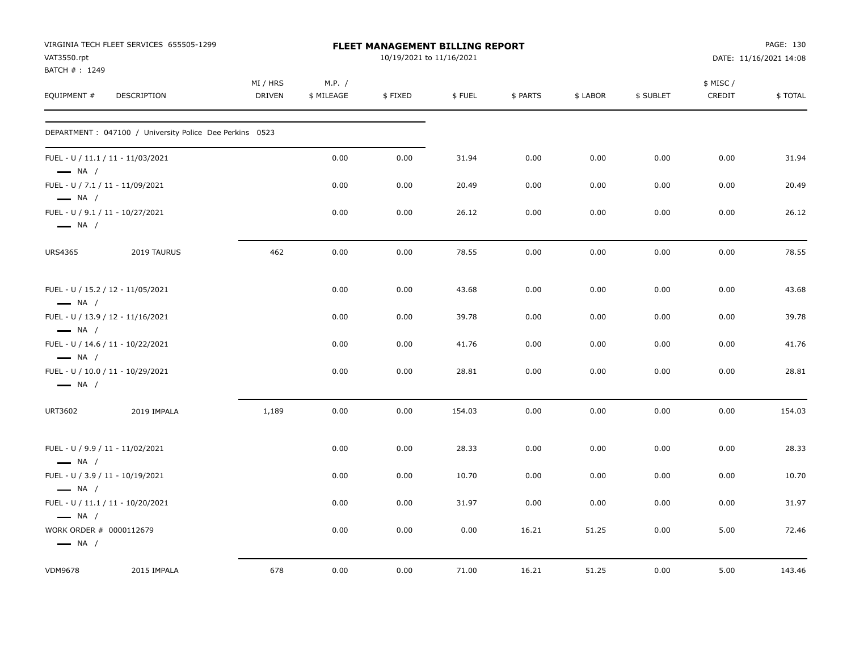|                                                   | VIRGINIA TECH FLEET SERVICES 655505-1299                 |                           |                      | <b>FLEET MANAGEMENT BILLING REPORT</b> |        |          |          |           |                     | PAGE: 130              |
|---------------------------------------------------|----------------------------------------------------------|---------------------------|----------------------|----------------------------------------|--------|----------|----------|-----------|---------------------|------------------------|
| VAT3550.rpt<br>BATCH #: 1249                      |                                                          |                           |                      | 10/19/2021 to 11/16/2021               |        |          |          |           |                     | DATE: 11/16/2021 14:08 |
| EQUIPMENT #                                       | DESCRIPTION                                              | MI / HRS<br><b>DRIVEN</b> | M.P. /<br>\$ MILEAGE | \$FIXED                                | \$FUEL | \$ PARTS | \$ LABOR | \$ SUBLET | \$ MISC /<br>CREDIT | \$TOTAL                |
|                                                   | DEPARTMENT : 047100 / University Police Dee Perkins 0523 |                           |                      |                                        |        |          |          |           |                     |                        |
| $\longrightarrow$ NA /                            | FUEL - U / 11.1 / 11 - 11/03/2021                        |                           | 0.00                 | 0.00                                   | 31.94  | 0.00     | 0.00     | 0.00      | 0.00                | 31.94                  |
| $\longrightarrow$ NA /                            | FUEL - U / 7.1 / 11 - 11/09/2021                         |                           | 0.00                 | 0.00                                   | 20.49  | 0.00     | 0.00     | 0.00      | 0.00                | 20.49                  |
| $\longrightarrow$ NA /                            | FUEL - U / 9.1 / 11 - 10/27/2021                         |                           | 0.00                 | 0.00                                   | 26.12  | 0.00     | 0.00     | 0.00      | 0.00                | 26.12                  |
| <b>URS4365</b>                                    | 2019 TAURUS                                              | 462                       | 0.00                 | 0.00                                   | 78.55  | 0.00     | 0.00     | 0.00      | 0.00                | 78.55                  |
| $\longrightarrow$ NA /                            | FUEL - U / 15.2 / 12 - 11/05/2021                        |                           | 0.00                 | 0.00                                   | 43.68  | 0.00     | 0.00     | 0.00      | 0.00                | 43.68                  |
| $\longrightarrow$ NA /                            | FUEL - U / 13.9 / 12 - 11/16/2021                        |                           | 0.00                 | 0.00                                   | 39.78  | 0.00     | 0.00     | 0.00      | 0.00                | 39.78                  |
| $\longrightarrow$ NA /                            | FUEL - U / 14.6 / 11 - 10/22/2021                        |                           | 0.00                 | 0.00                                   | 41.76  | 0.00     | 0.00     | 0.00      | 0.00                | 41.76                  |
| $\longrightarrow$ NA /                            | FUEL - U / 10.0 / 11 - 10/29/2021                        |                           | 0.00                 | 0.00                                   | 28.81  | 0.00     | 0.00     | 0.00      | 0.00                | 28.81                  |
| <b>URT3602</b>                                    | 2019 IMPALA                                              | 1,189                     | 0.00                 | 0.00                                   | 154.03 | 0.00     | 0.00     | 0.00      | 0.00                | 154.03                 |
| $\longrightarrow$ NA /                            | FUEL - U / 9.9 / 11 - 11/02/2021                         |                           | 0.00                 | 0.00                                   | 28.33  | 0.00     | 0.00     | 0.00      | 0.00                | 28.33                  |
| $\longrightarrow$ NA /                            | FUEL - U / 3.9 / 11 - 10/19/2021                         |                           | 0.00                 | 0.00                                   | 10.70  | 0.00     | 0.00     | 0.00      | 0.00                | 10.70                  |
| $\longrightarrow$ NA /                            | FUEL - U / 11.1 / 11 - 10/20/2021                        |                           | 0.00                 | 0.00                                   | 31.97  | 0.00     | 0.00     | 0.00      | 0.00                | 31.97                  |
| WORK ORDER # 0000112679<br>$\longrightarrow$ NA / |                                                          |                           | 0.00                 | 0.00                                   | 0.00   | 16.21    | 51.25    | 0.00      | 5.00                | 72.46                  |
| <b>VDM9678</b>                                    | 2015 IMPALA                                              | 678                       | 0.00                 | 0.00                                   | 71.00  | 16.21    | 51.25    | 0.00      | 5.00                | 143.46                 |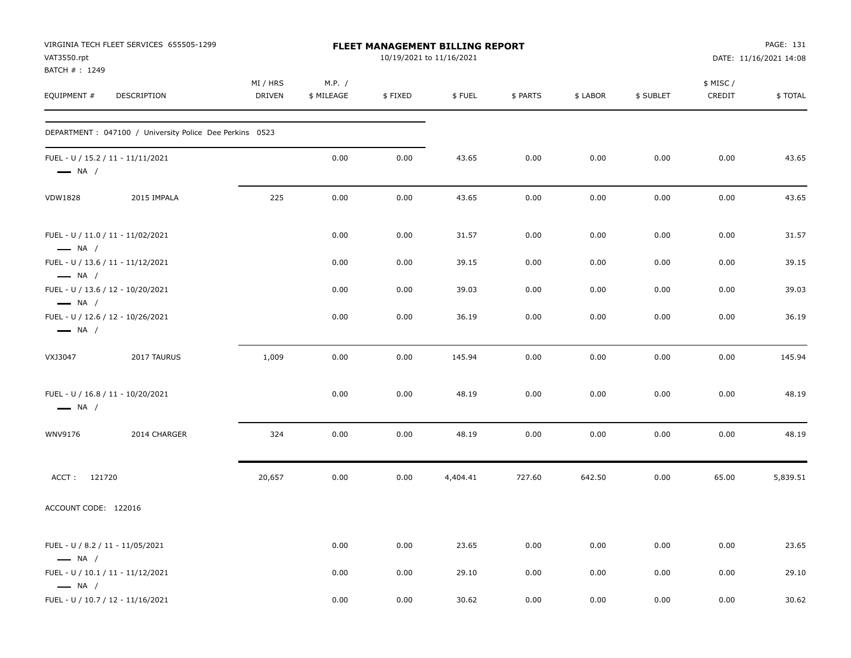| VAT3550.rpt<br>BATCH #: 1249                                | VIRGINIA TECH FLEET SERVICES 655505-1299                 |                           |                      |         | FLEET MANAGEMENT BILLING REPORT<br>10/19/2021 to 11/16/2021 |          |          |           |                    | PAGE: 131<br>DATE: 11/16/2021 14:08 |
|-------------------------------------------------------------|----------------------------------------------------------|---------------------------|----------------------|---------|-------------------------------------------------------------|----------|----------|-----------|--------------------|-------------------------------------|
| EQUIPMENT #                                                 | DESCRIPTION                                              | MI / HRS<br><b>DRIVEN</b> | M.P. /<br>\$ MILEAGE | \$FIXED | \$FUEL                                                      | \$ PARTS | \$ LABOR | \$ SUBLET | \$ MISC/<br>CREDIT | \$ TOTAL                            |
|                                                             | DEPARTMENT : 047100 / University Police Dee Perkins 0523 |                           |                      |         |                                                             |          |          |           |                    |                                     |
| FUEL - U / 15.2 / 11 - 11/11/2021<br>$\longrightarrow$ NA / |                                                          |                           | 0.00                 | 0.00    | 43.65                                                       | 0.00     | 0.00     | 0.00      | 0.00               | 43.65                               |
| <b>VDW1828</b>                                              | 2015 IMPALA                                              | 225                       | 0.00                 | 0.00    | 43.65                                                       | 0.00     | 0.00     | 0.00      | 0.00               | 43.65                               |
| FUEL - U / 11.0 / 11 - 11/02/2021<br>$\longrightarrow$ NA / |                                                          |                           | 0.00                 | 0.00    | 31.57                                                       | 0.00     | 0.00     | 0.00      | 0.00               | 31.57                               |
| FUEL - U / 13.6 / 11 - 11/12/2021<br>$\longrightarrow$ NA / |                                                          |                           | 0.00                 | 0.00    | 39.15                                                       | 0.00     | 0.00     | 0.00      | 0.00               | 39.15                               |
| FUEL - U / 13.6 / 12 - 10/20/2021<br>$\longrightarrow$ NA / |                                                          |                           | 0.00                 | 0.00    | 39.03                                                       | 0.00     | 0.00     | 0.00      | 0.00               | 39.03                               |
| FUEL - U / 12.6 / 12 - 10/26/2021<br>$\longrightarrow$ NA / |                                                          |                           | 0.00                 | 0.00    | 36.19                                                       | 0.00     | 0.00     | 0.00      | 0.00               | 36.19                               |
| VXJ3047                                                     | 2017 TAURUS                                              | 1,009                     | 0.00                 | 0.00    | 145.94                                                      | 0.00     | 0.00     | 0.00      | 0.00               | 145.94                              |
| FUEL - U / 16.8 / 11 - 10/20/2021<br>$\longrightarrow$ NA / |                                                          |                           | 0.00                 | 0.00    | 48.19                                                       | 0.00     | 0.00     | 0.00      | 0.00               | 48.19                               |
| WNV9176                                                     | 2014 CHARGER                                             | 324                       | 0.00                 | 0.00    | 48.19                                                       | 0.00     | 0.00     | 0.00      | 0.00               | 48.19                               |
| ACCT: 121720                                                |                                                          | 20,657                    | 0.00                 | 0.00    | 4,404.41                                                    | 727.60   | 642.50   | 0.00      | 65.00              | 5,839.51                            |
| ACCOUNT CODE: 122016                                        |                                                          |                           |                      |         |                                                             |          |          |           |                    |                                     |
| FUEL - U / 8.2 / 11 - 11/05/2021<br>$\longrightarrow$ NA /  |                                                          |                           | 0.00                 | 0.00    | 23.65                                                       | 0.00     | 0.00     | 0.00      | 0.00               | 23.65                               |
| FUEL - U / 10.1 / 11 - 11/12/2021<br>$\longrightarrow$ NA / |                                                          |                           | 0.00                 | 0.00    | 29.10                                                       | 0.00     | 0.00     | 0.00      | 0.00               | 29.10                               |
| FUEL - U / 10.7 / 12 - 11/16/2021                           |                                                          |                           | 0.00                 | 0.00    | 30.62                                                       | 0.00     | 0.00     | 0.00      | 0.00               | 30.62                               |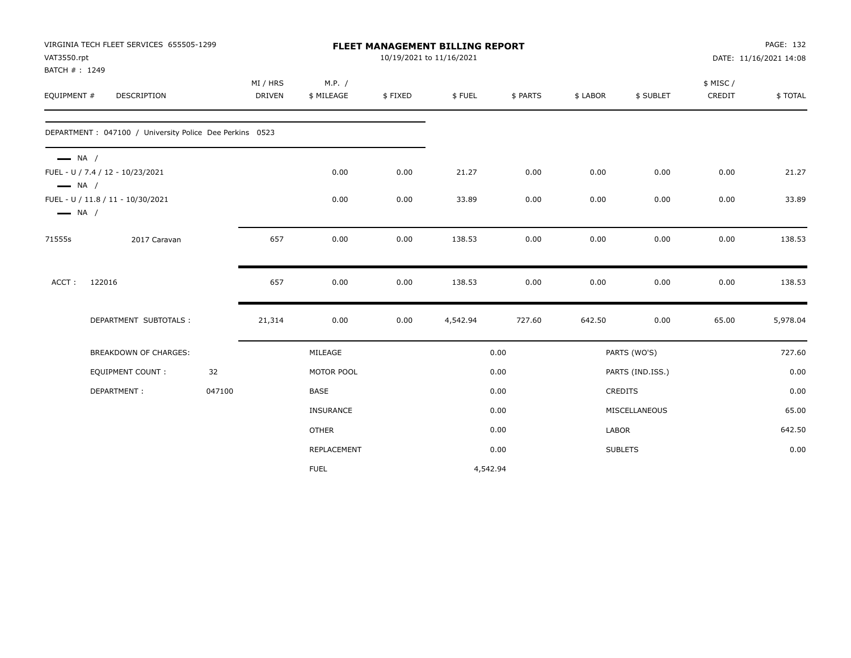| VAT3550.rpt<br>BATCH #: 1249                     | VIRGINIA TECH FLEET SERVICES 655505-1299                 |        |                           |                      |         | FLEET MANAGEMENT BILLING REPORT<br>10/19/2021 to 11/16/2021 |          |                |                  | PAGE: 132<br>DATE: 11/16/2021 14:08 |          |  |
|--------------------------------------------------|----------------------------------------------------------|--------|---------------------------|----------------------|---------|-------------------------------------------------------------|----------|----------------|------------------|-------------------------------------|----------|--|
| EQUIPMENT #                                      | DESCRIPTION                                              |        | MI / HRS<br><b>DRIVEN</b> | M.P. /<br>\$ MILEAGE | \$FIXED | \$FUEL                                                      | \$ PARTS | \$ LABOR       | \$ SUBLET        | \$ MISC/<br>CREDIT                  | \$TOTAL  |  |
|                                                  | DEPARTMENT : 047100 / University Police Dee Perkins 0523 |        |                           |                      |         |                                                             |          |                |                  |                                     |          |  |
| $\longrightarrow$ NA /<br>$\longrightarrow$ NA / | FUEL - U / 7.4 / 12 - 10/23/2021                         |        |                           | 0.00                 | 0.00    | 21.27                                                       | 0.00     | 0.00           | 0.00             | 0.00                                | 21.27    |  |
| $\longrightarrow$ NA /                           | FUEL - U / 11.8 / 11 - 10/30/2021                        |        |                           | 0.00                 | 0.00    | 33.89                                                       | 0.00     | 0.00           | 0.00             | 0.00                                | 33.89    |  |
| 71555s                                           | 2017 Caravan                                             |        | 657                       | 0.00                 | 0.00    | 138.53                                                      | 0.00     | 0.00           | 0.00             | 0.00                                | 138.53   |  |
| ACCT:                                            | 122016                                                   |        | 657                       | 0.00                 | 0.00    | 138.53                                                      | 0.00     | 0.00           | 0.00             | 0.00                                | 138.53   |  |
|                                                  | DEPARTMENT SUBTOTALS :                                   |        | 21,314                    | 0.00                 | 0.00    | 4,542.94                                                    | 727.60   | 642.50         | 0.00             | 65.00                               | 5,978.04 |  |
|                                                  | BREAKDOWN OF CHARGES:                                    |        |                           | MILEAGE              |         |                                                             | 0.00     |                | PARTS (WO'S)     |                                     | 727.60   |  |
|                                                  | <b>EQUIPMENT COUNT:</b>                                  | 32     |                           | MOTOR POOL           |         |                                                             | 0.00     |                | PARTS (IND.ISS.) |                                     | 0.00     |  |
|                                                  | DEPARTMENT:                                              | 047100 |                           | <b>BASE</b>          |         |                                                             | 0.00     | <b>CREDITS</b> |                  |                                     | 0.00     |  |
|                                                  |                                                          |        |                           | <b>INSURANCE</b>     |         |                                                             | 0.00     |                | MISCELLANEOUS    |                                     | 65.00    |  |
|                                                  |                                                          |        |                           | <b>OTHER</b>         |         |                                                             | 0.00     | <b>LABOR</b>   |                  |                                     | 642.50   |  |
|                                                  |                                                          |        |                           | REPLACEMENT          |         |                                                             | 0.00     | <b>SUBLETS</b> |                  |                                     | 0.00     |  |
|                                                  |                                                          |        |                           | <b>FUEL</b>          |         | 4,542.94                                                    |          |                |                  |                                     |          |  |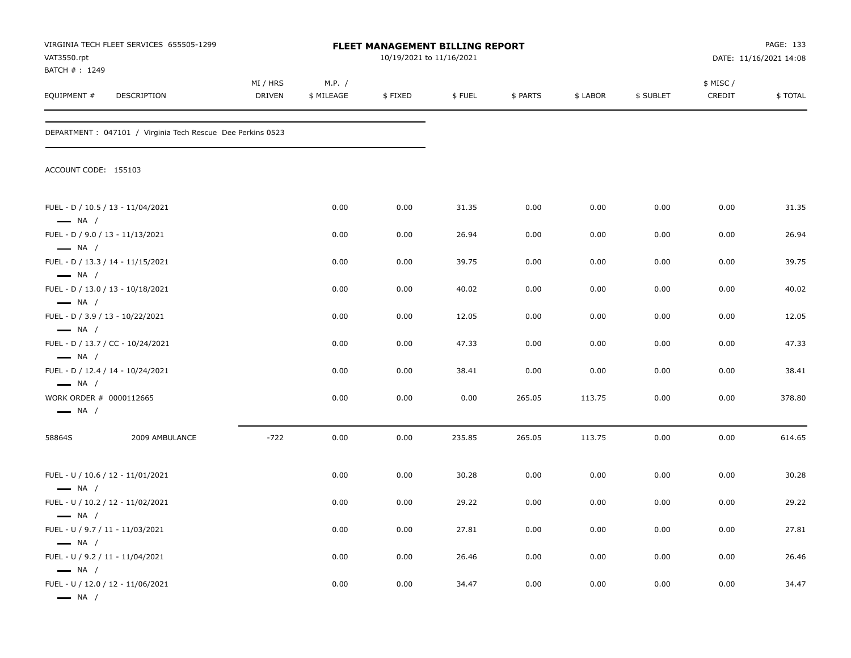| VAT3550.rpt<br>BATCH #: 1249                                                | VIRGINIA TECH FLEET SERVICES 655505-1299                    |                    |                      | FLEET MANAGEMENT BILLING REPORT<br>10/19/2021 to 11/16/2021 |        |          |          |           |                    | PAGE: 133<br>DATE: 11/16/2021 14:08 |
|-----------------------------------------------------------------------------|-------------------------------------------------------------|--------------------|----------------------|-------------------------------------------------------------|--------|----------|----------|-----------|--------------------|-------------------------------------|
| EQUIPMENT #                                                                 | DESCRIPTION                                                 | MI / HRS<br>DRIVEN | M.P. /<br>\$ MILEAGE | \$FIXED                                                     | \$FUEL | \$ PARTS | \$ LABOR | \$ SUBLET | \$ MISC/<br>CREDIT | \$TOTAL                             |
|                                                                             | DEPARTMENT : 047101 / Virginia Tech Rescue Dee Perkins 0523 |                    |                      |                                                             |        |          |          |           |                    |                                     |
| ACCOUNT CODE: 155103                                                        |                                                             |                    |                      |                                                             |        |          |          |           |                    |                                     |
| $-$ NA $/$                                                                  | FUEL - D / 10.5 / 13 - 11/04/2021                           |                    | 0.00                 | 0.00                                                        | 31.35  | 0.00     | 0.00     | 0.00      | 0.00               | 31.35                               |
| FUEL - D / 9.0 / 13 - 11/13/2021<br>$\longrightarrow$ NA /                  |                                                             |                    | 0.00                 | 0.00                                                        | 26.94  | 0.00     | 0.00     | 0.00      | 0.00               | 26.94                               |
| $-$ NA $/$                                                                  | FUEL - D / 13.3 / 14 - 11/15/2021                           |                    | 0.00                 | 0.00                                                        | 39.75  | 0.00     | 0.00     | 0.00      | 0.00               | 39.75                               |
| $\longrightarrow$ NA /                                                      | FUEL - D / 13.0 / 13 - 10/18/2021                           |                    | 0.00                 | 0.00                                                        | 40.02  | 0.00     | 0.00     | 0.00      | 0.00               | 40.02                               |
| FUEL - D / 3.9 / 13 - 10/22/2021<br>$\longrightarrow$ NA /                  |                                                             |                    | 0.00                 | 0.00                                                        | 12.05  | 0.00     | 0.00     | 0.00      | 0.00               | 12.05                               |
| $\longrightarrow$ NA /                                                      | FUEL - D / 13.7 / CC - 10/24/2021                           |                    | 0.00                 | 0.00                                                        | 47.33  | 0.00     | 0.00     | 0.00      | 0.00               | 47.33                               |
|                                                                             | FUEL - D / 12.4 / 14 - 10/24/2021                           |                    | 0.00                 | 0.00                                                        | 38.41  | 0.00     | 0.00     | 0.00      | 0.00               | 38.41                               |
| $\longrightarrow$ NA /<br>WORK ORDER # 0000112665<br>$\longrightarrow$ NA / |                                                             |                    | 0.00                 | 0.00                                                        | 0.00   | 265.05   | 113.75   | 0.00      | 0.00               | 378.80                              |
| 58864S                                                                      | 2009 AMBULANCE                                              | $-722$             | 0.00                 | 0.00                                                        | 235.85 | 265.05   | 113.75   | 0.00      | 0.00               | 614.65                              |
| $\longrightarrow$ NA /                                                      | FUEL - U / 10.6 / 12 - 11/01/2021                           |                    | 0.00                 | 0.00                                                        | 30.28  | 0.00     | 0.00     | 0.00      | 0.00               | 30.28                               |
| - NA /                                                                      | FUEL - U / 10.2 / 12 - 11/02/2021                           |                    | 0.00                 | 0.00                                                        | 29.22  | 0.00     | 0.00     | 0.00      | 0.00               | 29.22                               |
| FUEL - U / 9.7 / 11 - 11/03/2021                                            |                                                             |                    | 0.00                 | 0.00                                                        | 27.81  | 0.00     | 0.00     | 0.00      | 0.00               | 27.81                               |
| $\longrightarrow$ NA /<br>FUEL - U / 9.2 / 11 - 11/04/2021                  |                                                             |                    | 0.00                 | 0.00                                                        | 26.46  | 0.00     | 0.00     | 0.00      | 0.00               | 26.46                               |
| $\longrightarrow$ NA /<br>$\longrightarrow$ NA /                            | FUEL - U / 12.0 / 12 - 11/06/2021                           |                    | 0.00                 | 0.00                                                        | 34.47  | 0.00     | 0.00     | 0.00      | 0.00               | 34.47                               |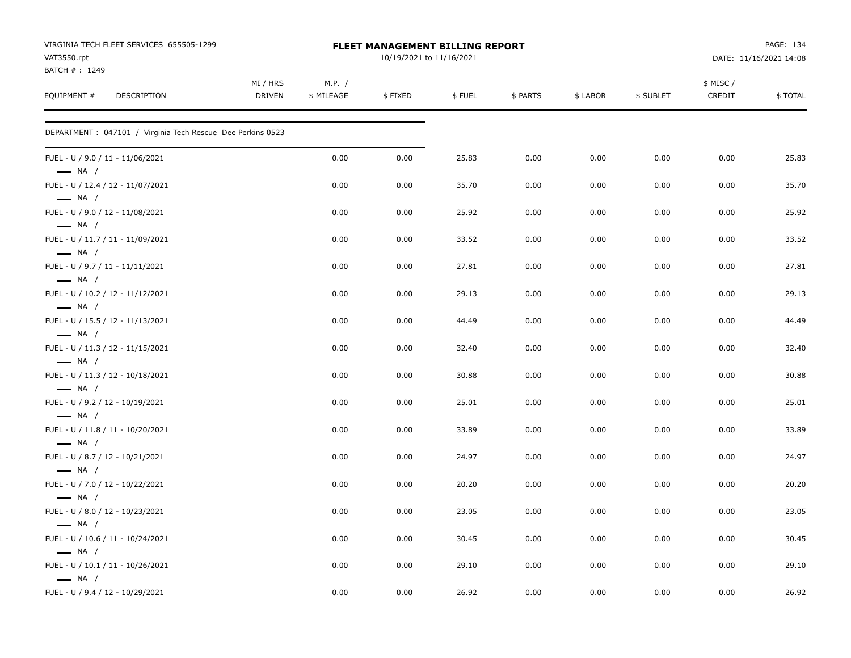| VIRGINIA TECH FLEET SERVICES 655505-1299<br>VAT3550.rpt<br>BATCH #: 1249 |                           |                      | <b>FLEET MANAGEMENT BILLING REPORT</b><br>10/19/2021 to 11/16/2021 |        |          |          |           |                    | PAGE: 134<br>DATE: 11/16/2021 14:08 |
|--------------------------------------------------------------------------|---------------------------|----------------------|--------------------------------------------------------------------|--------|----------|----------|-----------|--------------------|-------------------------------------|
| EQUIPMENT #<br>DESCRIPTION                                               | MI / HRS<br><b>DRIVEN</b> | M.P. /<br>\$ MILEAGE | \$FIXED                                                            | \$FUEL | \$ PARTS | \$ LABOR | \$ SUBLET | \$ MISC/<br>CREDIT | \$TOTAL                             |
| DEPARTMENT : 047101 / Virginia Tech Rescue Dee Perkins 0523              |                           |                      |                                                                    |        |          |          |           |                    |                                     |
| FUEL - U / 9.0 / 11 - 11/06/2021<br>$\longrightarrow$ NA /               |                           | 0.00                 | 0.00                                                               | 25.83  | 0.00     | 0.00     | 0.00      | 0.00               | 25.83                               |
| FUEL - U / 12.4 / 12 - 11/07/2021<br>$\longrightarrow$ NA /              |                           | 0.00                 | 0.00                                                               | 35.70  | 0.00     | 0.00     | 0.00      | 0.00               | 35.70                               |
| FUEL - U / 9.0 / 12 - 11/08/2021<br>$\longrightarrow$ NA /               |                           | 0.00                 | 0.00                                                               | 25.92  | 0.00     | 0.00     | 0.00      | 0.00               | 25.92                               |
| FUEL - U / 11.7 / 11 - 11/09/2021<br>$\longrightarrow$ NA /              |                           | 0.00                 | 0.00                                                               | 33.52  | 0.00     | 0.00     | 0.00      | 0.00               | 33.52                               |
| FUEL - U / 9.7 / 11 - 11/11/2021<br>$\longrightarrow$ NA /               |                           | 0.00                 | 0.00                                                               | 27.81  | 0.00     | 0.00     | 0.00      | 0.00               | 27.81                               |
| FUEL - U / 10.2 / 12 - 11/12/2021<br>$\longrightarrow$ NA /              |                           | 0.00                 | 0.00                                                               | 29.13  | 0.00     | 0.00     | 0.00      | 0.00               | 29.13                               |
| FUEL - U / 15.5 / 12 - 11/13/2021<br>$\longrightarrow$ NA /              |                           | 0.00                 | 0.00                                                               | 44.49  | 0.00     | 0.00     | 0.00      | 0.00               | 44.49                               |
| FUEL - U / 11.3 / 12 - 11/15/2021<br>$\longrightarrow$ NA /              |                           | 0.00                 | 0.00                                                               | 32.40  | 0.00     | 0.00     | 0.00      | 0.00               | 32.40                               |
| FUEL - U / 11.3 / 12 - 10/18/2021<br>$\longrightarrow$ NA /              |                           | 0.00                 | 0.00                                                               | 30.88  | 0.00     | 0.00     | 0.00      | 0.00               | 30.88                               |
| FUEL - U / 9.2 / 12 - 10/19/2021<br>$\longrightarrow$ NA /               |                           | 0.00                 | 0.00                                                               | 25.01  | 0.00     | 0.00     | 0.00      | 0.00               | 25.01                               |
| FUEL - U / 11.8 / 11 - 10/20/2021<br>$\longrightarrow$ NA /              |                           | 0.00                 | 0.00                                                               | 33.89  | 0.00     | 0.00     | 0.00      | 0.00               | 33.89                               |
| FUEL - U / 8.7 / 12 - 10/21/2021<br>$\longrightarrow$ NA /               |                           | 0.00                 | 0.00                                                               | 24.97  | 0.00     | 0.00     | 0.00      | 0.00               | 24.97                               |
| FUEL - U / 7.0 / 12 - 10/22/2021<br>$\longrightarrow$ NA /               |                           | 0.00                 | 0.00                                                               | 20.20  | 0.00     | 0.00     | 0.00      | 0.00               | 20.20                               |
| FUEL - U / 8.0 / 12 - 10/23/2021<br>$\longrightarrow$ NA /               |                           | 0.00                 | 0.00                                                               | 23.05  | 0.00     | 0.00     | 0.00      | 0.00               | 23.05                               |
| FUEL - U / 10.6 / 11 - 10/24/2021<br>$\longrightarrow$ NA /              |                           | 0.00                 | 0.00                                                               | 30.45  | 0.00     | 0.00     | 0.00      | 0.00               | 30.45                               |
| FUEL - U / 10.1 / 11 - 10/26/2021<br>$\longrightarrow$ NA /              |                           | 0.00                 | 0.00                                                               | 29.10  | 0.00     | 0.00     | 0.00      | 0.00               | 29.10                               |
| FUEL - U / 9.4 / 12 - 10/29/2021                                         |                           | 0.00                 | 0.00                                                               | 26.92  | 0.00     | 0.00     | 0.00      | 0.00               | 26.92                               |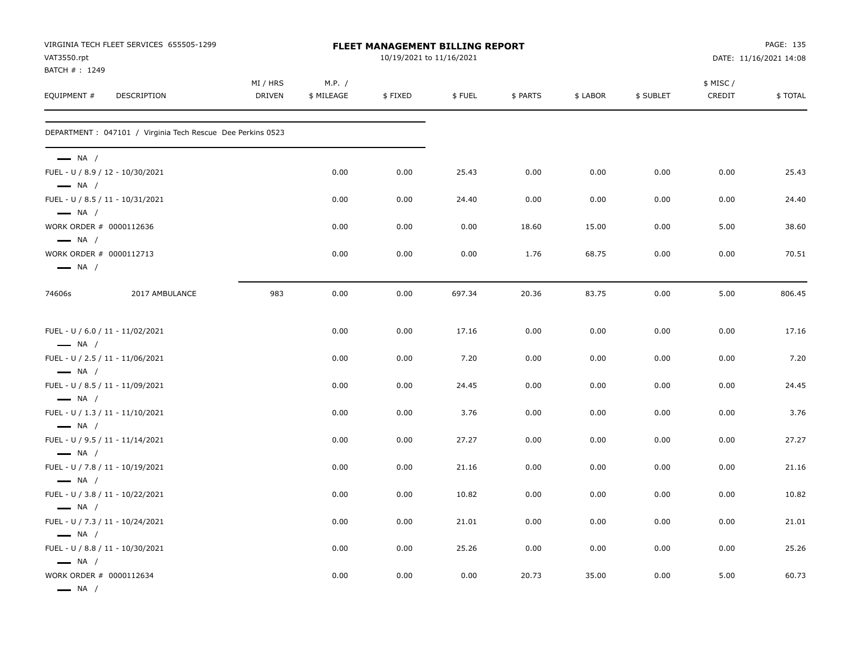| VAT3550.rpt                                                                 | VIRGINIA TECH FLEET SERVICES 655505-1299                    |                    |                      | FLEET MANAGEMENT BILLING REPORT<br>10/19/2021 to 11/16/2021 |        |          |          |           |                     | PAGE: 135<br>DATE: 11/16/2021 14:08 |
|-----------------------------------------------------------------------------|-------------------------------------------------------------|--------------------|----------------------|-------------------------------------------------------------|--------|----------|----------|-----------|---------------------|-------------------------------------|
| BATCH #: 1249<br>EQUIPMENT #                                                | <b>DESCRIPTION</b>                                          | MI / HRS<br>DRIVEN | M.P. /<br>\$ MILEAGE | \$FIXED                                                     | \$FUEL | \$ PARTS | \$ LABOR | \$ SUBLET | \$ MISC /<br>CREDIT | \$TOTAL                             |
|                                                                             | DEPARTMENT : 047101 / Virginia Tech Rescue Dee Perkins 0523 |                    |                      |                                                             |        |          |          |           |                     |                                     |
| $\longrightarrow$ NA /<br>$\longrightarrow$ NA /                            | FUEL - U / 8.9 / 12 - 10/30/2021                            |                    | 0.00                 | 0.00                                                        | 25.43  | 0.00     | 0.00     | 0.00      | 0.00                | 25.43                               |
|                                                                             | FUEL - U / 8.5 / 11 - 10/31/2021                            |                    | 0.00                 | 0.00                                                        | 24.40  | 0.00     | 0.00     | 0.00      | 0.00                | 24.40                               |
| $\longrightarrow$ NA /<br>WORK ORDER # 0000112636<br>$\longrightarrow$ NA / |                                                             |                    | 0.00                 | 0.00                                                        | 0.00   | 18.60    | 15.00    | 0.00      | 5.00                | 38.60                               |
| WORK ORDER # 0000112713<br>$\longrightarrow$ NA /                           |                                                             |                    | 0.00                 | 0.00                                                        | 0.00   | 1.76     | 68.75    | 0.00      | 0.00                | 70.51                               |
| 74606s                                                                      | 2017 AMBULANCE                                              | 983                | 0.00                 | 0.00                                                        | 697.34 | 20.36    | 83.75    | 0.00      | 5.00                | 806.45                              |
|                                                                             | FUEL - U / 6.0 / 11 - 11/02/2021                            |                    | 0.00                 | 0.00                                                        | 17.16  | 0.00     | 0.00     | 0.00      | 0.00                | 17.16                               |
| $\longrightarrow$ NA /<br>$\longrightarrow$ NA /                            | FUEL - U / 2.5 / 11 - 11/06/2021                            |                    | 0.00                 | 0.00                                                        | 7.20   | 0.00     | 0.00     | 0.00      | 0.00                | 7.20                                |
| $\longrightarrow$ NA /                                                      | FUEL - U / 8.5 / 11 - 11/09/2021                            |                    | 0.00                 | 0.00                                                        | 24.45  | 0.00     | 0.00     | 0.00      | 0.00                | 24.45                               |
| $\longrightarrow$ NA /                                                      | FUEL - U / 1.3 / 11 - 11/10/2021                            |                    | 0.00                 | 0.00                                                        | 3.76   | 0.00     | 0.00     | 0.00      | 0.00                | 3.76                                |
| $\longrightarrow$ NA /                                                      | FUEL - U / 9.5 / 11 - 11/14/2021                            |                    | 0.00                 | 0.00                                                        | 27.27  | 0.00     | 0.00     | 0.00      | 0.00                | 27.27                               |
| $\longrightarrow$ NA /                                                      | FUEL - U / 7.8 / 11 - 10/19/2021                            |                    | 0.00                 | 0.00                                                        | 21.16  | 0.00     | 0.00     | 0.00      | 0.00                | 21.16                               |
| $\longrightarrow$ NA /                                                      | FUEL - U / 3.8 / 11 - 10/22/2021                            |                    | 0.00                 | 0.00                                                        | 10.82  | 0.00     | 0.00     | 0.00      | 0.00                | 10.82                               |
| $\longrightarrow$ NA /                                                      | FUEL - U / 7.3 / 11 - 10/24/2021                            |                    | 0.00                 | 0.00                                                        | 21.01  | 0.00     | 0.00     | 0.00      | 0.00                | 21.01                               |
| $\longrightarrow$ NA /                                                      | FUEL - U / 8.8 / 11 - 10/30/2021                            |                    | 0.00                 | 0.00                                                        | 25.26  | 0.00     | 0.00     | 0.00      | 0.00                | 25.26                               |
| WORK ORDER # 0000112634<br>$\longrightarrow$ NA /                           |                                                             |                    | 0.00                 | 0.00                                                        | 0.00   | 20.73    | 35.00    | 0.00      | 5.00                | 60.73                               |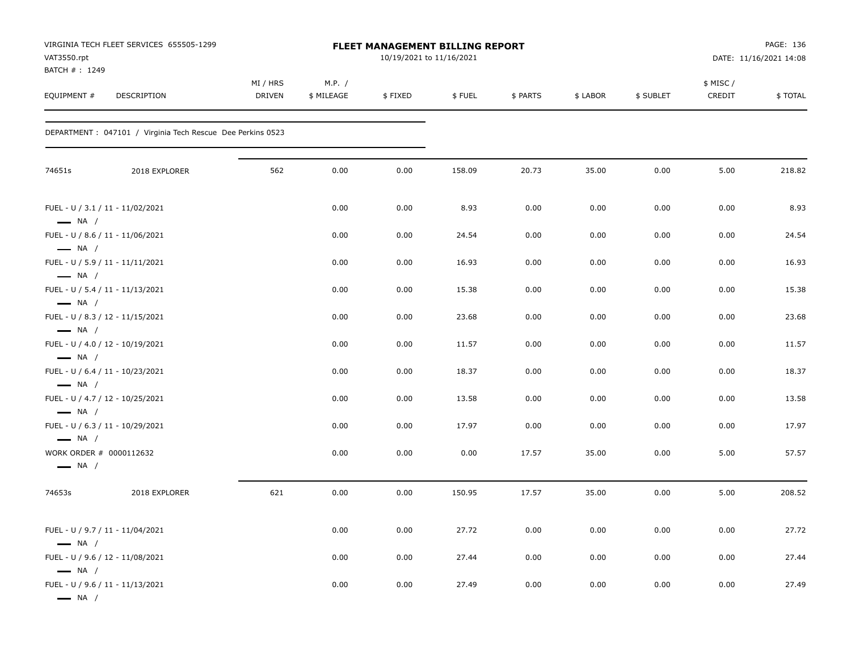| VAT3550.rpt<br>BATCH #: 1249                                                         | VIRGINIA TECH FLEET SERVICES 655505-1299                    |                           |                      |         | FLEET MANAGEMENT BILLING REPORT<br>10/19/2021 to 11/16/2021 |          |          |           |                    | PAGE: 136<br>DATE: 11/16/2021 14:08 |
|--------------------------------------------------------------------------------------|-------------------------------------------------------------|---------------------------|----------------------|---------|-------------------------------------------------------------|----------|----------|-----------|--------------------|-------------------------------------|
| EQUIPMENT #                                                                          | DESCRIPTION                                                 | MI / HRS<br><b>DRIVEN</b> | M.P. /<br>\$ MILEAGE | \$FIXED | \$FUEL                                                      | \$ PARTS | \$ LABOR | \$ SUBLET | \$ MISC/<br>CREDIT | \$TOTAL                             |
|                                                                                      | DEPARTMENT : 047101 / Virginia Tech Rescue Dee Perkins 0523 |                           |                      |         |                                                             |          |          |           |                    |                                     |
| 74651s                                                                               | 2018 EXPLORER                                               | 562                       | 0.00                 | 0.00    | 158.09                                                      | 20.73    | 35.00    | 0.00      | 5.00               | 218.82                              |
| FUEL - U / 3.1 / 11 - 11/02/2021                                                     |                                                             |                           | 0.00                 | 0.00    | 8.93                                                        | 0.00     | 0.00     | 0.00      | 0.00               | 8.93                                |
| $\longrightarrow$ NA /<br>FUEL - U / 8.6 / 11 - 11/06/2021                           |                                                             |                           | 0.00                 | 0.00    | 24.54                                                       | 0.00     | 0.00     | 0.00      | 0.00               | 24.54                               |
| $\longrightarrow$ NA /<br>FUEL - U / 5.9 / 11 - 11/11/2021                           |                                                             |                           | 0.00                 | 0.00    | 16.93                                                       | 0.00     | 0.00     | 0.00      | 0.00               | 16.93                               |
| $\longrightarrow$ NA /<br>FUEL - U / 5.4 / 11 - 11/13/2021                           |                                                             |                           | 0.00                 | 0.00    | 15.38                                                       | 0.00     | 0.00     | 0.00      | 0.00               | 15.38                               |
| $\longrightarrow$ NA /<br>FUEL - U / 8.3 / 12 - 11/15/2021                           |                                                             |                           | 0.00                 | 0.00    | 23.68                                                       | 0.00     | 0.00     | 0.00      | 0.00               | 23.68                               |
| $\longrightarrow$ NA /                                                               |                                                             |                           |                      |         |                                                             |          |          |           |                    |                                     |
| FUEL - U / 4.0 / 12 - 10/19/2021<br>$\longrightarrow$ NA /                           |                                                             |                           | 0.00                 | 0.00    | 11.57                                                       | 0.00     | 0.00     | 0.00      | 0.00               | 11.57                               |
| FUEL - U / 6.4 / 11 - 10/23/2021<br>$\longrightarrow$ NA /                           |                                                             |                           | 0.00                 | 0.00    | 18.37                                                       | 0.00     | 0.00     | 0.00      | 0.00               | 18.37                               |
| FUEL - U / 4.7 / 12 - 10/25/2021                                                     |                                                             |                           | 0.00                 | 0.00    | 13.58                                                       | 0.00     | 0.00     | 0.00      | 0.00               | 13.58                               |
| $\longrightarrow$ NA /<br>FUEL - U / 6.3 / 11 - 10/29/2021                           |                                                             |                           | 0.00                 | 0.00    | 17.97                                                       | 0.00     | 0.00     | 0.00      | 0.00               | 17.97                               |
| $\longrightarrow$ NA /<br>WORK ORDER # 0000112632<br>$\longrightarrow$ NA /          |                                                             |                           | 0.00                 | 0.00    | 0.00                                                        | 17.57    | 35.00    | 0.00      | 5.00               | 57.57                               |
| 74653s                                                                               | 2018 EXPLORER                                               | 621                       | 0.00                 | 0.00    | 150.95                                                      | 17.57    | 35.00    | 0.00      | 5.00               | 208.52                              |
| FUEL - U / 9.7 / 11 - 11/04/2021<br>$\longrightarrow$ NA /                           |                                                             |                           | 0.00                 | 0.00    | 27.72                                                       | 0.00     | 0.00     | 0.00      | 0.00               | 27.72                               |
| FUEL - U / 9.6 / 12 - 11/08/2021                                                     |                                                             |                           | 0.00                 | 0.00    | 27.44                                                       | 0.00     | 0.00     | 0.00      | 0.00               | 27.44                               |
| $\longrightarrow$ NA /<br>FUEL - U / 9.6 / 11 - 11/13/2021<br>$\longrightarrow$ NA / |                                                             |                           | 0.00                 | 0.00    | 27.49                                                       | 0.00     | 0.00     | $0.00\,$  | 0.00               | 27.49                               |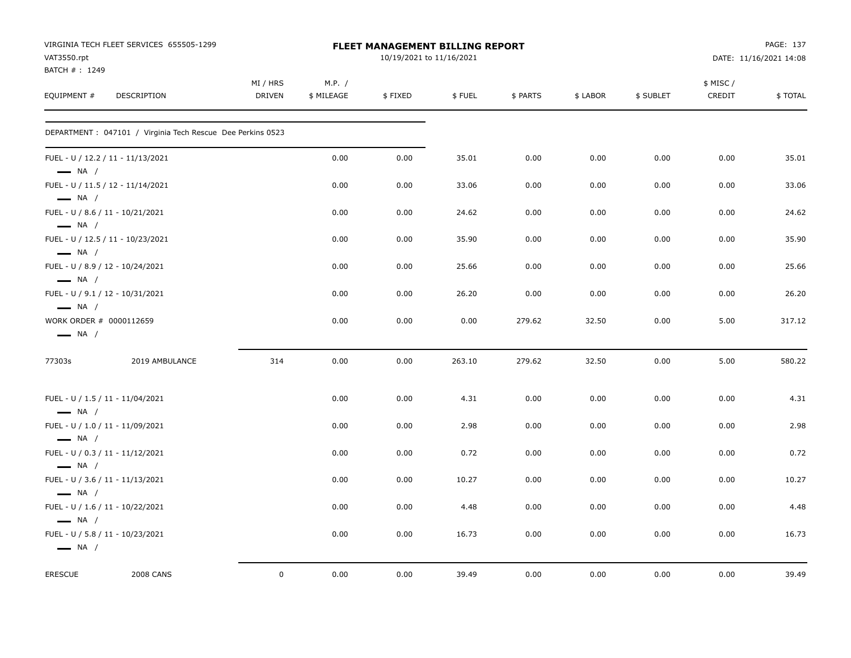|                                                                                      | VIRGINIA TECH FLEET SERVICES 655505-1299                    |                           |                      | FLEET MANAGEMENT BILLING REPORT |        |          |          |           |                    | PAGE: 137              |
|--------------------------------------------------------------------------------------|-------------------------------------------------------------|---------------------------|----------------------|---------------------------------|--------|----------|----------|-----------|--------------------|------------------------|
| VAT3550.rpt                                                                          |                                                             |                           |                      | 10/19/2021 to 11/16/2021        |        |          |          |           |                    | DATE: 11/16/2021 14:08 |
| BATCH #: 1249                                                                        |                                                             |                           |                      |                                 |        |          |          |           |                    |                        |
| EQUIPMENT #                                                                          | DESCRIPTION                                                 | MI / HRS<br><b>DRIVEN</b> | M.P. /<br>\$ MILEAGE | \$FIXED                         | \$FUEL | \$ PARTS | \$ LABOR | \$ SUBLET | \$ MISC/<br>CREDIT | \$TOTAL                |
|                                                                                      |                                                             |                           |                      |                                 |        |          |          |           |                    |                        |
|                                                                                      | DEPARTMENT : 047101 / Virginia Tech Rescue Dee Perkins 0523 |                           |                      |                                 |        |          |          |           |                    |                        |
| $\longrightarrow$ NA /                                                               | FUEL - U / 12.2 / 11 - 11/13/2021                           |                           | 0.00                 | 0.00                            | 35.01  | 0.00     | 0.00     | 0.00      | 0.00               | 35.01                  |
| $\longrightarrow$ NA /                                                               | FUEL - U / 11.5 / 12 - 11/14/2021                           |                           | 0.00                 | 0.00                            | 33.06  | 0.00     | 0.00     | 0.00      | 0.00               | 33.06                  |
| FUEL - U / 8.6 / 11 - 10/21/2021<br>$-$ NA $/$                                       |                                                             |                           | 0.00                 | 0.00                            | 24.62  | 0.00     | 0.00     | 0.00      | 0.00               | 24.62                  |
| $\longrightarrow$ NA /                                                               | FUEL - U / 12.5 / 11 - 10/23/2021                           |                           | 0.00                 | 0.00                            | 35.90  | 0.00     | 0.00     | 0.00      | 0.00               | 35.90                  |
| FUEL - U / 8.9 / 12 - 10/24/2021<br>$\longrightarrow$ NA /                           |                                                             |                           | 0.00                 | 0.00                            | 25.66  | 0.00     | 0.00     | 0.00      | 0.00               | 25.66                  |
| FUEL - U / 9.1 / 12 - 10/31/2021<br>$\longrightarrow$ NA /                           |                                                             |                           | 0.00                 | 0.00                            | 26.20  | 0.00     | 0.00     | 0.00      | 0.00               | 26.20                  |
| WORK ORDER # 0000112659<br>$\longrightarrow$ NA /                                    |                                                             |                           | 0.00                 | 0.00                            | 0.00   | 279.62   | 32.50    | 0.00      | 5.00               | 317.12                 |
| 77303s                                                                               | 2019 AMBULANCE                                              | 314                       | 0.00                 | 0.00                            | 263.10 | 279.62   | 32.50    | 0.00      | 5.00               | 580.22                 |
| FUEL - U / 1.5 / 11 - 11/04/2021                                                     |                                                             |                           | 0.00                 | 0.00                            | 4.31   | 0.00     | 0.00     | 0.00      | 0.00               | 4.31                   |
| $-$ NA $/$<br>FUEL - U / 1.0 / 11 - 11/09/2021                                       |                                                             |                           | 0.00                 | 0.00                            | 2.98   | 0.00     | 0.00     | 0.00      | 0.00               | 2.98                   |
| $\longrightarrow$ NA /<br>FUEL - U / 0.3 / 11 - 11/12/2021                           |                                                             |                           | 0.00                 | 0.00                            | 0.72   | 0.00     | 0.00     | 0.00      | 0.00               | 0.72                   |
| $\longrightarrow$ NA /<br>FUEL - U / 3.6 / 11 - 11/13/2021                           |                                                             |                           | 0.00                 | 0.00                            | 10.27  | 0.00     | 0.00     | 0.00      | 0.00               | 10.27                  |
| $\longrightarrow$ NA /<br>FUEL - U / 1.6 / 11 - 10/22/2021                           |                                                             |                           | 0.00                 | 0.00                            | 4.48   | 0.00     | 0.00     | 0.00      | 0.00               | 4.48                   |
| $\longrightarrow$ NA /<br>FUEL - U / 5.8 / 11 - 10/23/2021<br>$\longrightarrow$ NA / |                                                             |                           | 0.00                 | 0.00                            | 16.73  | 0.00     | 0.00     | 0.00      | 0.00               | 16.73                  |
|                                                                                      |                                                             |                           |                      |                                 |        |          |          |           |                    |                        |
| <b>ERESCUE</b>                                                                       | <b>2008 CANS</b>                                            | $\mathsf{O}$              | 0.00                 | 0.00                            | 39.49  | 0.00     | 0.00     | 0.00      | 0.00               | 39.49                  |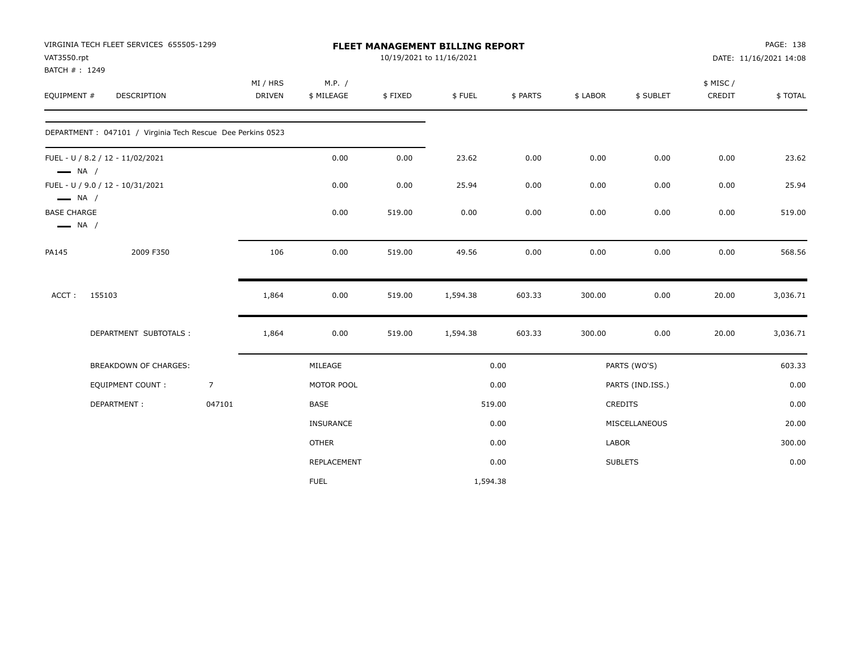| VAT3550.rpt                                  | VIRGINIA TECH FLEET SERVICES 655505-1299                    |                           |                      |         | FLEET MANAGEMENT BILLING REPORT<br>10/19/2021 to 11/16/2021 |          |              |                  |                     | PAGE: 138<br>DATE: 11/16/2021 14:08 |
|----------------------------------------------|-------------------------------------------------------------|---------------------------|----------------------|---------|-------------------------------------------------------------|----------|--------------|------------------|---------------------|-------------------------------------|
| BATCH #: 1249<br>EQUIPMENT #                 | DESCRIPTION                                                 | MI / HRS<br><b>DRIVEN</b> | M.P. /<br>\$ MILEAGE | \$FIXED | \$FUEL                                                      | \$ PARTS | \$ LABOR     | \$ SUBLET        | \$ MISC /<br>CREDIT | \$TOTAL                             |
|                                              | DEPARTMENT : 047101 / Virginia Tech Rescue Dee Perkins 0523 |                           |                      |         |                                                             |          |              |                  |                     |                                     |
| $\longrightarrow$ NA /                       | FUEL - U / 8.2 / 12 - 11/02/2021                            |                           | 0.00                 | 0.00    | 23.62                                                       | 0.00     | 0.00         | 0.00             | 0.00                | 23.62                               |
| $\longrightarrow$ NA /                       | FUEL - U / 9.0 / 12 - 10/31/2021                            |                           | 0.00                 | 0.00    | 25.94                                                       | 0.00     | 0.00         | 0.00             | 0.00                | 25.94                               |
| <b>BASE CHARGE</b><br>$\longrightarrow$ NA / |                                                             |                           | 0.00                 | 519.00  | 0.00                                                        | 0.00     | 0.00         | 0.00             | 0.00                | 519.00                              |
| PA145                                        | 2009 F350                                                   | 106                       | 0.00                 | 519.00  | 49.56                                                       | 0.00     | 0.00         | 0.00             | 0.00                | 568.56                              |
| ACCT:                                        | 155103                                                      | 1,864                     | 0.00                 | 519.00  | 1,594.38                                                    | 603.33   | 300.00       | 0.00             | 20.00               | 3,036.71                            |
|                                              | DEPARTMENT SUBTOTALS:                                       | 1,864                     | 0.00                 | 519.00  | 1,594.38                                                    | 603.33   | 300.00       | 0.00             | 20.00               | 3,036.71                            |
|                                              | BREAKDOWN OF CHARGES:                                       |                           | MILEAGE              |         |                                                             | 0.00     |              | PARTS (WO'S)     |                     | 603.33                              |
|                                              | EQUIPMENT COUNT:                                            | $\overline{7}$            | MOTOR POOL           |         |                                                             | 0.00     |              | PARTS (IND.ISS.) |                     | 0.00                                |
|                                              | DEPARTMENT:                                                 | 047101                    | <b>BASE</b>          |         |                                                             | 519.00   |              | CREDITS          |                     | 0.00                                |
|                                              |                                                             |                           | INSURANCE            |         |                                                             | 0.00     |              | MISCELLANEOUS    |                     | 20.00                               |
|                                              |                                                             |                           | <b>OTHER</b>         |         |                                                             | 0.00     | <b>LABOR</b> |                  |                     | 300.00                              |
|                                              |                                                             |                           | REPLACEMENT          |         |                                                             | 0.00     |              | <b>SUBLETS</b>   |                     | 0.00                                |
|                                              |                                                             |                           | <b>FUEL</b>          |         | 1,594.38                                                    |          |              |                  |                     |                                     |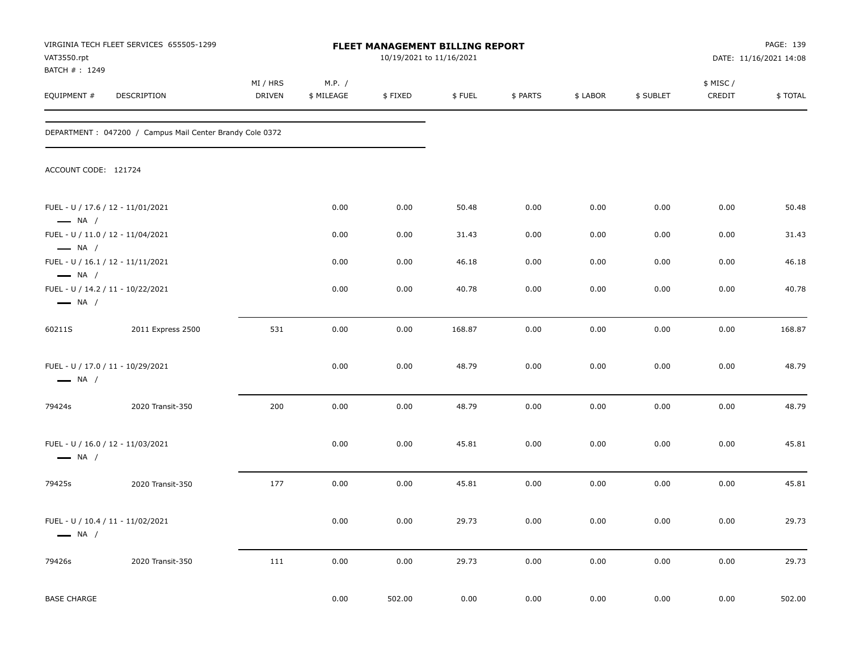| VAT3550.rpt                                                                           | VIRGINIA TECH FLEET SERVICES 655505-1299                 |                           |                      | FLEET MANAGEMENT BILLING REPORT<br>10/19/2021 to 11/16/2021 |          |          |          |           |                    | PAGE: 139<br>DATE: 11/16/2021 14:08 |
|---------------------------------------------------------------------------------------|----------------------------------------------------------|---------------------------|----------------------|-------------------------------------------------------------|----------|----------|----------|-----------|--------------------|-------------------------------------|
| BATCH #: 1249<br>EQUIPMENT #                                                          | DESCRIPTION                                              | MI / HRS<br><b>DRIVEN</b> | M.P. /<br>\$ MILEAGE | \$FIXED                                                     | \$FUEL   | \$ PARTS | \$ LABOR | \$ SUBLET | \$ MISC/<br>CREDIT | \$TOTAL                             |
|                                                                                       | DEPARTMENT: 047200 / Campus Mail Center Brandy Cole 0372 |                           |                      |                                                             |          |          |          |           |                    |                                     |
| ACCOUNT CODE: 121724                                                                  |                                                          |                           |                      |                                                             |          |          |          |           |                    |                                     |
| FUEL - U / 17.6 / 12 - 11/01/2021<br>$\longrightarrow$ NA /                           |                                                          |                           | 0.00                 | 0.00                                                        | 50.48    | 0.00     | 0.00     | 0.00      | 0.00               | 50.48                               |
| FUEL - U / 11.0 / 12 - 11/04/2021                                                     |                                                          |                           | 0.00                 | 0.00                                                        | 31.43    | 0.00     | 0.00     | 0.00      | 0.00               | 31.43                               |
| $\longrightarrow$ NA /<br>FUEL - U / 16.1 / 12 - 11/11/2021                           |                                                          |                           | 0.00                 | 0.00                                                        | 46.18    | 0.00     | 0.00     | 0.00      | 0.00               | 46.18                               |
| $\longrightarrow$ NA /<br>FUEL - U / 14.2 / 11 - 10/22/2021<br>$\longrightarrow$ NA / |                                                          |                           | 0.00                 | 0.00                                                        | 40.78    | 0.00     | 0.00     | 0.00      | 0.00               | 40.78                               |
| 60211S                                                                                | 2011 Express 2500                                        | 531                       | 0.00                 | 0.00                                                        | 168.87   | 0.00     | 0.00     | 0.00      | 0.00               | 168.87                              |
| FUEL - U / 17.0 / 11 - 10/29/2021<br>$\longrightarrow$ NA /                           |                                                          |                           | 0.00                 | 0.00                                                        | 48.79    | 0.00     | 0.00     | 0.00      | 0.00               | 48.79                               |
| 79424s                                                                                | 2020 Transit-350                                         | 200                       | 0.00                 | 0.00                                                        | 48.79    | 0.00     | 0.00     | 0.00      | 0.00               | 48.79                               |
| FUEL - U / 16.0 / 12 - 11/03/2021<br>$\longrightarrow$ NA /                           |                                                          |                           | 0.00                 | 0.00                                                        | 45.81    | 0.00     | 0.00     | 0.00      | 0.00               | 45.81                               |
| 79425s                                                                                | 2020 Transit-350                                         | 177                       | 0.00                 | 0.00                                                        | 45.81    | 0.00     | 0.00     | 0.00      | 0.00               | 45.81                               |
| FUEL - U / 10.4 / 11 - 11/02/2021<br>$\longrightarrow$ NA /                           |                                                          |                           | $0.00\,$             | 0.00                                                        | 29.73    | 0.00     | 0.00     | 0.00      | 0.00               | 29.73                               |
| 79426s                                                                                | 2020 Transit-350                                         | 111                       | $0.00\,$             | 0.00                                                        | 29.73    | 0.00     | 0.00     | 0.00      | 0.00               | 29.73                               |
| <b>BASE CHARGE</b>                                                                    |                                                          |                           | 0.00                 | 502.00                                                      | $0.00\,$ | 0.00     | 0.00     | 0.00      | 0.00               | 502.00                              |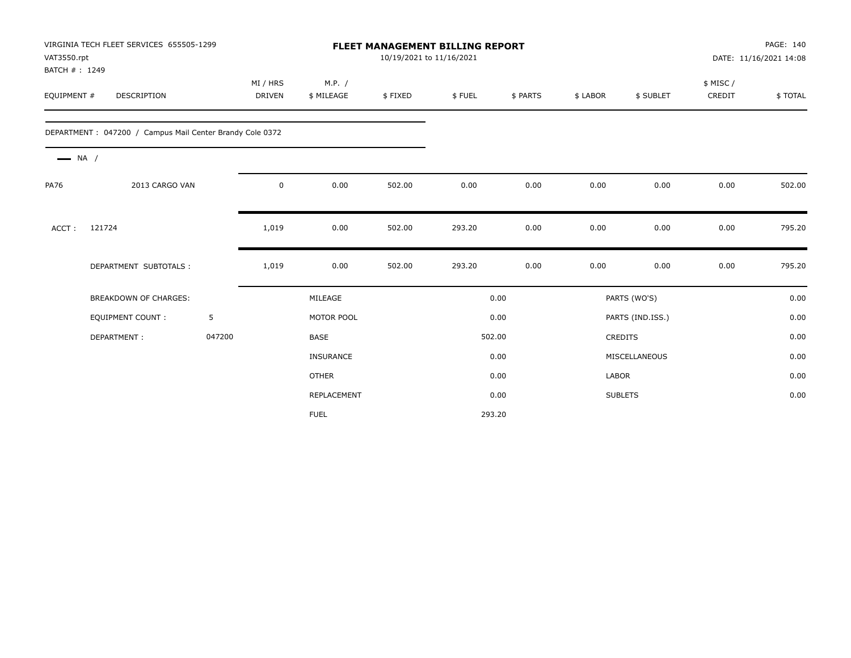| VIRGINIA TECH FLEET SERVICES 655505-1299<br><b>FLEET MANAGEMENT BILLING REPORT</b><br>VAT3550.rpt<br>10/19/2021 to 11/16/2021<br>BATCH #: 1249 |                                                          |        |                    |                      |         |        |          |              | PAGE: 140<br>DATE: 11/16/2021 14:08 |                    |         |
|------------------------------------------------------------------------------------------------------------------------------------------------|----------------------------------------------------------|--------|--------------------|----------------------|---------|--------|----------|--------------|-------------------------------------|--------------------|---------|
| EQUIPMENT #                                                                                                                                    | <b>DESCRIPTION</b>                                       |        | MI / HRS<br>DRIVEN | M.P. /<br>\$ MILEAGE | \$FIXED | \$FUEL | \$ PARTS | \$ LABOR     | \$ SUBLET                           | \$ MISC/<br>CREDIT | \$TOTAL |
|                                                                                                                                                | DEPARTMENT: 047200 / Campus Mail Center Brandy Cole 0372 |        |                    |                      |         |        |          |              |                                     |                    |         |
| $\longrightarrow$ NA /                                                                                                                         |                                                          |        |                    |                      |         |        |          |              |                                     |                    |         |
| <b>PA76</b>                                                                                                                                    | 2013 CARGO VAN                                           |        | $\mathsf 0$        | 0.00                 | 502.00  | 0.00   | 0.00     | 0.00         | 0.00                                | 0.00               | 502.00  |
| ACCT:                                                                                                                                          | 121724                                                   |        | 1,019              | 0.00                 | 502.00  | 293.20 | 0.00     | 0.00         | 0.00                                | 0.00               | 795.20  |
|                                                                                                                                                | DEPARTMENT SUBTOTALS :                                   |        | 1,019              | 0.00                 | 502.00  | 293.20 | 0.00     | 0.00         | 0.00                                | 0.00               | 795.20  |
|                                                                                                                                                | <b>BREAKDOWN OF CHARGES:</b>                             |        |                    | MILEAGE              |         |        | 0.00     |              | PARTS (WO'S)                        |                    | 0.00    |
|                                                                                                                                                | <b>EQUIPMENT COUNT:</b>                                  | 5      |                    | MOTOR POOL           |         |        | 0.00     |              | PARTS (IND.ISS.)                    |                    | 0.00    |
|                                                                                                                                                | DEPARTMENT:                                              | 047200 |                    | <b>BASE</b>          |         |        | 502.00   |              | CREDITS                             |                    | 0.00    |
|                                                                                                                                                |                                                          |        |                    | <b>INSURANCE</b>     |         |        | 0.00     |              | MISCELLANEOUS                       |                    | 0.00    |
|                                                                                                                                                |                                                          |        |                    | <b>OTHER</b>         |         |        | 0.00     | <b>LABOR</b> |                                     |                    | 0.00    |
|                                                                                                                                                |                                                          |        |                    | REPLACEMENT          |         |        | 0.00     |              | <b>SUBLETS</b>                      |                    | 0.00    |
|                                                                                                                                                |                                                          |        |                    | <b>FUEL</b>          |         |        | 293.20   |              |                                     |                    |         |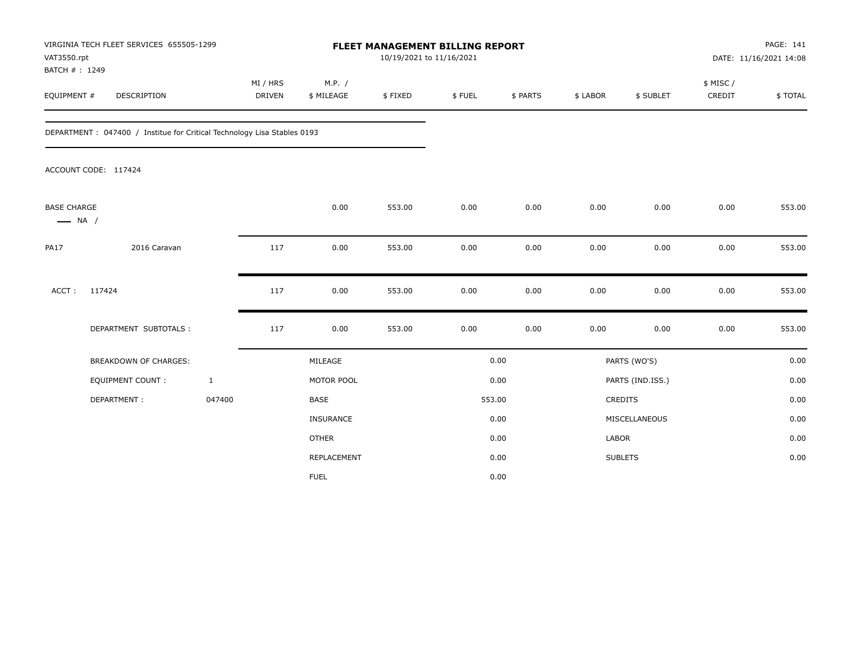| VAT3550.rpt<br>BATCH #: 1249                 | VIRGINIA TECH FLEET SERVICES 655505-1299                                 |                           |                      | FLEET MANAGEMENT BILLING REPORT<br>10/19/2021 to 11/16/2021 |        |          |              |                  |                     | PAGE: 141<br>DATE: 11/16/2021 14:08 |
|----------------------------------------------|--------------------------------------------------------------------------|---------------------------|----------------------|-------------------------------------------------------------|--------|----------|--------------|------------------|---------------------|-------------------------------------|
| EQUIPMENT #                                  | DESCRIPTION                                                              | MI / HRS<br><b>DRIVEN</b> | M.P. /<br>\$ MILEAGE | \$FIXED                                                     | \$FUEL | \$ PARTS | \$ LABOR     | \$ SUBLET        | \$ MISC /<br>CREDIT | \$TOTAL                             |
|                                              | DEPARTMENT : 047400 / Institue for Critical Technology Lisa Stables 0193 |                           |                      |                                                             |        |          |              |                  |                     |                                     |
|                                              | ACCOUNT CODE: 117424                                                     |                           |                      |                                                             |        |          |              |                  |                     |                                     |
| <b>BASE CHARGE</b><br>$\longrightarrow$ NA / |                                                                          |                           | 0.00                 | 553.00                                                      | 0.00   | 0.00     | 0.00         | 0.00             | 0.00                | 553.00                              |
| <b>PA17</b>                                  | 2016 Caravan                                                             | 117                       | 0.00                 | 553.00                                                      | 0.00   | 0.00     | 0.00         | 0.00             | 0.00                | 553.00                              |
| ACCT:                                        | 117424                                                                   | 117                       | 0.00                 | 553.00                                                      | 0.00   | 0.00     | 0.00         | 0.00             | 0.00                | 553.00                              |
|                                              | DEPARTMENT SUBTOTALS :                                                   | 117                       | 0.00                 | 553.00                                                      | 0.00   | 0.00     | 0.00         | 0.00             | 0.00                | 553.00                              |
|                                              | <b>BREAKDOWN OF CHARGES:</b>                                             |                           | MILEAGE              |                                                             |        | 0.00     |              | PARTS (WO'S)     |                     | 0.00                                |
|                                              | <b>EQUIPMENT COUNT:</b>                                                  | $\mathbf{1}$              | MOTOR POOL           |                                                             |        | 0.00     |              | PARTS (IND.ISS.) |                     | 0.00                                |
|                                              | DEPARTMENT:                                                              | 047400                    | <b>BASE</b>          |                                                             |        | 553.00   |              | <b>CREDITS</b>   |                     | 0.00                                |
|                                              |                                                                          |                           | <b>INSURANCE</b>     |                                                             |        | 0.00     |              | MISCELLANEOUS    |                     | 0.00                                |
|                                              |                                                                          |                           | <b>OTHER</b>         |                                                             |        | 0.00     | <b>LABOR</b> |                  |                     | 0.00                                |
|                                              |                                                                          |                           | REPLACEMENT          |                                                             |        | 0.00     |              | <b>SUBLETS</b>   |                     | 0.00                                |
|                                              |                                                                          |                           | <b>FUEL</b>          |                                                             |        | 0.00     |              |                  |                     |                                     |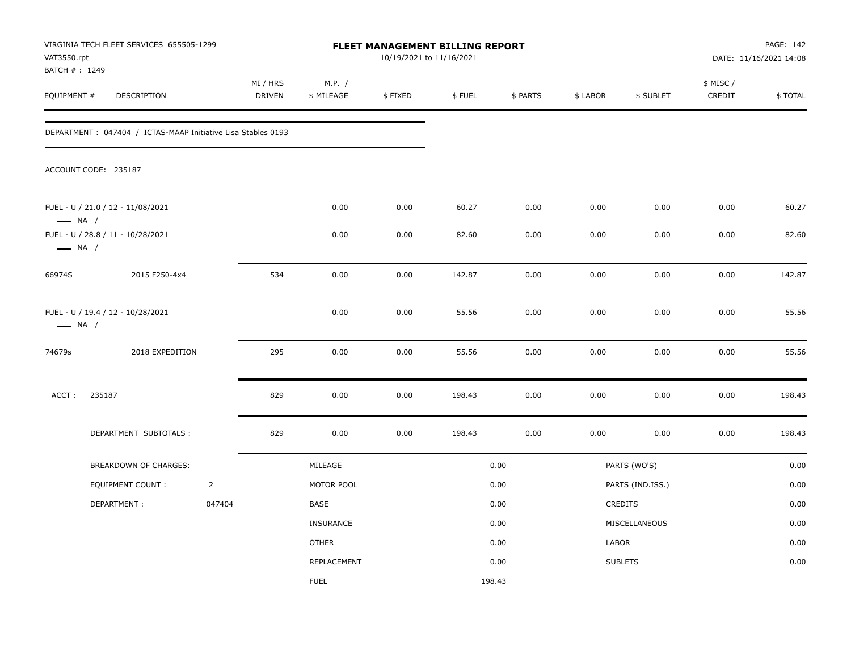| VAT3550.rpt<br>BATCH # : 1249 | VIRGINIA TECH FLEET SERVICES 655505-1299                      |                |                           |                      |         | <b>FLEET MANAGEMENT BILLING REPORT</b><br>10/19/2021 to 11/16/2021 |          |          |                  |                     | PAGE: 142<br>DATE: 11/16/2021 14:08 |
|-------------------------------|---------------------------------------------------------------|----------------|---------------------------|----------------------|---------|--------------------------------------------------------------------|----------|----------|------------------|---------------------|-------------------------------------|
| EQUIPMENT #                   | DESCRIPTION                                                   |                | MI / HRS<br><b>DRIVEN</b> | M.P. /<br>\$ MILEAGE | \$FIXED | \$FUEL                                                             | \$ PARTS | \$ LABOR | \$ SUBLET        | \$ MISC /<br>CREDIT | \$TOTAL                             |
|                               | DEPARTMENT : 047404 / ICTAS-MAAP Initiative Lisa Stables 0193 |                |                           |                      |         |                                                                    |          |          |                  |                     |                                     |
|                               | ACCOUNT CODE: 235187                                          |                |                           |                      |         |                                                                    |          |          |                  |                     |                                     |
| $\longrightarrow$ NA /        | FUEL - U / 21.0 / 12 - 11/08/2021                             |                |                           | 0.00                 | 0.00    | 60.27                                                              | 0.00     | 0.00     | 0.00             | 0.00                | 60.27                               |
| $\longrightarrow$ NA /        | FUEL - U / 28.8 / 11 - 10/28/2021                             |                |                           | 0.00                 | 0.00    | 82.60                                                              | 0.00     | 0.00     | 0.00             | 0.00                | 82.60                               |
| 66974S                        | 2015 F250-4x4                                                 |                | 534                       | 0.00                 | 0.00    | 142.87                                                             | 0.00     | 0.00     | 0.00             | 0.00                | 142.87                              |
| $\longrightarrow$ NA /        | FUEL - U / 19.4 / 12 - 10/28/2021                             |                |                           | 0.00                 | 0.00    | 55.56                                                              | 0.00     | 0.00     | 0.00             | 0.00                | 55.56                               |
| 74679s                        | 2018 EXPEDITION                                               |                | 295                       | 0.00                 | 0.00    | 55.56                                                              | 0.00     | 0.00     | 0.00             | 0.00                | 55.56                               |
| ACCT:                         | 235187                                                        |                | 829                       | 0.00                 | 0.00    | 198.43                                                             | 0.00     | 0.00     | 0.00             | 0.00                | 198.43                              |
|                               | DEPARTMENT SUBTOTALS :                                        |                | 829                       | 0.00                 | 0.00    | 198.43                                                             | 0.00     | 0.00     | 0.00             | 0.00                | 198.43                              |
|                               | BREAKDOWN OF CHARGES:                                         |                |                           | MILEAGE              |         |                                                                    | 0.00     |          | PARTS (WO'S)     |                     | 0.00                                |
|                               | <b>EQUIPMENT COUNT:</b>                                       | $\overline{2}$ |                           | MOTOR POOL           |         |                                                                    | 0.00     |          | PARTS (IND.ISS.) |                     | 0.00                                |
|                               | DEPARTMENT:                                                   | 047404         |                           | BASE                 |         |                                                                    | 0.00     |          | CREDITS          |                     | 0.00                                |
|                               |                                                               |                |                           | INSURANCE            |         |                                                                    | 0.00     |          | MISCELLANEOUS    |                     | 0.00                                |
|                               |                                                               |                |                           | <b>OTHER</b>         |         |                                                                    | 0.00     | LABOR    |                  |                     | 0.00                                |
|                               |                                                               |                |                           | <b>REPLACEMENT</b>   |         |                                                                    | 0.00     |          | <b>SUBLETS</b>   |                     | 0.00                                |
|                               |                                                               |                |                           | <b>FUEL</b>          |         | 198.43                                                             |          |          |                  |                     |                                     |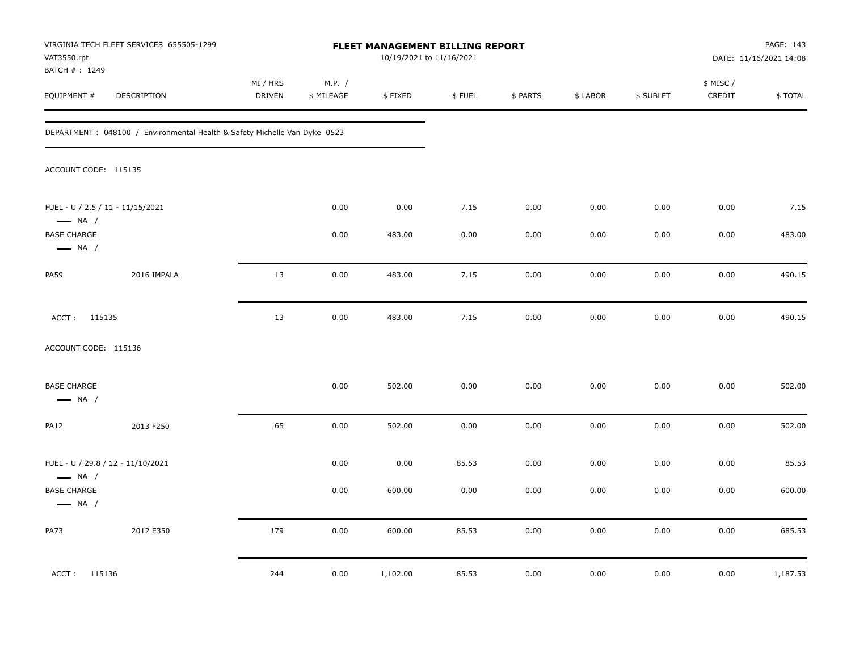| VAT3550.rpt<br>BATCH #: 1249                               | VIRGINIA TECH FLEET SERVICES 655505-1299                                   |                           |                      | <b>FLEET MANAGEMENT BILLING REPORT</b> | 10/19/2021 to 11/16/2021 |          |          |           |                    | PAGE: 143<br>DATE: 11/16/2021 14:08 |
|------------------------------------------------------------|----------------------------------------------------------------------------|---------------------------|----------------------|----------------------------------------|--------------------------|----------|----------|-----------|--------------------|-------------------------------------|
| EQUIPMENT #                                                | DESCRIPTION                                                                | MI / HRS<br><b>DRIVEN</b> | M.P. /<br>\$ MILEAGE | \$FIXED                                | \$FUEL                   | \$ PARTS | \$ LABOR | \$ SUBLET | \$ MISC/<br>CREDIT | \$TOTAL                             |
|                                                            | DEPARTMENT : 048100 / Environmental Health & Safety Michelle Van Dyke 0523 |                           |                      |                                        |                          |          |          |           |                    |                                     |
| ACCOUNT CODE: 115135                                       |                                                                            |                           |                      |                                        |                          |          |          |           |                    |                                     |
| FUEL - U / 2.5 / 11 - 11/15/2021<br>$\longrightarrow$ NA / |                                                                            |                           | 0.00                 | 0.00                                   | 7.15                     | 0.00     | 0.00     | 0.00      | 0.00               | 7.15                                |
| <b>BASE CHARGE</b><br>$\longrightarrow$ NA /               |                                                                            |                           | 0.00                 | 483.00                                 | 0.00                     | 0.00     | 0.00     | 0.00      | 0.00               | 483.00                              |
| <b>PA59</b>                                                | 2016 IMPALA                                                                | 13                        | 0.00                 | 483.00                                 | 7.15                     | 0.00     | 0.00     | 0.00      | 0.00               | 490.15                              |
| ACCT: 115135                                               |                                                                            | 13                        | 0.00                 | 483.00                                 | 7.15                     | 0.00     | 0.00     | 0.00      | 0.00               | 490.15                              |
| ACCOUNT CODE: 115136                                       |                                                                            |                           |                      |                                        |                          |          |          |           |                    |                                     |
| <b>BASE CHARGE</b><br>$\longrightarrow$ NA /               |                                                                            |                           | 0.00                 | 502.00                                 | 0.00                     | 0.00     | 0.00     | 0.00      | 0.00               | 502.00                              |
| <b>PA12</b>                                                | 2013 F250                                                                  | 65                        | 0.00                 | 502.00                                 | 0.00                     | 0.00     | 0.00     | 0.00      | 0.00               | 502.00                              |
| $\longrightarrow$ NA /                                     | FUEL - U / 29.8 / 12 - 11/10/2021                                          |                           | 0.00                 | 0.00                                   | 85.53                    | 0.00     | 0.00     | 0.00      | 0.00               | 85.53                               |
| <b>BASE CHARGE</b><br>$\longrightarrow$ NA /               |                                                                            |                           | 0.00                 | 600.00                                 | 0.00                     | 0.00     | 0.00     | 0.00      | 0.00               | 600.00                              |
| <b>PA73</b>                                                | 2012 E350                                                                  | 179                       | 0.00                 | 600.00                                 | 85.53                    | 0.00     | 0.00     | 0.00      | 0.00               | 685.53                              |
| ACCT: 115136                                               |                                                                            | 244                       | 0.00                 | 1,102.00                               | 85.53                    | 0.00     | 0.00     | 0.00      | 0.00               | 1,187.53                            |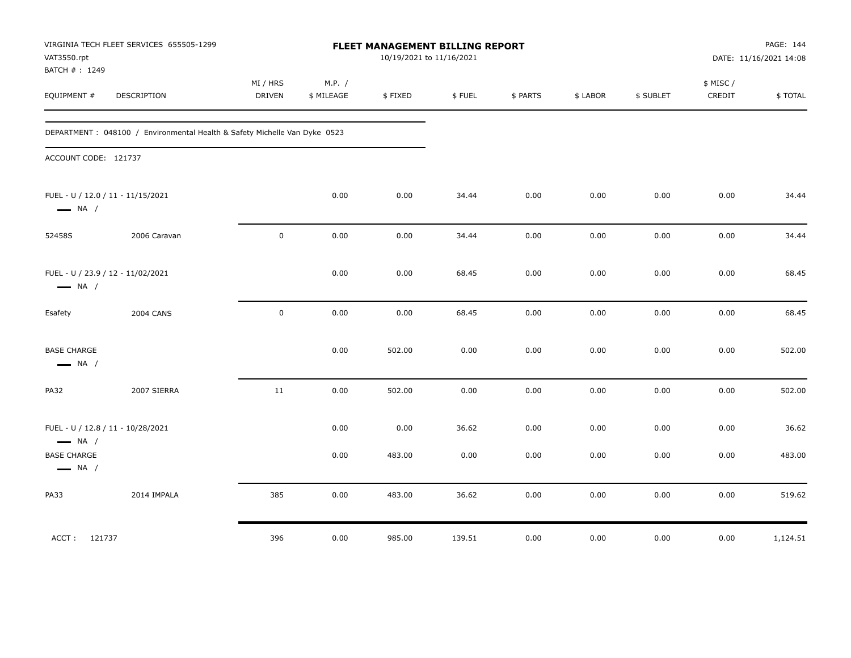| VAT3550.rpt<br>BATCH #: 1249                 | VIRGINIA TECH FLEET SERVICES 655505-1299                                   |                    |                      | FLEET MANAGEMENT BILLING REPORT<br>10/19/2021 to 11/16/2021 |        |          |          |           |                     | PAGE: 144<br>DATE: 11/16/2021 14:08 |
|----------------------------------------------|----------------------------------------------------------------------------|--------------------|----------------------|-------------------------------------------------------------|--------|----------|----------|-----------|---------------------|-------------------------------------|
| EQUIPMENT #                                  | DESCRIPTION                                                                | MI / HRS<br>DRIVEN | M.P. /<br>\$ MILEAGE | \$FIXED                                                     | \$FUEL | \$ PARTS | \$ LABOR | \$ SUBLET | \$ MISC /<br>CREDIT | \$TOTAL                             |
|                                              | DEPARTMENT : 048100 / Environmental Health & Safety Michelle Van Dyke 0523 |                    |                      |                                                             |        |          |          |           |                     |                                     |
| ACCOUNT CODE: 121737                         |                                                                            |                    |                      |                                                             |        |          |          |           |                     |                                     |
| $\longrightarrow$ NA /                       | FUEL - U / 12.0 / 11 - 11/15/2021                                          |                    | 0.00                 | 0.00                                                        | 34.44  | 0.00     | 0.00     | 0.00      | 0.00                | 34.44                               |
| 52458S                                       | 2006 Caravan                                                               | $\mathbf 0$        | 0.00                 | 0.00                                                        | 34.44  | 0.00     | 0.00     | 0.00      | 0.00                | 34.44                               |
| $\longrightarrow$ NA /                       | FUEL - U / 23.9 / 12 - 11/02/2021                                          |                    | 0.00                 | 0.00                                                        | 68.45  | 0.00     | 0.00     | 0.00      | 0.00                | 68.45                               |
| Esafety                                      | <b>2004 CANS</b>                                                           | $\mathbf 0$        | 0.00                 | 0.00                                                        | 68.45  | 0.00     | 0.00     | 0.00      | 0.00                | 68.45                               |
| <b>BASE CHARGE</b><br>$\longrightarrow$ NA / |                                                                            |                    | 0.00                 | 502.00                                                      | 0.00   | 0.00     | 0.00     | 0.00      | 0.00                | 502.00                              |
| <b>PA32</b>                                  | 2007 SIERRA                                                                | 11                 | 0.00                 | 502.00                                                      | 0.00   | 0.00     | 0.00     | 0.00      | 0.00                | 502.00                              |
| $\longrightarrow$ NA /                       | FUEL - U / 12.8 / 11 - 10/28/2021                                          |                    | 0.00                 | 0.00                                                        | 36.62  | 0.00     | 0.00     | 0.00      | 0.00                | 36.62                               |
| <b>BASE CHARGE</b><br>$\longrightarrow$ NA / |                                                                            |                    | 0.00                 | 483.00                                                      | 0.00   | 0.00     | 0.00     | 0.00      | 0.00                | 483.00                              |
| PA33                                         | 2014 IMPALA                                                                | 385                | 0.00                 | 483.00                                                      | 36.62  | 0.00     | 0.00     | 0.00      | 0.00                | 519.62                              |
| ACCT: 121737                                 |                                                                            | 396                | 0.00                 | 985.00                                                      | 139.51 | 0.00     | 0.00     | 0.00      | 0.00                | 1,124.51                            |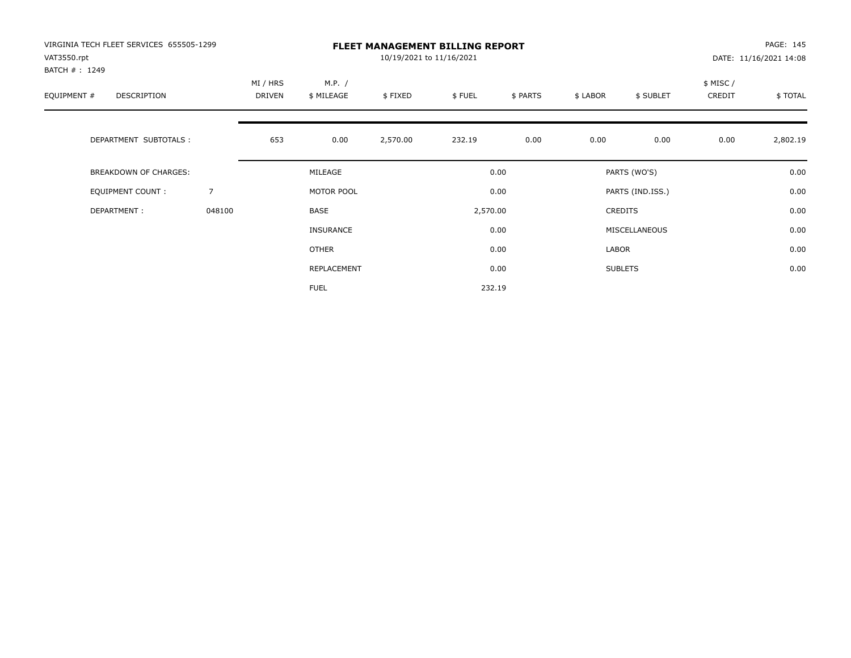| VIRGINIA TECH FLEET SERVICES 655505-1299<br>VAT3550.rpt<br>BATCH #: 1249 |                |                    |                      | 10/19/2021 to 11/16/2021 | <b>FLEET MANAGEMENT BILLING REPORT</b> |          |          |                  |                     | PAGE: 145<br>DATE: 11/16/2021 14:08 |
|--------------------------------------------------------------------------|----------------|--------------------|----------------------|--------------------------|----------------------------------------|----------|----------|------------------|---------------------|-------------------------------------|
| EQUIPMENT #<br>DESCRIPTION                                               |                | MI / HRS<br>DRIVEN | M.P. /<br>\$ MILEAGE | \$FIXED                  | \$FUEL                                 | \$ PARTS | \$ LABOR | \$ SUBLET        | \$ MISC /<br>CREDIT | \$TOTAL                             |
| DEPARTMENT SUBTOTALS :                                                   |                | 653                | 0.00                 | 2,570.00                 | 232.19                                 | 0.00     | 0.00     | 0.00             | 0.00                | 2,802.19                            |
| <b>BREAKDOWN OF CHARGES:</b>                                             |                |                    | MILEAGE              |                          |                                        | 0.00     |          | PARTS (WO'S)     |                     | 0.00                                |
| EQUIPMENT COUNT:                                                         | $\overline{7}$ |                    | MOTOR POOL           |                          |                                        | 0.00     |          | PARTS (IND.ISS.) |                     | 0.00                                |
| DEPARTMENT:                                                              | 048100         |                    | BASE                 |                          | 2,570.00                               |          |          | CREDITS          |                     | 0.00                                |
|                                                                          |                |                    | <b>INSURANCE</b>     |                          |                                        | 0.00     |          | MISCELLANEOUS    |                     | 0.00                                |
|                                                                          |                |                    | OTHER                |                          |                                        | 0.00     | LABOR    |                  |                     | 0.00                                |
|                                                                          |                |                    | REPLACEMENT          |                          |                                        | 0.00     |          | <b>SUBLETS</b>   |                     | 0.00                                |
|                                                                          |                |                    | <b>FUEL</b>          |                          |                                        | 232.19   |          |                  |                     |                                     |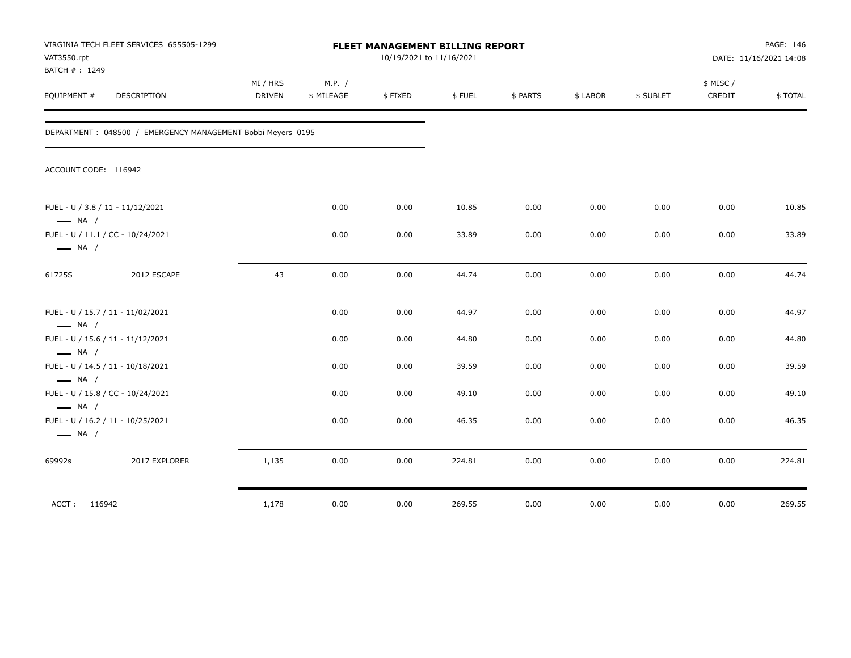| VAT3550.rpt<br>BATCH #: 1249                                | VIRGINIA TECH FLEET SERVICES 655505-1299                     |                           |                      | FLEET MANAGEMENT BILLING REPORT<br>10/19/2021 to 11/16/2021 |        |          | PAGE: 146<br>DATE: 11/16/2021 14:08 |           |                    |         |
|-------------------------------------------------------------|--------------------------------------------------------------|---------------------------|----------------------|-------------------------------------------------------------|--------|----------|-------------------------------------|-----------|--------------------|---------|
| EQUIPMENT #                                                 | <b>DESCRIPTION</b>                                           | MI / HRS<br><b>DRIVEN</b> | M.P. /<br>\$ MILEAGE | \$FIXED                                                     | \$FUEL | \$ PARTS | \$ LABOR                            | \$ SUBLET | \$ MISC/<br>CREDIT | \$TOTAL |
|                                                             | DEPARTMENT : 048500 / EMERGENCY MANAGEMENT Bobbi Meyers 0195 |                           |                      |                                                             |        |          |                                     |           |                    |         |
| ACCOUNT CODE: 116942                                        |                                                              |                           |                      |                                                             |        |          |                                     |           |                    |         |
| FUEL - U / 3.8 / 11 - 11/12/2021<br>$\longrightarrow$ NA /  |                                                              |                           | 0.00                 | 0.00                                                        | 10.85  | 0.00     | 0.00                                | 0.00      | 0.00               | 10.85   |
| FUEL - U / 11.1 / CC - 10/24/2021<br>$\longrightarrow$ NA / |                                                              |                           | 0.00                 | 0.00                                                        | 33.89  | 0.00     | 0.00                                | 0.00      | 0.00               | 33.89   |
| 61725S                                                      | 2012 ESCAPE                                                  | 43                        | 0.00                 | 0.00                                                        | 44.74  | 0.00     | 0.00                                | 0.00      | 0.00               | 44.74   |
| FUEL - U / 15.7 / 11 - 11/02/2021<br>$\longrightarrow$ NA / |                                                              |                           | 0.00                 | 0.00                                                        | 44.97  | 0.00     | 0.00                                | 0.00      | 0.00               | 44.97   |
| FUEL - U / 15.6 / 11 - 11/12/2021<br>$\longrightarrow$ NA / |                                                              |                           | 0.00                 | 0.00                                                        | 44.80  | 0.00     | 0.00                                | 0.00      | 0.00               | 44.80   |
| FUEL - U / 14.5 / 11 - 10/18/2021<br>$\longrightarrow$ NA / |                                                              |                           | 0.00                 | 0.00                                                        | 39.59  | 0.00     | 0.00                                | 0.00      | 0.00               | 39.59   |
| FUEL - U / 15.8 / CC - 10/24/2021<br>$\longrightarrow$ NA / |                                                              |                           | 0.00                 | 0.00                                                        | 49.10  | 0.00     | 0.00                                | 0.00      | 0.00               | 49.10   |
| FUEL - U / 16.2 / 11 - 10/25/2021<br>$\longrightarrow$ NA / |                                                              |                           | 0.00                 | 0.00                                                        | 46.35  | 0.00     | 0.00                                | 0.00      | 0.00               | 46.35   |
| 69992s                                                      | 2017 EXPLORER                                                | 1,135                     | 0.00                 | 0.00                                                        | 224.81 | 0.00     | 0.00                                | 0.00      | 0.00               | 224.81  |
| ACCT: 116942                                                |                                                              | 1,178                     | 0.00                 | 0.00                                                        | 269.55 | 0.00     | 0.00                                | 0.00      | 0.00               | 269.55  |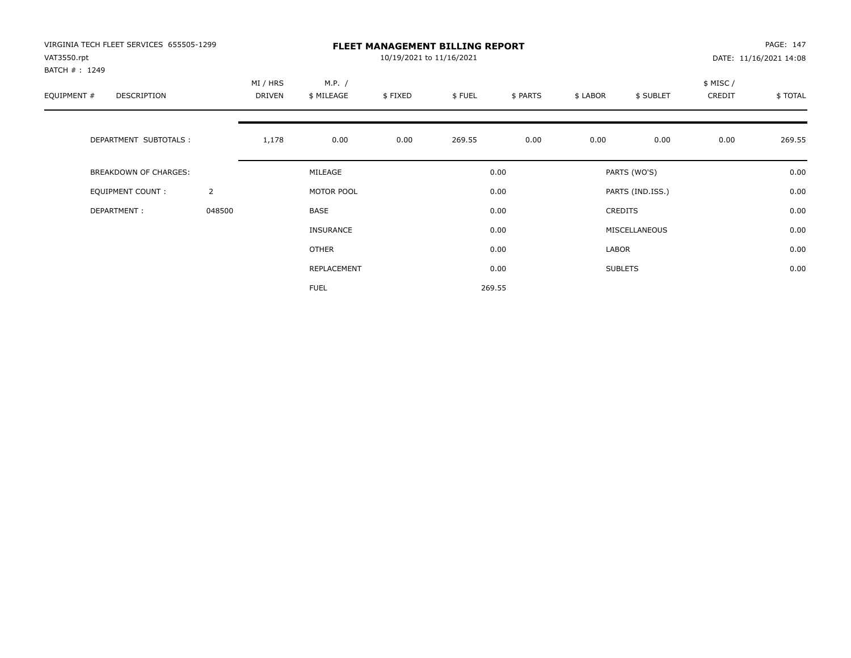| VIRGINIA TECH FLEET SERVICES 655505-1299<br>VAT3550.rpt<br>BATCH #: 1249 |                | <b>FLEET MANAGEMENT BILLING REPORT</b><br>10/19/2021 to 11/16/2021<br>DATE: 11/16/2021 14:08 |                      |         |        |          |          |                  |                     |         |
|--------------------------------------------------------------------------|----------------|----------------------------------------------------------------------------------------------|----------------------|---------|--------|----------|----------|------------------|---------------------|---------|
| EQUIPMENT #<br>DESCRIPTION                                               |                | MI / HRS<br><b>DRIVEN</b>                                                                    | M.P. /<br>\$ MILEAGE | \$FIXED | \$FUEL | \$ PARTS | \$ LABOR | \$ SUBLET        | \$ MISC /<br>CREDIT | \$TOTAL |
| DEPARTMENT SUBTOTALS :                                                   |                | 1,178                                                                                        | 0.00                 | 0.00    | 269.55 | 0.00     | 0.00     | 0.00             | 0.00                | 269.55  |
| <b>BREAKDOWN OF CHARGES:</b>                                             |                |                                                                                              | MILEAGE              |         |        | 0.00     |          | PARTS (WO'S)     |                     | 0.00    |
| EQUIPMENT COUNT:                                                         | $\overline{2}$ |                                                                                              | MOTOR POOL           |         |        | 0.00     |          | PARTS (IND.ISS.) |                     | 0.00    |
| DEPARTMENT:                                                              | 048500         |                                                                                              | <b>BASE</b>          |         |        | 0.00     |          | <b>CREDITS</b>   |                     | 0.00    |
|                                                                          |                |                                                                                              | <b>INSURANCE</b>     |         |        | 0.00     |          | MISCELLANEOUS    |                     | 0.00    |
|                                                                          |                |                                                                                              | <b>OTHER</b>         |         |        | 0.00     | LABOR    |                  |                     | 0.00    |
|                                                                          |                |                                                                                              | REPLACEMENT          |         |        | 0.00     |          | <b>SUBLETS</b>   |                     | 0.00    |
|                                                                          |                |                                                                                              | <b>FUEL</b>          |         |        | 269.55   |          |                  |                     |         |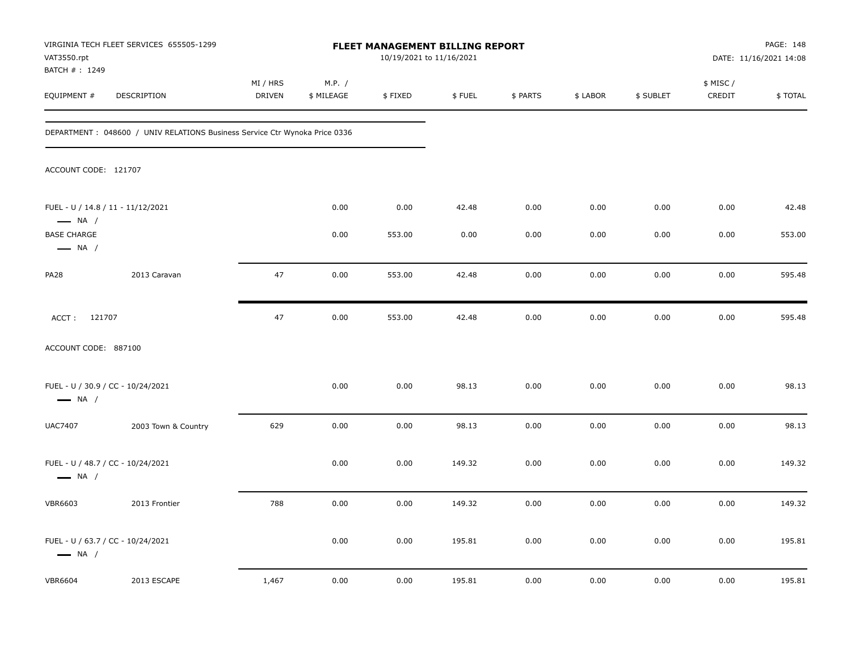| VAT3550.rpt                                  | VIRGINIA TECH FLEET SERVICES 655505-1299                                    |                    |                      | <b>FLEET MANAGEMENT BILLING REPORT</b><br>10/19/2021 to 11/16/2021 |        |          |          |           |                     | PAGE: 148<br>DATE: 11/16/2021 14:08 |
|----------------------------------------------|-----------------------------------------------------------------------------|--------------------|----------------------|--------------------------------------------------------------------|--------|----------|----------|-----------|---------------------|-------------------------------------|
| BATCH #: 1249<br>EQUIPMENT #                 | DESCRIPTION                                                                 | MI / HRS<br>DRIVEN | M.P. /<br>\$ MILEAGE | \$FIXED                                                            | \$FUEL | \$ PARTS | \$ LABOR | \$ SUBLET | \$ MISC /<br>CREDIT | \$TOTAL                             |
|                                              | DEPARTMENT : 048600 / UNIV RELATIONS Business Service Ctr Wynoka Price 0336 |                    |                      |                                                                    |        |          |          |           |                     |                                     |
| ACCOUNT CODE: 121707                         |                                                                             |                    |                      |                                                                    |        |          |          |           |                     |                                     |
| $\longrightarrow$ NA /                       | FUEL - U / 14.8 / 11 - 11/12/2021                                           |                    | 0.00                 | 0.00                                                               | 42.48  | 0.00     | 0.00     | 0.00      | 0.00                | 42.48                               |
| <b>BASE CHARGE</b><br>$\longrightarrow$ NA / |                                                                             |                    | 0.00                 | 553.00                                                             | 0.00   | 0.00     | 0.00     | 0.00      | 0.00                | 553.00                              |
| PA28                                         | 2013 Caravan                                                                | 47                 | 0.00                 | 553.00                                                             | 42.48  | 0.00     | 0.00     | 0.00      | 0.00                | 595.48                              |
| ACCT: 121707                                 |                                                                             | 47                 | 0.00                 | 553.00                                                             | 42.48  | 0.00     | 0.00     | 0.00      | 0.00                | 595.48                              |
| ACCOUNT CODE: 887100                         |                                                                             |                    |                      |                                                                    |        |          |          |           |                     |                                     |
| $\longrightarrow$ NA /                       | FUEL - U / 30.9 / CC - 10/24/2021                                           |                    | 0.00                 | 0.00                                                               | 98.13  | 0.00     | 0.00     | 0.00      | 0.00                | 98.13                               |
| <b>UAC7407</b>                               | 2003 Town & Country                                                         | 629                | 0.00                 | 0.00                                                               | 98.13  | 0.00     | 0.00     | 0.00      | 0.00                | 98.13                               |
| $\longrightarrow$ NA /                       | FUEL - U / 48.7 / CC - 10/24/2021                                           |                    | 0.00                 | 0.00                                                               | 149.32 | 0.00     | 0.00     | 0.00      | 0.00                | 149.32                              |
| <b>VBR6603</b>                               | 2013 Frontier                                                               | 788                | 0.00                 | 0.00                                                               | 149.32 | 0.00     | 0.00     | 0.00      | 0.00                | 149.32                              |
| $\longrightarrow$ NA /                       | FUEL - U / 63.7 / CC - 10/24/2021                                           |                    | 0.00                 | 0.00                                                               | 195.81 | 0.00     | 0.00     | 0.00      | 0.00                | 195.81                              |
| <b>VBR6604</b>                               | 2013 ESCAPE                                                                 | 1,467              | 0.00                 | 0.00                                                               | 195.81 | 0.00     | 0.00     | 0.00      | 0.00                | 195.81                              |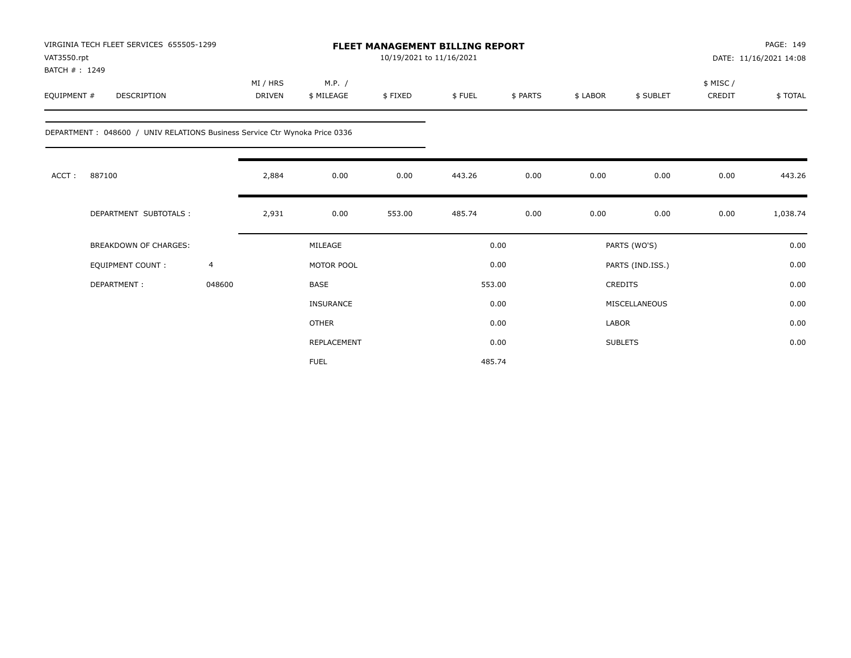| VAT3550.rpt<br>BATCH #: 1249 | VIRGINIA TECH FLEET SERVICES 655505-1299                                    |                |                           |                      |         | FLEET MANAGEMENT BILLING REPORT<br>10/19/2021 to 11/16/2021 |          |          |                  |                     | PAGE: 149<br>DATE: 11/16/2021 14:08 |
|------------------------------|-----------------------------------------------------------------------------|----------------|---------------------------|----------------------|---------|-------------------------------------------------------------|----------|----------|------------------|---------------------|-------------------------------------|
| EQUIPMENT #                  | <b>DESCRIPTION</b>                                                          |                | MI / HRS<br><b>DRIVEN</b> | M.P. /<br>\$ MILEAGE | \$FIXED | \$FUEL                                                      | \$ PARTS | \$ LABOR | \$ SUBLET        | \$ MISC /<br>CREDIT | \$TOTAL                             |
|                              | DEPARTMENT : 048600 / UNIV RELATIONS Business Service Ctr Wynoka Price 0336 |                |                           |                      |         |                                                             |          |          |                  |                     |                                     |
| ACCT:                        | 887100                                                                      |                | 2,884                     | 0.00                 | 0.00    | 443.26                                                      | 0.00     | 0.00     | 0.00             | 0.00                | 443.26                              |
|                              | DEPARTMENT SUBTOTALS :                                                      |                | 2,931                     | 0.00                 | 553.00  | 485.74                                                      | 0.00     | 0.00     | 0.00             | 0.00                | 1,038.74                            |
|                              | <b>BREAKDOWN OF CHARGES:</b>                                                |                |                           | MILEAGE              |         |                                                             | 0.00     |          | PARTS (WO'S)     |                     | 0.00                                |
|                              | EQUIPMENT COUNT:                                                            | $\overline{4}$ |                           | MOTOR POOL           |         |                                                             | 0.00     |          | PARTS (IND.ISS.) |                     | 0.00                                |
|                              | DEPARTMENT:                                                                 | 048600         |                           | <b>BASE</b>          |         |                                                             | 553.00   |          | <b>CREDITS</b>   |                     | 0.00                                |
|                              |                                                                             |                |                           | <b>INSURANCE</b>     |         |                                                             | 0.00     |          | MISCELLANEOUS    |                     | 0.00                                |
|                              |                                                                             |                |                           | <b>OTHER</b>         |         |                                                             | 0.00     | LABOR    |                  |                     | 0.00                                |
|                              |                                                                             |                |                           | REPLACEMENT          |         |                                                             | 0.00     |          | <b>SUBLETS</b>   |                     | 0.00                                |
|                              |                                                                             |                |                           | <b>FUEL</b>          |         |                                                             | 485.74   |          |                  |                     |                                     |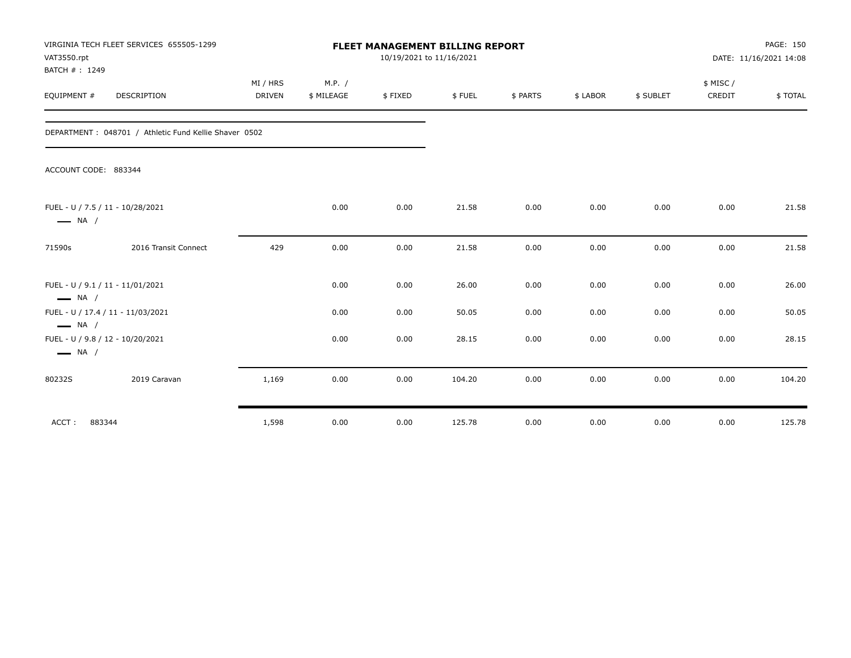| VAT3550.rpt<br>BATCH #: 1249                               | VIRGINIA TECH FLEET SERVICES 655505-1299              |               |            | FLEET MANAGEMENT BILLING REPORT<br>10/19/2021 to 11/16/2021 |        |          |          |           |          | PAGE: 150<br>DATE: 11/16/2021 14:08 |
|------------------------------------------------------------|-------------------------------------------------------|---------------|------------|-------------------------------------------------------------|--------|----------|----------|-----------|----------|-------------------------------------|
|                                                            |                                                       | MI / HRS      | M.P. /     |                                                             |        |          |          |           | \$ MISC/ |                                     |
| EQUIPMENT #                                                | <b>DESCRIPTION</b>                                    | <b>DRIVEN</b> | \$ MILEAGE | \$FIXED                                                     | \$FUEL | \$ PARTS | \$ LABOR | \$ SUBLET | CREDIT   | \$TOTAL                             |
|                                                            | DEPARTMENT: 048701 / Athletic Fund Kellie Shaver 0502 |               |            |                                                             |        |          |          |           |          |                                     |
| ACCOUNT CODE: 883344                                       |                                                       |               |            |                                                             |        |          |          |           |          |                                     |
| FUEL - U / 7.5 / 11 - 10/28/2021<br>$\longrightarrow$ NA / |                                                       |               | 0.00       | 0.00                                                        | 21.58  | 0.00     | 0.00     | 0.00      | 0.00     | 21.58                               |
| 71590s                                                     | 2016 Transit Connect                                  | 429           | 0.00       | 0.00                                                        | 21.58  | 0.00     | 0.00     | 0.00      | 0.00     | 21.58                               |
| FUEL - U / 9.1 / 11 - 11/01/2021<br>$\longrightarrow$ NA / |                                                       |               | 0.00       | 0.00                                                        | 26.00  | 0.00     | 0.00     | 0.00      | 0.00     | 26.00                               |
| $\longrightarrow$ NA /                                     | FUEL - U / 17.4 / 11 - 11/03/2021                     |               | 0.00       | 0.00                                                        | 50.05  | 0.00     | 0.00     | 0.00      | 0.00     | 50.05                               |
| FUEL - U / 9.8 / 12 - 10/20/2021<br>$\longrightarrow$ NA / |                                                       |               | 0.00       | 0.00                                                        | 28.15  | 0.00     | 0.00     | 0.00      | 0.00     | 28.15                               |
| 80232S                                                     | 2019 Caravan                                          | 1,169         | 0.00       | 0.00                                                        | 104.20 | 0.00     | 0.00     | 0.00      | 0.00     | 104.20                              |
| ACCT:<br>883344                                            |                                                       | 1,598         | 0.00       | 0.00                                                        | 125.78 | 0.00     | 0.00     | 0.00      | 0.00     | 125.78                              |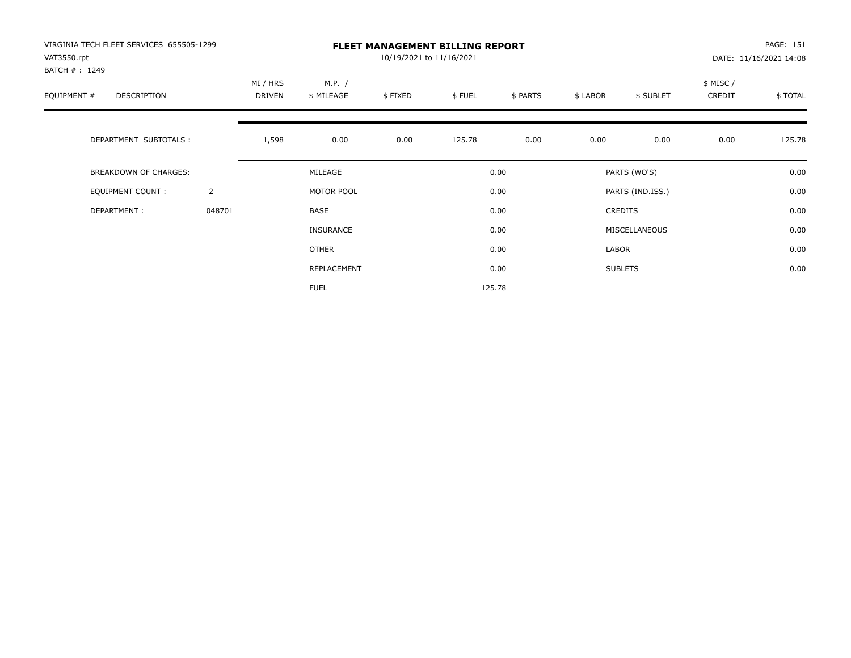| VIRGINIA TECH FLEET SERVICES 655505-1299<br>VAT3550.rpt |                |                    |                      | 10/19/2021 to 11/16/2021 | <b>FLEET MANAGEMENT BILLING REPORT</b> |          |          |                  |                    | PAGE: 151<br>DATE: 11/16/2021 14:08 |
|---------------------------------------------------------|----------------|--------------------|----------------------|--------------------------|----------------------------------------|----------|----------|------------------|--------------------|-------------------------------------|
| BATCH #: 1249<br>EQUIPMENT #<br>DESCRIPTION             |                | MI / HRS<br>DRIVEN | M.P. /<br>\$ MILEAGE | \$FIXED                  | \$FUEL                                 | \$ PARTS | \$ LABOR | \$ SUBLET        | \$ MISC/<br>CREDIT | \$TOTAL                             |
| DEPARTMENT SUBTOTALS :                                  |                | 1,598              | 0.00                 | 0.00                     | 125.78                                 | 0.00     | 0.00     | 0.00             | 0.00               | 125.78                              |
| BREAKDOWN OF CHARGES:                                   |                |                    | MILEAGE              |                          |                                        | 0.00     |          | PARTS (WO'S)     |                    | 0.00                                |
| <b>EQUIPMENT COUNT:</b>                                 | $\overline{2}$ |                    | MOTOR POOL           |                          |                                        | 0.00     |          | PARTS (IND.ISS.) |                    | 0.00                                |
| DEPARTMENT:                                             | 048701         |                    | BASE                 |                          |                                        | 0.00     |          | <b>CREDITS</b>   |                    | 0.00                                |
|                                                         |                |                    | <b>INSURANCE</b>     |                          |                                        | 0.00     |          | MISCELLANEOUS    |                    | 0.00                                |
|                                                         |                |                    | OTHER                |                          |                                        | 0.00     | LABOR    |                  |                    | 0.00                                |
|                                                         |                |                    | REPLACEMENT          |                          |                                        | 0.00     |          | <b>SUBLETS</b>   |                    | 0.00                                |
|                                                         |                |                    | <b>FUEL</b>          |                          |                                        | 125.78   |          |                  |                    |                                     |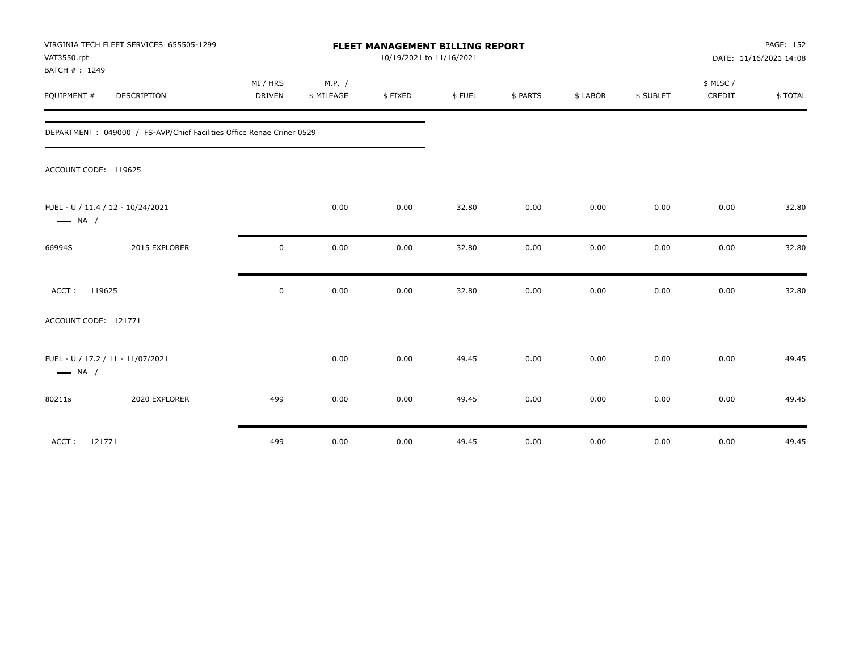| VAT3550.rpt<br>BATCH #: 1249 | VIRGINIA TECH FLEET SERVICES 655505-1299                               | FLEET MANAGEMENT BILLING REPORT<br>10/19/2021 to 11/16/2021 |            |         |        |          |          |           |          | PAGE: 152<br>DATE: 11/16/2021 14:08 |  |
|------------------------------|------------------------------------------------------------------------|-------------------------------------------------------------|------------|---------|--------|----------|----------|-----------|----------|-------------------------------------|--|
|                              |                                                                        | MI / HRS                                                    | M.P. /     |         |        |          |          |           | \$ MISC/ |                                     |  |
| EQUIPMENT #                  | DESCRIPTION                                                            | DRIVEN                                                      | \$ MILEAGE | \$FIXED | \$FUEL | \$ PARTS | \$ LABOR | \$ SUBLET | CREDIT   | \$TOTAL                             |  |
|                              | DEPARTMENT : 049000 / FS-AVP/Chief Facilities Office Renae Criner 0529 |                                                             |            |         |        |          |          |           |          |                                     |  |
| ACCOUNT CODE: 119625         |                                                                        |                                                             |            |         |        |          |          |           |          |                                     |  |
| $\longrightarrow$ NA /       | FUEL - U / 11.4 / 12 - 10/24/2021                                      |                                                             | 0.00       | 0.00    | 32.80  | 0.00     | 0.00     | 0.00      | 0.00     | 32.80                               |  |
| 66994S                       | 2015 EXPLORER                                                          | $\mathsf 0$                                                 | 0.00       | 0.00    | 32.80  | 0.00     | 0.00     | 0.00      | 0.00     | 32.80                               |  |
| ACCT: 119625                 |                                                                        | $\mathsf 0$                                                 | 0.00       | 0.00    | 32.80  | 0.00     | 0.00     | 0.00      | 0.00     | 32.80                               |  |
| ACCOUNT CODE: 121771         |                                                                        |                                                             |            |         |        |          |          |           |          |                                     |  |
| $\longrightarrow$ NA /       | FUEL - U / 17.2 / 11 - 11/07/2021                                      |                                                             | 0.00       | 0.00    | 49.45  | 0.00     | 0.00     | 0.00      | 0.00     | 49.45                               |  |
| 80211s                       | 2020 EXPLORER                                                          | 499                                                         | 0.00       | 0.00    | 49.45  | 0.00     | 0.00     | 0.00      | 0.00     | 49.45                               |  |
| 121771<br>ACCT:              |                                                                        | 499                                                         | 0.00       | 0.00    | 49.45  | 0.00     | 0.00     | 0.00      | 0.00     | 49.45                               |  |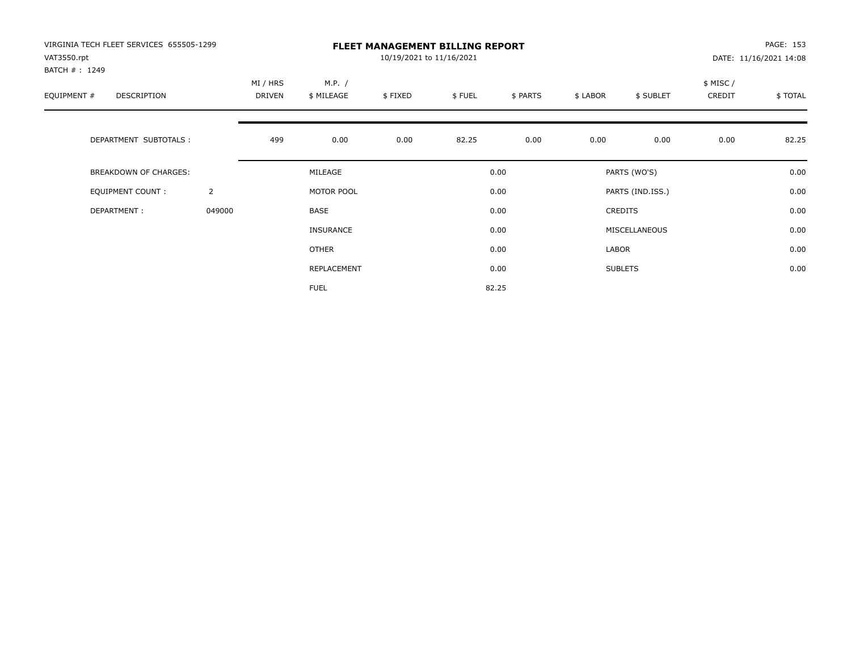| VIRGINIA TECH FLEET SERVICES 655505-1299<br>VAT3550.rpt<br>BATCH #: 1249 |                | <b>FLEET MANAGEMENT BILLING REPORT</b><br>10/19/2021 to 11/16/2021 |                      |         |        |          |          |                  |                    | PAGE: 153<br>DATE: 11/16/2021 14:08 |  |
|--------------------------------------------------------------------------|----------------|--------------------------------------------------------------------|----------------------|---------|--------|----------|----------|------------------|--------------------|-------------------------------------|--|
| EQUIPMENT #<br>DESCRIPTION                                               |                | MI / HRS<br>DRIVEN                                                 | M.P. /<br>\$ MILEAGE | \$FIXED | \$FUEL | \$ PARTS | \$ LABOR | \$ SUBLET        | \$ MISC/<br>CREDIT | \$TOTAL                             |  |
| DEPARTMENT SUBTOTALS :                                                   |                | 499                                                                | 0.00                 | 0.00    | 82.25  | 0.00     | 0.00     | 0.00             | 0.00               | 82.25                               |  |
| BREAKDOWN OF CHARGES:                                                    |                |                                                                    | MILEAGE              |         |        | 0.00     |          | PARTS (WO'S)     |                    | 0.00                                |  |
| <b>EQUIPMENT COUNT:</b>                                                  | $\overline{2}$ |                                                                    | MOTOR POOL           |         |        | 0.00     |          | PARTS (IND.ISS.) |                    | 0.00                                |  |
| DEPARTMENT:                                                              | 049000         |                                                                    | BASE                 |         |        | 0.00     |          | <b>CREDITS</b>   |                    | 0.00                                |  |
|                                                                          |                |                                                                    | <b>INSURANCE</b>     |         |        | 0.00     |          | MISCELLANEOUS    |                    | 0.00                                |  |
|                                                                          |                |                                                                    | OTHER                |         |        | 0.00     | LABOR    |                  |                    | 0.00                                |  |
|                                                                          |                |                                                                    | REPLACEMENT          |         |        | 0.00     |          | <b>SUBLETS</b>   |                    | 0.00                                |  |
|                                                                          |                |                                                                    | <b>FUEL</b>          |         |        | 82.25    |          |                  |                    |                                     |  |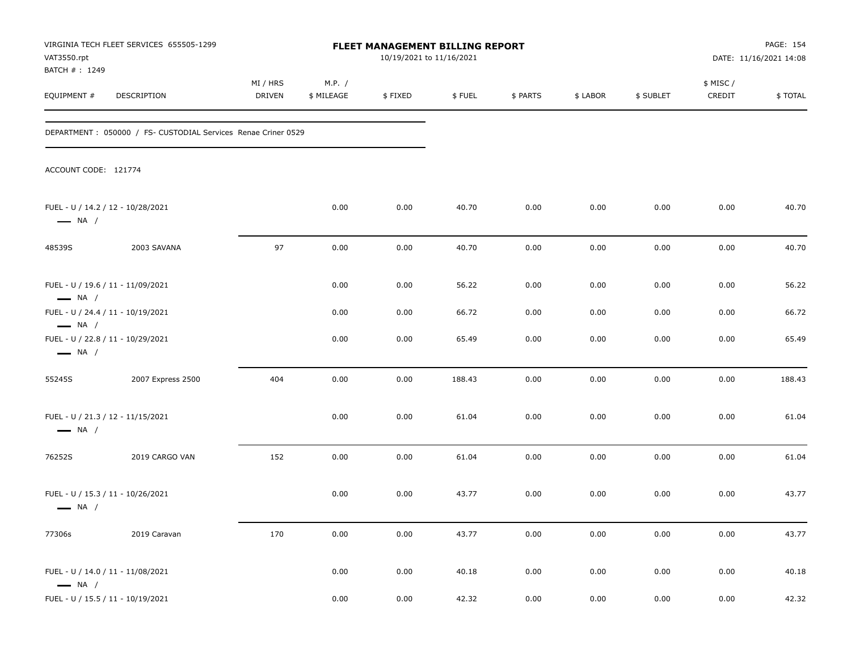| VAT3550.rpt<br>BATCH #: 1249                     | VIRGINIA TECH FLEET SERVICES 655505-1299                       |                    |                      | FLEET MANAGEMENT BILLING REPORT<br>10/19/2021 to 11/16/2021 |        |          |          |           |                    | PAGE: 154<br>DATE: 11/16/2021 14:08 |
|--------------------------------------------------|----------------------------------------------------------------|--------------------|----------------------|-------------------------------------------------------------|--------|----------|----------|-----------|--------------------|-------------------------------------|
| EQUIPMENT#                                       | DESCRIPTION                                                    | MI / HRS<br>DRIVEN | M.P. /<br>\$ MILEAGE | \$FIXED                                                     | \$FUEL | \$ PARTS | \$ LABOR | \$ SUBLET | \$ MISC/<br>CREDIT | \$TOTAL                             |
|                                                  | DEPARTMENT : 050000 / FS- CUSTODIAL Services Renae Criner 0529 |                    |                      |                                                             |        |          |          |           |                    |                                     |
| ACCOUNT CODE: 121774                             |                                                                |                    |                      |                                                             |        |          |          |           |                    |                                     |
| $\longrightarrow$ NA /                           | FUEL - U / 14.2 / 12 - 10/28/2021                              |                    | 0.00                 | 0.00                                                        | 40.70  | 0.00     | 0.00     | 0.00      | 0.00               | 40.70                               |
| 48539S                                           | 2003 SAVANA                                                    | 97                 | 0.00                 | 0.00                                                        | 40.70  | 0.00     | 0.00     | 0.00      | 0.00               | 40.70                               |
| $\longrightarrow$ NA /                           | FUEL - U / 19.6 / 11 - 11/09/2021                              |                    | 0.00                 | 0.00                                                        | 56.22  | 0.00     | 0.00     | 0.00      | 0.00               | 56.22                               |
|                                                  | FUEL - U / 24.4 / 11 - 10/19/2021                              |                    | 0.00                 | 0.00                                                        | 66.72  | 0.00     | 0.00     | 0.00      | 0.00               | 66.72                               |
| $\longrightarrow$ NA /<br>$\longrightarrow$ NA / | FUEL - U / 22.8 / 11 - 10/29/2021                              |                    | 0.00                 | 0.00                                                        | 65.49  | 0.00     | 0.00     | 0.00      | 0.00               | 65.49                               |
| 55245S                                           | 2007 Express 2500                                              | 404                | 0.00                 | 0.00                                                        | 188.43 | 0.00     | 0.00     | 0.00      | 0.00               | 188.43                              |
| $\longrightarrow$ NA /                           | FUEL - U / 21.3 / 12 - 11/15/2021                              |                    | 0.00                 | 0.00                                                        | 61.04  | 0.00     | 0.00     | 0.00      | 0.00               | 61.04                               |
| 76252S                                           | 2019 CARGO VAN                                                 | 152                | 0.00                 | 0.00                                                        | 61.04  | 0.00     | 0.00     | 0.00      | 0.00               | 61.04                               |
| $\longrightarrow$ NA /                           | FUEL - U / 15.3 / 11 - 10/26/2021                              |                    | 0.00                 | 0.00                                                        | 43.77  | 0.00     | 0.00     | 0.00      | 0.00               | 43.77                               |
| 77306s                                           | 2019 Caravan                                                   | 170                | 0.00                 | 0.00                                                        | 43.77  | 0.00     | 0.00     | 0.00      | 0.00               | 43.77                               |
| $\longrightarrow$ NA /                           | FUEL - U / 14.0 / 11 - 11/08/2021                              |                    | 0.00                 | 0.00                                                        | 40.18  | 0.00     | 0.00     | 0.00      | 0.00               | 40.18                               |
|                                                  | FUEL - U / 15.5 / 11 - 10/19/2021                              |                    | 0.00                 | 0.00                                                        | 42.32  | 0.00     | 0.00     | 0.00      | $0.00\,$           | 42.32                               |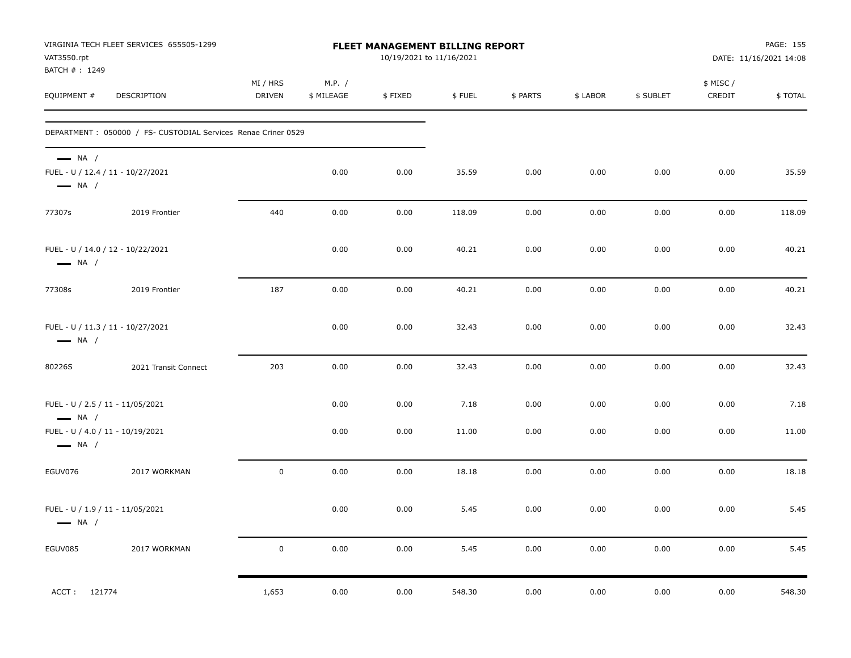| VAT3550.rpt<br>BATCH #: 1249                               | VIRGINIA TECH FLEET SERVICES 655505-1299                       |                           |                      | FLEET MANAGEMENT BILLING REPORT<br>10/19/2021 to 11/16/2021 |        |          |          |           |                    | PAGE: 155<br>DATE: 11/16/2021 14:08 |
|------------------------------------------------------------|----------------------------------------------------------------|---------------------------|----------------------|-------------------------------------------------------------|--------|----------|----------|-----------|--------------------|-------------------------------------|
| EQUIPMENT #                                                | DESCRIPTION                                                    | MI / HRS<br><b>DRIVEN</b> | M.P. /<br>\$ MILEAGE | \$FIXED                                                     | \$FUEL | \$ PARTS | \$ LABOR | \$ SUBLET | \$ MISC/<br>CREDIT | \$TOTAL                             |
|                                                            | DEPARTMENT : 050000 / FS- CUSTODIAL Services Renae Criner 0529 |                           |                      |                                                             |        |          |          |           |                    |                                     |
| $\longrightarrow$ NA /<br>$\longrightarrow$ NA /           | FUEL - U / 12.4 / 11 - 10/27/2021                              |                           | 0.00                 | 0.00                                                        | 35.59  | 0.00     | 0.00     | 0.00      | 0.00               | 35.59                               |
| 77307s                                                     | 2019 Frontier                                                  | 440                       | 0.00                 | 0.00                                                        | 118.09 | 0.00     | 0.00     | 0.00      | 0.00               | 118.09                              |
| $\longrightarrow$ NA /                                     | FUEL - U / 14.0 / 12 - 10/22/2021                              |                           | 0.00                 | 0.00                                                        | 40.21  | 0.00     | 0.00     | 0.00      | 0.00               | 40.21                               |
| 77308s                                                     | 2019 Frontier                                                  | 187                       | 0.00                 | 0.00                                                        | 40.21  | 0.00     | 0.00     | 0.00      | 0.00               | 40.21                               |
| $\longrightarrow$ NA /                                     | FUEL - U / 11.3 / 11 - 10/27/2021                              |                           | 0.00                 | 0.00                                                        | 32.43  | 0.00     | 0.00     | 0.00      | 0.00               | 32.43                               |
| 80226S                                                     | 2021 Transit Connect                                           | 203                       | 0.00                 | 0.00                                                        | 32.43  | 0.00     | 0.00     | 0.00      | 0.00               | 32.43                               |
| FUEL - U / 2.5 / 11 - 11/05/2021<br>$\longrightarrow$ NA / |                                                                |                           | 0.00                 | 0.00                                                        | 7.18   | 0.00     | 0.00     | 0.00      | 0.00               | 7.18                                |
| FUEL - U / 4.0 / 11 - 10/19/2021<br>$\longrightarrow$ NA / |                                                                |                           | 0.00                 | 0.00                                                        | 11.00  | 0.00     | 0.00     | 0.00      | 0.00               | 11.00                               |
| EGUV076                                                    | 2017 WORKMAN                                                   | $\mathbf 0$               | 0.00                 | 0.00                                                        | 18.18  | 0.00     | 0.00     | 0.00      | 0.00               | 18.18                               |
| FUEL - U / 1.9 / 11 - 11/05/2021<br>$\longrightarrow$ NA / |                                                                |                           | 0.00                 | 0.00                                                        | 5.45   | 0.00     | 0.00     | 0.00      | 0.00               | 5.45                                |
| EGUV085                                                    | 2017 WORKMAN                                                   | $\mathbf 0$               | 0.00                 | 0.00                                                        | 5.45   | 0.00     | 0.00     | 0.00      | 0.00               | 5.45                                |
| ACCT: 121774                                               |                                                                | 1,653                     | 0.00                 | 0.00                                                        | 548.30 | 0.00     | 0.00     | 0.00      | 0.00               | 548.30                              |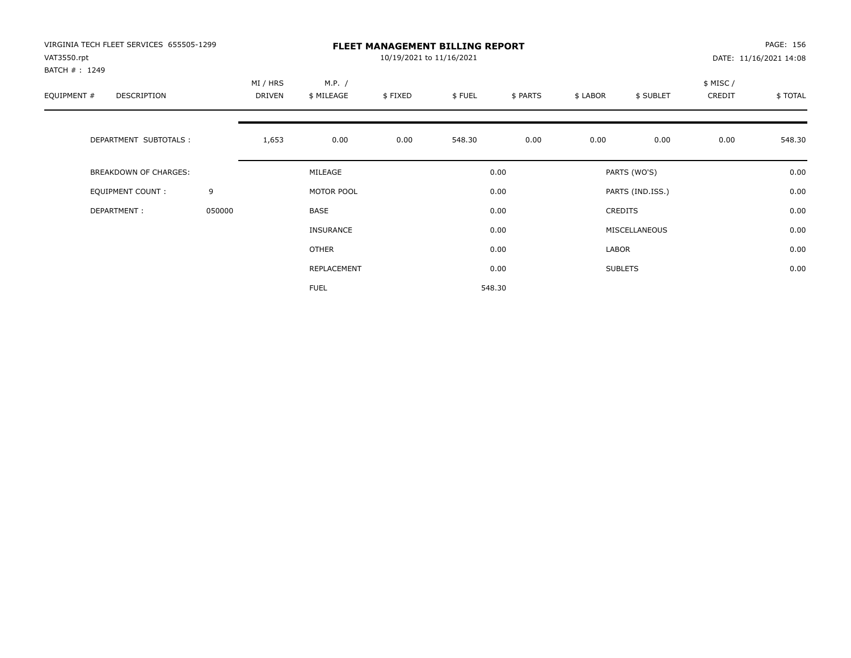| VIRGINIA TECH FLEET SERVICES 655505-1299<br>VAT3550.rpt<br>BATCH #: 1249 |        | <b>FLEET MANAGEMENT BILLING REPORT</b><br>10/19/2021 to 11/16/2021<br>DATE: 11/16/2021 14:08 |                      |         |        |          |          |                  |                     |         |
|--------------------------------------------------------------------------|--------|----------------------------------------------------------------------------------------------|----------------------|---------|--------|----------|----------|------------------|---------------------|---------|
| EQUIPMENT #<br><b>DESCRIPTION</b>                                        |        | MI / HRS<br><b>DRIVEN</b>                                                                    | M.P. /<br>\$ MILEAGE | \$FIXED | \$FUEL | \$ PARTS | \$ LABOR | \$ SUBLET        | \$ MISC /<br>CREDIT | \$TOTAL |
| DEPARTMENT SUBTOTALS :                                                   |        | 1,653                                                                                        | 0.00                 | 0.00    | 548.30 | 0.00     | 0.00     | 0.00             | 0.00                | 548.30  |
| <b>BREAKDOWN OF CHARGES:</b>                                             |        |                                                                                              | MILEAGE              |         |        | 0.00     |          | PARTS (WO'S)     |                     | 0.00    |
| EQUIPMENT COUNT:                                                         | 9      |                                                                                              | MOTOR POOL           |         |        | 0.00     |          | PARTS (IND.ISS.) |                     | 0.00    |
| DEPARTMENT:                                                              | 050000 |                                                                                              | <b>BASE</b>          |         |        | 0.00     |          | <b>CREDITS</b>   |                     | 0.00    |
|                                                                          |        |                                                                                              | INSURANCE            |         |        | 0.00     |          | MISCELLANEOUS    |                     | 0.00    |
|                                                                          |        |                                                                                              | OTHER                |         |        | 0.00     | LABOR    |                  |                     | 0.00    |
|                                                                          |        |                                                                                              | REPLACEMENT          |         |        | 0.00     |          | <b>SUBLETS</b>   |                     | 0.00    |
|                                                                          |        |                                                                                              | <b>FUEL</b>          |         |        | 548.30   |          |                  |                     |         |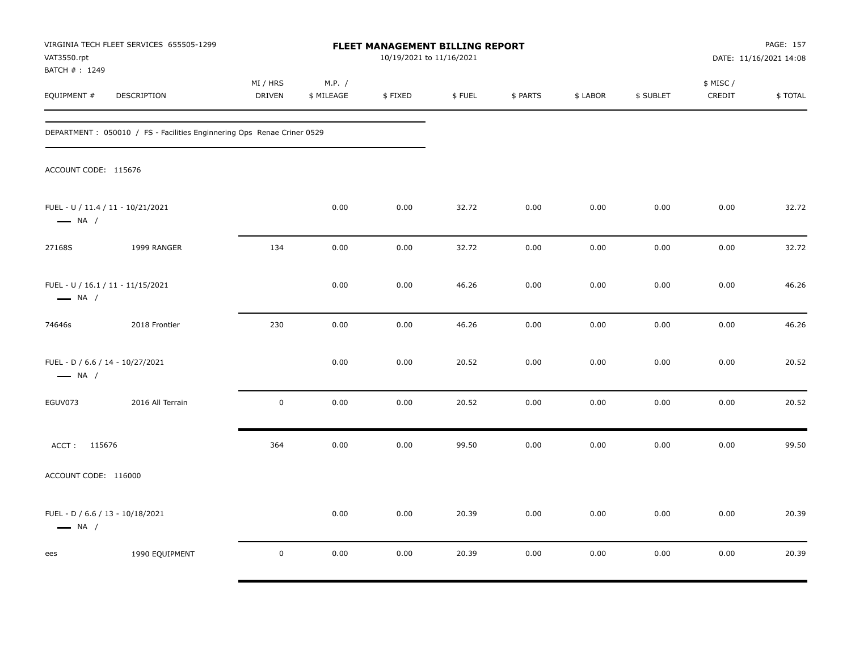| VAT3550.rpt<br>BATCH #: 1249                                | VIRGINIA TECH FLEET SERVICES 655505-1299                                |                           |                      | <b>FLEET MANAGEMENT BILLING REPORT</b><br>10/19/2021 to 11/16/2021 |        |          |          |           |                     | PAGE: 157<br>DATE: 11/16/2021 14:08 |
|-------------------------------------------------------------|-------------------------------------------------------------------------|---------------------------|----------------------|--------------------------------------------------------------------|--------|----------|----------|-----------|---------------------|-------------------------------------|
| EQUIPMENT #                                                 | DESCRIPTION                                                             | MI / HRS<br><b>DRIVEN</b> | M.P. /<br>\$ MILEAGE | \$FIXED                                                            | \$FUEL | \$ PARTS | \$ LABOR | \$ SUBLET | \$ MISC /<br>CREDIT | \$TOTAL                             |
|                                                             | DEPARTMENT : 050010 / FS - Facilities Enginnering Ops Renae Criner 0529 |                           |                      |                                                                    |        |          |          |           |                     |                                     |
| ACCOUNT CODE: 115676                                        |                                                                         |                           |                      |                                                                    |        |          |          |           |                     |                                     |
| FUEL - U / 11.4 / 11 - 10/21/2021<br>$\longrightarrow$ NA / |                                                                         |                           | 0.00                 | 0.00                                                               | 32.72  | 0.00     | 0.00     | 0.00      | 0.00                | 32.72                               |
| 27168S                                                      | 1999 RANGER                                                             | 134                       | 0.00                 | 0.00                                                               | 32.72  | 0.00     | 0.00     | 0.00      | 0.00                | 32.72                               |
| FUEL - U / 16.1 / 11 - 11/15/2021<br>$\longrightarrow$ NA / |                                                                         |                           | 0.00                 | 0.00                                                               | 46.26  | 0.00     | 0.00     | 0.00      | 0.00                | 46.26                               |
| 74646s                                                      | 2018 Frontier                                                           | 230                       | 0.00                 | 0.00                                                               | 46.26  | 0.00     | 0.00     | 0.00      | 0.00                | 46.26                               |
| FUEL - D / 6.6 / 14 - 10/27/2021<br>$\longrightarrow$ NA /  |                                                                         |                           | 0.00                 | 0.00                                                               | 20.52  | 0.00     | 0.00     | 0.00      | 0.00                | 20.52                               |
| EGUV073                                                     | 2016 All Terrain                                                        | $\mathbf 0$               | 0.00                 | 0.00                                                               | 20.52  | 0.00     | 0.00     | 0.00      | 0.00                | 20.52                               |
| ACCT: 115676                                                |                                                                         | 364                       | 0.00                 | 0.00                                                               | 99.50  | 0.00     | 0.00     | 0.00      | 0.00                | 99.50                               |
| ACCOUNT CODE: 116000                                        |                                                                         |                           |                      |                                                                    |        |          |          |           |                     |                                     |
| FUEL - D / 6.6 / 13 - 10/18/2021<br>$\longrightarrow$ NA /  |                                                                         |                           | 0.00                 | 0.00                                                               | 20.39  | 0.00     | 0.00     | 0.00      | 0.00                | 20.39                               |
| ees                                                         | 1990 EQUIPMENT                                                          | $\mathbf 0$               | 0.00                 | 0.00                                                               | 20.39  | 0.00     | 0.00     | 0.00      | 0.00                | 20.39                               |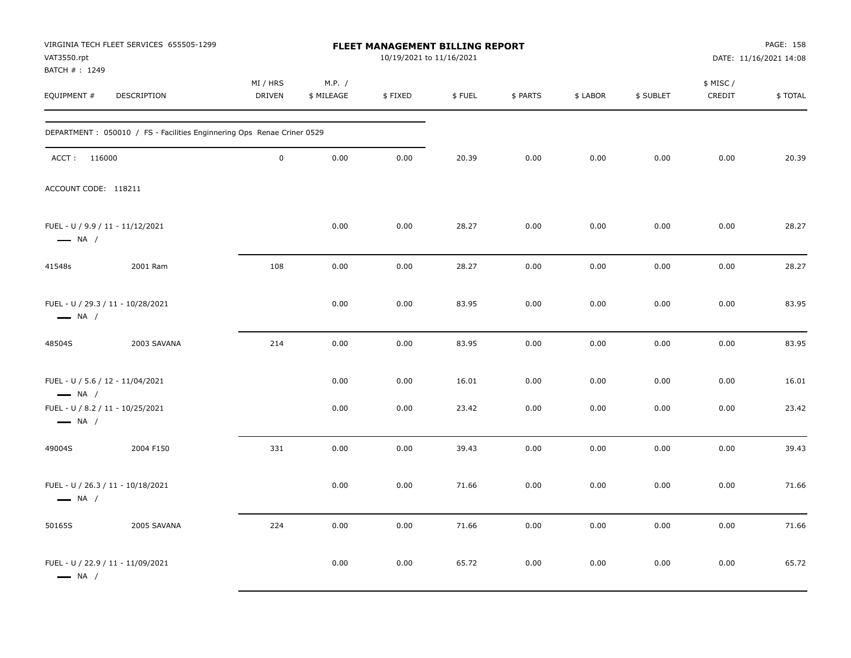| VAT3550.rpt<br>BATCH #: 1249                               | VIRGINIA TECH FLEET SERVICES 655505-1299                               |                    |                      | <b>FLEET MANAGEMENT BILLING REPORT</b><br>10/19/2021 to 11/16/2021 |        |          |          |           |                     | PAGE: 158<br>DATE: 11/16/2021 14:08 |
|------------------------------------------------------------|------------------------------------------------------------------------|--------------------|----------------------|--------------------------------------------------------------------|--------|----------|----------|-----------|---------------------|-------------------------------------|
| EQUIPMENT #                                                | DESCRIPTION                                                            | MI / HRS<br>DRIVEN | M.P. /<br>\$ MILEAGE | \$FIXED                                                            | \$FUEL | \$ PARTS | \$ LABOR | \$ SUBLET | \$ MISC /<br>CREDIT | \$TOTAL                             |
|                                                            | DEPARTMENT: 050010 / FS - Facilities Enginnering Ops Renae Criner 0529 |                    |                      |                                                                    |        |          |          |           |                     |                                     |
| ACCT: 116000                                               |                                                                        | $\mathbf 0$        | 0.00                 | 0.00                                                               | 20.39  | 0.00     | 0.00     | 0.00      | 0.00                | 20.39                               |
| ACCOUNT CODE: 118211                                       |                                                                        |                    |                      |                                                                    |        |          |          |           |                     |                                     |
| FUEL - U / 9.9 / 11 - 11/12/2021<br>$\longrightarrow$ NA / |                                                                        |                    | 0.00                 | 0.00                                                               | 28.27  | 0.00     | 0.00     | 0.00      | 0.00                | 28.27                               |
| 41548s                                                     | 2001 Ram                                                               | 108                | 0.00                 | 0.00                                                               | 28.27  | 0.00     | 0.00     | 0.00      | 0.00                | 28.27                               |
| $\longrightarrow$ NA /                                     | FUEL - U / 29.3 / 11 - 10/28/2021                                      |                    | 0.00                 | 0.00                                                               | 83.95  | 0.00     | 0.00     | 0.00      | 0.00                | 83.95                               |
| 48504S                                                     | 2003 SAVANA                                                            | 214                | 0.00                 | 0.00                                                               | 83.95  | 0.00     | 0.00     | 0.00      | 0.00                | 83.95                               |
| FUEL - U / 5.6 / 12 - 11/04/2021<br>$\longrightarrow$ NA / |                                                                        |                    | 0.00                 | 0.00                                                               | 16.01  | 0.00     | 0.00     | 0.00      | 0.00                | 16.01                               |
| FUEL - U / 8.2 / 11 - 10/25/2021<br>$\longrightarrow$ NA / |                                                                        |                    | 0.00                 | 0.00                                                               | 23.42  | 0.00     | 0.00     | 0.00      | 0.00                | 23.42                               |
| 49004S                                                     | 2004 F150                                                              | 331                | 0.00                 | 0.00                                                               | 39.43  | 0.00     | 0.00     | 0.00      | 0.00                | 39.43                               |
| $\longrightarrow$ NA /                                     | FUEL - U / 26.3 / 11 - 10/18/2021                                      |                    | 0.00                 | 0.00                                                               | 71.66  | 0.00     | 0.00     | 0.00      | 0.00                | 71.66                               |
| 50165S                                                     | 2005 SAVANA                                                            | 224                | 0.00                 | 0.00                                                               | 71.66  | 0.00     | 0.00     | 0.00      | 0.00                | 71.66                               |
| $\longrightarrow$ NA /                                     | FUEL - U / 22.9 / 11 - 11/09/2021                                      |                    | 0.00                 | 0.00                                                               | 65.72  | 0.00     | 0.00     | 0.00      | 0.00                | 65.72                               |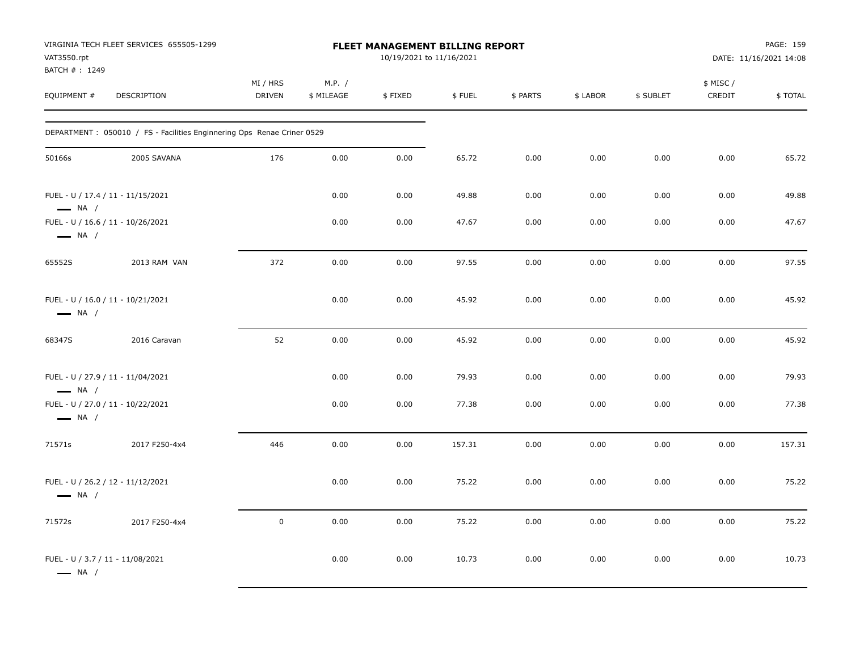| VAT3550.rpt<br>BATCH #: 1249                                | VIRGINIA TECH FLEET SERVICES 655505-1299                                |                           |                      | <b>FLEET MANAGEMENT BILLING REPORT</b><br>10/19/2021 to 11/16/2021 |        |          |          |           |                    | PAGE: 159<br>DATE: 11/16/2021 14:08 |
|-------------------------------------------------------------|-------------------------------------------------------------------------|---------------------------|----------------------|--------------------------------------------------------------------|--------|----------|----------|-----------|--------------------|-------------------------------------|
| EQUIPMENT #                                                 | DESCRIPTION                                                             | MI / HRS<br><b>DRIVEN</b> | M.P. /<br>\$ MILEAGE | \$FIXED                                                            | \$FUEL | \$ PARTS | \$ LABOR | \$ SUBLET | \$ MISC/<br>CREDIT | \$TOTAL                             |
|                                                             | DEPARTMENT : 050010 / FS - Facilities Enginnering Ops Renae Criner 0529 |                           |                      |                                                                    |        |          |          |           |                    |                                     |
| 50166s                                                      | 2005 SAVANA                                                             | 176                       | 0.00                 | 0.00                                                               | 65.72  | 0.00     | 0.00     | 0.00      | 0.00               | 65.72                               |
| FUEL - U / 17.4 / 11 - 11/15/2021<br>$\longrightarrow$ NA / |                                                                         |                           | 0.00                 | 0.00                                                               | 49.88  | 0.00     | 0.00     | 0.00      | 0.00               | 49.88                               |
| FUEL - U / 16.6 / 11 - 10/26/2021<br>$\longrightarrow$ NA / |                                                                         |                           | 0.00                 | 0.00                                                               | 47.67  | 0.00     | 0.00     | 0.00      | 0.00               | 47.67                               |
| 65552S                                                      | 2013 RAM VAN                                                            | 372                       | 0.00                 | 0.00                                                               | 97.55  | 0.00     | 0.00     | 0.00      | 0.00               | 97.55                               |
| FUEL - U / 16.0 / 11 - 10/21/2021<br>$\longrightarrow$ NA / |                                                                         |                           | 0.00                 | 0.00                                                               | 45.92  | 0.00     | 0.00     | 0.00      | 0.00               | 45.92                               |
| 68347S                                                      | 2016 Caravan                                                            | 52                        | 0.00                 | 0.00                                                               | 45.92  | 0.00     | 0.00     | 0.00      | 0.00               | 45.92                               |
| FUEL - U / 27.9 / 11 - 11/04/2021<br>$\longrightarrow$ NA / |                                                                         |                           | 0.00                 | 0.00                                                               | 79.93  | 0.00     | 0.00     | 0.00      | 0.00               | 79.93                               |
| FUEL - U / 27.0 / 11 - 10/22/2021<br>$\longrightarrow$ NA / |                                                                         |                           | 0.00                 | 0.00                                                               | 77.38  | 0.00     | 0.00     | 0.00      | 0.00               | 77.38                               |
| 71571s                                                      | 2017 F250-4x4                                                           | 446                       | 0.00                 | 0.00                                                               | 157.31 | 0.00     | 0.00     | 0.00      | 0.00               | 157.31                              |
| FUEL - U / 26.2 / 12 - 11/12/2021<br>$\longrightarrow$ NA / |                                                                         |                           | 0.00                 | 0.00                                                               | 75.22  | 0.00     | 0.00     | 0.00      | 0.00               | 75.22                               |
| 71572s                                                      | 2017 F250-4x4                                                           | $\pmb{0}$                 | 0.00                 | 0.00                                                               | 75.22  | 0.00     | 0.00     | 0.00      | 0.00               | 75.22                               |
| FUEL - U / 3.7 / 11 - 11/08/2021<br>$\longrightarrow$ NA /  |                                                                         |                           | 0.00                 | 0.00                                                               | 10.73  | 0.00     | 0.00     | 0.00      | 0.00               | 10.73                               |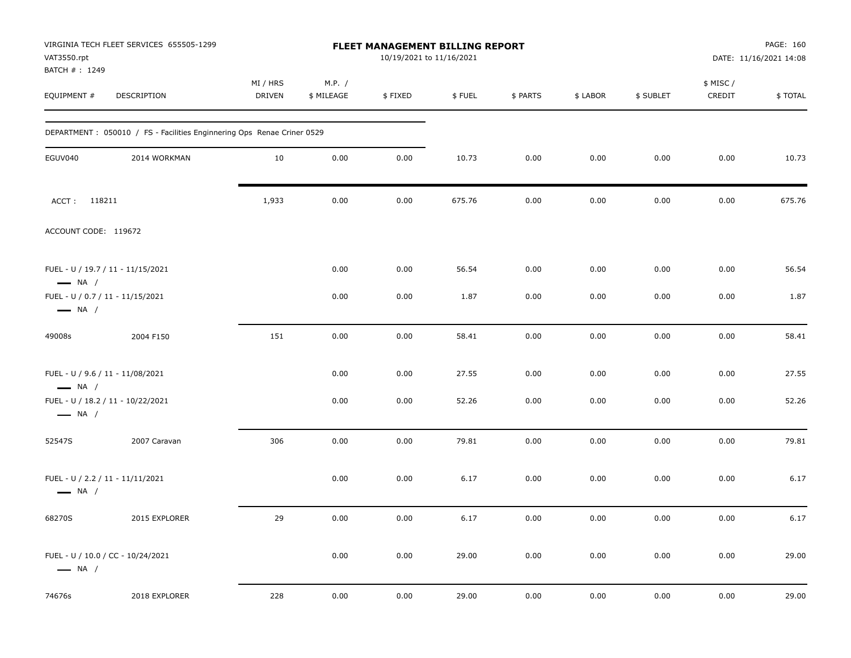| VAT3550.rpt<br>BATCH #: 1249 | VIRGINIA TECH FLEET SERVICES 655505-1299                                |                    |                      | FLEET MANAGEMENT BILLING REPORT<br>10/19/2021 to 11/16/2021 |        |          |          |           |                     | PAGE: 160<br>DATE: 11/16/2021 14:08 |
|------------------------------|-------------------------------------------------------------------------|--------------------|----------------------|-------------------------------------------------------------|--------|----------|----------|-----------|---------------------|-------------------------------------|
| EQUIPMENT #                  | DESCRIPTION                                                             | MI / HRS<br>DRIVEN | M.P. /<br>\$ MILEAGE | \$FIXED                                                     | \$FUEL | \$ PARTS | \$ LABOR | \$ SUBLET | \$ MISC /<br>CREDIT | \$TOTAL                             |
|                              | DEPARTMENT : 050010 / FS - Facilities Enginnering Ops Renae Criner 0529 |                    |                      |                                                             |        |          |          |           |                     |                                     |
| EGUV040                      | 2014 WORKMAN                                                            | 10                 | 0.00                 | 0.00                                                        | 10.73  | 0.00     | 0.00     | 0.00      | 0.00                | 10.73                               |
| ACCT: 118211                 |                                                                         | 1,933              | 0.00                 | 0.00                                                        | 675.76 | 0.00     | 0.00     | 0.00      | 0.00                | 675.76                              |
| ACCOUNT CODE: 119672         |                                                                         |                    |                      |                                                             |        |          |          |           |                     |                                     |
| $\longrightarrow$ NA /       | FUEL - U / 19.7 / 11 - 11/15/2021                                       |                    | 0.00                 | 0.00                                                        | 56.54  | 0.00     | 0.00     | 0.00      | 0.00                | 56.54                               |
| $\longrightarrow$ NA /       | FUEL - U / 0.7 / 11 - 11/15/2021                                        |                    | 0.00                 | 0.00                                                        | 1.87   | 0.00     | 0.00     | 0.00      | 0.00                | 1.87                                |
| 49008s                       | 2004 F150                                                               | 151                | 0.00                 | 0.00                                                        | 58.41  | 0.00     | 0.00     | 0.00      | 0.00                | 58.41                               |
| $\longrightarrow$ NA /       | FUEL - U / 9.6 / 11 - 11/08/2021                                        |                    | 0.00                 | 0.00                                                        | 27.55  | 0.00     | 0.00     | 0.00      | 0.00                | 27.55                               |
| $\longrightarrow$ NA /       | FUEL - U / 18.2 / 11 - 10/22/2021                                       |                    | 0.00                 | 0.00                                                        | 52.26  | 0.00     | 0.00     | 0.00      | 0.00                | 52.26                               |
| 52547S                       | 2007 Caravan                                                            | 306                | 0.00                 | 0.00                                                        | 79.81  | 0.00     | 0.00     | 0.00      | 0.00                | 79.81                               |
| $\longrightarrow$ NA /       | FUEL - U / 2.2 / 11 - 11/11/2021                                        |                    | 0.00                 | 0.00                                                        | 6.17   | 0.00     | 0.00     | 0.00      | 0.00                | 6.17                                |
| 68270S                       | 2015 EXPLORER                                                           | 29                 | 0.00                 | 0.00                                                        | 6.17   | 0.00     | 0.00     | 0.00      | 0.00                | 6.17                                |
| $\longrightarrow$ NA /       | FUEL - U / 10.0 / CC - 10/24/2021                                       |                    | 0.00                 | 0.00                                                        | 29.00  | 0.00     | 0.00     | 0.00      | 0.00                | 29.00                               |
| 74676s                       | 2018 EXPLORER                                                           | 228                | 0.00                 | 0.00                                                        | 29.00  | 0.00     | 0.00     | 0.00      | 0.00                | 29.00                               |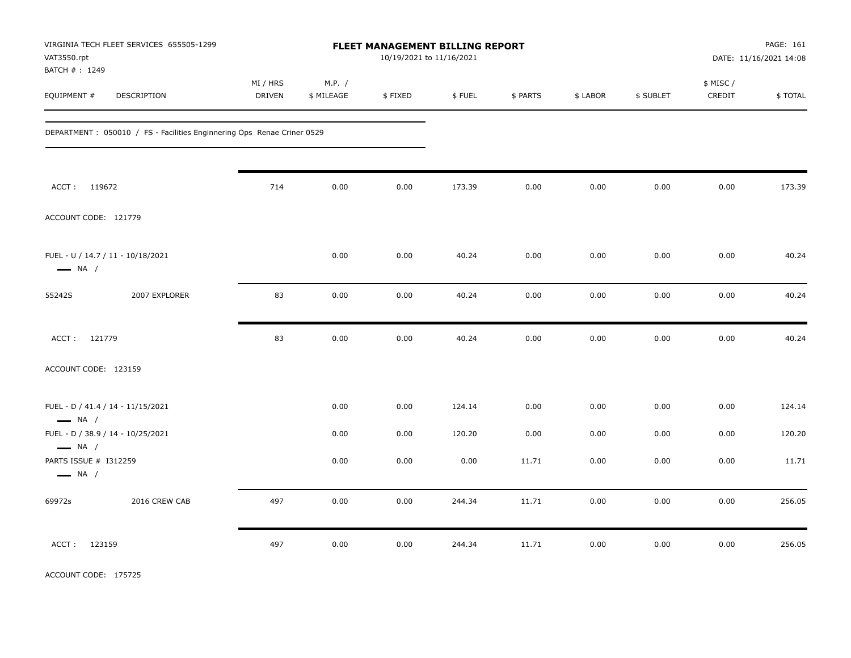| VAT3550.rpt<br>BATCH #: 1249                                | VIRGINIA TECH FLEET SERVICES 655505-1299                                |                    |                      | FLEET MANAGEMENT BILLING REPORT<br>10/19/2021 to 11/16/2021 |        |          |          |           |                     | PAGE: 161<br>DATE: 11/16/2021 14:08 |
|-------------------------------------------------------------|-------------------------------------------------------------------------|--------------------|----------------------|-------------------------------------------------------------|--------|----------|----------|-----------|---------------------|-------------------------------------|
| EQUIPMENT #                                                 | DESCRIPTION                                                             | MI / HRS<br>DRIVEN | M.P. /<br>\$ MILEAGE | \$FIXED                                                     | \$FUEL | \$ PARTS | \$ LABOR | \$ SUBLET | \$ MISC /<br>CREDIT | \$TOTAL                             |
|                                                             | DEPARTMENT : 050010 / FS - Facilities Enginnering Ops Renae Criner 0529 |                    |                      |                                                             |        |          |          |           |                     |                                     |
| ACCT: 119672                                                |                                                                         | 714                | 0.00                 | 0.00                                                        | 173.39 | 0.00     | 0.00     | 0.00      | 0.00                | 173.39                              |
| ACCOUNT CODE: 121779                                        |                                                                         |                    |                      |                                                             |        |          |          |           |                     |                                     |
| FUEL - U / 14.7 / 11 - 10/18/2021<br>$\longrightarrow$ NA / |                                                                         |                    | 0.00                 | 0.00                                                        | 40.24  | 0.00     | 0.00     | 0.00      | 0.00                | 40.24                               |
| 55242S                                                      | 2007 EXPLORER                                                           | 83                 | 0.00                 | 0.00                                                        | 40.24  | 0.00     | 0.00     | 0.00      | 0.00                | 40.24                               |
| ACCT: 121779                                                |                                                                         | 83                 | 0.00                 | 0.00                                                        | 40.24  | 0.00     | 0.00     | 0.00      | 0.00                | 40.24                               |
| ACCOUNT CODE: 123159                                        |                                                                         |                    |                      |                                                             |        |          |          |           |                     |                                     |
| FUEL - D / 41.4 / 14 - 11/15/2021<br>$\longrightarrow$ NA / |                                                                         |                    | 0.00                 | 0.00                                                        | 124.14 | 0.00     | 0.00     | 0.00      | 0.00                | 124.14                              |
| FUEL - D / 38.9 / 14 - 10/25/2021<br>$\longrightarrow$ NA / |                                                                         |                    | 0.00                 | 0.00                                                        | 120.20 | 0.00     | 0.00     | 0.00      | 0.00                | 120.20                              |
| PARTS ISSUE # I312259<br>$\longrightarrow$ NA /             |                                                                         |                    | 0.00                 | 0.00                                                        | 0.00   | 11.71    | 0.00     | 0.00      | 0.00                | 11.71                               |
| 69972s                                                      | 2016 CREW CAB                                                           | 497                | 0.00                 | 0.00                                                        | 244.34 | 11.71    | 0.00     | 0.00      | 0.00                | 256.05                              |
| ACCT:<br>123159                                             |                                                                         | 497                | 0.00                 | 0.00                                                        | 244.34 | 11.71    | 0.00     | 0.00      | 0.00                | 256.05                              |

ACCOUNT CODE: 175725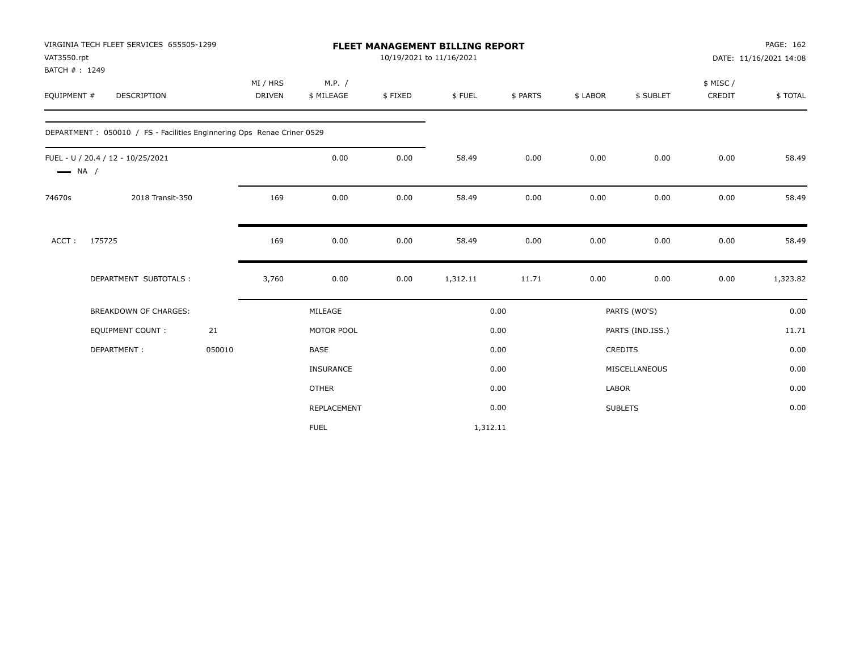|                              | VIRGINIA TECH FLEET SERVICES 655505-1299                               |        |                    |                      |         | <b>FLEET MANAGEMENT BILLING REPORT</b> |          |          |                  |                    | PAGE: 162              |
|------------------------------|------------------------------------------------------------------------|--------|--------------------|----------------------|---------|----------------------------------------|----------|----------|------------------|--------------------|------------------------|
| VAT3550.rpt                  |                                                                        |        |                    |                      |         | 10/19/2021 to 11/16/2021               |          |          |                  |                    | DATE: 11/16/2021 14:08 |
| BATCH #: 1249<br>EQUIPMENT # | <b>DESCRIPTION</b>                                                     |        | MI / HRS<br>DRIVEN | M.P. /<br>\$ MILEAGE | \$FIXED | \$FUEL                                 | \$ PARTS | \$ LABOR | \$ SUBLET        | \$ MISC/<br>CREDIT | \$TOTAL                |
|                              | DEPARTMENT: 050010 / FS - Facilities Enginnering Ops Renae Criner 0529 |        |                    |                      |         |                                        |          |          |                  |                    |                        |
| $\longrightarrow$ NA /       | FUEL - U / 20.4 / 12 - 10/25/2021                                      |        |                    | 0.00                 | 0.00    | 58.49                                  | 0.00     | 0.00     | 0.00             | 0.00               | 58.49                  |
| 74670s                       | 2018 Transit-350                                                       |        | 169                | 0.00                 | 0.00    | 58.49                                  | 0.00     | 0.00     | 0.00             | 0.00               | 58.49                  |
| ACCT:                        | 175725                                                                 |        | 169                | 0.00                 | 0.00    | 58.49                                  | 0.00     | 0.00     | 0.00             | 0.00               | 58.49                  |
|                              | DEPARTMENT SUBTOTALS :                                                 |        | 3,760              | 0.00                 | 0.00    | 1,312.11                               | 11.71    | 0.00     | 0.00             | 0.00               | 1,323.82               |
|                              | <b>BREAKDOWN OF CHARGES:</b>                                           |        |                    | MILEAGE              |         |                                        | 0.00     |          | PARTS (WO'S)     |                    | 0.00                   |
|                              | <b>EQUIPMENT COUNT:</b>                                                | 21     |                    | MOTOR POOL           |         |                                        | 0.00     |          | PARTS (IND.ISS.) |                    | 11.71                  |
|                              | DEPARTMENT:                                                            | 050010 |                    | <b>BASE</b>          |         |                                        | 0.00     |          | CREDITS          |                    | 0.00                   |
|                              |                                                                        |        |                    | <b>INSURANCE</b>     |         |                                        | 0.00     |          | MISCELLANEOUS    |                    | 0.00                   |
|                              |                                                                        |        |                    | <b>OTHER</b>         |         |                                        | 0.00     | LABOR    |                  |                    | 0.00                   |
|                              |                                                                        |        |                    | REPLACEMENT          |         |                                        | 0.00     |          | <b>SUBLETS</b>   |                    | 0.00                   |
|                              |                                                                        |        |                    | <b>FUEL</b>          |         | 1,312.11                               |          |          |                  |                    |                        |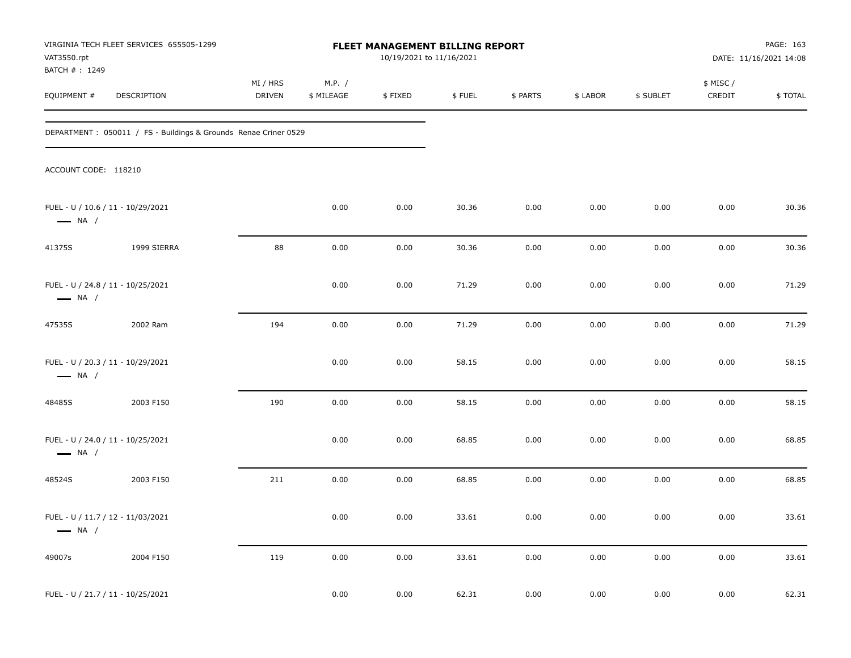| VAT3550.rpt                                                 | VIRGINIA TECH FLEET SERVICES 655505-1299                         |                    |                      | FLEET MANAGEMENT BILLING REPORT<br>10/19/2021 to 11/16/2021 |        |          |          |           |                     | PAGE: 163<br>DATE: 11/16/2021 14:08 |
|-------------------------------------------------------------|------------------------------------------------------------------|--------------------|----------------------|-------------------------------------------------------------|--------|----------|----------|-----------|---------------------|-------------------------------------|
| BATCH #: 1249<br>EQUIPMENT #                                | DESCRIPTION                                                      | MI / HRS<br>DRIVEN | M.P. /<br>\$ MILEAGE | \$FIXED                                                     | \$FUEL | \$ PARTS | \$ LABOR | \$ SUBLET | \$ MISC /<br>CREDIT | \$TOTAL                             |
|                                                             | DEPARTMENT : 050011 / FS - Buildings & Grounds Renae Criner 0529 |                    |                      |                                                             |        |          |          |           |                     |                                     |
| ACCOUNT CODE: 118210                                        |                                                                  |                    |                      |                                                             |        |          |          |           |                     |                                     |
| FUEL - U / 10.6 / 11 - 10/29/2021<br>$\longrightarrow$ NA / |                                                                  |                    | 0.00                 | 0.00                                                        | 30.36  | 0.00     | 0.00     | 0.00      | 0.00                | 30.36                               |
| 41375S                                                      | 1999 SIERRA                                                      | 88                 | 0.00                 | 0.00                                                        | 30.36  | 0.00     | 0.00     | 0.00      | 0.00                | 30.36                               |
| FUEL - U / 24.8 / 11 - 10/25/2021<br>$\longrightarrow$ NA / |                                                                  |                    | 0.00                 | 0.00                                                        | 71.29  | 0.00     | 0.00     | 0.00      | 0.00                | 71.29                               |
| 47535S                                                      | 2002 Ram                                                         | 194                | 0.00                 | 0.00                                                        | 71.29  | 0.00     | 0.00     | 0.00      | 0.00                | 71.29                               |
| FUEL - U / 20.3 / 11 - 10/29/2021<br>$\longrightarrow$ NA / |                                                                  |                    | 0.00                 | 0.00                                                        | 58.15  | 0.00     | 0.00     | 0.00      | 0.00                | 58.15                               |
| 48485S                                                      | 2003 F150                                                        | 190                | 0.00                 | 0.00                                                        | 58.15  | 0.00     | 0.00     | 0.00      | 0.00                | 58.15                               |
| FUEL - U / 24.0 / 11 - 10/25/2021<br>$\longrightarrow$ NA / |                                                                  |                    | 0.00                 | 0.00                                                        | 68.85  | 0.00     | 0.00     | 0.00      | 0.00                | 68.85                               |
| 48524S                                                      | 2003 F150                                                        | 211                | 0.00                 | 0.00                                                        | 68.85  | 0.00     | 0.00     | 0.00      | 0.00                | 68.85                               |
| FUEL - U / 11.7 / 12 - 11/03/2021<br>$\longrightarrow$ NA / |                                                                  |                    | 0.00                 | 0.00                                                        | 33.61  | 0.00     | 0.00     | 0.00      | 0.00                | 33.61                               |
| 49007s                                                      | 2004 F150                                                        | 119                | 0.00                 | 0.00                                                        | 33.61  | 0.00     | $0.00\,$ | 0.00      | 0.00                | 33.61                               |
| FUEL - U / 21.7 / 11 - 10/25/2021                           |                                                                  |                    | 0.00                 | 0.00                                                        | 62.31  | 0.00     | 0.00     | 0.00      | 0.00                | 62.31                               |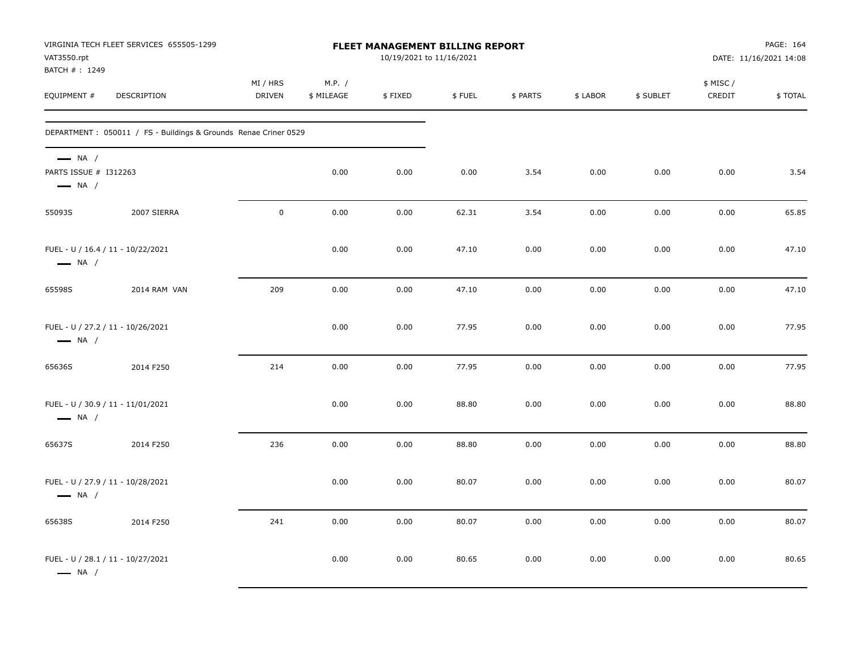| VAT3550.rpt<br>BATCH #: 1249                                              | VIRGINIA TECH FLEET SERVICES 655505-1299                        |                           |                      | <b>FLEET MANAGEMENT BILLING REPORT</b><br>10/19/2021 to 11/16/2021 |        |          |          |           |                    | PAGE: 164<br>DATE: 11/16/2021 14:08 |
|---------------------------------------------------------------------------|-----------------------------------------------------------------|---------------------------|----------------------|--------------------------------------------------------------------|--------|----------|----------|-----------|--------------------|-------------------------------------|
| EQUIPMENT #                                                               | DESCRIPTION                                                     | MI / HRS<br><b>DRIVEN</b> | M.P. /<br>\$ MILEAGE | \$FIXED                                                            | \$FUEL | \$ PARTS | \$ LABOR | \$ SUBLET | \$ MISC/<br>CREDIT | \$TOTAL                             |
|                                                                           | DEPARTMENT: 050011 / FS - Buildings & Grounds Renae Criner 0529 |                           |                      |                                                                    |        |          |          |           |                    |                                     |
| $\longrightarrow$ NA /<br>PARTS ISSUE # I312263<br>$\longrightarrow$ NA / |                                                                 |                           | 0.00                 | 0.00                                                               | 0.00   | 3.54     | 0.00     | 0.00      | 0.00               | 3.54                                |
| 55093S                                                                    | 2007 SIERRA                                                     | $\mathbf 0$               | 0.00                 | 0.00                                                               | 62.31  | 3.54     | 0.00     | 0.00      | 0.00               | 65.85                               |
| FUEL - U / 16.4 / 11 - 10/22/2021<br>$\longrightarrow$ NA /               |                                                                 |                           | 0.00                 | 0.00                                                               | 47.10  | 0.00     | 0.00     | 0.00      | 0.00               | 47.10                               |
| 65598S                                                                    | 2014 RAM VAN                                                    | 209                       | 0.00                 | 0.00                                                               | 47.10  | 0.00     | 0.00     | 0.00      | 0.00               | 47.10                               |
| FUEL - U / 27.2 / 11 - 10/26/2021<br>$\longrightarrow$ NA /               |                                                                 |                           | 0.00                 | 0.00                                                               | 77.95  | 0.00     | 0.00     | 0.00      | 0.00               | 77.95                               |
| 65636S                                                                    | 2014 F250                                                       | 214                       | 0.00                 | 0.00                                                               | 77.95  | 0.00     | 0.00     | 0.00      | 0.00               | 77.95                               |
| FUEL - U / 30.9 / 11 - 11/01/2021<br>$\longrightarrow$ NA /               |                                                                 |                           | 0.00                 | 0.00                                                               | 88.80  | 0.00     | 0.00     | 0.00      | 0.00               | 88.80                               |
| 65637S                                                                    | 2014 F250                                                       | 236                       | 0.00                 | 0.00                                                               | 88.80  | 0.00     | 0.00     | 0.00      | 0.00               | 88.80                               |
| FUEL - U / 27.9 / 11 - 10/28/2021<br>$\longrightarrow$ NA /               |                                                                 |                           | 0.00                 | 0.00                                                               | 80.07  | 0.00     | 0.00     | 0.00      | 0.00               | 80.07                               |
| 65638S                                                                    | 2014 F250                                                       | 241                       | 0.00                 | 0.00                                                               | 80.07  | 0.00     | 0.00     | 0.00      | 0.00               | 80.07                               |
| FUEL - U / 28.1 / 11 - 10/27/2021<br>$\longrightarrow$ NA /               |                                                                 |                           | 0.00                 | 0.00                                                               | 80.65  | 0.00     | 0.00     | 0.00      | 0.00               | 80.65                               |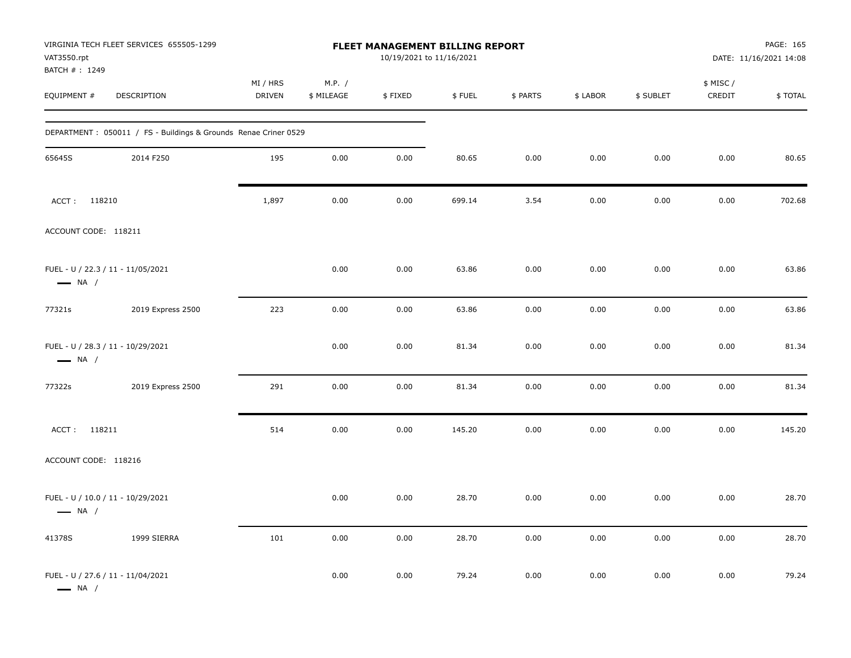| VAT3550.rpt<br>BATCH #: 1249 | VIRGINIA TECH FLEET SERVICES 655505-1299                        |                    |                      | FLEET MANAGEMENT BILLING REPORT<br>10/19/2021 to 11/16/2021 |        |          |          |           |                     | PAGE: 165<br>DATE: 11/16/2021 14:08 |
|------------------------------|-----------------------------------------------------------------|--------------------|----------------------|-------------------------------------------------------------|--------|----------|----------|-----------|---------------------|-------------------------------------|
| EQUIPMENT #                  | DESCRIPTION                                                     | MI / HRS<br>DRIVEN | M.P. /<br>\$ MILEAGE | \$FIXED                                                     | \$FUEL | \$ PARTS | \$ LABOR | \$ SUBLET | \$ MISC /<br>CREDIT | \$TOTAL                             |
|                              | DEPARTMENT: 050011 / FS - Buildings & Grounds Renae Criner 0529 |                    |                      |                                                             |        |          |          |           |                     |                                     |
| 65645S                       | 2014 F250                                                       | 195                | 0.00                 | 0.00                                                        | 80.65  | 0.00     | 0.00     | 0.00      | 0.00                | 80.65                               |
| ACCT: 118210                 |                                                                 | 1,897              | 0.00                 | 0.00                                                        | 699.14 | 3.54     | 0.00     | 0.00      | 0.00                | 702.68                              |
| ACCOUNT CODE: 118211         |                                                                 |                    |                      |                                                             |        |          |          |           |                     |                                     |
| $\longrightarrow$ NA /       | FUEL - U / 22.3 / 11 - 11/05/2021                               |                    | 0.00                 | 0.00                                                        | 63.86  | 0.00     | 0.00     | 0.00      | 0.00                | 63.86                               |
| 77321s                       | 2019 Express 2500                                               | 223                | 0.00                 | 0.00                                                        | 63.86  | 0.00     | 0.00     | 0.00      | 0.00                | 63.86                               |
| $\longrightarrow$ NA /       | FUEL - U / 28.3 / 11 - 10/29/2021                               |                    | 0.00                 | 0.00                                                        | 81.34  | 0.00     | 0.00     | 0.00      | 0.00                | 81.34                               |
| 77322s                       | 2019 Express 2500                                               | 291                | 0.00                 | 0.00                                                        | 81.34  | 0.00     | 0.00     | 0.00      | 0.00                | 81.34                               |
| ACCT: 118211                 |                                                                 | 514                | 0.00                 | 0.00                                                        | 145.20 | 0.00     | 0.00     | 0.00      | 0.00                | 145.20                              |
| ACCOUNT CODE: 118216         |                                                                 |                    |                      |                                                             |        |          |          |           |                     |                                     |
| $\longrightarrow$ NA /       | FUEL - U / 10.0 / 11 - 10/29/2021                               |                    | 0.00                 | 0.00                                                        | 28.70  | 0.00     | 0.00     | 0.00      | 0.00                | 28.70                               |
| 41378S                       | 1999 SIERRA                                                     | 101                | 0.00                 | 0.00                                                        | 28.70  | 0.00     | 0.00     | 0.00      | 0.00                | 28.70                               |
| $\longrightarrow$ NA /       | FUEL - U / 27.6 / 11 - 11/04/2021                               |                    | 0.00                 | 0.00                                                        | 79.24  | 0.00     | 0.00     | 0.00      | 0.00                | 79.24                               |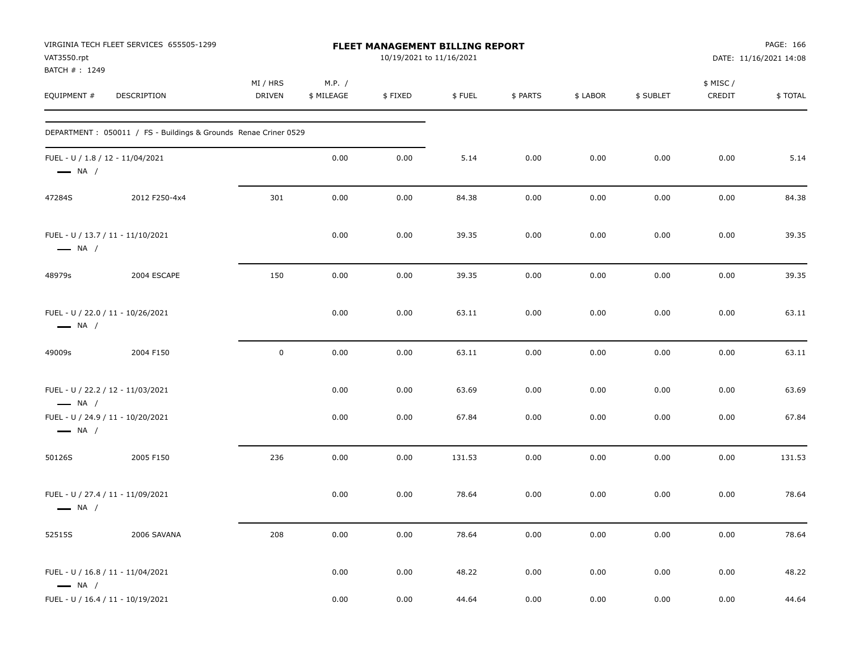| VAT3550.rpt<br>BATCH #: 1249                               | VIRGINIA TECH FLEET SERVICES 655505-1299                         |                           |                      | FLEET MANAGEMENT BILLING REPORT<br>10/19/2021 to 11/16/2021 |        |          |          |           |                    | PAGE: 166<br>DATE: 11/16/2021 14:08 |
|------------------------------------------------------------|------------------------------------------------------------------|---------------------------|----------------------|-------------------------------------------------------------|--------|----------|----------|-----------|--------------------|-------------------------------------|
| EQUIPMENT #                                                | DESCRIPTION                                                      | MI / HRS<br><b>DRIVEN</b> | M.P. /<br>\$ MILEAGE | \$FIXED                                                     | \$FUEL | \$ PARTS | \$ LABOR | \$ SUBLET | \$ MISC/<br>CREDIT | \$TOTAL                             |
|                                                            | DEPARTMENT : 050011 / FS - Buildings & Grounds Renae Criner 0529 |                           |                      |                                                             |        |          |          |           |                    |                                     |
| FUEL - U / 1.8 / 12 - 11/04/2021<br>$\longrightarrow$ NA / |                                                                  |                           | 0.00                 | 0.00                                                        | 5.14   | 0.00     | 0.00     | 0.00      | 0.00               | 5.14                                |
| 47284S                                                     | 2012 F250-4x4                                                    | 301                       | 0.00                 | 0.00                                                        | 84.38  | 0.00     | 0.00     | 0.00      | 0.00               | 84.38                               |
| $\longrightarrow$ NA /                                     | FUEL - U / 13.7 / 11 - 11/10/2021                                |                           | 0.00                 | 0.00                                                        | 39.35  | 0.00     | 0.00     | 0.00      | 0.00               | 39.35                               |
| 48979s                                                     | 2004 ESCAPE                                                      | 150                       | 0.00                 | 0.00                                                        | 39.35  | 0.00     | 0.00     | 0.00      | 0.00               | 39.35                               |
| $\longrightarrow$ NA /                                     | FUEL - U / 22.0 / 11 - 10/26/2021                                |                           | 0.00                 | 0.00                                                        | 63.11  | 0.00     | 0.00     | 0.00      | 0.00               | 63.11                               |
| 49009s                                                     | 2004 F150                                                        | $\mathsf 0$               | 0.00                 | 0.00                                                        | 63.11  | 0.00     | 0.00     | 0.00      | 0.00               | 63.11                               |
| $\longrightarrow$ NA /                                     | FUEL - U / 22.2 / 12 - 11/03/2021                                |                           | 0.00                 | 0.00                                                        | 63.69  | 0.00     | 0.00     | 0.00      | 0.00               | 63.69                               |
| $\longrightarrow$ NA /                                     | FUEL - U / 24.9 / 11 - 10/20/2021                                |                           | 0.00                 | 0.00                                                        | 67.84  | 0.00     | 0.00     | 0.00      | 0.00               | 67.84                               |
| 50126S                                                     | 2005 F150                                                        | 236                       | 0.00                 | 0.00                                                        | 131.53 | 0.00     | 0.00     | 0.00      | 0.00               | 131.53                              |
| $\longrightarrow$ NA /                                     | FUEL - U / 27.4 / 11 - 11/09/2021                                |                           | 0.00                 | 0.00                                                        | 78.64  | 0.00     | 0.00     | 0.00      | 0.00               | 78.64                               |
| 52515S                                                     | 2006 SAVANA                                                      | 208                       | 0.00                 | 0.00                                                        | 78.64  | 0.00     | 0.00     | 0.00      | 0.00               | 78.64                               |
| $\longrightarrow$ NA /                                     | FUEL - U / 16.8 / 11 - 11/04/2021                                |                           | 0.00                 | 0.00                                                        | 48.22  | 0.00     | 0.00     | 0.00      | 0.00               | 48.22                               |
|                                                            | FUEL - U / 16.4 / 11 - 10/19/2021                                |                           | 0.00                 | 0.00                                                        | 44.64  | 0.00     | 0.00     | 0.00      | 0.00               | 44.64                               |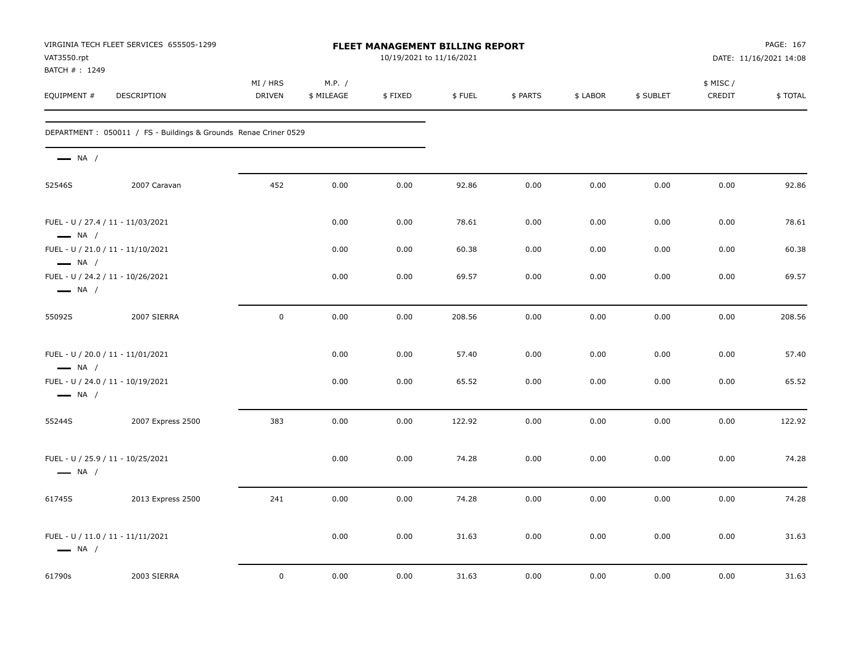| VAT3550.rpt<br>BATCH #: 1249                                                          | VIRGINIA TECH FLEET SERVICES 655505-1299                         |                           |                      | <b>FLEET MANAGEMENT BILLING REPORT</b><br>10/19/2021 to 11/16/2021 |        |          |          |           |                    | PAGE: 167<br>DATE: 11/16/2021 14:08 |
|---------------------------------------------------------------------------------------|------------------------------------------------------------------|---------------------------|----------------------|--------------------------------------------------------------------|--------|----------|----------|-----------|--------------------|-------------------------------------|
| EQUIPMENT #                                                                           | <b>DESCRIPTION</b>                                               | MI / HRS<br><b>DRIVEN</b> | M.P. /<br>\$ MILEAGE | \$FIXED                                                            | \$FUEL | \$ PARTS | \$ LABOR | \$ SUBLET | \$ MISC/<br>CREDIT | \$TOTAL                             |
|                                                                                       | DEPARTMENT : 050011 / FS - Buildings & Grounds Renae Criner 0529 |                           |                      |                                                                    |        |          |          |           |                    |                                     |
| $\longrightarrow$ NA /                                                                |                                                                  |                           |                      |                                                                    |        |          |          |           |                    |                                     |
| 52546S                                                                                | 2007 Caravan                                                     | 452                       | 0.00                 | 0.00                                                               | 92.86  | 0.00     | 0.00     | 0.00      | 0.00               | 92.86                               |
| FUEL - U / 27.4 / 11 - 11/03/2021<br>$\longrightarrow$ NA /                           |                                                                  |                           | 0.00                 | 0.00                                                               | 78.61  | 0.00     | 0.00     | 0.00      | 0.00               | 78.61                               |
| FUEL - U / 21.0 / 11 - 11/10/2021                                                     |                                                                  |                           | 0.00                 | 0.00                                                               | 60.38  | 0.00     | 0.00     | 0.00      | 0.00               | 60.38                               |
| $\longrightarrow$ NA /<br>FUEL - U / 24.2 / 11 - 10/26/2021<br>$\longrightarrow$ NA / |                                                                  |                           | 0.00                 | 0.00                                                               | 69.57  | 0.00     | 0.00     | 0.00      | 0.00               | 69.57                               |
| 55092S                                                                                | 2007 SIERRA                                                      | $\mathbf 0$               | 0.00                 | 0.00                                                               | 208.56 | 0.00     | 0.00     | 0.00      | 0.00               | 208.56                              |
| FUEL - U / 20.0 / 11 - 11/01/2021<br>$\longrightarrow$ NA /                           |                                                                  |                           | 0.00                 | 0.00                                                               | 57.40  | 0.00     | 0.00     | 0.00      | 0.00               | 57.40                               |
| FUEL - U / 24.0 / 11 - 10/19/2021<br>$\longrightarrow$ NA /                           |                                                                  |                           | 0.00                 | 0.00                                                               | 65.52  | 0.00     | 0.00     | 0.00      | 0.00               | 65.52                               |
| 55244S                                                                                | 2007 Express 2500                                                | 383                       | 0.00                 | 0.00                                                               | 122.92 | 0.00     | 0.00     | 0.00      | 0.00               | 122.92                              |
| FUEL - U / 25.9 / 11 - 10/25/2021<br>$\longrightarrow$ NA /                           |                                                                  |                           | 0.00                 | 0.00                                                               | 74.28  | 0.00     | 0.00     | 0.00      | 0.00               | 74.28                               |
| 61745S                                                                                | 2013 Express 2500                                                | 241                       | 0.00                 | 0.00                                                               | 74.28  | 0.00     | 0.00     | 0.00      | 0.00               | 74.28                               |
| FUEL - U / 11.0 / 11 - 11/11/2021<br>$\longrightarrow$ NA /                           |                                                                  |                           | 0.00                 | 0.00                                                               | 31.63  | 0.00     | 0.00     | 0.00      | 0.00               | 31.63                               |
| 61790s                                                                                | 2003 SIERRA                                                      | 0                         | 0.00                 | 0.00                                                               | 31.63  | 0.00     | 0.00     | 0.00      | 0.00               | 31.63                               |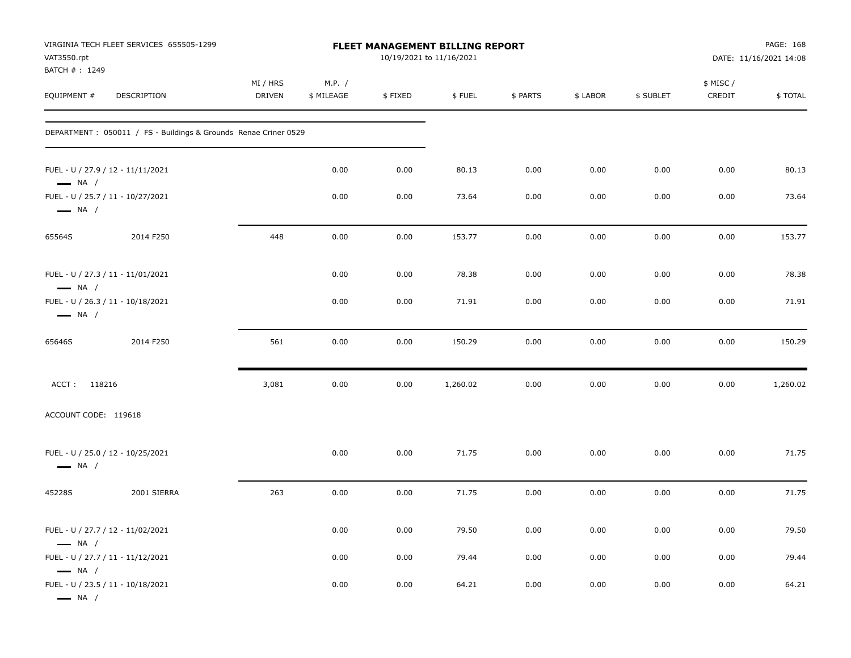| VAT3550.rpt<br>BATCH #: 1249                     | VIRGINIA TECH FLEET SERVICES 655505-1299                         |                           |                      |         | FLEET MANAGEMENT BILLING REPORT<br>10/19/2021 to 11/16/2021 |          |          |           |                    | PAGE: 168<br>DATE: 11/16/2021 14:08 |
|--------------------------------------------------|------------------------------------------------------------------|---------------------------|----------------------|---------|-------------------------------------------------------------|----------|----------|-----------|--------------------|-------------------------------------|
| EQUIPMENT#                                       | DESCRIPTION                                                      | MI / HRS<br><b>DRIVEN</b> | M.P. /<br>\$ MILEAGE | \$FIXED | \$FUEL                                                      | \$ PARTS | \$ LABOR | \$ SUBLET | \$ MISC/<br>CREDIT | \$TOTAL                             |
|                                                  | DEPARTMENT : 050011 / FS - Buildings & Grounds Renae Criner 0529 |                           |                      |         |                                                             |          |          |           |                    |                                     |
| $\longrightarrow$ NA /                           | FUEL - U / 27.9 / 12 - 11/11/2021                                |                           | 0.00                 | 0.00    | 80.13                                                       | 0.00     | 0.00     | 0.00      | 0.00               | 80.13                               |
| $\longrightarrow$ NA /                           | FUEL - U / 25.7 / 11 - 10/27/2021                                |                           | 0.00                 | 0.00    | 73.64                                                       | 0.00     | 0.00     | 0.00      | 0.00               | 73.64                               |
| 65564S                                           | 2014 F250                                                        | 448                       | 0.00                 | 0.00    | 153.77                                                      | 0.00     | 0.00     | 0.00      | 0.00               | 153.77                              |
| $\longrightarrow$ NA /                           | FUEL - U / 27.3 / 11 - 11/01/2021                                |                           | 0.00                 | 0.00    | 78.38                                                       | 0.00     | 0.00     | 0.00      | 0.00               | 78.38                               |
| $\longrightarrow$ NA /                           | FUEL - U / 26.3 / 11 - 10/18/2021                                |                           | 0.00                 | 0.00    | 71.91                                                       | 0.00     | 0.00     | 0.00      | 0.00               | 71.91                               |
| 65646S                                           | 2014 F250                                                        | 561                       | 0.00                 | 0.00    | 150.29                                                      | 0.00     | 0.00     | 0.00      | 0.00               | 150.29                              |
| ACCT: 118216                                     |                                                                  | 3,081                     | 0.00                 | 0.00    | 1,260.02                                                    | 0.00     | 0.00     | 0.00      | 0.00               | 1,260.02                            |
| ACCOUNT CODE: 119618                             |                                                                  |                           |                      |         |                                                             |          |          |           |                    |                                     |
| $\longrightarrow$ NA /                           | FUEL - U / 25.0 / 12 - 10/25/2021                                |                           | 0.00                 | 0.00    | 71.75                                                       | 0.00     | 0.00     | 0.00      | 0.00               | 71.75                               |
| 45228S                                           | 2001 SIERRA                                                      | 263                       | 0.00                 | 0.00    | 71.75                                                       | 0.00     | 0.00     | 0.00      | 0.00               | 71.75                               |
| $\longrightarrow$ NA /                           | FUEL - U / 27.7 / 12 - 11/02/2021                                |                           | 0.00                 | 0.00    | 79.50                                                       | $0.00\,$ | 0.00     | 0.00      | 0.00               | 79.50                               |
|                                                  | FUEL - U / 27.7 / 11 - 11/12/2021                                |                           | 0.00                 | 0.00    | 79.44                                                       | 0.00     | 0.00     | 0.00      | 0.00               | 79.44                               |
| $\longrightarrow$ NA /<br>$\longrightarrow$ NA / | FUEL - U / 23.5 / 11 - 10/18/2021                                |                           | 0.00                 | 0.00    | 64.21                                                       | 0.00     | 0.00     | 0.00      | 0.00               | 64.21                               |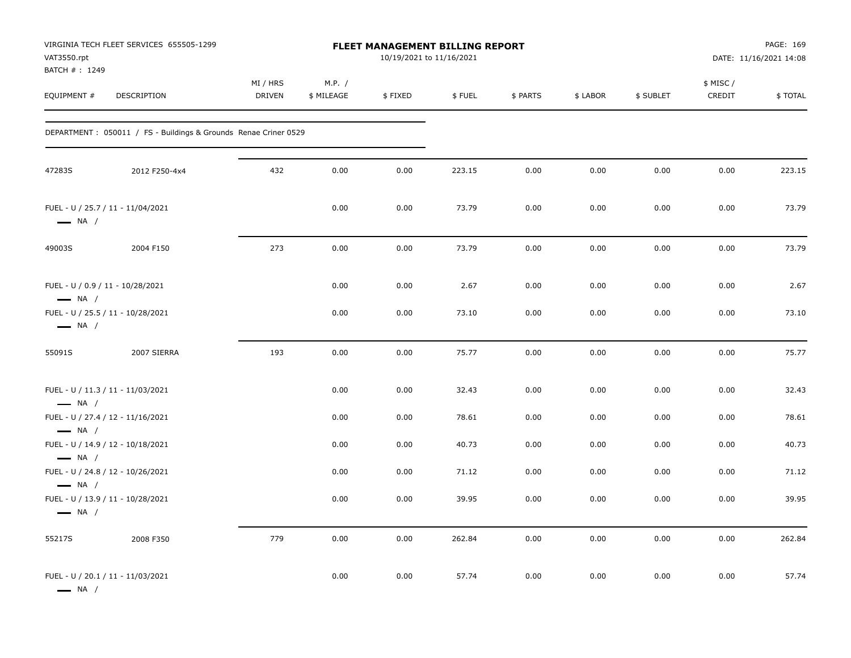| VAT3550.rpt<br>BATCH #: 1249                                                          | VIRGINIA TECH FLEET SERVICES 655505-1299                         | <b>FLEET MANAGEMENT BILLING REPORT</b><br>10/19/2021 to 11/16/2021 |                      |         |        |          |          |           | PAGE: 169<br>DATE: 11/16/2021 14:08 |         |
|---------------------------------------------------------------------------------------|------------------------------------------------------------------|--------------------------------------------------------------------|----------------------|---------|--------|----------|----------|-----------|-------------------------------------|---------|
| EQUIPMENT #                                                                           | DESCRIPTION                                                      | MI / HRS<br><b>DRIVEN</b>                                          | M.P. /<br>\$ MILEAGE | \$FIXED | \$FUEL | \$ PARTS | \$ LABOR | \$ SUBLET | \$ MISC /<br>CREDIT                 | \$TOTAL |
|                                                                                       | DEPARTMENT : 050011 / FS - Buildings & Grounds Renae Criner 0529 |                                                                    |                      |         |        |          |          |           |                                     |         |
| 47283S                                                                                | 2012 F250-4x4                                                    | 432                                                                | 0.00                 | 0.00    | 223.15 | 0.00     | 0.00     | 0.00      | 0.00                                | 223.15  |
| FUEL - U / 25.7 / 11 - 11/04/2021<br>$\longrightarrow$ NA /                           |                                                                  |                                                                    | 0.00                 | 0.00    | 73.79  | 0.00     | 0.00     | 0.00      | 0.00                                | 73.79   |
| 49003S                                                                                | 2004 F150                                                        | 273                                                                | 0.00                 | 0.00    | 73.79  | 0.00     | 0.00     | 0.00      | 0.00                                | 73.79   |
| FUEL - U / 0.9 / 11 - 10/28/2021<br>$\longrightarrow$ NA /                            |                                                                  |                                                                    | 0.00                 | 0.00    | 2.67   | 0.00     | 0.00     | 0.00      | 0.00                                | 2.67    |
| FUEL - U / 25.5 / 11 - 10/28/2021<br>$\longrightarrow$ NA /                           |                                                                  |                                                                    | 0.00                 | 0.00    | 73.10  | 0.00     | 0.00     | 0.00      | 0.00                                | 73.10   |
| 55091S                                                                                | 2007 SIERRA                                                      | 193                                                                | 0.00                 | 0.00    | 75.77  | 0.00     | 0.00     | 0.00      | 0.00                                | 75.77   |
| FUEL - U / 11.3 / 11 - 11/03/2021<br>$\longrightarrow$ NA /                           |                                                                  |                                                                    | 0.00                 | 0.00    | 32.43  | 0.00     | 0.00     | 0.00      | 0.00                                | 32.43   |
| FUEL - U / 27.4 / 12 - 11/16/2021                                                     |                                                                  |                                                                    | 0.00                 | 0.00    | 78.61  | 0.00     | 0.00     | 0.00      | 0.00                                | 78.61   |
| $\longrightarrow$ NA /<br>FUEL - U / 14.9 / 12 - 10/18/2021<br>$\longrightarrow$ NA / |                                                                  |                                                                    | 0.00                 | 0.00    | 40.73  | 0.00     | 0.00     | 0.00      | 0.00                                | 40.73   |
| $\longrightarrow$ NA /                                                                | FUEL - U / 24.8 / 12 - 10/26/2021                                |                                                                    | 0.00                 | 0.00    | 71.12  | 0.00     | 0.00     | 0.00      | 0.00                                | 71.12   |
| $\longrightarrow$ NA /                                                                | FUEL - U / 13.9 / 11 - 10/28/2021                                |                                                                    | 0.00                 | 0.00    | 39.95  | 0.00     | 0.00     | 0.00      | 0.00                                | 39.95   |
| 55217S                                                                                | 2008 F350                                                        | 779                                                                | 0.00                 | 0.00    | 262.84 | 0.00     | 0.00     | 0.00      | 0.00                                | 262.84  |
| FUEL - U / 20.1 / 11 - 11/03/2021<br>— NA /                                           |                                                                  |                                                                    | 0.00                 | 0.00    | 57.74  | 0.00     | 0.00     | 0.00      | 0.00                                | 57.74   |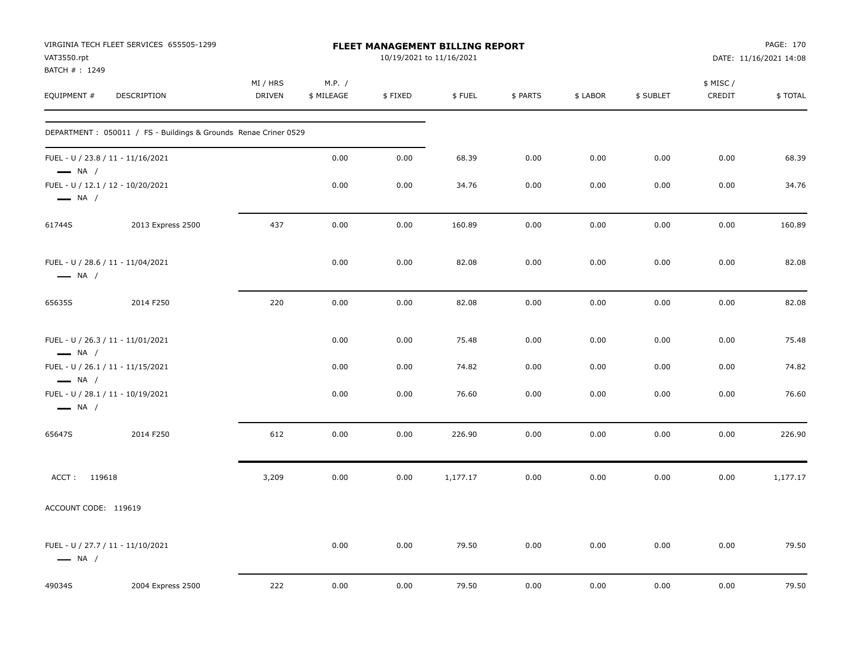| VAT3550.rpt                  | VIRGINIA TECH FLEET SERVICES 655505-1299                         | <b>FLEET MANAGEMENT BILLING REPORT</b><br>10/19/2021 to 11/16/2021 |                      |         |          |          |          |           |                     | PAGE: 170<br>DATE: 11/16/2021 14:08 |  |
|------------------------------|------------------------------------------------------------------|--------------------------------------------------------------------|----------------------|---------|----------|----------|----------|-----------|---------------------|-------------------------------------|--|
| BATCH #: 1249<br>EQUIPMENT # | DESCRIPTION                                                      | MI / HRS<br>DRIVEN                                                 | M.P. /<br>\$ MILEAGE | \$FIXED | \$FUEL   | \$ PARTS | \$ LABOR | \$ SUBLET | \$ MISC /<br>CREDIT | \$TOTAL                             |  |
|                              | DEPARTMENT : 050011 / FS - Buildings & Grounds Renae Criner 0529 |                                                                    |                      |         |          |          |          |           |                     |                                     |  |
| $\longrightarrow$ NA /       | FUEL - U / 23.8 / 11 - 11/16/2021                                |                                                                    | 0.00                 | 0.00    | 68.39    | 0.00     | 0.00     | 0.00      | 0.00                | 68.39                               |  |
| $\longrightarrow$ NA /       | FUEL - U / 12.1 / 12 - 10/20/2021                                |                                                                    | 0.00                 | 0.00    | 34.76    | 0.00     | 0.00     | 0.00      | 0.00                | 34.76                               |  |
| 61744S                       | 2013 Express 2500                                                | 437                                                                | 0.00                 | 0.00    | 160.89   | 0.00     | 0.00     | 0.00      | 0.00                | 160.89                              |  |
| $\longrightarrow$ NA /       | FUEL - U / 28.6 / 11 - 11/04/2021                                |                                                                    | 0.00                 | 0.00    | 82.08    | 0.00     | 0.00     | 0.00      | 0.00                | 82.08                               |  |
| 65635S                       | 2014 F250                                                        | 220                                                                | 0.00                 | 0.00    | 82.08    | 0.00     | 0.00     | 0.00      | 0.00                | 82.08                               |  |
| $\longrightarrow$ NA /       | FUEL - U / 26.3 / 11 - 11/01/2021                                |                                                                    | 0.00                 | 0.00    | 75.48    | 0.00     | 0.00     | 0.00      | 0.00                | 75.48                               |  |
| $\longrightarrow$ NA /       | FUEL - U / 26.1 / 11 - 11/15/2021                                |                                                                    | 0.00                 | 0.00    | 74.82    | 0.00     | 0.00     | 0.00      | 0.00                | 74.82                               |  |
| $\longrightarrow$ NA /       | FUEL - U / 28.1 / 11 - 10/19/2021                                |                                                                    | 0.00                 | 0.00    | 76.60    | 0.00     | 0.00     | 0.00      | 0.00                | 76.60                               |  |
| 65647S                       | 2014 F250                                                        | 612                                                                | 0.00                 | 0.00    | 226.90   | 0.00     | 0.00     | 0.00      | 0.00                | 226.90                              |  |
| ACCT: 119618                 |                                                                  | 3,209                                                              | 0.00                 | 0.00    | 1,177.17 | 0.00     | 0.00     | 0.00      | 0.00                | 1,177.17                            |  |
| ACCOUNT CODE: 119619         |                                                                  |                                                                    |                      |         |          |          |          |           |                     |                                     |  |
| $\longrightarrow$ NA /       | FUEL - U / 27.7 / 11 - 11/10/2021                                |                                                                    | 0.00                 | 0.00    | 79.50    | 0.00     | 0.00     | 0.00      | 0.00                | 79.50                               |  |
| 49034S                       | 2004 Express 2500                                                | 222                                                                | 0.00                 | 0.00    | 79.50    | 0.00     | 0.00     | 0.00      | 0.00                | 79.50                               |  |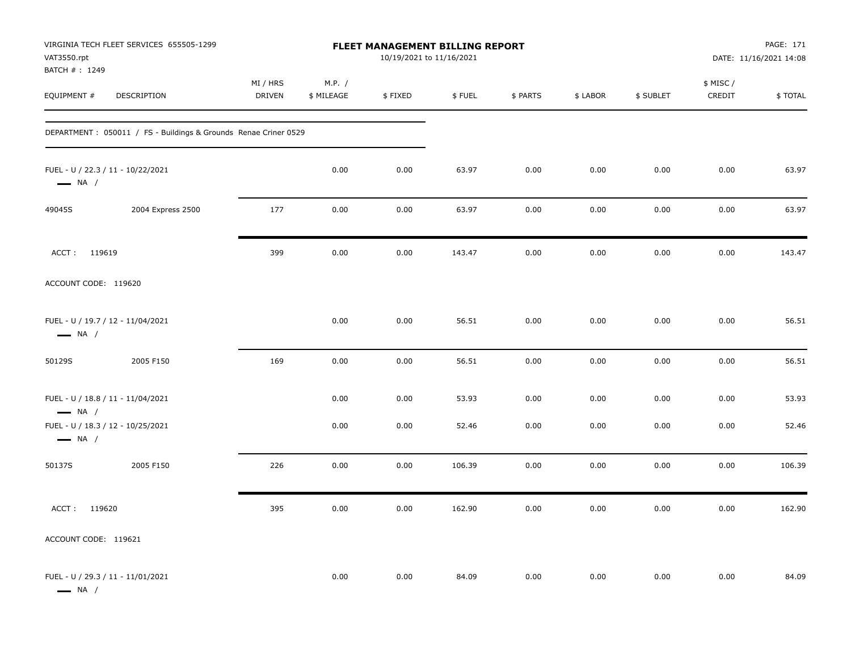| VAT3550.rpt                  | VIRGINIA TECH FLEET SERVICES 655505-1299                         |                           | PAGE: 171<br>DATE: 11/16/2021 14:08 |         |        |          |          |           |                     |         |
|------------------------------|------------------------------------------------------------------|---------------------------|-------------------------------------|---------|--------|----------|----------|-----------|---------------------|---------|
| BATCH #: 1249<br>EQUIPMENT # | DESCRIPTION                                                      | MI / HRS<br><b>DRIVEN</b> | M.P. /<br>\$ MILEAGE                | \$FIXED | \$FUEL | \$ PARTS | \$ LABOR | \$ SUBLET | \$ MISC /<br>CREDIT | \$TOTAL |
|                              | DEPARTMENT : 050011 / FS - Buildings & Grounds Renae Criner 0529 |                           |                                     |         |        |          |          |           |                     |         |
| $\longrightarrow$ NA /       | FUEL - U / 22.3 / 11 - 10/22/2021                                |                           | 0.00                                | 0.00    | 63.97  | 0.00     | 0.00     | 0.00      | 0.00                | 63.97   |
| 49045S                       | 2004 Express 2500                                                | 177                       | 0.00                                | 0.00    | 63.97  | 0.00     | 0.00     | 0.00      | 0.00                | 63.97   |
| ACCT: 119619                 |                                                                  | 399                       | 0.00                                | 0.00    | 143.47 | 0.00     | 0.00     | 0.00      | 0.00                | 143.47  |
| ACCOUNT CODE: 119620         |                                                                  |                           |                                     |         |        |          |          |           |                     |         |
| $\longrightarrow$ NA /       | FUEL - U / 19.7 / 12 - 11/04/2021                                |                           | 0.00                                | 0.00    | 56.51  | 0.00     | 0.00     | 0.00      | 0.00                | 56.51   |
| 50129S                       | 2005 F150                                                        | 169                       | 0.00                                | 0.00    | 56.51  | 0.00     | 0.00     | 0.00      | 0.00                | 56.51   |
| $\longrightarrow$ NA /       | FUEL - U / 18.8 / 11 - 11/04/2021                                |                           | 0.00                                | 0.00    | 53.93  | 0.00     | 0.00     | 0.00      | 0.00                | 53.93   |
| $\longrightarrow$ NA /       | FUEL - U / 18.3 / 12 - 10/25/2021                                |                           | 0.00                                | 0.00    | 52.46  | 0.00     | 0.00     | 0.00      | 0.00                | 52.46   |
| 50137S                       | 2005 F150                                                        | 226                       | 0.00                                | 0.00    | 106.39 | 0.00     | 0.00     | 0.00      | 0.00                | 106.39  |
| ACCT: 119620                 |                                                                  | 395                       | 0.00                                | 0.00    | 162.90 | 0.00     | 0.00     | 0.00      | 0.00                | 162.90  |
| ACCOUNT CODE: 119621         |                                                                  |                           |                                     |         |        |          |          |           |                     |         |
| $\longrightarrow$ NA /       | FUEL - U / 29.3 / 11 - 11/01/2021                                |                           | 0.00                                | 0.00    | 84.09  | 0.00     | 0.00     | 0.00      | 0.00                | 84.09   |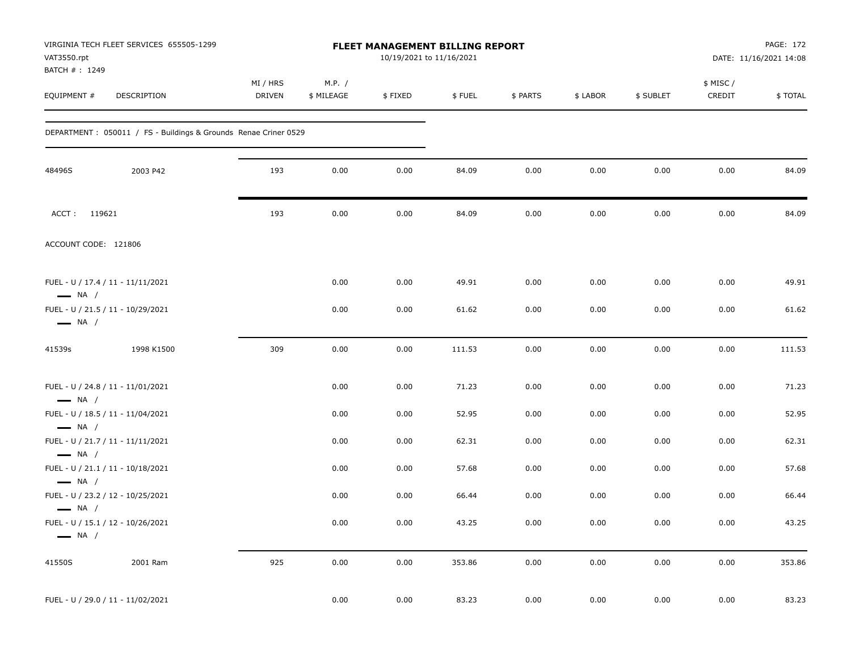| VAT3550.rpt<br>BATCH #: 1249 | VIRGINIA TECH FLEET SERVICES 655505-1299                         | <b>FLEET MANAGEMENT BILLING REPORT</b><br>10/19/2021 to 11/16/2021 |                      |         |        |          |          |           |                     | PAGE: 172<br>DATE: 11/16/2021 14:08 |  |
|------------------------------|------------------------------------------------------------------|--------------------------------------------------------------------|----------------------|---------|--------|----------|----------|-----------|---------------------|-------------------------------------|--|
| EQUIPMENT #                  | DESCRIPTION                                                      | MI / HRS<br><b>DRIVEN</b>                                          | M.P. /<br>\$ MILEAGE | \$FIXED | \$FUEL | \$ PARTS | \$ LABOR | \$ SUBLET | \$ MISC /<br>CREDIT | \$TOTAL                             |  |
|                              | DEPARTMENT : 050011 / FS - Buildings & Grounds Renae Criner 0529 |                                                                    |                      |         |        |          |          |           |                     |                                     |  |
| 48496S                       | 2003 P42                                                         | 193                                                                | 0.00                 | 0.00    | 84.09  | 0.00     | 0.00     | 0.00      | 0.00                | 84.09                               |  |
| ACCT: 119621                 |                                                                  | 193                                                                | 0.00                 | 0.00    | 84.09  | 0.00     | 0.00     | 0.00      | 0.00                | 84.09                               |  |
| ACCOUNT CODE: 121806         |                                                                  |                                                                    |                      |         |        |          |          |           |                     |                                     |  |
| $\longrightarrow$ NA /       | FUEL - U / 17.4 / 11 - 11/11/2021                                |                                                                    | 0.00                 | 0.00    | 49.91  | 0.00     | 0.00     | 0.00      | 0.00                | 49.91                               |  |
| $\longrightarrow$ NA /       | FUEL - U / 21.5 / 11 - 10/29/2021                                |                                                                    | 0.00                 | 0.00    | 61.62  | 0.00     | 0.00     | 0.00      | 0.00                | 61.62                               |  |
| 41539s                       | 1998 K1500                                                       | 309                                                                | 0.00                 | 0.00    | 111.53 | 0.00     | 0.00     | 0.00      | 0.00                | 111.53                              |  |
| $\longrightarrow$ NA /       | FUEL - U / 24.8 / 11 - 11/01/2021                                |                                                                    | 0.00                 | 0.00    | 71.23  | 0.00     | 0.00     | 0.00      | 0.00                | 71.23                               |  |
| $\longrightarrow$ NA /       | FUEL - U / 18.5 / 11 - 11/04/2021                                |                                                                    | 0.00                 | 0.00    | 52.95  | 0.00     | 0.00     | 0.00      | 0.00                | 52.95                               |  |
| $\longrightarrow$ NA /       | FUEL - U / 21.7 / 11 - 11/11/2021                                |                                                                    | 0.00                 | 0.00    | 62.31  | 0.00     | 0.00     | 0.00      | 0.00                | 62.31                               |  |
| $\longrightarrow$ NA /       | FUEL - U / 21.1 / 11 - 10/18/2021                                |                                                                    | 0.00                 | 0.00    | 57.68  | 0.00     | 0.00     | 0.00      | 0.00                | 57.68                               |  |
| $\longrightarrow$ NA /       | FUEL - U / 23.2 / 12 - 10/25/2021                                |                                                                    | 0.00                 | 0.00    | 66.44  | 0.00     | 0.00     | 0.00      | 0.00                | 66.44                               |  |
| $\longrightarrow$ NA /       | FUEL - U / 15.1 / 12 - 10/26/2021                                |                                                                    | 0.00                 | 0.00    | 43.25  | 0.00     | 0.00     | 0.00      | 0.00                | 43.25                               |  |
| 41550S                       | 2001 Ram                                                         | 925                                                                | 0.00                 | 0.00    | 353.86 | 0.00     | 0.00     | 0.00      | 0.00                | 353.86                              |  |
|                              | FUEL - U / 29.0 / 11 - 11/02/2021                                |                                                                    | 0.00                 | 0.00    | 83.23  | 0.00     | 0.00     | 0.00      | 0.00                | 83.23                               |  |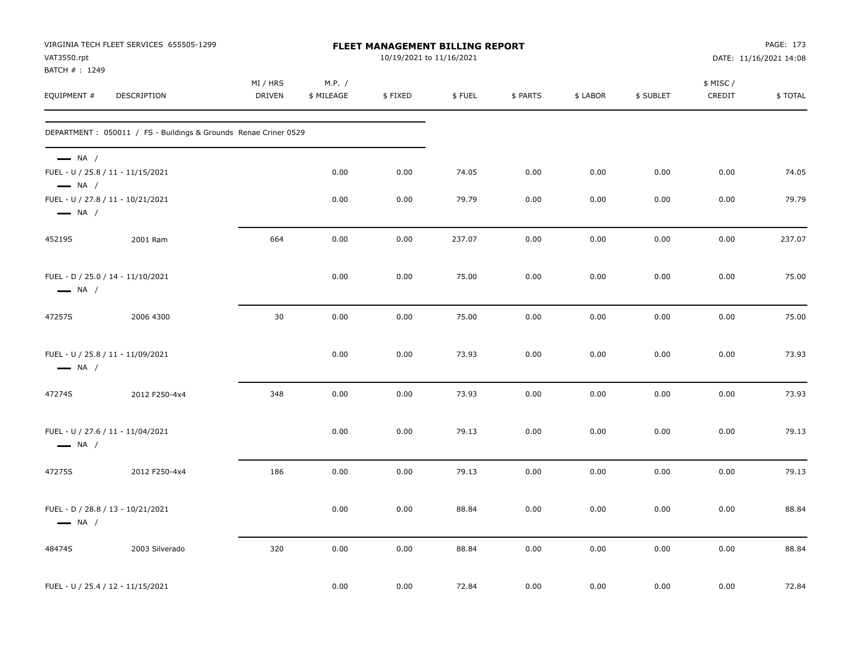| VAT3550.rpt<br>BATCH #: 1249                                                          | VIRGINIA TECH FLEET SERVICES 655505-1299                        | FLEET MANAGEMENT BILLING REPORT<br>10/19/2021 to 11/16/2021 |                      |         |        |          |          |           | PAGE: 173<br>DATE: 11/16/2021 14:08 |         |
|---------------------------------------------------------------------------------------|-----------------------------------------------------------------|-------------------------------------------------------------|----------------------|---------|--------|----------|----------|-----------|-------------------------------------|---------|
| EQUIPMENT #                                                                           | <b>DESCRIPTION</b>                                              | MI / HRS<br><b>DRIVEN</b>                                   | M.P. /<br>\$ MILEAGE | \$FIXED | \$FUEL | \$ PARTS | \$ LABOR | \$ SUBLET | \$ MISC /<br>CREDIT                 | \$TOTAL |
|                                                                                       | DEPARTMENT: 050011 / FS - Buildings & Grounds Renae Criner 0529 |                                                             |                      |         |        |          |          |           |                                     |         |
| $\longrightarrow$ NA /<br>FUEL - U / 25.8 / 11 - 11/15/2021<br>$\longrightarrow$ NA / |                                                                 |                                                             | 0.00                 | 0.00    | 74.05  | 0.00     | 0.00     | 0.00      | 0.00                                | 74.05   |
| FUEL - U / 27.8 / 11 - 10/21/2021<br>$\longrightarrow$ NA /                           |                                                                 |                                                             | 0.00                 | 0.00    | 79.79  | 0.00     | 0.00     | 0.00      | 0.00                                | 79.79   |
| 45219S                                                                                | 2001 Ram                                                        | 664                                                         | 0.00                 | 0.00    | 237.07 | 0.00     | 0.00     | 0.00      | 0.00                                | 237.07  |
| FUEL - D / 25.0 / 14 - 11/10/2021<br>$\longrightarrow$ NA /                           |                                                                 |                                                             | 0.00                 | 0.00    | 75.00  | 0.00     | 0.00     | 0.00      | 0.00                                | 75.00   |
| 47257S                                                                                | 2006 4300                                                       | 30                                                          | 0.00                 | 0.00    | 75.00  | 0.00     | 0.00     | 0.00      | 0.00                                | 75.00   |
| FUEL - U / 25.8 / 11 - 11/09/2021<br>$\longrightarrow$ NA /                           |                                                                 |                                                             | 0.00                 | 0.00    | 73.93  | 0.00     | 0.00     | 0.00      | 0.00                                | 73.93   |
| 47274S                                                                                | 2012 F250-4x4                                                   | 348                                                         | 0.00                 | 0.00    | 73.93  | 0.00     | 0.00     | 0.00      | 0.00                                | 73.93   |
| FUEL - U / 27.6 / 11 - 11/04/2021<br>$\longrightarrow$ NA /                           |                                                                 |                                                             | 0.00                 | 0.00    | 79.13  | 0.00     | 0.00     | 0.00      | 0.00                                | 79.13   |
| 47275S                                                                                | 2012 F250-4x4                                                   | 186                                                         | 0.00                 | 0.00    | 79.13  | 0.00     | 0.00     | 0.00      | 0.00                                | 79.13   |
| FUEL - D / 28.8 / 13 - 10/21/2021<br>$\longrightarrow$ NA /                           |                                                                 |                                                             | 0.00                 | 0.00    | 88.84  | 0.00     | 0.00     | 0.00      | 0.00                                | 88.84   |
| 48474S                                                                                | 2003 Silverado                                                  | 320                                                         | 0.00                 | 0.00    | 88.84  | 0.00     | 0.00     | 0.00      | 0.00                                | 88.84   |
| FUEL - U / 25.4 / 12 - 11/15/2021                                                     |                                                                 |                                                             | 0.00                 | 0.00    | 72.84  | 0.00     | 0.00     | 0.00      | 0.00                                | 72.84   |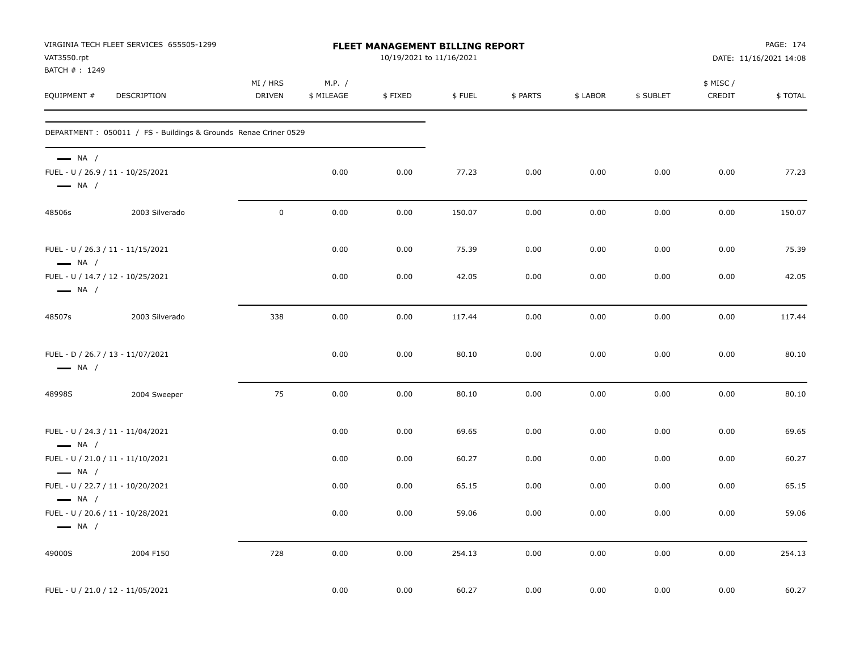| VAT3550.rpt<br>BATCH #: 1249                     | VIRGINIA TECH FLEET SERVICES 655505-1299                        | FLEET MANAGEMENT BILLING REPORT<br>10/19/2021 to 11/16/2021 |                      |         |        |          |          |           |                     | PAGE: 174<br>DATE: 11/16/2021 14:08 |  |
|--------------------------------------------------|-----------------------------------------------------------------|-------------------------------------------------------------|----------------------|---------|--------|----------|----------|-----------|---------------------|-------------------------------------|--|
| EQUIPMENT #                                      | DESCRIPTION                                                     | MI / HRS<br><b>DRIVEN</b>                                   | M.P. /<br>\$ MILEAGE | \$FIXED | \$FUEL | \$ PARTS | \$ LABOR | \$ SUBLET | \$ MISC /<br>CREDIT | \$TOTAL                             |  |
|                                                  | DEPARTMENT: 050011 / FS - Buildings & Grounds Renae Criner 0529 |                                                             |                      |         |        |          |          |           |                     |                                     |  |
| $\longrightarrow$ NA /<br>$\longrightarrow$ NA / | FUEL - U / 26.9 / 11 - 10/25/2021                               |                                                             | 0.00                 | 0.00    | 77.23  | 0.00     | 0.00     | 0.00      | 0.00                | 77.23                               |  |
| 48506s                                           | 2003 Silverado                                                  | $\mathsf 0$                                                 | 0.00                 | 0.00    | 150.07 | 0.00     | 0.00     | 0.00      | 0.00                | 150.07                              |  |
| $\longrightarrow$ NA /                           | FUEL - U / 26.3 / 11 - 11/15/2021                               |                                                             | 0.00                 | 0.00    | 75.39  | 0.00     | 0.00     | 0.00      | 0.00                | 75.39                               |  |
| $\longrightarrow$ NA /                           | FUEL - U / 14.7 / 12 - 10/25/2021                               |                                                             | 0.00                 | 0.00    | 42.05  | 0.00     | 0.00     | 0.00      | 0.00                | 42.05                               |  |
| 48507s                                           | 2003 Silverado                                                  | 338                                                         | 0.00                 | 0.00    | 117.44 | 0.00     | 0.00     | 0.00      | 0.00                | 117.44                              |  |
| $\longrightarrow$ NA /                           | FUEL - D / 26.7 / 13 - 11/07/2021                               |                                                             | 0.00                 | 0.00    | 80.10  | 0.00     | 0.00     | 0.00      | 0.00                | 80.10                               |  |
| 48998S                                           | 2004 Sweeper                                                    | 75                                                          | 0.00                 | 0.00    | 80.10  | 0.00     | 0.00     | 0.00      | 0.00                | 80.10                               |  |
| $\longrightarrow$ NA /                           | FUEL - U / 24.3 / 11 - 11/04/2021                               |                                                             | 0.00                 | 0.00    | 69.65  | 0.00     | 0.00     | 0.00      | 0.00                | 69.65                               |  |
| $\longrightarrow$ NA /                           | FUEL - U / 21.0 / 11 - 11/10/2021                               |                                                             | 0.00                 | 0.00    | 60.27  | 0.00     | 0.00     | 0.00      | 0.00                | 60.27                               |  |
| $\longrightarrow$ NA /                           | FUEL - U / 22.7 / 11 - 10/20/2021                               |                                                             | 0.00                 | 0.00    | 65.15  | 0.00     | 0.00     | 0.00      | 0.00                | 65.15                               |  |
| $\longrightarrow$ NA /                           | FUEL - U / 20.6 / 11 - 10/28/2021                               |                                                             | 0.00                 | 0.00    | 59.06  | 0.00     | 0.00     | 0.00      | 0.00                | 59.06                               |  |
| 49000S                                           | 2004 F150                                                       | 728                                                         | 0.00                 | 0.00    | 254.13 | 0.00     | 0.00     | 0.00      | 0.00                | 254.13                              |  |
|                                                  | FUEL - U / 21.0 / 12 - 11/05/2021                               |                                                             | 0.00                 | 0.00    | 60.27  | 0.00     | 0.00     | 0.00      | 0.00                | 60.27                               |  |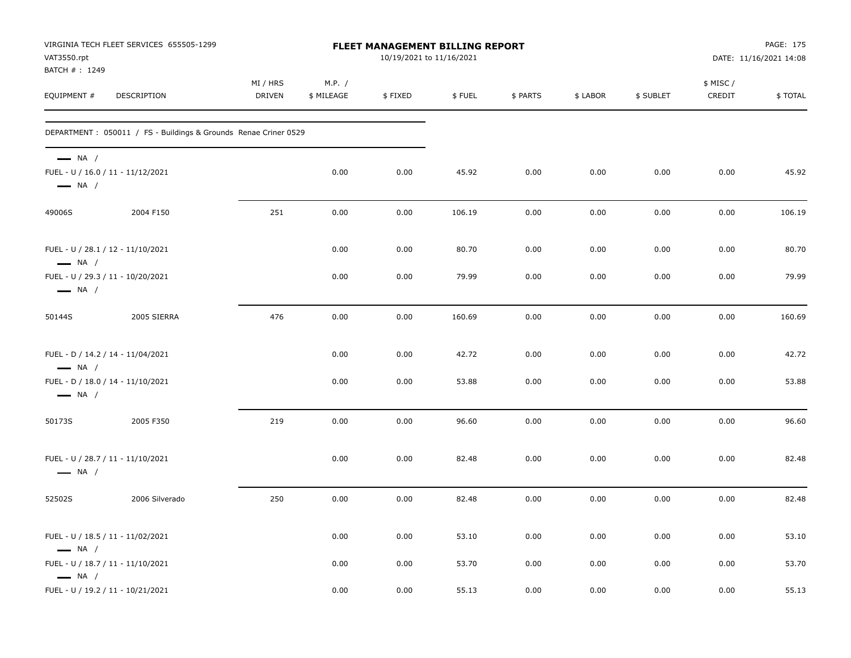| VAT3550.rpt<br>BATCH #: 1249                                                          | VIRGINIA TECH FLEET SERVICES 655505-1299                         | FLEET MANAGEMENT BILLING REPORT<br>10/19/2021 to 11/16/2021 |                      |         |        |          |          |           | PAGE: 175<br>DATE: 11/16/2021 14:08 |         |
|---------------------------------------------------------------------------------------|------------------------------------------------------------------|-------------------------------------------------------------|----------------------|---------|--------|----------|----------|-----------|-------------------------------------|---------|
| EQUIPMENT #                                                                           | DESCRIPTION                                                      | MI / HRS<br><b>DRIVEN</b>                                   | M.P. /<br>\$ MILEAGE | \$FIXED | \$FUEL | \$ PARTS | \$ LABOR | \$ SUBLET | \$ MISC/<br>CREDIT                  | \$TOTAL |
|                                                                                       | DEPARTMENT : 050011 / FS - Buildings & Grounds Renae Criner 0529 |                                                             |                      |         |        |          |          |           |                                     |         |
| $\longrightarrow$ NA /<br>FUEL - U / 16.0 / 11 - 11/12/2021<br>$\longrightarrow$ NA / |                                                                  |                                                             | 0.00                 | 0.00    | 45.92  | 0.00     | 0.00     | 0.00      | 0.00                                | 45.92   |
| 49006S                                                                                | 2004 F150                                                        | 251                                                         | 0.00                 | 0.00    | 106.19 | 0.00     | 0.00     | 0.00      | 0.00                                | 106.19  |
| FUEL - U / 28.1 / 12 - 11/10/2021<br>$\longrightarrow$ NA /                           |                                                                  |                                                             | 0.00                 | 0.00    | 80.70  | 0.00     | 0.00     | 0.00      | 0.00                                | 80.70   |
| FUEL - U / 29.3 / 11 - 10/20/2021<br>$\longrightarrow$ NA /                           |                                                                  |                                                             | 0.00                 | 0.00    | 79.99  | 0.00     | 0.00     | 0.00      | 0.00                                | 79.99   |
| 50144S                                                                                | 2005 SIERRA                                                      | 476                                                         | 0.00                 | 0.00    | 160.69 | 0.00     | 0.00     | 0.00      | 0.00                                | 160.69  |
| FUEL - D / 14.2 / 14 - 11/04/2021<br>$\longrightarrow$ NA /                           |                                                                  |                                                             | 0.00                 | 0.00    | 42.72  | 0.00     | 0.00     | 0.00      | 0.00                                | 42.72   |
| FUEL - D / 18.0 / 14 - 11/10/2021<br>$\longrightarrow$ NA /                           |                                                                  |                                                             | 0.00                 | 0.00    | 53.88  | 0.00     | 0.00     | 0.00      | 0.00                                | 53.88   |
| 50173S                                                                                | 2005 F350                                                        | 219                                                         | 0.00                 | 0.00    | 96.60  | 0.00     | 0.00     | 0.00      | 0.00                                | 96.60   |
| FUEL - U / 28.7 / 11 - 11/10/2021<br>$\longrightarrow$ NA /                           |                                                                  |                                                             | 0.00                 | 0.00    | 82.48  | 0.00     | 0.00     | 0.00      | 0.00                                | 82.48   |
| 52502S                                                                                | 2006 Silverado                                                   | 250                                                         | 0.00                 | 0.00    | 82.48  | 0.00     | 0.00     | 0.00      | 0.00                                | 82.48   |
| FUEL - U / 18.5 / 11 - 11/02/2021<br>$\longrightarrow$ NA /                           |                                                                  |                                                             | 0.00                 | 0.00    | 53.10  | 0.00     | 0.00     | 0.00      | 0.00                                | 53.10   |
| FUEL - U / 18.7 / 11 - 11/10/2021<br>$\longrightarrow$ NA /                           |                                                                  |                                                             | 0.00                 | 0.00    | 53.70  | 0.00     | 0.00     | 0.00      | 0.00                                | 53.70   |
| FUEL - U / 19.2 / 11 - 10/21/2021                                                     |                                                                  |                                                             | 0.00                 | 0.00    | 55.13  | 0.00     | 0.00     | 0.00      | 0.00                                | 55.13   |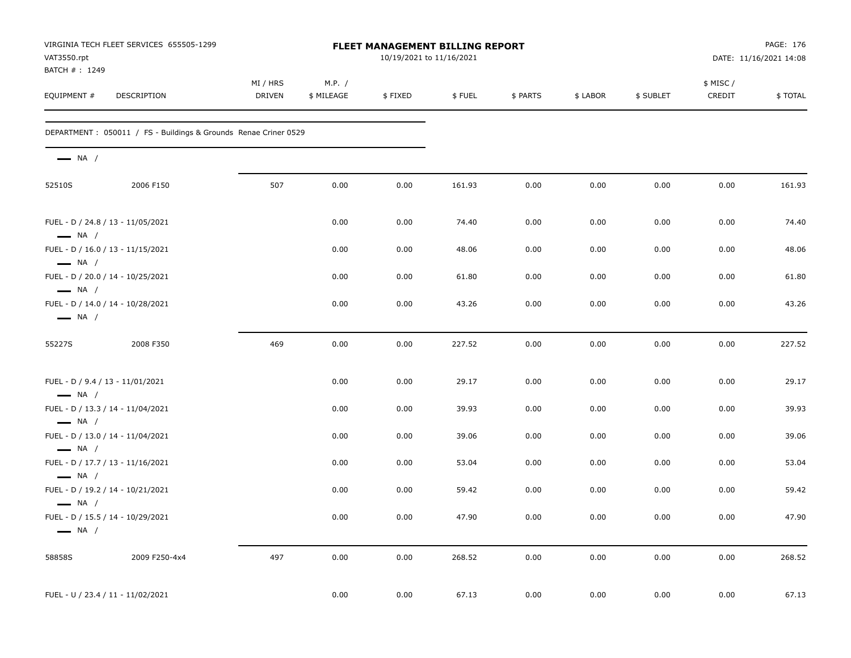| VAT3550.rpt<br>BATCH #: 1249                     | VIRGINIA TECH FLEET SERVICES 655505-1299                         | FLEET MANAGEMENT BILLING REPORT<br>10/19/2021 to 11/16/2021 |                      |         |        |          |          |           |                    | PAGE: 176<br>DATE: 11/16/2021 14:08 |  |
|--------------------------------------------------|------------------------------------------------------------------|-------------------------------------------------------------|----------------------|---------|--------|----------|----------|-----------|--------------------|-------------------------------------|--|
| EQUIPMENT #                                      | DESCRIPTION                                                      | MI / HRS<br><b>DRIVEN</b>                                   | M.P. /<br>\$ MILEAGE | \$FIXED | \$FUEL | \$ PARTS | \$ LABOR | \$ SUBLET | \$ MISC/<br>CREDIT | \$TOTAL                             |  |
|                                                  | DEPARTMENT : 050011 / FS - Buildings & Grounds Renae Criner 0529 |                                                             |                      |         |        |          |          |           |                    |                                     |  |
| $\longrightarrow$ NA /                           |                                                                  |                                                             |                      |         |        |          |          |           |                    |                                     |  |
| 52510S                                           | 2006 F150                                                        | 507                                                         | 0.00                 | 0.00    | 161.93 | 0.00     | 0.00     | 0.00      | 0.00               | 161.93                              |  |
| $\longrightarrow$ NA /                           | FUEL - D / 24.8 / 13 - 11/05/2021                                |                                                             | 0.00                 | 0.00    | 74.40  | 0.00     | 0.00     | 0.00      | 0.00               | 74.40                               |  |
| $\longrightarrow$ NA /                           | FUEL - D / 16.0 / 13 - 11/15/2021                                |                                                             | 0.00                 | 0.00    | 48.06  | 0.00     | 0.00     | 0.00      | 0.00               | 48.06                               |  |
| $\longrightarrow$ NA /                           | FUEL - D / 20.0 / 14 - 10/25/2021                                |                                                             | 0.00                 | 0.00    | 61.80  | 0.00     | 0.00     | 0.00      | 0.00               | 61.80                               |  |
| $\longrightarrow$ NA /                           | FUEL - D / 14.0 / 14 - 10/28/2021                                |                                                             | 0.00                 | 0.00    | 43.26  | 0.00     | 0.00     | 0.00      | 0.00               | 43.26                               |  |
| 55227S                                           | 2008 F350                                                        | 469                                                         | 0.00                 | 0.00    | 227.52 | 0.00     | 0.00     | 0.00      | 0.00               | 227.52                              |  |
| $\longrightarrow$ NA /                           | FUEL - D / 9.4 / 13 - 11/01/2021                                 |                                                             | 0.00                 | 0.00    | 29.17  | 0.00     | 0.00     | 0.00      | 0.00               | 29.17                               |  |
| $\longrightarrow$ NA /                           | FUEL - D / 13.3 / 14 - 11/04/2021                                |                                                             | 0.00                 | 0.00    | 39.93  | 0.00     | 0.00     | 0.00      | 0.00               | 39.93                               |  |
|                                                  | FUEL - D / 13.0 / 14 - 11/04/2021                                |                                                             | 0.00                 | 0.00    | 39.06  | 0.00     | 0.00     | 0.00      | 0.00               | 39.06                               |  |
| $\longrightarrow$ NA /                           | FUEL - D / 17.7 / 13 - 11/16/2021                                |                                                             | 0.00                 | 0.00    | 53.04  | 0.00     | 0.00     | 0.00      | 0.00               | 53.04                               |  |
| $\longrightarrow$ NA /                           | FUEL - D / 19.2 / 14 - 10/21/2021                                |                                                             | 0.00                 | 0.00    | 59.42  | 0.00     | 0.00     | 0.00      | 0.00               | 59.42                               |  |
| $\longrightarrow$ NA /<br>$\longrightarrow$ NA / | FUEL - D / 15.5 / 14 - 10/29/2021                                |                                                             | 0.00                 | 0.00    | 47.90  | 0.00     | 0.00     | 0.00      | 0.00               | 47.90                               |  |
| 58858S                                           | 2009 F250-4x4                                                    | 497                                                         | 0.00                 | 0.00    | 268.52 | 0.00     | 0.00     | 0.00      | 0.00               | 268.52                              |  |
|                                                  | FUEL - U / 23.4 / 11 - 11/02/2021                                |                                                             | 0.00                 | 0.00    | 67.13  | 0.00     | 0.00     | 0.00      | 0.00               | 67.13                               |  |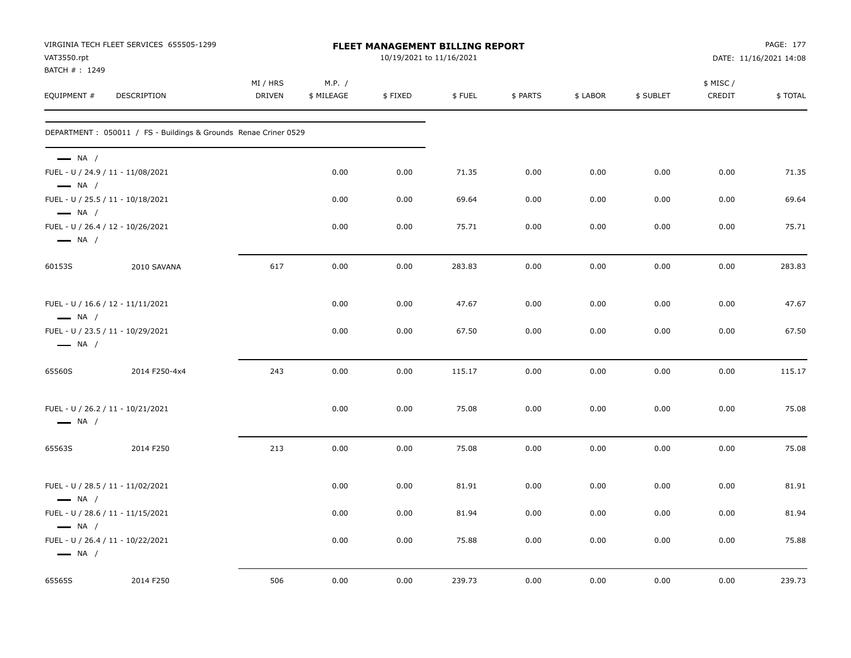| VAT3550.rpt<br>BATCH #: 1249                     | VIRGINIA TECH FLEET SERVICES 655505-1299                         |                           | FLEET MANAGEMENT BILLING REPORT<br>10/19/2021 to 11/16/2021 | PAGE: 177<br>DATE: 11/16/2021 14:08 |        |          |          |           |                     |         |
|--------------------------------------------------|------------------------------------------------------------------|---------------------------|-------------------------------------------------------------|-------------------------------------|--------|----------|----------|-----------|---------------------|---------|
| EQUIPMENT #                                      | DESCRIPTION                                                      | MI / HRS<br><b>DRIVEN</b> | M.P. /<br>\$ MILEAGE                                        | \$FIXED                             | \$FUEL | \$ PARTS | \$ LABOR | \$ SUBLET | \$ MISC /<br>CREDIT | \$TOTAL |
|                                                  | DEPARTMENT : 050011 / FS - Buildings & Grounds Renae Criner 0529 |                           |                                                             |                                     |        |          |          |           |                     |         |
| $\longrightarrow$ NA /                           | FUEL - U / 24.9 / 11 - 11/08/2021                                |                           | 0.00                                                        | 0.00                                | 71.35  | 0.00     | 0.00     | 0.00      | 0.00                | 71.35   |
| $\longrightarrow$ NA /                           | FUEL - U / 25.5 / 11 - 10/18/2021                                |                           | 0.00                                                        | 0.00                                | 69.64  | 0.00     | 0.00     | 0.00      | 0.00                | 69.64   |
| $\longrightarrow$ NA /<br>$\longrightarrow$ NA / | FUEL - U / 26.4 / 12 - 10/26/2021                                |                           | 0.00                                                        | 0.00                                | 75.71  | 0.00     | 0.00     | 0.00      | 0.00                | 75.71   |
| 60153S                                           | 2010 SAVANA                                                      | 617                       | 0.00                                                        | 0.00                                | 283.83 | 0.00     | 0.00     | 0.00      | 0.00                | 283.83  |
| $\longrightarrow$ NA /                           | FUEL - U / 16.6 / 12 - 11/11/2021                                |                           | 0.00                                                        | 0.00                                | 47.67  | 0.00     | 0.00     | 0.00      | 0.00                | 47.67   |
| $\longrightarrow$ NA /                           | FUEL - U / 23.5 / 11 - 10/29/2021                                |                           | 0.00                                                        | 0.00                                | 67.50  | 0.00     | 0.00     | 0.00      | 0.00                | 67.50   |
| 65560S                                           | 2014 F250-4x4                                                    | 243                       | 0.00                                                        | 0.00                                | 115.17 | 0.00     | 0.00     | 0.00      | 0.00                | 115.17  |
| $\longrightarrow$ NA /                           | FUEL - U / 26.2 / 11 - 10/21/2021                                |                           | 0.00                                                        | 0.00                                | 75.08  | 0.00     | 0.00     | 0.00      | 0.00                | 75.08   |
| 65563S                                           | 2014 F250                                                        | 213                       | 0.00                                                        | 0.00                                | 75.08  | 0.00     | 0.00     | 0.00      | 0.00                | 75.08   |
| $\longrightarrow$ NA /                           | FUEL - U / 28.5 / 11 - 11/02/2021                                |                           | 0.00                                                        | 0.00                                | 81.91  | 0.00     | 0.00     | 0.00      | 0.00                | 81.91   |
| $\longrightarrow$ NA /                           | FUEL - U / 28.6 / 11 - 11/15/2021                                |                           | 0.00                                                        | 0.00                                | 81.94  | 0.00     | 0.00     | 0.00      | 0.00                | 81.94   |
| $\longrightarrow$ NA /                           | FUEL - U / 26.4 / 11 - 10/22/2021                                |                           | 0.00                                                        | 0.00                                | 75.88  | 0.00     | 0.00     | 0.00      | 0.00                | 75.88   |
| 65565S                                           | 2014 F250                                                        | 506                       | 0.00                                                        | 0.00                                | 239.73 | 0.00     | 0.00     | 0.00      | 0.00                | 239.73  |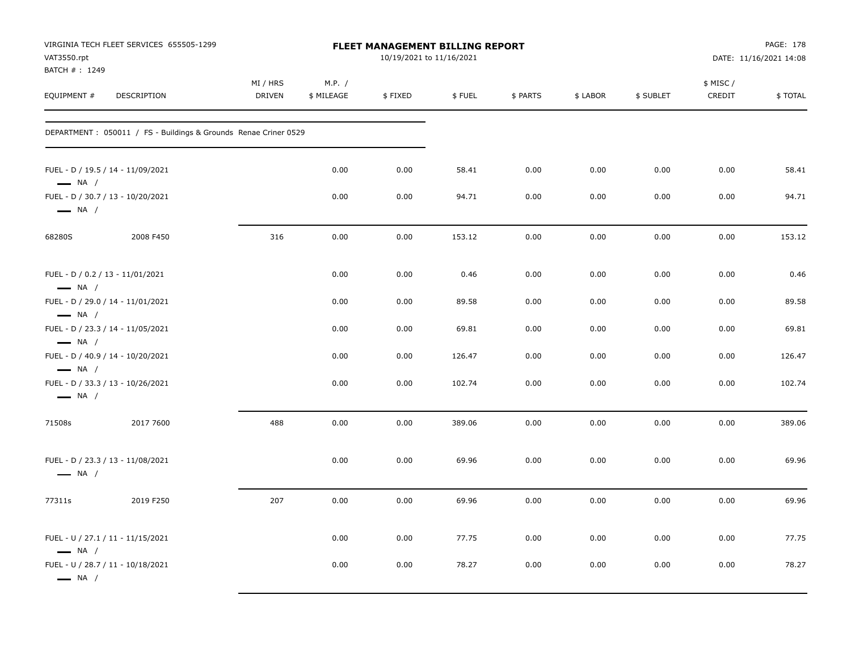| VIRGINIA TECH FLEET SERVICES 655505-1299<br>VAT3550.rpt<br>BATCH #: 1249              |                                                                  |                           |                      |         | FLEET MANAGEMENT BILLING REPORT<br>10/19/2021 to 11/16/2021 | PAGE: 178<br>DATE: 11/16/2021 14:08 |          |           |                     |         |
|---------------------------------------------------------------------------------------|------------------------------------------------------------------|---------------------------|----------------------|---------|-------------------------------------------------------------|-------------------------------------|----------|-----------|---------------------|---------|
| EQUIPMENT #                                                                           | DESCRIPTION                                                      | MI / HRS<br><b>DRIVEN</b> | M.P. /<br>\$ MILEAGE | \$FIXED | \$FUEL                                                      | \$ PARTS                            | \$ LABOR | \$ SUBLET | \$ MISC /<br>CREDIT | \$TOTAL |
|                                                                                       | DEPARTMENT : 050011 / FS - Buildings & Grounds Renae Criner 0529 |                           |                      |         |                                                             |                                     |          |           |                     |         |
| FUEL - D / 19.5 / 14 - 11/09/2021<br>$\longrightarrow$ NA /                           |                                                                  |                           | 0.00                 | 0.00    | 58.41                                                       | 0.00                                | 0.00     | 0.00      | 0.00                | 58.41   |
| FUEL - D / 30.7 / 13 - 10/20/2021<br>$\longrightarrow$ NA /                           |                                                                  |                           | 0.00                 | 0.00    | 94.71                                                       | 0.00                                | 0.00     | 0.00      | 0.00                | 94.71   |
| 68280S                                                                                | 2008 F450                                                        | 316                       | 0.00                 | 0.00    | 153.12                                                      | 0.00                                | 0.00     | 0.00      | 0.00                | 153.12  |
| FUEL - D / 0.2 / 13 - 11/01/2021<br>$\longrightarrow$ NA /                            |                                                                  |                           | 0.00                 | 0.00    | 0.46                                                        | 0.00                                | 0.00     | 0.00      | 0.00                | 0.46    |
| FUEL - D / 29.0 / 14 - 11/01/2021                                                     |                                                                  |                           | 0.00                 | 0.00    | 89.58                                                       | 0.00                                | 0.00     | 0.00      | 0.00                | 89.58   |
| $\longrightarrow$ NA /<br>FUEL - D / 23.3 / 14 - 11/05/2021<br>$\longrightarrow$ NA / |                                                                  |                           | 0.00                 | 0.00    | 69.81                                                       | 0.00                                | 0.00     | 0.00      | 0.00                | 69.81   |
| FUEL - D / 40.9 / 14 - 10/20/2021<br>$\longrightarrow$ NA /                           |                                                                  |                           | 0.00                 | 0.00    | 126.47                                                      | 0.00                                | 0.00     | 0.00      | 0.00                | 126.47  |
| FUEL - D / 33.3 / 13 - 10/26/2021<br>$\longrightarrow$ NA /                           |                                                                  |                           | 0.00                 | 0.00    | 102.74                                                      | 0.00                                | 0.00     | 0.00      | 0.00                | 102.74  |
| 71508s                                                                                | 2017 7600                                                        | 488                       | 0.00                 | 0.00    | 389.06                                                      | 0.00                                | 0.00     | 0.00      | 0.00                | 389.06  |
| FUEL - D / 23.3 / 13 - 11/08/2021<br>$\longrightarrow$ NA /                           |                                                                  |                           | 0.00                 | 0.00    | 69.96                                                       | 0.00                                | 0.00     | 0.00      | 0.00                | 69.96   |
| 77311s                                                                                | 2019 F250                                                        | 207                       | 0.00                 | 0.00    | 69.96                                                       | 0.00                                | 0.00     | 0.00      | 0.00                | 69.96   |
| FUEL - U / 27.1 / 11 - 11/15/2021<br>$\longrightarrow$ NA /                           |                                                                  |                           | 0.00                 | 0.00    | 77.75                                                       | 0.00                                | 0.00     | 0.00      | 0.00                | 77.75   |
| FUEL - U / 28.7 / 11 - 10/18/2021<br>$\longrightarrow$ NA /                           |                                                                  |                           | 0.00                 | 0.00    | 78.27                                                       | 0.00                                | 0.00     | 0.00      | 0.00                | 78.27   |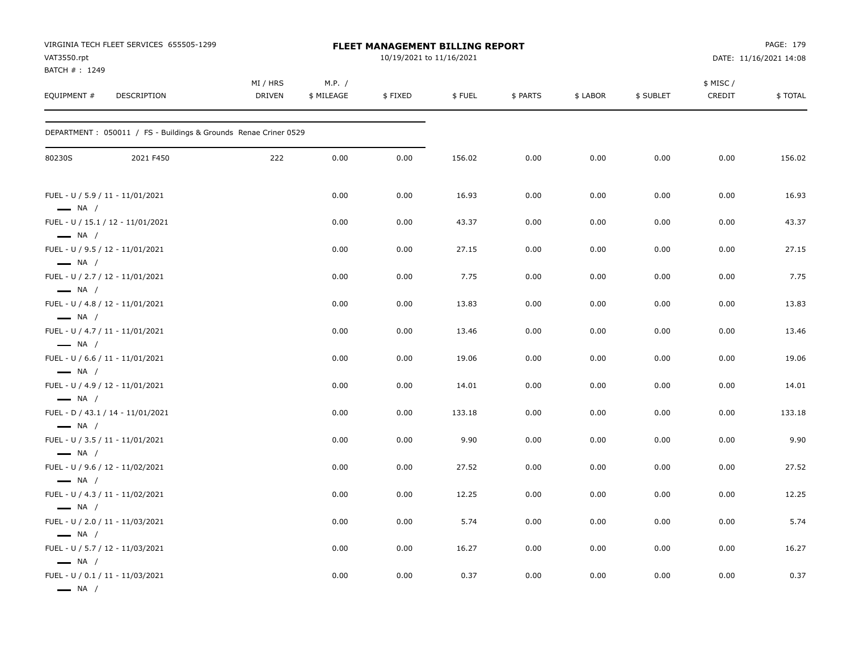| VAT3550.rpt<br>BATCH #: 1249                     | VIRGINIA TECH FLEET SERVICES 655505-1299                         |                    | FLEET MANAGEMENT BILLING REPORT<br>10/19/2021 to 11/16/2021 |         |        |          |          |           |                    | PAGE: 179<br>DATE: 11/16/2021 14:08 |  |  |  |
|--------------------------------------------------|------------------------------------------------------------------|--------------------|-------------------------------------------------------------|---------|--------|----------|----------|-----------|--------------------|-------------------------------------|--|--|--|
| EQUIPMENT #                                      | DESCRIPTION                                                      | MI / HRS<br>DRIVEN | M.P. /<br>\$ MILEAGE                                        | \$FIXED | \$FUEL | \$ PARTS | \$ LABOR | \$ SUBLET | \$ MISC/<br>CREDIT | \$TOTAL                             |  |  |  |
|                                                  | DEPARTMENT : 050011 / FS - Buildings & Grounds Renae Criner 0529 |                    |                                                             |         |        |          |          |           |                    |                                     |  |  |  |
| 80230S                                           | 2021 F450                                                        | 222                | 0.00                                                        | 0.00    | 156.02 | 0.00     | 0.00     | 0.00      | 0.00               | 156.02                              |  |  |  |
| $\longrightarrow$ NA /                           | FUEL - U / 5.9 / 11 - 11/01/2021                                 |                    | 0.00                                                        | 0.00    | 16.93  | 0.00     | 0.00     | 0.00      | 0.00               | 16.93                               |  |  |  |
| $\longrightarrow$ NA /                           | FUEL - U / 15.1 / 12 - 11/01/2021                                |                    | 0.00                                                        | 0.00    | 43.37  | 0.00     | 0.00     | 0.00      | 0.00               | 43.37                               |  |  |  |
| $\longrightarrow$ NA /                           | FUEL - U / 9.5 / 12 - 11/01/2021                                 |                    | 0.00                                                        | 0.00    | 27.15  | 0.00     | 0.00     | 0.00      | 0.00               | 27.15                               |  |  |  |
| $\longrightarrow$ NA /                           | FUEL - U / 2.7 / 12 - 11/01/2021                                 |                    | 0.00                                                        | 0.00    | 7.75   | 0.00     | 0.00     | 0.00      | 0.00               | 7.75                                |  |  |  |
| $\longrightarrow$ NA /                           | FUEL - U / 4.8 / 12 - 11/01/2021                                 |                    | 0.00                                                        | 0.00    | 13.83  | 0.00     | 0.00     | 0.00      | 0.00               | 13.83                               |  |  |  |
| $\longrightarrow$ NA /                           | FUEL - U / 4.7 / 11 - 11/01/2021                                 |                    | 0.00                                                        | 0.00    | 13.46  | 0.00     | 0.00     | 0.00      | 0.00               | 13.46                               |  |  |  |
| $\longrightarrow$ NA /                           | FUEL - U / 6.6 / 11 - 11/01/2021                                 |                    | 0.00                                                        | 0.00    | 19.06  | 0.00     | 0.00     | 0.00      | 0.00               | 19.06                               |  |  |  |
| $\longrightarrow$ NA /                           | FUEL - U / 4.9 / 12 - 11/01/2021                                 |                    | 0.00                                                        | 0.00    | 14.01  | 0.00     | 0.00     | 0.00      | 0.00               | 14.01                               |  |  |  |
| $\longrightarrow$ NA /                           | FUEL - D / 43.1 / 14 - 11/01/2021                                |                    | 0.00                                                        | 0.00    | 133.18 | 0.00     | 0.00     | 0.00      | 0.00               | 133.18                              |  |  |  |
|                                                  | FUEL - U / 3.5 / 11 - 11/01/2021                                 |                    | 0.00                                                        | 0.00    | 9.90   | 0.00     | 0.00     | 0.00      | 0.00               | 9.90                                |  |  |  |
| $\longrightarrow$ NA /                           | FUEL - U / 9.6 / 12 - 11/02/2021                                 |                    | 0.00                                                        | 0.00    | 27.52  | 0.00     | 0.00     | 0.00      | 0.00               | 27.52                               |  |  |  |
| $\longrightarrow$ NA /                           | FUEL - U / 4.3 / 11 - 11/02/2021                                 |                    | 0.00                                                        | 0.00    | 12.25  | 0.00     | 0.00     | 0.00      | 0.00               | 12.25                               |  |  |  |
| $\longrightarrow$ NA /                           | FUEL - U / 2.0 / 11 - 11/03/2021                                 |                    | 0.00                                                        | 0.00    | 5.74   | 0.00     | 0.00     | 0.00      | 0.00               | 5.74                                |  |  |  |
| $\longrightarrow$ NA /                           | FUEL - U / 5.7 / 12 - 11/03/2021                                 |                    | 0.00                                                        | 0.00    | 16.27  | 0.00     | 0.00     | 0.00      | 0.00               | 16.27                               |  |  |  |
| $\longrightarrow$ NA /<br>$\longrightarrow$ NA / | FUEL - U / 0.1 / 11 - 11/03/2021                                 |                    | 0.00                                                        | 0.00    | 0.37   | 0.00     | 0.00     | 0.00      | 0.00               | 0.37                                |  |  |  |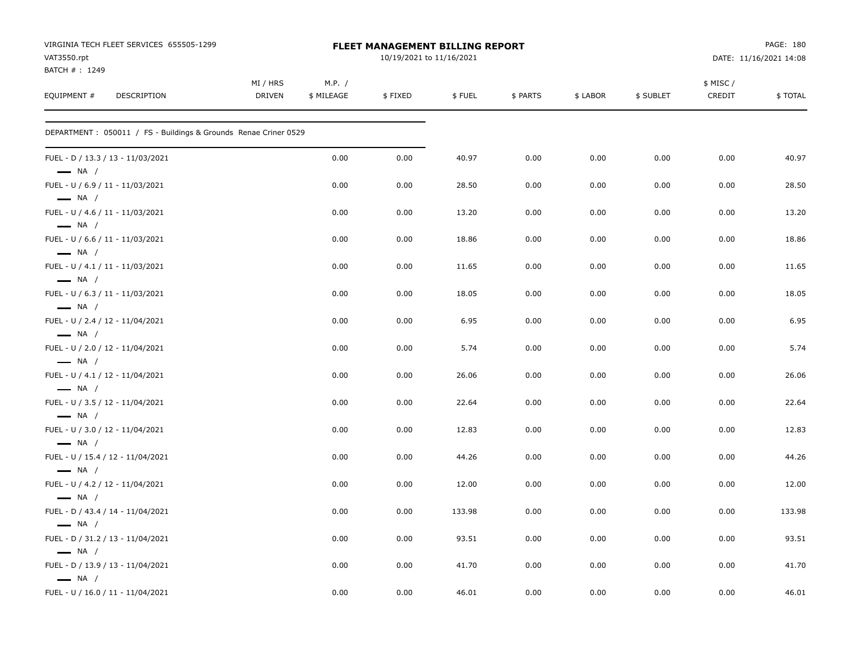| VIRGINIA TECH FLEET SERVICES 655505-1299<br>VAT3550.rpt<br>BATCH #: 1249 |                           |                      | FLEET MANAGEMENT BILLING REPORT<br>10/19/2021 to 11/16/2021 |        |          |          | PAGE: 180<br>DATE: 11/16/2021 14:08 |                    |         |  |
|--------------------------------------------------------------------------|---------------------------|----------------------|-------------------------------------------------------------|--------|----------|----------|-------------------------------------|--------------------|---------|--|
| EQUIPMENT #<br><b>DESCRIPTION</b>                                        | MI / HRS<br><b>DRIVEN</b> | M.P. /<br>\$ MILEAGE | \$FIXED                                                     | \$FUEL | \$ PARTS | \$ LABOR | \$ SUBLET                           | \$ MISC/<br>CREDIT | \$TOTAL |  |
| DEPARTMENT: 050011 / FS - Buildings & Grounds Renae Criner 0529          |                           |                      |                                                             |        |          |          |                                     |                    |         |  |
| FUEL - D / 13.3 / 13 - 11/03/2021<br>$\longrightarrow$ NA /              |                           | 0.00                 | 0.00                                                        | 40.97  | 0.00     | 0.00     | 0.00                                | 0.00               | 40.97   |  |
| FUEL - U / 6.9 / 11 - 11/03/2021<br>$\longrightarrow$ NA /               |                           | 0.00                 | 0.00                                                        | 28.50  | 0.00     | 0.00     | 0.00                                | 0.00               | 28.50   |  |
| FUEL - U / 4.6 / 11 - 11/03/2021<br>$\longrightarrow$ NA /               |                           | 0.00                 | 0.00                                                        | 13.20  | 0.00     | 0.00     | 0.00                                | 0.00               | 13.20   |  |
| FUEL - U / 6.6 / 11 - 11/03/2021<br>$\longrightarrow$ NA /               |                           | 0.00                 | 0.00                                                        | 18.86  | 0.00     | 0.00     | 0.00                                | 0.00               | 18.86   |  |
| FUEL - U / 4.1 / 11 - 11/03/2021<br>$\longrightarrow$ NA /               |                           | 0.00                 | 0.00                                                        | 11.65  | 0.00     | 0.00     | 0.00                                | 0.00               | 11.65   |  |
| FUEL - U / 6.3 / 11 - 11/03/2021<br>$\longrightarrow$ NA /               |                           | 0.00                 | 0.00                                                        | 18.05  | 0.00     | 0.00     | 0.00                                | 0.00               | 18.05   |  |
| FUEL - U / 2.4 / 12 - 11/04/2021<br>$\longrightarrow$ NA /               |                           | 0.00                 | 0.00                                                        | 6.95   | 0.00     | 0.00     | 0.00                                | 0.00               | 6.95    |  |
| FUEL - U / 2.0 / 12 - 11/04/2021<br>$\longrightarrow$ NA /               |                           | 0.00                 | 0.00                                                        | 5.74   | 0.00     | 0.00     | 0.00                                | 0.00               | 5.74    |  |
| FUEL - U / 4.1 / 12 - 11/04/2021<br>$\longrightarrow$ NA /               |                           | 0.00                 | 0.00                                                        | 26.06  | 0.00     | 0.00     | 0.00                                | 0.00               | 26.06   |  |
| FUEL - U / 3.5 / 12 - 11/04/2021<br>$\longrightarrow$ NA /               |                           | 0.00                 | 0.00                                                        | 22.64  | 0.00     | 0.00     | 0.00                                | 0.00               | 22.64   |  |
| FUEL - U / 3.0 / 12 - 11/04/2021<br>$\longrightarrow$ NA /               |                           | 0.00                 | 0.00                                                        | 12.83  | 0.00     | 0.00     | 0.00                                | 0.00               | 12.83   |  |
| FUEL - U / 15.4 / 12 - 11/04/2021<br>$\longrightarrow$ NA /              |                           | 0.00                 | 0.00                                                        | 44.26  | 0.00     | 0.00     | 0.00                                | 0.00               | 44.26   |  |
| FUEL - U / 4.2 / 12 - 11/04/2021<br>$\longrightarrow$ NA /               |                           | 0.00                 | 0.00                                                        | 12.00  | 0.00     | 0.00     | 0.00                                | 0.00               | 12.00   |  |
| FUEL - D / 43.4 / 14 - 11/04/2021<br>$\longrightarrow$ NA /              |                           | 0.00                 | 0.00                                                        | 133.98 | 0.00     | 0.00     | 0.00                                | 0.00               | 133.98  |  |
| FUEL - D / 31.2 / 13 - 11/04/2021<br>$\equiv$ NA /                       |                           | 0.00                 | 0.00                                                        | 93.51  | 0.00     | 0.00     | 0.00                                | 0.00               | 93.51   |  |
| FUEL - D / 13.9 / 13 - 11/04/2021<br>$\longrightarrow$ NA /              |                           | 0.00                 | 0.00                                                        | 41.70  | 0.00     | 0.00     | 0.00                                | 0.00               | 41.70   |  |
| FUEL - U / 16.0 / 11 - 11/04/2021                                        |                           | 0.00                 | 0.00                                                        | 46.01  | 0.00     | 0.00     | 0.00                                | 0.00               | 46.01   |  |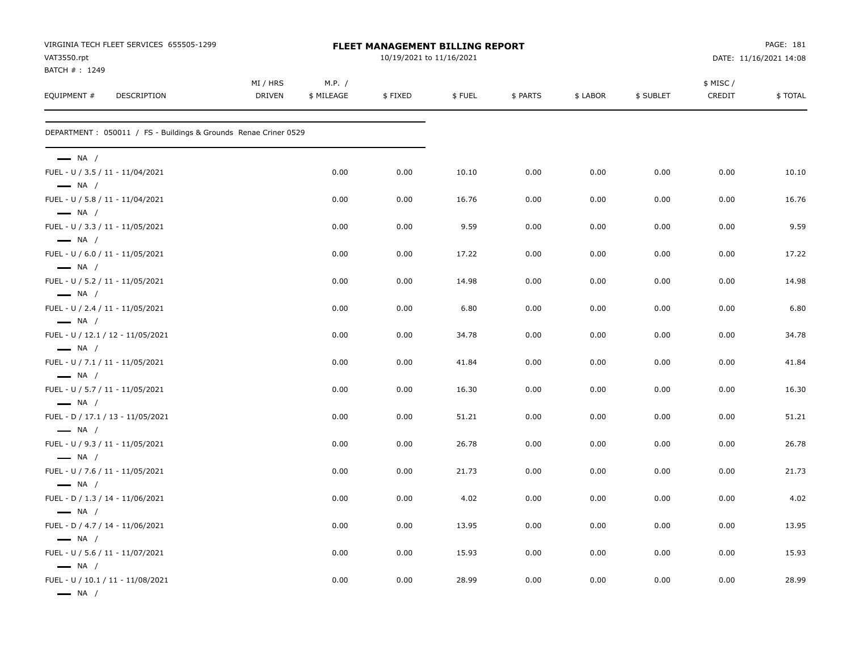| VAT3550.rpt                                                | VIRGINIA TECH FLEET SERVICES 655505-1299                         |                    |                      | <b>FLEET MANAGEMENT BILLING REPORT</b><br>10/19/2021 to 11/16/2021 |        |          | PAGE: 181<br>DATE: 11/16/2021 14:08 |           |                     |         |
|------------------------------------------------------------|------------------------------------------------------------------|--------------------|----------------------|--------------------------------------------------------------------|--------|----------|-------------------------------------|-----------|---------------------|---------|
| BATCH #: 1249<br>EQUIPMENT #                               | DESCRIPTION                                                      | MI / HRS<br>DRIVEN | M.P. /<br>\$ MILEAGE | \$FIXED                                                            | \$FUEL | \$ PARTS | \$ LABOR                            | \$ SUBLET | \$ MISC /<br>CREDIT | \$TOTAL |
|                                                            | DEPARTMENT : 050011 / FS - Buildings & Grounds Renae Criner 0529 |                    |                      |                                                                    |        |          |                                     |           |                     |         |
| $\longrightarrow$ NA /                                     |                                                                  |                    |                      |                                                                    |        |          |                                     |           |                     |         |
| FUEL - U / 3.5 / 11 - 11/04/2021<br>$\longrightarrow$ NA / |                                                                  |                    | 0.00                 | 0.00                                                               | 10.10  | 0.00     | 0.00                                | 0.00      | 0.00                | 10.10   |
| FUEL - U / 5.8 / 11 - 11/04/2021<br>$\longrightarrow$ NA / |                                                                  |                    | 0.00                 | 0.00                                                               | 16.76  | 0.00     | 0.00                                | 0.00      | 0.00                | 16.76   |
| FUEL - U / 3.3 / 11 - 11/05/2021<br>$\longrightarrow$ NA / |                                                                  |                    | 0.00                 | 0.00                                                               | 9.59   | 0.00     | 0.00                                | 0.00      | 0.00                | 9.59    |
| FUEL - U / 6.0 / 11 - 11/05/2021<br>$\longrightarrow$ NA / |                                                                  |                    | 0.00                 | 0.00                                                               | 17.22  | 0.00     | 0.00                                | 0.00      | 0.00                | 17.22   |
| FUEL - U / 5.2 / 11 - 11/05/2021                           |                                                                  |                    | 0.00                 | 0.00                                                               | 14.98  | 0.00     | 0.00                                | 0.00      | 0.00                | 14.98   |
| $\longrightarrow$ NA /<br>FUEL - U / 2.4 / 11 - 11/05/2021 |                                                                  |                    | 0.00                 | 0.00                                                               | 6.80   | 0.00     | 0.00                                | 0.00      | 0.00                | 6.80    |
| $\longrightarrow$ NA /                                     | FUEL - U / 12.1 / 12 - 11/05/2021                                |                    | 0.00                 | 0.00                                                               | 34.78  | 0.00     | 0.00                                | 0.00      | 0.00                | 34.78   |
| $\longrightarrow$ NA /<br>FUEL - U / 7.1 / 11 - 11/05/2021 |                                                                  |                    | 0.00                 | 0.00                                                               | 41.84  | 0.00     | 0.00                                | 0.00      | 0.00                | 41.84   |
| $\longrightarrow$ NA /<br>FUEL - U / 5.7 / 11 - 11/05/2021 |                                                                  |                    | 0.00                 | 0.00                                                               | 16.30  | 0.00     | 0.00                                | 0.00      | 0.00                | 16.30   |
| $\longrightarrow$ NA /                                     | FUEL - D / 17.1 / 13 - 11/05/2021                                |                    | 0.00                 | 0.00                                                               | 51.21  | 0.00     | 0.00                                | 0.00      | 0.00                | 51.21   |
| $\longrightarrow$ NA /<br>FUEL - U / 9.3 / 11 - 11/05/2021 |                                                                  |                    | 0.00                 | 0.00                                                               | 26.78  | 0.00     | 0.00                                | 0.00      | 0.00                | 26.78   |
| $\longrightarrow$ NA /<br>FUEL - U / 7.6 / 11 - 11/05/2021 |                                                                  |                    | 0.00                 | 0.00                                                               | 21.73  | 0.00     | 0.00                                | 0.00      | 0.00                | 21.73   |
| $\longrightarrow$ NA /<br>FUEL - D / 1.3 / 14 - 11/06/2021 |                                                                  |                    | 0.00                 | 0.00                                                               | 4.02   | 0.00     | 0.00                                | 0.00      | 0.00                | 4.02    |
| $\longrightarrow$ NA /<br>FUEL - D / 4.7 / 14 - 11/06/2021 |                                                                  |                    | 0.00                 | 0.00                                                               | 13.95  | 0.00     | 0.00                                | 0.00      | 0.00                | 13.95   |
| $\longrightarrow$ NA /<br>FUEL - U / 5.6 / 11 - 11/07/2021 |                                                                  |                    | 0.00                 | 0.00                                                               | 15.93  | 0.00     | 0.00                                | 0.00      | 0.00                | 15.93   |
| $\longrightarrow$ NA /                                     | FUEL - U / 10.1 / 11 - 11/08/2021                                |                    | 0.00                 | 0.00                                                               | 28.99  | 0.00     | 0.00                                | 0.00      | 0.00                | 28.99   |
| $\longrightarrow$ NA /                                     |                                                                  |                    |                      |                                                                    |        |          |                                     |           |                     |         |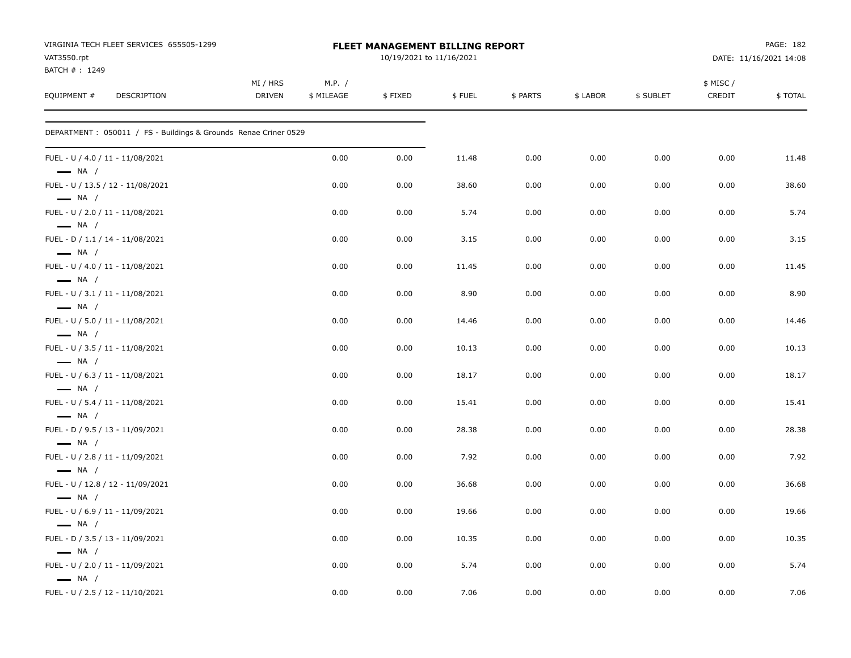| VIRGINIA TECH FLEET SERVICES 655505-1299<br>VAT3550.rpt<br>BATCH #: 1249 |                           |                      | FLEET MANAGEMENT BILLING REPORT<br>10/19/2021 to 11/16/2021 |        |          | PAGE: 182<br>DATE: 11/16/2021 14:08 |           |                    |         |
|--------------------------------------------------------------------------|---------------------------|----------------------|-------------------------------------------------------------|--------|----------|-------------------------------------|-----------|--------------------|---------|
| EQUIPMENT #<br><b>DESCRIPTION</b>                                        | MI / HRS<br><b>DRIVEN</b> | M.P. /<br>\$ MILEAGE | \$FIXED                                                     | \$FUEL | \$ PARTS | \$ LABOR                            | \$ SUBLET | \$ MISC/<br>CREDIT | \$TOTAL |
| DEPARTMENT : 050011 / FS - Buildings & Grounds Renae Criner 0529         |                           |                      |                                                             |        |          |                                     |           |                    |         |
| FUEL - U / 4.0 / 11 - 11/08/2021<br>$\longrightarrow$ NA /               |                           | 0.00                 | 0.00                                                        | 11.48  | 0.00     | 0.00                                | 0.00      | 0.00               | 11.48   |
| FUEL - U / 13.5 / 12 - 11/08/2021<br>$\longrightarrow$ NA /              |                           | 0.00                 | 0.00                                                        | 38.60  | 0.00     | 0.00                                | 0.00      | 0.00               | 38.60   |
| FUEL - U / 2.0 / 11 - 11/08/2021<br>$\longrightarrow$ NA /               |                           | 0.00                 | 0.00                                                        | 5.74   | 0.00     | 0.00                                | 0.00      | 0.00               | 5.74    |
| FUEL - D / 1.1 / 14 - 11/08/2021<br>$\longrightarrow$ NA /               |                           | 0.00                 | 0.00                                                        | 3.15   | 0.00     | 0.00                                | 0.00      | 0.00               | 3.15    |
| FUEL - U / 4.0 / 11 - 11/08/2021<br>$-$ NA $/$                           |                           | 0.00                 | 0.00                                                        | 11.45  | 0.00     | 0.00                                | 0.00      | 0.00               | 11.45   |
| FUEL - U / 3.1 / 11 - 11/08/2021<br>$\longrightarrow$ NA /               |                           | 0.00                 | 0.00                                                        | 8.90   | 0.00     | 0.00                                | 0.00      | 0.00               | 8.90    |
| FUEL - U / 5.0 / 11 - 11/08/2021<br>$\longrightarrow$ NA /               |                           | 0.00                 | 0.00                                                        | 14.46  | 0.00     | 0.00                                | 0.00      | 0.00               | 14.46   |
| FUEL - U / 3.5 / 11 - 11/08/2021<br>$\longrightarrow$ NA /               |                           | 0.00                 | 0.00                                                        | 10.13  | 0.00     | 0.00                                | 0.00      | 0.00               | 10.13   |
| FUEL - U / 6.3 / 11 - 11/08/2021<br>$\longrightarrow$ NA /               |                           | 0.00                 | 0.00                                                        | 18.17  | 0.00     | 0.00                                | 0.00      | 0.00               | 18.17   |
| FUEL - U / 5.4 / 11 - 11/08/2021<br>$\longrightarrow$ NA /               |                           | 0.00                 | 0.00                                                        | 15.41  | 0.00     | 0.00                                | 0.00      | 0.00               | 15.41   |
| FUEL - D / 9.5 / 13 - 11/09/2021<br>$\longrightarrow$ NA /               |                           | 0.00                 | 0.00                                                        | 28.38  | 0.00     | 0.00                                | 0.00      | 0.00               | 28.38   |
| FUEL - U / 2.8 / 11 - 11/09/2021<br>$\longrightarrow$ NA /               |                           | 0.00                 | 0.00                                                        | 7.92   | 0.00     | 0.00                                | 0.00      | 0.00               | 7.92    |
| FUEL - U / 12.8 / 12 - 11/09/2021<br>$\longrightarrow$ NA /              |                           | 0.00                 | 0.00                                                        | 36.68  | 0.00     | 0.00                                | 0.00      | 0.00               | 36.68   |
| FUEL - U / 6.9 / 11 - 11/09/2021<br>$\longrightarrow$ NA /               |                           | 0.00                 | 0.00                                                        | 19.66  | 0.00     | 0.00                                | 0.00      | 0.00               | 19.66   |
| FUEL - D / 3.5 / 13 - 11/09/2021<br>$\longrightarrow$ NA /               |                           | 0.00                 | 0.00                                                        | 10.35  | 0.00     | 0.00                                | 0.00      | 0.00               | 10.35   |
| FUEL - U / 2.0 / 11 - 11/09/2021<br>$\longrightarrow$ NA /               |                           | 0.00                 | 0.00                                                        | 5.74   | 0.00     | 0.00                                | 0.00      | 0.00               | 5.74    |
| FUEL - U / 2.5 / 12 - 11/10/2021                                         |                           | 0.00                 | 0.00                                                        | 7.06   | 0.00     | 0.00                                | 0.00      | 0.00               | 7.06    |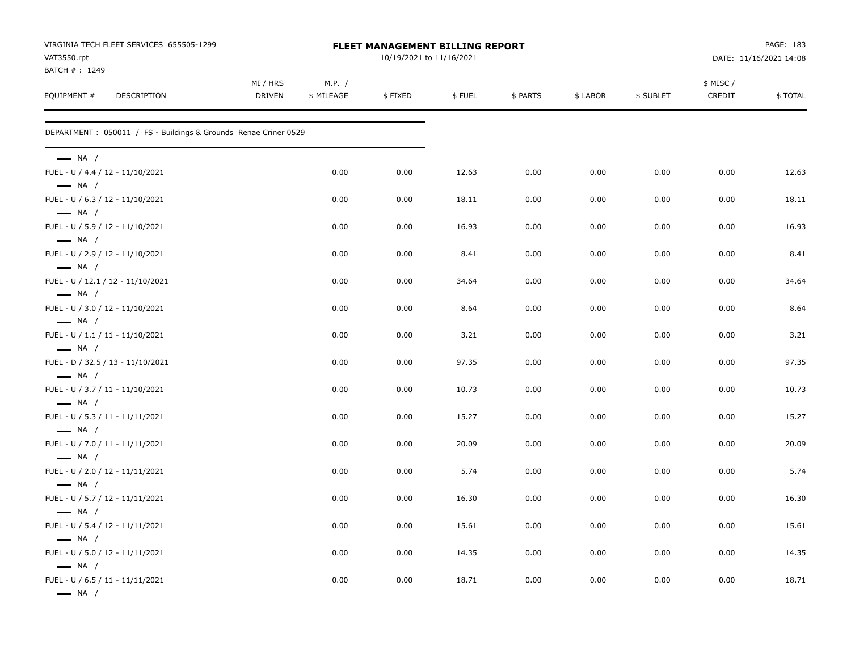| VIRGINIA TECH FLEET SERVICES 655505-1299<br>VAT3550.rpt          | FLEET MANAGEMENT BILLING REPORT<br>10/19/2021 to 11/16/2021 |                      |         |        |          |         |           | PAGE: 183<br>DATE: 11/16/2021 14:08 |         |
|------------------------------------------------------------------|-------------------------------------------------------------|----------------------|---------|--------|----------|---------|-----------|-------------------------------------|---------|
| BATCH #: 1249<br>EQUIPMENT #<br>DESCRIPTION                      | MI / HRS<br><b>DRIVEN</b>                                   | M.P. /<br>\$ MILEAGE | \$FIXED | \$FUEL | \$ PARTS | \$LABOR | \$ SUBLET | \$ MISC/<br>CREDIT                  | \$TOTAL |
| DEPARTMENT : 050011 / FS - Buildings & Grounds Renae Criner 0529 |                                                             |                      |         |        |          |         |           |                                     |         |
| $\longrightarrow$ NA /                                           |                                                             |                      |         |        |          |         |           |                                     |         |
| FUEL - U / 4.4 / 12 - 11/10/2021<br>$\longrightarrow$ NA /       |                                                             | 0.00                 | 0.00    | 12.63  | 0.00     | 0.00    | 0.00      | 0.00                                | 12.63   |
| FUEL - U / 6.3 / 12 - 11/10/2021<br>$\longrightarrow$ NA /       |                                                             | 0.00                 | 0.00    | 18.11  | 0.00     | 0.00    | 0.00      | 0.00                                | 18.11   |
| FUEL - U / 5.9 / 12 - 11/10/2021<br>$\longrightarrow$ NA /       |                                                             | 0.00                 | 0.00    | 16.93  | 0.00     | 0.00    | 0.00      | 0.00                                | 16.93   |
| FUEL - U / 2.9 / 12 - 11/10/2021<br>$\longrightarrow$ NA /       |                                                             | 0.00                 | 0.00    | 8.41   | 0.00     | 0.00    | 0.00      | 0.00                                | 8.41    |
| FUEL - U / 12.1 / 12 - 11/10/2021<br>$\longrightarrow$ NA /      |                                                             | 0.00                 | 0.00    | 34.64  | 0.00     | 0.00    | 0.00      | 0.00                                | 34.64   |
| FUEL - U / 3.0 / 12 - 11/10/2021<br>$\longrightarrow$ NA /       |                                                             | 0.00                 | 0.00    | 8.64   | 0.00     | 0.00    | 0.00      | 0.00                                | 8.64    |
| FUEL - U / 1.1 / 11 - 11/10/2021<br>$\longrightarrow$ NA /       |                                                             | 0.00                 | 0.00    | 3.21   | 0.00     | 0.00    | 0.00      | 0.00                                | 3.21    |
| FUEL - D / 32.5 / 13 - 11/10/2021<br>$\longrightarrow$ NA /      |                                                             | 0.00                 | 0.00    | 97.35  | 0.00     | 0.00    | 0.00      | 0.00                                | 97.35   |
| FUEL - U / 3.7 / 11 - 11/10/2021<br>$\longrightarrow$ NA /       |                                                             | 0.00                 | 0.00    | 10.73  | 0.00     | 0.00    | 0.00      | 0.00                                | 10.73   |
| FUEL - U / 5.3 / 11 - 11/11/2021<br>$\longrightarrow$ NA /       |                                                             | 0.00                 | 0.00    | 15.27  | 0.00     | 0.00    | 0.00      | 0.00                                | 15.27   |
| FUEL - U / 7.0 / 11 - 11/11/2021<br>$\longrightarrow$ NA /       |                                                             | 0.00                 | 0.00    | 20.09  | 0.00     | 0.00    | 0.00      | 0.00                                | 20.09   |
| FUEL - U / 2.0 / 12 - 11/11/2021<br>$\longrightarrow$ NA /       |                                                             | 0.00                 | 0.00    | 5.74   | 0.00     | 0.00    | 0.00      | 0.00                                | 5.74    |
| FUEL - U / 5.7 / 12 - 11/11/2021<br>$\longrightarrow$ NA /       |                                                             | 0.00                 | 0.00    | 16.30  | 0.00     | 0.00    | 0.00      | 0.00                                | 16.30   |
| FUEL - U / 5.4 / 12 - 11/11/2021<br>$\longrightarrow$ NA /       |                                                             | 0.00                 | 0.00    | 15.61  | 0.00     | 0.00    | 0.00      | 0.00                                | 15.61   |
| FUEL - U / 5.0 / 12 - 11/11/2021<br>$\longrightarrow$ NA /       |                                                             | 0.00                 | 0.00    | 14.35  | 0.00     | 0.00    | 0.00      | 0.00                                | 14.35   |
| FUEL - U / 6.5 / 11 - 11/11/2021<br>$\longrightarrow$ NA /       |                                                             | 0.00                 | 0.00    | 18.71  | 0.00     | 0.00    | 0.00      | 0.00                                | 18.71   |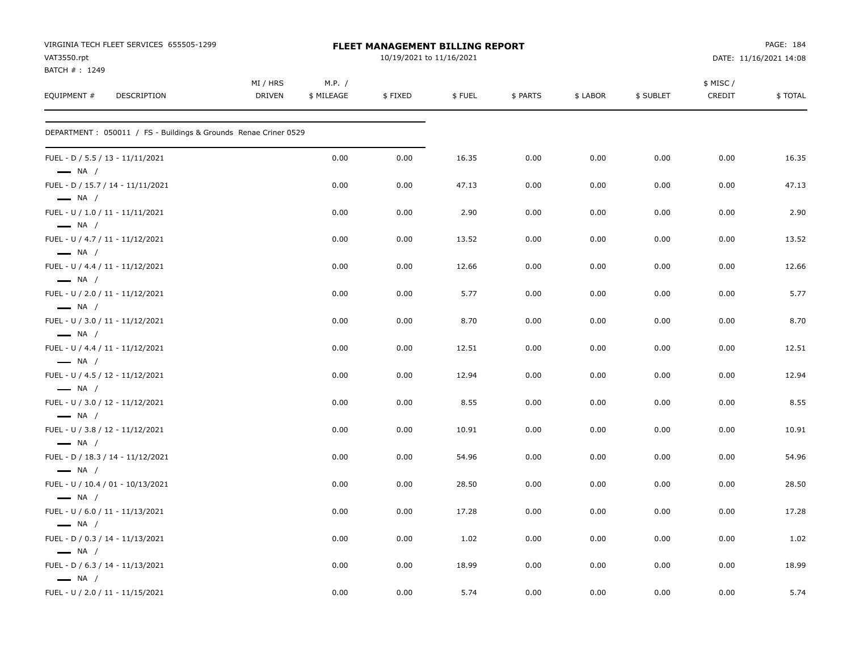| VIRGINIA TECH FLEET SERVICES 655505-1299<br>VAT3550.rpt<br>BATCH #: 1249 |                           |                      | FLEET MANAGEMENT BILLING REPORT<br>10/19/2021 to 11/16/2021 |        |          | PAGE: 184<br>DATE: 11/16/2021 14:08 |           |                    |         |
|--------------------------------------------------------------------------|---------------------------|----------------------|-------------------------------------------------------------|--------|----------|-------------------------------------|-----------|--------------------|---------|
| EQUIPMENT #<br><b>DESCRIPTION</b>                                        | MI / HRS<br><b>DRIVEN</b> | M.P. /<br>\$ MILEAGE | \$FIXED                                                     | \$FUEL | \$ PARTS | \$ LABOR                            | \$ SUBLET | \$ MISC/<br>CREDIT | \$TOTAL |
| DEPARTMENT : 050011 / FS - Buildings & Grounds Renae Criner 0529         |                           |                      |                                                             |        |          |                                     |           |                    |         |
| FUEL - D / 5.5 / 13 - 11/11/2021<br>$\longrightarrow$ NA /               |                           | 0.00                 | 0.00                                                        | 16.35  | 0.00     | 0.00                                | 0.00      | 0.00               | 16.35   |
| FUEL - D / 15.7 / 14 - 11/11/2021<br>$\longrightarrow$ NA /              |                           | 0.00                 | 0.00                                                        | 47.13  | 0.00     | 0.00                                | 0.00      | 0.00               | 47.13   |
| FUEL - U / 1.0 / 11 - 11/11/2021<br>$\longrightarrow$ NA /               |                           | 0.00                 | 0.00                                                        | 2.90   | 0.00     | 0.00                                | 0.00      | 0.00               | 2.90    |
| FUEL - U / 4.7 / 11 - 11/12/2021<br>$\longrightarrow$ NA /               |                           | 0.00                 | 0.00                                                        | 13.52  | 0.00     | 0.00                                | 0.00      | 0.00               | 13.52   |
| FUEL - U / 4.4 / 11 - 11/12/2021<br>$\longrightarrow$ NA /               |                           | 0.00                 | 0.00                                                        | 12.66  | 0.00     | 0.00                                | 0.00      | 0.00               | 12.66   |
| FUEL - U / 2.0 / 11 - 11/12/2021<br>$\longrightarrow$ NA /               |                           | 0.00                 | 0.00                                                        | 5.77   | 0.00     | 0.00                                | 0.00      | 0.00               | 5.77    |
| FUEL - U / 3.0 / 11 - 11/12/2021<br>$\longrightarrow$ NA /               |                           | 0.00                 | 0.00                                                        | 8.70   | 0.00     | 0.00                                | 0.00      | 0.00               | 8.70    |
| FUEL - U / 4.4 / 11 - 11/12/2021<br>$\longrightarrow$ NA /               |                           | 0.00                 | 0.00                                                        | 12.51  | 0.00     | 0.00                                | 0.00      | 0.00               | 12.51   |
| FUEL - U / 4.5 / 12 - 11/12/2021<br>$\longrightarrow$ NA /               |                           | 0.00                 | 0.00                                                        | 12.94  | 0.00     | 0.00                                | 0.00      | 0.00               | 12.94   |
| FUEL - U / 3.0 / 12 - 11/12/2021<br>$\longrightarrow$ NA /               |                           | 0.00                 | 0.00                                                        | 8.55   | 0.00     | 0.00                                | 0.00      | 0.00               | 8.55    |
| FUEL - U / 3.8 / 12 - 11/12/2021<br>$\longrightarrow$ NA /               |                           | 0.00                 | 0.00                                                        | 10.91  | 0.00     | 0.00                                | 0.00      | 0.00               | 10.91   |
| FUEL - D / 18.3 / 14 - 11/12/2021<br>$\longrightarrow$ NA /              |                           | 0.00                 | 0.00                                                        | 54.96  | 0.00     | 0.00                                | 0.00      | 0.00               | 54.96   |
| FUEL - U / 10.4 / 01 - 10/13/2021<br>$\longrightarrow$ NA /              |                           | 0.00                 | 0.00                                                        | 28.50  | 0.00     | 0.00                                | 0.00      | 0.00               | 28.50   |
| FUEL - U / 6.0 / 11 - 11/13/2021                                         |                           | 0.00                 | 0.00                                                        | 17.28  | 0.00     | 0.00                                | 0.00      | 0.00               | 17.28   |
| $\longrightarrow$ NA /<br>FUEL - D / 0.3 / 14 - 11/13/2021               |                           | 0.00                 | 0.00                                                        | 1.02   | 0.00     | 0.00                                | 0.00      | 0.00               | 1.02    |
| $\equiv$ NA /<br>FUEL - D / 6.3 / 14 - 11/13/2021                        |                           | 0.00                 | 0.00                                                        | 18.99  | 0.00     | 0.00                                | 0.00      | 0.00               | 18.99   |
| $\longrightarrow$ NA /<br>FUEL - U / 2.0 / 11 - 11/15/2021               |                           | 0.00                 | 0.00                                                        | 5.74   | 0.00     | 0.00                                | 0.00      | 0.00               | 5.74    |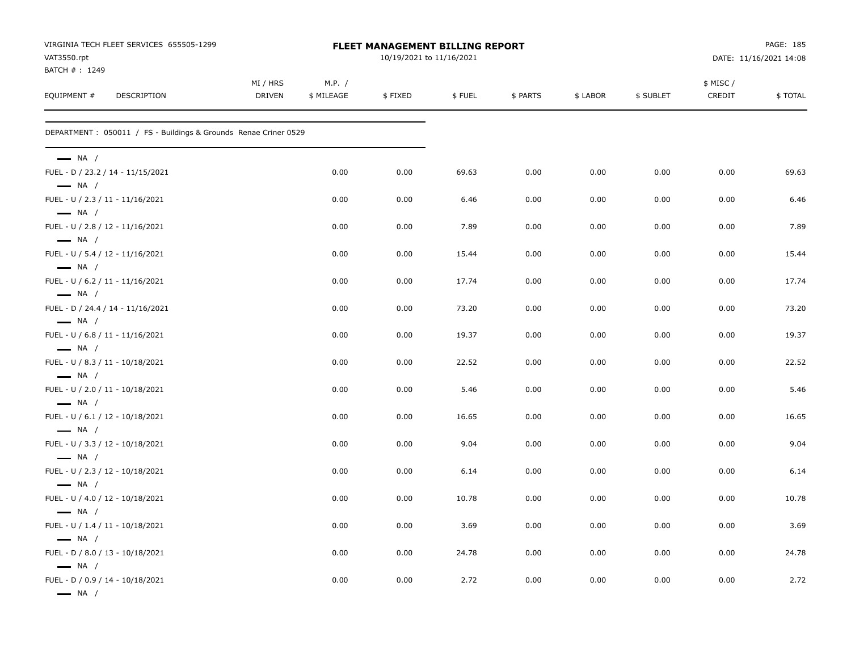| VAT3550.rpt                                                                          | VIRGINIA TECH FLEET SERVICES 655505-1299                        | <b>FLEET MANAGEMENT BILLING REPORT</b><br>10/19/2021 to 11/16/2021 |                      |         |        |          |          |           | DATE: 11/16/2021 14:08 |         |  |  |
|--------------------------------------------------------------------------------------|-----------------------------------------------------------------|--------------------------------------------------------------------|----------------------|---------|--------|----------|----------|-----------|------------------------|---------|--|--|
| BATCH #: 1249<br>EQUIPMENT #                                                         | DESCRIPTION                                                     |                                                                    | M.P. /<br>\$ MILEAGE | \$FIXED | \$FUEL | \$ PARTS | \$ LABOR | \$ SUBLET | \$ MISC /<br>CREDIT    | \$TOTAL |  |  |
|                                                                                      | DEPARTMENT: 050011 / FS - Buildings & Grounds Renae Criner 0529 |                                                                    |                      |         |        |          |          |           |                        |         |  |  |
| $\longrightarrow$ NA /                                                               |                                                                 |                                                                    |                      |         |        |          |          |           |                        |         |  |  |
| FUEL - D / 23.2 / 14 - 11/15/2021<br>$\longrightarrow$ NA /                          |                                                                 |                                                                    | 0.00                 | 0.00    | 69.63  | 0.00     | 0.00     | 0.00      | 0.00                   | 69.63   |  |  |
| FUEL - U / 2.3 / 11 - 11/16/2021<br>$\longrightarrow$ NA /                           |                                                                 |                                                                    | 0.00                 | 0.00    | 6.46   | 0.00     | 0.00     | 0.00      | 0.00                   | 6.46    |  |  |
| FUEL - U / 2.8 / 12 - 11/16/2021<br>$\longrightarrow$ NA /                           |                                                                 |                                                                    | 0.00                 | 0.00    | 7.89   | 0.00     | 0.00     | 0.00      | 0.00                   | 7.89    |  |  |
| FUEL - U / 5.4 / 12 - 11/16/2021<br>$\longrightarrow$ NA /                           |                                                                 |                                                                    | 0.00                 | 0.00    | 15.44  | 0.00     | 0.00     | 0.00      | 0.00                   | 15.44   |  |  |
| FUEL - U / 6.2 / 11 - 11/16/2021<br>$\longrightarrow$ NA /                           |                                                                 |                                                                    | 0.00                 | 0.00    | 17.74  | 0.00     | 0.00     | 0.00      | 0.00                   | 17.74   |  |  |
| FUEL - D / 24.4 / 14 - 11/16/2021                                                    |                                                                 |                                                                    | 0.00                 | 0.00    | 73.20  | 0.00     | 0.00     | 0.00      | 0.00                   | 73.20   |  |  |
| $\longrightarrow$ NA /<br>FUEL - U / 6.8 / 11 - 11/16/2021                           |                                                                 |                                                                    | 0.00                 | 0.00    | 19.37  | 0.00     | 0.00     | 0.00      | 0.00                   | 19.37   |  |  |
| $\longrightarrow$ NA /<br>FUEL - U / 8.3 / 11 - 10/18/2021                           |                                                                 |                                                                    | 0.00                 | 0.00    | 22.52  | 0.00     | 0.00     | 0.00      | 0.00                   | 22.52   |  |  |
| $\longrightarrow$ NA /<br>FUEL - U / 2.0 / 11 - 10/18/2021                           |                                                                 |                                                                    | 0.00                 | 0.00    | 5.46   | 0.00     | 0.00     | 0.00      | 0.00                   | 5.46    |  |  |
| $\longrightarrow$ NA /<br>FUEL - U / 6.1 / 12 - 10/18/2021                           |                                                                 |                                                                    | 0.00                 | 0.00    | 16.65  | 0.00     | 0.00     | 0.00      | 0.00                   | 16.65   |  |  |
| $\longrightarrow$ NA /<br>FUEL - U / 3.3 / 12 - 10/18/2021                           |                                                                 |                                                                    | 0.00                 | 0.00    | 9.04   | 0.00     | 0.00     | 0.00      | 0.00                   | 9.04    |  |  |
| $\longrightarrow$ NA /<br>FUEL - U / 2.3 / 12 - 10/18/2021                           |                                                                 |                                                                    | 0.00                 | 0.00    | 6.14   | 0.00     | 0.00     | 0.00      | 0.00                   | 6.14    |  |  |
| $\longrightarrow$ NA /<br>FUEL - U / 4.0 / 12 - 10/18/2021                           |                                                                 |                                                                    | 0.00                 | 0.00    | 10.78  | 0.00     | 0.00     | 0.00      | 0.00                   | 10.78   |  |  |
| $\longrightarrow$ NA /<br>FUEL - U / 1.4 / 11 - 10/18/2021                           |                                                                 |                                                                    | 0.00                 | 0.00    | 3.69   | 0.00     | 0.00     | 0.00      | 0.00                   | 3.69    |  |  |
| $\longrightarrow$ NA /<br>FUEL - D / 8.0 / 13 - 10/18/2021                           |                                                                 |                                                                    | 0.00                 | 0.00    | 24.78  | 0.00     | 0.00     | 0.00      | 0.00                   | 24.78   |  |  |
| $\longrightarrow$ NA /<br>FUEL - D / 0.9 / 14 - 10/18/2021<br>$\longrightarrow$ NA / |                                                                 |                                                                    | 0.00                 | 0.00    | 2.72   | 0.00     | 0.00     | 0.00      | 0.00                   | 2.72    |  |  |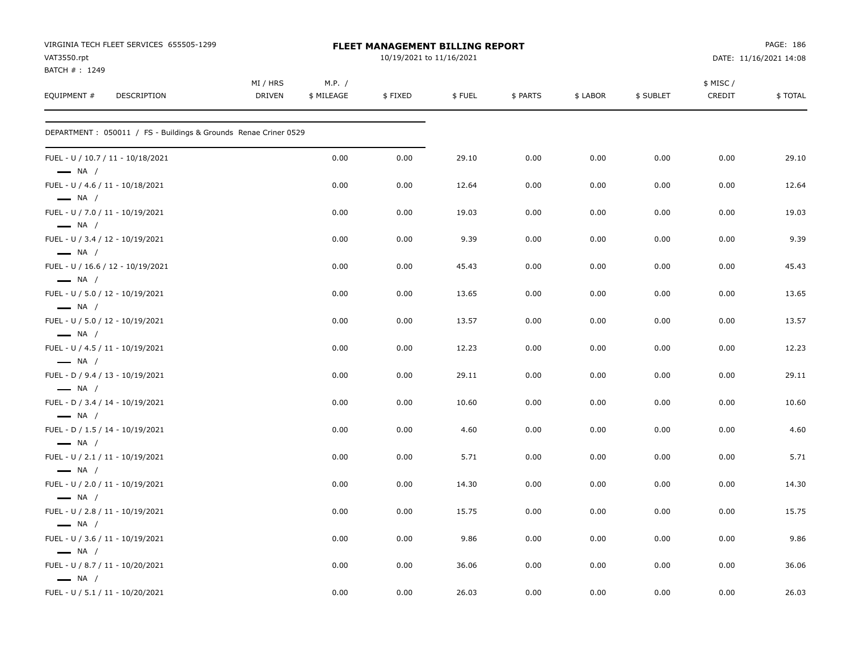| VIRGINIA TECH FLEET SERVICES 655505-1299<br>VAT3550.rpt<br>BATCH #: 1249 |                           |                      | FLEET MANAGEMENT BILLING REPORT<br>10/19/2021 to 11/16/2021 |        |          | PAGE: 186<br>DATE: 11/16/2021 14:08 |           |                    |         |
|--------------------------------------------------------------------------|---------------------------|----------------------|-------------------------------------------------------------|--------|----------|-------------------------------------|-----------|--------------------|---------|
| EQUIPMENT #<br><b>DESCRIPTION</b>                                        | MI / HRS<br><b>DRIVEN</b> | M.P. /<br>\$ MILEAGE | \$FIXED                                                     | \$FUEL | \$ PARTS | \$ LABOR                            | \$ SUBLET | \$ MISC/<br>CREDIT | \$TOTAL |
| DEPARTMENT : 050011 / FS - Buildings & Grounds Renae Criner 0529         |                           |                      |                                                             |        |          |                                     |           |                    |         |
| FUEL - U / 10.7 / 11 - 10/18/2021<br>$\longrightarrow$ NA /              |                           | 0.00                 | 0.00                                                        | 29.10  | 0.00     | 0.00                                | 0.00      | 0.00               | 29.10   |
| FUEL - U / 4.6 / 11 - 10/18/2021<br>$\longrightarrow$ NA /               |                           | 0.00                 | 0.00                                                        | 12.64  | 0.00     | 0.00                                | 0.00      | 0.00               | 12.64   |
| FUEL - U / 7.0 / 11 - 10/19/2021<br>$\longrightarrow$ NA /               |                           | 0.00                 | 0.00                                                        | 19.03  | 0.00     | 0.00                                | 0.00      | 0.00               | 19.03   |
| FUEL - U / 3.4 / 12 - 10/19/2021<br>$\longrightarrow$ NA /               |                           | 0.00                 | 0.00                                                        | 9.39   | 0.00     | 0.00                                | 0.00      | 0.00               | 9.39    |
| FUEL - U / 16.6 / 12 - 10/19/2021<br>$-$ NA $/$                          |                           | 0.00                 | 0.00                                                        | 45.43  | 0.00     | 0.00                                | 0.00      | 0.00               | 45.43   |
| FUEL - U / 5.0 / 12 - 10/19/2021<br>$\longrightarrow$ NA /               |                           | 0.00                 | 0.00                                                        | 13.65  | 0.00     | 0.00                                | 0.00      | 0.00               | 13.65   |
| FUEL - U / 5.0 / 12 - 10/19/2021<br>$\longrightarrow$ NA /               |                           | 0.00                 | 0.00                                                        | 13.57  | 0.00     | 0.00                                | 0.00      | 0.00               | 13.57   |
| FUEL - U / 4.5 / 11 - 10/19/2021<br>$\longrightarrow$ NA /               |                           | 0.00                 | 0.00                                                        | 12.23  | 0.00     | 0.00                                | 0.00      | 0.00               | 12.23   |
| FUEL - D / 9.4 / 13 - 10/19/2021<br>$\longrightarrow$ NA /               |                           | 0.00                 | 0.00                                                        | 29.11  | 0.00     | 0.00                                | 0.00      | 0.00               | 29.11   |
| FUEL - D / 3.4 / 14 - 10/19/2021<br>$\longrightarrow$ NA /               |                           | 0.00                 | 0.00                                                        | 10.60  | 0.00     | 0.00                                | 0.00      | 0.00               | 10.60   |
| FUEL - D / 1.5 / 14 - 10/19/2021<br>$\longrightarrow$ NA /               |                           | 0.00                 | 0.00                                                        | 4.60   | 0.00     | 0.00                                | 0.00      | 0.00               | 4.60    |
| FUEL - U / 2.1 / 11 - 10/19/2021<br>$\longrightarrow$ NA /               |                           | 0.00                 | 0.00                                                        | 5.71   | 0.00     | 0.00                                | 0.00      | 0.00               | 5.71    |
| FUEL - U / 2.0 / 11 - 10/19/2021<br>$\longrightarrow$ NA /               |                           | 0.00                 | 0.00                                                        | 14.30  | 0.00     | 0.00                                | 0.00      | 0.00               | 14.30   |
| FUEL - U / 2.8 / 11 - 10/19/2021<br>$\longrightarrow$ NA /               |                           | 0.00                 | 0.00                                                        | 15.75  | 0.00     | 0.00                                | 0.00      | 0.00               | 15.75   |
| FUEL - U / 3.6 / 11 - 10/19/2021                                         |                           | 0.00                 | 0.00                                                        | 9.86   | 0.00     | 0.00                                | 0.00      | 0.00               | 9.86    |
| $\longrightarrow$ NA /<br>FUEL - U / 8.7 / 11 - 10/20/2021               |                           | 0.00                 | 0.00                                                        | 36.06  | 0.00     | 0.00                                | 0.00      | 0.00               | 36.06   |
| $\longrightarrow$ NA /<br>FUEL - U / 5.1 / 11 - 10/20/2021               |                           | 0.00                 | 0.00                                                        | 26.03  | 0.00     | 0.00                                | 0.00      | 0.00               | 26.03   |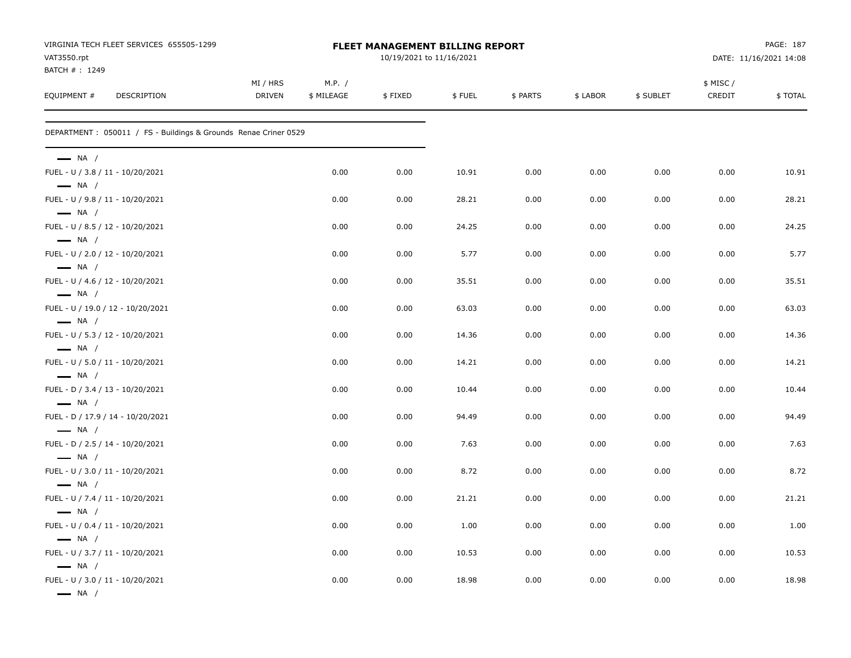| VIRGINIA TECH FLEET SERVICES 655505-1299<br>VAT3550.rpt                              |                           |                      | FLEET MANAGEMENT BILLING REPORT<br>10/19/2021 to 11/16/2021 |        | PAGE: 187<br>DATE: 11/16/2021 14:08 |          |           |                    |         |
|--------------------------------------------------------------------------------------|---------------------------|----------------------|-------------------------------------------------------------|--------|-------------------------------------|----------|-----------|--------------------|---------|
| BATCH #: 1249<br>EQUIPMENT #<br>DESCRIPTION                                          | MI / HRS<br><b>DRIVEN</b> | M.P. /<br>\$ MILEAGE | \$FIXED                                                     | \$FUEL | \$ PARTS                            | \$ LABOR | \$ SUBLET | \$ MISC/<br>CREDIT | \$TOTAL |
| DEPARTMENT: 050011 / FS - Buildings & Grounds Renae Criner 0529                      |                           |                      |                                                             |        |                                     |          |           |                    |         |
| $\longrightarrow$ NA /                                                               |                           |                      |                                                             |        |                                     |          |           |                    |         |
| FUEL - U / 3.8 / 11 - 10/20/2021<br>$\longrightarrow$ NA /                           |                           | 0.00                 | 0.00                                                        | 10.91  | 0.00                                | 0.00     | 0.00      | 0.00               | 10.91   |
| FUEL - U / 9.8 / 11 - 10/20/2021<br>$\longrightarrow$ NA /                           |                           | 0.00                 | 0.00                                                        | 28.21  | 0.00                                | 0.00     | 0.00      | 0.00               | 28.21   |
| FUEL - U / 8.5 / 12 - 10/20/2021<br>$\longrightarrow$ NA /                           |                           | 0.00                 | 0.00                                                        | 24.25  | 0.00                                | 0.00     | 0.00      | 0.00               | 24.25   |
| FUEL - U / 2.0 / 12 - 10/20/2021<br>$\longrightarrow$ NA /                           |                           | 0.00                 | 0.00                                                        | 5.77   | 0.00                                | 0.00     | 0.00      | 0.00               | 5.77    |
| FUEL - U / 4.6 / 12 - 10/20/2021<br>$\longrightarrow$ NA /                           |                           | 0.00                 | 0.00                                                        | 35.51  | 0.00                                | 0.00     | 0.00      | 0.00               | 35.51   |
| FUEL - U / 19.0 / 12 - 10/20/2021<br>$\longrightarrow$ NA /                          |                           | 0.00                 | 0.00                                                        | 63.03  | 0.00                                | 0.00     | 0.00      | 0.00               | 63.03   |
| FUEL - U / 5.3 / 12 - 10/20/2021<br>$\longrightarrow$ NA /                           |                           | 0.00                 | 0.00                                                        | 14.36  | 0.00                                | 0.00     | 0.00      | 0.00               | 14.36   |
| FUEL - U / 5.0 / 11 - 10/20/2021<br>$\longrightarrow$ NA /                           |                           | 0.00                 | 0.00                                                        | 14.21  | 0.00                                | 0.00     | 0.00      | 0.00               | 14.21   |
| FUEL - D / 3.4 / 13 - 10/20/2021<br>$\longrightarrow$ NA /                           |                           | 0.00                 | 0.00                                                        | 10.44  | 0.00                                | 0.00     | 0.00      | 0.00               | 10.44   |
| FUEL - D / 17.9 / 14 - 10/20/2021<br>$\longrightarrow$ NA /                          |                           | 0.00                 | 0.00                                                        | 94.49  | 0.00                                | 0.00     | 0.00      | 0.00               | 94.49   |
| FUEL - D / 2.5 / 14 - 10/20/2021<br>$\longrightarrow$ NA /                           |                           | 0.00                 | 0.00                                                        | 7.63   | 0.00                                | 0.00     | 0.00      | 0.00               | 7.63    |
| FUEL - U / 3.0 / 11 - 10/20/2021<br>$\longrightarrow$ NA /                           |                           | 0.00                 | 0.00                                                        | 8.72   | 0.00                                | 0.00     | 0.00      | 0.00               | 8.72    |
| FUEL - U / 7.4 / 11 - 10/20/2021<br>$\longrightarrow$ NA /                           |                           | 0.00                 | 0.00                                                        | 21.21  | 0.00                                | 0.00     | 0.00      | 0.00               | 21.21   |
| FUEL - U / 0.4 / 11 - 10/20/2021                                                     |                           | 0.00                 | 0.00                                                        | 1.00   | 0.00                                | 0.00     | 0.00      | 0.00               | 1.00    |
| $\longrightarrow$ NA /<br>FUEL - U / 3.7 / 11 - 10/20/2021                           |                           | 0.00                 | 0.00                                                        | 10.53  | 0.00                                | 0.00     | 0.00      | 0.00               | 10.53   |
| $\longrightarrow$ NA /<br>FUEL - U / 3.0 / 11 - 10/20/2021<br>$\longrightarrow$ NA / |                           | 0.00                 | 0.00                                                        | 18.98  | 0.00                                | 0.00     | 0.00      | 0.00               | 18.98   |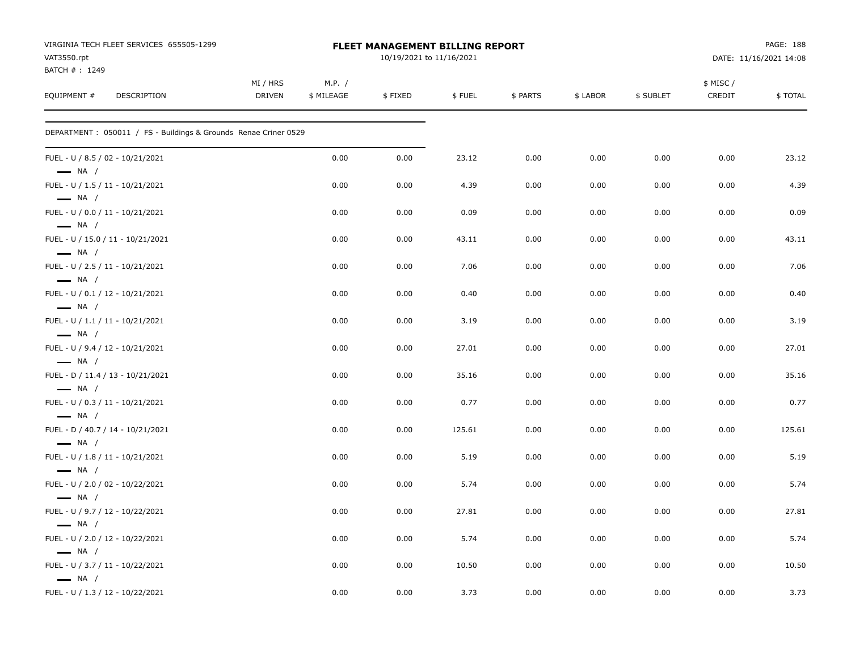| VIRGINIA TECH FLEET SERVICES 655505-1299<br>VAT3550.rpt<br>BATCH #: 1249 |                    |                      | FLEET MANAGEMENT BILLING REPORT<br>10/19/2021 to 11/16/2021 |        |          | PAGE: 188<br>DATE: 11/16/2021 14:08 |           |                    |         |
|--------------------------------------------------------------------------|--------------------|----------------------|-------------------------------------------------------------|--------|----------|-------------------------------------|-----------|--------------------|---------|
| EQUIPMENT #<br>DESCRIPTION                                               | MI / HRS<br>DRIVEN | M.P. /<br>\$ MILEAGE | \$FIXED                                                     | \$FUEL | \$ PARTS | \$ LABOR                            | \$ SUBLET | \$ MISC/<br>CREDIT | \$TOTAL |
| DEPARTMENT: 050011 / FS - Buildings & Grounds Renae Criner 0529          |                    |                      |                                                             |        |          |                                     |           |                    |         |
| FUEL - U / 8.5 / 02 - 10/21/2021<br>$\longrightarrow$ NA /               |                    | 0.00                 | 0.00                                                        | 23.12  | 0.00     | 0.00                                | 0.00      | 0.00               | 23.12   |
| FUEL - U / 1.5 / 11 - 10/21/2021<br>$\longrightarrow$ NA /               |                    | 0.00                 | 0.00                                                        | 4.39   | 0.00     | 0.00                                | 0.00      | 0.00               | 4.39    |
| FUEL - U / 0.0 / 11 - 10/21/2021<br>$\longrightarrow$ NA /               |                    | 0.00                 | 0.00                                                        | 0.09   | 0.00     | 0.00                                | 0.00      | 0.00               | 0.09    |
| FUEL - U / 15.0 / 11 - 10/21/2021<br>$\longrightarrow$ NA /              |                    | 0.00                 | 0.00                                                        | 43.11  | 0.00     | 0.00                                | 0.00      | 0.00               | 43.11   |
| FUEL - U / 2.5 / 11 - 10/21/2021<br>$\longrightarrow$ NA /               |                    | 0.00                 | 0.00                                                        | 7.06   | 0.00     | 0.00                                | 0.00      | 0.00               | 7.06    |
| FUEL - U / 0.1 / 12 - 10/21/2021<br>$\longrightarrow$ NA /               |                    | 0.00                 | 0.00                                                        | 0.40   | 0.00     | 0.00                                | 0.00      | 0.00               | 0.40    |
| FUEL - U / 1.1 / 11 - 10/21/2021<br>$\longrightarrow$ NA /               |                    | 0.00                 | 0.00                                                        | 3.19   | 0.00     | 0.00                                | 0.00      | 0.00               | 3.19    |
| FUEL - U / 9.4 / 12 - 10/21/2021<br>$\longrightarrow$ NA /               |                    | 0.00                 | 0.00                                                        | 27.01  | 0.00     | 0.00                                | 0.00      | 0.00               | 27.01   |
| FUEL - D / 11.4 / 13 - 10/21/2021<br>$\longrightarrow$ NA /              |                    | 0.00                 | 0.00                                                        | 35.16  | 0.00     | 0.00                                | 0.00      | 0.00               | 35.16   |
| FUEL - U / 0.3 / 11 - 10/21/2021<br>$-$ NA /                             |                    | 0.00                 | 0.00                                                        | 0.77   | 0.00     | 0.00                                | 0.00      | 0.00               | 0.77    |
| FUEL - D / 40.7 / 14 - 10/21/2021<br>$\longrightarrow$ NA /              |                    | 0.00                 | 0.00                                                        | 125.61 | 0.00     | 0.00                                | 0.00      | 0.00               | 125.61  |
| FUEL - U / 1.8 / 11 - 10/21/2021<br>$\longrightarrow$ NA /               |                    | 0.00                 | 0.00                                                        | 5.19   | 0.00     | 0.00                                | 0.00      | 0.00               | 5.19    |
| FUEL - U / 2.0 / 02 - 10/22/2021<br>$\longrightarrow$ NA /               |                    | 0.00                 | 0.00                                                        | 5.74   | 0.00     | 0.00                                | 0.00      | 0.00               | 5.74    |
| FUEL - U / 9.7 / 12 - 10/22/2021<br>$\longrightarrow$ NA /               |                    | 0.00                 | 0.00                                                        | 27.81  | 0.00     | 0.00                                | 0.00      | 0.00               | 27.81   |
| FUEL - U / 2.0 / 12 - 10/22/2021<br>$\equiv$ NA /                        |                    | 0.00                 | 0.00                                                        | 5.74   | 0.00     | 0.00                                | 0.00      | 0.00               | 5.74    |
| FUEL - U / 3.7 / 11 - 10/22/2021<br>$\longrightarrow$ NA /               |                    | 0.00                 | 0.00                                                        | 10.50  | 0.00     | 0.00                                | 0.00      | 0.00               | 10.50   |
| FUEL - U / 1.3 / 12 - 10/22/2021                                         |                    | 0.00                 | 0.00                                                        | 3.73   | 0.00     | 0.00                                | 0.00      | 0.00               | 3.73    |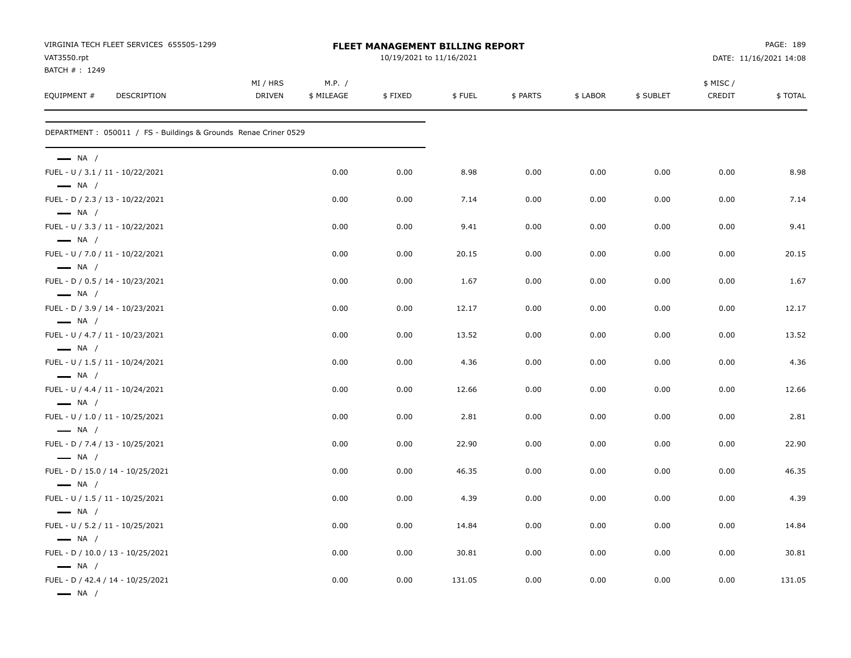| VIRGINIA TECH FLEET SERVICES 655505-1299<br>VAT3550.rpt                                 |                           |                      | FLEET MANAGEMENT BILLING REPORT<br>10/19/2021 to 11/16/2021 |        |          | DATE: 11/16/2021 14:08 |           |                    |         |  |
|-----------------------------------------------------------------------------------------|---------------------------|----------------------|-------------------------------------------------------------|--------|----------|------------------------|-----------|--------------------|---------|--|
| BATCH #: 1249<br>EQUIPMENT #<br>DESCRIPTION                                             | MI / HRS<br><b>DRIVEN</b> | M.P. /<br>\$ MILEAGE | \$FIXED                                                     | \$FUEL | \$ PARTS | \$ LABOR               | \$ SUBLET | \$ MISC/<br>CREDIT | \$TOTAL |  |
| DEPARTMENT: 050011 / FS - Buildings & Grounds Renae Criner 0529                         |                           |                      |                                                             |        |          |                        |           |                    |         |  |
| $\longrightarrow$ NA /                                                                  |                           |                      |                                                             |        |          |                        |           |                    |         |  |
| FUEL - U / 3.1 / 11 - 10/22/2021<br>$\longrightarrow$ NA /                              |                           | 0.00                 | 0.00                                                        | 8.98   | 0.00     | 0.00                   | 0.00      | 0.00               | 8.98    |  |
| FUEL - D / 2.3 / 13 - 10/22/2021<br>$\longrightarrow$ NA /                              |                           | 0.00                 | 0.00                                                        | 7.14   | 0.00     | 0.00                   | 0.00      | 0.00               | 7.14    |  |
| FUEL - U / 3.3 / 11 - 10/22/2021<br>$\longrightarrow$ NA /                              |                           | 0.00                 | 0.00                                                        | 9.41   | 0.00     | 0.00                   | 0.00      | 0.00               | 9.41    |  |
| FUEL - U / 7.0 / 11 - 10/22/2021<br>$\longrightarrow$ NA /                              |                           | 0.00                 | 0.00                                                        | 20.15  | 0.00     | 0.00                   | 0.00      | 0.00               | 20.15   |  |
| FUEL - D / 0.5 / 14 - 10/23/2021<br>$\longrightarrow$ NA /                              |                           | 0.00                 | 0.00                                                        | 1.67   | 0.00     | 0.00                   | 0.00      | 0.00               | 1.67    |  |
| FUEL - D / 3.9 / 14 - 10/23/2021                                                        |                           | 0.00                 | 0.00                                                        | 12.17  | 0.00     | 0.00                   | 0.00      | 0.00               | 12.17   |  |
| $\longrightarrow$ NA /<br>FUEL - U / 4.7 / 11 - 10/23/2021                              |                           | 0.00                 | 0.00                                                        | 13.52  | 0.00     | 0.00                   | 0.00      | 0.00               | 13.52   |  |
| $\longrightarrow$ NA /<br>FUEL - U / 1.5 / 11 - 10/24/2021                              |                           | 0.00                 | 0.00                                                        | 4.36   | 0.00     | 0.00                   | 0.00      | 0.00               | 4.36    |  |
| $\longrightarrow$ NA /<br>FUEL - U / 4.4 / 11 - 10/24/2021                              |                           | 0.00                 | 0.00                                                        | 12.66  | 0.00     | 0.00                   | 0.00      | 0.00               | 12.66   |  |
| $\longrightarrow$ NA /<br>FUEL - U / 1.0 / 11 - 10/25/2021                              |                           | 0.00                 | 0.00                                                        | 2.81   | 0.00     | 0.00                   | 0.00      | 0.00               | 2.81    |  |
| $\longrightarrow$ NA /<br>FUEL - D / 7.4 / 13 - 10/25/2021                              |                           | 0.00                 | 0.00                                                        | 22.90  | 0.00     | 0.00                   | 0.00      | 0.00               | 22.90   |  |
| $\longrightarrow$ NA /<br>FUEL - D / 15.0 / 14 - 10/25/2021                             |                           | 0.00                 | 0.00                                                        | 46.35  | 0.00     | 0.00                   | 0.00      | 0.00               | 46.35   |  |
| $\longrightarrow$ NA /<br>FUEL - U / 1.5 / 11 - 10/25/2021                              |                           | 0.00                 | 0.00                                                        | 4.39   | 0.00     | 0.00                   | 0.00      | 0.00               | 4.39    |  |
| $\longrightarrow$ NA /<br>FUEL - U / 5.2 / 11 - 10/25/2021                              |                           | 0.00                 | 0.00                                                        | 14.84  | 0.00     | 0.00                   | 0.00      | 0.00               | 14.84   |  |
| $\longrightarrow$ NA /<br>FUEL - D / 10.0 / 13 - 10/25/2021                             |                           | 0.00                 | 0.00                                                        | 30.81  | 0.00     | 0.00                   | 0.00      | 0.00               | 30.81   |  |
| $\longrightarrow$ NA /<br>FUEL - D / 42.4 / 14 - 10/25/2021<br>$\longrightarrow$ NA $/$ |                           | 0.00                 | 0.00                                                        | 131.05 | 0.00     | 0.00                   | 0.00      | 0.00               | 131.05  |  |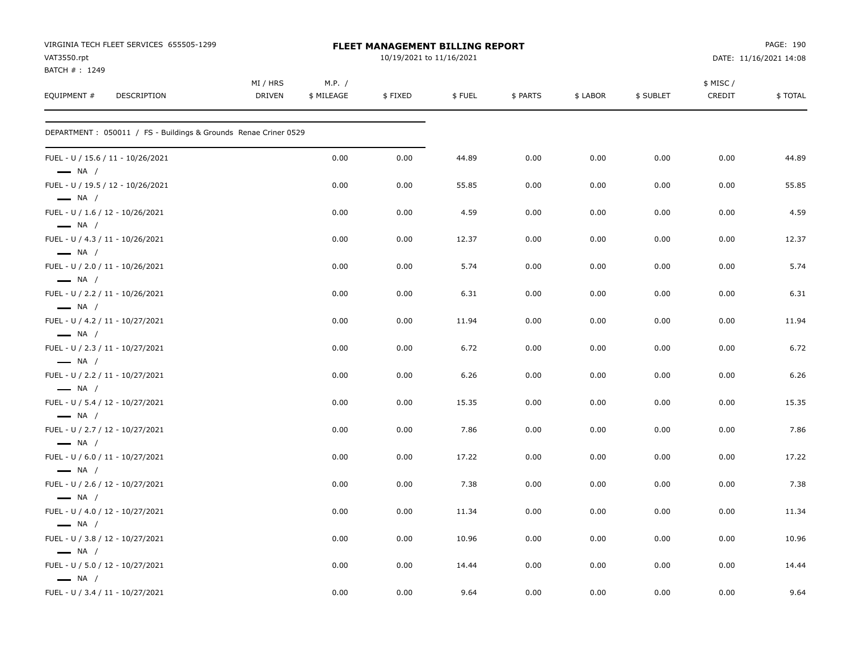| VIRGINIA TECH FLEET SERVICES 655505-1299<br>VAT3550.rpt         |                           |                      | FLEET MANAGEMENT BILLING REPORT<br>10/19/2021 to 11/16/2021 |        |          | PAGE: 190<br>DATE: 11/16/2021 14:08 |           |                    |         |
|-----------------------------------------------------------------|---------------------------|----------------------|-------------------------------------------------------------|--------|----------|-------------------------------------|-----------|--------------------|---------|
| BATCH #: 1249<br>EQUIPMENT #<br>DESCRIPTION                     | MI / HRS<br><b>DRIVEN</b> | M.P. /<br>\$ MILEAGE | \$FIXED                                                     | \$FUEL | \$ PARTS | \$ LABOR                            | \$ SUBLET | \$ MISC/<br>CREDIT | \$TOTAL |
| DEPARTMENT: 050011 / FS - Buildings & Grounds Renae Criner 0529 |                           |                      |                                                             |        |          |                                     |           |                    |         |
| FUEL - U / 15.6 / 11 - 10/26/2021<br>$\longrightarrow$ NA /     |                           | 0.00                 | 0.00                                                        | 44.89  | 0.00     | 0.00                                | 0.00      | 0.00               | 44.89   |
| FUEL - U / 19.5 / 12 - 10/26/2021<br>$\longrightarrow$ NA /     |                           | 0.00                 | 0.00                                                        | 55.85  | 0.00     | 0.00                                | 0.00      | 0.00               | 55.85   |
| FUEL - U / 1.6 / 12 - 10/26/2021<br>$\longrightarrow$ NA /      |                           | 0.00                 | 0.00                                                        | 4.59   | 0.00     | 0.00                                | 0.00      | 0.00               | 4.59    |
| FUEL - U / 4.3 / 11 - 10/26/2021<br>$\longrightarrow$ NA /      |                           | 0.00                 | 0.00                                                        | 12.37  | 0.00     | 0.00                                | 0.00      | 0.00               | 12.37   |
| FUEL - U / 2.0 / 11 - 10/26/2021<br>$\longrightarrow$ NA /      |                           | 0.00                 | 0.00                                                        | 5.74   | 0.00     | 0.00                                | 0.00      | 0.00               | 5.74    |
| FUEL - U / 2.2 / 11 - 10/26/2021<br>$\longrightarrow$ NA /      |                           | 0.00                 | 0.00                                                        | 6.31   | 0.00     | 0.00                                | 0.00      | 0.00               | 6.31    |
| FUEL - U / 4.2 / 11 - 10/27/2021<br>$\longrightarrow$ NA /      |                           | 0.00                 | 0.00                                                        | 11.94  | 0.00     | 0.00                                | 0.00      | 0.00               | 11.94   |
| FUEL - U / 2.3 / 11 - 10/27/2021<br>$\longrightarrow$ NA /      |                           | 0.00                 | 0.00                                                        | 6.72   | 0.00     | 0.00                                | 0.00      | 0.00               | 6.72    |
| FUEL - U / 2.2 / 11 - 10/27/2021<br>$\longrightarrow$ NA /      |                           | 0.00                 | 0.00                                                        | 6.26   | 0.00     | 0.00                                | 0.00      | 0.00               | 6.26    |
| FUEL - U / 5.4 / 12 - 10/27/2021<br>$\longrightarrow$ NA /      |                           | 0.00                 | 0.00                                                        | 15.35  | 0.00     | 0.00                                | 0.00      | 0.00               | 15.35   |
| FUEL - U / 2.7 / 12 - 10/27/2021<br>$\longrightarrow$ NA /      |                           | 0.00                 | 0.00                                                        | 7.86   | 0.00     | 0.00                                | 0.00      | 0.00               | 7.86    |
| FUEL - U / 6.0 / 11 - 10/27/2021<br>$\longrightarrow$ NA /      |                           | 0.00                 | 0.00                                                        | 17.22  | 0.00     | 0.00                                | 0.00      | 0.00               | 17.22   |
| FUEL - U / 2.6 / 12 - 10/27/2021<br>$\longrightarrow$ NA /      |                           | 0.00                 | 0.00                                                        | 7.38   | 0.00     | 0.00                                | 0.00      | 0.00               | 7.38    |
| FUEL - U / 4.0 / 12 - 10/27/2021<br>$\longrightarrow$ NA /      |                           | 0.00                 | 0.00                                                        | 11.34  | 0.00     | 0.00                                | 0.00      | 0.00               | 11.34   |
| FUEL - U / 3.8 / 12 - 10/27/2021<br>$\longrightarrow$ NA /      |                           | 0.00                 | 0.00                                                        | 10.96  | 0.00     | 0.00                                | 0.00      | 0.00               | 10.96   |
| FUEL - U / 5.0 / 12 - 10/27/2021<br>$\longrightarrow$ NA /      |                           | 0.00                 | 0.00                                                        | 14.44  | 0.00     | 0.00                                | 0.00      | 0.00               | 14.44   |
| FUEL - U / 3.4 / 11 - 10/27/2021                                |                           | 0.00                 | 0.00                                                        | 9.64   | 0.00     | 0.00                                | 0.00      | 0.00               | 9.64    |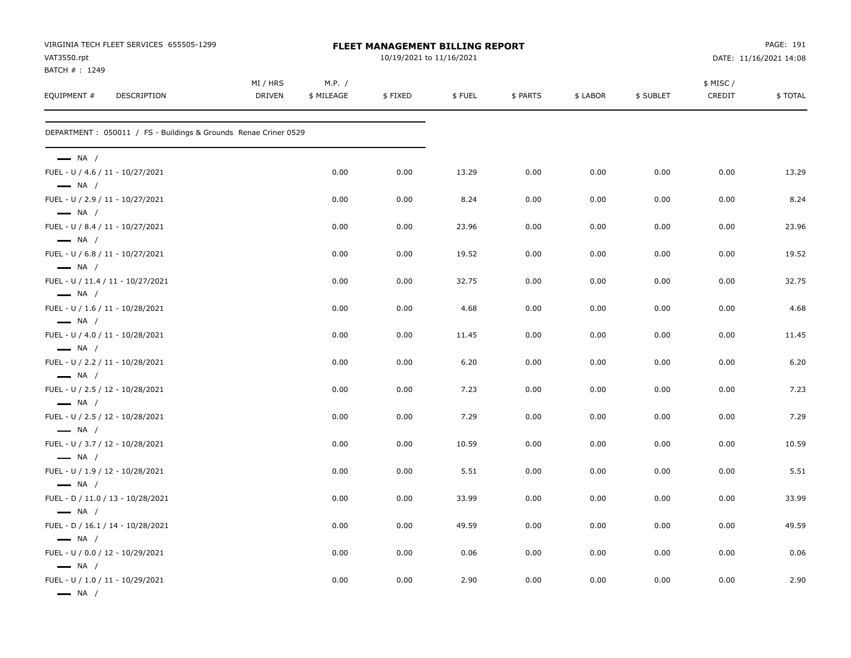| VIRGINIA TECH FLEET SERVICES 655505-1299<br>VAT3550.rpt                              |                           | FLEET MANAGEMENT BILLING REPORT<br>10/19/2021 to 11/16/2021 |         |        |          |          |           |                    | PAGE: 191<br>DATE: 11/16/2021 14:08 |  |  |
|--------------------------------------------------------------------------------------|---------------------------|-------------------------------------------------------------|---------|--------|----------|----------|-----------|--------------------|-------------------------------------|--|--|
| BATCH #: 1249<br>EQUIPMENT #<br>DESCRIPTION                                          | MI / HRS<br><b>DRIVEN</b> | M.P. /<br>\$ MILEAGE                                        | \$FIXED | \$FUEL | \$ PARTS | \$ LABOR | \$ SUBLET | \$ MISC/<br>CREDIT | \$TOTAL                             |  |  |
| DEPARTMENT : 050011 / FS - Buildings & Grounds Renae Criner 0529                     |                           |                                                             |         |        |          |          |           |                    |                                     |  |  |
| $\longrightarrow$ NA /                                                               |                           |                                                             |         |        |          |          |           |                    |                                     |  |  |
| FUEL - U / 4.6 / 11 - 10/27/2021<br>$\longrightarrow$ NA /                           |                           | 0.00                                                        | 0.00    | 13.29  | 0.00     | 0.00     | 0.00      | 0.00               | 13.29                               |  |  |
| FUEL - U / 2.9 / 11 - 10/27/2021<br>$\longrightarrow$ NA /                           |                           | 0.00                                                        | 0.00    | 8.24   | 0.00     | 0.00     | 0.00      | 0.00               | 8.24                                |  |  |
| FUEL - U / 8.4 / 11 - 10/27/2021<br>$\longrightarrow$ NA /                           |                           | 0.00                                                        | 0.00    | 23.96  | 0.00     | 0.00     | 0.00      | 0.00               | 23.96                               |  |  |
| FUEL - U / 6.8 / 11 - 10/27/2021<br>$\longrightarrow$ NA /                           |                           | 0.00                                                        | 0.00    | 19.52  | 0.00     | 0.00     | 0.00      | 0.00               | 19.52                               |  |  |
| FUEL - U / 11.4 / 11 - 10/27/2021<br>$\longrightarrow$ NA /                          |                           | 0.00                                                        | 0.00    | 32.75  | 0.00     | 0.00     | 0.00      | 0.00               | 32.75                               |  |  |
| FUEL - U / 1.6 / 11 - 10/28/2021                                                     |                           | 0.00                                                        | 0.00    | 4.68   | 0.00     | 0.00     | 0.00      | 0.00               | 4.68                                |  |  |
| $\longrightarrow$ NA /<br>FUEL - U / 4.0 / 11 - 10/28/2021                           |                           | 0.00                                                        | 0.00    | 11.45  | 0.00     | 0.00     | 0.00      | 0.00               | 11.45                               |  |  |
| $\longrightarrow$ NA /<br>FUEL - U / 2.2 / 11 - 10/28/2021                           |                           | 0.00                                                        | 0.00    | 6.20   | 0.00     | 0.00     | 0.00      | 0.00               | 6.20                                |  |  |
| $\longrightarrow$ NA /<br>FUEL - U / 2.5 / 12 - 10/28/2021                           |                           | 0.00                                                        | 0.00    | 7.23   | 0.00     | 0.00     | 0.00      | 0.00               | 7.23                                |  |  |
| $\longrightarrow$ NA /<br>FUEL - U / 2.5 / 12 - 10/28/2021                           |                           | 0.00                                                        | 0.00    | 7.29   | 0.00     | 0.00     | 0.00      | 0.00               | 7.29                                |  |  |
| $\longrightarrow$ NA /<br>FUEL - U / 3.7 / 12 - 10/28/2021                           |                           | 0.00                                                        | 0.00    | 10.59  | 0.00     | 0.00     | 0.00      | 0.00               | 10.59                               |  |  |
| $\longrightarrow$ NA /<br>FUEL - U / 1.9 / 12 - 10/28/2021                           |                           | 0.00                                                        | 0.00    | 5.51   | 0.00     | 0.00     | 0.00      | 0.00               | 5.51                                |  |  |
| $\longrightarrow$ NA /<br>FUEL - D / 11.0 / 13 - 10/28/2021                          |                           | 0.00                                                        | 0.00    | 33.99  | 0.00     | 0.00     | 0.00      | 0.00               | 33.99                               |  |  |
| $\longrightarrow$ NA /<br>FUEL - D / 16.1 / 14 - 10/28/2021                          |                           | 0.00                                                        | 0.00    | 49.59  | 0.00     | 0.00     | 0.00      | 0.00               | 49.59                               |  |  |
| $\longrightarrow$ NA /<br>FUEL - U / 0.0 / 12 - 10/29/2021                           |                           | 0.00                                                        | 0.00    | 0.06   | 0.00     | 0.00     | 0.00      | 0.00               | 0.06                                |  |  |
| $\longrightarrow$ NA /<br>FUEL - U / 1.0 / 11 - 10/29/2021<br>$\longrightarrow$ NA / |                           | 0.00                                                        | 0.00    | 2.90   | 0.00     | 0.00     | 0.00      | 0.00               | 2.90                                |  |  |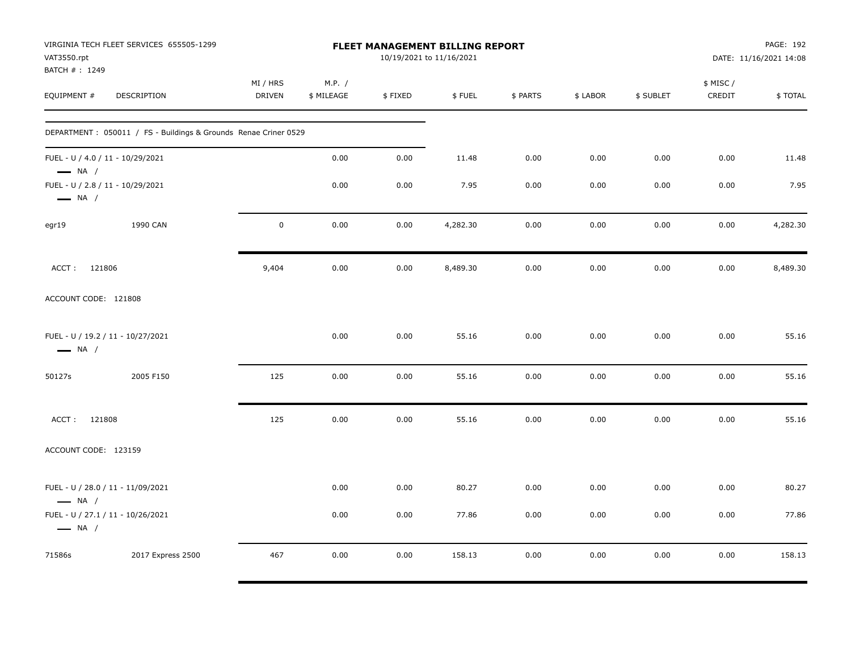| VAT3550.rpt<br>BATCH #: 1249                                | VIRGINIA TECH FLEET SERVICES 655505-1299                        | FLEET MANAGEMENT BILLING REPORT<br>10/19/2021 to 11/16/2021 |                      |         |          |          |          |           |                     | PAGE: 192<br>DATE: 11/16/2021 14:08 |  |
|-------------------------------------------------------------|-----------------------------------------------------------------|-------------------------------------------------------------|----------------------|---------|----------|----------|----------|-----------|---------------------|-------------------------------------|--|
| EQUIPMENT #                                                 | DESCRIPTION                                                     | MI / HRS<br><b>DRIVEN</b>                                   | M.P. /<br>\$ MILEAGE | \$FIXED | \$FUEL   | \$ PARTS | \$ LABOR | \$ SUBLET | \$ MISC /<br>CREDIT | \$TOTAL                             |  |
|                                                             | DEPARTMENT: 050011 / FS - Buildings & Grounds Renae Criner 0529 |                                                             |                      |         |          |          |          |           |                     |                                     |  |
| FUEL - U / 4.0 / 11 - 10/29/2021<br>$\longrightarrow$ NA /  |                                                                 |                                                             | 0.00                 | 0.00    | 11.48    | 0.00     | 0.00     | 0.00      | 0.00                | 11.48                               |  |
| FUEL - U / 2.8 / 11 - 10/29/2021<br>$\longrightarrow$ NA /  |                                                                 |                                                             | 0.00                 | 0.00    | 7.95     | 0.00     | 0.00     | 0.00      | 0.00                | 7.95                                |  |
| egr19                                                       | 1990 CAN                                                        | $\pmb{0}$                                                   | 0.00                 | 0.00    | 4,282.30 | 0.00     | 0.00     | 0.00      | 0.00                | 4,282.30                            |  |
| ACCT: 121806                                                |                                                                 | 9,404                                                       | 0.00                 | 0.00    | 8,489.30 | 0.00     | 0.00     | 0.00      | 0.00                | 8,489.30                            |  |
| ACCOUNT CODE: 121808                                        |                                                                 |                                                             |                      |         |          |          |          |           |                     |                                     |  |
| FUEL - U / 19.2 / 11 - 10/27/2021<br>$\longrightarrow$ NA / |                                                                 |                                                             | 0.00                 | 0.00    | 55.16    | 0.00     | 0.00     | 0.00      | 0.00                | 55.16                               |  |
| 50127s                                                      | 2005 F150                                                       | 125                                                         | 0.00                 | 0.00    | 55.16    | 0.00     | 0.00     | 0.00      | 0.00                | 55.16                               |  |
| ACCT: 121808                                                |                                                                 | 125                                                         | 0.00                 | 0.00    | 55.16    | 0.00     | 0.00     | 0.00      | 0.00                | 55.16                               |  |
| ACCOUNT CODE: 123159                                        |                                                                 |                                                             |                      |         |          |          |          |           |                     |                                     |  |
| FUEL - U / 28.0 / 11 - 11/09/2021<br>$\longrightarrow$ NA / |                                                                 |                                                             | 0.00                 | 0.00    | 80.27    | 0.00     | 0.00     | 0.00      | 0.00                | 80.27                               |  |
| FUEL - U / 27.1 / 11 - 10/26/2021<br>$\longrightarrow$ NA / |                                                                 |                                                             | 0.00                 | 0.00    | 77.86    | 0.00     | 0.00     | 0.00      | 0.00                | 77.86                               |  |
| 71586s                                                      | 2017 Express 2500                                               | 467                                                         | 0.00                 | 0.00    | 158.13   | 0.00     | 0.00     | 0.00      | 0.00                | 158.13                              |  |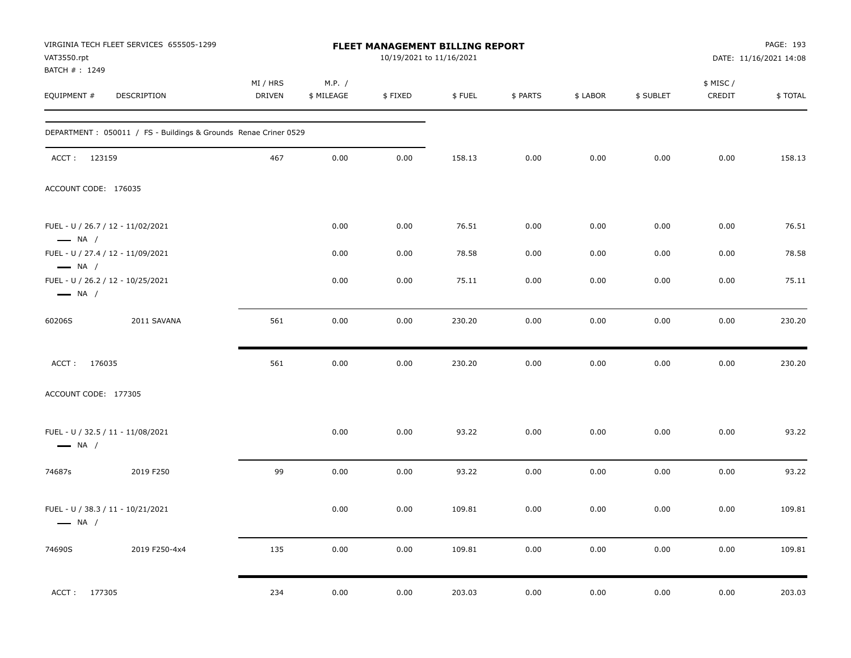| VAT3550.rpt                  | VIRGINIA TECH FLEET SERVICES 655505-1299                        |                           |                      | FLEET MANAGEMENT BILLING REPORT<br>10/19/2021 to 11/16/2021 |        |          |          |           |                     | PAGE: 193<br>DATE: 11/16/2021 14:08 |
|------------------------------|-----------------------------------------------------------------|---------------------------|----------------------|-------------------------------------------------------------|--------|----------|----------|-----------|---------------------|-------------------------------------|
| BATCH #: 1249<br>EQUIPMENT # | DESCRIPTION                                                     | MI / HRS<br><b>DRIVEN</b> | M.P. /<br>\$ MILEAGE | \$FIXED                                                     | \$FUEL | \$ PARTS | \$ LABOR | \$ SUBLET | \$ MISC /<br>CREDIT | \$TOTAL                             |
|                              | DEPARTMENT: 050011 / FS - Buildings & Grounds Renae Criner 0529 |                           |                      |                                                             |        |          |          |           |                     |                                     |
| ACCT: 123159                 |                                                                 | 467                       | 0.00                 | 0.00                                                        | 158.13 | 0.00     | 0.00     | 0.00      | 0.00                | 158.13                              |
| ACCOUNT CODE: 176035         |                                                                 |                           |                      |                                                             |        |          |          |           |                     |                                     |
| $\longrightarrow$ NA /       | FUEL - U / 26.7 / 12 - 11/02/2021                               |                           | 0.00                 | 0.00                                                        | 76.51  | 0.00     | 0.00     | 0.00      | 0.00                | 76.51                               |
| $\longrightarrow$ NA /       | FUEL - U / 27.4 / 12 - 11/09/2021                               |                           | 0.00                 | 0.00                                                        | 78.58  | 0.00     | 0.00     | 0.00      | 0.00                | 78.58                               |
| $\longrightarrow$ NA /       | FUEL - U / 26.2 / 12 - 10/25/2021                               |                           | 0.00                 | 0.00                                                        | 75.11  | 0.00     | 0.00     | 0.00      | 0.00                | 75.11                               |
| 60206S                       | 2011 SAVANA                                                     | 561                       | 0.00                 | 0.00                                                        | 230.20 | 0.00     | 0.00     | 0.00      | 0.00                | 230.20                              |
| ACCT: 176035                 |                                                                 | 561                       | 0.00                 | 0.00                                                        | 230.20 | 0.00     | 0.00     | 0.00      | 0.00                | 230.20                              |
| ACCOUNT CODE: 177305         |                                                                 |                           |                      |                                                             |        |          |          |           |                     |                                     |
| $\longrightarrow$ NA /       | FUEL - U / 32.5 / 11 - 11/08/2021                               |                           | 0.00                 | 0.00                                                        | 93.22  | 0.00     | 0.00     | 0.00      | 0.00                | 93.22                               |
| 74687s                       | 2019 F250                                                       | 99                        | 0.00                 | 0.00                                                        | 93.22  | 0.00     | 0.00     | 0.00      | 0.00                | 93.22                               |
| $\longrightarrow$ NA /       | FUEL - U / 38.3 / 11 - 10/21/2021                               |                           | 0.00                 | 0.00                                                        | 109.81 | 0.00     | 0.00     | 0.00      | 0.00                | 109.81                              |
| 74690S                       | 2019 F250-4x4                                                   | 135                       | 0.00                 | 0.00                                                        | 109.81 | 0.00     | 0.00     | 0.00      | 0.00                | 109.81                              |
| ACCT: 177305                 |                                                                 | 234                       | 0.00                 | 0.00                                                        | 203.03 | 0.00     | 0.00     | 0.00      | 0.00                | 203.03                              |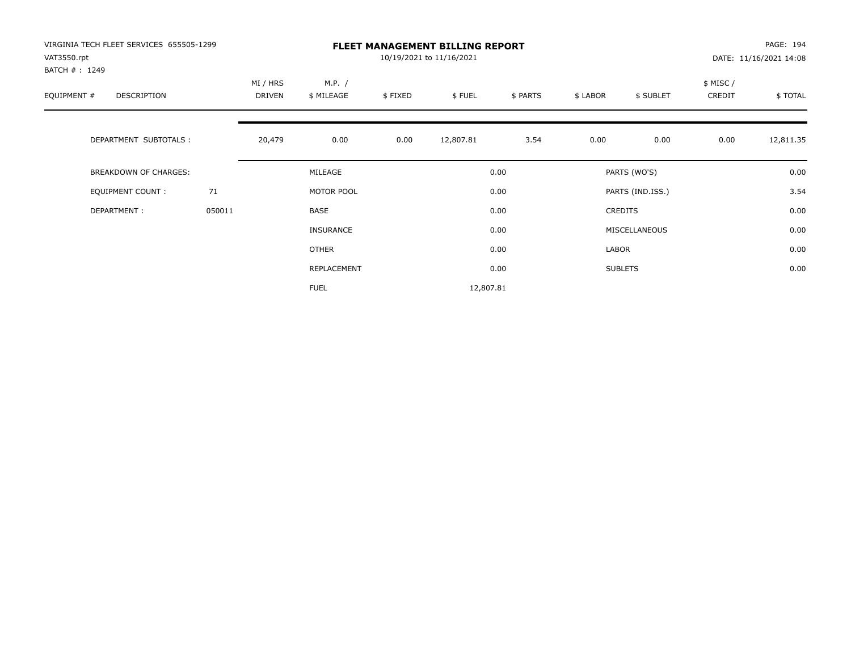| VIRGINIA TECH FLEET SERVICES 655505-1299<br>VAT3550.rpt<br>BATCH #: 1249 |        |                    |                      |         | <b>FLEET MANAGEMENT BILLING REPORT</b><br>10/19/2021 to 11/16/2021 |          |          |                  |                    | PAGE: 194<br>DATE: 11/16/2021 14:08 |
|--------------------------------------------------------------------------|--------|--------------------|----------------------|---------|--------------------------------------------------------------------|----------|----------|------------------|--------------------|-------------------------------------|
| EQUIPMENT #<br>DESCRIPTION                                               |        | MI / HRS<br>DRIVEN | M.P. /<br>\$ MILEAGE | \$FIXED | \$FUEL                                                             | \$ PARTS | \$ LABOR | \$ SUBLET        | \$ MISC/<br>CREDIT | \$ TOTAL                            |
| DEPARTMENT SUBTOTALS :                                                   |        | 20,479             | 0.00                 | 0.00    | 12,807.81                                                          | 3.54     | 0.00     | 0.00             | 0.00               | 12,811.35                           |
| BREAKDOWN OF CHARGES:                                                    |        |                    | MILEAGE              |         |                                                                    | 0.00     |          | PARTS (WO'S)     |                    | 0.00                                |
| EQUIPMENT COUNT:                                                         | 71     |                    | MOTOR POOL           |         |                                                                    | 0.00     |          | PARTS (IND.ISS.) |                    | 3.54                                |
| DEPARTMENT:                                                              | 050011 |                    | BASE                 |         |                                                                    | 0.00     |          | CREDITS          |                    | 0.00                                |
|                                                                          |        |                    | <b>INSURANCE</b>     |         |                                                                    | 0.00     |          | MISCELLANEOUS    |                    | 0.00                                |
|                                                                          |        |                    | OTHER                |         |                                                                    | 0.00     | LABOR    |                  |                    | 0.00                                |
|                                                                          |        |                    | REPLACEMENT          |         |                                                                    | 0.00     |          | <b>SUBLETS</b>   |                    | 0.00                                |
|                                                                          |        |                    | <b>FUEL</b>          |         | 12,807.81                                                          |          |          |                  |                    |                                     |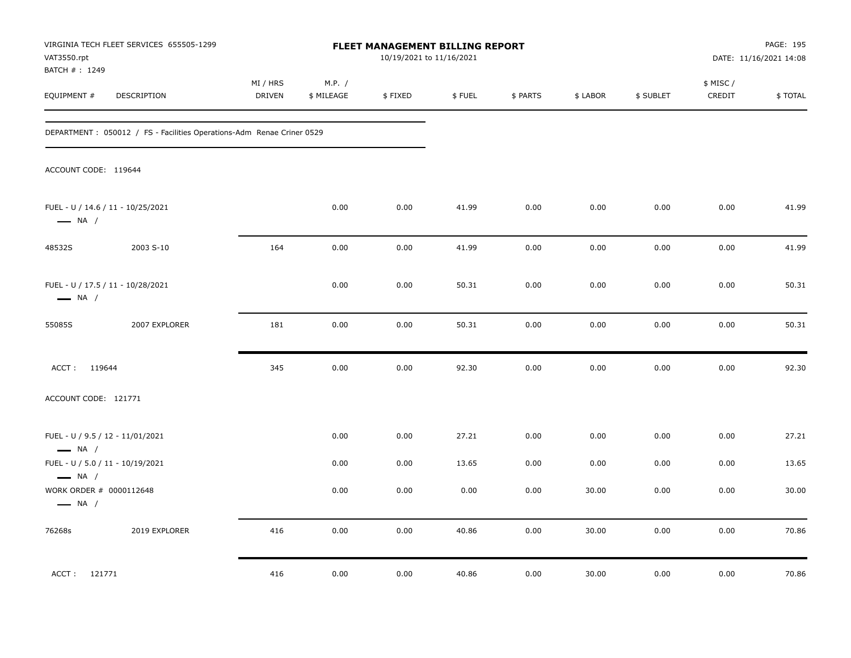| VAT3550.rpt                                                                 | VIRGINIA TECH FLEET SERVICES 655505-1299                               |                           |                      | <b>FLEET MANAGEMENT BILLING REPORT</b><br>10/19/2021 to 11/16/2021 |        |          |          |           |                     | PAGE: 195<br>DATE: 11/16/2021 14:08 |
|-----------------------------------------------------------------------------|------------------------------------------------------------------------|---------------------------|----------------------|--------------------------------------------------------------------|--------|----------|----------|-----------|---------------------|-------------------------------------|
| BATCH #: 1249<br>EQUIPMENT #                                                | DESCRIPTION                                                            | MI / HRS<br><b>DRIVEN</b> | M.P. /<br>\$ MILEAGE | \$FIXED                                                            | \$FUEL | \$ PARTS | \$ LABOR | \$ SUBLET | \$ MISC /<br>CREDIT | \$TOTAL                             |
|                                                                             | DEPARTMENT : 050012 / FS - Facilities Operations-Adm Renae Criner 0529 |                           |                      |                                                                    |        |          |          |           |                     |                                     |
| ACCOUNT CODE: 119644                                                        |                                                                        |                           |                      |                                                                    |        |          |          |           |                     |                                     |
| $\longrightarrow$ NA /                                                      | FUEL - U / 14.6 / 11 - 10/25/2021                                      |                           | 0.00                 | 0.00                                                               | 41.99  | 0.00     | 0.00     | 0.00      | 0.00                | 41.99                               |
| 48532S                                                                      | 2003 S-10                                                              | 164                       | 0.00                 | 0.00                                                               | 41.99  | 0.00     | 0.00     | 0.00      | 0.00                | 41.99                               |
| $\longrightarrow$ NA /                                                      | FUEL - U / 17.5 / 11 - 10/28/2021                                      |                           | 0.00                 | 0.00                                                               | 50.31  | 0.00     | 0.00     | 0.00      | 0.00                | 50.31                               |
| 55085S                                                                      | 2007 EXPLORER                                                          | 181                       | 0.00                 | 0.00                                                               | 50.31  | 0.00     | 0.00     | 0.00      | 0.00                | 50.31                               |
| ACCT: 119644                                                                |                                                                        | 345                       | 0.00                 | 0.00                                                               | 92.30  | 0.00     | 0.00     | 0.00      | 0.00                | 92.30                               |
| ACCOUNT CODE: 121771                                                        |                                                                        |                           |                      |                                                                    |        |          |          |           |                     |                                     |
| FUEL - U / 9.5 / 12 - 11/01/2021<br>$\longrightarrow$ NA /                  |                                                                        |                           | 0.00                 | 0.00                                                               | 27.21  | 0.00     | 0.00     | 0.00      | 0.00                | 27.21                               |
| FUEL - U / 5.0 / 11 - 10/19/2021                                            |                                                                        |                           | 0.00                 | 0.00                                                               | 13.65  | 0.00     | 0.00     | 0.00      | 0.00                | 13.65                               |
| $\longrightarrow$ NA /<br>WORK ORDER # 0000112648<br>$\longrightarrow$ NA / |                                                                        |                           | 0.00                 | 0.00                                                               | 0.00   | 0.00     | 30.00    | 0.00      | 0.00                | 30.00                               |
| 76268s                                                                      | 2019 EXPLORER                                                          | 416                       | 0.00                 | 0.00                                                               | 40.86  | 0.00     | 30.00    | 0.00      | 0.00                | 70.86                               |
| ACCT: 121771                                                                |                                                                        | 416                       | 0.00                 | 0.00                                                               | 40.86  | 0.00     | 30.00    | 0.00      | 0.00                | 70.86                               |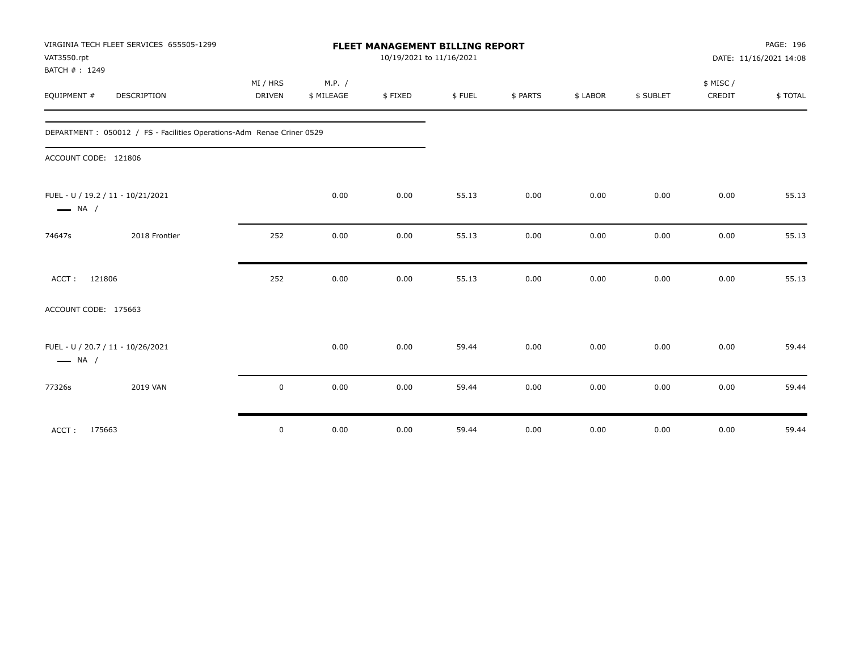|                              | VIRGINIA TECH FLEET SERVICES 655505-1299                               |             |            | <b>FLEET MANAGEMENT BILLING REPORT</b> |        |          |          |           |          | PAGE: 196              |
|------------------------------|------------------------------------------------------------------------|-------------|------------|----------------------------------------|--------|----------|----------|-----------|----------|------------------------|
| VAT3550.rpt<br>BATCH #: 1249 |                                                                        |             |            | 10/19/2021 to 11/16/2021               |        |          |          |           |          | DATE: 11/16/2021 14:08 |
|                              |                                                                        | MI / HRS    | M.P. /     |                                        |        |          |          |           | \$ MISC/ |                        |
| EQUIPMENT #                  | <b>DESCRIPTION</b>                                                     | DRIVEN      | \$ MILEAGE | \$FIXED                                | \$FUEL | \$ PARTS | \$ LABOR | \$ SUBLET | CREDIT   | \$TOTAL                |
|                              | DEPARTMENT : 050012 / FS - Facilities Operations-Adm Renae Criner 0529 |             |            |                                        |        |          |          |           |          |                        |
| ACCOUNT CODE: 121806         |                                                                        |             |            |                                        |        |          |          |           |          |                        |
| $\longrightarrow$ NA /       | FUEL - U / 19.2 / 11 - 10/21/2021                                      |             | 0.00       | 0.00                                   | 55.13  | 0.00     | 0.00     | 0.00      | 0.00     | 55.13                  |
| 74647s                       | 2018 Frontier                                                          | 252         | 0.00       | 0.00                                   | 55.13  | 0.00     | 0.00     | 0.00      | 0.00     | 55.13                  |
| ACCT:                        | 121806                                                                 | 252         | 0.00       | 0.00                                   | 55.13  | 0.00     | 0.00     | 0.00      | 0.00     | 55.13                  |
| ACCOUNT CODE: 175663         |                                                                        |             |            |                                        |        |          |          |           |          |                        |
| $\longrightarrow$ NA /       | FUEL - U / 20.7 / 11 - 10/26/2021                                      |             | 0.00       | 0.00                                   | 59.44  | 0.00     | 0.00     | 0.00      | 0.00     | 59.44                  |
| 77326s                       | 2019 VAN                                                               | $\mathbf 0$ | 0.00       | 0.00                                   | 59.44  | 0.00     | 0.00     | 0.00      | 0.00     | 59.44                  |
| ACCT: 175663                 |                                                                        | $\mathsf 0$ | 0.00       | 0.00                                   | 59.44  | 0.00     | 0.00     | 0.00      | 0.00     | 59.44                  |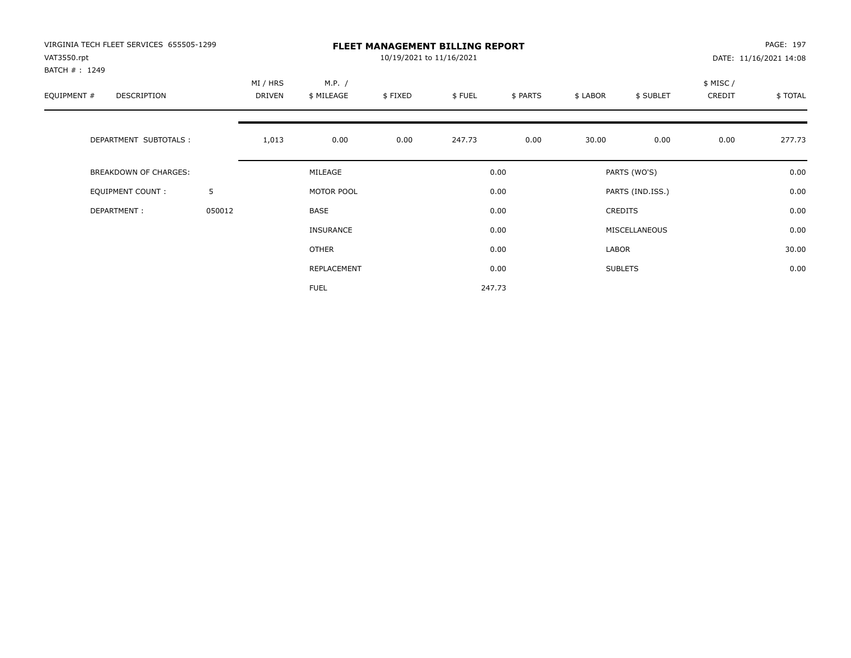| VIRGINIA TECH FLEET SERVICES 655505-1299<br>VAT3550.rpt<br>BATCH #: 1249 |        |                    |                      | 10/19/2021 to 11/16/2021 | <b>FLEET MANAGEMENT BILLING REPORT</b> |          |          |                  |                    | PAGE: 197<br>DATE: 11/16/2021 14:08 |
|--------------------------------------------------------------------------|--------|--------------------|----------------------|--------------------------|----------------------------------------|----------|----------|------------------|--------------------|-------------------------------------|
| EQUIPMENT #<br>DESCRIPTION                                               |        | MI / HRS<br>DRIVEN | M.P. /<br>\$ MILEAGE | \$FIXED                  | \$FUEL                                 | \$ PARTS | \$ LABOR | \$ SUBLET        | \$ MISC/<br>CREDIT | \$TOTAL                             |
| DEPARTMENT SUBTOTALS :                                                   |        | 1,013              | 0.00                 | 0.00                     | 247.73                                 | 0.00     | 30.00    | 0.00             | 0.00               | 277.73                              |
| <b>BREAKDOWN OF CHARGES:</b>                                             |        |                    | MILEAGE              |                          |                                        | 0.00     |          | PARTS (WO'S)     |                    | 0.00                                |
| EQUIPMENT COUNT:                                                         | 5      |                    | MOTOR POOL           |                          |                                        | 0.00     |          | PARTS (IND.ISS.) |                    | 0.00                                |
| DEPARTMENT:                                                              | 050012 |                    | BASE                 |                          |                                        | 0.00     |          | <b>CREDITS</b>   |                    | 0.00                                |
|                                                                          |        |                    | <b>INSURANCE</b>     |                          |                                        | 0.00     |          | MISCELLANEOUS    |                    | 0.00                                |
|                                                                          |        |                    | <b>OTHER</b>         |                          |                                        | 0.00     | LABOR    |                  |                    | 30.00                               |
|                                                                          |        |                    | REPLACEMENT          |                          |                                        | 0.00     |          | <b>SUBLETS</b>   |                    | 0.00                                |
|                                                                          |        |                    | <b>FUEL</b>          |                          |                                        | 247.73   |          |                  |                    |                                     |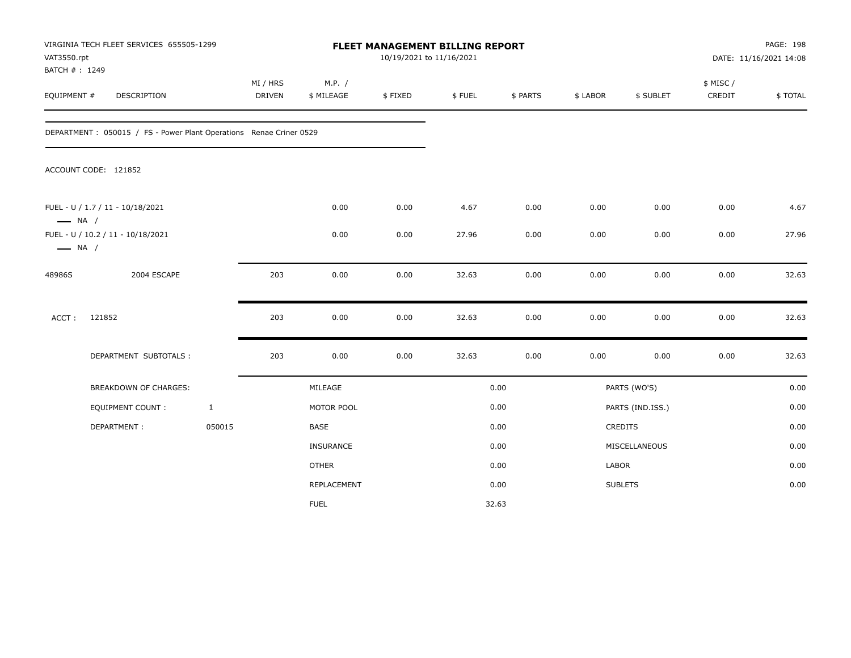| VAT3550.rpt<br>BATCH #: 1249 | VIRGINIA TECH FLEET SERVICES 655505-1299                            |              |                           |                      | FLEET MANAGEMENT BILLING REPORT<br>10/19/2021 to 11/16/2021 |        |          |          |                  |                    | PAGE: 198<br>DATE: 11/16/2021 14:08 |
|------------------------------|---------------------------------------------------------------------|--------------|---------------------------|----------------------|-------------------------------------------------------------|--------|----------|----------|------------------|--------------------|-------------------------------------|
| EQUIPMENT #                  | DESCRIPTION                                                         |              | MI / HRS<br><b>DRIVEN</b> | M.P. /<br>\$ MILEAGE | \$FIXED                                                     | \$FUEL | \$ PARTS | \$ LABOR | \$ SUBLET        | \$ MISC/<br>CREDIT | \$TOTAL                             |
|                              | DEPARTMENT : 050015 / FS - Power Plant Operations Renae Criner 0529 |              |                           |                      |                                                             |        |          |          |                  |                    |                                     |
|                              | ACCOUNT CODE: 121852                                                |              |                           |                      |                                                             |        |          |          |                  |                    |                                     |
| $\longrightarrow$ NA /       | FUEL - U / 1.7 / 11 - 10/18/2021                                    |              |                           | 0.00                 | 0.00                                                        | 4.67   | 0.00     | 0.00     | 0.00             | 0.00               | 4.67                                |
| $\longrightarrow$ NA /       | FUEL - U / 10.2 / 11 - 10/18/2021                                   |              |                           | 0.00                 | 0.00                                                        | 27.96  | 0.00     | 0.00     | 0.00             | 0.00               | 27.96                               |
| 48986S                       | 2004 ESCAPE                                                         |              | 203                       | 0.00                 | 0.00                                                        | 32.63  | 0.00     | 0.00     | 0.00             | 0.00               | 32.63                               |
| ACCT:                        | 121852                                                              |              | 203                       | 0.00                 | 0.00                                                        | 32.63  | 0.00     | 0.00     | 0.00             | 0.00               | 32.63                               |
|                              | DEPARTMENT SUBTOTALS :                                              |              | 203                       | 0.00                 | 0.00                                                        | 32.63  | 0.00     | 0.00     | 0.00             | 0.00               | 32.63                               |
|                              | BREAKDOWN OF CHARGES:                                               |              |                           | MILEAGE              |                                                             |        | 0.00     |          | PARTS (WO'S)     |                    | 0.00                                |
|                              | <b>EQUIPMENT COUNT:</b>                                             | $\mathbf{1}$ |                           | MOTOR POOL           |                                                             |        | 0.00     |          | PARTS (IND.ISS.) |                    | 0.00                                |
|                              | DEPARTMENT:                                                         | 050015       |                           | BASE                 |                                                             |        | 0.00     |          | <b>CREDITS</b>   |                    | 0.00                                |
|                              |                                                                     |              |                           | <b>INSURANCE</b>     |                                                             |        | 0.00     |          | MISCELLANEOUS    |                    | 0.00                                |
|                              |                                                                     |              |                           | <b>OTHER</b>         |                                                             |        | 0.00     | LABOR    |                  |                    | 0.00                                |
|                              |                                                                     |              |                           | REPLACEMENT          |                                                             |        | 0.00     |          | <b>SUBLETS</b>   |                    | 0.00                                |
|                              |                                                                     |              |                           | <b>FUEL</b>          |                                                             |        | 32.63    |          |                  |                    |                                     |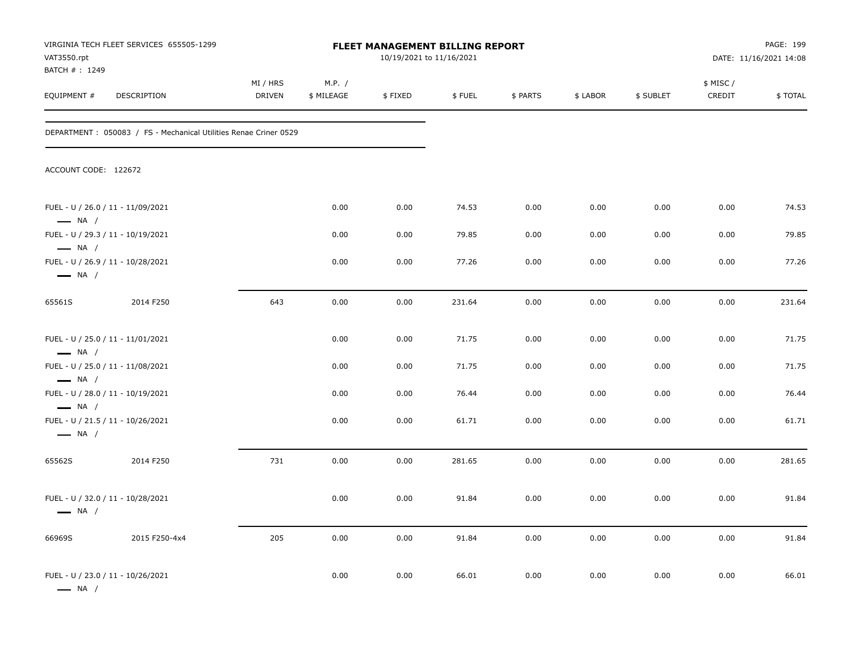| VAT3550.rpt                  | VIRGINIA TECH FLEET SERVICES 655505-1299                         |                           |                      | FLEET MANAGEMENT BILLING REPORT<br>10/19/2021 to 11/16/2021 |        |          |          |           |                     | PAGE: 199<br>DATE: 11/16/2021 14:08 |
|------------------------------|------------------------------------------------------------------|---------------------------|----------------------|-------------------------------------------------------------|--------|----------|----------|-----------|---------------------|-------------------------------------|
| BATCH #: 1249<br>EQUIPMENT # | DESCRIPTION                                                      | MI / HRS<br><b>DRIVEN</b> | M.P. /<br>\$ MILEAGE | \$FIXED                                                     | \$FUEL | \$ PARTS | \$ LABOR | \$ SUBLET | \$ MISC /<br>CREDIT | \$TOTAL                             |
|                              | DEPARTMENT: 050083 / FS - Mechanical Utilities Renae Criner 0529 |                           |                      |                                                             |        |          |          |           |                     |                                     |
| ACCOUNT CODE: 122672         |                                                                  |                           |                      |                                                             |        |          |          |           |                     |                                     |
| $\longrightarrow$ NA /       | FUEL - U / 26.0 / 11 - 11/09/2021                                |                           | 0.00                 | 0.00                                                        | 74.53  | 0.00     | 0.00     | 0.00      | 0.00                | 74.53                               |
| $\longrightarrow$ NA /       | FUEL - U / 29.3 / 11 - 10/19/2021                                |                           | 0.00                 | 0.00                                                        | 79.85  | 0.00     | 0.00     | 0.00      | 0.00                | 79.85                               |
| $\longrightarrow$ NA /       | FUEL - U / 26.9 / 11 - 10/28/2021                                |                           | 0.00                 | 0.00                                                        | 77.26  | 0.00     | 0.00     | 0.00      | 0.00                | 77.26                               |
| 65561S                       | 2014 F250                                                        | 643                       | 0.00                 | 0.00                                                        | 231.64 | 0.00     | 0.00     | 0.00      | 0.00                | 231.64                              |
| $\longrightarrow$ NA /       | FUEL - U / 25.0 / 11 - 11/01/2021                                |                           | 0.00                 | 0.00                                                        | 71.75  | 0.00     | 0.00     | 0.00      | 0.00                | 71.75                               |
| $\longrightarrow$ NA /       | FUEL - U / 25.0 / 11 - 11/08/2021                                |                           | 0.00                 | 0.00                                                        | 71.75  | 0.00     | 0.00     | 0.00      | 0.00                | 71.75                               |
| $\longrightarrow$ NA /       | FUEL - U / 28.0 / 11 - 10/19/2021                                |                           | 0.00                 | 0.00                                                        | 76.44  | 0.00     | 0.00     | 0.00      | 0.00                | 76.44                               |
| $\longrightarrow$ NA /       | FUEL - U / 21.5 / 11 - 10/26/2021                                |                           | 0.00                 | 0.00                                                        | 61.71  | 0.00     | 0.00     | 0.00      | 0.00                | 61.71                               |
| 65562S                       | 2014 F250                                                        | 731                       | 0.00                 | 0.00                                                        | 281.65 | 0.00     | 0.00     | 0.00      | 0.00                | 281.65                              |
| $\longrightarrow$ NA /       | FUEL - U / 32.0 / 11 - 10/28/2021                                |                           | 0.00                 | 0.00                                                        | 91.84  | 0.00     | 0.00     | 0.00      | 0.00                | 91.84                               |
| 66969S                       | 2015 F250-4x4                                                    | 205                       | 0.00                 | 0.00                                                        | 91.84  | 0.00     | 0.00     | 0.00      | 0.00                | 91.84                               |
| $\longrightarrow$ NA /       | FUEL - U / 23.0 / 11 - 10/26/2021                                |                           | 0.00                 | 0.00                                                        | 66.01  | 0.00     | 0.00     | 0.00      | 0.00                | 66.01                               |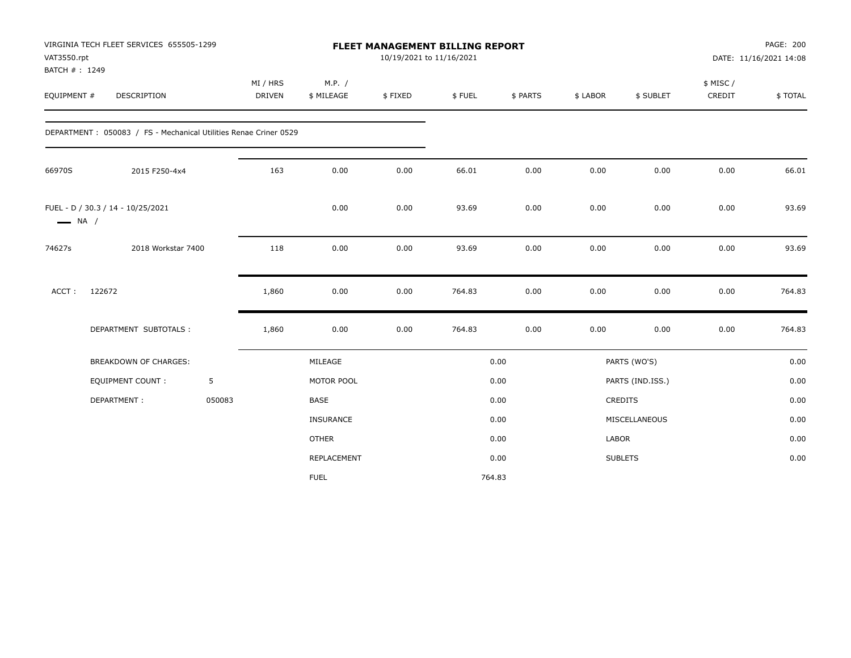| VAT3550.rpt<br>BATCH #: 1249 | VIRGINIA TECH FLEET SERVICES 655505-1299                         |        |                           |                      | 10/19/2021 to 11/16/2021 | <b>FLEET MANAGEMENT BILLING REPORT</b> |          |          |                  |                    | PAGE: 200<br>DATE: 11/16/2021 14:08 |
|------------------------------|------------------------------------------------------------------|--------|---------------------------|----------------------|--------------------------|----------------------------------------|----------|----------|------------------|--------------------|-------------------------------------|
| EQUIPMENT #                  | <b>DESCRIPTION</b>                                               |        | MI / HRS<br><b>DRIVEN</b> | M.P. /<br>\$ MILEAGE | \$FIXED                  | \$FUEL                                 | \$ PARTS | \$ LABOR | \$ SUBLET        | \$ MISC/<br>CREDIT | \$TOTAL                             |
|                              | DEPARTMENT: 050083 / FS - Mechanical Utilities Renae Criner 0529 |        |                           |                      |                          |                                        |          |          |                  |                    |                                     |
| 66970S                       | 2015 F250-4x4                                                    |        | 163                       | 0.00                 | 0.00                     | 66.01                                  | 0.00     | 0.00     | 0.00             | 0.00               | 66.01                               |
| $\longrightarrow$ NA /       | FUEL - D / 30.3 / 14 - 10/25/2021                                |        |                           | 0.00                 | 0.00                     | 93.69                                  | 0.00     | 0.00     | 0.00             | 0.00               | 93.69                               |
| 74627s                       | 2018 Workstar 7400                                               |        | 118                       | 0.00                 | 0.00                     | 93.69                                  | 0.00     | 0.00     | 0.00             | 0.00               | 93.69                               |
| ACCT:                        | 122672                                                           |        | 1,860                     | 0.00                 | 0.00                     | 764.83                                 | 0.00     | 0.00     | 0.00             | 0.00               | 764.83                              |
|                              | DEPARTMENT SUBTOTALS :                                           |        | 1,860                     | 0.00                 | 0.00                     | 764.83                                 | 0.00     | 0.00     | 0.00             | 0.00               | 764.83                              |
|                              | BREAKDOWN OF CHARGES:                                            |        |                           | MILEAGE              |                          |                                        | 0.00     |          | PARTS (WO'S)     |                    | 0.00                                |
|                              | <b>EQUIPMENT COUNT:</b>                                          | 5      |                           | MOTOR POOL           |                          |                                        | 0.00     |          | PARTS (IND.ISS.) |                    | 0.00                                |
|                              | DEPARTMENT:                                                      | 050083 |                           | <b>BASE</b>          |                          |                                        | 0.00     |          | CREDITS          |                    | 0.00                                |
|                              |                                                                  |        |                           | <b>INSURANCE</b>     |                          |                                        | 0.00     |          | MISCELLANEOUS    |                    | 0.00                                |
|                              |                                                                  |        |                           | <b>OTHER</b>         |                          |                                        | 0.00     | LABOR    |                  |                    | 0.00                                |
|                              |                                                                  |        |                           | REPLACEMENT          |                          |                                        | 0.00     |          | <b>SUBLETS</b>   |                    | 0.00                                |
|                              |                                                                  |        |                           | <b>FUEL</b>          |                          | 764.83                                 |          |          |                  |                    |                                     |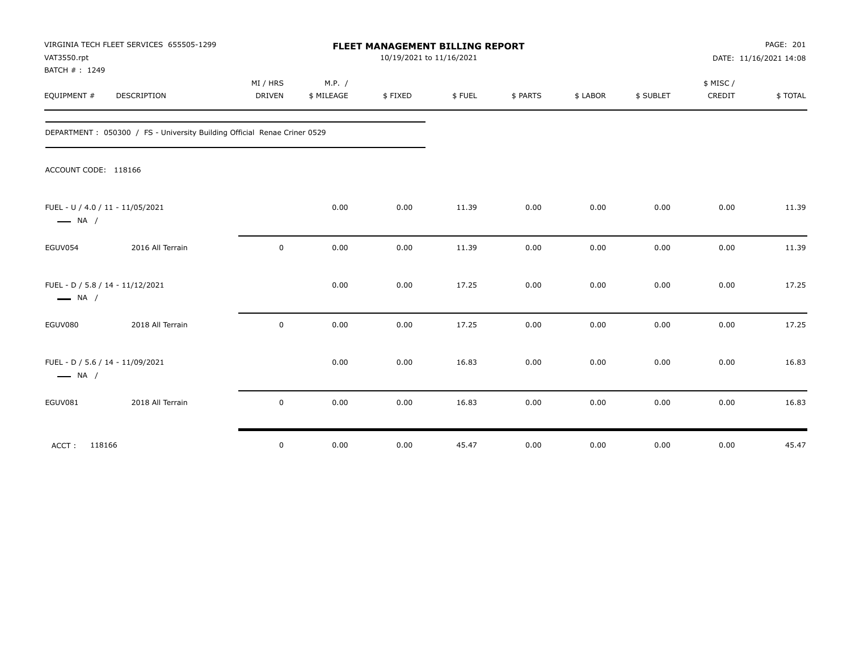| VAT3550.rpt<br>BATCH #: 1249 | VIRGINIA TECH FLEET SERVICES 655505-1299                                  |                           |                      | FLEET MANAGEMENT BILLING REPORT<br>10/19/2021 to 11/16/2021 |        |          |          |           | PAGE: 201<br>DATE: 11/16/2021 14:08 |         |  |
|------------------------------|---------------------------------------------------------------------------|---------------------------|----------------------|-------------------------------------------------------------|--------|----------|----------|-----------|-------------------------------------|---------|--|
| EQUIPMENT #                  | DESCRIPTION                                                               | MI / HRS<br><b>DRIVEN</b> | M.P. /<br>\$ MILEAGE | \$FIXED                                                     | \$FUEL | \$ PARTS | \$ LABOR | \$ SUBLET | \$ MISC /<br>CREDIT                 | \$TOTAL |  |
|                              | DEPARTMENT : 050300 / FS - University Building Official Renae Criner 0529 |                           |                      |                                                             |        |          |          |           |                                     |         |  |
| ACCOUNT CODE: 118166         |                                                                           |                           |                      |                                                             |        |          |          |           |                                     |         |  |
| $\longrightarrow$ NA /       | FUEL - U / 4.0 / 11 - 11/05/2021                                          |                           | 0.00                 | 0.00                                                        | 11.39  | 0.00     | 0.00     | 0.00      | 0.00                                | 11.39   |  |
| EGUV054                      | 2016 All Terrain                                                          | $\mathbf 0$               | 0.00                 | 0.00                                                        | 11.39  | 0.00     | 0.00     | 0.00      | 0.00                                | 11.39   |  |
| $\longrightarrow$ NA /       | FUEL - D / 5.8 / 14 - 11/12/2021                                          |                           | 0.00                 | 0.00                                                        | 17.25  | 0.00     | 0.00     | 0.00      | 0.00                                | 17.25   |  |
| EGUV080                      | 2018 All Terrain                                                          | $\pmb{0}$                 | 0.00                 | 0.00                                                        | 17.25  | 0.00     | 0.00     | 0.00      | 0.00                                | 17.25   |  |
| $\longrightarrow$ NA /       | FUEL - D / 5.6 / 14 - 11/09/2021                                          |                           | 0.00                 | 0.00                                                        | 16.83  | 0.00     | 0.00     | 0.00      | 0.00                                | 16.83   |  |
| EGUV081                      | 2018 All Terrain                                                          | $\mathbf 0$               | 0.00                 | 0.00                                                        | 16.83  | 0.00     | 0.00     | 0.00      | 0.00                                | 16.83   |  |
| ACCT: 118166                 |                                                                           | $\mathbf 0$               | 0.00                 | 0.00                                                        | 45.47  | 0.00     | 0.00     | 0.00      | 0.00                                | 45.47   |  |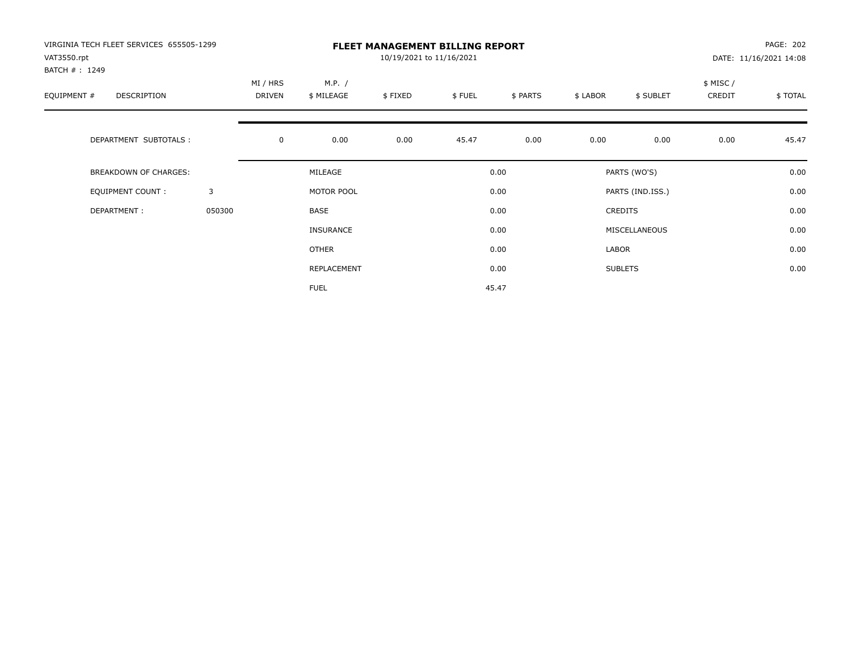| VIRGINIA TECH FLEET SERVICES 655505-1299<br>VAT3550.rpt<br>BATCH #: 1249 |        |                    |                      | 10/19/2021 to 11/16/2021 | <b>FLEET MANAGEMENT BILLING REPORT</b> |          |          |                  |                    | PAGE: 202<br>DATE: 11/16/2021 14:08 |
|--------------------------------------------------------------------------|--------|--------------------|----------------------|--------------------------|----------------------------------------|----------|----------|------------------|--------------------|-------------------------------------|
| EQUIPMENT #<br>DESCRIPTION                                               |        | MI / HRS<br>DRIVEN | M.P. /<br>\$ MILEAGE | \$FIXED                  | \$FUEL                                 | \$ PARTS | \$ LABOR | \$ SUBLET        | \$ MISC/<br>CREDIT | \$TOTAL                             |
| DEPARTMENT SUBTOTALS :                                                   |        | $\mathbf 0$        | 0.00                 | 0.00                     | 45.47                                  | 0.00     | 0.00     | 0.00             | 0.00               | 45.47                               |
| <b>BREAKDOWN OF CHARGES:</b>                                             |        |                    | MILEAGE              |                          |                                        | 0.00     |          | PARTS (WO'S)     |                    | 0.00                                |
| EQUIPMENT COUNT:                                                         | 3      |                    | MOTOR POOL           |                          |                                        | 0.00     |          | PARTS (IND.ISS.) |                    | 0.00                                |
| DEPARTMENT:                                                              | 050300 |                    | <b>BASE</b>          |                          |                                        | 0.00     |          | <b>CREDITS</b>   |                    | 0.00                                |
|                                                                          |        |                    | <b>INSURANCE</b>     |                          |                                        | 0.00     |          | MISCELLANEOUS    |                    | 0.00                                |
|                                                                          |        |                    | OTHER                |                          |                                        | 0.00     | LABOR    |                  |                    | 0.00                                |
|                                                                          |        |                    | REPLACEMENT          |                          |                                        | 0.00     |          | <b>SUBLETS</b>   |                    | 0.00                                |
|                                                                          |        |                    | <b>FUEL</b>          |                          |                                        | 45.47    |          |                  |                    |                                     |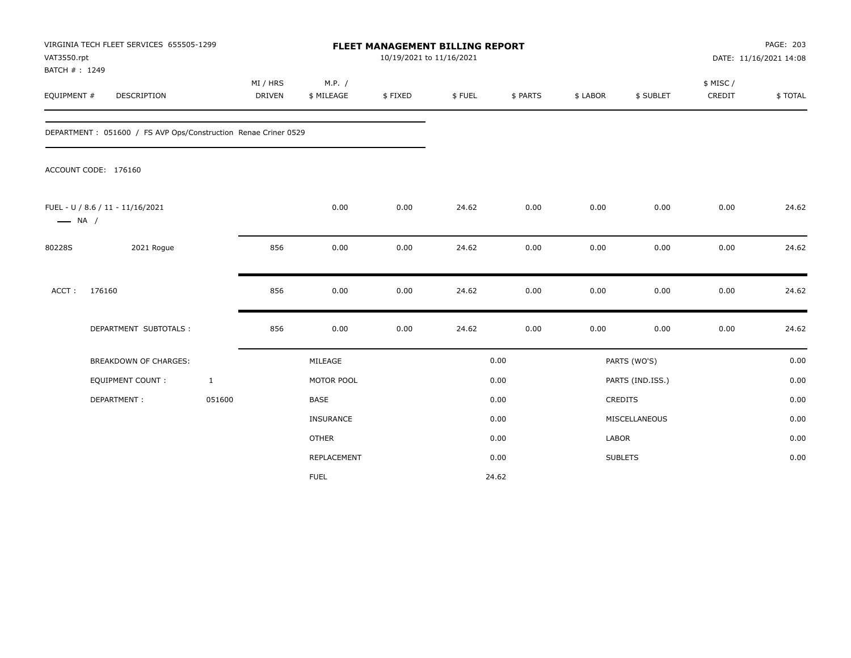| VAT3550.rpt<br>BATCH #: 1249 | VIRGINIA TECH FLEET SERVICES 655505-1299                        |                    |                      | FLEET MANAGEMENT BILLING REPORT<br>10/19/2021 to 11/16/2021 |        |          |          |                  |                     | PAGE: 203<br>DATE: 11/16/2021 14:08 |
|------------------------------|-----------------------------------------------------------------|--------------------|----------------------|-------------------------------------------------------------|--------|----------|----------|------------------|---------------------|-------------------------------------|
| EQUIPMENT #                  | DESCRIPTION                                                     | MI / HRS<br>DRIVEN | M.P. /<br>\$ MILEAGE | \$FIXED                                                     | \$FUEL | \$ PARTS | \$ LABOR | \$ SUBLET        | \$ MISC /<br>CREDIT | \$TOTAL                             |
|                              | DEPARTMENT : 051600 / FS AVP Ops/Construction Renae Criner 0529 |                    |                      |                                                             |        |          |          |                  |                     |                                     |
|                              | ACCOUNT CODE: 176160                                            |                    |                      |                                                             |        |          |          |                  |                     |                                     |
| $\longrightarrow$ NA /       | FUEL - U / 8.6 / 11 - 11/16/2021                                |                    | 0.00                 | 0.00                                                        | 24.62  | 0.00     | 0.00     | 0.00             | 0.00                | 24.62                               |
| 80228S                       | 2021 Rogue                                                      | 856                | 0.00                 | 0.00                                                        | 24.62  | 0.00     | 0.00     | 0.00             | 0.00                | 24.62                               |
| ACCT:                        | 176160                                                          | 856                | 0.00                 | 0.00                                                        | 24.62  | 0.00     | 0.00     | 0.00             | 0.00                | 24.62                               |
|                              | DEPARTMENT SUBTOTALS :                                          | 856                | 0.00                 | 0.00                                                        | 24.62  | 0.00     | 0.00     | 0.00             | 0.00                | 24.62                               |
|                              | <b>BREAKDOWN OF CHARGES:</b>                                    |                    | MILEAGE              |                                                             |        | 0.00     |          | PARTS (WO'S)     |                     | 0.00                                |
|                              | EQUIPMENT COUNT:                                                | $\mathbf{1}$       | MOTOR POOL           |                                                             |        | 0.00     |          | PARTS (IND.ISS.) |                     | 0.00                                |
|                              | DEPARTMENT:                                                     | 051600             | <b>BASE</b>          |                                                             |        | 0.00     |          | CREDITS          |                     | 0.00                                |
|                              |                                                                 |                    | <b>INSURANCE</b>     |                                                             |        | 0.00     |          | MISCELLANEOUS    |                     | 0.00                                |
|                              |                                                                 |                    | <b>OTHER</b>         |                                                             |        | 0.00     | LABOR    |                  |                     | 0.00                                |
|                              |                                                                 |                    | <b>REPLACEMENT</b>   |                                                             |        | 0.00     |          | <b>SUBLETS</b>   |                     | 0.00                                |
|                              |                                                                 |                    | <b>FUEL</b>          |                                                             |        | 24.62    |          |                  |                     |                                     |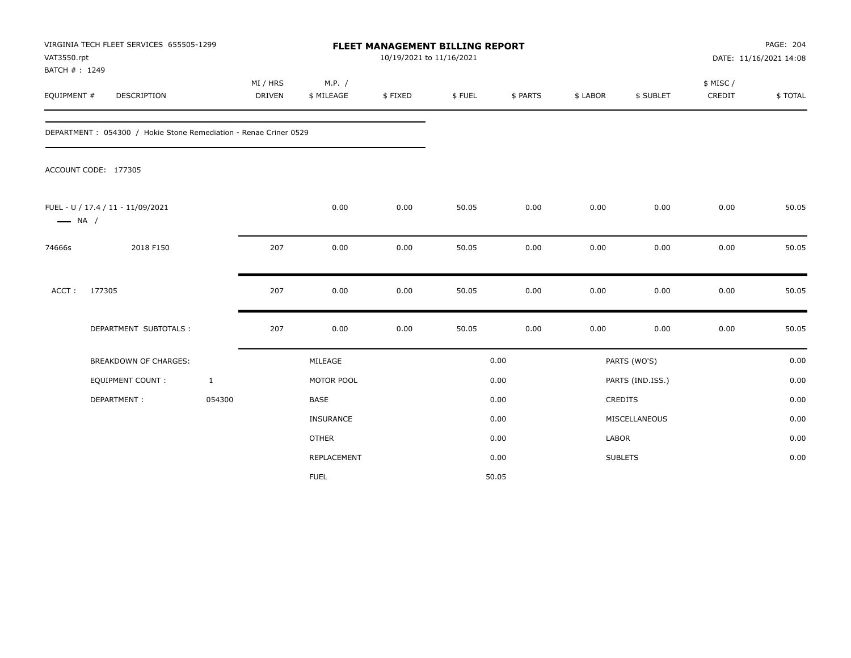| VAT3550.rpt<br>BATCH #: 1249 | VIRGINIA TECH FLEET SERVICES 655505-1299                          |                    |                      | <b>FLEET MANAGEMENT BILLING REPORT</b><br>10/19/2021 to 11/16/2021 |        |          |          |                  |                     | PAGE: 204<br>DATE: 11/16/2021 14:08 |
|------------------------------|-------------------------------------------------------------------|--------------------|----------------------|--------------------------------------------------------------------|--------|----------|----------|------------------|---------------------|-------------------------------------|
| EQUIPMENT #                  | DESCRIPTION                                                       | MI / HRS<br>DRIVEN | M.P. /<br>\$ MILEAGE | \$FIXED                                                            | \$FUEL | \$ PARTS | \$ LABOR | \$ SUBLET        | \$ MISC /<br>CREDIT | \$TOTAL                             |
|                              | DEPARTMENT : 054300 / Hokie Stone Remediation - Renae Criner 0529 |                    |                      |                                                                    |        |          |          |                  |                     |                                     |
|                              | ACCOUNT CODE: 177305                                              |                    |                      |                                                                    |        |          |          |                  |                     |                                     |
| $\longrightarrow$ NA /       | FUEL - U / 17.4 / 11 - 11/09/2021                                 |                    | 0.00                 | 0.00                                                               | 50.05  | 0.00     | 0.00     | 0.00             | 0.00                | 50.05                               |
| 74666s                       | 2018 F150                                                         | 207                | 0.00                 | 0.00                                                               | 50.05  | 0.00     | 0.00     | 0.00             | 0.00                | 50.05                               |
| ACCT:                        | 177305                                                            | 207                | 0.00                 | 0.00                                                               | 50.05  | 0.00     | 0.00     | 0.00             | 0.00                | 50.05                               |
|                              | DEPARTMENT SUBTOTALS :                                            | 207                | 0.00                 | 0.00                                                               | 50.05  | 0.00     | 0.00     | 0.00             | 0.00                | 50.05                               |
|                              | <b>BREAKDOWN OF CHARGES:</b>                                      |                    | MILEAGE              |                                                                    |        | 0.00     |          | PARTS (WO'S)     |                     | 0.00                                |
|                              | <b>EQUIPMENT COUNT:</b>                                           | $\mathbf{1}$       | MOTOR POOL           |                                                                    |        | 0.00     |          | PARTS (IND.ISS.) |                     | 0.00                                |
|                              | DEPARTMENT:                                                       | 054300             | <b>BASE</b>          |                                                                    |        | 0.00     |          | CREDITS          |                     | 0.00                                |
|                              |                                                                   |                    | INSURANCE            |                                                                    |        | 0.00     |          | MISCELLANEOUS    |                     | 0.00                                |
|                              |                                                                   |                    | <b>OTHER</b>         |                                                                    |        | 0.00     | LABOR    |                  |                     | 0.00                                |
|                              |                                                                   |                    | <b>REPLACEMENT</b>   |                                                                    |        | 0.00     |          | <b>SUBLETS</b>   |                     | 0.00                                |
|                              |                                                                   |                    | <b>FUEL</b>          |                                                                    |        | 50.05    |          |                  |                     |                                     |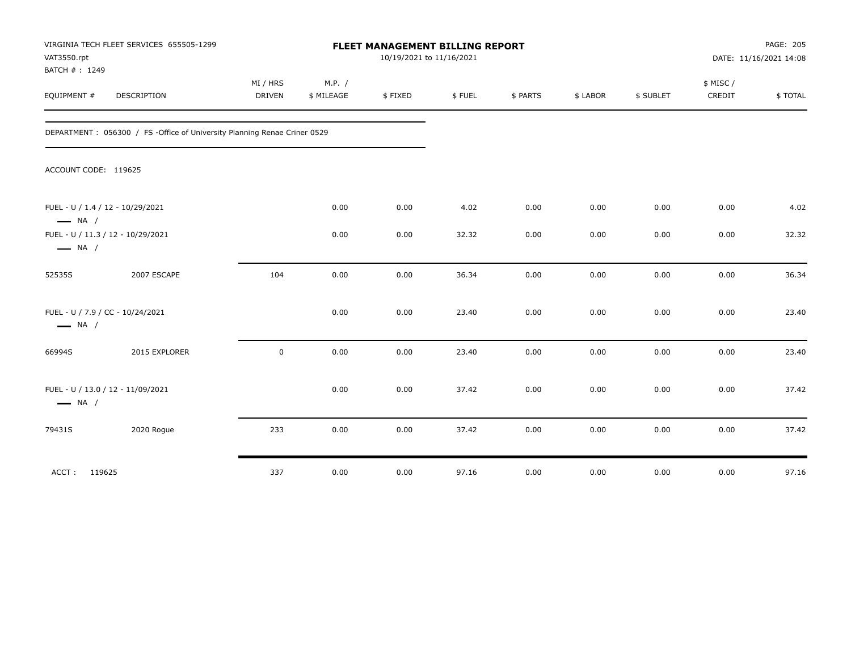| VAT3550.rpt<br>BATCH #: 1249 | VIRGINIA TECH FLEET SERVICES 655505-1299                                  |                           |                      | FLEET MANAGEMENT BILLING REPORT<br>10/19/2021 to 11/16/2021 |        |          |          |           |                    | PAGE: 205<br>DATE: 11/16/2021 14:08 |
|------------------------------|---------------------------------------------------------------------------|---------------------------|----------------------|-------------------------------------------------------------|--------|----------|----------|-----------|--------------------|-------------------------------------|
| EQUIPMENT #                  | DESCRIPTION                                                               | MI / HRS<br><b>DRIVEN</b> | M.P. /<br>\$ MILEAGE | \$FIXED                                                     | \$FUEL | \$ PARTS | \$ LABOR | \$ SUBLET | \$ MISC/<br>CREDIT | \$ TOTAL                            |
|                              | DEPARTMENT : 056300 / FS -Office of University Planning Renae Criner 0529 |                           |                      |                                                             |        |          |          |           |                    |                                     |
| ACCOUNT CODE: 119625         |                                                                           |                           |                      |                                                             |        |          |          |           |                    |                                     |
| $\longrightarrow$ NA /       | FUEL - U / 1.4 / 12 - 10/29/2021                                          |                           | 0.00                 | 0.00                                                        | 4.02   | 0.00     | 0.00     | 0.00      | 0.00               | 4.02                                |
| $\longrightarrow$ NA /       | FUEL - U / 11.3 / 12 - 10/29/2021                                         |                           | 0.00                 | 0.00                                                        | 32.32  | 0.00     | 0.00     | 0.00      | 0.00               | 32.32                               |
| 52535S                       | 2007 ESCAPE                                                               | 104                       | 0.00                 | 0.00                                                        | 36.34  | 0.00     | 0.00     | 0.00      | 0.00               | 36.34                               |
| $\longrightarrow$ NA /       | FUEL - U / 7.9 / CC - 10/24/2021                                          |                           | 0.00                 | 0.00                                                        | 23.40  | 0.00     | 0.00     | 0.00      | 0.00               | 23.40                               |
| 66994S                       | 2015 EXPLORER                                                             | $\mathbf 0$               | 0.00                 | 0.00                                                        | 23.40  | 0.00     | 0.00     | 0.00      | 0.00               | 23.40                               |
| $\longrightarrow$ NA /       | FUEL - U / 13.0 / 12 - 11/09/2021                                         |                           | 0.00                 | 0.00                                                        | 37.42  | 0.00     | 0.00     | 0.00      | 0.00               | 37.42                               |
| 79431S                       | 2020 Rogue                                                                | 233                       | 0.00                 | 0.00                                                        | 37.42  | 0.00     | 0.00     | 0.00      | 0.00               | 37.42                               |
| ACCT: 119625                 |                                                                           | 337                       | 0.00                 | 0.00                                                        | 97.16  | 0.00     | 0.00     | 0.00      | 0.00               | 97.16                               |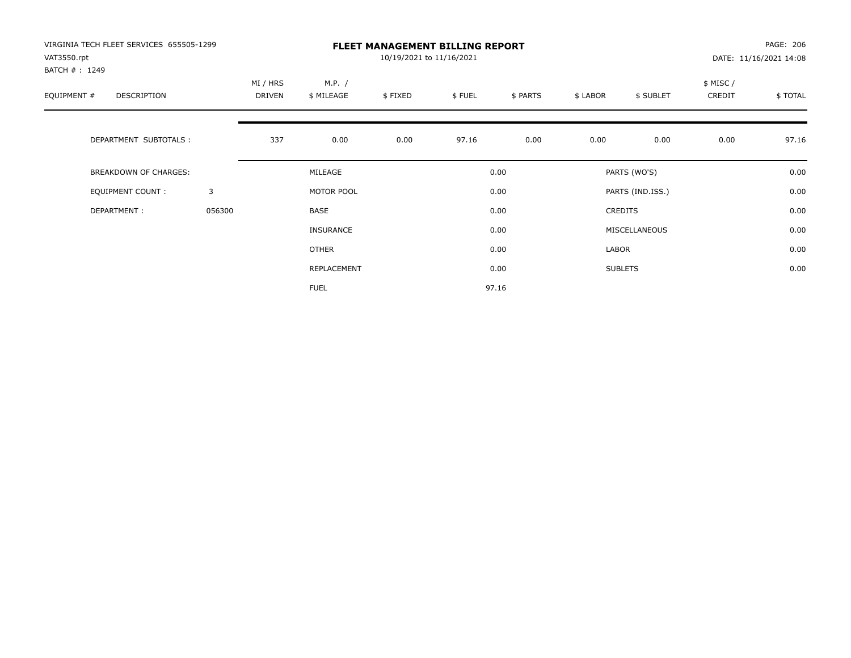| VIRGINIA TECH FLEET SERVICES 655505-1299<br>VAT3550.rpt<br>BATCH #: 1249 |        |                    |                      | 10/19/2021 to 11/16/2021 | <b>FLEET MANAGEMENT BILLING REPORT</b> |          |          |                  |                     | PAGE: 206<br>DATE: 11/16/2021 14:08 |
|--------------------------------------------------------------------------|--------|--------------------|----------------------|--------------------------|----------------------------------------|----------|----------|------------------|---------------------|-------------------------------------|
| EQUIPMENT #<br><b>DESCRIPTION</b>                                        |        | MI / HRS<br>DRIVEN | M.P. /<br>\$ MILEAGE | \$FIXED                  | \$FUEL                                 | \$ PARTS | \$ LABOR | \$ SUBLET        | \$ MISC /<br>CREDIT | \$TOTAL                             |
| DEPARTMENT SUBTOTALS :                                                   |        | 337                | 0.00                 | 0.00                     | 97.16                                  | 0.00     | 0.00     | 0.00             | 0.00                | 97.16                               |
| <b>BREAKDOWN OF CHARGES:</b>                                             |        |                    | MILEAGE              |                          |                                        | 0.00     |          | PARTS (WO'S)     |                     | 0.00                                |
| <b>EQUIPMENT COUNT:</b>                                                  | 3      |                    | MOTOR POOL           |                          |                                        | 0.00     |          | PARTS (IND.ISS.) |                     | 0.00                                |
| DEPARTMENT:                                                              | 056300 |                    | <b>BASE</b>          |                          |                                        | 0.00     |          | <b>CREDITS</b>   |                     | 0.00                                |
|                                                                          |        |                    | INSURANCE            |                          |                                        | 0.00     |          | MISCELLANEOUS    |                     | 0.00                                |
|                                                                          |        |                    | OTHER                |                          |                                        | 0.00     | LABOR    |                  |                     | 0.00                                |
|                                                                          |        |                    | REPLACEMENT          |                          |                                        | 0.00     |          | <b>SUBLETS</b>   |                     | 0.00                                |
|                                                                          |        |                    | <b>FUEL</b>          |                          |                                        | 97.16    |          |                  |                     |                                     |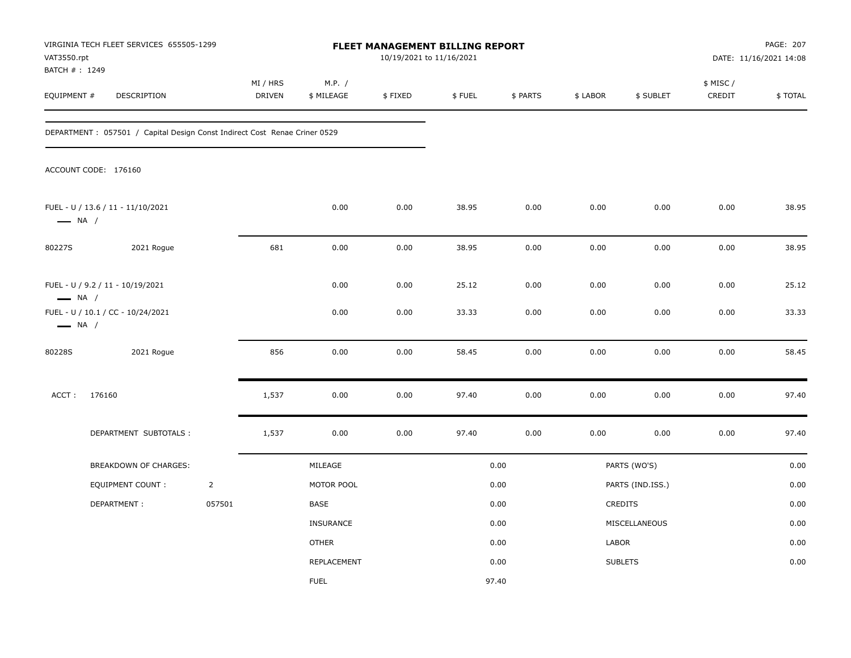| VAT3550.rpt<br>BATCH #: 1249 | VIRGINIA TECH FLEET SERVICES 655505-1299                                  |                |                    |                      | 10/19/2021 to 11/16/2021 | FLEET MANAGEMENT BILLING REPORT |              |              |                  |                    | PAGE: 207<br>DATE: 11/16/2021 14:08 |
|------------------------------|---------------------------------------------------------------------------|----------------|--------------------|----------------------|--------------------------|---------------------------------|--------------|--------------|------------------|--------------------|-------------------------------------|
| EQUIPMENT #                  | DESCRIPTION                                                               |                | MI / HRS<br>DRIVEN | M.P. /<br>\$ MILEAGE | \$FIXED                  | \$FUEL                          | \$ PARTS     | \$ LABOR     | \$ SUBLET        | \$ MISC/<br>CREDIT | \$TOTAL                             |
|                              | DEPARTMENT: 057501 / Capital Design Const Indirect Cost Renae Criner 0529 |                |                    |                      |                          |                                 |              |              |                  |                    |                                     |
|                              | ACCOUNT CODE: 176160                                                      |                |                    |                      |                          |                                 |              |              |                  |                    |                                     |
| $\longrightarrow$ NA /       | FUEL - U / 13.6 / 11 - 11/10/2021                                         |                |                    | 0.00                 | 0.00                     | 38.95                           | 0.00         | 0.00         | 0.00             | 0.00               | 38.95                               |
| 80227S                       | 2021 Rogue                                                                |                | 681                | 0.00                 | 0.00                     | 38.95                           | 0.00         | 0.00         | 0.00             | 0.00               | 38.95                               |
| $\longrightarrow$ NA /       | FUEL - U / 9.2 / 11 - 10/19/2021<br>FUEL - U / 10.1 / CC - 10/24/2021     |                |                    | 0.00<br>0.00         | 0.00<br>0.00             | 25.12<br>33.33                  | 0.00<br>0.00 | 0.00<br>0.00 | 0.00<br>0.00     | 0.00<br>0.00       | 25.12<br>33.33                      |
| $\longrightarrow$ NA /       |                                                                           |                |                    |                      |                          |                                 |              |              |                  |                    |                                     |
| 80228S                       | 2021 Rogue                                                                |                | 856                | 0.00                 | 0.00                     | 58.45                           | 0.00         | 0.00         | 0.00             | 0.00               | 58.45                               |
| ACCT:                        | 176160                                                                    |                | 1,537              | 0.00                 | 0.00                     | 97.40                           | 0.00         | 0.00         | 0.00             | 0.00               | 97.40                               |
|                              | DEPARTMENT SUBTOTALS :                                                    |                | 1,537              | 0.00                 | 0.00                     | 97.40                           | 0.00         | 0.00         | 0.00             | 0.00               | 97.40                               |
|                              | BREAKDOWN OF CHARGES:                                                     |                |                    | MILEAGE              |                          |                                 | 0.00         |              | PARTS (WO'S)     |                    | 0.00                                |
|                              | EQUIPMENT COUNT :                                                         | $\overline{2}$ |                    | MOTOR POOL           |                          |                                 | 0.00         |              | PARTS (IND.ISS.) |                    | 0.00                                |
|                              | DEPARTMENT:                                                               | 057501         |                    | BASE                 |                          |                                 | 0.00         |              | CREDITS          |                    | 0.00                                |
|                              |                                                                           |                |                    | INSURANCE            |                          |                                 | 0.00         |              | MISCELLANEOUS    |                    | 0.00                                |
|                              |                                                                           |                |                    | <b>OTHER</b>         |                          |                                 | 0.00         | LABOR        |                  |                    | 0.00                                |
|                              |                                                                           |                |                    | REPLACEMENT          |                          |                                 | 0.00         |              | <b>SUBLETS</b>   |                    | 0.00                                |
|                              |                                                                           |                |                    | <b>FUEL</b>          |                          |                                 | 97.40        |              |                  |                    |                                     |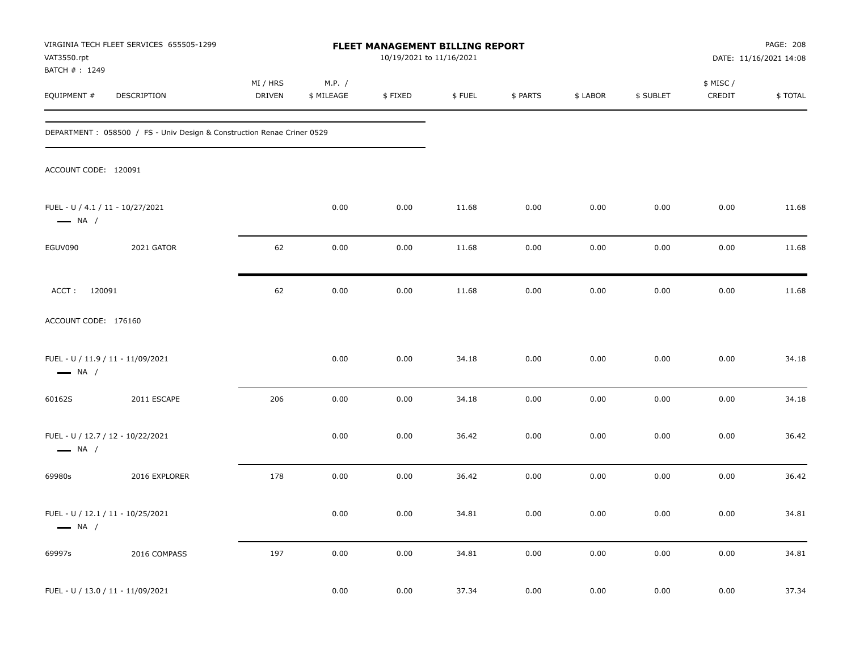| VAT3550.rpt<br>BATCH #: 1249                               | VIRGINIA TECH FLEET SERVICES 655505-1299                                |                    |                      | FLEET MANAGEMENT BILLING REPORT<br>10/19/2021 to 11/16/2021 |        |          |          |           |                     | PAGE: 208<br>DATE: 11/16/2021 14:08 |
|------------------------------------------------------------|-------------------------------------------------------------------------|--------------------|----------------------|-------------------------------------------------------------|--------|----------|----------|-----------|---------------------|-------------------------------------|
| EQUIPMENT #                                                | DESCRIPTION                                                             | MI / HRS<br>DRIVEN | M.P. /<br>\$ MILEAGE | \$FIXED                                                     | \$FUEL | \$ PARTS | \$ LABOR | \$ SUBLET | \$ MISC /<br>CREDIT | \$TOTAL                             |
|                                                            | DEPARTMENT : 058500 / FS - Univ Design & Construction Renae Criner 0529 |                    |                      |                                                             |        |          |          |           |                     |                                     |
| ACCOUNT CODE: 120091                                       |                                                                         |                    |                      |                                                             |        |          |          |           |                     |                                     |
| FUEL - U / 4.1 / 11 - 10/27/2021<br>$\longrightarrow$ NA / |                                                                         |                    | 0.00                 | 0.00                                                        | 11.68  | 0.00     | 0.00     | 0.00      | 0.00                | 11.68                               |
| EGUV090                                                    | 2021 GATOR                                                              | 62                 | 0.00                 | 0.00                                                        | 11.68  | 0.00     | 0.00     | 0.00      | 0.00                | 11.68                               |
| ACCT: 120091                                               |                                                                         | 62                 | 0.00                 | 0.00                                                        | 11.68  | 0.00     | 0.00     | 0.00      | 0.00                | 11.68                               |
| ACCOUNT CODE: 176160                                       |                                                                         |                    |                      |                                                             |        |          |          |           |                     |                                     |
| $\longrightarrow$ NA /                                     | FUEL - U / 11.9 / 11 - 11/09/2021                                       |                    | 0.00                 | 0.00                                                        | 34.18  | 0.00     | 0.00     | 0.00      | 0.00                | 34.18                               |
| 60162S                                                     | 2011 ESCAPE                                                             | 206                | 0.00                 | 0.00                                                        | 34.18  | 0.00     | 0.00     | 0.00      | 0.00                | 34.18                               |
| $\longrightarrow$ NA /                                     | FUEL - U / 12.7 / 12 - 10/22/2021                                       |                    | 0.00                 | 0.00                                                        | 36.42  | 0.00     | 0.00     | 0.00      | 0.00                | 36.42                               |
| 69980s                                                     | 2016 EXPLORER                                                           | 178                | 0.00                 | 0.00                                                        | 36.42  | 0.00     | 0.00     | 0.00      | 0.00                | 36.42                               |
| $\longrightarrow$ NA /                                     | FUEL - U / 12.1 / 11 - 10/25/2021                                       |                    | 0.00                 | 0.00                                                        | 34.81  | 0.00     | 0.00     | 0.00      | 0.00                | 34.81                               |
| 69997s                                                     | 2016 COMPASS                                                            | 197                | 0.00                 | 0.00                                                        | 34.81  | 0.00     | 0.00     | 0.00      | 0.00                | 34.81                               |
|                                                            | FUEL - U / 13.0 / 11 - 11/09/2021                                       |                    | 0.00                 | 0.00                                                        | 37.34  | 0.00     | 0.00     | 0.00      | 0.00                | 37.34                               |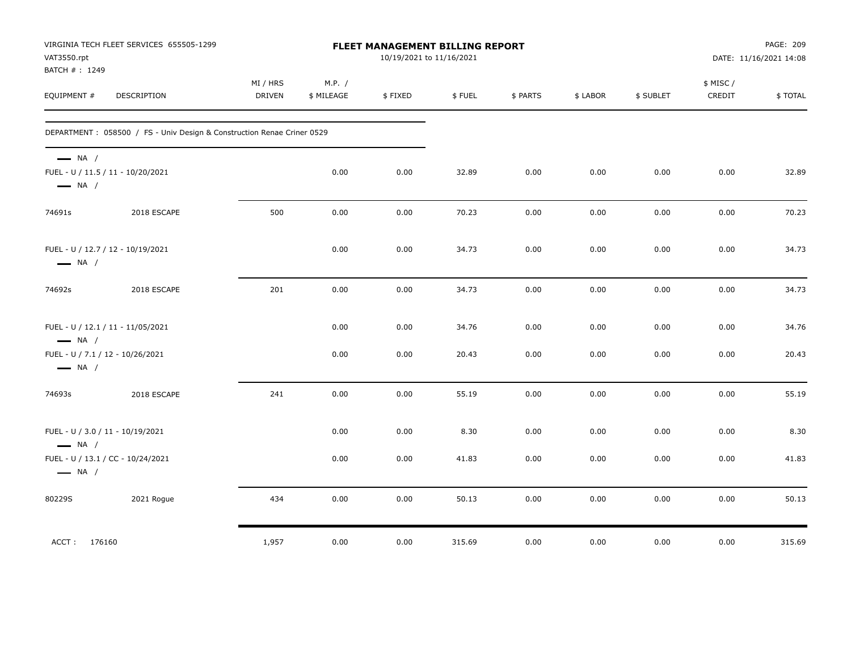| VAT3550.rpt<br>BATCH #: 1249                     | VIRGINIA TECH FLEET SERVICES 655505-1299                                |                           |                      | FLEET MANAGEMENT BILLING REPORT<br>10/19/2021 to 11/16/2021 |        |          |          |           |                    | PAGE: 209<br>DATE: 11/16/2021 14:08 |
|--------------------------------------------------|-------------------------------------------------------------------------|---------------------------|----------------------|-------------------------------------------------------------|--------|----------|----------|-----------|--------------------|-------------------------------------|
| EQUIPMENT #                                      | <b>DESCRIPTION</b>                                                      | MI / HRS<br><b>DRIVEN</b> | M.P. /<br>\$ MILEAGE | \$FIXED                                                     | \$FUEL | \$ PARTS | \$ LABOR | \$ SUBLET | \$ MISC/<br>CREDIT | \$TOTAL                             |
|                                                  | DEPARTMENT : 058500 / FS - Univ Design & Construction Renae Criner 0529 |                           |                      |                                                             |        |          |          |           |                    |                                     |
| $\longrightarrow$ NA /<br>$\longrightarrow$ NA / | FUEL - U / 11.5 / 11 - 10/20/2021                                       |                           | 0.00                 | 0.00                                                        | 32.89  | 0.00     | 0.00     | 0.00      | 0.00               | 32.89                               |
| 74691s                                           | 2018 ESCAPE                                                             | 500                       | 0.00                 | 0.00                                                        | 70.23  | 0.00     | 0.00     | 0.00      | 0.00               | 70.23                               |
| $\longrightarrow$ NA /                           | FUEL - U / 12.7 / 12 - 10/19/2021                                       |                           | 0.00                 | 0.00                                                        | 34.73  | 0.00     | 0.00     | 0.00      | 0.00               | 34.73                               |
| 74692s                                           | 2018 ESCAPE                                                             | 201                       | 0.00                 | 0.00                                                        | 34.73  | 0.00     | 0.00     | 0.00      | 0.00               | 34.73                               |
| $\longrightarrow$ NA /                           | FUEL - U / 12.1 / 11 - 11/05/2021                                       |                           | 0.00                 | 0.00                                                        | 34.76  | 0.00     | 0.00     | 0.00      | 0.00               | 34.76                               |
| $\longrightarrow$ NA /                           | FUEL - U / 7.1 / 12 - 10/26/2021                                        |                           | 0.00                 | 0.00                                                        | 20.43  | 0.00     | 0.00     | 0.00      | 0.00               | 20.43                               |
| 74693s                                           | 2018 ESCAPE                                                             | 241                       | 0.00                 | 0.00                                                        | 55.19  | 0.00     | 0.00     | 0.00      | 0.00               | 55.19                               |
| $\longrightarrow$ NA /                           | FUEL - U / 3.0 / 11 - 10/19/2021                                        |                           | 0.00                 | 0.00                                                        | 8.30   | 0.00     | 0.00     | 0.00      | 0.00               | 8.30                                |
| $\longrightarrow$ NA /                           | FUEL - U / 13.1 / CC - 10/24/2021                                       |                           | 0.00                 | 0.00                                                        | 41.83  | 0.00     | 0.00     | 0.00      | 0.00               | 41.83                               |
| 80229S                                           | 2021 Rogue                                                              | 434                       | 0.00                 | 0.00                                                        | 50.13  | 0.00     | 0.00     | 0.00      | 0.00               | 50.13                               |
| ACCT: 176160                                     |                                                                         | 1,957                     | 0.00                 | 0.00                                                        | 315.69 | 0.00     | 0.00     | 0.00      | 0.00               | 315.69                              |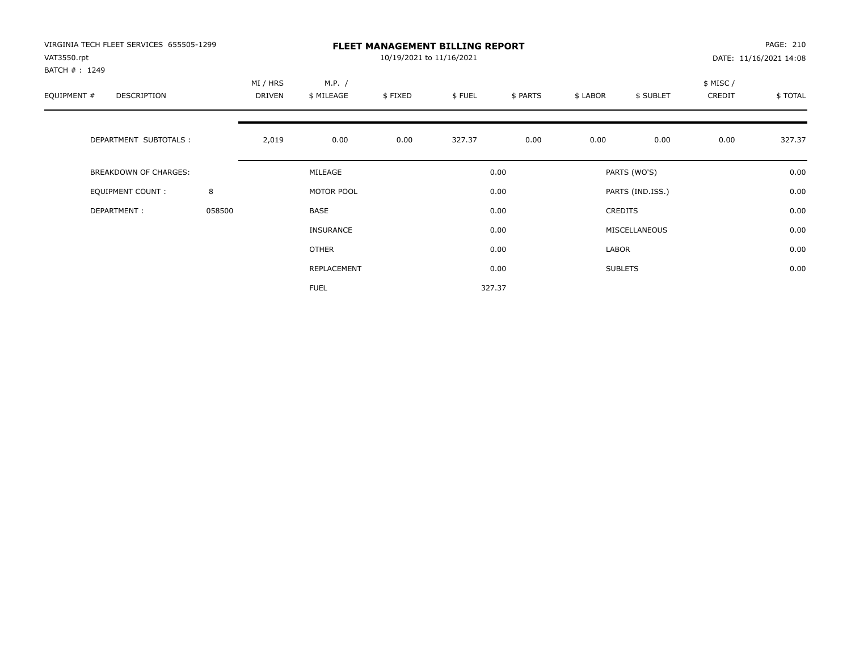| VIRGINIA TECH FLEET SERVICES 655505-1299<br>VAT3550.rpt<br>BATCH #: 1249 |        |                    |                      | 10/19/2021 to 11/16/2021 | <b>FLEET MANAGEMENT BILLING REPORT</b> |          |          |                  |                    | PAGE: 210<br>DATE: 11/16/2021 14:08 |
|--------------------------------------------------------------------------|--------|--------------------|----------------------|--------------------------|----------------------------------------|----------|----------|------------------|--------------------|-------------------------------------|
| EQUIPMENT #<br>DESCRIPTION                                               |        | MI / HRS<br>DRIVEN | M.P. /<br>\$ MILEAGE | \$FIXED                  | \$FUEL                                 | \$ PARTS | \$ LABOR | \$ SUBLET        | \$ MISC/<br>CREDIT | \$TOTAL                             |
| DEPARTMENT SUBTOTALS :                                                   |        | 2,019              | 0.00                 | 0.00                     | 327.37                                 | 0.00     | 0.00     | 0.00             | 0.00               | 327.37                              |
| <b>BREAKDOWN OF CHARGES:</b>                                             |        |                    | MILEAGE              |                          |                                        | 0.00     |          | PARTS (WO'S)     |                    | 0.00                                |
| EQUIPMENT COUNT:                                                         | 8      |                    | MOTOR POOL           |                          |                                        | 0.00     |          | PARTS (IND.ISS.) |                    | 0.00                                |
| DEPARTMENT:                                                              | 058500 |                    | <b>BASE</b>          |                          |                                        | 0.00     |          | <b>CREDITS</b>   |                    | 0.00                                |
|                                                                          |        |                    | <b>INSURANCE</b>     |                          |                                        | 0.00     |          | MISCELLANEOUS    |                    | 0.00                                |
|                                                                          |        |                    | OTHER                |                          |                                        | 0.00     | LABOR    |                  |                    | 0.00                                |
|                                                                          |        |                    | REPLACEMENT          |                          |                                        | 0.00     |          | <b>SUBLETS</b>   |                    | 0.00                                |
|                                                                          |        |                    | <b>FUEL</b>          |                          |                                        | 327.37   |          |                  |                    |                                     |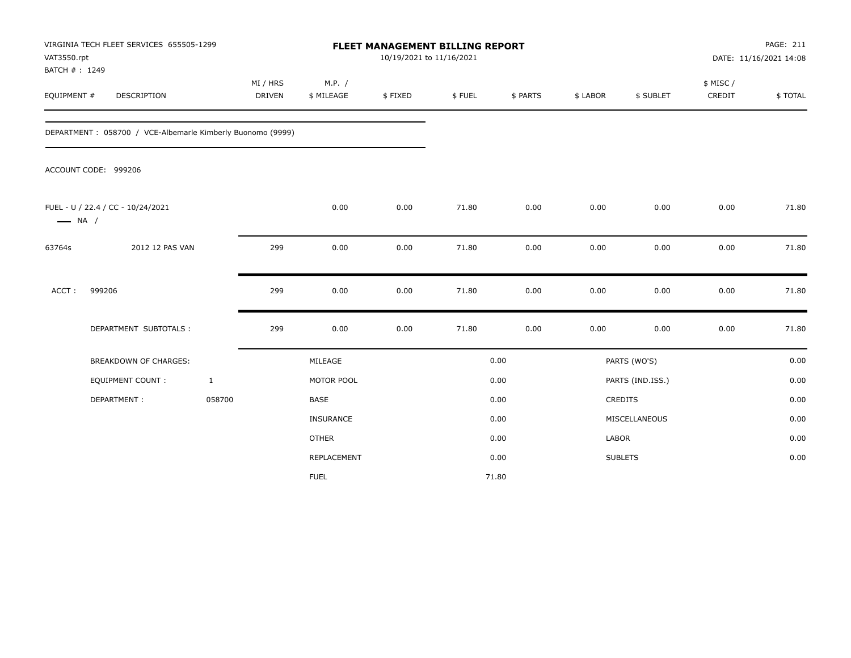| VAT3550.rpt<br>BATCH #: 1249 | VIRGINIA TECH FLEET SERVICES 655505-1299                   |                           |                      | <b>FLEET MANAGEMENT BILLING REPORT</b><br>10/19/2021 to 11/16/2021 |        |          |          |                  |                     | PAGE: 211<br>DATE: 11/16/2021 14:08 |
|------------------------------|------------------------------------------------------------|---------------------------|----------------------|--------------------------------------------------------------------|--------|----------|----------|------------------|---------------------|-------------------------------------|
| EQUIPMENT #                  | DESCRIPTION                                                | MI / HRS<br><b>DRIVEN</b> | M.P. /<br>\$ MILEAGE | \$FIXED                                                            | \$FUEL | \$ PARTS | \$ LABOR | \$ SUBLET        | \$ MISC /<br>CREDIT | \$TOTAL                             |
|                              | DEPARTMENT: 058700 / VCE-Albemarle Kimberly Buonomo (9999) |                           |                      |                                                                    |        |          |          |                  |                     |                                     |
|                              | ACCOUNT CODE: 999206                                       |                           |                      |                                                                    |        |          |          |                  |                     |                                     |
| $\longrightarrow$ NA /       | FUEL - U / 22.4 / CC - 10/24/2021                          |                           | 0.00                 | 0.00                                                               | 71.80  | 0.00     | 0.00     | 0.00             | 0.00                | 71.80                               |
| 63764s                       | 2012 12 PAS VAN                                            | 299                       | 0.00                 | 0.00                                                               | 71.80  | 0.00     | 0.00     | 0.00             | 0.00                | 71.80                               |
| ACCT:                        | 999206                                                     | 299                       | 0.00                 | 0.00                                                               | 71.80  | 0.00     | 0.00     | 0.00             | 0.00                | 71.80                               |
|                              | DEPARTMENT SUBTOTALS :                                     | 299                       | 0.00                 | 0.00                                                               | 71.80  | 0.00     | 0.00     | 0.00             | 0.00                | 71.80                               |
|                              | <b>BREAKDOWN OF CHARGES:</b>                               |                           | MILEAGE              |                                                                    |        | 0.00     |          | PARTS (WO'S)     |                     | 0.00                                |
|                              | <b>EQUIPMENT COUNT:</b>                                    | $\mathbf{1}$              | MOTOR POOL           |                                                                    |        | 0.00     |          | PARTS (IND.ISS.) |                     | 0.00                                |
|                              | DEPARTMENT:                                                | 058700                    | <b>BASE</b>          |                                                                    |        | 0.00     |          | CREDITS          |                     | 0.00                                |
|                              |                                                            |                           | INSURANCE            |                                                                    |        | 0.00     |          | MISCELLANEOUS    |                     | 0.00                                |
|                              |                                                            |                           | <b>OTHER</b>         |                                                                    |        | 0.00     | LABOR    |                  |                     | 0.00                                |
|                              |                                                            |                           | REPLACEMENT          |                                                                    |        | 0.00     |          | <b>SUBLETS</b>   |                     | 0.00                                |
|                              |                                                            |                           | <b>FUEL</b>          |                                                                    |        | 71.80    |          |                  |                     |                                     |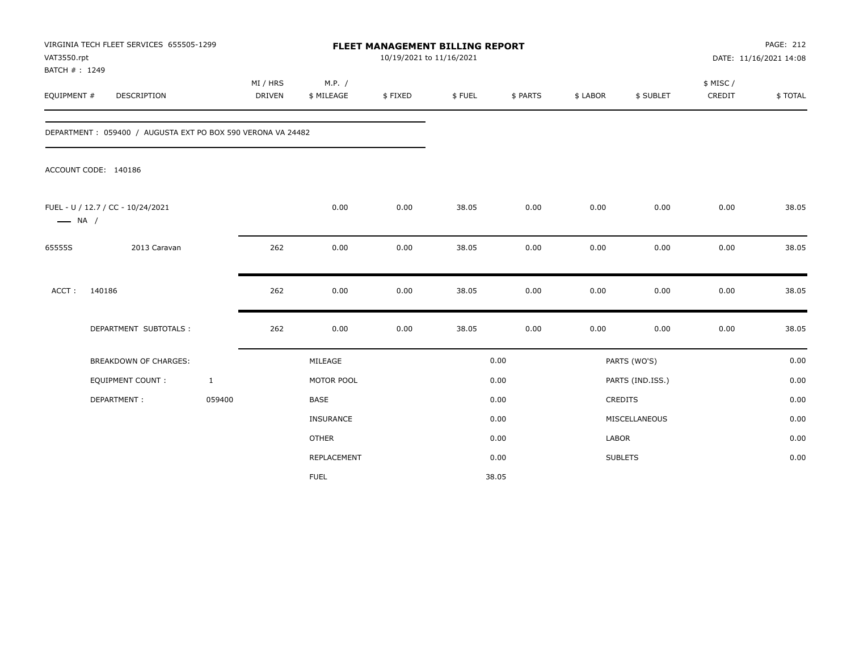| VAT3550.rpt<br>BATCH #: 1249 | VIRGINIA TECH FLEET SERVICES 655505-1299                    |                           |                      | FLEET MANAGEMENT BILLING REPORT<br>10/19/2021 to 11/16/2021 |        |          |          |                  |                     | <b>PAGE: 212</b><br>DATE: 11/16/2021 14:08 |
|------------------------------|-------------------------------------------------------------|---------------------------|----------------------|-------------------------------------------------------------|--------|----------|----------|------------------|---------------------|--------------------------------------------|
| EQUIPMENT #                  | DESCRIPTION                                                 | MI / HRS<br><b>DRIVEN</b> | M.P. /<br>\$ MILEAGE | \$FIXED                                                     | \$FUEL | \$ PARTS | \$ LABOR | \$ SUBLET        | \$ MISC /<br>CREDIT | \$TOTAL                                    |
|                              | DEPARTMENT: 059400 / AUGUSTA EXT PO BOX 590 VERONA VA 24482 |                           |                      |                                                             |        |          |          |                  |                     |                                            |
|                              | ACCOUNT CODE: 140186                                        |                           |                      |                                                             |        |          |          |                  |                     |                                            |
| $\longrightarrow$ NA /       | FUEL - U / 12.7 / CC - 10/24/2021                           |                           | 0.00                 | 0.00                                                        | 38.05  | 0.00     | 0.00     | 0.00             | 0.00                | 38.05                                      |
| 65555S                       | 2013 Caravan                                                | 262                       | 0.00                 | 0.00                                                        | 38.05  | 0.00     | 0.00     | 0.00             | 0.00                | 38.05                                      |
| ACCT:                        | 140186                                                      | 262                       | 0.00                 | 0.00                                                        | 38.05  | 0.00     | 0.00     | 0.00             | 0.00                | 38.05                                      |
|                              | DEPARTMENT SUBTOTALS :                                      | 262                       | 0.00                 | 0.00                                                        | 38.05  | 0.00     | 0.00     | 0.00             | 0.00                | 38.05                                      |
|                              | <b>BREAKDOWN OF CHARGES:</b>                                |                           | MILEAGE              |                                                             |        | 0.00     |          | PARTS (WO'S)     |                     | 0.00                                       |
|                              | <b>EQUIPMENT COUNT:</b>                                     | $\mathbf{1}$              | MOTOR POOL           |                                                             |        | 0.00     |          | PARTS (IND.ISS.) |                     | 0.00                                       |
|                              | DEPARTMENT:                                                 | 059400                    | <b>BASE</b>          |                                                             |        | 0.00     |          | CREDITS          |                     | 0.00                                       |
|                              |                                                             |                           | <b>INSURANCE</b>     |                                                             |        | 0.00     |          | MISCELLANEOUS    |                     | 0.00                                       |
|                              |                                                             |                           | <b>OTHER</b>         |                                                             |        | 0.00     | LABOR    |                  |                     | 0.00                                       |
|                              |                                                             |                           | REPLACEMENT          |                                                             |        | 0.00     |          | <b>SUBLETS</b>   |                     | 0.00                                       |
|                              |                                                             |                           | <b>FUEL</b>          |                                                             |        | 38.05    |          |                  |                     |                                            |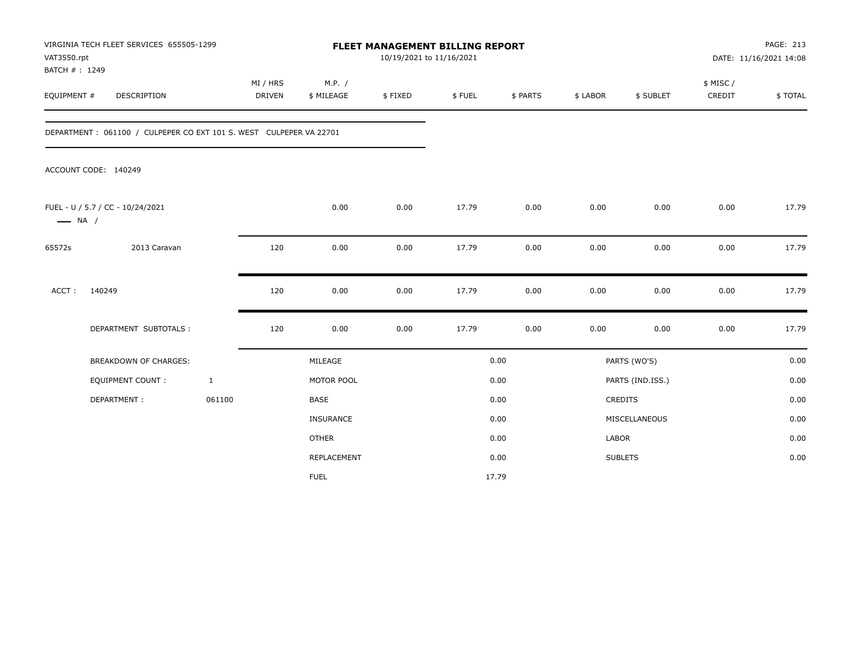| VAT3550.rpt<br>BATCH #: 1249 | VIRGINIA TECH FLEET SERVICES 655505-1299                           |                           |                      | <b>FLEET MANAGEMENT BILLING REPORT</b><br>10/19/2021 to 11/16/2021 |        |          |          |                  |                     | PAGE: 213<br>DATE: 11/16/2021 14:08 |
|------------------------------|--------------------------------------------------------------------|---------------------------|----------------------|--------------------------------------------------------------------|--------|----------|----------|------------------|---------------------|-------------------------------------|
| EQUIPMENT #                  | DESCRIPTION                                                        | MI / HRS<br><b>DRIVEN</b> | M.P. /<br>\$ MILEAGE | \$FIXED                                                            | \$FUEL | \$ PARTS | \$ LABOR | \$ SUBLET        | \$ MISC /<br>CREDIT | \$TOTAL                             |
|                              | DEPARTMENT: 061100 / CULPEPER CO EXT 101 S. WEST CULPEPER VA 22701 |                           |                      |                                                                    |        |          |          |                  |                     |                                     |
|                              | ACCOUNT CODE: 140249                                               |                           |                      |                                                                    |        |          |          |                  |                     |                                     |
| $\longrightarrow$ NA /       | FUEL - U / 5.7 / CC - 10/24/2021                                   |                           | 0.00                 | 0.00                                                               | 17.79  | 0.00     | 0.00     | 0.00             | 0.00                | 17.79                               |
| 65572s                       | 2013 Caravan                                                       | 120                       | 0.00                 | 0.00                                                               | 17.79  | 0.00     | 0.00     | 0.00             | 0.00                | 17.79                               |
| ACCT:                        | 140249                                                             | 120                       | 0.00                 | 0.00                                                               | 17.79  | 0.00     | 0.00     | 0.00             | 0.00                | 17.79                               |
|                              | DEPARTMENT SUBTOTALS :                                             | 120                       | 0.00                 | 0.00                                                               | 17.79  | 0.00     | 0.00     | 0.00             | 0.00                | 17.79                               |
|                              | <b>BREAKDOWN OF CHARGES:</b>                                       |                           | MILEAGE              |                                                                    |        | 0.00     |          | PARTS (WO'S)     |                     | 0.00                                |
|                              | <b>EQUIPMENT COUNT:</b>                                            | $\mathbf{1}$              | MOTOR POOL           |                                                                    |        | 0.00     |          | PARTS (IND.ISS.) |                     | 0.00                                |
|                              | DEPARTMENT:                                                        | 061100                    | <b>BASE</b>          |                                                                    |        | 0.00     |          | CREDITS          |                     | 0.00                                |
|                              |                                                                    |                           | INSURANCE            |                                                                    |        | 0.00     |          | MISCELLANEOUS    |                     | 0.00                                |
|                              |                                                                    |                           | <b>OTHER</b>         |                                                                    |        | 0.00     | LABOR    |                  |                     | 0.00                                |
|                              |                                                                    |                           | REPLACEMENT          |                                                                    |        | 0.00     |          | <b>SUBLETS</b>   |                     | 0.00                                |
|                              |                                                                    |                           | <b>FUEL</b>          |                                                                    |        | 17.79    |          |                  |                     |                                     |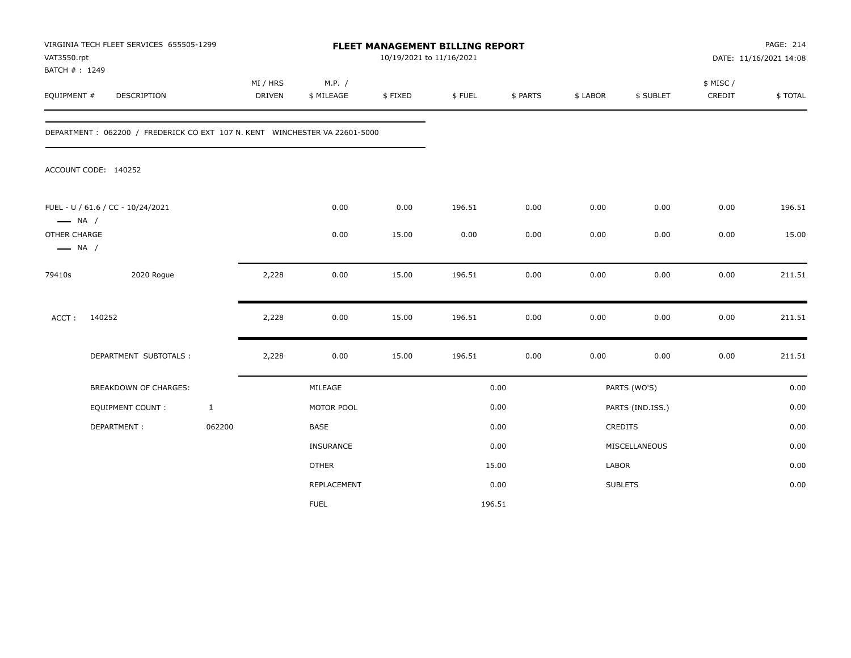| VAT3550.rpt<br>BATCH #: 1249           | VIRGINIA TECH FLEET SERVICES 655505-1299                                    |              |                    |                      | 10/19/2021 to 11/16/2021 | FLEET MANAGEMENT BILLING REPORT |          |          |                  |                     | PAGE: 214<br>DATE: 11/16/2021 14:08 |
|----------------------------------------|-----------------------------------------------------------------------------|--------------|--------------------|----------------------|--------------------------|---------------------------------|----------|----------|------------------|---------------------|-------------------------------------|
| EQUIPMENT #                            | DESCRIPTION                                                                 |              | MI / HRS<br>DRIVEN | M.P. /<br>\$ MILEAGE | \$FIXED                  | \$FUEL                          | \$ PARTS | \$ LABOR | \$ SUBLET        | \$ MISC /<br>CREDIT | \$TOTAL                             |
|                                        | DEPARTMENT : 062200 / FREDERICK CO EXT 107 N. KENT WINCHESTER VA 22601-5000 |              |                    |                      |                          |                                 |          |          |                  |                     |                                     |
|                                        | ACCOUNT CODE: 140252                                                        |              |                    |                      |                          |                                 |          |          |                  |                     |                                     |
| $\longrightarrow$ NA /                 | FUEL - U / 61.6 / CC - 10/24/2021                                           |              |                    | 0.00                 | 0.00                     | 196.51                          | 0.00     | 0.00     | 0.00             | 0.00                | 196.51                              |
| OTHER CHARGE<br>$\longrightarrow$ NA / |                                                                             |              |                    | 0.00                 | 15.00                    | 0.00                            | 0.00     | 0.00     | 0.00             | 0.00                | 15.00                               |
| 79410s                                 | 2020 Rogue                                                                  |              | 2,228              | 0.00                 | 15.00                    | 196.51                          | 0.00     | 0.00     | 0.00             | 0.00                | 211.51                              |
| ACCT:                                  | 140252                                                                      |              | 2,228              | 0.00                 | 15.00                    | 196.51                          | 0.00     | 0.00     | 0.00             | 0.00                | 211.51                              |
|                                        | DEPARTMENT SUBTOTALS :                                                      |              | 2,228              | 0.00                 | 15.00                    | 196.51                          | 0.00     | 0.00     | 0.00             | 0.00                | 211.51                              |
|                                        | <b>BREAKDOWN OF CHARGES:</b>                                                |              |                    | MILEAGE              |                          |                                 | 0.00     |          | PARTS (WO'S)     |                     | 0.00                                |
|                                        | <b>EQUIPMENT COUNT:</b>                                                     | $\mathbf{1}$ |                    | MOTOR POOL           |                          |                                 | 0.00     |          | PARTS (IND.ISS.) |                     | 0.00                                |
|                                        | DEPARTMENT:                                                                 | 062200       |                    | BASE                 |                          |                                 | 0.00     |          | CREDITS          |                     | 0.00                                |
|                                        |                                                                             |              |                    | <b>INSURANCE</b>     |                          |                                 | 0.00     |          | MISCELLANEOUS    |                     | 0.00                                |
|                                        |                                                                             |              |                    | <b>OTHER</b>         |                          |                                 | 15.00    | LABOR    |                  |                     | 0.00                                |
|                                        |                                                                             |              |                    | REPLACEMENT          |                          |                                 | 0.00     |          | <b>SUBLETS</b>   |                     | 0.00                                |
|                                        |                                                                             |              |                    | <b>FUEL</b>          |                          |                                 | 196.51   |          |                  |                     |                                     |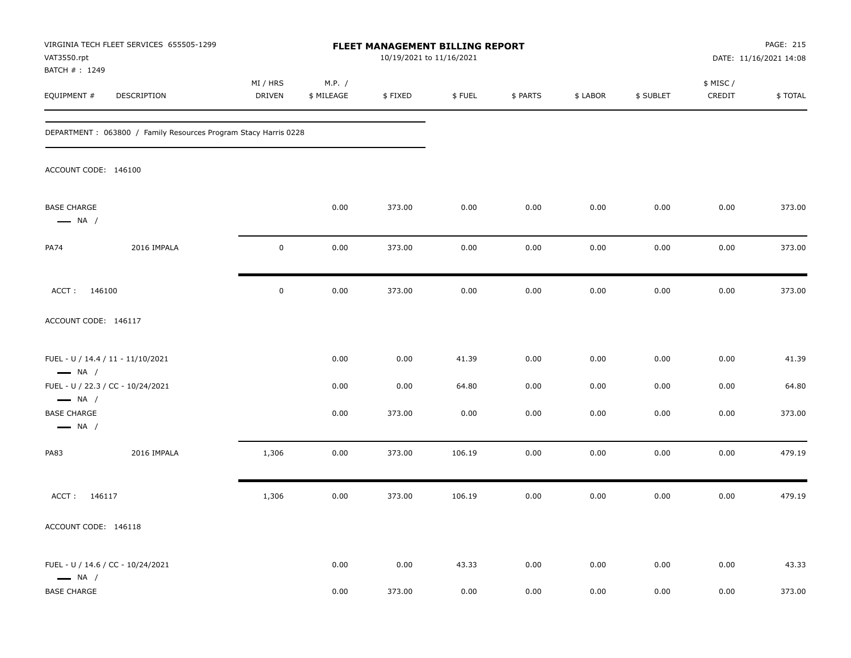| VAT3550.rpt                                                            | VIRGINIA TECH FLEET SERVICES 655505-1299                         |                           |                      | FLEET MANAGEMENT BILLING REPORT<br>10/19/2021 to 11/16/2021 |        |          |          |           |                     | PAGE: 215<br>DATE: 11/16/2021 14:08 |
|------------------------------------------------------------------------|------------------------------------------------------------------|---------------------------|----------------------|-------------------------------------------------------------|--------|----------|----------|-----------|---------------------|-------------------------------------|
| BATCH #: 1249<br>EQUIPMENT #                                           | DESCRIPTION                                                      | MI / HRS<br><b>DRIVEN</b> | M.P. /<br>\$ MILEAGE | \$FIXED                                                     | \$FUEL | \$ PARTS | \$ LABOR | \$ SUBLET | \$ MISC /<br>CREDIT | \$TOTAL                             |
|                                                                        | DEPARTMENT : 063800 / Family Resources Program Stacy Harris 0228 |                           |                      |                                                             |        |          |          |           |                     |                                     |
| ACCOUNT CODE: 146100                                                   |                                                                  |                           |                      |                                                             |        |          |          |           |                     |                                     |
| <b>BASE CHARGE</b><br>$\longrightarrow$ NA /                           |                                                                  |                           | 0.00                 | 373.00                                                      | 0.00   | 0.00     | 0.00     | 0.00      | 0.00                | 373.00                              |
| PA74                                                                   | 2016 IMPALA                                                      | $\mathbf 0$               | 0.00                 | 373.00                                                      | 0.00   | 0.00     | 0.00     | 0.00      | 0.00                | 373.00                              |
| ACCT: 146100                                                           |                                                                  | $\mathbf 0$               | 0.00                 | 373.00                                                      | 0.00   | 0.00     | 0.00     | 0.00      | 0.00                | 373.00                              |
| ACCOUNT CODE: 146117                                                   |                                                                  |                           |                      |                                                             |        |          |          |           |                     |                                     |
| $\longrightarrow$ NA /                                                 | FUEL - U / 14.4 / 11 - 11/10/2021                                |                           | 0.00                 | 0.00                                                        | 41.39  | 0.00     | 0.00     | 0.00      | 0.00                | 41.39                               |
|                                                                        | FUEL - U / 22.3 / CC - 10/24/2021                                |                           | 0.00                 | 0.00                                                        | 64.80  | 0.00     | 0.00     | 0.00      | 0.00                | 64.80                               |
| $\longrightarrow$ NA /<br><b>BASE CHARGE</b><br>$\longrightarrow$ NA / |                                                                  |                           | 0.00                 | 373.00                                                      | 0.00   | 0.00     | 0.00     | 0.00      | 0.00                | 373.00                              |
| <b>PA83</b>                                                            | 2016 IMPALA                                                      | 1,306                     | 0.00                 | 373.00                                                      | 106.19 | 0.00     | 0.00     | 0.00      | 0.00                | 479.19                              |
| ACCT: 146117                                                           |                                                                  | 1,306                     | 0.00                 | 373.00                                                      | 106.19 | 0.00     | 0.00     | 0.00      | 0.00                | 479.19                              |
| ACCOUNT CODE: 146118                                                   |                                                                  |                           |                      |                                                             |        |          |          |           |                     |                                     |
| $\longrightarrow$ NA /                                                 | FUEL - U / 14.6 / CC - 10/24/2021                                |                           | 0.00                 | 0.00                                                        | 43.33  | 0.00     | 0.00     | 0.00      | 0.00                | 43.33                               |
| <b>BASE CHARGE</b>                                                     |                                                                  |                           | 0.00                 | 373.00                                                      | 0.00   | 0.00     | 0.00     | 0.00      | 0.00                | 373.00                              |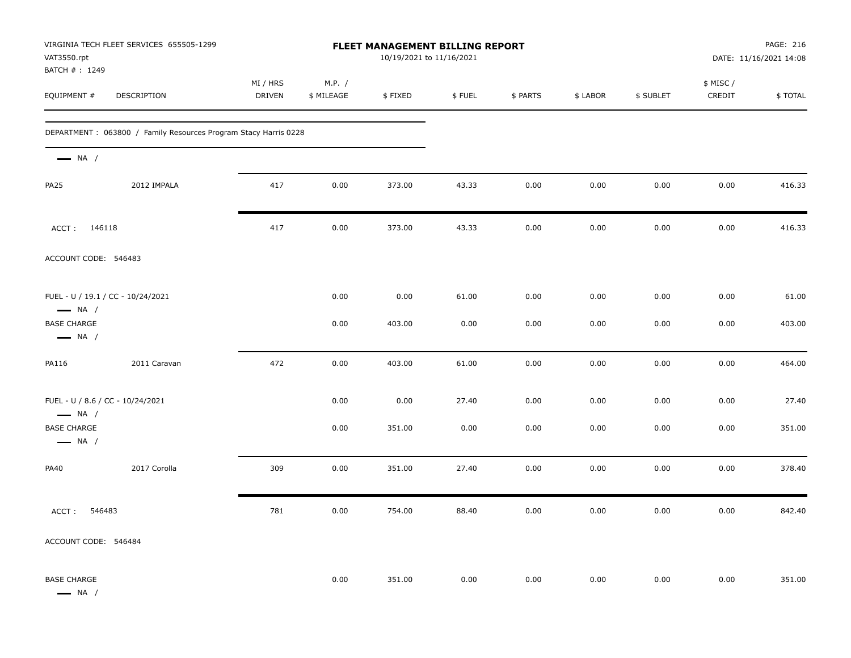| VAT3550.rpt<br>BATCH #: 1249                               | VIRGINIA TECH FLEET SERVICES 655505-1299                        |                           |                      | FLEET MANAGEMENT BILLING REPORT<br>10/19/2021 to 11/16/2021 |        |          |          |           |                     | PAGE: 216<br>DATE: 11/16/2021 14:08 |
|------------------------------------------------------------|-----------------------------------------------------------------|---------------------------|----------------------|-------------------------------------------------------------|--------|----------|----------|-----------|---------------------|-------------------------------------|
| EQUIPMENT #                                                | DESCRIPTION                                                     | MI / HRS<br><b>DRIVEN</b> | M.P. /<br>\$ MILEAGE | \$FIXED                                                     | \$FUEL | \$ PARTS | \$ LABOR | \$ SUBLET | \$ MISC /<br>CREDIT | \$TOTAL                             |
|                                                            | DEPARTMENT: 063800 / Family Resources Program Stacy Harris 0228 |                           |                      |                                                             |        |          |          |           |                     |                                     |
| $\longrightarrow$ NA /                                     |                                                                 |                           |                      |                                                             |        |          |          |           |                     |                                     |
| <b>PA25</b>                                                | 2012 IMPALA                                                     | 417                       | 0.00                 | 373.00                                                      | 43.33  | 0.00     | 0.00     | 0.00      | 0.00                | 416.33                              |
| ACCT: 146118                                               |                                                                 | 417                       | 0.00                 | 373.00                                                      | 43.33  | 0.00     | 0.00     | 0.00      | 0.00                | 416.33                              |
| ACCOUNT CODE: 546483                                       |                                                                 |                           |                      |                                                             |        |          |          |           |                     |                                     |
| $\longrightarrow$ NA /                                     | FUEL - U / 19.1 / CC - 10/24/2021                               |                           | 0.00                 | 0.00                                                        | 61.00  | 0.00     | 0.00     | 0.00      | 0.00                | 61.00                               |
| <b>BASE CHARGE</b><br>$\longrightarrow$ NA /               |                                                                 |                           | 0.00                 | 403.00                                                      | 0.00   | 0.00     | 0.00     | 0.00      | 0.00                | 403.00                              |
| PA116                                                      | 2011 Caravan                                                    | 472                       | 0.00                 | 403.00                                                      | 61.00  | 0.00     | 0.00     | 0.00      | 0.00                | 464.00                              |
| FUEL - U / 8.6 / CC - 10/24/2021<br>$\longrightarrow$ NA / |                                                                 |                           | 0.00                 | 0.00                                                        | 27.40  | 0.00     | 0.00     | 0.00      | 0.00                | 27.40                               |
| <b>BASE CHARGE</b><br>$\longrightarrow$ NA /               |                                                                 |                           | 0.00                 | 351.00                                                      | 0.00   | 0.00     | 0.00     | 0.00      | 0.00                | 351.00                              |
| PA40                                                       | 2017 Corolla                                                    | 309                       | 0.00                 | 351.00                                                      | 27.40  | 0.00     | 0.00     | 0.00      | 0.00                | 378.40                              |
| ACCT:<br>546483                                            |                                                                 | 781                       | 0.00                 | 754.00                                                      | 88.40  | 0.00     | 0.00     | 0.00      | 0.00                | 842.40                              |
| ACCOUNT CODE: 546484                                       |                                                                 |                           |                      |                                                             |        |          |          |           |                     |                                     |
| <b>BASE CHARGE</b><br>$\longrightarrow$ NA /               |                                                                 |                           | 0.00                 | 351.00                                                      | 0.00   | 0.00     | 0.00     | 0.00      | 0.00                | 351.00                              |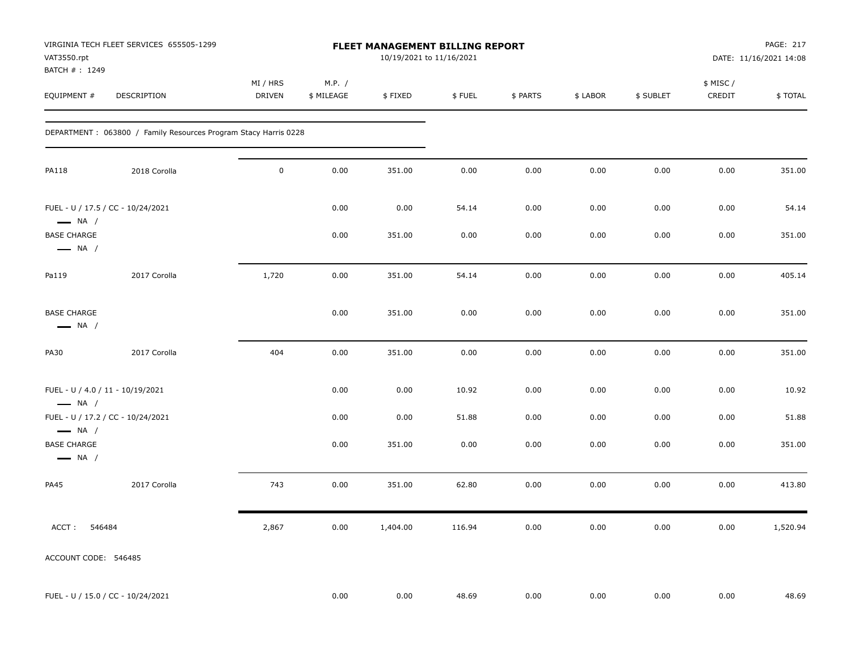| VAT3550.rpt<br>BATCH #: 1249                               | VIRGINIA TECH FLEET SERVICES 655505-1299                         |                    |                      | FLEET MANAGEMENT BILLING REPORT<br>10/19/2021 to 11/16/2021 |        |          |          |           |                     | PAGE: 217<br>DATE: 11/16/2021 14:08 |
|------------------------------------------------------------|------------------------------------------------------------------|--------------------|----------------------|-------------------------------------------------------------|--------|----------|----------|-----------|---------------------|-------------------------------------|
| EQUIPMENT #                                                | DESCRIPTION                                                      | MI / HRS<br>DRIVEN | M.P. /<br>\$ MILEAGE | \$FIXED                                                     | \$FUEL | \$ PARTS | \$ LABOR | \$ SUBLET | \$ MISC /<br>CREDIT | \$TOTAL                             |
|                                                            | DEPARTMENT : 063800 / Family Resources Program Stacy Harris 0228 |                    |                      |                                                             |        |          |          |           |                     |                                     |
| <b>PA118</b>                                               | 2018 Corolla                                                     | $\mathbf 0$        | 0.00                 | 351.00                                                      | 0.00   | 0.00     | 0.00     | 0.00      | 0.00                | 351.00                              |
| $\longrightarrow$ NA /                                     | FUEL - U / 17.5 / CC - 10/24/2021                                |                    | 0.00                 | 0.00                                                        | 54.14  | 0.00     | 0.00     | 0.00      | 0.00                | 54.14                               |
| <b>BASE CHARGE</b><br>$\longrightarrow$ NA /               |                                                                  |                    | 0.00                 | 351.00                                                      | 0.00   | 0.00     | 0.00     | 0.00      | 0.00                | 351.00                              |
| Pa119                                                      | 2017 Corolla                                                     | 1,720              | 0.00                 | 351.00                                                      | 54.14  | 0.00     | 0.00     | 0.00      | 0.00                | 405.14                              |
| <b>BASE CHARGE</b><br>$\longrightarrow$ NA /               |                                                                  |                    | 0.00                 | 351.00                                                      | 0.00   | 0.00     | 0.00     | 0.00      | 0.00                | 351.00                              |
| <b>PA30</b>                                                | 2017 Corolla                                                     | 404                | 0.00                 | 351.00                                                      | 0.00   | 0.00     | 0.00     | 0.00      | 0.00                | 351.00                              |
| FUEL - U / 4.0 / 11 - 10/19/2021<br>$\longrightarrow$ NA / |                                                                  |                    | 0.00                 | 0.00                                                        | 10.92  | 0.00     | 0.00     | 0.00      | 0.00                | 10.92                               |
| $\longrightarrow$ NA /                                     | FUEL - U / 17.2 / CC - 10/24/2021                                |                    | 0.00                 | 0.00                                                        | 51.88  | 0.00     | 0.00     | 0.00      | 0.00                | 51.88                               |
| <b>BASE CHARGE</b><br>$\longrightarrow$ NA /               |                                                                  |                    | 0.00                 | 351.00                                                      | 0.00   | 0.00     | 0.00     | 0.00      | 0.00                | 351.00                              |
| <b>PA45</b>                                                | 2017 Corolla                                                     | 743                | 0.00                 | 351.00                                                      | 62.80  | 0.00     | 0.00     | 0.00      | 0.00                | 413.80                              |
| ACCT:<br>546484                                            |                                                                  | 2,867              | $0.00\,$             | 1,404.00                                                    | 116.94 | 0.00     | 0.00     | $0.00\,$  | 0.00                | 1,520.94                            |
| ACCOUNT CODE: 546485                                       |                                                                  |                    |                      |                                                             |        |          |          |           |                     |                                     |
|                                                            | FUEL - U / 15.0 / CC - 10/24/2021                                |                    | 0.00                 | 0.00                                                        | 48.69  | 0.00     | 0.00     | 0.00      | 0.00                | 48.69                               |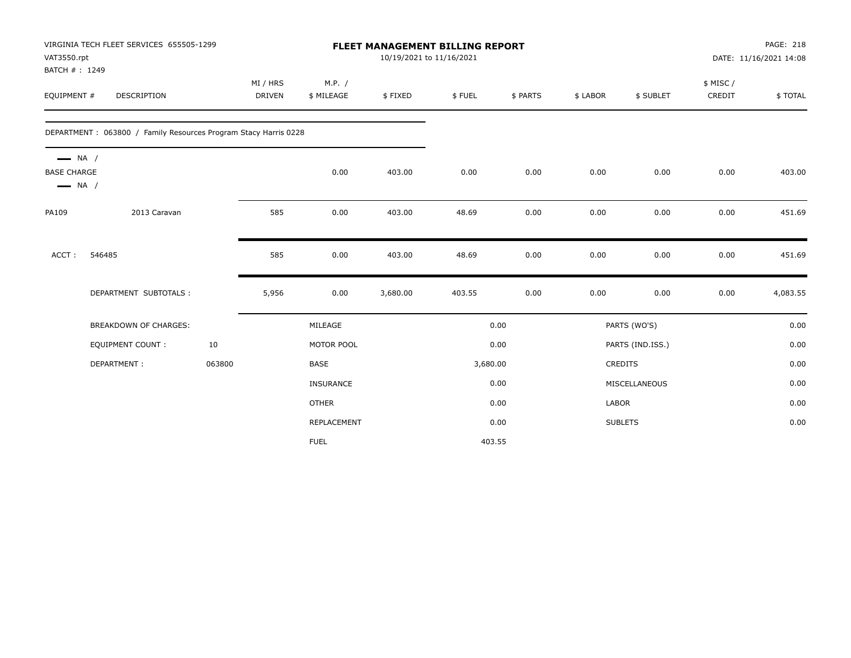| VAT3550.rpt                                  | VIRGINIA TECH FLEET SERVICES 655505-1299                        |        |               |              |          | <b>FLEET MANAGEMENT BILLING REPORT</b><br>10/19/2021 to 11/16/2021 |          |          |                  |          | PAGE: 218<br>DATE: 11/16/2021 14:08 |
|----------------------------------------------|-----------------------------------------------------------------|--------|---------------|--------------|----------|--------------------------------------------------------------------|----------|----------|------------------|----------|-------------------------------------|
| BATCH #: 1249                                |                                                                 |        |               |              |          |                                                                    |          |          |                  |          |                                     |
|                                              |                                                                 |        | MI / HRS      | M.P. /       |          |                                                                    |          |          |                  | \$ MISC/ |                                     |
| EQUIPMENT #                                  | <b>DESCRIPTION</b>                                              |        | <b>DRIVEN</b> | \$ MILEAGE   | \$FIXED  | \$FUEL                                                             | \$ PARTS | \$ LABOR | \$ SUBLET        | CREDIT   | \$TOTAL                             |
|                                              | DEPARTMENT: 063800 / Family Resources Program Stacy Harris 0228 |        |               |              |          |                                                                    |          |          |                  |          |                                     |
| $\longrightarrow$ NA /<br><b>BASE CHARGE</b> |                                                                 |        |               | 0.00         | 403.00   | 0.00                                                               | 0.00     | 0.00     | 0.00             | 0.00     | 403.00                              |
| $\longrightarrow$ NA /                       |                                                                 |        |               |              |          |                                                                    |          |          |                  |          |                                     |
| PA109                                        | 2013 Caravan                                                    |        | 585           | 0.00         | 403.00   | 48.69                                                              | 0.00     | 0.00     | 0.00             | 0.00     | 451.69                              |
| ACCT:                                        | 546485                                                          |        | 585           | 0.00         | 403.00   | 48.69                                                              | 0.00     | 0.00     | 0.00             | 0.00     | 451.69                              |
|                                              | DEPARTMENT SUBTOTALS :                                          |        | 5,956         | 0.00         | 3,680.00 | 403.55                                                             | 0.00     | 0.00     | 0.00             | 0.00     | 4,083.55                            |
|                                              | BREAKDOWN OF CHARGES:                                           |        |               | MILEAGE      |          |                                                                    | 0.00     |          | PARTS (WO'S)     |          | 0.00                                |
|                                              | <b>EQUIPMENT COUNT:</b>                                         | 10     |               | MOTOR POOL   |          |                                                                    | 0.00     |          | PARTS (IND.ISS.) |          | 0.00                                |
|                                              | DEPARTMENT:                                                     | 063800 |               | BASE         |          | 3,680.00                                                           |          |          | CREDITS          |          | 0.00                                |
|                                              |                                                                 |        |               | INSURANCE    |          |                                                                    | 0.00     |          | MISCELLANEOUS    |          | 0.00                                |
|                                              |                                                                 |        |               | <b>OTHER</b> |          |                                                                    | 0.00     | LABOR    |                  |          | 0.00                                |
|                                              |                                                                 |        |               | REPLACEMENT  |          |                                                                    | 0.00     |          | <b>SUBLETS</b>   |          | 0.00                                |
|                                              |                                                                 |        |               | <b>FUEL</b>  |          |                                                                    | 403.55   |          |                  |          |                                     |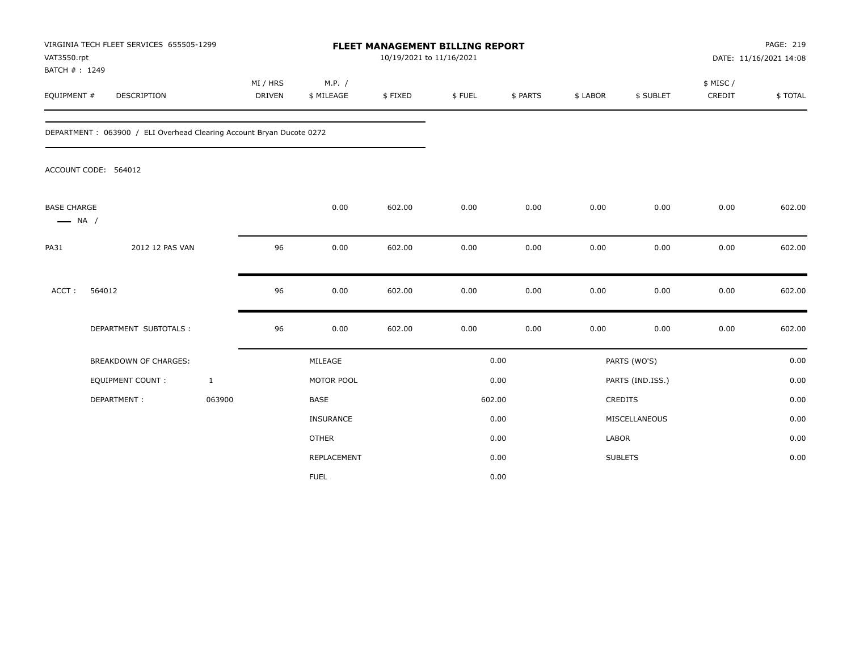| VAT3550.rpt<br>BATCH #: 1249                 | VIRGINIA TECH FLEET SERVICES 655505-1299                             |                           |                      | <b>FLEET MANAGEMENT BILLING REPORT</b><br>10/19/2021 to 11/16/2021 |        |          |          |                  |                     | PAGE: 219<br>DATE: 11/16/2021 14:08 |
|----------------------------------------------|----------------------------------------------------------------------|---------------------------|----------------------|--------------------------------------------------------------------|--------|----------|----------|------------------|---------------------|-------------------------------------|
| EQUIPMENT #                                  | DESCRIPTION                                                          | MI / HRS<br><b>DRIVEN</b> | M.P. /<br>\$ MILEAGE | \$FIXED                                                            | \$FUEL | \$ PARTS | \$ LABOR | \$ SUBLET        | \$ MISC /<br>CREDIT | \$TOTAL                             |
|                                              | DEPARTMENT: 063900 / ELI Overhead Clearing Account Bryan Ducote 0272 |                           |                      |                                                                    |        |          |          |                  |                     |                                     |
|                                              | ACCOUNT CODE: 564012                                                 |                           |                      |                                                                    |        |          |          |                  |                     |                                     |
| <b>BASE CHARGE</b><br>$\longrightarrow$ NA / |                                                                      |                           | 0.00                 | 602.00                                                             | 0.00   | 0.00     | 0.00     | 0.00             | 0.00                | 602.00                              |
| <b>PA31</b>                                  | 2012 12 PAS VAN                                                      | 96                        | 0.00                 | 602.00                                                             | 0.00   | 0.00     | 0.00     | 0.00             | 0.00                | 602.00                              |
| ACCT:                                        | 564012                                                               | 96                        | 0.00                 | 602.00                                                             | 0.00   | 0.00     | 0.00     | 0.00             | 0.00                | 602.00                              |
|                                              | DEPARTMENT SUBTOTALS :                                               | 96                        | 0.00                 | 602.00                                                             | 0.00   | 0.00     | 0.00     | 0.00             | 0.00                | 602.00                              |
|                                              | BREAKDOWN OF CHARGES:                                                |                           | MILEAGE              |                                                                    |        | 0.00     |          | PARTS (WO'S)     |                     | 0.00                                |
|                                              | EQUIPMENT COUNT:                                                     | $\mathbf{1}$              | MOTOR POOL           |                                                                    |        | 0.00     |          | PARTS (IND.ISS.) |                     | 0.00                                |
|                                              | DEPARTMENT:                                                          | 063900                    | <b>BASE</b>          |                                                                    |        | 602.00   |          | <b>CREDITS</b>   |                     | 0.00                                |
|                                              |                                                                      |                           | <b>INSURANCE</b>     |                                                                    |        | 0.00     |          | MISCELLANEOUS    |                     | 0.00                                |
|                                              |                                                                      |                           | <b>OTHER</b>         |                                                                    |        | 0.00     | LABOR    |                  |                     | 0.00                                |
|                                              |                                                                      |                           | REPLACEMENT          |                                                                    |        | 0.00     |          | <b>SUBLETS</b>   |                     | 0.00                                |
|                                              |                                                                      |                           | <b>FUEL</b>          |                                                                    |        | 0.00     |          |                  |                     |                                     |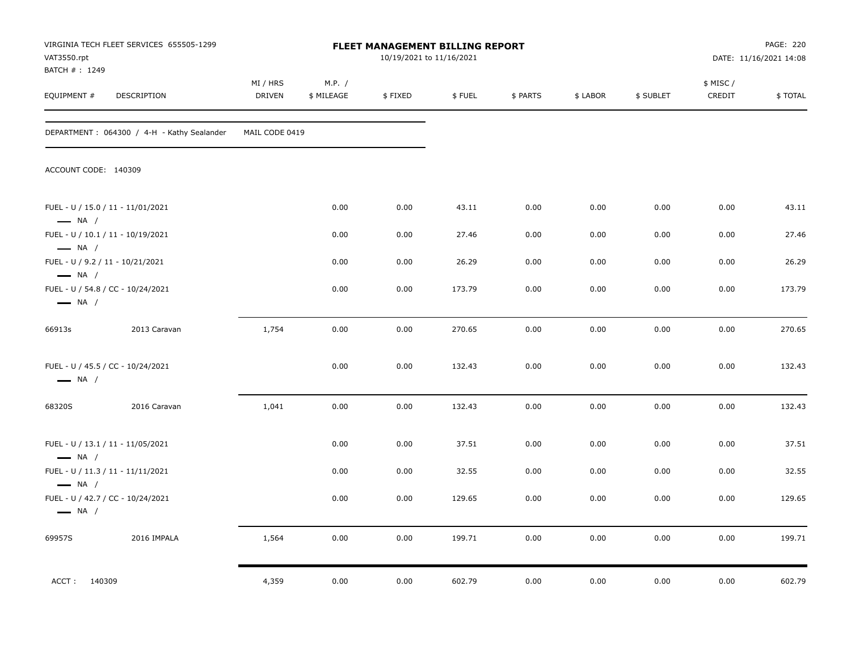| VAT3550.rpt<br>BATCH #: 1249                                | VIRGINIA TECH FLEET SERVICES 655505-1299   |                           |                      | <b>FLEET MANAGEMENT BILLING REPORT</b><br>10/19/2021 to 11/16/2021 |        |          |          |           |                     | PAGE: 220<br>DATE: 11/16/2021 14:08 |
|-------------------------------------------------------------|--------------------------------------------|---------------------------|----------------------|--------------------------------------------------------------------|--------|----------|----------|-----------|---------------------|-------------------------------------|
| EQUIPMENT #                                                 | DESCRIPTION                                | MI / HRS<br><b>DRIVEN</b> | M.P. /<br>\$ MILEAGE | \$FIXED                                                            | \$FUEL | \$ PARTS | \$ LABOR | \$ SUBLET | \$ MISC /<br>CREDIT | \$TOTAL                             |
|                                                             | DEPARTMENT: 064300 / 4-H - Kathy Sealander | MAIL CODE 0419            |                      |                                                                    |        |          |          |           |                     |                                     |
| ACCOUNT CODE: 140309                                        |                                            |                           |                      |                                                                    |        |          |          |           |                     |                                     |
| FUEL - U / 15.0 / 11 - 11/01/2021<br>$\longrightarrow$ NA / |                                            |                           | 0.00                 | 0.00                                                               | 43.11  | 0.00     | 0.00     | 0.00      | 0.00                | 43.11                               |
| FUEL - U / 10.1 / 11 - 10/19/2021<br>$\longrightarrow$ NA / |                                            |                           | 0.00                 | 0.00                                                               | 27.46  | 0.00     | 0.00     | 0.00      | 0.00                | 27.46                               |
| FUEL - U / 9.2 / 11 - 10/21/2021<br>$\longrightarrow$ NA /  |                                            |                           | 0.00                 | 0.00                                                               | 26.29  | 0.00     | 0.00     | 0.00      | 0.00                | 26.29                               |
| FUEL - U / 54.8 / CC - 10/24/2021<br>$\longrightarrow$ NA / |                                            |                           | 0.00                 | 0.00                                                               | 173.79 | 0.00     | 0.00     | 0.00      | 0.00                | 173.79                              |
| 66913s                                                      | 2013 Caravan                               | 1,754                     | 0.00                 | 0.00                                                               | 270.65 | 0.00     | 0.00     | 0.00      | 0.00                | 270.65                              |
| FUEL - U / 45.5 / CC - 10/24/2021<br>$\longrightarrow$ NA / |                                            |                           | 0.00                 | 0.00                                                               | 132.43 | 0.00     | 0.00     | 0.00      | 0.00                | 132.43                              |
| 68320S                                                      | 2016 Caravan                               | 1,041                     | 0.00                 | 0.00                                                               | 132.43 | 0.00     | 0.00     | 0.00      | 0.00                | 132.43                              |
| FUEL - U / 13.1 / 11 - 11/05/2021<br>$\longrightarrow$ NA / |                                            |                           | 0.00                 | 0.00                                                               | 37.51  | 0.00     | 0.00     | 0.00      | 0.00                | 37.51                               |
| FUEL - U / 11.3 / 11 - 11/11/2021<br>$\longrightarrow$ NA / |                                            |                           | 0.00                 | 0.00                                                               | 32.55  | 0.00     | 0.00     | 0.00      | 0.00                | 32.55                               |
| FUEL - U / 42.7 / CC - 10/24/2021<br>$\longrightarrow$ NA / |                                            |                           | 0.00                 | 0.00                                                               | 129.65 | 0.00     | 0.00     | 0.00      | 0.00                | 129.65                              |
| 69957S                                                      | 2016 IMPALA                                | 1,564                     | 0.00                 | 0.00                                                               | 199.71 | 0.00     | 0.00     | 0.00      | 0.00                | 199.71                              |
| ACCT: 140309                                                |                                            | 4,359                     | 0.00                 | 0.00                                                               | 602.79 | 0.00     | 0.00     | 0.00      | 0.00                | 602.79                              |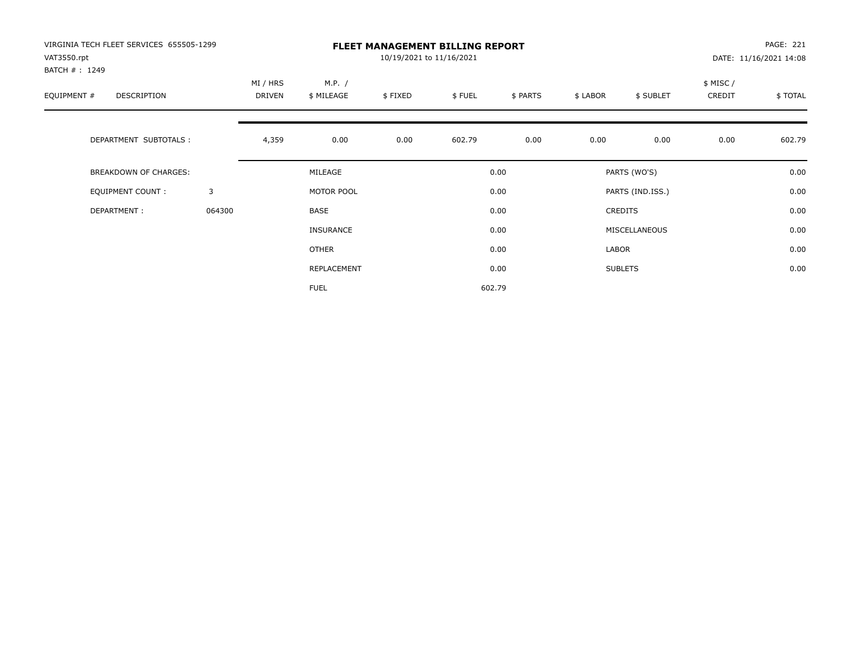| VIRGINIA TECH FLEET SERVICES 655505-1299<br>VAT3550.rpt<br>BATCH #: 1249 |        | <b>FLEET MANAGEMENT BILLING REPORT</b><br>10/19/2021 to 11/16/2021 |                      |         |        |          |          |                  |                     | PAGE: 221<br>DATE: 11/16/2021 14:08 |  |
|--------------------------------------------------------------------------|--------|--------------------------------------------------------------------|----------------------|---------|--------|----------|----------|------------------|---------------------|-------------------------------------|--|
| EQUIPMENT #<br><b>DESCRIPTION</b>                                        |        | MI / HRS<br>DRIVEN                                                 | M.P. /<br>\$ MILEAGE | \$FIXED | \$FUEL | \$ PARTS | \$ LABOR | \$ SUBLET        | \$ MISC /<br>CREDIT | \$TOTAL                             |  |
| DEPARTMENT SUBTOTALS :                                                   |        | 4,359                                                              | 0.00                 | 0.00    | 602.79 | 0.00     | 0.00     | 0.00             | 0.00                | 602.79                              |  |
| <b>BREAKDOWN OF CHARGES:</b>                                             |        |                                                                    | MILEAGE              |         |        | 0.00     |          | PARTS (WO'S)     |                     | 0.00                                |  |
| EQUIPMENT COUNT:                                                         | 3      |                                                                    | MOTOR POOL           |         |        | 0.00     |          | PARTS (IND.ISS.) |                     | 0.00                                |  |
| DEPARTMENT:                                                              | 064300 |                                                                    | <b>BASE</b>          |         |        | 0.00     |          | <b>CREDITS</b>   |                     | 0.00                                |  |
|                                                                          |        |                                                                    | INSURANCE            |         |        | 0.00     |          | MISCELLANEOUS    |                     | 0.00                                |  |
|                                                                          |        |                                                                    | <b>OTHER</b>         |         |        | 0.00     | LABOR    |                  |                     | 0.00                                |  |
|                                                                          |        |                                                                    | REPLACEMENT          |         |        | 0.00     |          | <b>SUBLETS</b>   |                     | 0.00                                |  |
|                                                                          |        |                                                                    | <b>FUEL</b>          |         |        | 602.79   |          |                  |                     |                                     |  |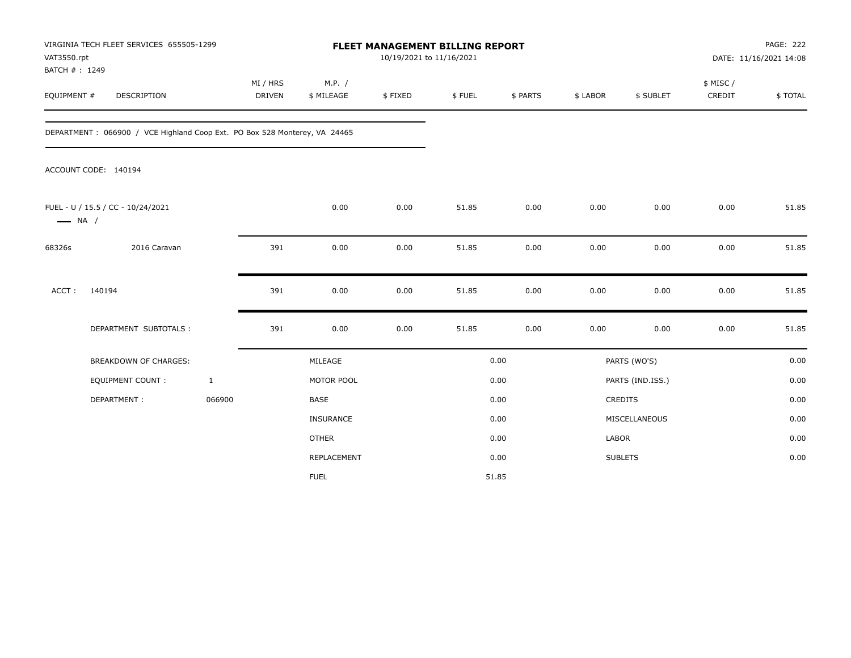| VAT3550.rpt<br>BATCH #: 1249 | VIRGINIA TECH FLEET SERVICES 655505-1299                                  |              |                           |                      | 10/19/2021 to 11/16/2021 | <b>FLEET MANAGEMENT BILLING REPORT</b> |          |              |                  |                     | <b>PAGE: 222</b><br>DATE: 11/16/2021 14:08 |
|------------------------------|---------------------------------------------------------------------------|--------------|---------------------------|----------------------|--------------------------|----------------------------------------|----------|--------------|------------------|---------------------|--------------------------------------------|
| EQUIPMENT #                  | DESCRIPTION                                                               |              | MI / HRS<br><b>DRIVEN</b> | M.P. /<br>\$ MILEAGE | \$FIXED                  | \$FUEL                                 | \$ PARTS | \$ LABOR     | \$ SUBLET        | \$ MISC /<br>CREDIT | \$TOTAL                                    |
|                              | DEPARTMENT: 066900 / VCE Highland Coop Ext. PO Box 528 Monterey, VA 24465 |              |                           |                      |                          |                                        |          |              |                  |                     |                                            |
|                              | ACCOUNT CODE: 140194                                                      |              |                           |                      |                          |                                        |          |              |                  |                     |                                            |
| $\longrightarrow$ NA /       | FUEL - U / 15.5 / CC - 10/24/2021                                         |              |                           | 0.00                 | 0.00                     | 51.85                                  | 0.00     | 0.00         | 0.00             | 0.00                | 51.85                                      |
| 68326s                       | 2016 Caravan                                                              |              | 391                       | 0.00                 | 0.00                     | 51.85                                  | 0.00     | 0.00         | 0.00             | 0.00                | 51.85                                      |
| ACCT:                        | 140194                                                                    |              | 391                       | 0.00                 | 0.00                     | 51.85                                  | 0.00     | 0.00         | 0.00             | 0.00                | 51.85                                      |
|                              | DEPARTMENT SUBTOTALS :                                                    |              | 391                       | 0.00                 | 0.00                     | 51.85                                  | 0.00     | 0.00         | 0.00             | 0.00                | 51.85                                      |
|                              | BREAKDOWN OF CHARGES:                                                     |              |                           | MILEAGE              |                          |                                        | 0.00     |              | PARTS (WO'S)     |                     | 0.00                                       |
|                              | EQUIPMENT COUNT :                                                         | $\mathbf{1}$ |                           | MOTOR POOL           |                          |                                        | 0.00     |              | PARTS (IND.ISS.) |                     | 0.00                                       |
|                              | DEPARTMENT:                                                               | 066900       |                           | <b>BASE</b>          |                          |                                        | 0.00     |              | CREDITS          |                     | 0.00                                       |
|                              |                                                                           |              |                           | INSURANCE            |                          |                                        | 0.00     |              | MISCELLANEOUS    |                     | 0.00                                       |
|                              |                                                                           |              |                           | <b>OTHER</b>         |                          |                                        | 0.00     | <b>LABOR</b> |                  |                     | 0.00                                       |
|                              |                                                                           |              |                           | REPLACEMENT          |                          |                                        | 0.00     |              | <b>SUBLETS</b>   |                     | 0.00                                       |
|                              |                                                                           |              |                           | <b>FUEL</b>          |                          |                                        | 51.85    |              |                  |                     |                                            |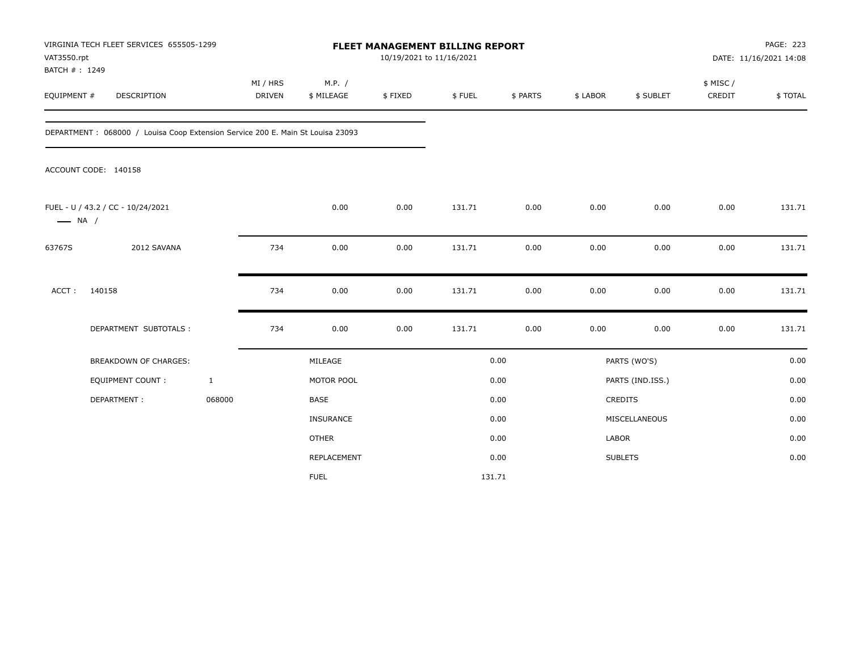| VAT3550.rpt<br>BATCH #: 1249 | VIRGINIA TECH FLEET SERVICES 655505-1299                                       |                           |                      | FLEET MANAGEMENT BILLING REPORT<br>10/19/2021 to 11/16/2021 |        |          |              |                  |                     | PAGE: 223<br>DATE: 11/16/2021 14:08 |
|------------------------------|--------------------------------------------------------------------------------|---------------------------|----------------------|-------------------------------------------------------------|--------|----------|--------------|------------------|---------------------|-------------------------------------|
| EQUIPMENT #                  | <b>DESCRIPTION</b>                                                             | MI / HRS<br><b>DRIVEN</b> | M.P. /<br>\$ MILEAGE | \$FIXED                                                     | \$FUEL | \$ PARTS | \$ LABOR     | \$ SUBLET        | \$ MISC /<br>CREDIT | \$TOTAL                             |
|                              | DEPARTMENT: 068000 / Louisa Coop Extension Service 200 E. Main St Louisa 23093 |                           |                      |                                                             |        |          |              |                  |                     |                                     |
|                              | ACCOUNT CODE: 140158                                                           |                           |                      |                                                             |        |          |              |                  |                     |                                     |
| $\longrightarrow$ NA /       | FUEL - U / 43.2 / CC - 10/24/2021                                              |                           | 0.00                 | 0.00                                                        | 131.71 | 0.00     | 0.00         | 0.00             | 0.00                | 131.71                              |
| 63767S                       | 2012 SAVANA                                                                    | 734                       | 0.00                 | 0.00                                                        | 131.71 | 0.00     | 0.00         | 0.00             | 0.00                | 131.71                              |
| $ACCT$ :                     | 140158                                                                         | 734                       | 0.00                 | 0.00                                                        | 131.71 | 0.00     | 0.00         | 0.00             | 0.00                | 131.71                              |
|                              | DEPARTMENT SUBTOTALS :                                                         | 734                       | 0.00                 | 0.00                                                        | 131.71 | 0.00     | 0.00         | 0.00             | 0.00                | 131.71                              |
|                              | <b>BREAKDOWN OF CHARGES:</b>                                                   |                           | MILEAGE              |                                                             |        | 0.00     |              | PARTS (WO'S)     |                     | 0.00                                |
|                              | <b>EQUIPMENT COUNT:</b>                                                        | $\mathbf{1}$              | MOTOR POOL           |                                                             |        | 0.00     |              | PARTS (IND.ISS.) |                     | 0.00                                |
|                              | DEPARTMENT:                                                                    | 068000                    | <b>BASE</b>          |                                                             |        | 0.00     |              | <b>CREDITS</b>   |                     | 0.00                                |
|                              |                                                                                |                           | <b>INSURANCE</b>     |                                                             |        | 0.00     |              | MISCELLANEOUS    |                     | 0.00                                |
|                              |                                                                                |                           | <b>OTHER</b>         |                                                             |        | 0.00     | <b>LABOR</b> |                  |                     | 0.00                                |
|                              |                                                                                |                           | REPLACEMENT          |                                                             |        | 0.00     |              | <b>SUBLETS</b>   |                     | 0.00                                |
|                              |                                                                                |                           | <b>FUEL</b>          |                                                             |        | 131.71   |              |                  |                     |                                     |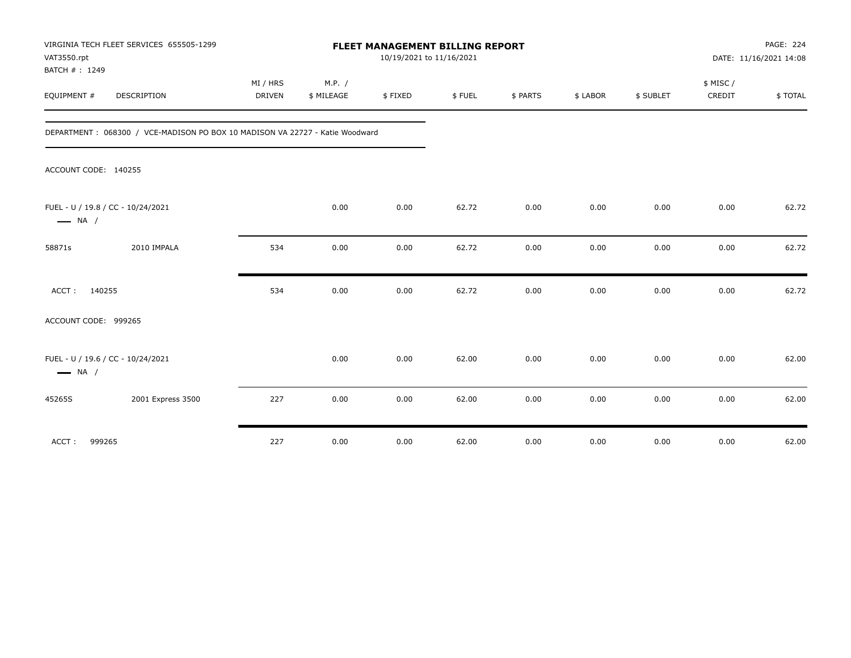| VIRGINIA TECH FLEET SERVICES 655505-1299<br>VAT3550.rpt<br>BATCH #: 1249      |                    |                      | FLEET MANAGEMENT BILLING REPORT<br>10/19/2021 to 11/16/2021 |        |          |          |           |                    | PAGE: 224<br>DATE: 11/16/2021 14:08 |
|-------------------------------------------------------------------------------|--------------------|----------------------|-------------------------------------------------------------|--------|----------|----------|-----------|--------------------|-------------------------------------|
| EQUIPMENT #<br>DESCRIPTION                                                    | MI / HRS<br>DRIVEN | M.P. /<br>\$ MILEAGE | \$FIXED                                                     | \$FUEL | \$ PARTS | \$ LABOR | \$ SUBLET | \$ MISC/<br>CREDIT | \$TOTAL                             |
| DEPARTMENT : 068300 / VCE-MADISON PO BOX 10 MADISON VA 22727 - Katie Woodward |                    |                      |                                                             |        |          |          |           |                    |                                     |
| ACCOUNT CODE: 140255                                                          |                    |                      |                                                             |        |          |          |           |                    |                                     |
| FUEL - U / 19.8 / CC - 10/24/2021<br>$\longrightarrow$ NA /                   |                    | 0.00                 | 0.00                                                        | 62.72  | 0.00     | 0.00     | 0.00      | 0.00               | 62.72                               |
| 2010 IMPALA<br>58871s                                                         | 534                | 0.00                 | 0.00                                                        | 62.72  | 0.00     | 0.00     | 0.00      | 0.00               | 62.72                               |
| 140255<br>ACCT:                                                               | 534                | 0.00                 | 0.00                                                        | 62.72  | 0.00     | 0.00     | 0.00      | 0.00               | 62.72                               |
| ACCOUNT CODE: 999265                                                          |                    |                      |                                                             |        |          |          |           |                    |                                     |
| FUEL - U / 19.6 / CC - 10/24/2021<br>$\longrightarrow$ NA /                   |                    | 0.00                 | 0.00                                                        | 62.00  | 0.00     | 0.00     | 0.00      | 0.00               | 62.00                               |
| 2001 Express 3500<br>45265S                                                   | 227                | 0.00                 | 0.00                                                        | 62.00  | 0.00     | 0.00     | 0.00      | 0.00               | 62.00                               |
| 999265<br>ACCT:                                                               | 227                | 0.00                 | 0.00                                                        | 62.00  | 0.00     | 0.00     | 0.00      | 0.00               | 62.00                               |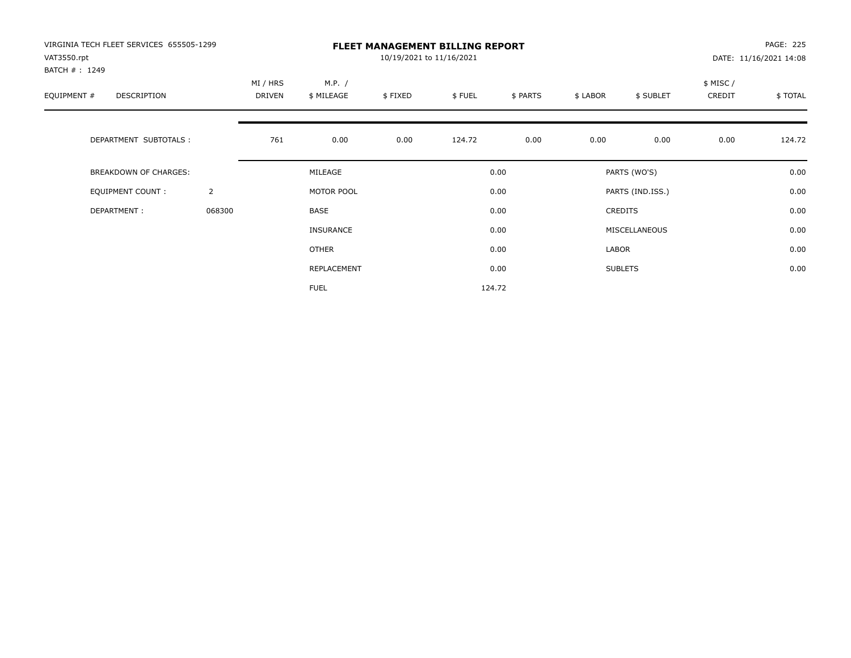| VIRGINIA TECH FLEET SERVICES 655505-1299<br>VAT3550.rpt<br>BATCH #: 1249 |                |                           | <b>FLEET MANAGEMENT BILLING REPORT</b><br>10/19/2021 to 11/16/2021 |         |        |          |          |                  |                     |         |
|--------------------------------------------------------------------------|----------------|---------------------------|--------------------------------------------------------------------|---------|--------|----------|----------|------------------|---------------------|---------|
| EQUIPMENT #<br><b>DESCRIPTION</b>                                        |                | MI / HRS<br><b>DRIVEN</b> | M.P. /<br>\$ MILEAGE                                               | \$FIXED | \$FUEL | \$ PARTS | \$ LABOR | \$ SUBLET        | \$ MISC /<br>CREDIT | \$TOTAL |
| DEPARTMENT SUBTOTALS :                                                   |                | 761                       | 0.00                                                               | 0.00    | 124.72 | 0.00     | 0.00     | 0.00             | 0.00                | 124.72  |
| <b>BREAKDOWN OF CHARGES:</b>                                             |                |                           | MILEAGE                                                            |         |        | 0.00     |          | PARTS (WO'S)     |                     | 0.00    |
| EQUIPMENT COUNT:                                                         | $\overline{2}$ |                           | MOTOR POOL                                                         |         |        | 0.00     |          | PARTS (IND.ISS.) |                     | 0.00    |
| DEPARTMENT:                                                              | 068300         |                           | <b>BASE</b>                                                        |         |        | 0.00     |          | <b>CREDITS</b>   |                     | 0.00    |
|                                                                          |                |                           | INSURANCE                                                          |         |        | 0.00     |          | MISCELLANEOUS    |                     | 0.00    |
|                                                                          |                |                           | <b>OTHER</b>                                                       |         |        | 0.00     | LABOR    |                  |                     | 0.00    |
|                                                                          |                |                           | REPLACEMENT                                                        |         |        | 0.00     |          | <b>SUBLETS</b>   |                     | 0.00    |
|                                                                          |                |                           | <b>FUEL</b>                                                        |         |        | 124.72   |          |                  |                     |         |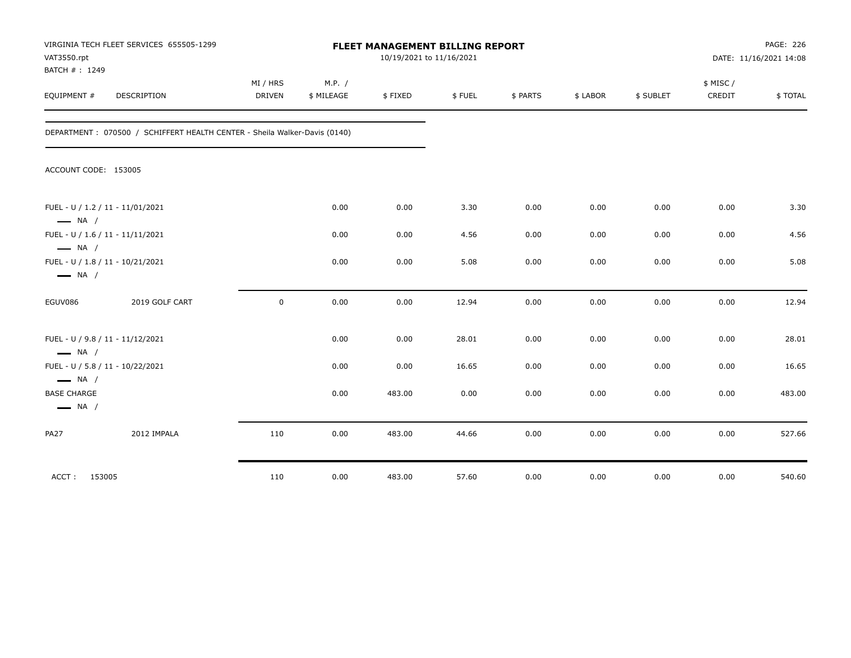| VAT3550.rpt<br>BATCH #: 1249                 | VIRGINIA TECH FLEET SERVICES 655505-1299                                  |                           |                      | 10/19/2021 to 11/16/2021 | PAGE: 226<br>FLEET MANAGEMENT BILLING REPORT<br>DATE: 11/16/2021 14:08 |          |          |           |                     |         |
|----------------------------------------------|---------------------------------------------------------------------------|---------------------------|----------------------|--------------------------|------------------------------------------------------------------------|----------|----------|-----------|---------------------|---------|
| EQUIPMENT #                                  | DESCRIPTION                                                               | MI / HRS<br><b>DRIVEN</b> | M.P. /<br>\$ MILEAGE | \$FIXED                  | \$FUEL                                                                 | \$ PARTS | \$ LABOR | \$ SUBLET | \$ MISC /<br>CREDIT | \$TOTAL |
|                                              | DEPARTMENT: 070500 / SCHIFFERT HEALTH CENTER - Sheila Walker-Davis (0140) |                           |                      |                          |                                                                        |          |          |           |                     |         |
| ACCOUNT CODE: 153005                         |                                                                           |                           |                      |                          |                                                                        |          |          |           |                     |         |
| $\longrightarrow$ NA /                       | FUEL - U / 1.2 / 11 - 11/01/2021                                          |                           | 0.00                 | 0.00                     | 3.30                                                                   | 0.00     | 0.00     | 0.00      | 0.00                | 3.30    |
| $\longrightarrow$ NA /                       | FUEL - U / 1.6 / 11 - 11/11/2021                                          |                           | 0.00                 | 0.00                     | 4.56                                                                   | 0.00     | 0.00     | 0.00      | 0.00                | 4.56    |
| $\longrightarrow$ NA /                       | FUEL - U / 1.8 / 11 - 10/21/2021                                          |                           | 0.00                 | 0.00                     | 5.08                                                                   | 0.00     | 0.00     | 0.00      | 0.00                | 5.08    |
| EGUV086                                      | 2019 GOLF CART                                                            | $\mathbf 0$               | 0.00                 | 0.00                     | 12.94                                                                  | 0.00     | 0.00     | 0.00      | 0.00                | 12.94   |
| $\longrightarrow$ NA /                       | FUEL - U / 9.8 / 11 - 11/12/2021                                          |                           | 0.00                 | 0.00                     | 28.01                                                                  | 0.00     | 0.00     | 0.00      | 0.00                | 28.01   |
| $\longrightarrow$ NA /                       | FUEL - U / 5.8 / 11 - 10/22/2021                                          |                           | 0.00                 | 0.00                     | 16.65                                                                  | 0.00     | 0.00     | 0.00      | 0.00                | 16.65   |
| <b>BASE CHARGE</b><br>$\longrightarrow$ NA / |                                                                           |                           | 0.00                 | 483.00                   | 0.00                                                                   | 0.00     | 0.00     | 0.00      | 0.00                | 483.00  |
| <b>PA27</b>                                  | 2012 IMPALA                                                               | 110                       | 0.00                 | 483.00                   | 44.66                                                                  | 0.00     | 0.00     | 0.00      | 0.00                | 527.66  |
| 153005<br>ACCT:                              |                                                                           | 110                       | 0.00                 | 483.00                   | 57.60                                                                  | 0.00     | 0.00     | 0.00      | 0.00                | 540.60  |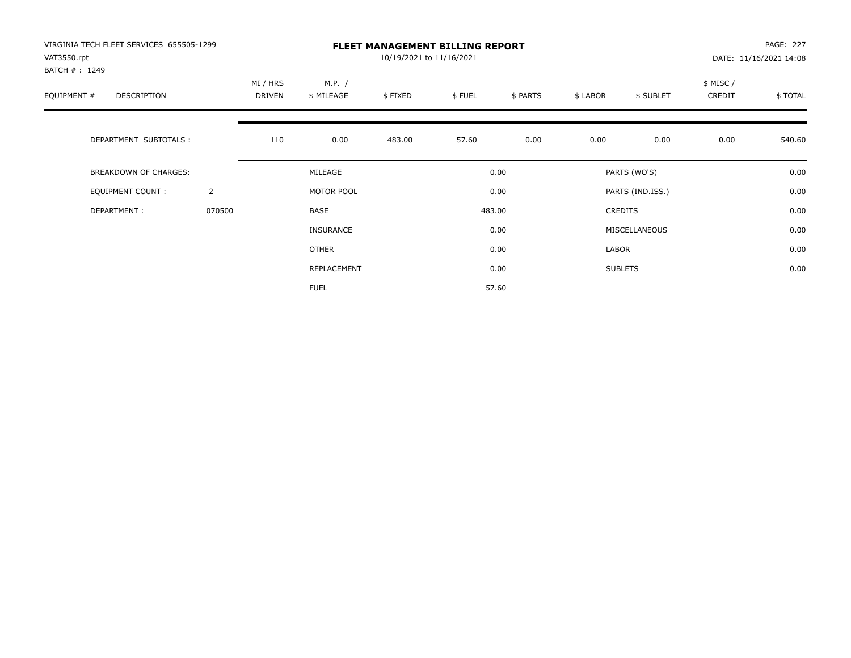| VIRGINIA TECH FLEET SERVICES 655505-1299<br>VAT3550.rpt<br>BATCH #: 1249 |                |                           | <b>FLEET MANAGEMENT BILLING REPORT</b><br>10/19/2021 to 11/16/2021 |         |        |          |          |                  |                     |         |
|--------------------------------------------------------------------------|----------------|---------------------------|--------------------------------------------------------------------|---------|--------|----------|----------|------------------|---------------------|---------|
| EQUIPMENT #<br><b>DESCRIPTION</b>                                        |                | MI / HRS<br><b>DRIVEN</b> | M.P. /<br>\$ MILEAGE                                               | \$FIXED | \$FUEL | \$ PARTS | \$ LABOR | \$ SUBLET        | \$ MISC /<br>CREDIT | \$TOTAL |
| DEPARTMENT SUBTOTALS :                                                   |                | 110                       | 0.00                                                               | 483.00  | 57.60  | 0.00     | 0.00     | 0.00             | 0.00                | 540.60  |
| <b>BREAKDOWN OF CHARGES:</b>                                             |                |                           | MILEAGE                                                            |         |        | 0.00     |          | PARTS (WO'S)     |                     | 0.00    |
| EQUIPMENT COUNT:                                                         | $\overline{2}$ |                           | MOTOR POOL                                                         |         |        | 0.00     |          | PARTS (IND.ISS.) |                     | 0.00    |
| DEPARTMENT:                                                              | 070500         |                           | <b>BASE</b>                                                        |         |        | 483.00   |          | <b>CREDITS</b>   |                     | 0.00    |
|                                                                          |                |                           | INSURANCE                                                          |         |        | 0.00     |          | MISCELLANEOUS    |                     | 0.00    |
|                                                                          |                |                           | <b>OTHER</b>                                                       |         |        | 0.00     | LABOR    |                  |                     | 0.00    |
|                                                                          |                |                           | REPLACEMENT                                                        |         |        | 0.00     |          | <b>SUBLETS</b>   |                     | 0.00    |
|                                                                          |                |                           | <b>FUEL</b>                                                        |         |        | 57.60    |          |                  |                     |         |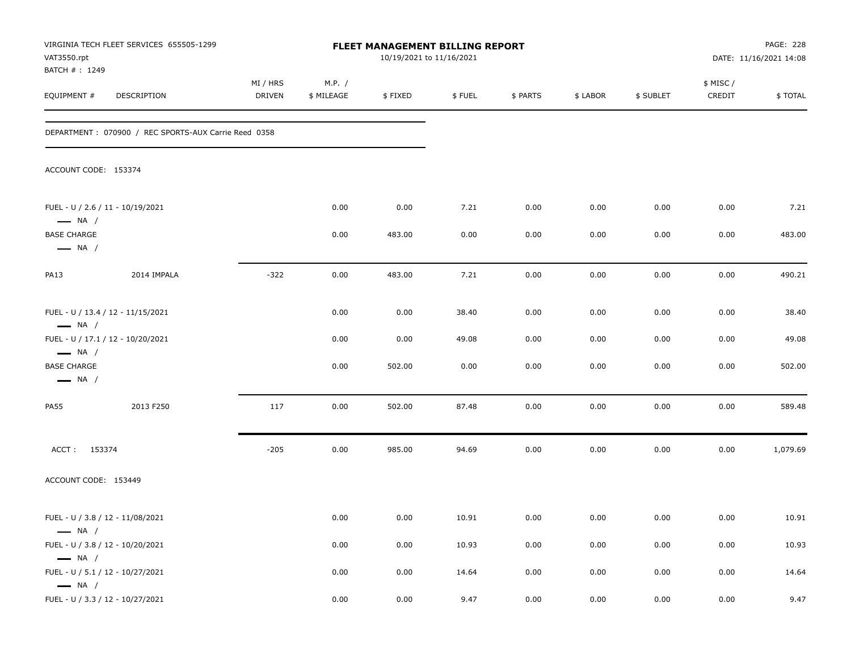| VAT3550.rpt<br>BATCH #: 1249                                                         | VIRGINIA TECH FLEET SERVICES 655505-1299             |                    |                      | FLEET MANAGEMENT BILLING REPORT<br>10/19/2021 to 11/16/2021 |        |          |          |           |                    | PAGE: 228<br>DATE: 11/16/2021 14:08 |
|--------------------------------------------------------------------------------------|------------------------------------------------------|--------------------|----------------------|-------------------------------------------------------------|--------|----------|----------|-----------|--------------------|-------------------------------------|
| EQUIPMENT #                                                                          | DESCRIPTION                                          | MI / HRS<br>DRIVEN | M.P. /<br>\$ MILEAGE | \$FIXED                                                     | \$FUEL | \$ PARTS | \$ LABOR | \$ SUBLET | \$ MISC/<br>CREDIT | \$TOTAL                             |
|                                                                                      | DEPARTMENT: 070900 / REC SPORTS-AUX Carrie Reed 0358 |                    |                      |                                                             |        |          |          |           |                    |                                     |
| ACCOUNT CODE: 153374                                                                 |                                                      |                    |                      |                                                             |        |          |          |           |                    |                                     |
| FUEL - U / 2.6 / 11 - 10/19/2021                                                     |                                                      |                    | 0.00                 | 0.00                                                        | 7.21   | 0.00     | 0.00     | 0.00      | 0.00               | 7.21                                |
| $\longrightarrow$ NA /<br><b>BASE CHARGE</b><br>$\longrightarrow$ NA /               |                                                      |                    | 0.00                 | 483.00                                                      | 0.00   | 0.00     | 0.00     | 0.00      | 0.00               | 483.00                              |
| <b>PA13</b>                                                                          | 2014 IMPALA                                          | $-322$             | 0.00                 | 483.00                                                      | 7.21   | 0.00     | 0.00     | 0.00      | 0.00               | 490.21                              |
| $\longrightarrow$ NA /                                                               | FUEL - U / 13.4 / 12 - 11/15/2021                    |                    | 0.00                 | 0.00                                                        | 38.40  | 0.00     | 0.00     | 0.00      | 0.00               | 38.40                               |
|                                                                                      | FUEL - U / 17.1 / 12 - 10/20/2021                    |                    | 0.00                 | 0.00                                                        | 49.08  | 0.00     | 0.00     | 0.00      | 0.00               | 49.08                               |
| $\longrightarrow$ NA /<br><b>BASE CHARGE</b><br>$\longrightarrow$ NA /               |                                                      |                    | 0.00                 | 502.00                                                      | 0.00   | 0.00     | 0.00     | 0.00      | 0.00               | 502.00                              |
| <b>PA55</b>                                                                          | 2013 F250                                            | 117                | 0.00                 | 502.00                                                      | 87.48  | 0.00     | 0.00     | 0.00      | 0.00               | 589.48                              |
| ACCT: 153374                                                                         |                                                      | $-205$             | 0.00                 | 985.00                                                      | 94.69  | 0.00     | 0.00     | 0.00      | 0.00               | 1,079.69                            |
| ACCOUNT CODE: 153449                                                                 |                                                      |                    |                      |                                                             |        |          |          |           |                    |                                     |
| FUEL - U / 3.8 / 12 - 11/08/2021<br>$\longrightarrow$ NA /                           |                                                      |                    | 0.00                 | 0.00                                                        | 10.91  | 0.00     | 0.00     | 0.00      | 0.00               | 10.91                               |
| FUEL - U / 3.8 / 12 - 10/20/2021                                                     |                                                      |                    | 0.00                 | 0.00                                                        | 10.93  | 0.00     | 0.00     | 0.00      | 0.00               | 10.93                               |
| $\longrightarrow$ NA /<br>FUEL - U / 5.1 / 12 - 10/27/2021<br>$\longrightarrow$ NA / |                                                      |                    | 0.00                 | 0.00                                                        | 14.64  | 0.00     | 0.00     | 0.00      | 0.00               | 14.64                               |
| FUEL - U / 3.3 / 12 - 10/27/2021                                                     |                                                      |                    | 0.00                 | 0.00                                                        | 9.47   | 0.00     | 0.00     | 0.00      | 0.00               | 9.47                                |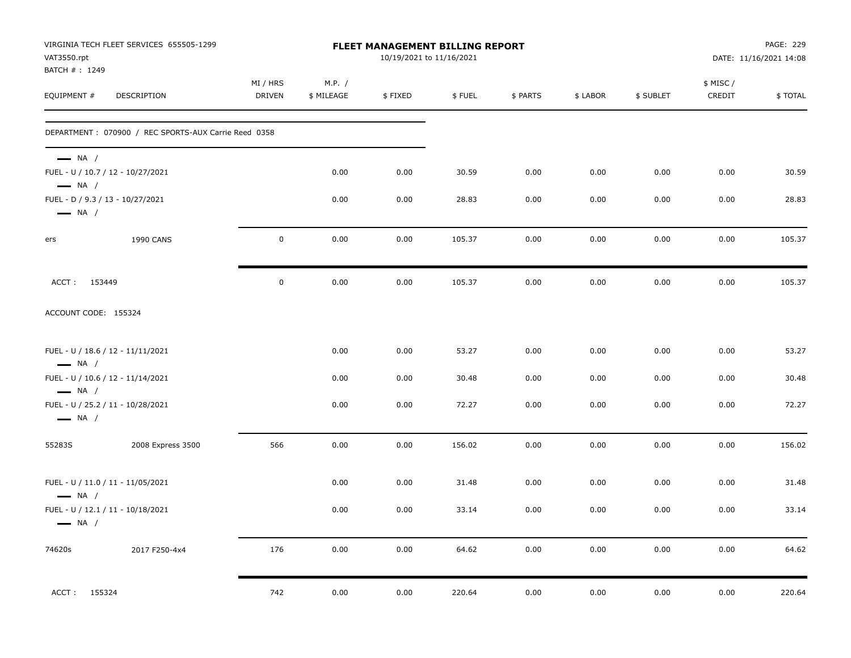| VAT3550.rpt<br>BATCH #: 1249                               | VIRGINIA TECH FLEET SERVICES 655505-1299             |                           |                      | <b>FLEET MANAGEMENT BILLING REPORT</b><br>10/19/2021 to 11/16/2021 |        |          |          |           |                     | PAGE: 229<br>DATE: 11/16/2021 14:08 |
|------------------------------------------------------------|------------------------------------------------------|---------------------------|----------------------|--------------------------------------------------------------------|--------|----------|----------|-----------|---------------------|-------------------------------------|
| EQUIPMENT #                                                | DESCRIPTION                                          | MI / HRS<br><b>DRIVEN</b> | M.P. /<br>\$ MILEAGE | \$FIXED                                                            | \$FUEL | \$ PARTS | \$ LABOR | \$ SUBLET | \$ MISC /<br>CREDIT | \$TOTAL                             |
|                                                            | DEPARTMENT: 070900 / REC SPORTS-AUX Carrie Reed 0358 |                           |                      |                                                                    |        |          |          |           |                     |                                     |
| $\longrightarrow$ NA /<br>$\longrightarrow$ NA /           | FUEL - U / 10.7 / 12 - 10/27/2021                    |                           | 0.00                 | 0.00                                                               | 30.59  | 0.00     | 0.00     | 0.00      | 0.00                | 30.59                               |
| FUEL - D / 9.3 / 13 - 10/27/2021<br>$\longrightarrow$ NA / |                                                      |                           | 0.00                 | 0.00                                                               | 28.83  | 0.00     | 0.00     | 0.00      | 0.00                | 28.83                               |
| ers                                                        | <b>1990 CANS</b>                                     | $\mathbf 0$               | 0.00                 | 0.00                                                               | 105.37 | 0.00     | 0.00     | 0.00      | 0.00                | 105.37                              |
| ACCT: 153449                                               |                                                      | $\mathsf{O}\xspace$       | 0.00                 | 0.00                                                               | 105.37 | 0.00     | 0.00     | 0.00      | 0.00                | 105.37                              |
| ACCOUNT CODE: 155324                                       |                                                      |                           |                      |                                                                    |        |          |          |           |                     |                                     |
| $\longrightarrow$ NA /                                     | FUEL - U / 18.6 / 12 - 11/11/2021                    |                           | 0.00                 | 0.00                                                               | 53.27  | 0.00     | 0.00     | 0.00      | 0.00                | 53.27                               |
| $\longrightarrow$ NA /                                     | FUEL - U / 10.6 / 12 - 11/14/2021                    |                           | 0.00                 | 0.00                                                               | 30.48  | 0.00     | 0.00     | 0.00      | 0.00                | 30.48                               |
| $\longrightarrow$ NA /                                     | FUEL - U / 25.2 / 11 - 10/28/2021                    |                           | 0.00                 | 0.00                                                               | 72.27  | 0.00     | 0.00     | 0.00      | 0.00                | 72.27                               |
| 55283S                                                     | 2008 Express 3500                                    | 566                       | 0.00                 | 0.00                                                               | 156.02 | 0.00     | 0.00     | 0.00      | 0.00                | 156.02                              |
| $\longrightarrow$ NA /                                     | FUEL - U / 11.0 / 11 - 11/05/2021                    |                           | 0.00                 | 0.00                                                               | 31.48  | 0.00     | 0.00     | 0.00      | 0.00                | 31.48                               |
| $\longrightarrow$ NA /                                     | FUEL - U / 12.1 / 11 - 10/18/2021                    |                           | 0.00                 | 0.00                                                               | 33.14  | 0.00     | 0.00     | 0.00      | 0.00                | 33.14                               |
| 74620s                                                     | 2017 F250-4x4                                        | 176                       | 0.00                 | 0.00                                                               | 64.62  | 0.00     | 0.00     | 0.00      | 0.00                | 64.62                               |
| ACCT: 155324                                               |                                                      | 742                       | 0.00                 | 0.00                                                               | 220.64 | 0.00     | 0.00     | 0.00      | 0.00                | 220.64                              |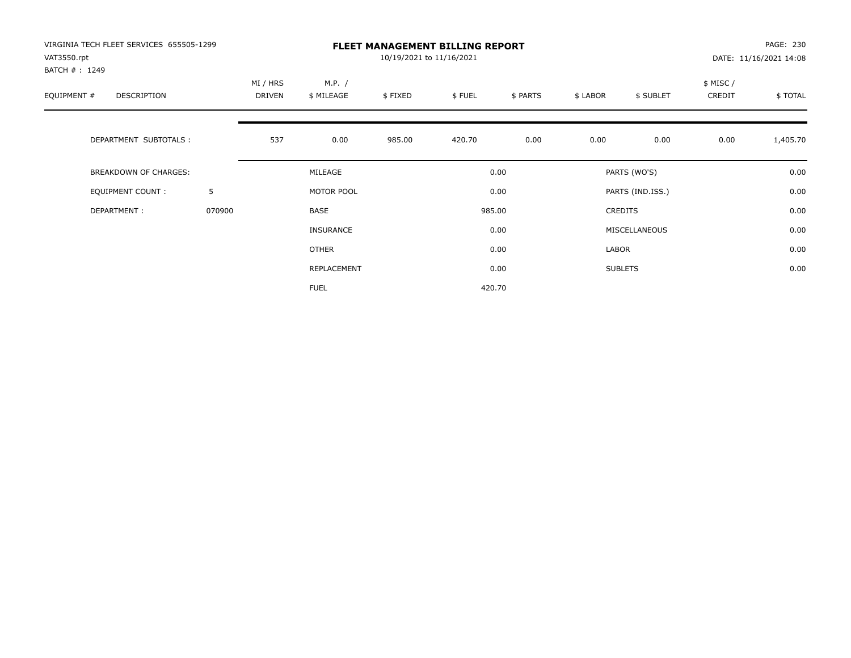| VIRGINIA TECH FLEET SERVICES 655505-1299<br>VAT3550.rpt<br>BATCH #: 1249 |        |                           |                      | 10/19/2021 to 11/16/2021 | <b>FLEET MANAGEMENT BILLING REPORT</b> |          |          |                  |                     | PAGE: 230<br>DATE: 11/16/2021 14:08 |
|--------------------------------------------------------------------------|--------|---------------------------|----------------------|--------------------------|----------------------------------------|----------|----------|------------------|---------------------|-------------------------------------|
| EQUIPMENT #<br><b>DESCRIPTION</b>                                        |        | MI / HRS<br><b>DRIVEN</b> | M.P. /<br>\$ MILEAGE | \$FIXED                  | \$FUEL                                 | \$ PARTS | \$ LABOR | \$ SUBLET        | \$ MISC /<br>CREDIT | \$TOTAL                             |
| DEPARTMENT SUBTOTALS :                                                   |        | 537                       | 0.00                 | 985.00                   | 420.70                                 | 0.00     | 0.00     | 0.00             | 0.00                | 1,405.70                            |
| <b>BREAKDOWN OF CHARGES:</b>                                             |        |                           | MILEAGE              |                          |                                        | 0.00     |          | PARTS (WO'S)     |                     | 0.00                                |
| EQUIPMENT COUNT:                                                         | 5      |                           | MOTOR POOL           |                          |                                        | 0.00     |          | PARTS (IND.ISS.) |                     | 0.00                                |
| DEPARTMENT:                                                              | 070900 |                           | <b>BASE</b>          |                          |                                        | 985.00   |          | <b>CREDITS</b>   |                     | 0.00                                |
|                                                                          |        |                           | <b>INSURANCE</b>     |                          |                                        | 0.00     |          | MISCELLANEOUS    |                     | 0.00                                |
|                                                                          |        |                           | <b>OTHER</b>         |                          |                                        | 0.00     | LABOR    |                  |                     | 0.00                                |
|                                                                          |        |                           | REPLACEMENT          |                          |                                        | 0.00     |          | <b>SUBLETS</b>   |                     | 0.00                                |
|                                                                          |        |                           | <b>FUEL</b>          |                          |                                        | 420.70   |          |                  |                     |                                     |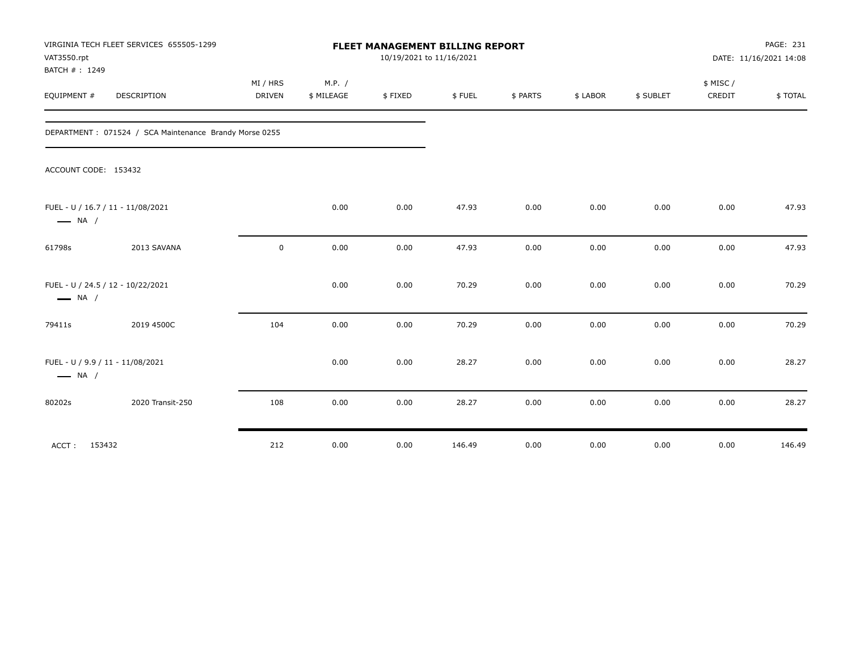| VAT3550.rpt<br>BATCH #: 1249 | VIRGINIA TECH FLEET SERVICES 655505-1299               |                           |                      | FLEET MANAGEMENT BILLING REPORT<br>10/19/2021 to 11/16/2021 |        |          |          |           |                    | PAGE: 231<br>DATE: 11/16/2021 14:08 |
|------------------------------|--------------------------------------------------------|---------------------------|----------------------|-------------------------------------------------------------|--------|----------|----------|-----------|--------------------|-------------------------------------|
| EQUIPMENT #                  | DESCRIPTION                                            | MI / HRS<br><b>DRIVEN</b> | M.P. /<br>\$ MILEAGE | \$FIXED                                                     | \$FUEL | \$ PARTS | \$ LABOR | \$ SUBLET | \$ MISC/<br>CREDIT | \$TOTAL                             |
|                              | DEPARTMENT: 071524 / SCA Maintenance Brandy Morse 0255 |                           |                      |                                                             |        |          |          |           |                    |                                     |
|                              | ACCOUNT CODE: 153432                                   |                           |                      |                                                             |        |          |          |           |                    |                                     |
| $\longrightarrow$ NA /       | FUEL - U / 16.7 / 11 - 11/08/2021                      |                           | 0.00                 | 0.00                                                        | 47.93  | 0.00     | 0.00     | 0.00      | 0.00               | 47.93                               |
| 61798s                       | 2013 SAVANA                                            | 0                         | 0.00                 | 0.00                                                        | 47.93  | 0.00     | 0.00     | 0.00      | 0.00               | 47.93                               |
| $\longrightarrow$ NA /       | FUEL - U / 24.5 / 12 - 10/22/2021                      |                           | 0.00                 | 0.00                                                        | 70.29  | 0.00     | 0.00     | 0.00      | 0.00               | 70.29                               |
| 79411s                       | 2019 4500C                                             | 104                       | 0.00                 | 0.00                                                        | 70.29  | 0.00     | 0.00     | 0.00      | 0.00               | 70.29                               |
| $\longrightarrow$ NA /       | FUEL - U / 9.9 / 11 - 11/08/2021                       |                           | 0.00                 | 0.00                                                        | 28.27  | 0.00     | 0.00     | 0.00      | 0.00               | 28.27                               |
| 80202s                       | 2020 Transit-250                                       | 108                       | 0.00                 | 0.00                                                        | 28.27  | 0.00     | 0.00     | 0.00      | 0.00               | 28.27                               |
| ACCT: 153432                 |                                                        | 212                       | 0.00                 | 0.00                                                        | 146.49 | 0.00     | 0.00     | 0.00      | 0.00               | 146.49                              |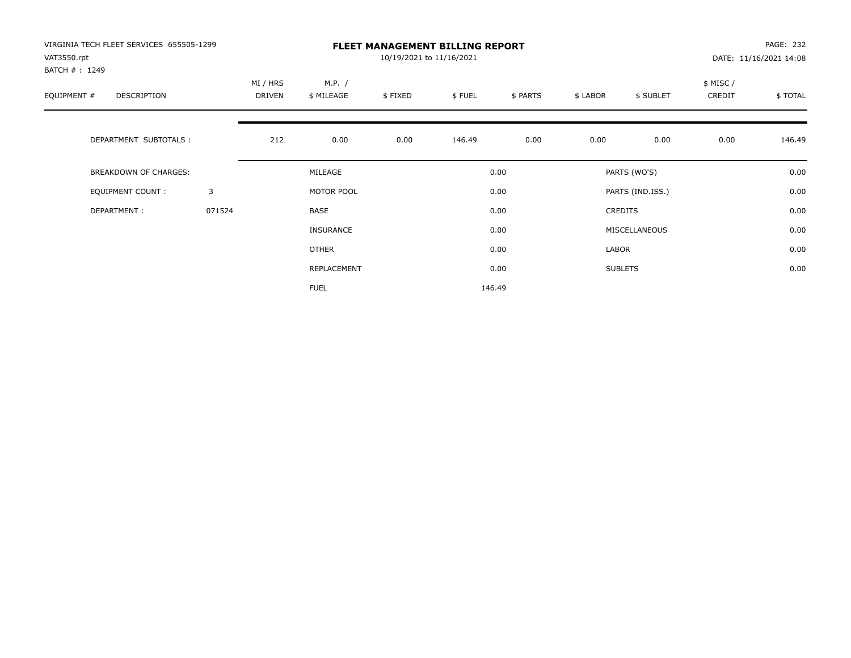| VIRGINIA TECH FLEET SERVICES 655505-1299<br>VAT3550.rpt |        |                    |                      | 10/19/2021 to 11/16/2021 | <b>FLEET MANAGEMENT BILLING REPORT</b> |          |          |                  |                    | PAGE: 232<br>DATE: 11/16/2021 14:08 |
|---------------------------------------------------------|--------|--------------------|----------------------|--------------------------|----------------------------------------|----------|----------|------------------|--------------------|-------------------------------------|
| BATCH #: 1249<br>EQUIPMENT #<br>DESCRIPTION             |        | MI / HRS<br>DRIVEN | M.P. /<br>\$ MILEAGE | \$FIXED                  | \$FUEL                                 | \$ PARTS | \$ LABOR | \$ SUBLET        | \$ MISC/<br>CREDIT | \$TOTAL                             |
| DEPARTMENT SUBTOTALS :                                  |        | 212                | 0.00                 | 0.00                     | 146.49                                 | 0.00     | 0.00     | 0.00             | 0.00               | 146.49                              |
| BREAKDOWN OF CHARGES:                                   |        |                    | MILEAGE              |                          |                                        | 0.00     |          | PARTS (WO'S)     |                    | 0.00                                |
| <b>EQUIPMENT COUNT:</b>                                 | 3      |                    | MOTOR POOL           |                          |                                        | 0.00     |          | PARTS (IND.ISS.) |                    | 0.00                                |
| DEPARTMENT:                                             | 071524 |                    | BASE                 |                          |                                        | 0.00     |          | <b>CREDITS</b>   |                    | 0.00                                |
|                                                         |        |                    | <b>INSURANCE</b>     |                          |                                        | 0.00     |          | MISCELLANEOUS    |                    | 0.00                                |
|                                                         |        |                    | <b>OTHER</b>         |                          |                                        | 0.00     | LABOR    |                  |                    | 0.00                                |
|                                                         |        |                    | REPLACEMENT          |                          |                                        | 0.00     |          | <b>SUBLETS</b>   |                    | 0.00                                |
|                                                         |        |                    | <b>FUEL</b>          |                          |                                        | 146.49   |          |                  |                    |                                     |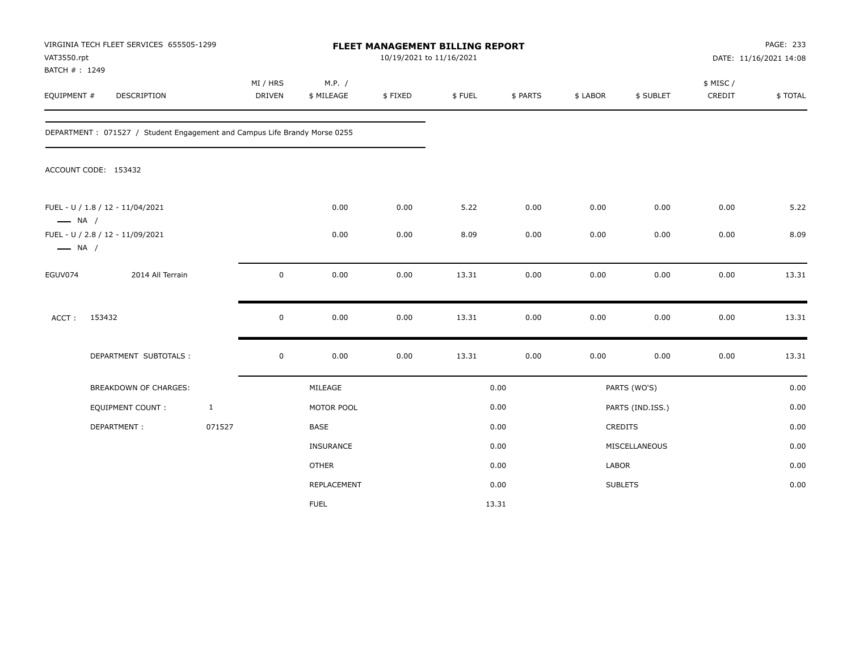| VAT3550.rpt<br>BATCH #: 1249 | VIRGINIA TECH FLEET SERVICES 655505-1299                                  |              |                    |                      | FLEET MANAGEMENT BILLING REPORT<br>10/19/2021 to 11/16/2021 |        |          |          |                  |                     | PAGE: 233<br>DATE: 11/16/2021 14:08 |
|------------------------------|---------------------------------------------------------------------------|--------------|--------------------|----------------------|-------------------------------------------------------------|--------|----------|----------|------------------|---------------------|-------------------------------------|
| EQUIPMENT #                  | DESCRIPTION                                                               |              | MI / HRS<br>DRIVEN | M.P. /<br>\$ MILEAGE | \$FIXED                                                     | \$FUEL | \$ PARTS | \$ LABOR | \$ SUBLET        | \$ MISC /<br>CREDIT | \$TOTAL                             |
|                              | DEPARTMENT: 071527 / Student Engagement and Campus Life Brandy Morse 0255 |              |                    |                      |                                                             |        |          |          |                  |                     |                                     |
|                              | ACCOUNT CODE: 153432                                                      |              |                    |                      |                                                             |        |          |          |                  |                     |                                     |
| $\longrightarrow$ NA /       | FUEL - U / 1.8 / 12 - 11/04/2021                                          |              |                    | 0.00                 | 0.00                                                        | 5.22   | 0.00     | 0.00     | 0.00             | 0.00                | 5.22                                |
| $\longrightarrow$ NA /       | FUEL - U / 2.8 / 12 - 11/09/2021                                          |              |                    | 0.00                 | 0.00                                                        | 8.09   | 0.00     | 0.00     | 0.00             | 0.00                | 8.09                                |
| EGUV074                      | 2014 All Terrain                                                          |              | $\mathbf 0$        | 0.00                 | 0.00                                                        | 13.31  | 0.00     | 0.00     | 0.00             | 0.00                | 13.31                               |
| ACCT:                        | 153432                                                                    |              | $\mathbf 0$        | 0.00                 | 0.00                                                        | 13.31  | 0.00     | 0.00     | 0.00             | 0.00                | 13.31                               |
|                              | DEPARTMENT SUBTOTALS :                                                    |              | $\mathbf 0$        | 0.00                 | 0.00                                                        | 13.31  | 0.00     | 0.00     | 0.00             | 0.00                | 13.31                               |
|                              | BREAKDOWN OF CHARGES:                                                     |              |                    | MILEAGE              |                                                             |        | 0.00     |          | PARTS (WO'S)     |                     | 0.00                                |
|                              | <b>EQUIPMENT COUNT:</b>                                                   | $\mathbf{1}$ |                    | MOTOR POOL           |                                                             |        | 0.00     |          | PARTS (IND.ISS.) |                     | 0.00                                |
|                              | DEPARTMENT:                                                               | 071527       |                    | BASE                 |                                                             |        | 0.00     |          | CREDITS          |                     | 0.00                                |
|                              |                                                                           |              |                    | INSURANCE            |                                                             |        | 0.00     |          | MISCELLANEOUS    |                     | 0.00                                |
|                              |                                                                           |              |                    | <b>OTHER</b>         |                                                             |        | 0.00     | LABOR    |                  |                     | 0.00                                |
|                              |                                                                           |              |                    | REPLACEMENT          |                                                             |        | 0.00     |          | <b>SUBLETS</b>   |                     | 0.00                                |
|                              |                                                                           |              |                    | <b>FUEL</b>          |                                                             |        | 13.31    |          |                  |                     |                                     |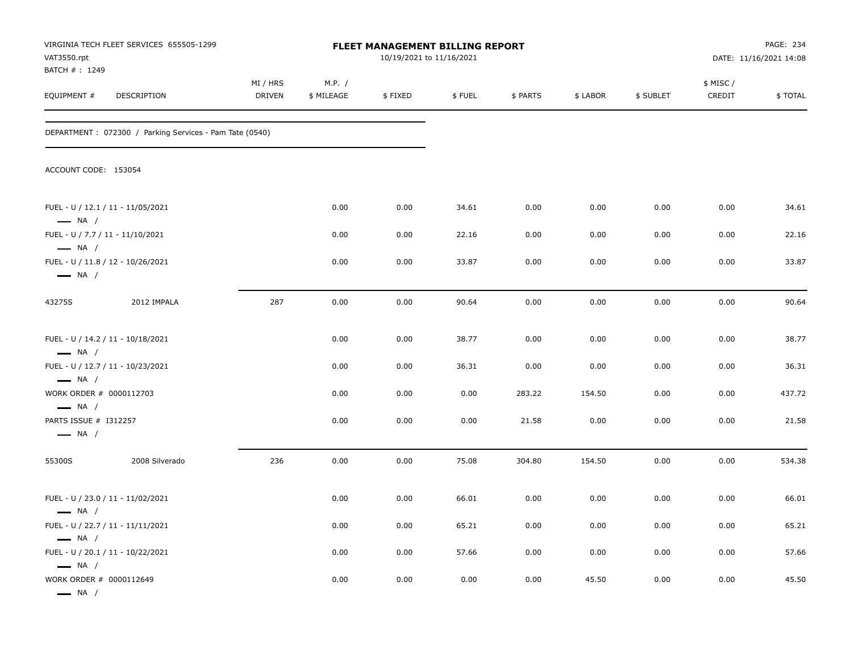| VAT3550.rpt<br>BATCH #: 1249                               | VIRGINIA TECH FLEET SERVICES 655505-1299                |                    |                      | FLEET MANAGEMENT BILLING REPORT<br>10/19/2021 to 11/16/2021 |        |          |          |           |                    | PAGE: 234<br>DATE: 11/16/2021 14:08 |
|------------------------------------------------------------|---------------------------------------------------------|--------------------|----------------------|-------------------------------------------------------------|--------|----------|----------|-----------|--------------------|-------------------------------------|
| EQUIPMENT #                                                | DESCRIPTION                                             | MI / HRS<br>DRIVEN | M.P. /<br>\$ MILEAGE | \$FIXED                                                     | \$FUEL | \$ PARTS | \$ LABOR | \$ SUBLET | \$ MISC/<br>CREDIT | \$TOTAL                             |
|                                                            | DEPARTMENT: 072300 / Parking Services - Pam Tate (0540) |                    |                      |                                                             |        |          |          |           |                    |                                     |
| ACCOUNT CODE: 153054                                       |                                                         |                    |                      |                                                             |        |          |          |           |                    |                                     |
| $\longrightarrow$ NA /                                     | FUEL - U / 12.1 / 11 - 11/05/2021                       |                    | 0.00                 | 0.00                                                        | 34.61  | 0.00     | 0.00     | 0.00      | 0.00               | 34.61                               |
| FUEL - U / 7.7 / 11 - 11/10/2021<br>$\longrightarrow$ NA / |                                                         |                    | 0.00                 | 0.00                                                        | 22.16  | 0.00     | 0.00     | 0.00      | 0.00               | 22.16                               |
| $\longrightarrow$ NA /                                     | FUEL - U / 11.8 / 12 - 10/26/2021                       |                    | 0.00                 | 0.00                                                        | 33.87  | 0.00     | 0.00     | 0.00      | 0.00               | 33.87                               |
| 43275S                                                     | 2012 IMPALA                                             | 287                | 0.00                 | 0.00                                                        | 90.64  | 0.00     | 0.00     | 0.00      | 0.00               | 90.64                               |
| $\longrightarrow$ NA /                                     | FUEL - U / 14.2 / 11 - 10/18/2021                       |                    | 0.00                 | 0.00                                                        | 38.77  | 0.00     | 0.00     | 0.00      | 0.00               | 38.77                               |
| $\longrightarrow$ NA /                                     | FUEL - U / 12.7 / 11 - 10/23/2021                       |                    | 0.00                 | 0.00                                                        | 36.31  | 0.00     | 0.00     | 0.00      | 0.00               | 36.31                               |
| WORK ORDER # 0000112703<br>$\longrightarrow$ NA /          |                                                         |                    | 0.00                 | 0.00                                                        | 0.00   | 283.22   | 154.50   | 0.00      | 0.00               | 437.72                              |
| PARTS ISSUE # I312257<br>$\longrightarrow$ NA /            |                                                         |                    | 0.00                 | 0.00                                                        | 0.00   | 21.58    | 0.00     | 0.00      | 0.00               | 21.58                               |
| 55300S                                                     | 2008 Silverado                                          | 236                | 0.00                 | 0.00                                                        | 75.08  | 304.80   | 154.50   | 0.00      | 0.00               | 534.38                              |
| $\longrightarrow$ NA /                                     | FUEL - U / 23.0 / 11 - 11/02/2021                       |                    | 0.00                 | 0.00                                                        | 66.01  | 0.00     | 0.00     | 0.00      | 0.00               | 66.01                               |
|                                                            | FUEL - U / 22.7 / 11 - 11/11/2021                       |                    | 0.00                 | 0.00                                                        | 65.21  | 0.00     | 0.00     | 0.00      | 0.00               | 65.21                               |
| $\longrightarrow$ NA /<br>$\longrightarrow$ NA /           | FUEL - U / 20.1 / 11 - 10/22/2021                       |                    | 0.00                 | 0.00                                                        | 57.66  | 0.00     | 0.00     | 0.00      | 0.00               | 57.66                               |
| WORK ORDER # 0000112649<br>$\longrightarrow$ NA /          |                                                         |                    | 0.00                 | 0.00                                                        | 0.00   | 0.00     | 45.50    | 0.00      | 0.00               | 45.50                               |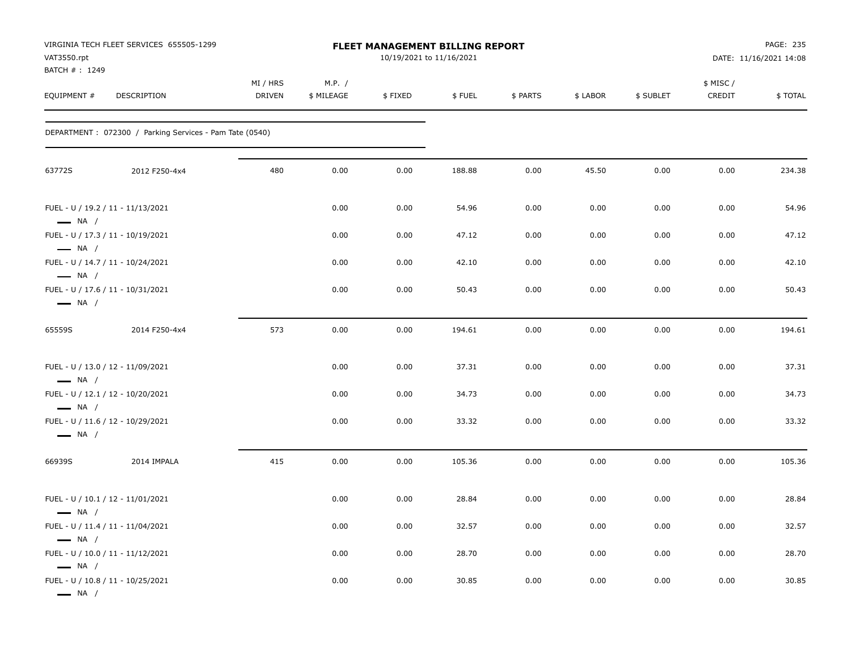| VAT3550.rpt<br>BATCH #: 1249                                | VIRGINIA TECH FLEET SERVICES 655505-1299                |                           |                      | FLEET MANAGEMENT BILLING REPORT<br>10/19/2021 to 11/16/2021 |        |          |          |           |                     | PAGE: 235<br>DATE: 11/16/2021 14:08 |
|-------------------------------------------------------------|---------------------------------------------------------|---------------------------|----------------------|-------------------------------------------------------------|--------|----------|----------|-----------|---------------------|-------------------------------------|
| EQUIPMENT #                                                 | DESCRIPTION                                             | MI / HRS<br><b>DRIVEN</b> | M.P. /<br>\$ MILEAGE | \$FIXED                                                     | \$FUEL | \$ PARTS | \$ LABOR | \$ SUBLET | \$ MISC /<br>CREDIT | \$TOTAL                             |
|                                                             | DEPARTMENT: 072300 / Parking Services - Pam Tate (0540) |                           |                      |                                                             |        |          |          |           |                     |                                     |
| 63772S                                                      | 2012 F250-4x4                                           | 480                       | 0.00                 | 0.00                                                        | 188.88 | 0.00     | 45.50    | 0.00      | 0.00                | 234.38                              |
| FUEL - U / 19.2 / 11 - 11/13/2021<br>$\longrightarrow$ NA / |                                                         |                           | 0.00                 | 0.00                                                        | 54.96  | 0.00     | 0.00     | 0.00      | 0.00                | 54.96                               |
| $\longrightarrow$ NA /                                      | FUEL - U / 17.3 / 11 - 10/19/2021                       |                           | 0.00                 | 0.00                                                        | 47.12  | 0.00     | 0.00     | 0.00      | 0.00                | 47.12                               |
| $\longrightarrow$ NA /                                      | FUEL - U / 14.7 / 11 - 10/24/2021                       |                           | 0.00                 | 0.00                                                        | 42.10  | 0.00     | 0.00     | 0.00      | 0.00                | 42.10                               |
| $\longrightarrow$ NA /                                      | FUEL - U / 17.6 / 11 - 10/31/2021                       |                           | 0.00                 | 0.00                                                        | 50.43  | 0.00     | 0.00     | 0.00      | 0.00                | 50.43                               |
| 65559S                                                      | 2014 F250-4x4                                           | 573                       | 0.00                 | 0.00                                                        | 194.61 | 0.00     | 0.00     | 0.00      | 0.00                | 194.61                              |
| $\longrightarrow$ NA /                                      | FUEL - U / 13.0 / 12 - 11/09/2021                       |                           | 0.00                 | 0.00                                                        | 37.31  | 0.00     | 0.00     | 0.00      | 0.00                | 37.31                               |
| $\longrightarrow$ NA /                                      | FUEL - U / 12.1 / 12 - 10/20/2021                       |                           | 0.00                 | 0.00                                                        | 34.73  | 0.00     | 0.00     | 0.00      | 0.00                | 34.73                               |
| $\longrightarrow$ NA /                                      | FUEL - U / 11.6 / 12 - 10/29/2021                       |                           | 0.00                 | 0.00                                                        | 33.32  | 0.00     | 0.00     | 0.00      | 0.00                | 33.32                               |
| 66939S                                                      | 2014 IMPALA                                             | 415                       | 0.00                 | 0.00                                                        | 105.36 | 0.00     | 0.00     | 0.00      | 0.00                | 105.36                              |
| $\longrightarrow$ NA /                                      | FUEL - U / 10.1 / 12 - 11/01/2021                       |                           | 0.00                 | 0.00                                                        | 28.84  | 0.00     | 0.00     | 0.00      | 0.00                | 28.84                               |
|                                                             | FUEL - U / 11.4 / 11 - 11/04/2021                       |                           | 0.00                 | 0.00                                                        | 32.57  | 0.00     | 0.00     | 0.00      | 0.00                | 32.57                               |
| $\longrightarrow$ NA /                                      | FUEL - U / 10.0 / 11 - 11/12/2021                       |                           | 0.00                 | 0.00                                                        | 28.70  | 0.00     | 0.00     | 0.00      | 0.00                | 28.70                               |
| $\longrightarrow$ NA /<br>— NA /                            | FUEL - U / 10.8 / 11 - 10/25/2021                       |                           | 0.00                 | 0.00                                                        | 30.85  | 0.00     | 0.00     | 0.00      | 0.00                | 30.85                               |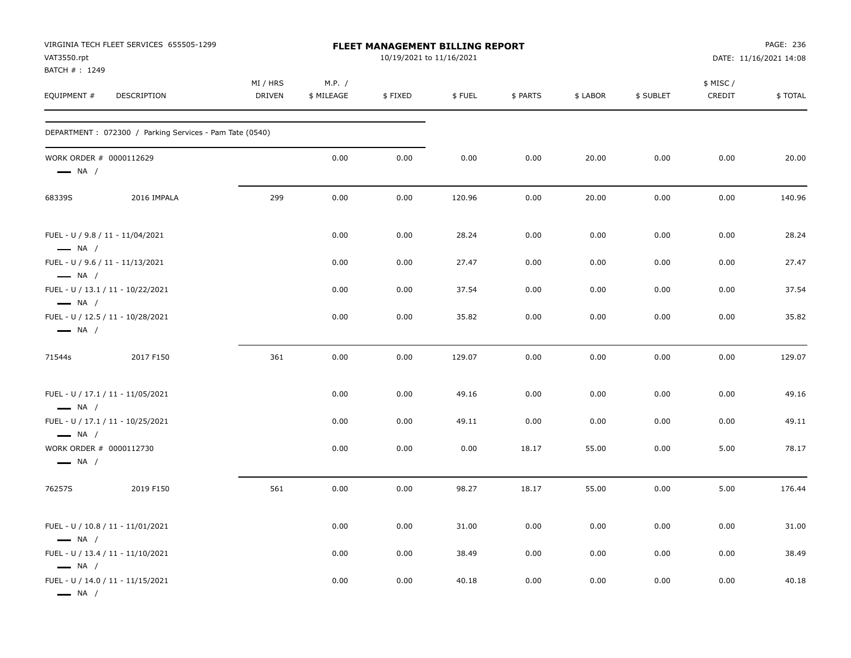| VAT3550.rpt<br>BATCH #: 1249                      | VIRGINIA TECH FLEET SERVICES 655505-1299                |                           | FLEET MANAGEMENT BILLING REPORT<br>10/19/2021 to 11/16/2021 |         |        |          |          | PAGE: 236<br>DATE: 11/16/2021 14:08 |                    |         |  |
|---------------------------------------------------|---------------------------------------------------------|---------------------------|-------------------------------------------------------------|---------|--------|----------|----------|-------------------------------------|--------------------|---------|--|
| EQUIPMENT #                                       | DESCRIPTION                                             | MI / HRS<br><b>DRIVEN</b> | M.P. /<br>\$ MILEAGE                                        | \$FIXED | \$FUEL | \$ PARTS | \$ LABOR | \$ SUBLET                           | \$ MISC/<br>CREDIT | \$TOTAL |  |
|                                                   | DEPARTMENT: 072300 / Parking Services - Pam Tate (0540) |                           |                                                             |         |        |          |          |                                     |                    |         |  |
| WORK ORDER # 0000112629<br>$\longrightarrow$ NA / |                                                         |                           | 0.00                                                        | 0.00    | 0.00   | 0.00     | 20.00    | 0.00                                | 0.00               | 20.00   |  |
| 68339S                                            | 2016 IMPALA                                             | 299                       | 0.00                                                        | 0.00    | 120.96 | 0.00     | 20.00    | 0.00                                | 0.00               | 140.96  |  |
| $\longrightarrow$ NA /                            | FUEL - U / 9.8 / 11 - 11/04/2021                        |                           | 0.00                                                        | 0.00    | 28.24  | 0.00     | 0.00     | 0.00                                | 0.00               | 28.24   |  |
| $\longrightarrow$ NA /                            | FUEL - U / 9.6 / 11 - 11/13/2021                        |                           | 0.00                                                        | 0.00    | 27.47  | 0.00     | 0.00     | 0.00                                | 0.00               | 27.47   |  |
| $\longrightarrow$ NA /                            | FUEL - U / 13.1 / 11 - 10/22/2021                       |                           | 0.00                                                        | 0.00    | 37.54  | 0.00     | 0.00     | 0.00                                | 0.00               | 37.54   |  |
| $\longrightarrow$ NA /                            | FUEL - U / 12.5 / 11 - 10/28/2021                       |                           | 0.00                                                        | 0.00    | 35.82  | 0.00     | 0.00     | 0.00                                | 0.00               | 35.82   |  |
| 71544s                                            | 2017 F150                                               | 361                       | 0.00                                                        | 0.00    | 129.07 | 0.00     | 0.00     | 0.00                                | 0.00               | 129.07  |  |
| $\longrightarrow$ NA /                            | FUEL - U / 17.1 / 11 - 11/05/2021                       |                           | 0.00                                                        | 0.00    | 49.16  | 0.00     | 0.00     | 0.00                                | 0.00               | 49.16   |  |
| $\longrightarrow$ NA /                            | FUEL - U / 17.1 / 11 - 10/25/2021                       |                           | 0.00                                                        | 0.00    | 49.11  | 0.00     | 0.00     | 0.00                                | 0.00               | 49.11   |  |
| WORK ORDER # 0000112730<br>$\longrightarrow$ NA / |                                                         |                           | 0.00                                                        | 0.00    | 0.00   | 18.17    | 55.00    | 0.00                                | 5.00               | 78.17   |  |
| 76257S                                            | 2019 F150                                               | 561                       | 0.00                                                        | 0.00    | 98.27  | 18.17    | 55.00    | 0.00                                | 5.00               | 176.44  |  |
| $\longrightarrow$ NA /                            | FUEL - U / 10.8 / 11 - 11/01/2021                       |                           | 0.00                                                        | 0.00    | 31.00  | 0.00     | 0.00     | 0.00                                | 0.00               | 31.00   |  |
| $\longrightarrow$ NA /                            | FUEL - U / 13.4 / 11 - 11/10/2021                       |                           | 0.00                                                        | 0.00    | 38.49  | 0.00     | 0.00     | 0.00                                | 0.00               | 38.49   |  |
| $\longrightarrow$ NA /                            | FUEL - U / 14.0 / 11 - 11/15/2021                       |                           | 0.00                                                        | 0.00    | 40.18  | 0.00     | 0.00     | 0.00                                | 0.00               | 40.18   |  |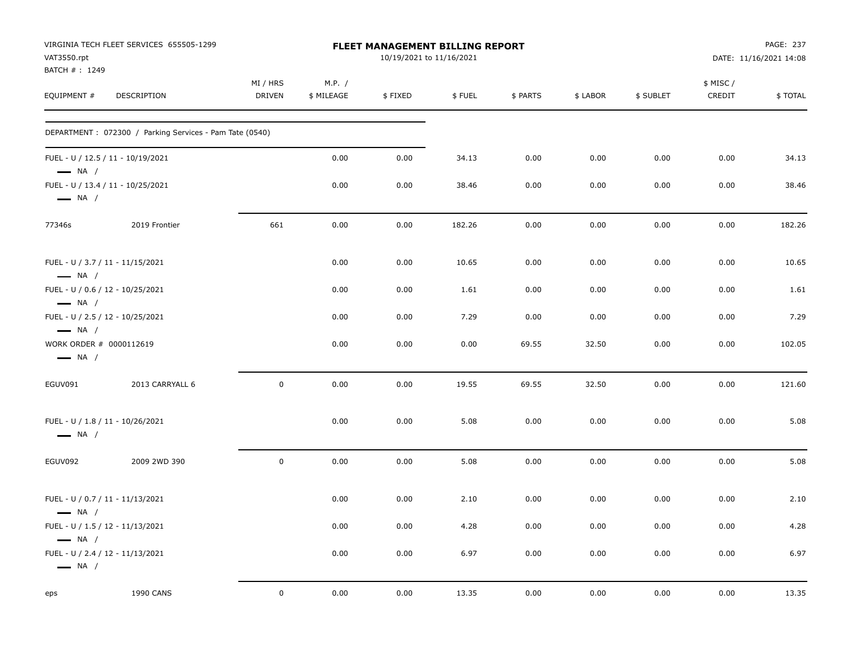| VAT3550.rpt                                                | VIRGINIA TECH FLEET SERVICES 655505-1299                |                           |                      | FLEET MANAGEMENT BILLING REPORT<br>10/19/2021 to 11/16/2021 |        |          |          |           |                     | PAGE: 237<br>DATE: 11/16/2021 14:08 |
|------------------------------------------------------------|---------------------------------------------------------|---------------------------|----------------------|-------------------------------------------------------------|--------|----------|----------|-----------|---------------------|-------------------------------------|
| BATCH #: 1249<br>EQUIPMENT #                               | DESCRIPTION                                             | MI / HRS<br><b>DRIVEN</b> | M.P. /<br>\$ MILEAGE | \$FIXED                                                     | \$FUEL | \$ PARTS | \$ LABOR | \$ SUBLET | \$ MISC /<br>CREDIT | \$TOTAL                             |
|                                                            | DEPARTMENT: 072300 / Parking Services - Pam Tate (0540) |                           |                      |                                                             |        |          |          |           |                     |                                     |
| $\longrightarrow$ NA /                                     | FUEL - U / 12.5 / 11 - 10/19/2021                       |                           | 0.00                 | 0.00                                                        | 34.13  | 0.00     | 0.00     | 0.00      | 0.00                | 34.13                               |
| $\longrightarrow$ NA /                                     | FUEL - U / 13.4 / 11 - 10/25/2021                       |                           | 0.00                 | 0.00                                                        | 38.46  | 0.00     | 0.00     | 0.00      | 0.00                | 38.46                               |
| 77346s                                                     | 2019 Frontier                                           | 661                       | 0.00                 | 0.00                                                        | 182.26 | 0.00     | 0.00     | 0.00      | 0.00                | 182.26                              |
| FUEL - U / 3.7 / 11 - 11/15/2021<br>$\longrightarrow$ NA / |                                                         |                           | 0.00                 | 0.00                                                        | 10.65  | 0.00     | 0.00     | 0.00      | 0.00                | 10.65                               |
| FUEL - U / 0.6 / 12 - 10/25/2021<br>$\longrightarrow$ NA / |                                                         |                           | 0.00                 | 0.00                                                        | 1.61   | 0.00     | 0.00     | 0.00      | 0.00                | 1.61                                |
| FUEL - U / 2.5 / 12 - 10/25/2021<br>$\longrightarrow$ NA / |                                                         |                           | 0.00                 | 0.00                                                        | 7.29   | 0.00     | 0.00     | 0.00      | 0.00                | 7.29                                |
| WORK ORDER # 0000112619<br>$\longrightarrow$ NA /          |                                                         |                           | 0.00                 | 0.00                                                        | 0.00   | 69.55    | 32.50    | 0.00      | 0.00                | 102.05                              |
| EGUV091                                                    | 2013 CARRYALL 6                                         | $\pmb{0}$                 | 0.00                 | 0.00                                                        | 19.55  | 69.55    | 32.50    | 0.00      | 0.00                | 121.60                              |
| FUEL - U / 1.8 / 11 - 10/26/2021<br>$\longrightarrow$ NA / |                                                         |                           | 0.00                 | 0.00                                                        | 5.08   | 0.00     | 0.00     | 0.00      | 0.00                | 5.08                                |
| EGUV092                                                    | 2009 2WD 390                                            | $\mathbf 0$               | 0.00                 | 0.00                                                        | 5.08   | 0.00     | 0.00     | 0.00      | 0.00                | 5.08                                |
| FUEL - U / 0.7 / 11 - 11/13/2021<br>$\longrightarrow$ NA / |                                                         |                           | 0.00                 | 0.00                                                        | 2.10   | 0.00     | 0.00     | 0.00      | 0.00                | 2.10                                |
| FUEL - U / 1.5 / 12 - 11/13/2021<br>$\longrightarrow$ NA / |                                                         |                           | 0.00                 | 0.00                                                        | 4.28   | 0.00     | 0.00     | 0.00      | 0.00                | 4.28                                |
| FUEL - U / 2.4 / 12 - 11/13/2021<br>$\longrightarrow$ NA / |                                                         |                           | 0.00                 | 0.00                                                        | 6.97   | 0.00     | 0.00     | 0.00      | 0.00                | 6.97                                |
| eps                                                        | <b>1990 CANS</b>                                        | $\mathsf 0$               | 0.00                 | 0.00                                                        | 13.35  | 0.00     | 0.00     | 0.00      | 0.00                | 13.35                               |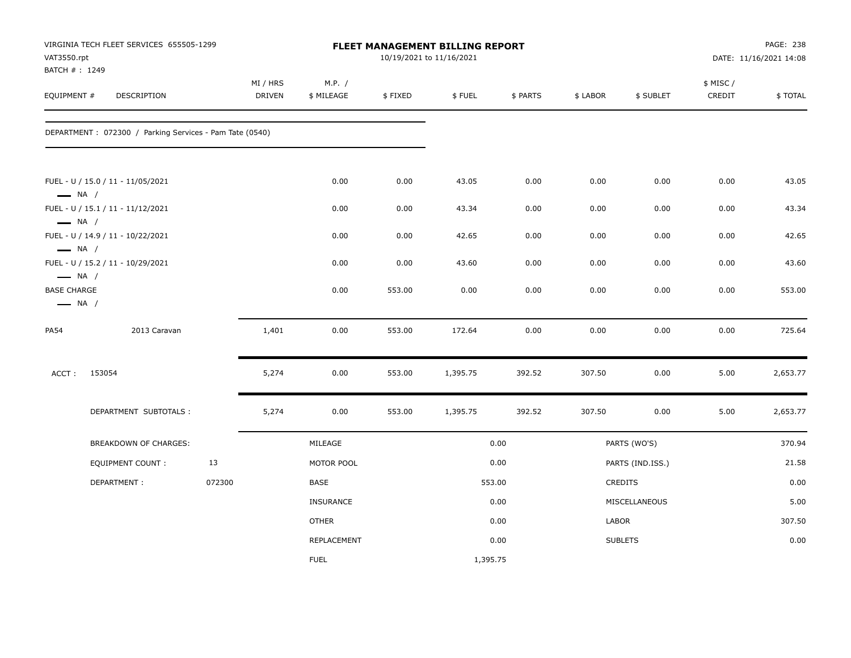| VAT3550.rpt<br>BATCH #: 1249                                           | VIRGINIA TECH FLEET SERVICES 655505-1299                |        |                           |                      |         | <b>FLEET MANAGEMENT BILLING REPORT</b><br>10/19/2021 to 11/16/2021 |          |          |                  |                    | PAGE: 238<br>DATE: 11/16/2021 14:08 |
|------------------------------------------------------------------------|---------------------------------------------------------|--------|---------------------------|----------------------|---------|--------------------------------------------------------------------|----------|----------|------------------|--------------------|-------------------------------------|
| EQUIPMENT #                                                            | DESCRIPTION                                             |        | MI / HRS<br><b>DRIVEN</b> | M.P. /<br>\$ MILEAGE | \$FIXED | \$FUEL                                                             | \$ PARTS | \$ LABOR | \$ SUBLET        | \$ MISC/<br>CREDIT | \$TOTAL                             |
|                                                                        | DEPARTMENT: 072300 / Parking Services - Pam Tate (0540) |        |                           |                      |         |                                                                    |          |          |                  |                    |                                     |
| $\longrightarrow$ NA /                                                 | FUEL - U / 15.0 / 11 - 11/05/2021                       |        |                           | 0.00                 | 0.00    | 43.05                                                              | 0.00     | 0.00     | 0.00             | 0.00               | 43.05                               |
|                                                                        | FUEL - U / 15.1 / 11 - 11/12/2021                       |        |                           | 0.00                 | 0.00    | 43.34                                                              | 0.00     | 0.00     | 0.00             | 0.00               | 43.34                               |
| $\longrightarrow$ NA /<br>$\longrightarrow$ NA /                       | FUEL - U / 14.9 / 11 - 10/22/2021                       |        |                           | 0.00                 | 0.00    | 42.65                                                              | 0.00     | 0.00     | 0.00             | 0.00               | 42.65                               |
|                                                                        | FUEL - U / 15.2 / 11 - 10/29/2021                       |        |                           | 0.00                 | 0.00    | 43.60                                                              | 0.00     | 0.00     | 0.00             | 0.00               | 43.60                               |
| $\longrightarrow$ NA /<br><b>BASE CHARGE</b><br>$\longrightarrow$ NA / |                                                         |        |                           | 0.00                 | 553.00  | 0.00                                                               | 0.00     | 0.00     | 0.00             | 0.00               | 553.00                              |
| <b>PA54</b>                                                            | 2013 Caravan                                            |        | 1,401                     | 0.00                 | 553.00  | 172.64                                                             | 0.00     | 0.00     | 0.00             | 0.00               | 725.64                              |
| ACCT:                                                                  | 153054                                                  |        | 5,274                     | 0.00                 | 553.00  | 1,395.75                                                           | 392.52   | 307.50   | 0.00             | 5.00               | 2,653.77                            |
|                                                                        | DEPARTMENT SUBTOTALS :                                  |        | 5,274                     | 0.00                 | 553.00  | 1,395.75                                                           | 392.52   | 307.50   | 0.00             | 5.00               | 2,653.77                            |
|                                                                        | BREAKDOWN OF CHARGES:                                   |        |                           | MILEAGE              |         |                                                                    | 0.00     |          | PARTS (WO'S)     |                    | 370.94                              |
|                                                                        | EQUIPMENT COUNT:                                        | 13     |                           | MOTOR POOL           |         |                                                                    | 0.00     |          | PARTS (IND.ISS.) |                    | 21.58                               |
|                                                                        | DEPARTMENT:                                             | 072300 |                           | <b>BASE</b>          |         |                                                                    | 553.00   |          | CREDITS          |                    | 0.00                                |
|                                                                        |                                                         |        |                           | INSURANCE            |         |                                                                    | 0.00     |          | MISCELLANEOUS    |                    | 5.00                                |
|                                                                        |                                                         |        |                           | <b>OTHER</b>         |         |                                                                    | 0.00     | LABOR    |                  |                    | 307.50                              |
|                                                                        |                                                         |        |                           | REPLACEMENT          |         |                                                                    | 0.00     |          | <b>SUBLETS</b>   |                    | 0.00                                |
|                                                                        |                                                         |        |                           | <b>FUEL</b>          |         | 1,395.75                                                           |          |          |                  |                    |                                     |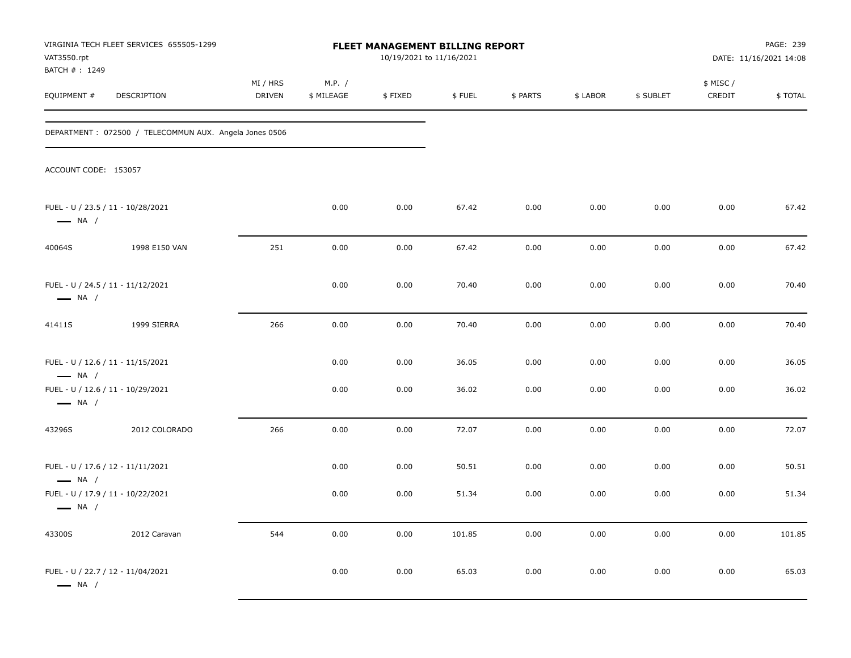| VAT3550.rpt<br>BATCH #: 1249                                | VIRGINIA TECH FLEET SERVICES 655505-1299               |                    |                      | 10/19/2021 to 11/16/2021 | FLEET MANAGEMENT BILLING REPORT |          |          |           |                    | PAGE: 239<br>DATE: 11/16/2021 14:08 |
|-------------------------------------------------------------|--------------------------------------------------------|--------------------|----------------------|--------------------------|---------------------------------|----------|----------|-----------|--------------------|-------------------------------------|
| EQUIPMENT #                                                 | DESCRIPTION                                            | MI / HRS<br>DRIVEN | M.P. /<br>\$ MILEAGE | \$FIXED                  | \$FUEL                          | \$ PARTS | \$ LABOR | \$ SUBLET | \$ MISC/<br>CREDIT | \$TOTAL                             |
|                                                             | DEPARTMENT: 072500 / TELECOMMUN AUX. Angela Jones 0506 |                    |                      |                          |                                 |          |          |           |                    |                                     |
| ACCOUNT CODE: 153057                                        |                                                        |                    |                      |                          |                                 |          |          |           |                    |                                     |
| FUEL - U / 23.5 / 11 - 10/28/2021<br>$\longrightarrow$ NA / |                                                        |                    | 0.00                 | 0.00                     | 67.42                           | 0.00     | 0.00     | 0.00      | 0.00               | 67.42                               |
| 40064S                                                      | 1998 E150 VAN                                          | 251                | 0.00                 | 0.00                     | 67.42                           | 0.00     | 0.00     | 0.00      | 0.00               | 67.42                               |
| FUEL - U / 24.5 / 11 - 11/12/2021<br>$\longrightarrow$ NA / |                                                        |                    | 0.00                 | 0.00                     | 70.40                           | 0.00     | 0.00     | 0.00      | 0.00               | 70.40                               |
| 41411S                                                      | 1999 SIERRA                                            | 266                | 0.00                 | 0.00                     | 70.40                           | 0.00     | 0.00     | 0.00      | 0.00               | 70.40                               |
| FUEL - U / 12.6 / 11 - 11/15/2021<br>$\longrightarrow$ NA / |                                                        |                    | 0.00                 | 0.00                     | 36.05                           | 0.00     | 0.00     | 0.00      | 0.00               | 36.05                               |
| FUEL - U / 12.6 / 11 - 10/29/2021<br>$\longrightarrow$ NA / |                                                        |                    | 0.00                 | 0.00                     | 36.02                           | 0.00     | 0.00     | 0.00      | 0.00               | 36.02                               |
| 43296S                                                      | 2012 COLORADO                                          | 266                | 0.00                 | 0.00                     | 72.07                           | 0.00     | 0.00     | 0.00      | 0.00               | 72.07                               |
| FUEL - U / 17.6 / 12 - 11/11/2021<br>$\longrightarrow$ NA / |                                                        |                    | 0.00                 | 0.00                     | 50.51                           | 0.00     | 0.00     | 0.00      | 0.00               | 50.51                               |
| FUEL - U / 17.9 / 11 - 10/22/2021<br>$\longrightarrow$ NA / |                                                        |                    | 0.00                 | 0.00                     | 51.34                           | 0.00     | 0.00     | 0.00      | 0.00               | 51.34                               |
| 43300S                                                      | 2012 Caravan                                           | 544                | 0.00                 | 0.00                     | 101.85                          | 0.00     | 0.00     | 0.00      | 0.00               | 101.85                              |
| FUEL - U / 22.7 / 12 - 11/04/2021<br>$\longrightarrow$ NA / |                                                        |                    | 0.00                 | 0.00                     | 65.03                           | 0.00     | 0.00     | 0.00      | 0.00               | 65.03                               |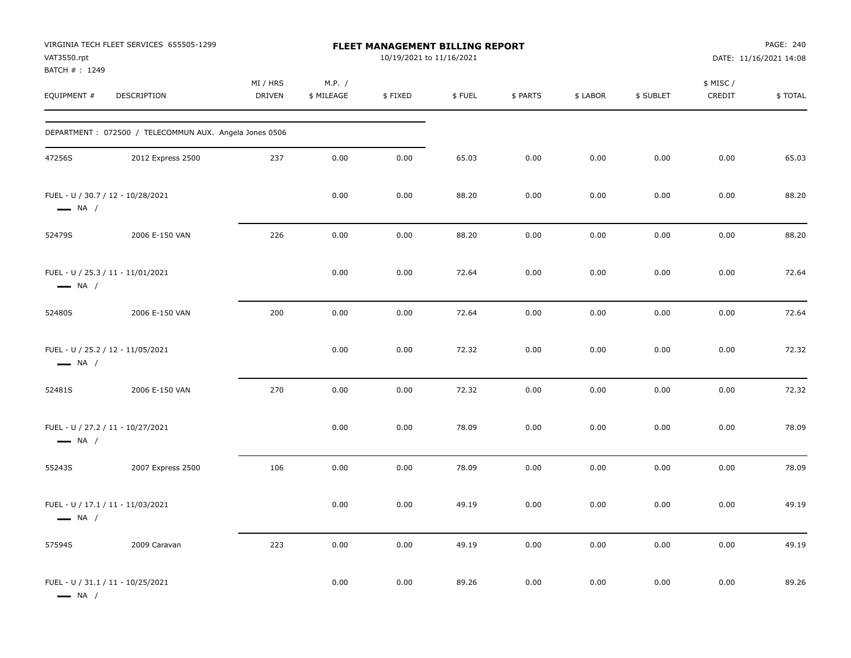| VAT3550.rpt<br>BATCH #: 1249 | VIRGINIA TECH FLEET SERVICES 655505-1299               |                           |                      | FLEET MANAGEMENT BILLING REPORT<br>10/19/2021 to 11/16/2021 |        |          |          |           |                     | PAGE: 240<br>DATE: 11/16/2021 14:08 |
|------------------------------|--------------------------------------------------------|---------------------------|----------------------|-------------------------------------------------------------|--------|----------|----------|-----------|---------------------|-------------------------------------|
| EQUIPMENT #                  | DESCRIPTION                                            | MI / HRS<br><b>DRIVEN</b> | M.P. /<br>\$ MILEAGE | \$FIXED                                                     | \$FUEL | \$ PARTS | \$ LABOR | \$ SUBLET | \$ MISC /<br>CREDIT | \$TOTAL                             |
|                              | DEPARTMENT: 072500 / TELECOMMUN AUX. Angela Jones 0506 |                           |                      |                                                             |        |          |          |           |                     |                                     |
| 47256S                       | 2012 Express 2500                                      | 237                       | 0.00                 | 0.00                                                        | 65.03  | 0.00     | 0.00     | 0.00      | 0.00                | 65.03                               |
| $\longrightarrow$ NA /       | FUEL - U / 30.7 / 12 - 10/28/2021                      |                           | 0.00                 | 0.00                                                        | 88.20  | 0.00     | 0.00     | 0.00      | 0.00                | 88.20                               |
| 52479S                       | 2006 E-150 VAN                                         | 226                       | 0.00                 | 0.00                                                        | 88.20  | 0.00     | 0.00     | 0.00      | 0.00                | 88.20                               |
| $\longrightarrow$ NA /       | FUEL - U / 25.3 / 11 - 11/01/2021                      |                           | 0.00                 | 0.00                                                        | 72.64  | 0.00     | 0.00     | 0.00      | 0.00                | 72.64                               |
| 52480S                       | 2006 E-150 VAN                                         | 200                       | 0.00                 | 0.00                                                        | 72.64  | 0.00     | 0.00     | 0.00      | 0.00                | 72.64                               |
| $\longrightarrow$ NA /       | FUEL - U / 25.2 / 12 - 11/05/2021                      |                           | 0.00                 | 0.00                                                        | 72.32  | 0.00     | 0.00     | 0.00      | 0.00                | 72.32                               |
| 52481S                       | 2006 E-150 VAN                                         | 270                       | 0.00                 | 0.00                                                        | 72.32  | 0.00     | 0.00     | 0.00      | 0.00                | 72.32                               |
| $\longrightarrow$ NA /       | FUEL - U / 27.2 / 11 - 10/27/2021                      |                           | 0.00                 | 0.00                                                        | 78.09  | 0.00     | 0.00     | 0.00      | 0.00                | 78.09                               |
| 55243S                       | 2007 Express 2500                                      | 106                       | 0.00                 | 0.00                                                        | 78.09  | 0.00     | 0.00     | 0.00      | 0.00                | 78.09                               |
| — NA /                       | FUEL - U / 17.1 / 11 - 11/03/2021                      |                           | 0.00                 | 0.00                                                        | 49.19  | 0.00     | 0.00     | 0.00      | 0.00                | 49.19                               |
| 57594S                       | 2009 Caravan                                           | 223                       | 0.00                 | 0.00                                                        | 49.19  | 0.00     | 0.00     | 0.00      | 0.00                | 49.19                               |
| $\longrightarrow$ NA /       | FUEL - U / 31.1 / 11 - 10/25/2021                      |                           | 0.00                 | 0.00                                                        | 89.26  | $0.00\,$ | 0.00     | 0.00      | 0.00                | 89.26                               |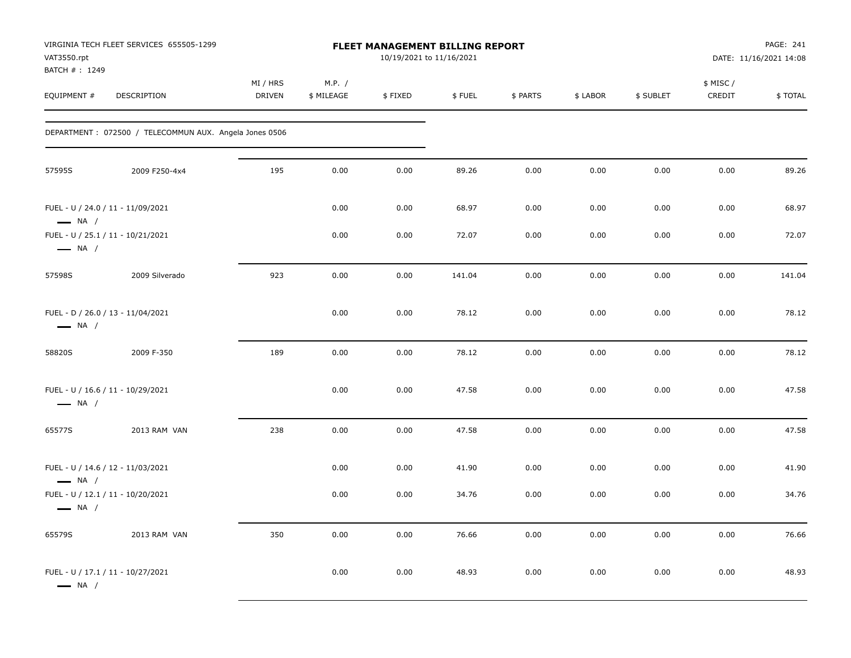| VAT3550.rpt<br>BATCH #: 1249                                | VIRGINIA TECH FLEET SERVICES 655505-1299               |                           |                      | <b>FLEET MANAGEMENT BILLING REPORT</b><br>10/19/2021 to 11/16/2021 |        |          |          |           |                     | PAGE: 241<br>DATE: 11/16/2021 14:08 |
|-------------------------------------------------------------|--------------------------------------------------------|---------------------------|----------------------|--------------------------------------------------------------------|--------|----------|----------|-----------|---------------------|-------------------------------------|
| EQUIPMENT #                                                 | DESCRIPTION                                            | MI / HRS<br><b>DRIVEN</b> | M.P. /<br>\$ MILEAGE | \$FIXED                                                            | \$FUEL | \$ PARTS | \$ LABOR | \$ SUBLET | \$ MISC /<br>CREDIT | \$TOTAL                             |
|                                                             | DEPARTMENT: 072500 / TELECOMMUN AUX. Angela Jones 0506 |                           |                      |                                                                    |        |          |          |           |                     |                                     |
| 57595S                                                      | 2009 F250-4x4                                          | 195                       | 0.00                 | 0.00                                                               | 89.26  | 0.00     | 0.00     | 0.00      | 0.00                | 89.26                               |
| FUEL - U / 24.0 / 11 - 11/09/2021<br>$\longrightarrow$ NA / |                                                        |                           | 0.00                 | 0.00                                                               | 68.97  | 0.00     | 0.00     | 0.00      | 0.00                | 68.97                               |
| FUEL - U / 25.1 / 11 - 10/21/2021<br>$\longrightarrow$ NA / |                                                        |                           | 0.00                 | 0.00                                                               | 72.07  | 0.00     | 0.00     | 0.00      | 0.00                | 72.07                               |
| 57598S                                                      | 2009 Silverado                                         | 923                       | 0.00                 | 0.00                                                               | 141.04 | 0.00     | 0.00     | 0.00      | 0.00                | 141.04                              |
| FUEL - D / 26.0 / 13 - 11/04/2021<br>$\longrightarrow$ NA / |                                                        |                           | 0.00                 | 0.00                                                               | 78.12  | 0.00     | 0.00     | 0.00      | 0.00                | 78.12                               |
| 58820S                                                      | 2009 F-350                                             | 189                       | 0.00                 | 0.00                                                               | 78.12  | 0.00     | 0.00     | 0.00      | 0.00                | 78.12                               |
| FUEL - U / 16.6 / 11 - 10/29/2021<br>$\longrightarrow$ NA / |                                                        |                           | 0.00                 | 0.00                                                               | 47.58  | 0.00     | 0.00     | 0.00      | 0.00                | 47.58                               |
| 65577S                                                      | 2013 RAM VAN                                           | 238                       | 0.00                 | 0.00                                                               | 47.58  | 0.00     | 0.00     | 0.00      | 0.00                | 47.58                               |
| FUEL - U / 14.6 / 12 - 11/03/2021<br>$\longrightarrow$ NA / |                                                        |                           | 0.00                 | 0.00                                                               | 41.90  | 0.00     | 0.00     | 0.00      | 0.00                | 41.90                               |
| FUEL - U / 12.1 / 11 - 10/20/2021<br>$\longrightarrow$ NA / |                                                        |                           | 0.00                 | 0.00                                                               | 34.76  | 0.00     | 0.00     | 0.00      | 0.00                | 34.76                               |
| 65579S                                                      | 2013 RAM VAN                                           | 350                       | 0.00                 | 0.00                                                               | 76.66  | 0.00     | 0.00     | 0.00      | 0.00                | 76.66                               |
| FUEL - U / 17.1 / 11 - 10/27/2021<br>$\longrightarrow$ NA / |                                                        |                           | 0.00                 | 0.00                                                               | 48.93  | 0.00     | 0.00     | 0.00      | 0.00                | 48.93                               |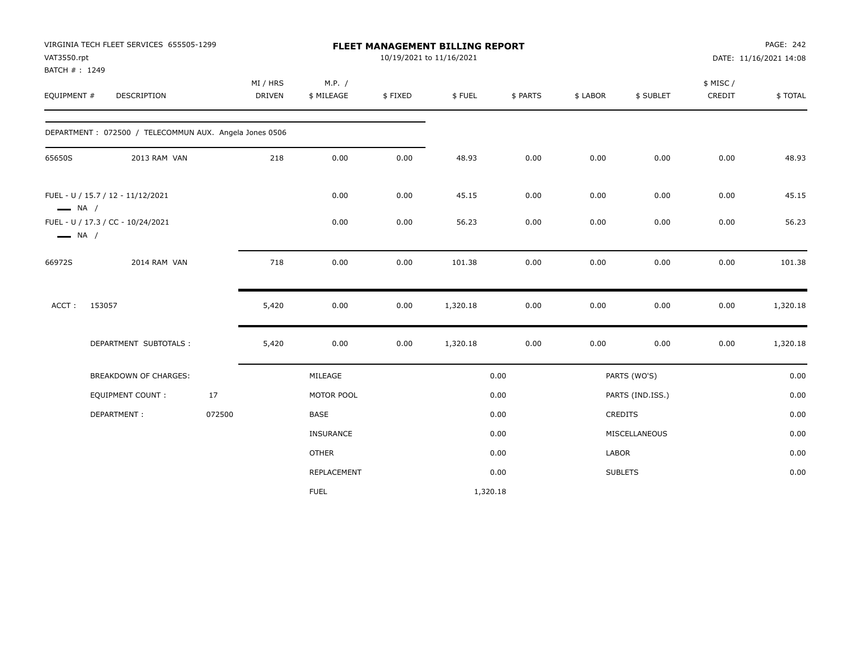| VAT3550.rpt                  | VIRGINIA TECH FLEET SERVICES 655505-1299               |        | FLEET MANAGEMENT BILLING REPORT<br>10/19/2021 to 11/16/2021 |                      |         |          |          |          |                  |                    | PAGE: 242<br>DATE: 11/16/2021 14:08 |
|------------------------------|--------------------------------------------------------|--------|-------------------------------------------------------------|----------------------|---------|----------|----------|----------|------------------|--------------------|-------------------------------------|
| BATCH #: 1249<br>EQUIPMENT # | DESCRIPTION                                            |        | MI / HRS<br><b>DRIVEN</b>                                   | M.P. /<br>\$ MILEAGE | \$FIXED | \$FUEL   | \$ PARTS | \$ LABOR | \$ SUBLET        | \$ MISC/<br>CREDIT | \$TOTAL                             |
|                              | DEPARTMENT: 072500 / TELECOMMUN AUX. Angela Jones 0506 |        |                                                             |                      |         |          |          |          |                  |                    |                                     |
| 65650S                       | 2013 RAM VAN                                           |        | 218                                                         | 0.00                 | 0.00    | 48.93    | 0.00     | 0.00     | 0.00             | 0.00               | 48.93                               |
| $\longrightarrow$ NA /       | FUEL - U / 15.7 / 12 - 11/12/2021                      |        |                                                             | 0.00                 | 0.00    | 45.15    | 0.00     | 0.00     | 0.00             | 0.00               | 45.15                               |
| $\longrightarrow$ NA /       | FUEL - U / 17.3 / CC - 10/24/2021                      |        |                                                             | 0.00                 | 0.00    | 56.23    | 0.00     | 0.00     | 0.00             | 0.00               | 56.23                               |
| 66972S                       | 2014 RAM VAN                                           |        | 718                                                         | 0.00                 | 0.00    | 101.38   | 0.00     | 0.00     | 0.00             | 0.00               | 101.38                              |
| ACCT:                        | 153057                                                 |        | 5,420                                                       | 0.00                 | 0.00    | 1,320.18 | 0.00     | 0.00     | 0.00             | 0.00               | 1,320.18                            |
|                              | DEPARTMENT SUBTOTALS :                                 |        | 5,420                                                       | 0.00                 | 0.00    | 1,320.18 | 0.00     | 0.00     | 0.00             | 0.00               | 1,320.18                            |
|                              | BREAKDOWN OF CHARGES:                                  |        |                                                             | MILEAGE              |         |          | 0.00     |          | PARTS (WO'S)     |                    | 0.00                                |
|                              | <b>EQUIPMENT COUNT:</b>                                | 17     |                                                             | MOTOR POOL           |         |          | 0.00     |          | PARTS (IND.ISS.) |                    | 0.00                                |
|                              | DEPARTMENT:                                            | 072500 |                                                             | <b>BASE</b>          |         |          | 0.00     |          | <b>CREDITS</b>   |                    | 0.00                                |
|                              |                                                        |        |                                                             | <b>INSURANCE</b>     |         |          | 0.00     |          | MISCELLANEOUS    |                    | 0.00                                |
|                              |                                                        |        |                                                             | <b>OTHER</b>         |         |          | 0.00     | LABOR    |                  |                    | 0.00                                |
|                              |                                                        |        |                                                             | REPLACEMENT          |         |          | 0.00     |          | <b>SUBLETS</b>   |                    | 0.00                                |
|                              |                                                        |        |                                                             | <b>FUEL</b>          |         | 1,320.18 |          |          |                  |                    |                                     |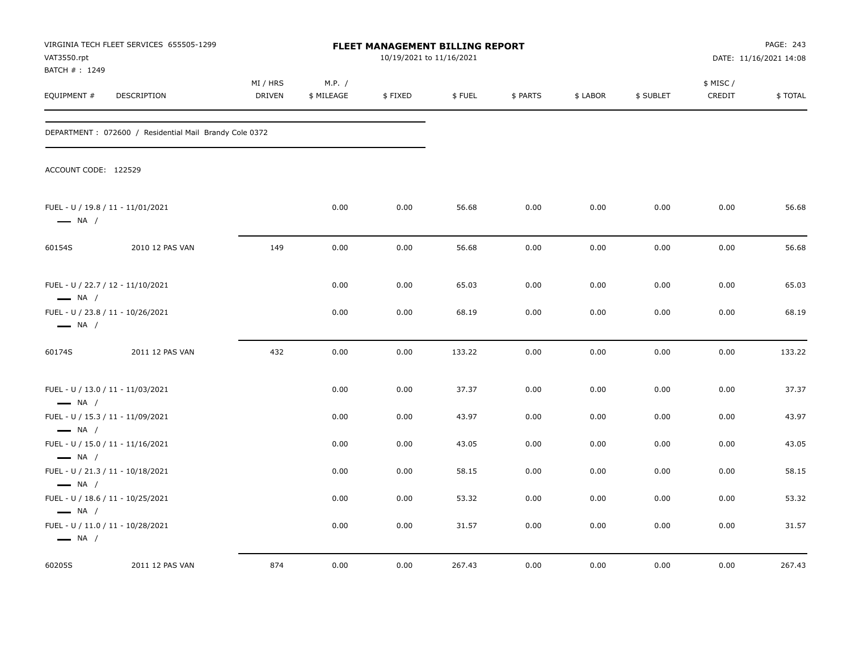| VAT3550.rpt                                                                           | VIRGINIA TECH FLEET SERVICES 655505-1299               |                    |                      | <b>FLEET MANAGEMENT BILLING REPORT</b><br>10/19/2021 to 11/16/2021 |        |          |          |           |                    | PAGE: 243<br>DATE: 11/16/2021 14:08 |
|---------------------------------------------------------------------------------------|--------------------------------------------------------|--------------------|----------------------|--------------------------------------------------------------------|--------|----------|----------|-----------|--------------------|-------------------------------------|
| BATCH #: 1249<br>EQUIPMENT #                                                          | DESCRIPTION                                            | MI / HRS<br>DRIVEN | M.P. /<br>\$ MILEAGE | \$FIXED                                                            | \$FUEL | \$ PARTS | \$ LABOR | \$ SUBLET | \$ MISC/<br>CREDIT | \$TOTAL                             |
|                                                                                       | DEPARTMENT: 072600 / Residential Mail Brandy Cole 0372 |                    |                      |                                                                    |        |          |          |           |                    |                                     |
| ACCOUNT CODE: 122529                                                                  |                                                        |                    |                      |                                                                    |        |          |          |           |                    |                                     |
| FUEL - U / 19.8 / 11 - 11/01/2021<br>$\longrightarrow$ NA /                           |                                                        |                    | 0.00                 | 0.00                                                               | 56.68  | 0.00     | 0.00     | 0.00      | 0.00               | 56.68                               |
| 60154S                                                                                | 2010 12 PAS VAN                                        | 149                | 0.00                 | 0.00                                                               | 56.68  | 0.00     | 0.00     | 0.00      | 0.00               | 56.68                               |
| FUEL - U / 22.7 / 12 - 11/10/2021<br>$\longrightarrow$ NA /                           |                                                        |                    | 0.00                 | 0.00                                                               | 65.03  | 0.00     | 0.00     | 0.00      | 0.00               | 65.03                               |
| FUEL - U / 23.8 / 11 - 10/26/2021<br>$\longrightarrow$ NA /                           |                                                        |                    | 0.00                 | 0.00                                                               | 68.19  | 0.00     | 0.00     | 0.00      | 0.00               | 68.19                               |
| 60174S                                                                                | 2011 12 PAS VAN                                        | 432                | 0.00                 | 0.00                                                               | 133.22 | 0.00     | 0.00     | 0.00      | 0.00               | 133.22                              |
| FUEL - U / 13.0 / 11 - 11/03/2021<br>$\longrightarrow$ NA /                           |                                                        |                    | 0.00                 | 0.00                                                               | 37.37  | 0.00     | 0.00     | 0.00      | 0.00               | 37.37                               |
| FUEL - U / 15.3 / 11 - 11/09/2021<br>$\longrightarrow$ NA /                           |                                                        |                    | 0.00                 | 0.00                                                               | 43.97  | 0.00     | 0.00     | 0.00      | 0.00               | 43.97                               |
| FUEL - U / 15.0 / 11 - 11/16/2021<br>$\longrightarrow$ NA /                           |                                                        |                    | 0.00                 | 0.00                                                               | 43.05  | 0.00     | 0.00     | 0.00      | 0.00               | 43.05                               |
| FUEL - U / 21.3 / 11 - 10/18/2021                                                     |                                                        |                    | 0.00                 | 0.00                                                               | 58.15  | 0.00     | 0.00     | 0.00      | 0.00               | 58.15                               |
| $\longrightarrow$ NA /<br>FUEL - U / 18.6 / 11 - 10/25/2021                           |                                                        |                    | 0.00                 | 0.00                                                               | 53.32  | 0.00     | 0.00     | 0.00      | 0.00               | 53.32                               |
| $\longrightarrow$ NA /<br>FUEL - U / 11.0 / 11 - 10/28/2021<br>$\longrightarrow$ NA / |                                                        |                    | 0.00                 | 0.00                                                               | 31.57  | 0.00     | 0.00     | 0.00      | 0.00               | 31.57                               |
| 60205S                                                                                | 2011 12 PAS VAN                                        | 874                | 0.00                 | 0.00                                                               | 267.43 | 0.00     | 0.00     | 0.00      | 0.00               | 267.43                              |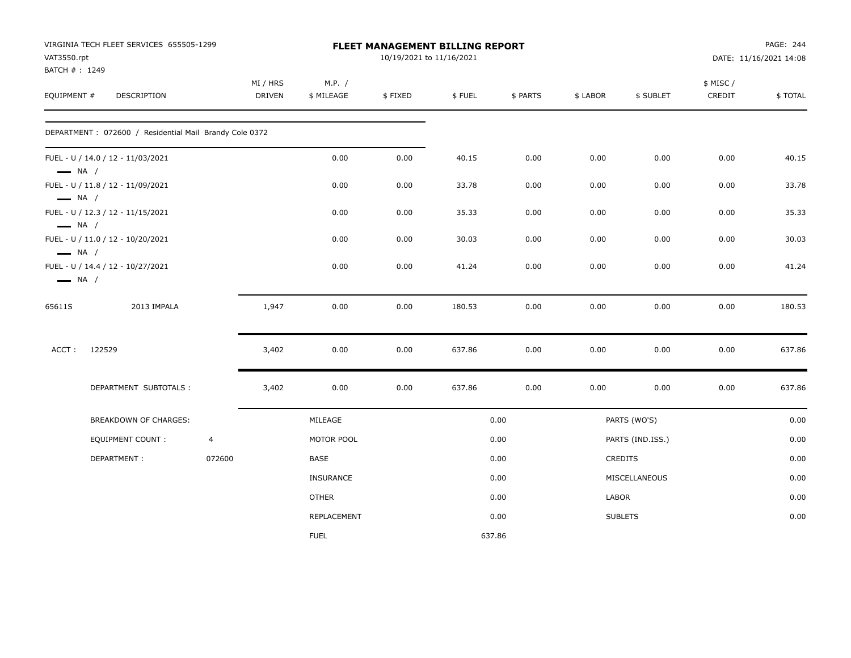| VAT3550.rpt                  | VIRGINIA TECH FLEET SERVICES 655505-1299                |                |                    |                      | FLEET MANAGEMENT BILLING REPORT<br>10/19/2021 to 11/16/2021 |        |          |          |                  |                    | PAGE: 244<br>DATE: 11/16/2021 14:08 |
|------------------------------|---------------------------------------------------------|----------------|--------------------|----------------------|-------------------------------------------------------------|--------|----------|----------|------------------|--------------------|-------------------------------------|
| BATCH #: 1249<br>EQUIPMENT # | DESCRIPTION                                             |                | MI / HRS<br>DRIVEN | M.P. /<br>\$ MILEAGE | \$FIXED                                                     | \$FUEL | \$ PARTS | \$ LABOR | \$ SUBLET        | \$ MISC/<br>CREDIT | \$TOTAL                             |
|                              | DEPARTMENT : 072600 / Residential Mail Brandy Cole 0372 |                |                    |                      |                                                             |        |          |          |                  |                    |                                     |
| $\longrightarrow$ NA /       | FUEL - U / 14.0 / 12 - 11/03/2021                       |                |                    | 0.00                 | 0.00                                                        | 40.15  | 0.00     | 0.00     | 0.00             | 0.00               | 40.15                               |
| $\longrightarrow$ NA /       | FUEL - U / 11.8 / 12 - 11/09/2021                       |                |                    | 0.00                 | 0.00                                                        | 33.78  | 0.00     | 0.00     | 0.00             | 0.00               | 33.78                               |
| $\longrightarrow$ NA /       | FUEL - U / 12.3 / 12 - 11/15/2021                       |                |                    | 0.00                 | 0.00                                                        | 35.33  | 0.00     | 0.00     | 0.00             | 0.00               | 35.33                               |
| $\longrightarrow$ NA /       | FUEL - U / 11.0 / 12 - 10/20/2021                       |                |                    | 0.00                 | 0.00                                                        | 30.03  | 0.00     | 0.00     | 0.00             | 0.00               | 30.03                               |
| $\longrightarrow$ NA /       | FUEL - U / 14.4 / 12 - 10/27/2021                       |                |                    | 0.00                 | 0.00                                                        | 41.24  | 0.00     | 0.00     | 0.00             | 0.00               | 41.24                               |
| 65611S                       | 2013 IMPALA                                             |                | 1,947              | 0.00                 | 0.00                                                        | 180.53 | 0.00     | 0.00     | 0.00             | 0.00               | 180.53                              |
| ACCT:                        | 122529                                                  |                | 3,402              | 0.00                 | 0.00                                                        | 637.86 | 0.00     | 0.00     | 0.00             | 0.00               | 637.86                              |
|                              | DEPARTMENT SUBTOTALS :                                  |                | 3,402              | 0.00                 | 0.00                                                        | 637.86 | 0.00     | 0.00     | 0.00             | 0.00               | 637.86                              |
|                              | <b>BREAKDOWN OF CHARGES:</b>                            |                |                    | MILEAGE              |                                                             |        | 0.00     |          | PARTS (WO'S)     |                    | 0.00                                |
|                              | <b>EQUIPMENT COUNT:</b>                                 | $\overline{4}$ |                    | MOTOR POOL           |                                                             |        | 0.00     |          | PARTS (IND.ISS.) |                    | 0.00                                |
|                              | DEPARTMENT:                                             | 072600         |                    | BASE                 |                                                             |        | 0.00     |          | <b>CREDITS</b>   |                    | 0.00                                |
|                              |                                                         |                |                    | <b>INSURANCE</b>     |                                                             |        | 0.00     |          | MISCELLANEOUS    |                    | 0.00                                |
|                              |                                                         |                |                    | <b>OTHER</b>         |                                                             |        | 0.00     | LABOR    |                  |                    | 0.00                                |
|                              |                                                         |                |                    | REPLACEMENT          |                                                             |        | 0.00     |          | <b>SUBLETS</b>   |                    | 0.00                                |
|                              |                                                         |                |                    | <b>FUEL</b>          |                                                             | 637.86 |          |          |                  |                    |                                     |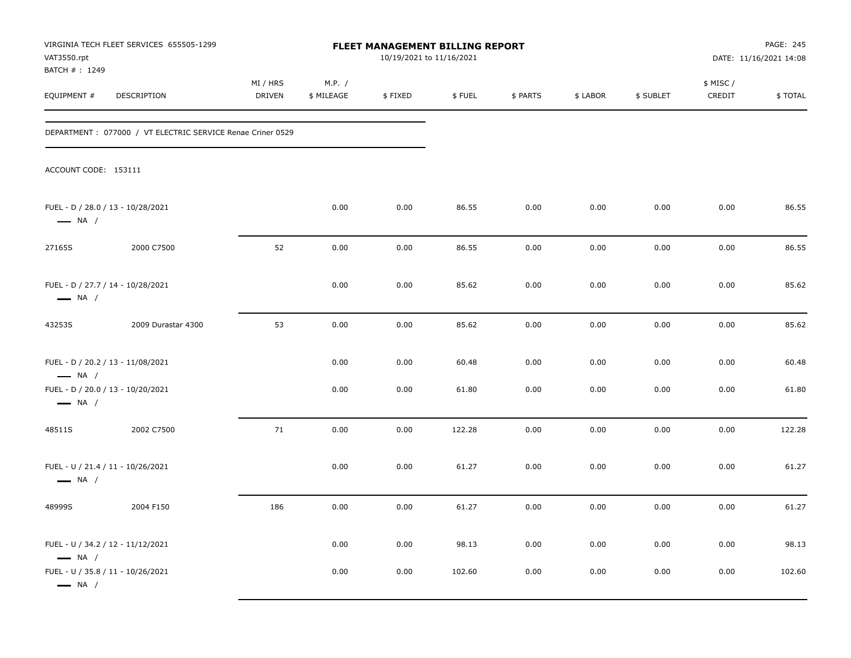| VAT3550.rpt<br>BATCH #: 1249                                | VIRGINIA TECH FLEET SERVICES 655505-1299                    |                    |                      | FLEET MANAGEMENT BILLING REPORT<br>10/19/2021 to 11/16/2021 |        |          |          |           |                     | PAGE: 245<br>DATE: 11/16/2021 14:08 |
|-------------------------------------------------------------|-------------------------------------------------------------|--------------------|----------------------|-------------------------------------------------------------|--------|----------|----------|-----------|---------------------|-------------------------------------|
| EQUIPMENT #                                                 | DESCRIPTION                                                 | MI / HRS<br>DRIVEN | M.P. /<br>\$ MILEAGE | \$FIXED                                                     | \$FUEL | \$ PARTS | \$ LABOR | \$ SUBLET | \$ MISC /<br>CREDIT | \$TOTAL                             |
|                                                             | DEPARTMENT : 077000 / VT ELECTRIC SERVICE Renae Criner 0529 |                    |                      |                                                             |        |          |          |           |                     |                                     |
| ACCOUNT CODE: 153111                                        |                                                             |                    |                      |                                                             |        |          |          |           |                     |                                     |
| FUEL - D / 28.0 / 13 - 10/28/2021<br>$\longrightarrow$ NA / |                                                             |                    | 0.00                 | 0.00                                                        | 86.55  | 0.00     | 0.00     | 0.00      | 0.00                | 86.55                               |
| 27165S                                                      | 2000 C7500                                                  | 52                 | 0.00                 | 0.00                                                        | 86.55  | 0.00     | 0.00     | 0.00      | 0.00                | 86.55                               |
| FUEL - D / 27.7 / 14 - 10/28/2021<br>$\longrightarrow$ NA / |                                                             |                    | 0.00                 | 0.00                                                        | 85.62  | 0.00     | 0.00     | 0.00      | 0.00                | 85.62                               |
| 43253S                                                      | 2009 Durastar 4300                                          | 53                 | 0.00                 | 0.00                                                        | 85.62  | 0.00     | 0.00     | 0.00      | 0.00                | 85.62                               |
| FUEL - D / 20.2 / 13 - 11/08/2021<br>$\longrightarrow$ NA / |                                                             |                    | 0.00                 | 0.00                                                        | 60.48  | 0.00     | 0.00     | 0.00      | 0.00                | 60.48                               |
| FUEL - D / 20.0 / 13 - 10/20/2021<br>$\longrightarrow$ NA / |                                                             |                    | 0.00                 | 0.00                                                        | 61.80  | 0.00     | 0.00     | 0.00      | 0.00                | 61.80                               |
| 48511S                                                      | 2002 C7500                                                  | 71                 | 0.00                 | 0.00                                                        | 122.28 | 0.00     | 0.00     | 0.00      | 0.00                | 122.28                              |
| FUEL - U / 21.4 / 11 - 10/26/2021<br>$\longrightarrow$ NA / |                                                             |                    | 0.00                 | 0.00                                                        | 61.27  | 0.00     | 0.00     | 0.00      | 0.00                | 61.27                               |
| 48999S                                                      | 2004 F150                                                   | 186                | 0.00                 | 0.00                                                        | 61.27  | 0.00     | 0.00     | 0.00      | 0.00                | 61.27                               |
| FUEL - U / 34.2 / 12 - 11/12/2021<br>$\longrightarrow$ NA / |                                                             |                    | 0.00                 | 0.00                                                        | 98.13  | 0.00     | 0.00     | 0.00      | 0.00                | 98.13                               |
| FUEL - U / 35.8 / 11 - 10/26/2021<br>$\longrightarrow$ NA / |                                                             |                    | 0.00                 | 0.00                                                        | 102.60 | 0.00     | 0.00     | 0.00      | 0.00                | 102.60                              |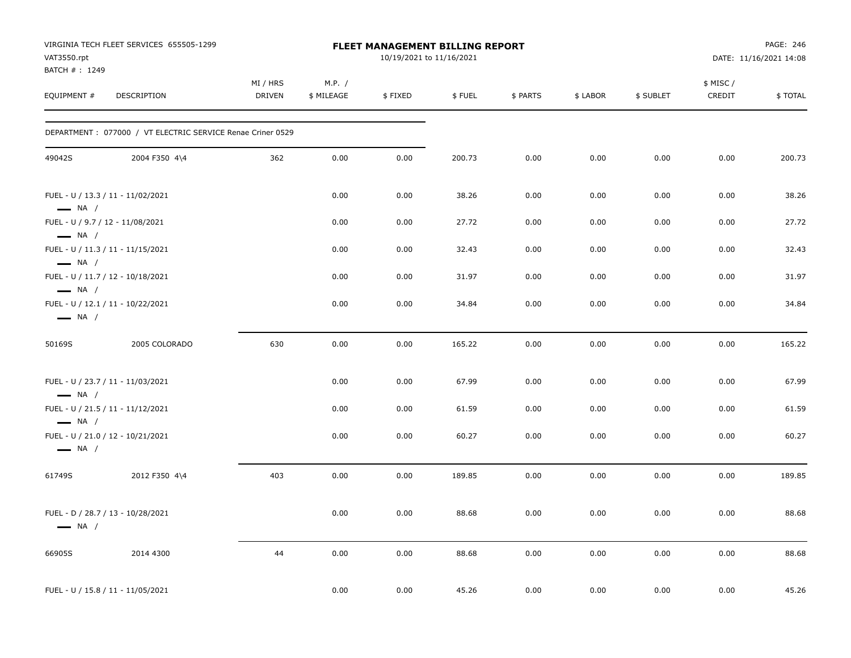| VAT3550.rpt<br>BATCH #: 1249                     | VIRGINIA TECH FLEET SERVICES 655505-1299                   |                           |                      | <b>FLEET MANAGEMENT BILLING REPORT</b><br>10/19/2021 to 11/16/2021 |        |          |          |           |                    | PAGE: 246<br>DATE: 11/16/2021 14:08 |
|--------------------------------------------------|------------------------------------------------------------|---------------------------|----------------------|--------------------------------------------------------------------|--------|----------|----------|-----------|--------------------|-------------------------------------|
| EQUIPMENT #                                      | DESCRIPTION                                                | MI / HRS<br><b>DRIVEN</b> | M.P. /<br>\$ MILEAGE | \$FIXED                                                            | \$FUEL | \$ PARTS | \$ LABOR | \$ SUBLET | \$ MISC/<br>CREDIT | \$TOTAL                             |
|                                                  | DEPARTMENT: 077000 / VT ELECTRIC SERVICE Renae Criner 0529 |                           |                      |                                                                    |        |          |          |           |                    |                                     |
| 49042S                                           | 2004 F350 4\4                                              | 362                       | 0.00                 | 0.00                                                               | 200.73 | 0.00     | 0.00     | 0.00      | 0.00               | 200.73                              |
| $\longrightarrow$ NA /                           | FUEL - U / 13.3 / 11 - 11/02/2021                          |                           | 0.00                 | 0.00                                                               | 38.26  | 0.00     | 0.00     | 0.00      | 0.00               | 38.26                               |
| FUEL - U / 9.7 / 12 - 11/08/2021                 |                                                            |                           | 0.00                 | 0.00                                                               | 27.72  | 0.00     | 0.00     | 0.00      | 0.00               | 27.72                               |
| $\longrightarrow$ NA /<br>$\longrightarrow$ NA / | FUEL - U / 11.3 / 11 - 11/15/2021                          |                           | 0.00                 | 0.00                                                               | 32.43  | 0.00     | 0.00     | 0.00      | 0.00               | 32.43                               |
| $\longrightarrow$ NA /                           | FUEL - U / 11.7 / 12 - 10/18/2021                          |                           | 0.00                 | 0.00                                                               | 31.97  | 0.00     | 0.00     | 0.00      | 0.00               | 31.97                               |
| $\longrightarrow$ NA /                           | FUEL - U / 12.1 / 11 - 10/22/2021                          |                           | 0.00                 | 0.00                                                               | 34.84  | 0.00     | 0.00     | 0.00      | 0.00               | 34.84                               |
| 50169S                                           | 2005 COLORADO                                              | 630                       | 0.00                 | 0.00                                                               | 165.22 | 0.00     | 0.00     | 0.00      | 0.00               | 165.22                              |
| $\longrightarrow$ NA /                           | FUEL - U / 23.7 / 11 - 11/03/2021                          |                           | 0.00                 | 0.00                                                               | 67.99  | 0.00     | 0.00     | 0.00      | 0.00               | 67.99                               |
| $\longrightarrow$ NA /                           | FUEL - U / 21.5 / 11 - 11/12/2021                          |                           | 0.00                 | 0.00                                                               | 61.59  | 0.00     | 0.00     | 0.00      | 0.00               | 61.59                               |
| $\longrightarrow$ NA /                           | FUEL - U / 21.0 / 12 - 10/21/2021                          |                           | 0.00                 | 0.00                                                               | 60.27  | 0.00     | 0.00     | 0.00      | 0.00               | 60.27                               |
| 61749S                                           | 2012 F350 4\4                                              | 403                       | 0.00                 | 0.00                                                               | 189.85 | 0.00     | 0.00     | 0.00      | 0.00               | 189.85                              |
| $\longrightarrow$ NA /                           | FUEL - D / 28.7 / 13 - 10/28/2021                          |                           | 0.00                 | 0.00                                                               | 88.68  | 0.00     | 0.00     | 0.00      | 0.00               | 88.68                               |
| 66905S                                           | 2014 4300                                                  | 44                        | 0.00                 | 0.00                                                               | 88.68  | 0.00     | 0.00     | 0.00      | 0.00               | 88.68                               |
|                                                  | FUEL - U / 15.8 / 11 - 11/05/2021                          |                           | 0.00                 | 0.00                                                               | 45.26  | 0.00     | 0.00     | 0.00      | 0.00               | 45.26                               |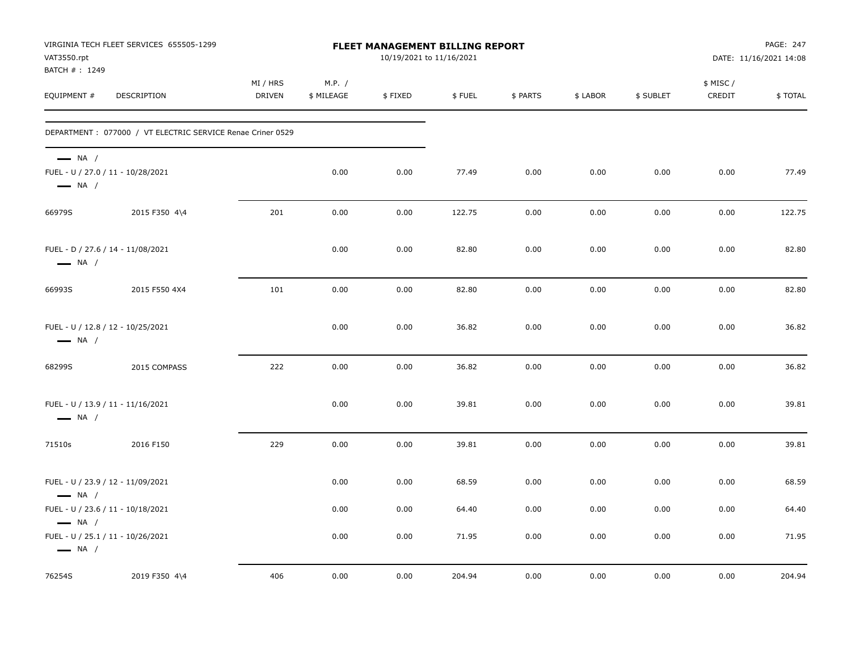| VAT3550.rpt<br>BATCH #: 1249                     | VIRGINIA TECH FLEET SERVICES 655505-1299                    |                           |                      | FLEET MANAGEMENT BILLING REPORT<br>10/19/2021 to 11/16/2021 |        |          |          |           |                     | PAGE: 247<br>DATE: 11/16/2021 14:08 |
|--------------------------------------------------|-------------------------------------------------------------|---------------------------|----------------------|-------------------------------------------------------------|--------|----------|----------|-----------|---------------------|-------------------------------------|
| EQUIPMENT #                                      | DESCRIPTION                                                 | MI / HRS<br><b>DRIVEN</b> | M.P. /<br>\$ MILEAGE | \$FIXED                                                     | \$FUEL | \$ PARTS | \$ LABOR | \$ SUBLET | \$ MISC /<br>CREDIT | \$TOTAL                             |
|                                                  | DEPARTMENT : 077000 / VT ELECTRIC SERVICE Renae Criner 0529 |                           |                      |                                                             |        |          |          |           |                     |                                     |
| $\longrightarrow$ NA /<br>$\longrightarrow$ NA / | FUEL - U / 27.0 / 11 - 10/28/2021                           |                           | 0.00                 | 0.00                                                        | 77.49  | 0.00     | 0.00     | 0.00      | 0.00                | 77.49                               |
| 66979S                                           | 2015 F350 4\4                                               | 201                       | 0.00                 | 0.00                                                        | 122.75 | 0.00     | 0.00     | 0.00      | 0.00                | 122.75                              |
| $\longrightarrow$ NA /                           | FUEL - D / 27.6 / 14 - 11/08/2021                           |                           | 0.00                 | 0.00                                                        | 82.80  | 0.00     | 0.00     | 0.00      | 0.00                | 82.80                               |
| 66993S                                           | 2015 F550 4X4                                               | 101                       | 0.00                 | 0.00                                                        | 82.80  | 0.00     | 0.00     | 0.00      | 0.00                | 82.80                               |
| $\longrightarrow$ NA /                           | FUEL - U / 12.8 / 12 - 10/25/2021                           |                           | 0.00                 | 0.00                                                        | 36.82  | 0.00     | 0.00     | 0.00      | 0.00                | 36.82                               |
| 68299S                                           | 2015 COMPASS                                                | 222                       | 0.00                 | 0.00                                                        | 36.82  | 0.00     | 0.00     | 0.00      | 0.00                | 36.82                               |
| $\longrightarrow$ NA /                           | FUEL - U / 13.9 / 11 - 11/16/2021                           |                           | 0.00                 | 0.00                                                        | 39.81  | 0.00     | 0.00     | 0.00      | 0.00                | 39.81                               |
| 71510s                                           | 2016 F150                                                   | 229                       | 0.00                 | 0.00                                                        | 39.81  | 0.00     | 0.00     | 0.00      | 0.00                | 39.81                               |
| $\longrightarrow$ NA /                           | FUEL - U / 23.9 / 12 - 11/09/2021                           |                           | 0.00                 | 0.00                                                        | 68.59  | 0.00     | 0.00     | 0.00      | 0.00                | 68.59                               |
| $\longrightarrow$ NA /                           | FUEL - U / 23.6 / 11 - 10/18/2021                           |                           | 0.00                 | 0.00                                                        | 64.40  | 0.00     | 0.00     | 0.00      | 0.00                | 64.40                               |
| $\longrightarrow$ NA /                           | FUEL - U / 25.1 / 11 - 10/26/2021                           |                           | 0.00                 | 0.00                                                        | 71.95  | 0.00     | 0.00     | 0.00      | 0.00                | 71.95                               |
| 76254S                                           | 2019 F350 4\4                                               | 406                       | 0.00                 | 0.00                                                        | 204.94 | 0.00     | 0.00     | 0.00      | 0.00                | 204.94                              |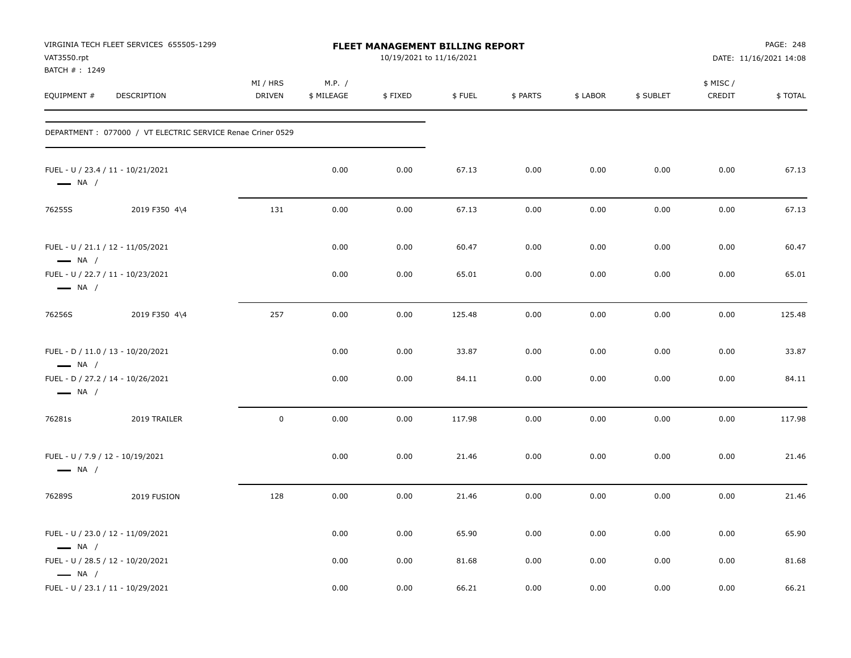| VAT3550.rpt<br>BATCH #: 1249                               | VIRGINIA TECH FLEET SERVICES 655505-1299                    |                           |                      | <b>FLEET MANAGEMENT BILLING REPORT</b><br>10/19/2021 to 11/16/2021 |        |          |          |           |                    | PAGE: 248<br>DATE: 11/16/2021 14:08 |
|------------------------------------------------------------|-------------------------------------------------------------|---------------------------|----------------------|--------------------------------------------------------------------|--------|----------|----------|-----------|--------------------|-------------------------------------|
| EQUIPMENT #                                                | <b>DESCRIPTION</b>                                          | MI / HRS<br><b>DRIVEN</b> | M.P. /<br>\$ MILEAGE | \$FIXED                                                            | \$FUEL | \$ PARTS | \$ LABOR | \$ SUBLET | \$ MISC/<br>CREDIT | \$TOTAL                             |
|                                                            | DEPARTMENT : 077000 / VT ELECTRIC SERVICE Renae Criner 0529 |                           |                      |                                                                    |        |          |          |           |                    |                                     |
| $\longrightarrow$ NA /                                     | FUEL - U / 23.4 / 11 - 10/21/2021                           |                           | 0.00                 | 0.00                                                               | 67.13  | 0.00     | 0.00     | 0.00      | 0.00               | 67.13                               |
| 76255S                                                     | 2019 F350 4\4                                               | 131                       | 0.00                 | 0.00                                                               | 67.13  | 0.00     | 0.00     | 0.00      | 0.00               | 67.13                               |
| $\longrightarrow$ NA /                                     | FUEL - U / 21.1 / 12 - 11/05/2021                           |                           | 0.00                 | 0.00                                                               | 60.47  | 0.00     | 0.00     | 0.00      | 0.00               | 60.47                               |
| $\longrightarrow$ NA /                                     | FUEL - U / 22.7 / 11 - 10/23/2021                           |                           | 0.00                 | 0.00                                                               | 65.01  | 0.00     | 0.00     | 0.00      | 0.00               | 65.01                               |
| 76256S                                                     | 2019 F350 4\4                                               | 257                       | 0.00                 | 0.00                                                               | 125.48 | 0.00     | 0.00     | 0.00      | 0.00               | 125.48                              |
| $\longrightarrow$ NA /                                     | FUEL - D / 11.0 / 13 - 10/20/2021                           |                           | 0.00                 | 0.00                                                               | 33.87  | 0.00     | 0.00     | 0.00      | 0.00               | 33.87                               |
| $\longrightarrow$ NA /                                     | FUEL - D / 27.2 / 14 - 10/26/2021                           |                           | 0.00                 | 0.00                                                               | 84.11  | 0.00     | 0.00     | 0.00      | 0.00               | 84.11                               |
| 76281s                                                     | 2019 TRAILER                                                | $\mathbf 0$               | 0.00                 | 0.00                                                               | 117.98 | 0.00     | 0.00     | 0.00      | 0.00               | 117.98                              |
| FUEL - U / 7.9 / 12 - 10/19/2021<br>$\longrightarrow$ NA / |                                                             |                           | 0.00                 | 0.00                                                               | 21.46  | 0.00     | 0.00     | 0.00      | 0.00               | 21.46                               |
| 76289S                                                     | 2019 FUSION                                                 | 128                       | 0.00                 | 0.00                                                               | 21.46  | 0.00     | 0.00     | 0.00      | 0.00               | 21.46                               |
| $\longrightarrow$ NA /                                     | FUEL - U / 23.0 / 12 - 11/09/2021                           |                           | 0.00                 | 0.00                                                               | 65.90  | 0.00     | 0.00     | 0.00      | 0.00               | 65.90                               |
| $\longrightarrow$ NA /                                     | FUEL - U / 28.5 / 12 - 10/20/2021                           |                           | 0.00                 | 0.00                                                               | 81.68  | 0.00     | 0.00     | 0.00      | 0.00               | 81.68                               |
|                                                            | FUEL - U / 23.1 / 11 - 10/29/2021                           |                           | 0.00                 | 0.00                                                               | 66.21  | 0.00     | 0.00     | 0.00      | 0.00               | 66.21                               |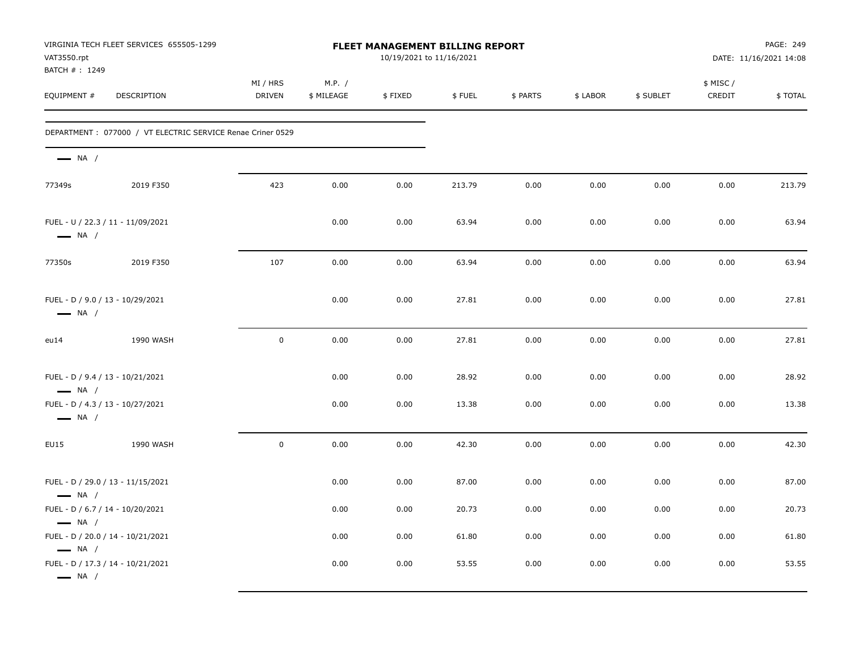| VAT3550.rpt<br>BATCH #: 1249                               | VIRGINIA TECH FLEET SERVICES 655505-1299                   |                    |                      | FLEET MANAGEMENT BILLING REPORT<br>10/19/2021 to 11/16/2021 |        |          |          |           |                    | PAGE: 249<br>DATE: 11/16/2021 14:08 |
|------------------------------------------------------------|------------------------------------------------------------|--------------------|----------------------|-------------------------------------------------------------|--------|----------|----------|-----------|--------------------|-------------------------------------|
| EQUIPMENT #                                                | DESCRIPTION                                                | MI / HRS<br>DRIVEN | M.P. /<br>\$ MILEAGE | \$FIXED                                                     | \$FUEL | \$ PARTS | \$ LABOR | \$ SUBLET | \$ MISC/<br>CREDIT | \$TOTAL                             |
|                                                            | DEPARTMENT: 077000 / VT ELECTRIC SERVICE Renae Criner 0529 |                    |                      |                                                             |        |          |          |           |                    |                                     |
| $\longrightarrow$ NA /                                     |                                                            |                    |                      |                                                             |        |          |          |           |                    |                                     |
| 77349s                                                     | 2019 F350                                                  | 423                | 0.00                 | 0.00                                                        | 213.79 | 0.00     | 0.00     | 0.00      | 0.00               | 213.79                              |
| $\longrightarrow$ NA /                                     | FUEL - U / 22.3 / 11 - 11/09/2021                          |                    | 0.00                 | 0.00                                                        | 63.94  | 0.00     | 0.00     | 0.00      | 0.00               | 63.94                               |
| 77350s                                                     | 2019 F350                                                  | 107                | 0.00                 | 0.00                                                        | 63.94  | 0.00     | 0.00     | 0.00      | 0.00               | 63.94                               |
| FUEL - D / 9.0 / 13 - 10/29/2021<br>$\longrightarrow$ NA / |                                                            |                    | 0.00                 | 0.00                                                        | 27.81  | 0.00     | 0.00     | 0.00      | 0.00               | 27.81                               |
| eu14                                                       | 1990 WASH                                                  | $\mathbf 0$        | 0.00                 | 0.00                                                        | 27.81  | 0.00     | 0.00     | 0.00      | 0.00               | 27.81                               |
| FUEL - D / 9.4 / 13 - 10/21/2021<br>$\longrightarrow$ NA / |                                                            |                    | 0.00                 | 0.00                                                        | 28.92  | 0.00     | 0.00     | 0.00      | 0.00               | 28.92                               |
| FUEL - D / 4.3 / 13 - 10/27/2021<br>$\longrightarrow$ NA / |                                                            |                    | 0.00                 | 0.00                                                        | 13.38  | 0.00     | 0.00     | 0.00      | 0.00               | 13.38                               |
| EU15                                                       | 1990 WASH                                                  | $\mathbf 0$        | 0.00                 | 0.00                                                        | 42.30  | 0.00     | 0.00     | 0.00      | 0.00               | 42.30                               |
| $\longrightarrow$ NA /                                     | FUEL - D / 29.0 / 13 - 11/15/2021                          |                    | 0.00                 | 0.00                                                        | 87.00  | 0.00     | 0.00     | 0.00      | 0.00               | 87.00                               |
| FUEL - D / 6.7 / 14 - 10/20/2021<br>$\longrightarrow$ NA / |                                                            |                    | 0.00                 | 0.00                                                        | 20.73  | 0.00     | 0.00     | 0.00      | 0.00               | 20.73                               |
| $\longrightarrow$ NA /                                     | FUEL - D / 20.0 / 14 - 10/21/2021                          |                    | 0.00                 | 0.00                                                        | 61.80  | 0.00     | 0.00     | 0.00      | 0.00               | 61.80                               |
| $\longrightarrow$ NA /                                     | FUEL - D / 17.3 / 14 - 10/21/2021                          |                    | 0.00                 | 0.00                                                        | 53.55  | 0.00     | 0.00     | 0.00      | 0.00               | 53.55                               |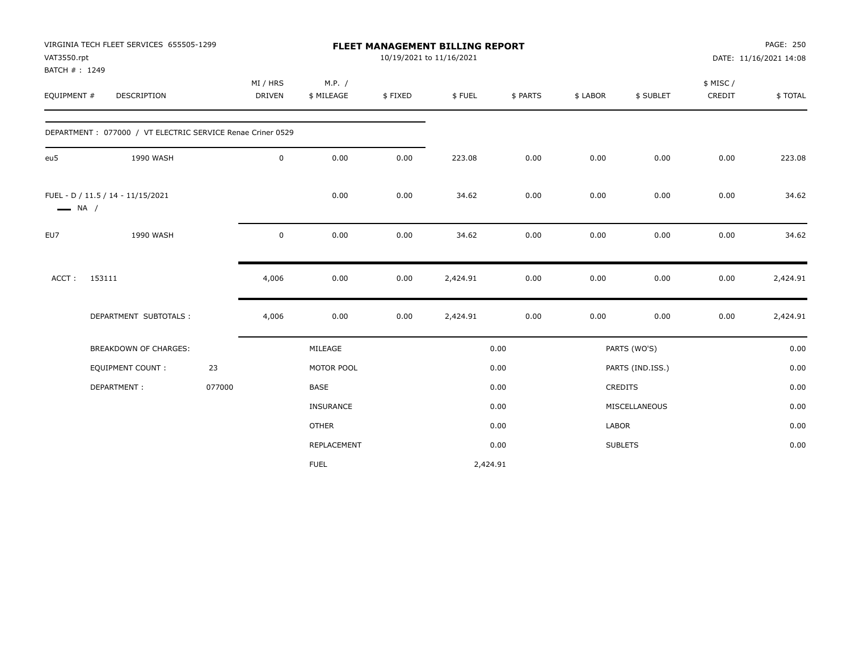| VAT3550.rpt            | VIRGINIA TECH FLEET SERVICES 655505-1299                   |        |               |              |         | <b>FLEET MANAGEMENT BILLING REPORT</b><br>10/19/2021 to 11/16/2021 |          |          |                  |          | PAGE: 250              |
|------------------------|------------------------------------------------------------|--------|---------------|--------------|---------|--------------------------------------------------------------------|----------|----------|------------------|----------|------------------------|
| BATCH #: 1249          |                                                            |        |               |              |         |                                                                    |          |          |                  |          | DATE: 11/16/2021 14:08 |
|                        |                                                            |        | MI / HRS      | M.P. /       |         |                                                                    |          |          |                  | \$ MISC/ |                        |
| EQUIPMENT #            | <b>DESCRIPTION</b>                                         |        | <b>DRIVEN</b> | \$ MILEAGE   | \$FIXED | \$FUEL                                                             | \$ PARTS | \$ LABOR | \$ SUBLET        | CREDIT   | \$TOTAL                |
|                        | DEPARTMENT: 077000 / VT ELECTRIC SERVICE Renae Criner 0529 |        |               |              |         |                                                                    |          |          |                  |          |                        |
| eu5                    | 1990 WASH                                                  |        | $\mathbf 0$   | 0.00         | 0.00    | 223.08                                                             | 0.00     | 0.00     | 0.00             | 0.00     | 223.08                 |
| $\longrightarrow$ NA / | FUEL - D / 11.5 / 14 - 11/15/2021                          |        |               | 0.00         | 0.00    | 34.62                                                              | 0.00     | 0.00     | 0.00             | 0.00     | 34.62                  |
| EU7                    | 1990 WASH                                                  |        | $\mathbf 0$   | 0.00         | 0.00    | 34.62                                                              | 0.00     | 0.00     | 0.00             | 0.00     | 34.62                  |
| ACCT:                  | 153111                                                     |        | 4,006         | 0.00         | 0.00    | 2,424.91                                                           | 0.00     | 0.00     | 0.00             | 0.00     | 2,424.91               |
|                        | DEPARTMENT SUBTOTALS :                                     |        | 4,006         | 0.00         | 0.00    | 2,424.91                                                           | 0.00     | 0.00     | 0.00             | 0.00     | 2,424.91               |
|                        | <b>BREAKDOWN OF CHARGES:</b>                               |        |               | MILEAGE      |         |                                                                    | 0.00     |          | PARTS (WO'S)     |          | 0.00                   |
|                        | <b>EQUIPMENT COUNT:</b>                                    | 23     |               | MOTOR POOL   |         |                                                                    | 0.00     |          | PARTS (IND.ISS.) |          | 0.00                   |
|                        | DEPARTMENT:                                                | 077000 |               | BASE         |         |                                                                    | 0.00     |          | <b>CREDITS</b>   |          | 0.00                   |
|                        |                                                            |        |               | INSURANCE    |         |                                                                    | 0.00     |          | MISCELLANEOUS    |          | 0.00                   |
|                        |                                                            |        |               | <b>OTHER</b> |         |                                                                    | 0.00     | LABOR    |                  |          | 0.00                   |
|                        |                                                            |        |               | REPLACEMENT  |         |                                                                    | 0.00     |          | <b>SUBLETS</b>   |          | 0.00                   |
|                        |                                                            |        |               | <b>FUEL</b>  |         | 2,424.91                                                           |          |          |                  |          |                        |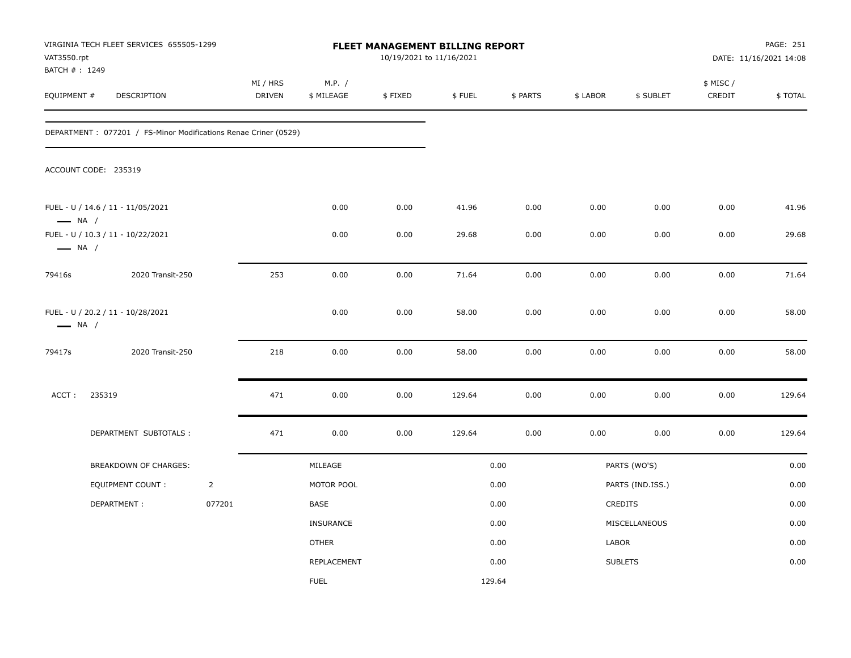| VAT3550.rpt<br>BATCH #: 1249 | VIRGINIA TECH FLEET SERVICES 655505-1299                         |                |                           |                      | 10/19/2021 to 11/16/2021 | FLEET MANAGEMENT BILLING REPORT |          |          |                  |                     | PAGE: 251<br>DATE: 11/16/2021 14:08 |
|------------------------------|------------------------------------------------------------------|----------------|---------------------------|----------------------|--------------------------|---------------------------------|----------|----------|------------------|---------------------|-------------------------------------|
| EQUIPMENT #                  | DESCRIPTION                                                      |                | MI / HRS<br><b>DRIVEN</b> | M.P. /<br>\$ MILEAGE | \$FIXED                  | \$FUEL                          | \$ PARTS | \$ LABOR | \$ SUBLET        | \$ MISC /<br>CREDIT | \$TOTAL                             |
|                              | DEPARTMENT : 077201 / FS-Minor Modifications Renae Criner (0529) |                |                           |                      |                          |                                 |          |          |                  |                     |                                     |
|                              | ACCOUNT CODE: 235319                                             |                |                           |                      |                          |                                 |          |          |                  |                     |                                     |
| $\longrightarrow$ NA /       | FUEL - U / 14.6 / 11 - 11/05/2021                                |                |                           | 0.00                 | 0.00                     | 41.96                           | 0.00     | 0.00     | 0.00             | 0.00                | 41.96                               |
| $\longrightarrow$ NA /       | FUEL - U / 10.3 / 11 - 10/22/2021                                |                |                           | 0.00                 | 0.00                     | 29.68                           | 0.00     | 0.00     | 0.00             | 0.00                | 29.68                               |
| 79416s                       | 2020 Transit-250                                                 |                | 253                       | 0.00                 | 0.00                     | 71.64                           | 0.00     | 0.00     | 0.00             | 0.00                | 71.64                               |
| $\longrightarrow$ NA /       | FUEL - U / 20.2 / 11 - 10/28/2021                                |                |                           | 0.00                 | 0.00                     | 58.00                           | 0.00     | 0.00     | 0.00             | 0.00                | 58.00                               |
| 79417s                       | 2020 Transit-250                                                 |                | 218                       | 0.00                 | 0.00                     | 58.00                           | 0.00     | 0.00     | 0.00             | 0.00                | 58.00                               |
| ACCT:                        | 235319                                                           |                | 471                       | 0.00                 | 0.00                     | 129.64                          | 0.00     | 0.00     | 0.00             | 0.00                | 129.64                              |
|                              | DEPARTMENT SUBTOTALS :                                           |                | 471                       | 0.00                 | 0.00                     | 129.64                          | 0.00     | 0.00     | 0.00             | 0.00                | 129.64                              |
|                              | BREAKDOWN OF CHARGES:                                            |                |                           | MILEAGE              |                          |                                 | 0.00     |          | PARTS (WO'S)     |                     | 0.00                                |
|                              | <b>EQUIPMENT COUNT:</b>                                          | $\overline{2}$ |                           | MOTOR POOL           |                          |                                 | 0.00     |          | PARTS (IND.ISS.) |                     | 0.00                                |
|                              | DEPARTMENT:                                                      | 077201         |                           | BASE                 |                          |                                 | 0.00     |          | CREDITS          |                     | 0.00                                |
|                              |                                                                  |                |                           | <b>INSURANCE</b>     |                          |                                 | 0.00     |          | MISCELLANEOUS    |                     | 0.00                                |
|                              |                                                                  |                |                           | <b>OTHER</b>         |                          |                                 | 0.00     | LABOR    |                  |                     | 0.00                                |
|                              |                                                                  |                |                           | REPLACEMENT          |                          |                                 | 0.00     |          | <b>SUBLETS</b>   |                     | 0.00                                |
|                              |                                                                  |                |                           | <b>FUEL</b>          |                          | 129.64                          |          |          |                  |                     |                                     |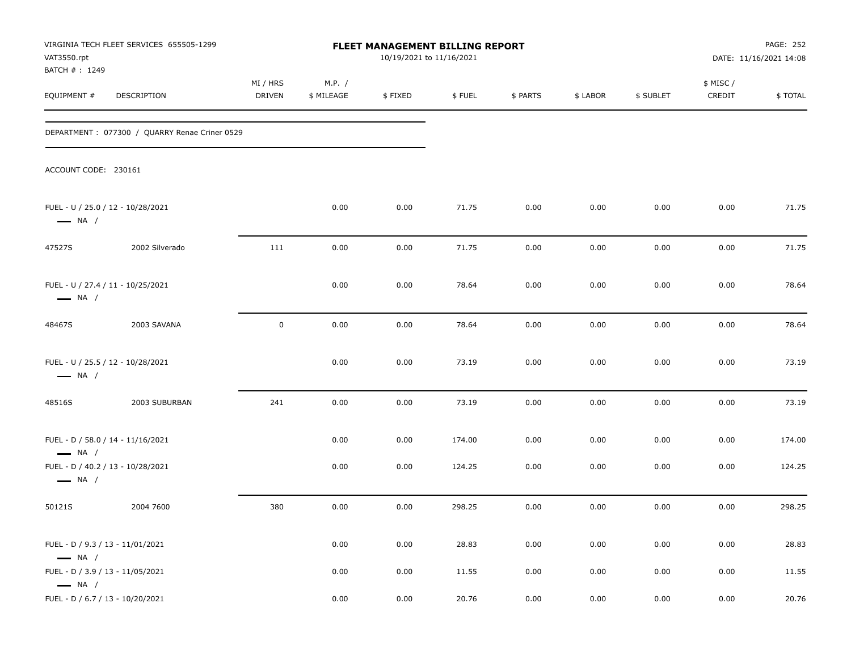| VAT3550.rpt<br>BATCH #: 1249                               | VIRGINIA TECH FLEET SERVICES 655505-1299      |                           |                      | <b>FLEET MANAGEMENT BILLING REPORT</b><br>10/19/2021 to 11/16/2021 |        |          |          |           |                     | <b>PAGE: 252</b><br>DATE: 11/16/2021 14:08 |
|------------------------------------------------------------|-----------------------------------------------|---------------------------|----------------------|--------------------------------------------------------------------|--------|----------|----------|-----------|---------------------|--------------------------------------------|
| EQUIPMENT #                                                | DESCRIPTION                                   | MI / HRS<br><b>DRIVEN</b> | M.P. /<br>\$ MILEAGE | \$FIXED                                                            | \$FUEL | \$ PARTS | \$ LABOR | \$ SUBLET | \$ MISC /<br>CREDIT | \$TOTAL                                    |
|                                                            | DEPARTMENT: 077300 / QUARRY Renae Criner 0529 |                           |                      |                                                                    |        |          |          |           |                     |                                            |
| ACCOUNT CODE: 230161                                       |                                               |                           |                      |                                                                    |        |          |          |           |                     |                                            |
| $\longrightarrow$ NA /                                     | FUEL - U / 25.0 / 12 - 10/28/2021             |                           | 0.00                 | 0.00                                                               | 71.75  | 0.00     | 0.00     | 0.00      | 0.00                | 71.75                                      |
| 47527S                                                     | 2002 Silverado                                | 111                       | 0.00                 | 0.00                                                               | 71.75  | 0.00     | 0.00     | 0.00      | 0.00                | 71.75                                      |
| $\longrightarrow$ NA /                                     | FUEL - U / 27.4 / 11 - 10/25/2021             |                           | 0.00                 | 0.00                                                               | 78.64  | 0.00     | 0.00     | 0.00      | 0.00                | 78.64                                      |
| 48467S                                                     | 2003 SAVANA                                   | $\pmb{0}$                 | 0.00                 | 0.00                                                               | 78.64  | 0.00     | 0.00     | 0.00      | 0.00                | 78.64                                      |
| $\longrightarrow$ NA /                                     | FUEL - U / 25.5 / 12 - 10/28/2021             |                           | 0.00                 | 0.00                                                               | 73.19  | 0.00     | 0.00     | 0.00      | 0.00                | 73.19                                      |
| 48516S                                                     | 2003 SUBURBAN                                 | 241                       | 0.00                 | 0.00                                                               | 73.19  | 0.00     | 0.00     | 0.00      | 0.00                | 73.19                                      |
| $\longrightarrow$ NA /                                     | FUEL - D / 58.0 / 14 - 11/16/2021             |                           | 0.00                 | 0.00                                                               | 174.00 | 0.00     | 0.00     | 0.00      | 0.00                | 174.00                                     |
| $\longrightarrow$ NA /                                     | FUEL - D / 40.2 / 13 - 10/28/2021             |                           | 0.00                 | 0.00                                                               | 124.25 | 0.00     | 0.00     | 0.00      | 0.00                | 124.25                                     |
| 50121S                                                     | 2004 7600                                     | 380                       | 0.00                 | 0.00                                                               | 298.25 | 0.00     | 0.00     | 0.00      | 0.00                | 298.25                                     |
| FUEL - D / 9.3 / 13 - 11/01/2021<br>$\longrightarrow$ NA / |                                               |                           | 0.00                 | 0.00                                                               | 28.83  | 0.00     | 0.00     | 0.00      | 0.00                | 28.83                                      |
| FUEL - D / 3.9 / 13 - 11/05/2021<br>$\longrightarrow$ NA / |                                               |                           | 0.00                 | 0.00                                                               | 11.55  | 0.00     | 0.00     | 0.00      | 0.00                | 11.55                                      |
| FUEL - D / 6.7 / 13 - 10/20/2021                           |                                               |                           | 0.00                 | 0.00                                                               | 20.76  | 0.00     | 0.00     | 0.00      | 0.00                | 20.76                                      |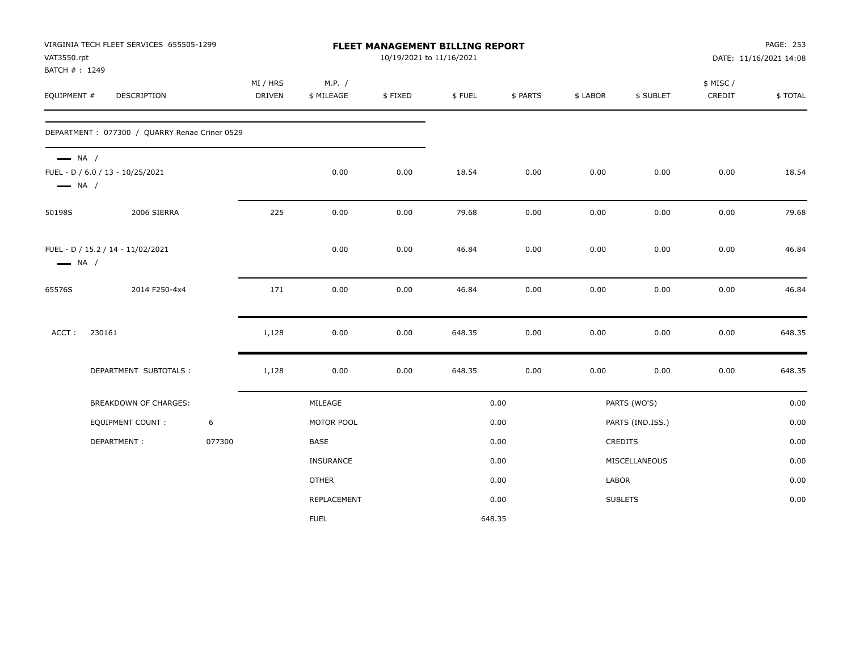| VAT3550.rpt<br>BATCH #: 1249                     | VIRGINIA TECH FLEET SERVICES 655505-1299      |        |                    |                      | 10/19/2021 to 11/16/2021 | FLEET MANAGEMENT BILLING REPORT |          |          |                  |                     | PAGE: 253<br>DATE: 11/16/2021 14:08 |
|--------------------------------------------------|-----------------------------------------------|--------|--------------------|----------------------|--------------------------|---------------------------------|----------|----------|------------------|---------------------|-------------------------------------|
| EQUIPMENT #                                      | DESCRIPTION                                   |        | MI / HRS<br>DRIVEN | M.P. /<br>\$ MILEAGE | \$FIXED                  | \$FUEL                          | \$ PARTS | \$ LABOR | \$ SUBLET        | \$ MISC /<br>CREDIT | \$TOTAL                             |
|                                                  | DEPARTMENT: 077300 / QUARRY Renae Criner 0529 |        |                    |                      |                          |                                 |          |          |                  |                     |                                     |
| $\longrightarrow$ NA /<br>$\longrightarrow$ NA / | FUEL - D / 6.0 / 13 - 10/25/2021              |        |                    | 0.00                 | 0.00                     | 18.54                           | 0.00     | 0.00     | 0.00             | 0.00                | 18.54                               |
| 50198S                                           | 2006 SIERRA                                   |        | 225                | 0.00                 | 0.00                     | 79.68                           | 0.00     | 0.00     | 0.00             | 0.00                | 79.68                               |
| $\longrightarrow$ NA /                           | FUEL - D / 15.2 / 14 - 11/02/2021             |        |                    | 0.00                 | 0.00                     | 46.84                           | 0.00     | 0.00     | 0.00             | 0.00                | 46.84                               |
| 65576S                                           | 2014 F250-4x4                                 |        | 171                | 0.00                 | 0.00                     | 46.84                           | 0.00     | 0.00     | 0.00             | 0.00                | 46.84                               |
| ACCT:                                            | 230161                                        |        | 1,128              | 0.00                 | 0.00                     | 648.35                          | 0.00     | 0.00     | 0.00             | 0.00                | 648.35                              |
|                                                  | DEPARTMENT SUBTOTALS :                        |        | 1,128              | 0.00                 | 0.00                     | 648.35                          | 0.00     | 0.00     | 0.00             | 0.00                | 648.35                              |
|                                                  | BREAKDOWN OF CHARGES:                         |        |                    | MILEAGE              |                          |                                 | 0.00     |          | PARTS (WO'S)     |                     | 0.00                                |
|                                                  | <b>EQUIPMENT COUNT:</b>                       | 6      |                    | MOTOR POOL           |                          |                                 | 0.00     |          | PARTS (IND.ISS.) |                     | 0.00                                |
|                                                  | DEPARTMENT:                                   | 077300 |                    | BASE                 |                          |                                 | 0.00     |          | CREDITS          |                     | 0.00                                |
|                                                  |                                               |        |                    | <b>INSURANCE</b>     |                          |                                 | 0.00     |          | MISCELLANEOUS    |                     | 0.00                                |
|                                                  |                                               |        |                    | <b>OTHER</b>         |                          |                                 | 0.00     | LABOR    |                  |                     | 0.00                                |
|                                                  |                                               |        |                    | REPLACEMENT          |                          |                                 | 0.00     |          | <b>SUBLETS</b>   |                     | 0.00                                |
|                                                  |                                               |        |                    | <b>FUEL</b>          |                          | 648.35                          |          |          |                  |                     |                                     |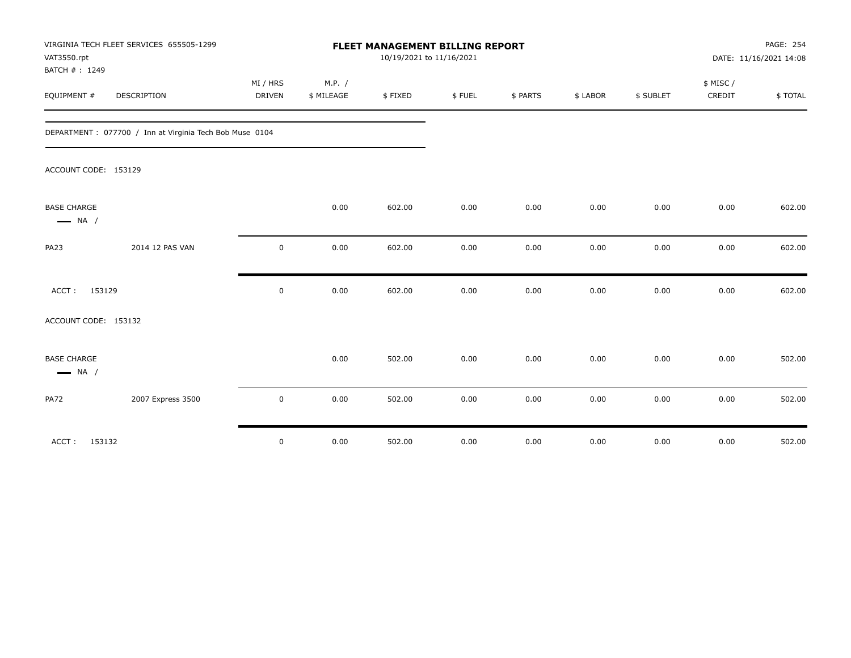| VAT3550.rpt<br>BATCH #: 1249                 | VIRGINIA TECH FLEET SERVICES 655505-1299                 |                           |                      | FLEET MANAGEMENT BILLING REPORT<br>10/19/2021 to 11/16/2021 |        |          |          |           |                    | PAGE: 254<br>DATE: 11/16/2021 14:08 |  |
|----------------------------------------------|----------------------------------------------------------|---------------------------|----------------------|-------------------------------------------------------------|--------|----------|----------|-----------|--------------------|-------------------------------------|--|
| EQUIPMENT #                                  | DESCRIPTION                                              | MI / HRS<br><b>DRIVEN</b> | M.P. /<br>\$ MILEAGE | \$FIXED                                                     | \$FUEL | \$ PARTS | \$ LABOR | \$ SUBLET | \$ MISC/<br>CREDIT | \$TOTAL                             |  |
|                                              | DEPARTMENT : 077700 / Inn at Virginia Tech Bob Muse 0104 |                           |                      |                                                             |        |          |          |           |                    |                                     |  |
| ACCOUNT CODE: 153129                         |                                                          |                           |                      |                                                             |        |          |          |           |                    |                                     |  |
| <b>BASE CHARGE</b><br>$\longrightarrow$ NA / |                                                          |                           | 0.00                 | 602.00                                                      | 0.00   | 0.00     | 0.00     | 0.00      | 0.00               | 602.00                              |  |
| <b>PA23</b>                                  | 2014 12 PAS VAN                                          | $\mathbf 0$               | 0.00                 | 602.00                                                      | 0.00   | 0.00     | 0.00     | 0.00      | 0.00               | 602.00                              |  |
| ACCT: 153129                                 |                                                          | $\mathbf 0$               | 0.00                 | 602.00                                                      | 0.00   | 0.00     | 0.00     | 0.00      | 0.00               | 602.00                              |  |
| ACCOUNT CODE: 153132                         |                                                          |                           |                      |                                                             |        |          |          |           |                    |                                     |  |
| <b>BASE CHARGE</b><br>$\longrightarrow$ NA / |                                                          |                           | 0.00                 | 502.00                                                      | 0.00   | 0.00     | 0.00     | 0.00      | 0.00               | 502.00                              |  |
| <b>PA72</b>                                  | 2007 Express 3500                                        | 0                         | 0.00                 | 502.00                                                      | 0.00   | 0.00     | 0.00     | 0.00      | 0.00               | 502.00                              |  |
| ACCT: 153132                                 |                                                          | $\mathbf 0$               | 0.00                 | 502.00                                                      | 0.00   | 0.00     | 0.00     | 0.00      | 0.00               | 502.00                              |  |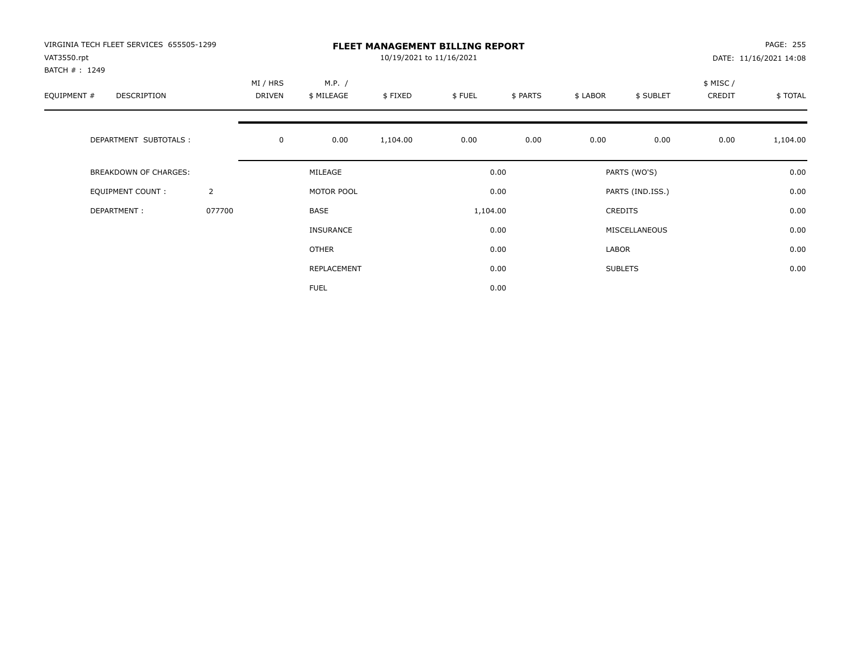| VIRGINIA TECH FLEET SERVICES 655505-1299<br>VAT3550.rpt<br>BATCH #: 1249 |                | <b>FLEET MANAGEMENT BILLING REPORT</b><br>10/19/2021 to 11/16/2021 |                      |          |          |          |          |                  |                    | PAGE: 255<br>DATE: 11/16/2021 14:08 |  |
|--------------------------------------------------------------------------|----------------|--------------------------------------------------------------------|----------------------|----------|----------|----------|----------|------------------|--------------------|-------------------------------------|--|
| EQUIPMENT #<br>DESCRIPTION                                               |                | MI / HRS<br>DRIVEN                                                 | M.P. /<br>\$ MILEAGE | \$FIXED  | \$FUEL   | \$ PARTS | \$ LABOR | \$ SUBLET        | \$ MISC/<br>CREDIT | \$TOTAL                             |  |
| DEPARTMENT SUBTOTALS :                                                   |                | $\mathbf 0$                                                        | 0.00                 | 1,104.00 | 0.00     | 0.00     | 0.00     | 0.00             | 0.00               | 1,104.00                            |  |
| BREAKDOWN OF CHARGES:                                                    |                |                                                                    | MILEAGE              |          |          | 0.00     |          | PARTS (WO'S)     |                    | 0.00                                |  |
| <b>EQUIPMENT COUNT:</b>                                                  | $\overline{2}$ |                                                                    | MOTOR POOL           |          |          | 0.00     |          | PARTS (IND.ISS.) |                    | 0.00                                |  |
| DEPARTMENT:                                                              | 077700         |                                                                    | BASE                 |          | 1,104.00 |          |          | <b>CREDITS</b>   |                    | 0.00                                |  |
|                                                                          |                |                                                                    | <b>INSURANCE</b>     |          |          | 0.00     |          | MISCELLANEOUS    |                    | 0.00                                |  |
|                                                                          |                |                                                                    | OTHER                |          |          | 0.00     | LABOR    |                  |                    | 0.00                                |  |
|                                                                          |                |                                                                    | REPLACEMENT          |          |          | 0.00     |          | <b>SUBLETS</b>   |                    | 0.00                                |  |
|                                                                          |                |                                                                    | <b>FUEL</b>          |          |          | 0.00     |          |                  |                    |                                     |  |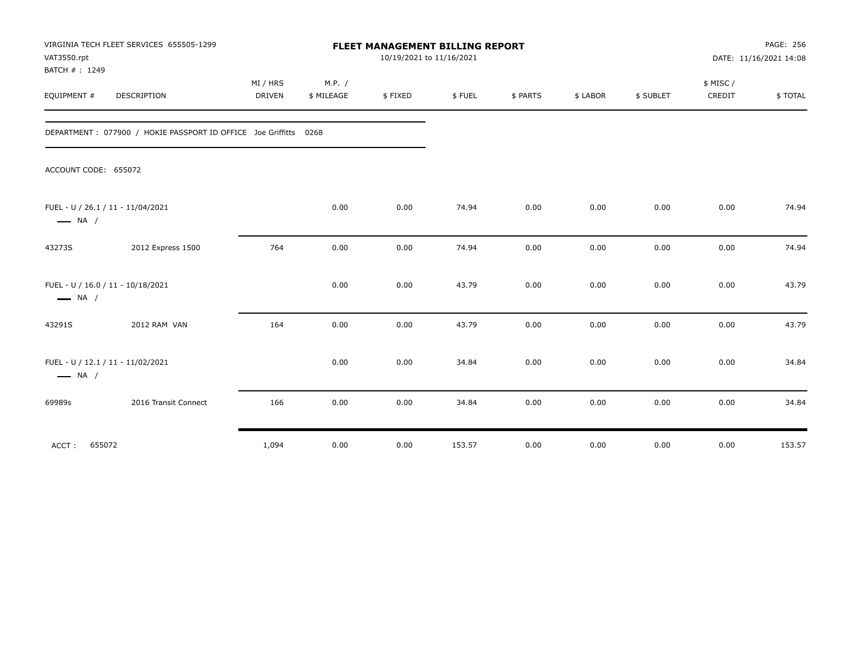| VAT3550.rpt<br>BATCH #: 1249 | VIRGINIA TECH FLEET SERVICES 655505-1299                         | FLEET MANAGEMENT BILLING REPORT<br>10/19/2021 to 11/16/2021 |                      |         |        |          |          |           |                    | PAGE: 256<br>DATE: 11/16/2021 14:08 |  |
|------------------------------|------------------------------------------------------------------|-------------------------------------------------------------|----------------------|---------|--------|----------|----------|-----------|--------------------|-------------------------------------|--|
| EQUIPMENT #                  | <b>DESCRIPTION</b>                                               | MI / HRS<br><b>DRIVEN</b>                                   | M.P. /<br>\$ MILEAGE | \$FIXED | \$FUEL | \$ PARTS | \$ LABOR | \$ SUBLET | \$ MISC/<br>CREDIT | \$TOTAL                             |  |
|                              | DEPARTMENT: 077900 / HOKIE PASSPORT ID OFFICE Joe Griffitts 0268 |                                                             |                      |         |        |          |          |           |                    |                                     |  |
| ACCOUNT CODE: 655072         |                                                                  |                                                             |                      |         |        |          |          |           |                    |                                     |  |
| $\longrightarrow$ NA /       | FUEL - U / 26.1 / 11 - 11/04/2021                                |                                                             | 0.00                 | 0.00    | 74.94  | 0.00     | 0.00     | 0.00      | 0.00               | 74.94                               |  |
| 43273S                       | 2012 Express 1500                                                | 764                                                         | 0.00                 | 0.00    | 74.94  | 0.00     | 0.00     | 0.00      | 0.00               | 74.94                               |  |
| $\longrightarrow$ NA /       | FUEL - U / 16.0 / 11 - 10/18/2021                                |                                                             | 0.00                 | 0.00    | 43.79  | 0.00     | 0.00     | 0.00      | 0.00               | 43.79                               |  |
| 43291S                       | 2012 RAM VAN                                                     | 164                                                         | 0.00                 | 0.00    | 43.79  | 0.00     | 0.00     | 0.00      | 0.00               | 43.79                               |  |
| $\longrightarrow$ NA /       | FUEL - U / 12.1 / 11 - 11/02/2021                                |                                                             | 0.00                 | 0.00    | 34.84  | 0.00     | 0.00     | 0.00      | 0.00               | 34.84                               |  |
| 69989s                       | 2016 Transit Connect                                             | 166                                                         | 0.00                 | 0.00    | 34.84  | 0.00     | 0.00     | 0.00      | 0.00               | 34.84                               |  |
| ACCT:                        | 655072                                                           | 1,094                                                       | 0.00                 | 0.00    | 153.57 | 0.00     | 0.00     | 0.00      | 0.00               | 153.57                              |  |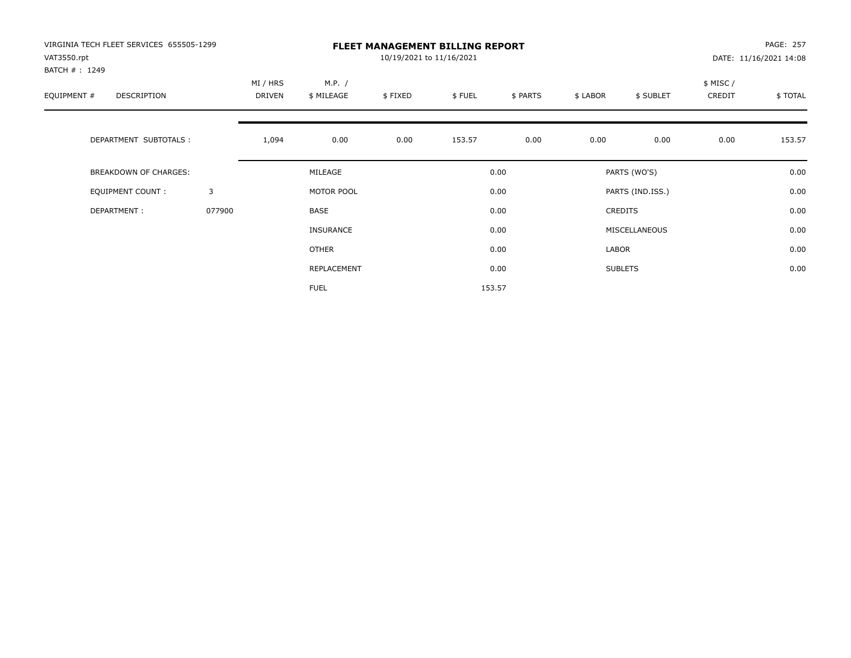| VIRGINIA TECH FLEET SERVICES 655505-1299<br>VAT3550.rpt<br>BATCH #: 1249 |        | <b>FLEET MANAGEMENT BILLING REPORT</b><br>10/19/2021 to 11/16/2021 |                      |         |        |          |          |                  |                    | PAGE: 257<br>DATE: 11/16/2021 14:08 |  |
|--------------------------------------------------------------------------|--------|--------------------------------------------------------------------|----------------------|---------|--------|----------|----------|------------------|--------------------|-------------------------------------|--|
| EQUIPMENT #<br>DESCRIPTION                                               |        | MI / HRS<br>DRIVEN                                                 | M.P. /<br>\$ MILEAGE | \$FIXED | \$FUEL | \$ PARTS | \$ LABOR | \$ SUBLET        | \$ MISC/<br>CREDIT | \$ TOTAL                            |  |
| DEPARTMENT SUBTOTALS :                                                   |        | 1,094                                                              | 0.00                 | 0.00    | 153.57 | 0.00     | 0.00     | 0.00             | 0.00               | 153.57                              |  |
| BREAKDOWN OF CHARGES:                                                    |        |                                                                    | MILEAGE              |         |        | 0.00     |          | PARTS (WO'S)     |                    | 0.00                                |  |
| <b>EQUIPMENT COUNT:</b>                                                  | 3      |                                                                    | MOTOR POOL           |         |        | 0.00     |          | PARTS (IND.ISS.) |                    | 0.00                                |  |
| DEPARTMENT:                                                              | 077900 |                                                                    | BASE                 |         |        | 0.00     |          | <b>CREDITS</b>   |                    | 0.00                                |  |
|                                                                          |        |                                                                    | <b>INSURANCE</b>     |         |        | 0.00     |          | MISCELLANEOUS    |                    | 0.00                                |  |
|                                                                          |        |                                                                    | OTHER                |         |        | 0.00     | LABOR    |                  |                    | 0.00                                |  |
|                                                                          |        |                                                                    | REPLACEMENT          |         |        | 0.00     |          | <b>SUBLETS</b>   |                    | 0.00                                |  |
|                                                                          |        |                                                                    | <b>FUEL</b>          |         |        | 153.57   |          |                  |                    |                                     |  |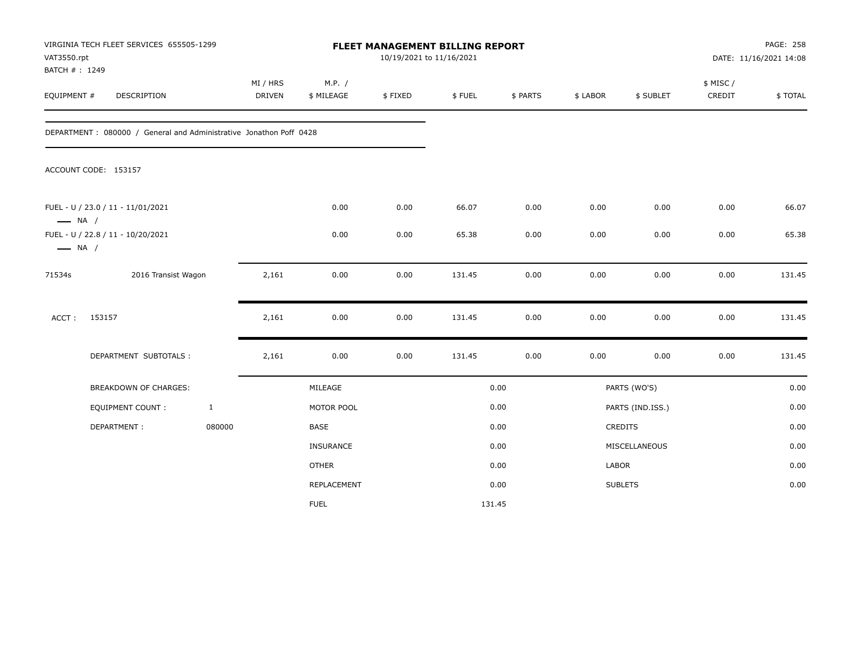| VAT3550.rpt<br>BATCH #: 1249 | VIRGINIA TECH FLEET SERVICES 655505-1299                            |              |                           |                      | 10/19/2021 to 11/16/2021 | FLEET MANAGEMENT BILLING REPORT |          |          |                  |                    | PAGE: 258<br>DATE: 11/16/2021 14:08 |
|------------------------------|---------------------------------------------------------------------|--------------|---------------------------|----------------------|--------------------------|---------------------------------|----------|----------|------------------|--------------------|-------------------------------------|
| EQUIPMENT #                  | <b>DESCRIPTION</b>                                                  |              | MI / HRS<br><b>DRIVEN</b> | M.P. /<br>\$ MILEAGE | \$FIXED                  | \$FUEL                          | \$ PARTS | \$ LABOR | \$ SUBLET        | \$ MISC/<br>CREDIT | \$TOTAL                             |
|                              | DEPARTMENT : 080000 / General and Administrative Jonathon Poff 0428 |              |                           |                      |                          |                                 |          |          |                  |                    |                                     |
|                              | ACCOUNT CODE: 153157                                                |              |                           |                      |                          |                                 |          |          |                  |                    |                                     |
| $\longrightarrow$ NA /       | FUEL - U / 23.0 / 11 - 11/01/2021                                   |              |                           | 0.00                 | 0.00                     | 66.07                           | 0.00     | 0.00     | 0.00             | 0.00               | 66.07                               |
| $\longrightarrow$ NA /       | FUEL - U / 22.8 / 11 - 10/20/2021                                   |              |                           | 0.00                 | 0.00                     | 65.38                           | 0.00     | 0.00     | 0.00             | 0.00               | 65.38                               |
| 71534s                       | 2016 Transist Wagon                                                 |              | 2,161                     | 0.00                 | 0.00                     | 131.45                          | 0.00     | 0.00     | 0.00             | 0.00               | 131.45                              |
| ACCT:                        | 153157                                                              |              | 2,161                     | 0.00                 | 0.00                     | 131.45                          | 0.00     | 0.00     | 0.00             | 0.00               | 131.45                              |
|                              | DEPARTMENT SUBTOTALS :                                              |              | 2,161                     | 0.00                 | 0.00                     | 131.45                          | 0.00     | 0.00     | 0.00             | 0.00               | 131.45                              |
|                              | <b>BREAKDOWN OF CHARGES:</b>                                        |              |                           | MILEAGE              |                          |                                 | 0.00     |          | PARTS (WO'S)     |                    | 0.00                                |
|                              | EQUIPMENT COUNT :                                                   | $\mathbf{1}$ |                           | MOTOR POOL           |                          |                                 | 0.00     |          | PARTS (IND.ISS.) |                    | 0.00                                |
|                              | DEPARTMENT:                                                         | 080000       |                           | BASE                 |                          |                                 | 0.00     |          | CREDITS          |                    | 0.00                                |
|                              |                                                                     |              |                           | INSURANCE            |                          |                                 | 0.00     |          | MISCELLANEOUS    |                    | 0.00                                |
|                              |                                                                     |              |                           | <b>OTHER</b>         |                          |                                 | 0.00     | LABOR    |                  |                    | 0.00                                |
|                              |                                                                     |              |                           | REPLACEMENT          |                          |                                 | 0.00     |          | <b>SUBLETS</b>   |                    | 0.00                                |
|                              |                                                                     |              |                           | <b>FUEL</b>          |                          |                                 | 131.45   |          |                  |                    |                                     |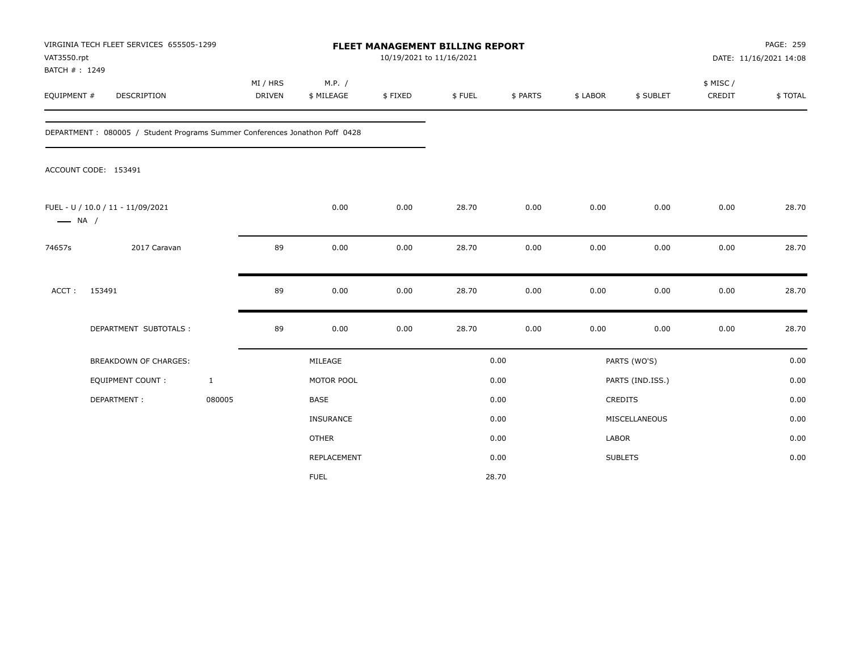| VAT3550.rpt<br>BATCH #: 1249 | VIRGINIA TECH FLEET SERVICES 655505-1299                                    |                           | <b>FLEET MANAGEMENT BILLING REPORT</b><br>10/19/2021 to 11/16/2021 |         |        |          |              |                  | PAGE: 259<br>DATE: 11/16/2021 14:08 |         |
|------------------------------|-----------------------------------------------------------------------------|---------------------------|--------------------------------------------------------------------|---------|--------|----------|--------------|------------------|-------------------------------------|---------|
| EQUIPMENT #                  | DESCRIPTION                                                                 | MI / HRS<br><b>DRIVEN</b> | M.P. /<br>\$ MILEAGE                                               | \$FIXED | \$FUEL | \$ PARTS | \$ LABOR     | \$ SUBLET        | \$ MISC /<br>CREDIT                 | \$TOTAL |
|                              | DEPARTMENT: 080005 / Student Programs Summer Conferences Jonathon Poff 0428 |                           |                                                                    |         |        |          |              |                  |                                     |         |
|                              | ACCOUNT CODE: 153491                                                        |                           |                                                                    |         |        |          |              |                  |                                     |         |
| $\longrightarrow$ NA /       | FUEL - U / 10.0 / 11 - 11/09/2021                                           |                           | 0.00                                                               | 0.00    | 28.70  | 0.00     | 0.00         | 0.00             | 0.00                                | 28.70   |
| 74657s                       | 2017 Caravan                                                                | 89                        | 0.00                                                               | 0.00    | 28.70  | 0.00     | 0.00         | 0.00             | 0.00                                | 28.70   |
| ACCT:                        | 153491                                                                      | 89                        | 0.00                                                               | 0.00    | 28.70  | 0.00     | 0.00         | 0.00             | 0.00                                | 28.70   |
|                              | DEPARTMENT SUBTOTALS :                                                      | 89                        | 0.00                                                               | 0.00    | 28.70  | 0.00     | 0.00         | 0.00             | 0.00                                | 28.70   |
|                              | <b>BREAKDOWN OF CHARGES:</b>                                                |                           | MILEAGE                                                            |         |        | 0.00     |              | PARTS (WO'S)     |                                     | 0.00    |
|                              | EQUIPMENT COUNT :                                                           | $\mathbf{1}$              | MOTOR POOL                                                         |         |        | 0.00     |              | PARTS (IND.ISS.) |                                     | 0.00    |
|                              | DEPARTMENT:                                                                 | 080005                    | <b>BASE</b>                                                        |         |        | 0.00     |              | CREDITS          |                                     | 0.00    |
|                              |                                                                             |                           | INSURANCE                                                          |         |        | 0.00     |              | MISCELLANEOUS    |                                     | 0.00    |
|                              |                                                                             |                           | <b>OTHER</b>                                                       |         |        | 0.00     | <b>LABOR</b> |                  |                                     | 0.00    |
|                              |                                                                             |                           | REPLACEMENT                                                        |         |        | 0.00     |              | <b>SUBLETS</b>   |                                     | 0.00    |
|                              |                                                                             |                           | <b>FUEL</b>                                                        |         |        | 28.70    |              |                  |                                     |         |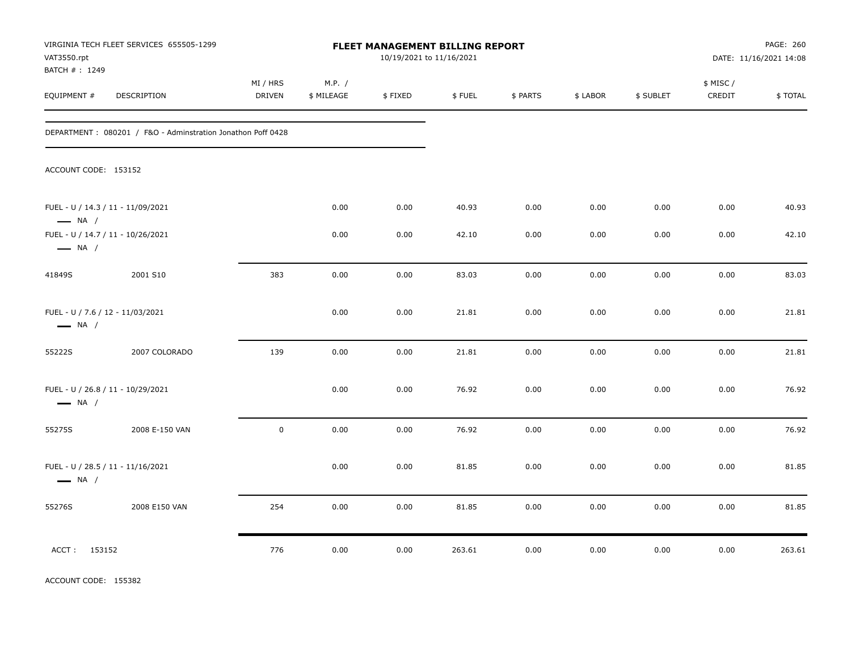| VAT3550.rpt<br>BATCH #: 1249                                | VIRGINIA TECH FLEET SERVICES 655505-1299                    |                    |                      | FLEET MANAGEMENT BILLING REPORT<br>10/19/2021 to 11/16/2021 |        |          |          |           |                     | PAGE: 260<br>DATE: 11/16/2021 14:08 |
|-------------------------------------------------------------|-------------------------------------------------------------|--------------------|----------------------|-------------------------------------------------------------|--------|----------|----------|-----------|---------------------|-------------------------------------|
| EQUIPMENT #                                                 | DESCRIPTION                                                 | MI / HRS<br>DRIVEN | M.P. /<br>\$ MILEAGE | \$FIXED                                                     | \$FUEL | \$ PARTS | \$ LABOR | \$ SUBLET | \$ MISC /<br>CREDIT | \$TOTAL                             |
|                                                             | DEPARTMENT: 080201 / F&O - Adminstration Jonathon Poff 0428 |                    |                      |                                                             |        |          |          |           |                     |                                     |
| ACCOUNT CODE: 153152                                        |                                                             |                    |                      |                                                             |        |          |          |           |                     |                                     |
| FUEL - U / 14.3 / 11 - 11/09/2021<br>$\longrightarrow$ NA / |                                                             |                    | 0.00                 | 0.00                                                        | 40.93  | 0.00     | 0.00     | 0.00      | 0.00                | 40.93                               |
| FUEL - U / 14.7 / 11 - 10/26/2021<br>$\longrightarrow$ NA / |                                                             |                    | 0.00                 | 0.00                                                        | 42.10  | 0.00     | 0.00     | 0.00      | 0.00                | 42.10                               |
| 41849S                                                      | 2001 S10                                                    | 383                | 0.00                 | 0.00                                                        | 83.03  | 0.00     | 0.00     | 0.00      | 0.00                | 83.03                               |
| FUEL - U / 7.6 / 12 - 11/03/2021<br>$\longrightarrow$ NA /  |                                                             |                    | 0.00                 | 0.00                                                        | 21.81  | 0.00     | 0.00     | 0.00      | 0.00                | 21.81                               |
| 55222S                                                      | 2007 COLORADO                                               | 139                | 0.00                 | 0.00                                                        | 21.81  | 0.00     | 0.00     | 0.00      | 0.00                | 21.81                               |
| FUEL - U / 26.8 / 11 - 10/29/2021<br>$\longrightarrow$ NA / |                                                             |                    | 0.00                 | 0.00                                                        | 76.92  | 0.00     | 0.00     | 0.00      | 0.00                | 76.92                               |
| 55275S                                                      | 2008 E-150 VAN                                              | $\mathsf 0$        | 0.00                 | 0.00                                                        | 76.92  | 0.00     | 0.00     | 0.00      | 0.00                | 76.92                               |
| FUEL - U / 28.5 / 11 - 11/16/2021<br>$\longrightarrow$ NA / |                                                             |                    | 0.00                 | 0.00                                                        | 81.85  | 0.00     | 0.00     | 0.00      | 0.00                | 81.85                               |
| 55276S                                                      | 2008 E150 VAN                                               | 254                | 0.00                 | 0.00                                                        | 81.85  | 0.00     | 0.00     | 0.00      | 0.00                | 81.85                               |
| ACCT: 153152                                                |                                                             | 776                | 0.00                 | 0.00                                                        | 263.61 | 0.00     | 0.00     | 0.00      | 0.00                | 263.61                              |

ACCOUNT CODE: 155382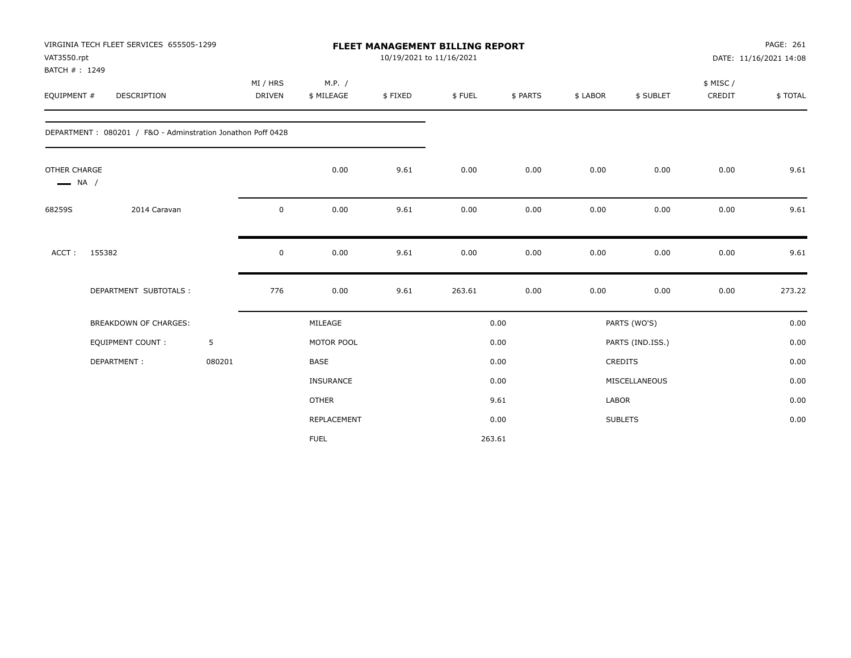| VAT3550.rpt<br>BATCH #: 1249           | VIRGINIA TECH FLEET SERVICES 655505-1299                    |        |                           |                      | <b>FLEET MANAGEMENT BILLING REPORT</b><br>10/19/2021 to 11/16/2021 |        |          |          |                  |                    | PAGE: 261<br>DATE: 11/16/2021 14:08 |
|----------------------------------------|-------------------------------------------------------------|--------|---------------------------|----------------------|--------------------------------------------------------------------|--------|----------|----------|------------------|--------------------|-------------------------------------|
| EQUIPMENT #                            | DESCRIPTION                                                 |        | MI / HRS<br><b>DRIVEN</b> | M.P. /<br>\$ MILEAGE | \$FIXED                                                            | \$FUEL | \$ PARTS | \$ LABOR | \$ SUBLET        | \$ MISC/<br>CREDIT | \$TOTAL                             |
|                                        | DEPARTMENT: 080201 / F&O - Adminstration Jonathon Poff 0428 |        |                           |                      |                                                                    |        |          |          |                  |                    |                                     |
| OTHER CHARGE<br>$\longrightarrow$ NA / |                                                             |        |                           | 0.00                 | 9.61                                                               | 0.00   | 0.00     | 0.00     | 0.00             | 0.00               | 9.61                                |
| 68259S                                 | 2014 Caravan                                                |        | 0                         | 0.00                 | 9.61                                                               | 0.00   | 0.00     | 0.00     | 0.00             | 0.00               | 9.61                                |
| ACCT:                                  | 155382                                                      |        | 0                         | 0.00                 | 9.61                                                               | 0.00   | 0.00     | 0.00     | 0.00             | 0.00               | 9.61                                |
|                                        | DEPARTMENT SUBTOTALS :                                      |        | 776                       | 0.00                 | 9.61                                                               | 263.61 | 0.00     | 0.00     | 0.00             | 0.00               | 273.22                              |
|                                        | <b>BREAKDOWN OF CHARGES:</b>                                |        |                           | MILEAGE              |                                                                    |        | 0.00     |          | PARTS (WO'S)     |                    | 0.00                                |
|                                        | <b>EQUIPMENT COUNT:</b>                                     | 5      |                           | MOTOR POOL           |                                                                    |        | 0.00     |          | PARTS (IND.ISS.) |                    | 0.00                                |
|                                        | DEPARTMENT:                                                 | 080201 |                           | BASE                 |                                                                    |        | 0.00     |          | CREDITS          |                    | 0.00                                |
|                                        |                                                             |        |                           | INSURANCE            |                                                                    |        | 0.00     |          | MISCELLANEOUS    |                    | 0.00                                |
|                                        |                                                             |        |                           | <b>OTHER</b>         |                                                                    |        | 9.61     | LABOR    |                  |                    | 0.00                                |
|                                        |                                                             |        |                           | REPLACEMENT          |                                                                    |        | 0.00     |          | <b>SUBLETS</b>   |                    | 0.00                                |
|                                        |                                                             |        |                           | <b>FUEL</b>          |                                                                    |        | 263.61   |          |                  |                    |                                     |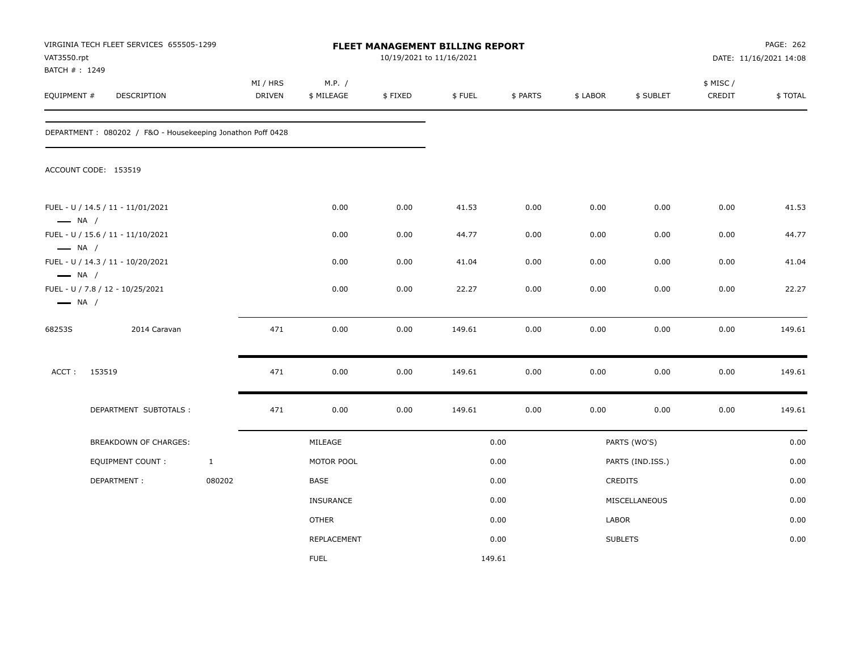| VAT3550.rpt<br>BATCH #: 1249                     | VIRGINIA TECH FLEET SERVICES 655505-1299                   |              |                           |                      | FLEET MANAGEMENT BILLING REPORT<br>10/19/2021 to 11/16/2021 |        |          |          |                  |                    | PAGE: 262<br>DATE: 11/16/2021 14:08 |
|--------------------------------------------------|------------------------------------------------------------|--------------|---------------------------|----------------------|-------------------------------------------------------------|--------|----------|----------|------------------|--------------------|-------------------------------------|
| EQUIPMENT #                                      | DESCRIPTION                                                |              | MI / HRS<br><b>DRIVEN</b> | M.P. /<br>\$ MILEAGE | \$FIXED                                                     | \$FUEL | \$ PARTS | \$ LABOR | \$ SUBLET        | \$ MISC/<br>CREDIT | \$TOTAL                             |
|                                                  | DEPARTMENT: 080202 / F&O - Housekeeping Jonathon Poff 0428 |              |                           |                      |                                                             |        |          |          |                  |                    |                                     |
|                                                  | ACCOUNT CODE: 153519                                       |              |                           |                      |                                                             |        |          |          |                  |                    |                                     |
| $\longrightarrow$ NA /                           | FUEL - U / 14.5 / 11 - 11/01/2021                          |              |                           | 0.00                 | 0.00                                                        | 41.53  | 0.00     | 0.00     | 0.00             | 0.00               | 41.53                               |
|                                                  | FUEL - U / 15.6 / 11 - 11/10/2021                          |              |                           | 0.00                 | 0.00                                                        | 44.77  | 0.00     | 0.00     | 0.00             | 0.00               | 44.77                               |
| $\longrightarrow$ NA /<br>$\longrightarrow$ NA / | FUEL - U / 14.3 / 11 - 10/20/2021                          |              |                           | 0.00                 | 0.00                                                        | 41.04  | 0.00     | 0.00     | 0.00             | 0.00               | 41.04                               |
| $\longrightarrow$ NA /                           | FUEL - U / 7.8 / 12 - 10/25/2021                           |              |                           | 0.00                 | 0.00                                                        | 22.27  | 0.00     | 0.00     | 0.00             | 0.00               | 22.27                               |
| 68253S                                           | 2014 Caravan                                               |              | 471                       | 0.00                 | 0.00                                                        | 149.61 | 0.00     | 0.00     | 0.00             | 0.00               | 149.61                              |
| ACCT:                                            | 153519                                                     |              | 471                       | 0.00                 | 0.00                                                        | 149.61 | 0.00     | 0.00     | 0.00             | 0.00               | 149.61                              |
|                                                  | DEPARTMENT SUBTOTALS :                                     |              | 471                       | 0.00                 | 0.00                                                        | 149.61 | 0.00     | 0.00     | 0.00             | 0.00               | 149.61                              |
|                                                  | BREAKDOWN OF CHARGES:                                      |              |                           | MILEAGE              |                                                             |        | 0.00     |          | PARTS (WO'S)     |                    | 0.00                                |
|                                                  | <b>EQUIPMENT COUNT:</b>                                    | $\mathbf{1}$ |                           | MOTOR POOL           |                                                             |        | 0.00     |          | PARTS (IND.ISS.) |                    | 0.00                                |
|                                                  | DEPARTMENT:                                                | 080202       |                           | BASE                 |                                                             |        | 0.00     |          | CREDITS          |                    | 0.00                                |
|                                                  |                                                            |              |                           | <b>INSURANCE</b>     |                                                             |        | 0.00     |          | MISCELLANEOUS    |                    | 0.00                                |
|                                                  |                                                            |              |                           | <b>OTHER</b>         |                                                             |        | 0.00     | LABOR    |                  |                    | 0.00                                |
|                                                  |                                                            |              |                           | REPLACEMENT          |                                                             |        | 0.00     |          | <b>SUBLETS</b>   |                    | 0.00                                |
|                                                  |                                                            |              |                           | <b>FUEL</b>          |                                                             |        | 149.61   |          |                  |                    |                                     |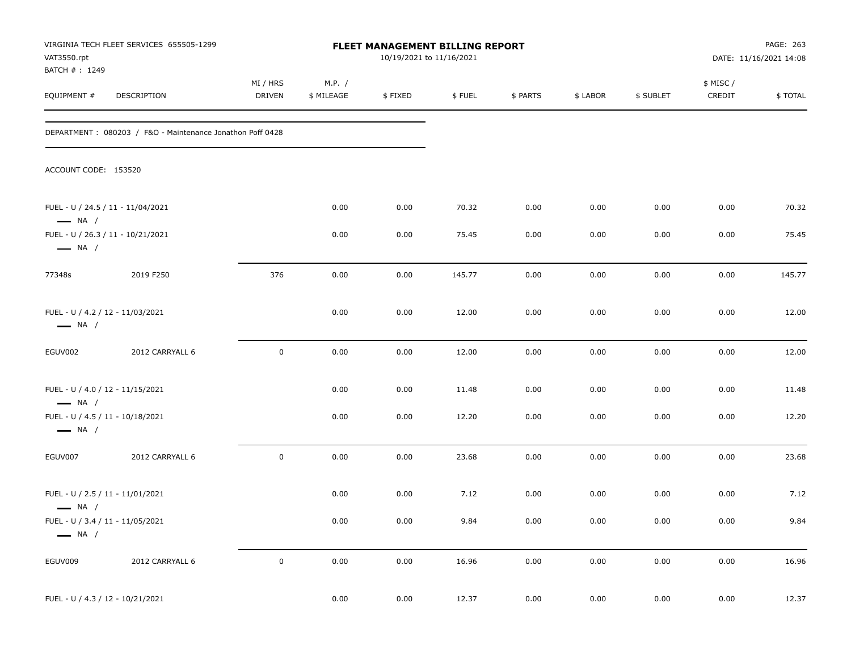| VAT3550.rpt                                                | VIRGINIA TECH FLEET SERVICES 655505-1299                  |                           |                      | FLEET MANAGEMENT BILLING REPORT<br>10/19/2021 to 11/16/2021 |        |          |          |           |                    | PAGE: 263<br>DATE: 11/16/2021 14:08 |
|------------------------------------------------------------|-----------------------------------------------------------|---------------------------|----------------------|-------------------------------------------------------------|--------|----------|----------|-----------|--------------------|-------------------------------------|
| BATCH #: 1249<br>EQUIPMENT #                               | DESCRIPTION                                               | MI / HRS<br><b>DRIVEN</b> | M.P. /<br>\$ MILEAGE | \$FIXED                                                     | \$FUEL | \$ PARTS | \$ LABOR | \$ SUBLET | \$ MISC/<br>CREDIT | \$TOTAL                             |
|                                                            | DEPARTMENT: 080203 / F&O - Maintenance Jonathon Poff 0428 |                           |                      |                                                             |        |          |          |           |                    |                                     |
| ACCOUNT CODE: 153520                                       |                                                           |                           |                      |                                                             |        |          |          |           |                    |                                     |
| $\longrightarrow$ NA /                                     | FUEL - U / 24.5 / 11 - 11/04/2021                         |                           | 0.00                 | 0.00                                                        | 70.32  | 0.00     | 0.00     | 0.00      | 0.00               | 70.32                               |
| $\longrightarrow$ NA /                                     | FUEL - U / 26.3 / 11 - 10/21/2021                         |                           | 0.00                 | 0.00                                                        | 75.45  | 0.00     | 0.00     | 0.00      | 0.00               | 75.45                               |
| 77348s                                                     | 2019 F250                                                 | 376                       | 0.00                 | 0.00                                                        | 145.77 | 0.00     | 0.00     | 0.00      | 0.00               | 145.77                              |
| FUEL - U / 4.2 / 12 - 11/03/2021<br>$\longrightarrow$ NA / |                                                           |                           | 0.00                 | 0.00                                                        | 12.00  | 0.00     | 0.00     | 0.00      | 0.00               | 12.00                               |
| EGUV002                                                    | 2012 CARRYALL 6                                           | $\mathsf 0$               | 0.00                 | 0.00                                                        | 12.00  | 0.00     | 0.00     | 0.00      | 0.00               | 12.00                               |
| FUEL - U / 4.0 / 12 - 11/15/2021<br>$\longrightarrow$ NA / |                                                           |                           | 0.00                 | 0.00                                                        | 11.48  | 0.00     | 0.00     | 0.00      | 0.00               | 11.48                               |
| FUEL - U / 4.5 / 11 - 10/18/2021<br>$\longrightarrow$ NA / |                                                           |                           | 0.00                 | 0.00                                                        | 12.20  | 0.00     | 0.00     | 0.00      | 0.00               | 12.20                               |
| EGUV007                                                    | 2012 CARRYALL 6                                           | $\mathsf 0$               | 0.00                 | 0.00                                                        | 23.68  | 0.00     | 0.00     | 0.00      | 0.00               | 23.68                               |
| FUEL - U / 2.5 / 11 - 11/01/2021<br>$\longrightarrow$ NA / |                                                           |                           | 0.00                 | 0.00                                                        | 7.12   | 0.00     | 0.00     | 0.00      | 0.00               | 7.12                                |
| FUEL - U / 3.4 / 11 - 11/05/2021<br>$\longrightarrow$ NA / |                                                           |                           | 0.00                 | $0.00\,$                                                    | 9.84   | 0.00     | $0.00\,$ | 0.00      | 0.00               | 9.84                                |
| EGUV009                                                    | 2012 CARRYALL 6                                           | $\mathbf 0$               | 0.00                 | 0.00                                                        | 16.96  | 0.00     | 0.00     | 0.00      | $0.00\,$           | 16.96                               |
| FUEL - U / 4.3 / 12 - 10/21/2021                           |                                                           |                           | 0.00                 | 0.00                                                        | 12.37  | $0.00\,$ | $0.00\,$ | 0.00      | $0.00\,$           | 12.37                               |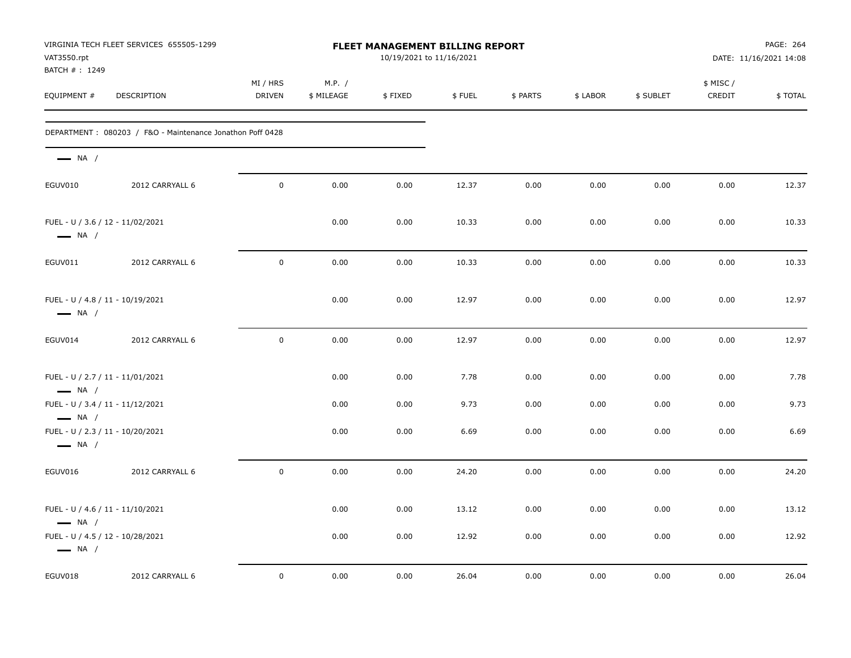| VAT3550.rpt                  | VIRGINIA TECH FLEET SERVICES 655505-1299                  |                           |                      | <b>FLEET MANAGEMENT BILLING REPORT</b><br>10/19/2021 to 11/16/2021 |        |          |          |           |                     | PAGE: 264<br>DATE: 11/16/2021 14:08 |
|------------------------------|-----------------------------------------------------------|---------------------------|----------------------|--------------------------------------------------------------------|--------|----------|----------|-----------|---------------------|-------------------------------------|
| BATCH #: 1249<br>EQUIPMENT # | DESCRIPTION                                               | MI / HRS<br><b>DRIVEN</b> | M.P. /<br>\$ MILEAGE | \$FIXED                                                            | \$FUEL | \$ PARTS | \$ LABOR | \$ SUBLET | \$ MISC /<br>CREDIT | \$TOTAL                             |
|                              | DEPARTMENT: 080203 / F&O - Maintenance Jonathon Poff 0428 |                           |                      |                                                                    |        |          |          |           |                     |                                     |
| $\longrightarrow$ NA /       |                                                           |                           |                      |                                                                    |        |          |          |           |                     |                                     |
| EGUV010                      | 2012 CARRYALL 6                                           | $\mathbf 0$               | 0.00                 | 0.00                                                               | 12.37  | 0.00     | 0.00     | 0.00      | 0.00                | 12.37                               |
| $\longrightarrow$ NA /       | FUEL - U / 3.6 / 12 - 11/02/2021                          |                           | 0.00                 | 0.00                                                               | 10.33  | 0.00     | 0.00     | 0.00      | 0.00                | 10.33                               |
| EGUV011                      | 2012 CARRYALL 6                                           | $\pmb{0}$                 | 0.00                 | 0.00                                                               | 10.33  | 0.00     | 0.00     | 0.00      | 0.00                | 10.33                               |
| $\longrightarrow$ NA /       | FUEL - U / 4.8 / 11 - 10/19/2021                          |                           | 0.00                 | 0.00                                                               | 12.97  | 0.00     | 0.00     | 0.00      | 0.00                | 12.97                               |
| EGUV014                      | 2012 CARRYALL 6                                           | $\mathbf 0$               | 0.00                 | 0.00                                                               | 12.97  | 0.00     | 0.00     | 0.00      | 0.00                | 12.97                               |
| $\longrightarrow$ NA /       | FUEL - U / 2.7 / 11 - 11/01/2021                          |                           | 0.00                 | 0.00                                                               | 7.78   | 0.00     | 0.00     | 0.00      | 0.00                | 7.78                                |
| $\longrightarrow$ NA /       | FUEL - U / 3.4 / 11 - 11/12/2021                          |                           | 0.00                 | 0.00                                                               | 9.73   | 0.00     | 0.00     | 0.00      | 0.00                | 9.73                                |
| $\longrightarrow$ NA /       | FUEL - U / 2.3 / 11 - 10/20/2021                          |                           | 0.00                 | 0.00                                                               | 6.69   | 0.00     | 0.00     | 0.00      | 0.00                | 6.69                                |
| EGUV016                      | 2012 CARRYALL 6                                           | $\mathbf 0$               | 0.00                 | 0.00                                                               | 24.20  | 0.00     | 0.00     | 0.00      | 0.00                | 24.20                               |
| $\longrightarrow$ NA /       | FUEL - U / 4.6 / 11 - 11/10/2021                          |                           | 0.00                 | 0.00                                                               | 13.12  | 0.00     | 0.00     | 0.00      | 0.00                | 13.12                               |
| $\longrightarrow$ NA /       | FUEL - U / 4.5 / 12 - 10/28/2021                          |                           | 0.00                 | 0.00                                                               | 12.92  | 0.00     | 0.00     | 0.00      | 0.00                | 12.92                               |
| EGUV018                      | 2012 CARRYALL 6                                           | $\mathbf 0$               | 0.00                 | 0.00                                                               | 26.04  | 0.00     | 0.00     | 0.00      | 0.00                | 26.04                               |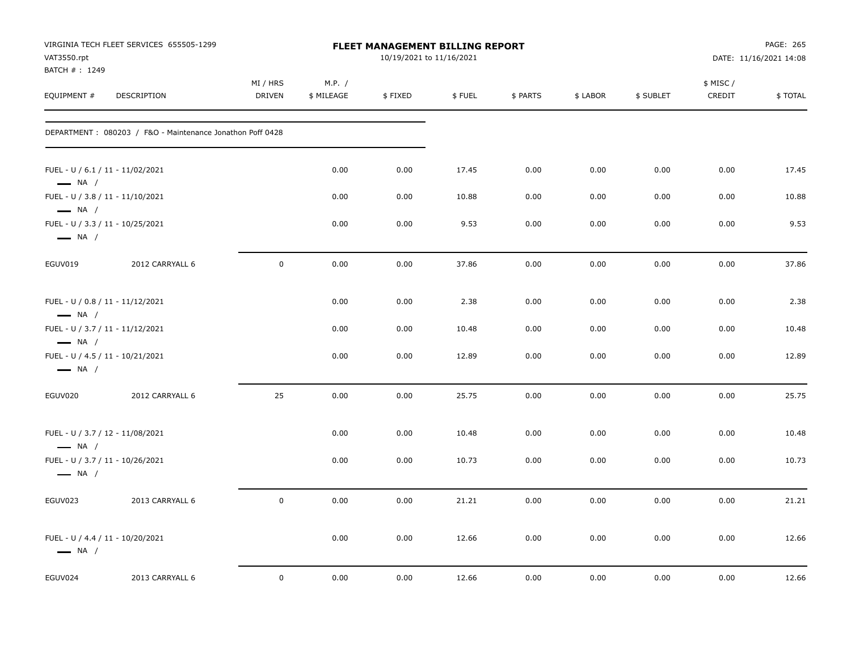| VIRGINIA TECH FLEET SERVICES 655505-1299<br>VAT3550.rpt<br>BATCH # : 1249            |                                                           |                           |                      | FLEET MANAGEMENT BILLING REPORT<br>10/19/2021 to 11/16/2021 |        |          |          |           |                     | PAGE: 265<br>DATE: 11/16/2021 14:08 |  |
|--------------------------------------------------------------------------------------|-----------------------------------------------------------|---------------------------|----------------------|-------------------------------------------------------------|--------|----------|----------|-----------|---------------------|-------------------------------------|--|
| EQUIPMENT #                                                                          | DESCRIPTION                                               | MI / HRS<br><b>DRIVEN</b> | M.P. /<br>\$ MILEAGE | \$FIXED                                                     | \$FUEL | \$ PARTS | \$ LABOR | \$ SUBLET | \$ MISC /<br>CREDIT | \$TOTAL                             |  |
|                                                                                      | DEPARTMENT: 080203 / F&O - Maintenance Jonathon Poff 0428 |                           |                      |                                                             |        |          |          |           |                     |                                     |  |
| FUEL - U / 6.1 / 11 - 11/02/2021<br>$\longrightarrow$ NA /                           |                                                           |                           | 0.00                 | 0.00                                                        | 17.45  | 0.00     | 0.00     | 0.00      | 0.00                | 17.45                               |  |
| FUEL - U / 3.8 / 11 - 11/10/2021                                                     |                                                           |                           | 0.00                 | 0.00                                                        | 10.88  | 0.00     | 0.00     | 0.00      | 0.00                | 10.88                               |  |
| $\longrightarrow$ NA /<br>FUEL - U / 3.3 / 11 - 10/25/2021<br>$\longrightarrow$ NA / |                                                           |                           | 0.00                 | 0.00                                                        | 9.53   | 0.00     | 0.00     | 0.00      | 0.00                | 9.53                                |  |
| EGUV019                                                                              | 2012 CARRYALL 6                                           | $\mathsf 0$               | 0.00                 | 0.00                                                        | 37.86  | 0.00     | 0.00     | 0.00      | 0.00                | 37.86                               |  |
| FUEL - U / 0.8 / 11 - 11/12/2021<br>$\longrightarrow$ NA /                           |                                                           |                           | 0.00                 | 0.00                                                        | 2.38   | 0.00     | 0.00     | 0.00      | 0.00                | 2.38                                |  |
| FUEL - U / 3.7 / 11 - 11/12/2021<br>$\longrightarrow$ NA /                           |                                                           |                           | 0.00                 | 0.00                                                        | 10.48  | 0.00     | 0.00     | 0.00      | 0.00                | 10.48                               |  |
| FUEL - U / 4.5 / 11 - 10/21/2021<br>$\longrightarrow$ NA /                           |                                                           |                           | 0.00                 | 0.00                                                        | 12.89  | 0.00     | 0.00     | 0.00      | 0.00                | 12.89                               |  |
| EGUV020                                                                              | 2012 CARRYALL 6                                           | 25                        | 0.00                 | 0.00                                                        | 25.75  | 0.00     | 0.00     | 0.00      | 0.00                | 25.75                               |  |
| FUEL - U / 3.7 / 12 - 11/08/2021<br>$\longrightarrow$ NA /                           |                                                           |                           | 0.00                 | 0.00                                                        | 10.48  | 0.00     | 0.00     | 0.00      | 0.00                | 10.48                               |  |
| FUEL - U / 3.7 / 11 - 10/26/2021<br>$\longrightarrow$ NA /                           |                                                           |                           | 0.00                 | 0.00                                                        | 10.73  | 0.00     | 0.00     | 0.00      | 0.00                | 10.73                               |  |
| EGUV023                                                                              | 2013 CARRYALL 6                                           | $\mathsf 0$               | 0.00                 | 0.00                                                        | 21.21  | 0.00     | 0.00     | 0.00      | 0.00                | 21.21                               |  |
| FUEL - U / 4.4 / 11 - 10/20/2021<br>$\longrightarrow$ NA /                           |                                                           |                           | 0.00                 | 0.00                                                        | 12.66  | 0.00     | 0.00     | 0.00      | 0.00                | 12.66                               |  |
| EGUV024                                                                              | 2013 CARRYALL 6                                           | $\mathbf 0$               | 0.00                 | 0.00                                                        | 12.66  | 0.00     | 0.00     | 0.00      | 0.00                | 12.66                               |  |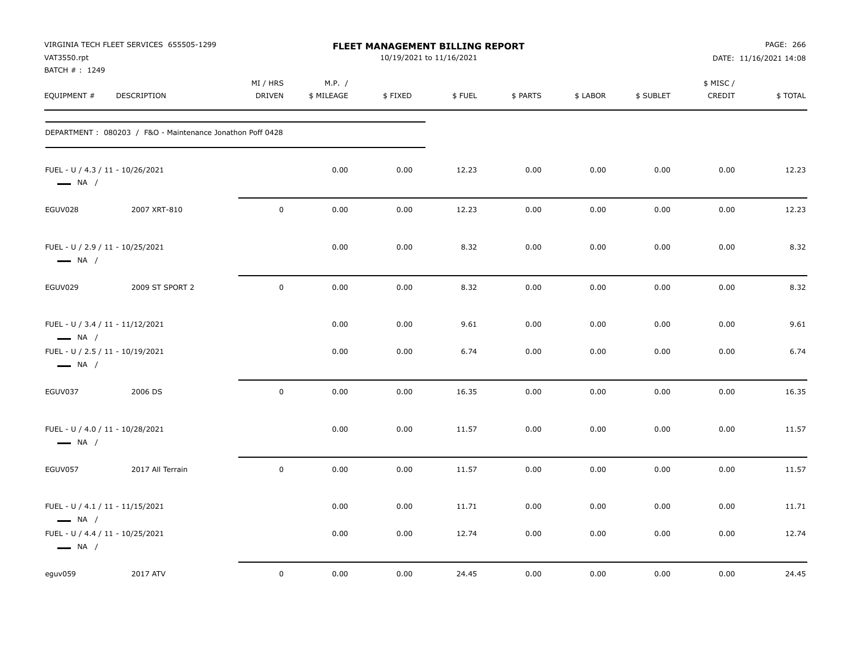| VAT3550.rpt<br>BATCH #: 1249                                                                   | VIRGINIA TECH FLEET SERVICES 655505-1299                  | <b>FLEET MANAGEMENT BILLING REPORT</b><br>10/19/2021 to 11/16/2021 |                      |              |              |              |              |              |                     | PAGE: 266<br>DATE: 11/16/2021 14:08 |  |
|------------------------------------------------------------------------------------------------|-----------------------------------------------------------|--------------------------------------------------------------------|----------------------|--------------|--------------|--------------|--------------|--------------|---------------------|-------------------------------------|--|
| EQUIPMENT #                                                                                    | <b>DESCRIPTION</b>                                        | MI / HRS<br><b>DRIVEN</b>                                          | M.P. /<br>\$ MILEAGE | \$FIXED      | \$FUEL       | \$ PARTS     | \$ LABOR     | \$ SUBLET    | \$ MISC /<br>CREDIT | \$TOTAL                             |  |
|                                                                                                | DEPARTMENT: 080203 / F&O - Maintenance Jonathon Poff 0428 |                                                                    |                      |              |              |              |              |              |                     |                                     |  |
| FUEL - U / 4.3 / 11 - 10/26/2021<br>$\longrightarrow$ NA /                                     |                                                           |                                                                    | 0.00                 | 0.00         | 12.23        | 0.00         | 0.00         | 0.00         | 0.00                | 12.23                               |  |
| EGUV028                                                                                        | 2007 XRT-810                                              | $\mathbf 0$                                                        | 0.00                 | 0.00         | 12.23        | 0.00         | 0.00         | 0.00         | 0.00                | 12.23                               |  |
| FUEL - U / 2.9 / 11 - 10/25/2021<br>$\longrightarrow$ NA /                                     |                                                           |                                                                    | 0.00                 | 0.00         | 8.32         | 0.00         | 0.00         | 0.00         | 0.00                | 8.32                                |  |
| EGUV029                                                                                        | 2009 ST SPORT 2                                           | $\mathbf 0$                                                        | 0.00                 | 0.00         | 8.32         | 0.00         | 0.00         | 0.00         | 0.00                | 8.32                                |  |
| FUEL - U / 3.4 / 11 - 11/12/2021<br>$\longrightarrow$ NA /<br>FUEL - U / 2.5 / 11 - 10/19/2021 |                                                           |                                                                    | 0.00<br>0.00         | 0.00<br>0.00 | 9.61<br>6.74 | 0.00<br>0.00 | 0.00<br>0.00 | 0.00<br>0.00 | 0.00<br>0.00        | 9.61<br>6.74                        |  |
| $\longrightarrow$ NA /                                                                         |                                                           |                                                                    |                      |              |              |              |              |              |                     |                                     |  |
| EGUV037                                                                                        | 2006 DS                                                   | $\mathbf 0$                                                        | 0.00                 | 0.00         | 16.35        | 0.00         | 0.00         | 0.00         | 0.00                | 16.35                               |  |
| FUEL - U / 4.0 / 11 - 10/28/2021<br>$\longrightarrow$ NA /                                     |                                                           |                                                                    | 0.00                 | 0.00         | 11.57        | 0.00         | 0.00         | 0.00         | 0.00                | 11.57                               |  |
| EGUV057                                                                                        | 2017 All Terrain                                          | $\mathbf 0$                                                        | 0.00                 | 0.00         | 11.57        | 0.00         | 0.00         | 0.00         | 0.00                | 11.57                               |  |
| FUEL - U / 4.1 / 11 - 11/15/2021<br>$\longrightarrow$ NA /                                     |                                                           |                                                                    | 0.00                 | 0.00         | 11.71        | 0.00         | 0.00         | 0.00         | 0.00                | 11.71                               |  |
| FUEL - U / 4.4 / 11 - 10/25/2021<br>$\longrightarrow$ NA /                                     |                                                           |                                                                    | 0.00                 | 0.00         | 12.74        | 0.00         | 0.00         | 0.00         | 0.00                | 12.74                               |  |
| eguv059                                                                                        | 2017 ATV                                                  | $\mathbf 0$                                                        | 0.00                 | 0.00         | 24.45        | 0.00         | 0.00         | 0.00         | 0.00                | 24.45                               |  |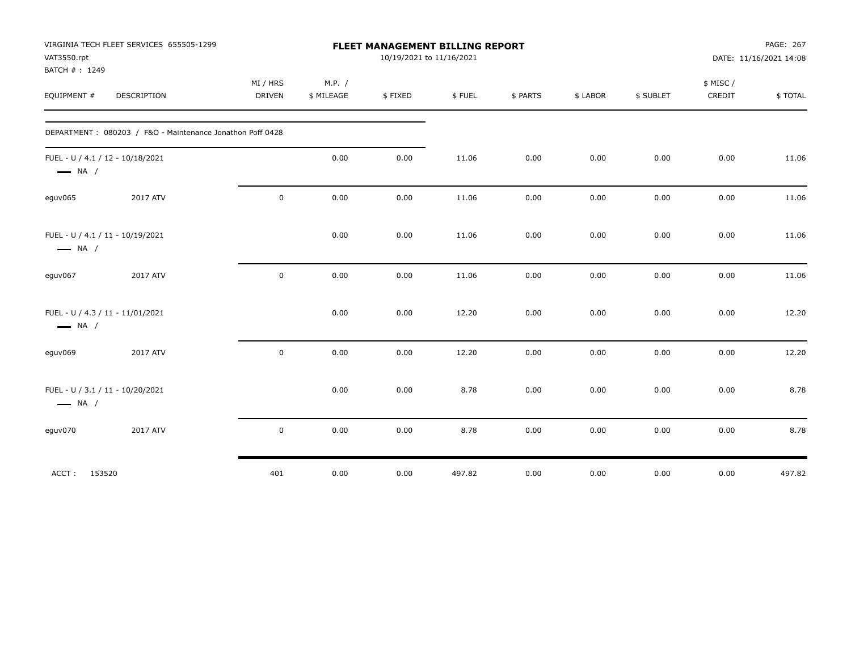| VAT3550.rpt<br>BATCH #: 1249                               | VIRGINIA TECH FLEET SERVICES 655505-1299                  | FLEET MANAGEMENT BILLING REPORT<br>10/19/2021 to 11/16/2021 |                      |         |        |          |          |           | PAGE: 267<br>DATE: 11/16/2021 14:08 |         |
|------------------------------------------------------------|-----------------------------------------------------------|-------------------------------------------------------------|----------------------|---------|--------|----------|----------|-----------|-------------------------------------|---------|
| EQUIPMENT #                                                | DESCRIPTION                                               | MI / HRS<br><b>DRIVEN</b>                                   | M.P. /<br>\$ MILEAGE | \$FIXED | \$FUEL | \$ PARTS | \$ LABOR | \$ SUBLET | \$ MISC/<br>CREDIT                  | \$TOTAL |
|                                                            | DEPARTMENT: 080203 / F&O - Maintenance Jonathon Poff 0428 |                                                             |                      |         |        |          |          |           |                                     |         |
| FUEL - U / 4.1 / 12 - 10/18/2021<br>$\longrightarrow$ NA / |                                                           |                                                             | 0.00                 | 0.00    | 11.06  | 0.00     | 0.00     | 0.00      | 0.00                                | 11.06   |
| eguv065                                                    | 2017 ATV                                                  | $\mathbf 0$                                                 | 0.00                 | 0.00    | 11.06  | 0.00     | 0.00     | 0.00      | 0.00                                | 11.06   |
| FUEL - U / 4.1 / 11 - 10/19/2021<br>$\longrightarrow$ NA / |                                                           |                                                             | 0.00                 | 0.00    | 11.06  | 0.00     | 0.00     | 0.00      | 0.00                                | 11.06   |
| eguv067                                                    | 2017 ATV                                                  | 0                                                           | 0.00                 | 0.00    | 11.06  | 0.00     | 0.00     | 0.00      | 0.00                                | 11.06   |
| FUEL - U / 4.3 / 11 - 11/01/2021<br>$\longrightarrow$ NA / |                                                           |                                                             | 0.00                 | 0.00    | 12.20  | 0.00     | 0.00     | 0.00      | 0.00                                | 12.20   |
| eguv069                                                    | 2017 ATV                                                  | $\mathsf 0$                                                 | 0.00                 | 0.00    | 12.20  | 0.00     | 0.00     | 0.00      | 0.00                                | 12.20   |
| FUEL - U / 3.1 / 11 - 10/20/2021<br>$\longrightarrow$ NA / |                                                           |                                                             | 0.00                 | 0.00    | 8.78   | 0.00     | 0.00     | 0.00      | 0.00                                | 8.78    |
| eguv070                                                    | 2017 ATV                                                  | 0                                                           | 0.00                 | 0.00    | 8.78   | 0.00     | 0.00     | 0.00      | 0.00                                | 8.78    |
| 153520<br>ACCT:                                            |                                                           | 401                                                         | 0.00                 | 0.00    | 497.82 | 0.00     | 0.00     | 0.00      | 0.00                                | 497.82  |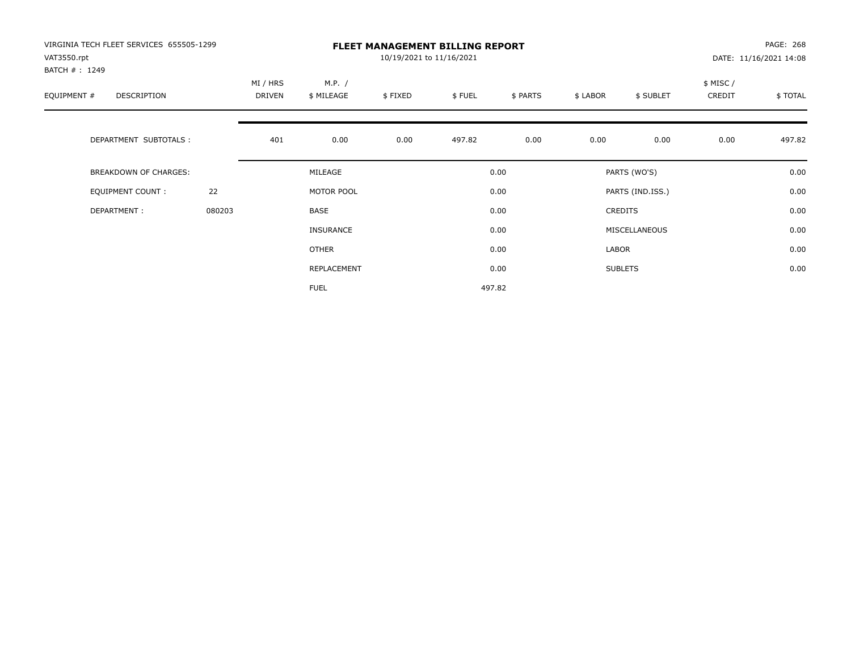| VIRGINIA TECH FLEET SERVICES 655505-1299<br>VAT3550.rpt<br>BATCH #: 1249 |        | <b>FLEET MANAGEMENT BILLING REPORT</b><br>10/19/2021 to 11/16/2021 |                      |         |        |          |          |                  |                    | PAGE: 268<br>DATE: 11/16/2021 14:08 |  |
|--------------------------------------------------------------------------|--------|--------------------------------------------------------------------|----------------------|---------|--------|----------|----------|------------------|--------------------|-------------------------------------|--|
| EQUIPMENT #<br>DESCRIPTION                                               |        | MI / HRS<br>DRIVEN                                                 | M.P. /<br>\$ MILEAGE | \$FIXED | \$FUEL | \$ PARTS | \$ LABOR | \$ SUBLET        | \$ MISC/<br>CREDIT | \$TOTAL                             |  |
| DEPARTMENT SUBTOTALS :                                                   |        | 401                                                                | 0.00                 | 0.00    | 497.82 | 0.00     | 0.00     | 0.00             | 0.00               | 497.82                              |  |
| BREAKDOWN OF CHARGES:                                                    |        |                                                                    | MILEAGE              |         |        | 0.00     |          | PARTS (WO'S)     |                    | 0.00                                |  |
| <b>EQUIPMENT COUNT:</b>                                                  | 22     |                                                                    | MOTOR POOL           |         |        | 0.00     |          | PARTS (IND.ISS.) |                    | 0.00                                |  |
| DEPARTMENT:                                                              | 080203 |                                                                    | BASE                 |         |        | 0.00     |          | <b>CREDITS</b>   |                    | 0.00                                |  |
|                                                                          |        |                                                                    | <b>INSURANCE</b>     |         |        | 0.00     |          | MISCELLANEOUS    |                    | 0.00                                |  |
|                                                                          |        |                                                                    | OTHER                |         |        | 0.00     | LABOR    |                  |                    | 0.00                                |  |
|                                                                          |        |                                                                    | REPLACEMENT          |         |        | 0.00     |          | <b>SUBLETS</b>   |                    | 0.00                                |  |
|                                                                          |        |                                                                    | <b>FUEL</b>          |         |        | 497.82   |          |                  |                    |                                     |  |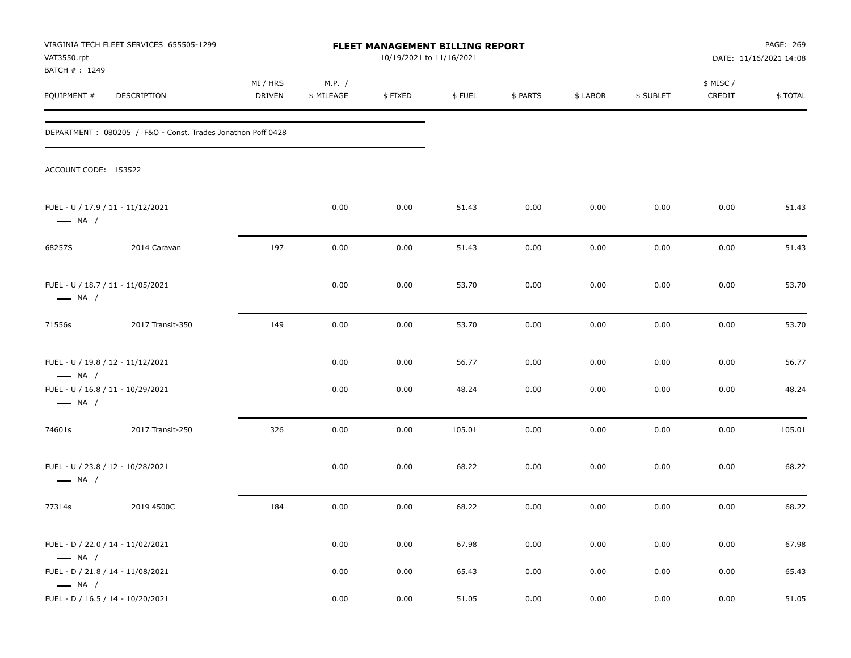| VIRGINIA TECH FLEET SERVICES 655505-1299<br>FLEET MANAGEMENT BILLING REPORT<br>VAT3550.rpt<br>BATCH #: 1249 |                                                             |                    |                      |         | 10/19/2021 to 11/16/2021 |          | PAGE: 269<br>DATE: 11/16/2021 14:08 |           |                     |         |
|-------------------------------------------------------------------------------------------------------------|-------------------------------------------------------------|--------------------|----------------------|---------|--------------------------|----------|-------------------------------------|-----------|---------------------|---------|
| EQUIPMENT #                                                                                                 | DESCRIPTION                                                 | MI / HRS<br>DRIVEN | M.P. /<br>\$ MILEAGE | \$FIXED | \$FUEL                   | \$ PARTS | \$ LABOR                            | \$ SUBLET | \$ MISC /<br>CREDIT | \$TOTAL |
|                                                                                                             | DEPARTMENT: 080205 / F&O - Const. Trades Jonathon Poff 0428 |                    |                      |         |                          |          |                                     |           |                     |         |
| ACCOUNT CODE: 153522                                                                                        |                                                             |                    |                      |         |                          |          |                                     |           |                     |         |
| $\longrightarrow$ NA /                                                                                      | FUEL - U / 17.9 / 11 - 11/12/2021                           |                    | 0.00                 | 0.00    | 51.43                    | 0.00     | 0.00                                | 0.00      | 0.00                | 51.43   |
| 68257S                                                                                                      | 2014 Caravan                                                | 197                | 0.00                 | 0.00    | 51.43                    | 0.00     | 0.00                                | 0.00      | 0.00                | 51.43   |
| $\longrightarrow$ NA /                                                                                      | FUEL - U / 18.7 / 11 - 11/05/2021                           |                    | 0.00                 | 0.00    | 53.70                    | 0.00     | 0.00                                | 0.00      | 0.00                | 53.70   |
| 71556s                                                                                                      | 2017 Transit-350                                            | 149                | 0.00                 | 0.00    | 53.70                    | 0.00     | 0.00                                | 0.00      | 0.00                | 53.70   |
| $\longrightarrow$ NA /                                                                                      | FUEL - U / 19.8 / 12 - 11/12/2021                           |                    | 0.00                 | 0.00    | 56.77                    | 0.00     | 0.00                                | 0.00      | 0.00                | 56.77   |
| $\longrightarrow$ NA /                                                                                      | FUEL - U / 16.8 / 11 - 10/29/2021                           |                    | 0.00                 | 0.00    | 48.24                    | 0.00     | 0.00                                | 0.00      | 0.00                | 48.24   |
| 74601s                                                                                                      | 2017 Transit-250                                            | 326                | 0.00                 | 0.00    | 105.01                   | 0.00     | 0.00                                | 0.00      | 0.00                | 105.01  |
| $\longrightarrow$ NA /                                                                                      | FUEL - U / 23.8 / 12 - 10/28/2021                           |                    | 0.00                 | 0.00    | 68.22                    | 0.00     | 0.00                                | 0.00      | 0.00                | 68.22   |
| 77314s                                                                                                      | 2019 4500C                                                  | 184                | 0.00                 | 0.00    | 68.22                    | 0.00     | 0.00                                | 0.00      | 0.00                | 68.22   |
| $\longrightarrow$ NA /                                                                                      | FUEL - D / 22.0 / 14 - 11/02/2021                           |                    | 0.00                 | 0.00    | 67.98                    | 0.00     | 0.00                                | 0.00      | 0.00                | 67.98   |
| $\longrightarrow$ NA /                                                                                      | FUEL - D / 21.8 / 14 - 11/08/2021                           |                    | 0.00                 | 0.00    | 65.43                    | 0.00     | 0.00                                | 0.00      | 0.00                | 65.43   |
|                                                                                                             | FUEL - D / 16.5 / 14 - 10/20/2021                           |                    | 0.00                 | 0.00    | 51.05                    | 0.00     | 0.00                                | 0.00      | 0.00                | 51.05   |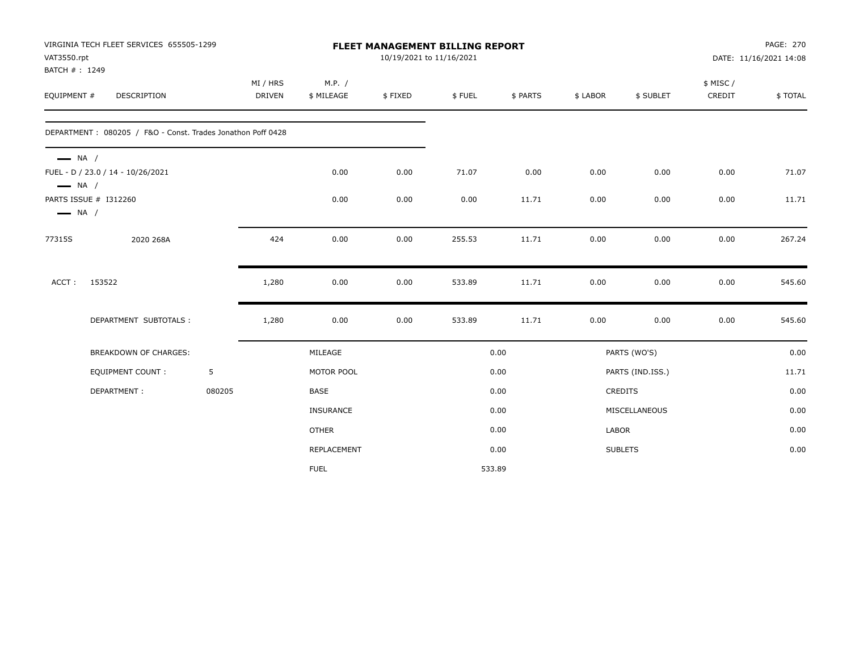| VAT3550.rpt                                      | VIRGINIA TECH FLEET SERVICES 655505-1299                    |        | <b>FLEET MANAGEMENT BILLING REPORT</b><br>10/19/2021 to 11/16/2021 |                      |         |        |          |          |                  | PAGE: 270<br>DATE: 11/16/2021 14:08 |         |
|--------------------------------------------------|-------------------------------------------------------------|--------|--------------------------------------------------------------------|----------------------|---------|--------|----------|----------|------------------|-------------------------------------|---------|
| BATCH #: 1249<br>EQUIPMENT #                     | DESCRIPTION                                                 |        | MI / HRS<br><b>DRIVEN</b>                                          | M.P. /<br>\$ MILEAGE | \$FIXED | \$FUEL | \$ PARTS | \$ LABOR | \$ SUBLET        | \$ MISC/<br>CREDIT                  | \$TOTAL |
|                                                  | DEPARTMENT: 080205 / F&O - Const. Trades Jonathon Poff 0428 |        |                                                                    |                      |         |        |          |          |                  |                                     |         |
| $\longrightarrow$ NA /<br>$\longrightarrow$ NA / | FUEL - D / 23.0 / 14 - 10/26/2021                           |        |                                                                    | 0.00                 | 0.00    | 71.07  | 0.00     | 0.00     | 0.00             | 0.00                                | 71.07   |
| $\longrightarrow$ NA /                           | PARTS ISSUE # I312260                                       |        |                                                                    | 0.00                 | 0.00    | 0.00   | 11.71    | 0.00     | 0.00             | 0.00                                | 11.71   |
| 77315S                                           | 2020 268A                                                   |        | 424                                                                | 0.00                 | 0.00    | 255.53 | 11.71    | 0.00     | 0.00             | 0.00                                | 267.24  |
| ACCT:                                            | 153522                                                      |        | 1,280                                                              | 0.00                 | 0.00    | 533.89 | 11.71    | 0.00     | 0.00             | 0.00                                | 545.60  |
|                                                  | DEPARTMENT SUBTOTALS :                                      |        | 1,280                                                              | 0.00                 | 0.00    | 533.89 | 11.71    | 0.00     | 0.00             | 0.00                                | 545.60  |
|                                                  | <b>BREAKDOWN OF CHARGES:</b>                                |        |                                                                    | MILEAGE              |         |        | 0.00     |          | PARTS (WO'S)     |                                     | 0.00    |
|                                                  | <b>EQUIPMENT COUNT:</b>                                     | 5      |                                                                    | MOTOR POOL           |         |        | 0.00     |          | PARTS (IND.ISS.) |                                     | 11.71   |
|                                                  | DEPARTMENT:                                                 | 080205 |                                                                    | <b>BASE</b>          |         |        | 0.00     |          | <b>CREDITS</b>   |                                     | 0.00    |
|                                                  |                                                             |        |                                                                    | <b>INSURANCE</b>     |         |        | 0.00     |          | MISCELLANEOUS    |                                     | 0.00    |
|                                                  |                                                             |        |                                                                    | <b>OTHER</b>         |         |        | 0.00     | LABOR    |                  |                                     | 0.00    |
|                                                  |                                                             |        |                                                                    | REPLACEMENT          |         |        | 0.00     |          | <b>SUBLETS</b>   |                                     | 0.00    |
|                                                  |                                                             |        |                                                                    | <b>FUEL</b>          |         | 533.89 |          |          |                  |                                     |         |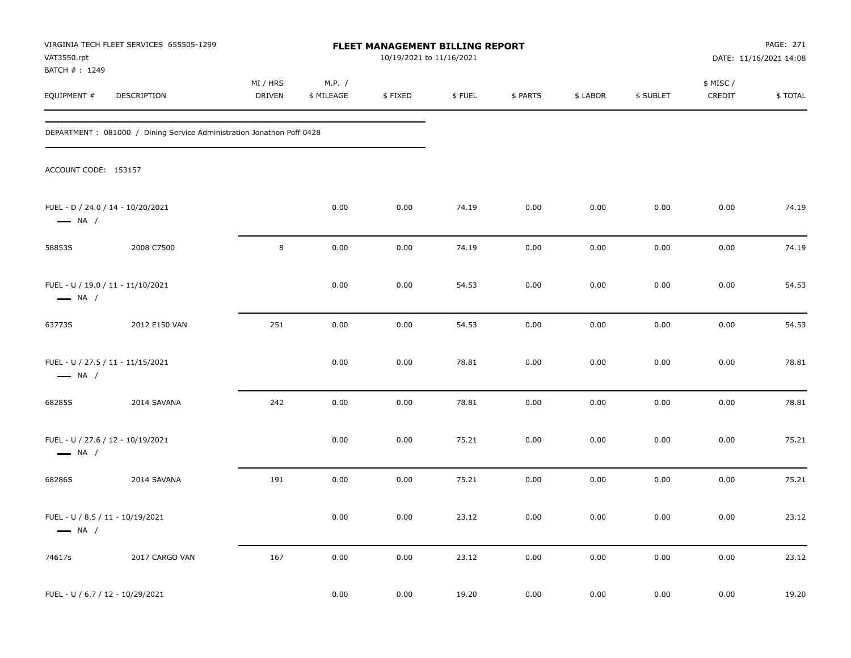| VIRGINIA TECH FLEET SERVICES 655505-1299<br>FLEET MANAGEMENT BILLING REPORT<br>VAT3550.rpt<br>BATCH #: 1249 |                                                                        |                           |                      |         | 10/19/2021 to 11/16/2021 | PAGE: 271<br>DATE: 11/16/2021 14:08 |          |           |                     |         |
|-------------------------------------------------------------------------------------------------------------|------------------------------------------------------------------------|---------------------------|----------------------|---------|--------------------------|-------------------------------------|----------|-----------|---------------------|---------|
| EQUIPMENT #                                                                                                 | DESCRIPTION                                                            | MI / HRS<br><b>DRIVEN</b> | M.P. /<br>\$ MILEAGE | \$FIXED | \$FUEL                   | \$ PARTS                            | \$ LABOR | \$ SUBLET | \$ MISC /<br>CREDIT | \$TOTAL |
|                                                                                                             | DEPARTMENT : 081000 / Dining Service Administration Jonathon Poff 0428 |                           |                      |         |                          |                                     |          |           |                     |         |
| ACCOUNT CODE: 153157                                                                                        |                                                                        |                           |                      |         |                          |                                     |          |           |                     |         |
| $\longrightarrow$ NA /                                                                                      | FUEL - D / 24.0 / 14 - 10/20/2021                                      |                           | 0.00                 | 0.00    | 74.19                    | 0.00                                | 0.00     | 0.00      | 0.00                | 74.19   |
| 58853S                                                                                                      | 2008 C7500                                                             | 8                         | 0.00                 | 0.00    | 74.19                    | 0.00                                | 0.00     | 0.00      | 0.00                | 74.19   |
| $\longrightarrow$ NA /                                                                                      | FUEL - U / 19.0 / 11 - 11/10/2021                                      |                           | 0.00                 | 0.00    | 54.53                    | 0.00                                | 0.00     | 0.00      | 0.00                | 54.53   |
| 63773S                                                                                                      | 2012 E150 VAN                                                          | 251                       | 0.00                 | 0.00    | 54.53                    | 0.00                                | 0.00     | 0.00      | 0.00                | 54.53   |
| $\longrightarrow$ NA /                                                                                      | FUEL - U / 27.5 / 11 - 11/15/2021                                      |                           | 0.00                 | 0.00    | 78.81                    | 0.00                                | 0.00     | 0.00      | 0.00                | 78.81   |
| 68285S                                                                                                      | 2014 SAVANA                                                            | 242                       | 0.00                 | 0.00    | 78.81                    | 0.00                                | 0.00     | 0.00      | 0.00                | 78.81   |
| $\longrightarrow$ NA /                                                                                      | FUEL - U / 27.6 / 12 - 10/19/2021                                      |                           | 0.00                 | 0.00    | 75.21                    | 0.00                                | 0.00     | 0.00      | 0.00                | 75.21   |
| 68286S                                                                                                      | 2014 SAVANA                                                            | 191                       | 0.00                 | 0.00    | 75.21                    | 0.00                                | 0.00     | 0.00      | 0.00                | 75.21   |
| FUEL - U / 8.5 / 11 - 10/19/2021<br>$\longrightarrow$ NA /                                                  |                                                                        |                           | 0.00                 | 0.00    | 23.12                    | 0.00                                | 0.00     | 0.00      | 0.00                | 23.12   |
| 74617s                                                                                                      | 2017 CARGO VAN                                                         | 167                       | 0.00                 | 0.00    | 23.12                    | 0.00                                | 0.00     | 0.00      | 0.00                | 23.12   |
| FUEL - U / 6.7 / 12 - 10/29/2021                                                                            |                                                                        |                           | 0.00                 | 0.00    | 19.20                    | 0.00                                | 0.00     | 0.00      | 0.00                | 19.20   |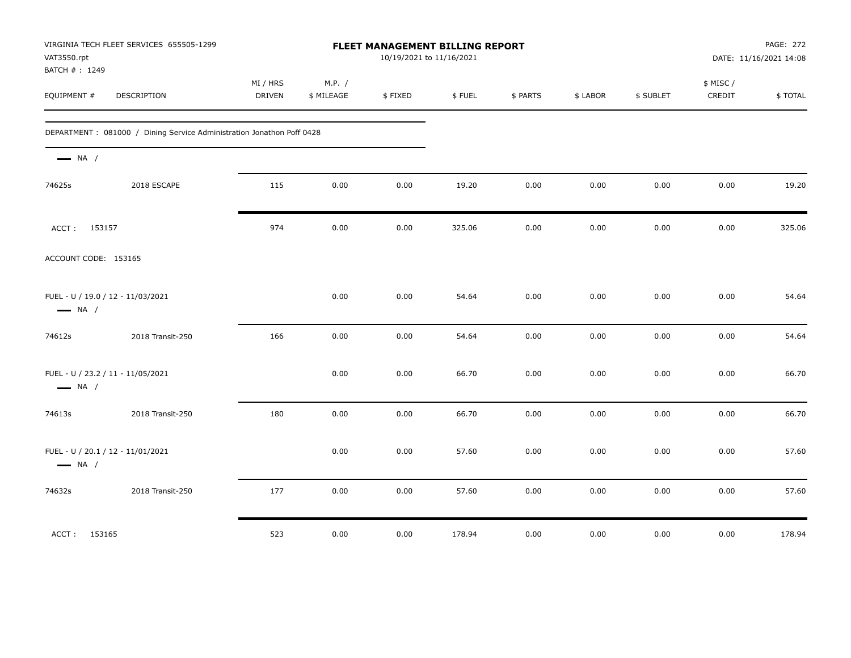| VAT3550.rpt<br>BATCH #: 1249                                | VIRGINIA TECH FLEET SERVICES 655505-1299                              | FLEET MANAGEMENT BILLING REPORT<br>10/19/2021 to 11/16/2021 |                      |         |        |          |          | PAGE: 272<br>DATE: 11/16/2021 14:08 |                     |         |
|-------------------------------------------------------------|-----------------------------------------------------------------------|-------------------------------------------------------------|----------------------|---------|--------|----------|----------|-------------------------------------|---------------------|---------|
| EQUIPMENT #                                                 | DESCRIPTION                                                           | MI / HRS<br>DRIVEN                                          | M.P. /<br>\$ MILEAGE | \$FIXED | \$FUEL | \$ PARTS | \$ LABOR | \$ SUBLET                           | \$ MISC /<br>CREDIT | \$TOTAL |
|                                                             | DEPARTMENT: 081000 / Dining Service Administration Jonathon Poff 0428 |                                                             |                      |         |        |          |          |                                     |                     |         |
| $\longrightarrow$ NA /                                      |                                                                       |                                                             |                      |         |        |          |          |                                     |                     |         |
| 74625s                                                      | 2018 ESCAPE                                                           | 115                                                         | 0.00                 | 0.00    | 19.20  | 0.00     | 0.00     | 0.00                                | 0.00                | 19.20   |
| ACCT: 153157                                                |                                                                       | 974                                                         | 0.00                 | 0.00    | 325.06 | 0.00     | 0.00     | 0.00                                | 0.00                | 325.06  |
| ACCOUNT CODE: 153165                                        |                                                                       |                                                             |                      |         |        |          |          |                                     |                     |         |
| FUEL - U / 19.0 / 12 - 11/03/2021<br>$\longrightarrow$ NA / |                                                                       |                                                             | 0.00                 | 0.00    | 54.64  | 0.00     | 0.00     | 0.00                                | 0.00                | 54.64   |
| 74612s                                                      | 2018 Transit-250                                                      | 166                                                         | 0.00                 | 0.00    | 54.64  | 0.00     | 0.00     | 0.00                                | 0.00                | 54.64   |
| FUEL - U / 23.2 / 11 - 11/05/2021<br>$\longrightarrow$ NA / |                                                                       |                                                             | 0.00                 | 0.00    | 66.70  | 0.00     | 0.00     | 0.00                                | 0.00                | 66.70   |
| 74613s                                                      | 2018 Transit-250                                                      | 180                                                         | 0.00                 | 0.00    | 66.70  | 0.00     | 0.00     | 0.00                                | 0.00                | 66.70   |
| FUEL - U / 20.1 / 12 - 11/01/2021<br>$\longrightarrow$ NA / |                                                                       |                                                             | 0.00                 | 0.00    | 57.60  | 0.00     | 0.00     | 0.00                                | 0.00                | 57.60   |
| 74632s                                                      | 2018 Transit-250                                                      | 177                                                         | 0.00                 | 0.00    | 57.60  | 0.00     | 0.00     | 0.00                                | 0.00                | 57.60   |
| ACCT: 153165                                                |                                                                       | 523                                                         | 0.00                 | 0.00    | 178.94 | 0.00     | 0.00     | 0.00                                | 0.00                | 178.94  |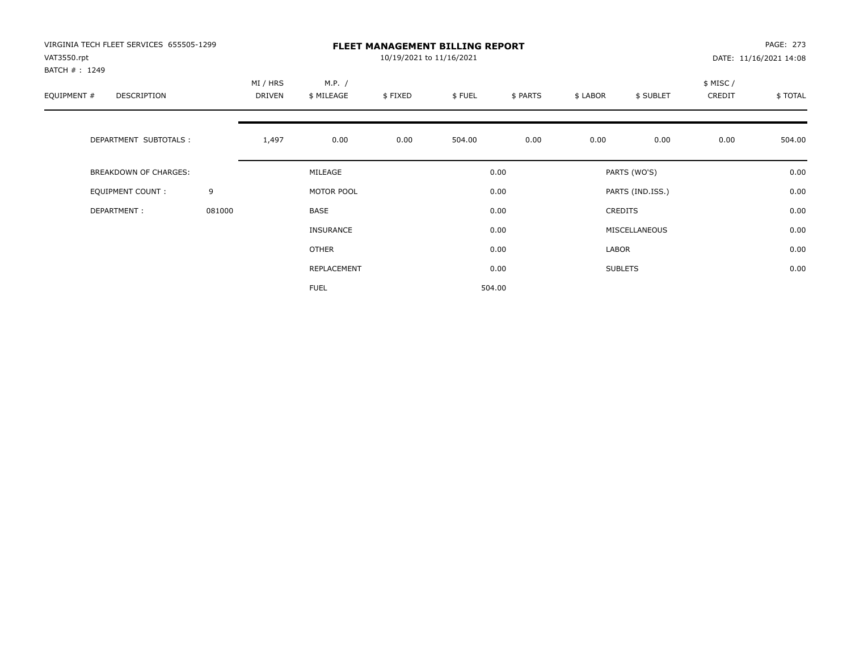| VIRGINIA TECH FLEET SERVICES 655505-1299<br>VAT3550.rpt<br>BATCH #: 1249 |        | <b>FLEET MANAGEMENT BILLING REPORT</b><br>10/19/2021 to 11/16/2021 |                      |         |        |          |          |                  |                    | PAGE: 273<br>DATE: 11/16/2021 14:08 |  |
|--------------------------------------------------------------------------|--------|--------------------------------------------------------------------|----------------------|---------|--------|----------|----------|------------------|--------------------|-------------------------------------|--|
| EQUIPMENT #<br>DESCRIPTION                                               |        | MI / HRS<br><b>DRIVEN</b>                                          | M.P. /<br>\$ MILEAGE | \$FIXED | \$FUEL | \$ PARTS | \$ LABOR | \$ SUBLET        | \$ MISC/<br>CREDIT | \$TOTAL                             |  |
| DEPARTMENT SUBTOTALS :                                                   |        | 1,497                                                              | 0.00                 | 0.00    | 504.00 | 0.00     | 0.00     | 0.00             | 0.00               | 504.00                              |  |
| <b>BREAKDOWN OF CHARGES:</b>                                             |        |                                                                    | MILEAGE              |         |        | 0.00     |          | PARTS (WO'S)     |                    | 0.00                                |  |
| EQUIPMENT COUNT:                                                         | 9      |                                                                    | MOTOR POOL           |         |        | 0.00     |          | PARTS (IND.ISS.) |                    | 0.00                                |  |
| DEPARTMENT:                                                              | 081000 |                                                                    | <b>BASE</b>          |         |        | 0.00     |          | <b>CREDITS</b>   |                    | 0.00                                |  |
|                                                                          |        |                                                                    | INSURANCE            |         |        | 0.00     |          | MISCELLANEOUS    |                    | 0.00                                |  |
|                                                                          |        |                                                                    | <b>OTHER</b>         |         |        | 0.00     | LABOR    |                  |                    | 0.00                                |  |
|                                                                          |        |                                                                    | REPLACEMENT          |         |        | 0.00     |          | <b>SUBLETS</b>   |                    | 0.00                                |  |
|                                                                          |        |                                                                    | <b>FUEL</b>          |         |        | 504.00   |          |                  |                    |                                     |  |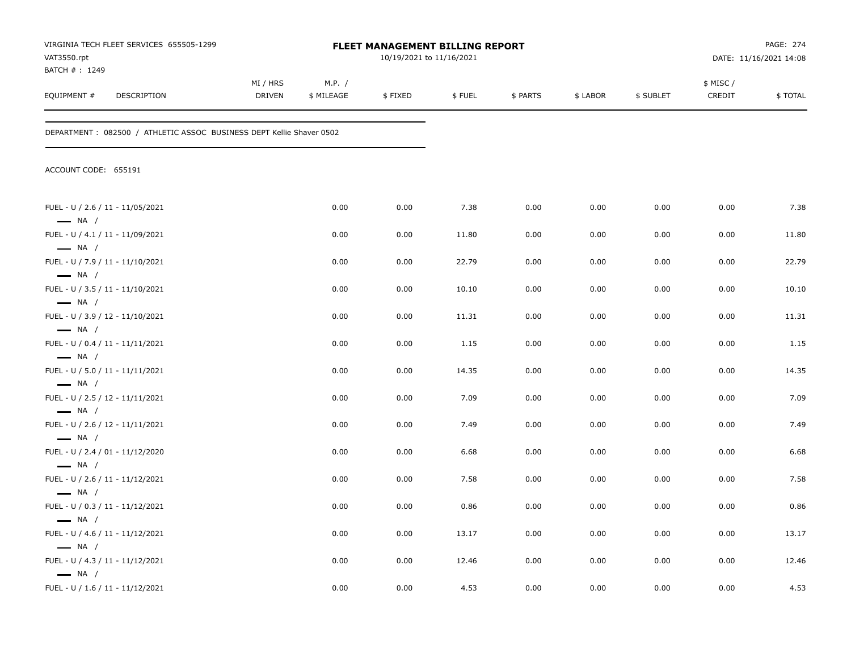| VAT3550.rpt                                                | VIRGINIA TECH FLEET SERVICES 655505-1299                              |                           | <b>FLEET MANAGEMENT BILLING REPORT</b><br>10/19/2021 to 11/16/2021 |         |        |          |          |           |                     |         |
|------------------------------------------------------------|-----------------------------------------------------------------------|---------------------------|--------------------------------------------------------------------|---------|--------|----------|----------|-----------|---------------------|---------|
| BATCH #: 1249<br>EQUIPMENT #                               | DESCRIPTION                                                           | MI / HRS<br><b>DRIVEN</b> | M.P. /<br>\$ MILEAGE                                               | \$FIXED | \$FUEL | \$ PARTS | \$ LABOR | \$ SUBLET | \$ MISC /<br>CREDIT | \$TOTAL |
|                                                            | DEPARTMENT : 082500 / ATHLETIC ASSOC BUSINESS DEPT Kellie Shaver 0502 |                           |                                                                    |         |        |          |          |           |                     |         |
| ACCOUNT CODE: 655191                                       |                                                                       |                           |                                                                    |         |        |          |          |           |                     |         |
| FUEL - U / 2.6 / 11 - 11/05/2021<br>$\longrightarrow$ NA / |                                                                       |                           | 0.00                                                               | 0.00    | 7.38   | 0.00     | 0.00     | 0.00      | 0.00                | 7.38    |
| FUEL - U / 4.1 / 11 - 11/09/2021<br>$\longrightarrow$ NA / |                                                                       |                           | 0.00                                                               | 0.00    | 11.80  | 0.00     | 0.00     | 0.00      | 0.00                | 11.80   |
| FUEL - U / 7.9 / 11 - 11/10/2021                           |                                                                       |                           | 0.00                                                               | 0.00    | 22.79  | 0.00     | 0.00     | 0.00      | 0.00                | 22.79   |
| $\longrightarrow$ NA /<br>FUEL - U / 3.5 / 11 - 11/10/2021 |                                                                       |                           | 0.00                                                               | 0.00    | 10.10  | 0.00     | 0.00     | 0.00      | 0.00                | 10.10   |
| $\longrightarrow$ NA /<br>FUEL - U / 3.9 / 12 - 11/10/2021 |                                                                       |                           | 0.00                                                               | 0.00    | 11.31  | 0.00     | 0.00     | 0.00      | 0.00                | 11.31   |
| $\longrightarrow$ NA /<br>FUEL - U / 0.4 / 11 - 11/11/2021 |                                                                       |                           | 0.00                                                               | 0.00    | 1.15   | 0.00     | 0.00     | 0.00      | 0.00                | 1.15    |
| $\longrightarrow$ NA /<br>FUEL - U / 5.0 / 11 - 11/11/2021 |                                                                       |                           | 0.00                                                               | 0.00    | 14.35  | 0.00     | 0.00     | 0.00      | 0.00                | 14.35   |
| $\longrightarrow$ NA /<br>FUEL - U / 2.5 / 12 - 11/11/2021 |                                                                       |                           | 0.00                                                               | 0.00    | 7.09   | 0.00     | 0.00     | 0.00      | 0.00                | 7.09    |
| $\longrightarrow$ NA /<br>FUEL - U / 2.6 / 12 - 11/11/2021 |                                                                       |                           | 0.00                                                               | 0.00    | 7.49   | 0.00     | 0.00     | 0.00      | 0.00                | 7.49    |
| $\longrightarrow$ NA /<br>FUEL - U / 2.4 / 01 - 11/12/2020 |                                                                       |                           | 0.00                                                               | 0.00    | 6.68   | 0.00     | 0.00     | 0.00      | 0.00                | 6.68    |
| $\longrightarrow$ NA /<br>FUEL - U / 2.6 / 11 - 11/12/2021 |                                                                       |                           | 0.00                                                               | 0.00    | 7.58   | 0.00     | 0.00     | 0.00      | 0.00                | 7.58    |
| $\longrightarrow$ NA /<br>FUEL - U / 0.3 / 11 - 11/12/2021 |                                                                       |                           | 0.00                                                               | 0.00    | 0.86   | 0.00     | 0.00     | 0.00      | 0.00                | 0.86    |
| $\longrightarrow$ NA /<br>FUEL - U / 4.6 / 11 - 11/12/2021 |                                                                       |                           | 0.00                                                               | 0.00    | 13.17  | 0.00     | 0.00     | 0.00      | 0.00                | 13.17   |
| $\longrightarrow$ NA /<br>FUEL - U / 4.3 / 11 - 11/12/2021 |                                                                       |                           | 0.00                                                               | 0.00    | 12.46  | 0.00     | 0.00     | 0.00      | 0.00                | 12.46   |
| $\longrightarrow$ NA /<br>FUEL - U / 1.6 / 11 - 11/12/2021 |                                                                       |                           | 0.00                                                               | 0.00    | 4.53   | 0.00     | 0.00     | 0.00      | 0.00                | 4.53    |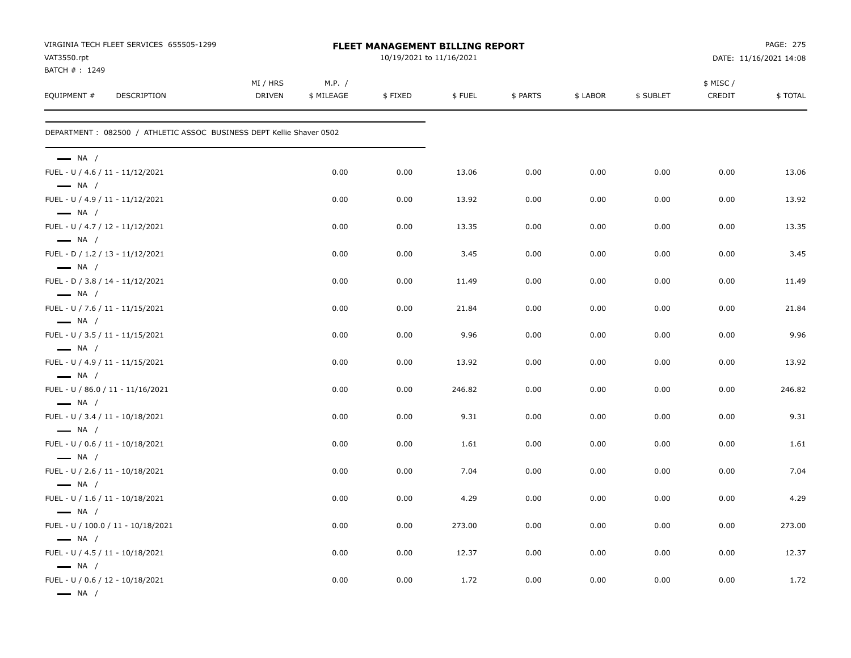| VIRGINIA TECH FLEET SERVICES 655505-1299<br>VAT3550.rpt               | <b>FLEET MANAGEMENT BILLING REPORT</b><br>10/19/2021 to 11/16/2021 |                      |         |        |          |          |           | PAGE: 275<br>DATE: 11/16/2021 14:08 |         |
|-----------------------------------------------------------------------|--------------------------------------------------------------------|----------------------|---------|--------|----------|----------|-----------|-------------------------------------|---------|
| BATCH #: 1249                                                         |                                                                    |                      |         |        |          |          |           |                                     |         |
| EQUIPMENT #<br>DESCRIPTION                                            | MI / HRS<br><b>DRIVEN</b>                                          | M.P. /<br>\$ MILEAGE | \$FIXED | \$FUEL | \$ PARTS | \$ LABOR | \$ SUBLET | \$ MISC /<br>CREDIT                 | \$TOTAL |
| DEPARTMENT : 082500 / ATHLETIC ASSOC BUSINESS DEPT Kellie Shaver 0502 |                                                                    |                      |         |        |          |          |           |                                     |         |
| $\longrightarrow$ NA /                                                |                                                                    |                      |         |        |          |          |           |                                     |         |
| FUEL - U / 4.6 / 11 - 11/12/2021<br>$\longrightarrow$ NA /            |                                                                    | 0.00                 | 0.00    | 13.06  | 0.00     | 0.00     | 0.00      | 0.00                                | 13.06   |
| FUEL - U / 4.9 / 11 - 11/12/2021<br>$\longrightarrow$ NA /            |                                                                    | 0.00                 | 0.00    | 13.92  | 0.00     | 0.00     | 0.00      | 0.00                                | 13.92   |
| FUEL - U / 4.7 / 12 - 11/12/2021                                      |                                                                    | 0.00                 | 0.00    | 13.35  | 0.00     | 0.00     | 0.00      | 0.00                                | 13.35   |
| $\longrightarrow$ NA /<br>FUEL - D / 1.2 / 13 - 11/12/2021            |                                                                    | 0.00                 | 0.00    | 3.45   | 0.00     | 0.00     | 0.00      | 0.00                                | 3.45    |
| $\longrightarrow$ NA /<br>FUEL - D / 3.8 / 14 - 11/12/2021            |                                                                    | 0.00                 | 0.00    | 11.49  | 0.00     | 0.00     | 0.00      | 0.00                                | 11.49   |
| $\longrightarrow$ NA /<br>FUEL - U / 7.6 / 11 - 11/15/2021            |                                                                    | 0.00                 | 0.00    | 21.84  | 0.00     | 0.00     | 0.00      | 0.00                                | 21.84   |
| $\longrightarrow$ NA /<br>FUEL - U / 3.5 / 11 - 11/15/2021            |                                                                    | 0.00                 | 0.00    | 9.96   | 0.00     | 0.00     | 0.00      | 0.00                                | 9.96    |
| $\longrightarrow$ NA /<br>FUEL - U / 4.9 / 11 - 11/15/2021            |                                                                    | 0.00                 | 0.00    | 13.92  | 0.00     | 0.00     | 0.00      | 0.00                                | 13.92   |
| $\longrightarrow$ NA /<br>FUEL - U / 86.0 / 11 - 11/16/2021           |                                                                    | 0.00                 | 0.00    | 246.82 | 0.00     | 0.00     | 0.00      | 0.00                                | 246.82  |
| $\longrightarrow$ NA /<br>FUEL - U / 3.4 / 11 - 10/18/2021            |                                                                    | 0.00                 | 0.00    | 9.31   | 0.00     | 0.00     | 0.00      | 0.00                                | 9.31    |
| $\longrightarrow$ NA /<br>FUEL - U / 0.6 / 11 - 10/18/2021            |                                                                    | 0.00                 | 0.00    | 1.61   | 0.00     | 0.00     | 0.00      | 0.00                                | 1.61    |
| $\longrightarrow$ NA /<br>FUEL - U / 2.6 / 11 - 10/18/2021            |                                                                    | 0.00                 | 0.00    | 7.04   | 0.00     | 0.00     | 0.00      | 0.00                                | 7.04    |
| $\longrightarrow$ NA /<br>FUEL - U / 1.6 / 11 - 10/18/2021            |                                                                    | 0.00                 | 0.00    | 4.29   | 0.00     | 0.00     | 0.00      | 0.00                                | 4.29    |
| $\longrightarrow$ NA /<br>FUEL - U / 100.0 / 11 - 10/18/2021          |                                                                    | 0.00                 | 0.00    | 273.00 | 0.00     | 0.00     | 0.00      | 0.00                                | 273.00  |
| $\longrightarrow$ NA /<br>FUEL - U / 4.5 / 11 - 10/18/2021            |                                                                    | 0.00                 | 0.00    | 12.37  | 0.00     | 0.00     | 0.00      | 0.00                                | 12.37   |
| $\longrightarrow$ NA /<br>FUEL - U / 0.6 / 12 - 10/18/2021            |                                                                    | 0.00                 | 0.00    | 1.72   | 0.00     | 0.00     | 0.00      | 0.00                                | 1.72    |
| $\longrightarrow$ NA /                                                |                                                                    |                      |         |        |          |          |           |                                     |         |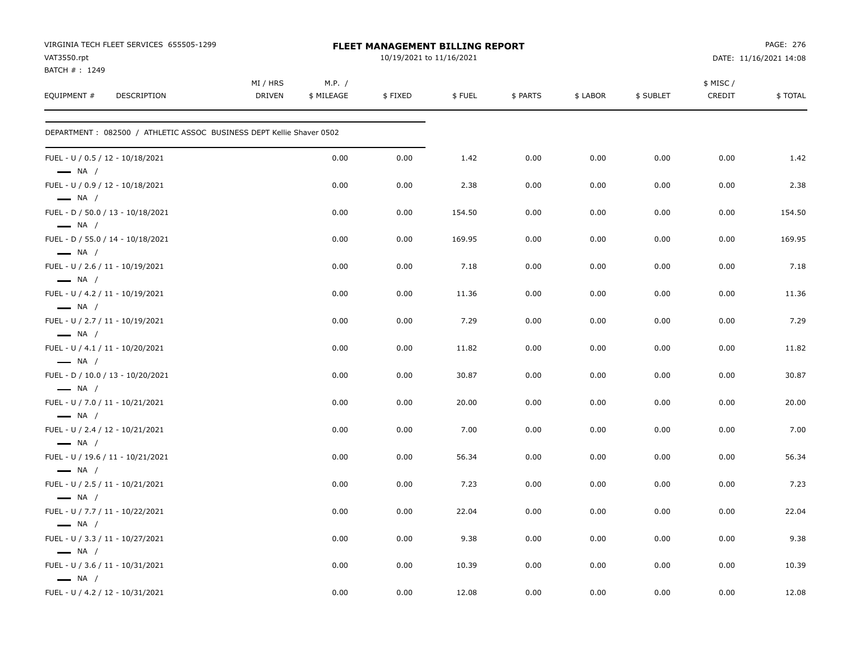| VIRGINIA TECH FLEET SERVICES 655505-1299<br>VAT3550.rpt<br>BATCH #: 1249 |                           |                      | FLEET MANAGEMENT BILLING REPORT<br>10/19/2021 to 11/16/2021 |        |          |          | PAGE: 276<br>DATE: 11/16/2021 14:08 |                    |         |  |
|--------------------------------------------------------------------------|---------------------------|----------------------|-------------------------------------------------------------|--------|----------|----------|-------------------------------------|--------------------|---------|--|
| EQUIPMENT #<br><b>DESCRIPTION</b>                                        | MI / HRS<br><b>DRIVEN</b> | M.P. /<br>\$ MILEAGE | \$FIXED                                                     | \$FUEL | \$ PARTS | \$ LABOR | \$ SUBLET                           | \$ MISC/<br>CREDIT | \$TOTAL |  |
| DEPARTMENT: 082500 / ATHLETIC ASSOC BUSINESS DEPT Kellie Shaver 0502     |                           |                      |                                                             |        |          |          |                                     |                    |         |  |
| FUEL - U / 0.5 / 12 - 10/18/2021<br>$\longrightarrow$ NA /               |                           | 0.00                 | 0.00                                                        | 1.42   | 0.00     | 0.00     | 0.00                                | 0.00               | 1.42    |  |
| FUEL - U / 0.9 / 12 - 10/18/2021<br>$\longrightarrow$ NA /               |                           | 0.00                 | 0.00                                                        | 2.38   | 0.00     | 0.00     | 0.00                                | 0.00               | 2.38    |  |
| FUEL - D / 50.0 / 13 - 10/18/2021<br>$\longrightarrow$ NA /              |                           | 0.00                 | 0.00                                                        | 154.50 | 0.00     | 0.00     | 0.00                                | 0.00               | 154.50  |  |
| FUEL - D / 55.0 / 14 - 10/18/2021<br>$\longrightarrow$ NA /              |                           | 0.00                 | 0.00                                                        | 169.95 | 0.00     | 0.00     | 0.00                                | 0.00               | 169.95  |  |
| FUEL - U / 2.6 / 11 - 10/19/2021<br>$\longrightarrow$ NA /               |                           | 0.00                 | 0.00                                                        | 7.18   | 0.00     | 0.00     | 0.00                                | 0.00               | 7.18    |  |
| FUEL - U / 4.2 / 11 - 10/19/2021<br>$\longrightarrow$ NA /               |                           | 0.00                 | 0.00                                                        | 11.36  | 0.00     | 0.00     | 0.00                                | 0.00               | 11.36   |  |
| FUEL - U / 2.7 / 11 - 10/19/2021<br>$\longrightarrow$ NA /               |                           | 0.00                 | 0.00                                                        | 7.29   | 0.00     | 0.00     | 0.00                                | 0.00               | 7.29    |  |
| FUEL - U / 4.1 / 11 - 10/20/2021<br>$\longrightarrow$ NA /               |                           | 0.00                 | 0.00                                                        | 11.82  | 0.00     | 0.00     | 0.00                                | 0.00               | 11.82   |  |
| FUEL - D / 10.0 / 13 - 10/20/2021<br>$\longrightarrow$ NA /              |                           | 0.00                 | 0.00                                                        | 30.87  | 0.00     | 0.00     | 0.00                                | 0.00               | 30.87   |  |
| FUEL - U / 7.0 / 11 - 10/21/2021<br>$\longrightarrow$ NA /               |                           | 0.00                 | 0.00                                                        | 20.00  | 0.00     | 0.00     | 0.00                                | 0.00               | 20.00   |  |
| FUEL - U / 2.4 / 12 - 10/21/2021<br>$\longrightarrow$ NA /               |                           | 0.00                 | 0.00                                                        | 7.00   | 0.00     | 0.00     | 0.00                                | 0.00               | 7.00    |  |
| FUEL - U / 19.6 / 11 - 10/21/2021<br>$\longrightarrow$ NA /              |                           | 0.00                 | 0.00                                                        | 56.34  | 0.00     | 0.00     | 0.00                                | 0.00               | 56.34   |  |
| FUEL - U / 2.5 / 11 - 10/21/2021<br>$\longrightarrow$ NA /               |                           | 0.00                 | 0.00                                                        | 7.23   | 0.00     | 0.00     | 0.00                                | 0.00               | 7.23    |  |
| FUEL - U / 7.7 / 11 - 10/22/2021<br>$\longrightarrow$ NA /               |                           | 0.00                 | 0.00                                                        | 22.04  | 0.00     | 0.00     | 0.00                                | 0.00               | 22.04   |  |
| FUEL - U / 3.3 / 11 - 10/27/2021<br>$\longrightarrow$ NA /               |                           | 0.00                 | 0.00                                                        | 9.38   | 0.00     | 0.00     | 0.00                                | 0.00               | 9.38    |  |
| FUEL - U / 3.6 / 11 - 10/31/2021<br>$\longrightarrow$ NA /               |                           | 0.00                 | 0.00                                                        | 10.39  | 0.00     | 0.00     | 0.00                                | 0.00               | 10.39   |  |
| FUEL - U / 4.2 / 12 - 10/31/2021                                         |                           | 0.00                 | 0.00                                                        | 12.08  | 0.00     | 0.00     | 0.00                                | 0.00               | 12.08   |  |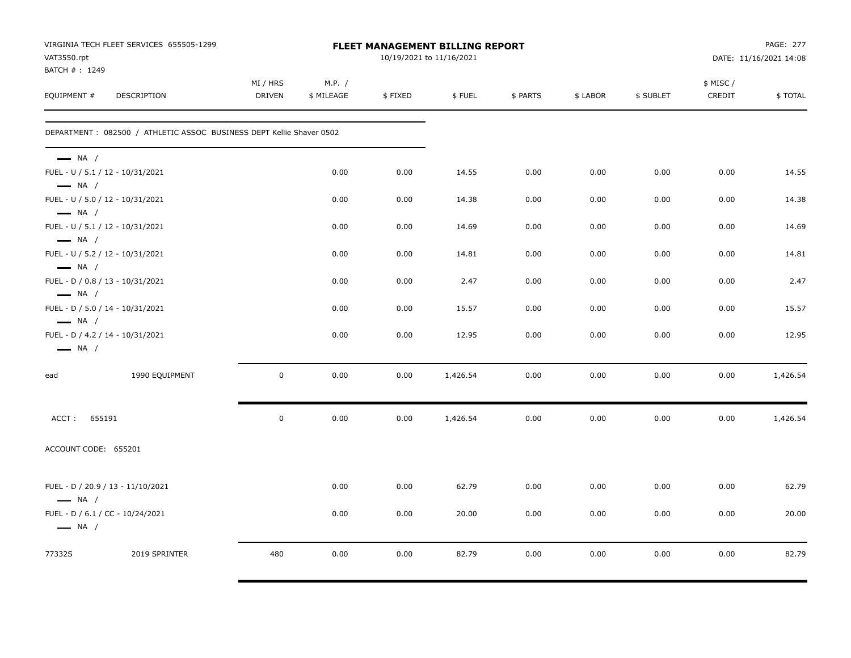| VAT3550.rpt<br>BATCH #: 1249                                                         | VIRGINIA TECH FLEET SERVICES 655505-1299                             |                           |                      |         | FLEET MANAGEMENT BILLING REPORT<br>10/19/2021 to 11/16/2021 |          |          |           |                     | <b>PAGE: 277</b><br>DATE: 11/16/2021 14:08 |
|--------------------------------------------------------------------------------------|----------------------------------------------------------------------|---------------------------|----------------------|---------|-------------------------------------------------------------|----------|----------|-----------|---------------------|--------------------------------------------|
| EQUIPMENT #                                                                          | DESCRIPTION                                                          | MI / HRS<br><b>DRIVEN</b> | M.P. /<br>\$ MILEAGE | \$FIXED | \$FUEL                                                      | \$ PARTS | \$ LABOR | \$ SUBLET | \$ MISC /<br>CREDIT | \$TOTAL                                    |
|                                                                                      | DEPARTMENT: 082500 / ATHLETIC ASSOC BUSINESS DEPT Kellie Shaver 0502 |                           |                      |         |                                                             |          |          |           |                     |                                            |
| $\longrightarrow$ NA /<br>FUEL - U / 5.1 / 12 - 10/31/2021                           |                                                                      |                           | 0.00                 | 0.00    | 14.55                                                       | 0.00     | 0.00     | 0.00      | 0.00                | 14.55                                      |
| $\longrightarrow$ NA /<br>FUEL - U / 5.0 / 12 - 10/31/2021                           |                                                                      |                           | 0.00                 | 0.00    | 14.38                                                       | 0.00     | 0.00     | 0.00      | 0.00                | 14.38                                      |
| $\longrightarrow$ NA /<br>FUEL - U / 5.1 / 12 - 10/31/2021<br>$\longrightarrow$ NA / |                                                                      |                           | 0.00                 | 0.00    | 14.69                                                       | 0.00     | 0.00     | 0.00      | 0.00                | 14.69                                      |
| FUEL - U / 5.2 / 12 - 10/31/2021<br>$\longrightarrow$ NA /                           |                                                                      |                           | 0.00                 | 0.00    | 14.81                                                       | 0.00     | 0.00     | 0.00      | 0.00                | 14.81                                      |
| FUEL - D / 0.8 / 13 - 10/31/2021<br>$\longrightarrow$ NA /                           |                                                                      |                           | 0.00                 | 0.00    | 2.47                                                        | 0.00     | 0.00     | 0.00      | 0.00                | 2.47                                       |
| FUEL - D / 5.0 / 14 - 10/31/2021<br>$\longrightarrow$ NA /                           |                                                                      |                           | 0.00                 | 0.00    | 15.57                                                       | 0.00     | 0.00     | 0.00      | 0.00                | 15.57                                      |
| FUEL - D / 4.2 / 14 - 10/31/2021<br>$\longrightarrow$ NA /                           |                                                                      |                           | 0.00                 | 0.00    | 12.95                                                       | 0.00     | 0.00     | 0.00      | 0.00                | 12.95                                      |
| ead                                                                                  | 1990 EQUIPMENT                                                       | $\mathbf 0$               | 0.00                 | 0.00    | 1,426.54                                                    | 0.00     | 0.00     | 0.00      | 0.00                | 1,426.54                                   |
| 655191<br>ACCT:                                                                      |                                                                      | $\mathbf 0$               | 0.00                 | 0.00    | 1,426.54                                                    | 0.00     | 0.00     | 0.00      | 0.00                | 1,426.54                                   |
| ACCOUNT CODE: 655201                                                                 |                                                                      |                           |                      |         |                                                             |          |          |           |                     |                                            |
| $-$ NA $/$                                                                           | FUEL - D / 20.9 / 13 - 11/10/2021                                    |                           | 0.00                 | 0.00    | 62.79                                                       | 0.00     | 0.00     | 0.00      | 0.00                | 62.79                                      |
| FUEL - D / 6.1 / CC - 10/24/2021<br>$\longrightarrow$ NA /                           |                                                                      |                           | 0.00                 | 0.00    | 20.00                                                       | 0.00     | 0.00     | 0.00      | 0.00                | 20.00                                      |
| 77332S                                                                               | 2019 SPRINTER                                                        | 480                       | 0.00                 | 0.00    | 82.79                                                       | 0.00     | 0.00     | 0.00      | 0.00                | 82.79                                      |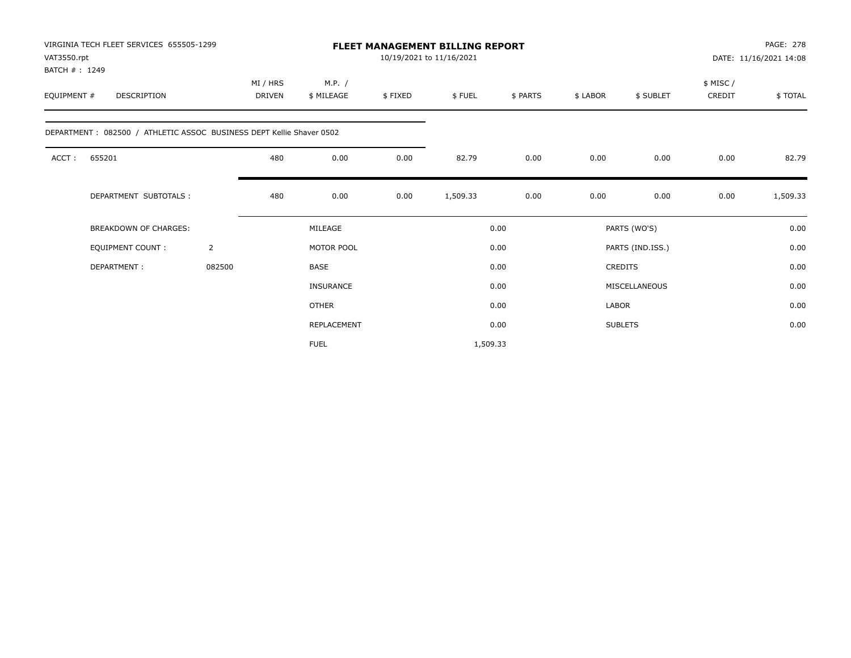| VAT3550.rpt<br>BATCH #: 1249 | VIRGINIA TECH FLEET SERVICES 655505-1299                             |                |                    |                      |         | <b>FLEET MANAGEMENT BILLING REPORT</b><br>10/19/2021 to 11/16/2021 |          |          |                  |                     | PAGE: 278<br>DATE: 11/16/2021 14:08 |
|------------------------------|----------------------------------------------------------------------|----------------|--------------------|----------------------|---------|--------------------------------------------------------------------|----------|----------|------------------|---------------------|-------------------------------------|
| EQUIPMENT #                  | <b>DESCRIPTION</b>                                                   |                | MI / HRS<br>DRIVEN | M.P. /<br>\$ MILEAGE | \$FIXED | \$FUEL                                                             | \$ PARTS | \$ LABOR | \$ SUBLET        | \$ MISC /<br>CREDIT | \$TOTAL                             |
|                              | DEPARTMENT: 082500 / ATHLETIC ASSOC BUSINESS DEPT Kellie Shaver 0502 |                |                    |                      |         |                                                                    |          |          |                  |                     |                                     |
| ACCT:                        | 655201                                                               |                | 480                | 0.00                 | 0.00    | 82.79                                                              | 0.00     | 0.00     | 0.00             | 0.00                | 82.79                               |
|                              | DEPARTMENT SUBTOTALS :                                               |                | 480                | 0.00                 | 0.00    | 1,509.33                                                           | 0.00     | 0.00     | 0.00             | 0.00                | 1,509.33                            |
|                              | <b>BREAKDOWN OF CHARGES:</b>                                         |                |                    | MILEAGE              |         |                                                                    | 0.00     |          | PARTS (WO'S)     |                     | 0.00                                |
|                              | <b>EQUIPMENT COUNT:</b>                                              | $\overline{2}$ |                    | MOTOR POOL           |         |                                                                    | 0.00     |          | PARTS (IND.ISS.) |                     | 0.00                                |
|                              | DEPARTMENT:                                                          | 082500         |                    | BASE                 |         |                                                                    | 0.00     |          | <b>CREDITS</b>   |                     | 0.00                                |
|                              |                                                                      |                |                    | <b>INSURANCE</b>     |         |                                                                    | 0.00     |          | MISCELLANEOUS    |                     | 0.00                                |
|                              |                                                                      |                |                    | <b>OTHER</b>         |         |                                                                    | 0.00     | LABOR    |                  |                     | 0.00                                |
|                              |                                                                      |                |                    | REPLACEMENT          |         |                                                                    | 0.00     |          | <b>SUBLETS</b>   |                     | 0.00                                |
|                              |                                                                      |                |                    | <b>FUEL</b>          |         | 1,509.33                                                           |          |          |                  |                     |                                     |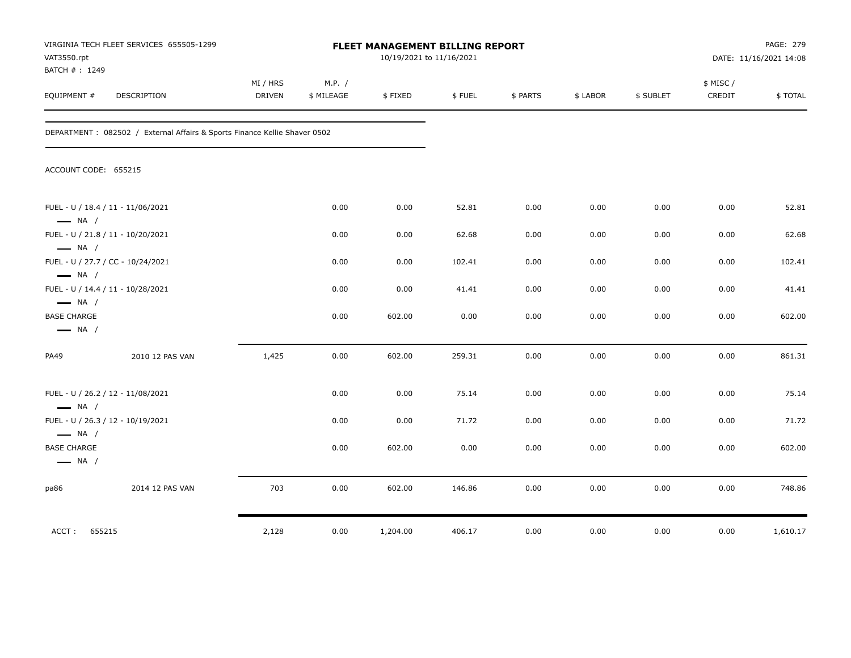| VAT3550.rpt<br>BATCH #: 1249                 | VIRGINIA TECH FLEET SERVICES 655505-1299                                   |                           |                      |          | FLEET MANAGEMENT BILLING REPORT<br>10/19/2021 to 11/16/2021 |          |          |           |                     | PAGE: 279<br>DATE: 11/16/2021 14:08 |
|----------------------------------------------|----------------------------------------------------------------------------|---------------------------|----------------------|----------|-------------------------------------------------------------|----------|----------|-----------|---------------------|-------------------------------------|
| EQUIPMENT #                                  | DESCRIPTION                                                                | MI / HRS<br><b>DRIVEN</b> | M.P. /<br>\$ MILEAGE | \$FIXED  | \$FUEL                                                      | \$ PARTS | \$ LABOR | \$ SUBLET | \$ MISC /<br>CREDIT | \$TOTAL                             |
|                                              | DEPARTMENT : 082502 / External Affairs & Sports Finance Kellie Shaver 0502 |                           |                      |          |                                                             |          |          |           |                     |                                     |
| ACCOUNT CODE: 655215                         |                                                                            |                           |                      |          |                                                             |          |          |           |                     |                                     |
| $\longrightarrow$ NA /                       | FUEL - U / 18.4 / 11 - 11/06/2021                                          |                           | 0.00                 | 0.00     | 52.81                                                       | 0.00     | 0.00     | 0.00      | 0.00                | 52.81                               |
| $\longrightarrow$ NA /                       | FUEL - U / 21.8 / 11 - 10/20/2021                                          |                           | 0.00                 | 0.00     | 62.68                                                       | 0.00     | 0.00     | 0.00      | 0.00                | 62.68                               |
| $\longrightarrow$ NA /                       | FUEL - U / 27.7 / CC - 10/24/2021                                          |                           | 0.00                 | 0.00     | 102.41                                                      | 0.00     | 0.00     | 0.00      | 0.00                | 102.41                              |
| $\longrightarrow$ NA /                       | FUEL - U / 14.4 / 11 - 10/28/2021                                          |                           | 0.00                 | 0.00     | 41.41                                                       | 0.00     | 0.00     | 0.00      | 0.00                | 41.41                               |
| <b>BASE CHARGE</b><br>$\longrightarrow$ NA / |                                                                            |                           | 0.00                 | 602.00   | 0.00                                                        | 0.00     | 0.00     | 0.00      | 0.00                | 602.00                              |
| PA49                                         | 2010 12 PAS VAN                                                            | 1,425                     | 0.00                 | 602.00   | 259.31                                                      | 0.00     | 0.00     | 0.00      | 0.00                | 861.31                              |
| $\longrightarrow$ NA /                       | FUEL - U / 26.2 / 12 - 11/08/2021                                          |                           | 0.00                 | 0.00     | 75.14                                                       | 0.00     | 0.00     | 0.00      | 0.00                | 75.14                               |
| $\longrightarrow$ NA /                       | FUEL - U / 26.3 / 12 - 10/19/2021                                          |                           | 0.00                 | 0.00     | 71.72                                                       | 0.00     | 0.00     | 0.00      | 0.00                | 71.72                               |
| <b>BASE CHARGE</b><br>$\longrightarrow$ NA / |                                                                            |                           | 0.00                 | 602.00   | 0.00                                                        | 0.00     | 0.00     | 0.00      | 0.00                | 602.00                              |
| pa86                                         | 2014 12 PAS VAN                                                            | 703                       | 0.00                 | 602.00   | 146.86                                                      | 0.00     | 0.00     | 0.00      | 0.00                | 748.86                              |
| ACCT: 655215                                 |                                                                            | 2,128                     | 0.00                 | 1,204.00 | 406.17                                                      | 0.00     | 0.00     | 0.00      | 0.00                | 1,610.17                            |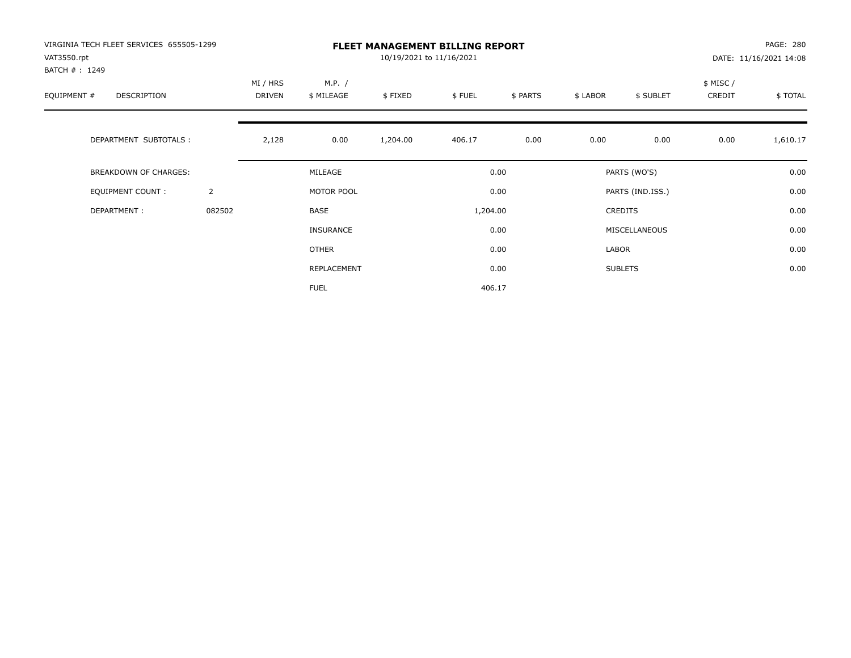| VIRGINIA TECH FLEET SERVICES 655505-1299<br>VAT3550.rpt<br>BATCH #: 1249 |                |                           |                      | 10/19/2021 to 11/16/2021 | <b>FLEET MANAGEMENT BILLING REPORT</b> |          |          |                  |                     | PAGE: 280<br>DATE: 11/16/2021 14:08 |
|--------------------------------------------------------------------------|----------------|---------------------------|----------------------|--------------------------|----------------------------------------|----------|----------|------------------|---------------------|-------------------------------------|
| EQUIPMENT #<br><b>DESCRIPTION</b>                                        |                | MI / HRS<br><b>DRIVEN</b> | M.P. /<br>\$ MILEAGE | \$FIXED                  | \$FUEL                                 | \$ PARTS | \$ LABOR | \$ SUBLET        | \$ MISC /<br>CREDIT | \$TOTAL                             |
| DEPARTMENT SUBTOTALS :                                                   |                | 2,128                     | 0.00                 | 1,204.00                 | 406.17                                 | 0.00     | 0.00     | 0.00             | 0.00                | 1,610.17                            |
| <b>BREAKDOWN OF CHARGES:</b>                                             |                |                           | MILEAGE              |                          |                                        | 0.00     |          | PARTS (WO'S)     |                     | 0.00                                |
| EQUIPMENT COUNT:                                                         | $\overline{2}$ |                           | MOTOR POOL           |                          |                                        | 0.00     |          | PARTS (IND.ISS.) |                     | 0.00                                |
| DEPARTMENT:                                                              | 082502         |                           | <b>BASE</b>          |                          | 1,204.00                               |          |          | <b>CREDITS</b>   |                     | 0.00                                |
|                                                                          |                |                           | INSURANCE            |                          |                                        | 0.00     |          | MISCELLANEOUS    |                     | 0.00                                |
|                                                                          |                |                           | OTHER                |                          |                                        | 0.00     | LABOR    |                  |                     | 0.00                                |
|                                                                          |                |                           | REPLACEMENT          |                          |                                        | 0.00     |          | <b>SUBLETS</b>   |                     | 0.00                                |
|                                                                          |                |                           | <b>FUEL</b>          |                          | 406.17                                 |          |          |                  |                     |                                     |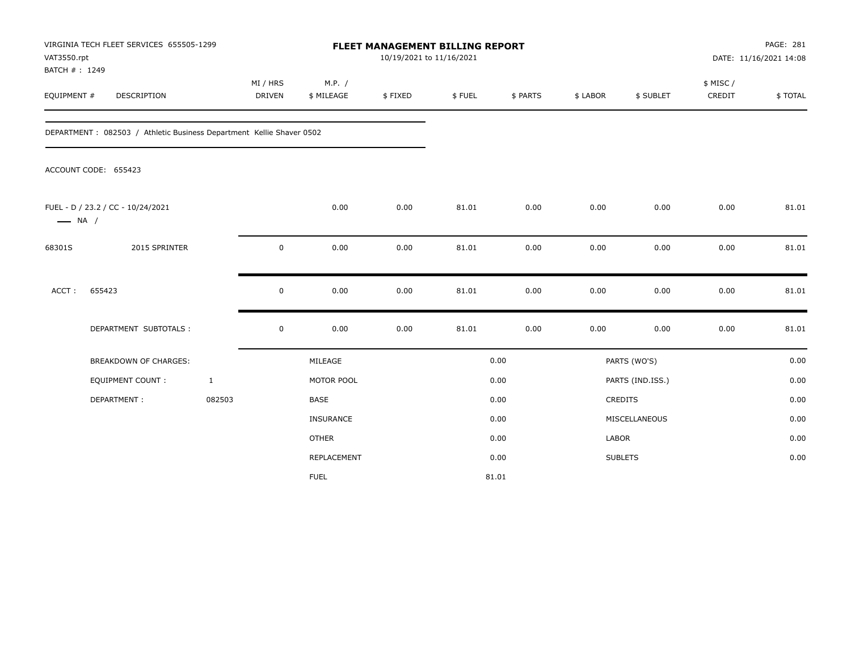| VAT3550.rpt<br>BATCH #: 1249 | VIRGINIA TECH FLEET SERVICES 655505-1299                              |                    |                      | FLEET MANAGEMENT BILLING REPORT<br>10/19/2021 to 11/16/2021 |        |          |          |                  |                     | PAGE: 281<br>DATE: 11/16/2021 14:08 |
|------------------------------|-----------------------------------------------------------------------|--------------------|----------------------|-------------------------------------------------------------|--------|----------|----------|------------------|---------------------|-------------------------------------|
| EQUIPMENT #                  | DESCRIPTION                                                           | MI / HRS<br>DRIVEN | M.P. /<br>\$ MILEAGE | \$FIXED                                                     | \$FUEL | \$ PARTS | \$ LABOR | \$ SUBLET        | \$ MISC /<br>CREDIT | \$TOTAL                             |
|                              | DEPARTMENT : 082503 / Athletic Business Department Kellie Shaver 0502 |                    |                      |                                                             |        |          |          |                  |                     |                                     |
|                              | ACCOUNT CODE: 655423                                                  |                    |                      |                                                             |        |          |          |                  |                     |                                     |
| $\longrightarrow$ NA /       | FUEL - D / 23.2 / CC - 10/24/2021                                     |                    | 0.00                 | 0.00                                                        | 81.01  | 0.00     | 0.00     | 0.00             | 0.00                | 81.01                               |
| 68301S                       | 2015 SPRINTER                                                         | $\mathbf 0$        | 0.00                 | 0.00                                                        | 81.01  | 0.00     | 0.00     | 0.00             | 0.00                | 81.01                               |
| ACCT:                        | 655423                                                                | $\mathbf 0$        | 0.00                 | 0.00                                                        | 81.01  | 0.00     | 0.00     | 0.00             | 0.00                | 81.01                               |
|                              | DEPARTMENT SUBTOTALS :                                                | $\mathsf 0$        | 0.00                 | 0.00                                                        | 81.01  | 0.00     | 0.00     | 0.00             | 0.00                | 81.01                               |
|                              | <b>BREAKDOWN OF CHARGES:</b>                                          |                    | MILEAGE              |                                                             |        | 0.00     |          | PARTS (WO'S)     |                     | 0.00                                |
|                              | EQUIPMENT COUNT:                                                      | $\mathbf{1}$       | MOTOR POOL           |                                                             |        | 0.00     |          | PARTS (IND.ISS.) |                     | 0.00                                |
|                              | DEPARTMENT:                                                           | 082503             | <b>BASE</b>          |                                                             |        | 0.00     |          | CREDITS          |                     | 0.00                                |
|                              |                                                                       |                    | <b>INSURANCE</b>     |                                                             |        | 0.00     |          | MISCELLANEOUS    |                     | 0.00                                |
|                              |                                                                       |                    | <b>OTHER</b>         |                                                             |        | 0.00     | LABOR    |                  |                     | 0.00                                |
|                              |                                                                       |                    | <b>REPLACEMENT</b>   |                                                             |        | 0.00     |          | <b>SUBLETS</b>   |                     | 0.00                                |
|                              |                                                                       |                    | <b>FUEL</b>          |                                                             |        | 81.01    |          |                  |                     |                                     |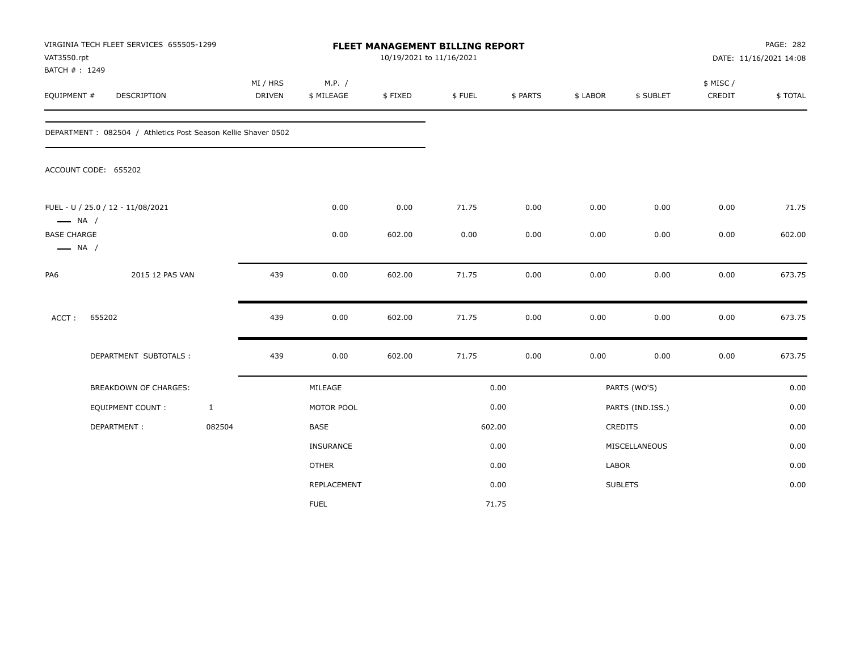| VAT3550.rpt                                  | VIRGINIA TECH FLEET SERVICES 655505-1299<br>BATCH #: 1249<br>DESCRIPTION |              |                           |                      | 10/19/2021 to 11/16/2021 | FLEET MANAGEMENT BILLING REPORT |          |          |                  |                    | PAGE: 282<br>DATE: 11/16/2021 14:08 |
|----------------------------------------------|--------------------------------------------------------------------------|--------------|---------------------------|----------------------|--------------------------|---------------------------------|----------|----------|------------------|--------------------|-------------------------------------|
| EQUIPMENT #                                  |                                                                          |              | MI / HRS<br><b>DRIVEN</b> | M.P. /<br>\$ MILEAGE | \$FIXED                  | \$FUEL                          | \$ PARTS | \$ LABOR | \$ SUBLET        | \$ MISC/<br>CREDIT | \$TOTAL                             |
|                                              | DEPARTMENT: 082504 / Athletics Post Season Kellie Shaver 0502            |              |                           |                      |                          |                                 |          |          |                  |                    |                                     |
|                                              | ACCOUNT CODE: 655202                                                     |              |                           |                      |                          |                                 |          |          |                  |                    |                                     |
| $\longrightarrow$ NA /                       | FUEL - U / 25.0 / 12 - 11/08/2021                                        |              |                           | 0.00                 | 0.00                     | 71.75                           | 0.00     | 0.00     | 0.00             | 0.00               | 71.75                               |
| <b>BASE CHARGE</b><br>$\longrightarrow$ NA / |                                                                          |              |                           | 0.00                 | 602.00                   | 0.00                            | 0.00     | 0.00     | 0.00             | 0.00               | 602.00                              |
| PA6                                          | 2015 12 PAS VAN                                                          |              | 439                       | 0.00                 | 602.00                   | 71.75                           | 0.00     | 0.00     | 0.00             | 0.00               | 673.75                              |
| ACCT:                                        | 655202                                                                   |              | 439                       | 0.00                 | 602.00                   | 71.75                           | 0.00     | 0.00     | 0.00             | 0.00               | 673.75                              |
|                                              | DEPARTMENT SUBTOTALS :                                                   |              | 439                       | 0.00                 | 602.00                   | 71.75                           | 0.00     | 0.00     | 0.00             | 0.00               | 673.75                              |
|                                              | <b>BREAKDOWN OF CHARGES:</b>                                             |              |                           | MILEAGE              |                          |                                 | 0.00     |          | PARTS (WO'S)     |                    | 0.00                                |
|                                              | <b>EQUIPMENT COUNT:</b>                                                  | $\mathbf{1}$ |                           | MOTOR POOL           |                          |                                 | 0.00     |          | PARTS (IND.ISS.) |                    | 0.00                                |
|                                              | DEPARTMENT:                                                              | 082504       |                           | BASE                 |                          |                                 | 602.00   |          | <b>CREDITS</b>   |                    | 0.00                                |
|                                              |                                                                          |              |                           | INSURANCE            |                          |                                 | 0.00     |          | MISCELLANEOUS    |                    | 0.00                                |
|                                              |                                                                          |              |                           | <b>OTHER</b>         |                          |                                 | 0.00     | LABOR    |                  |                    | 0.00                                |
|                                              |                                                                          |              |                           | REPLACEMENT          |                          |                                 | 0.00     |          | <b>SUBLETS</b>   |                    | 0.00                                |
|                                              |                                                                          |              |                           | <b>FUEL</b>          |                          |                                 | 71.75    |          |                  |                    |                                     |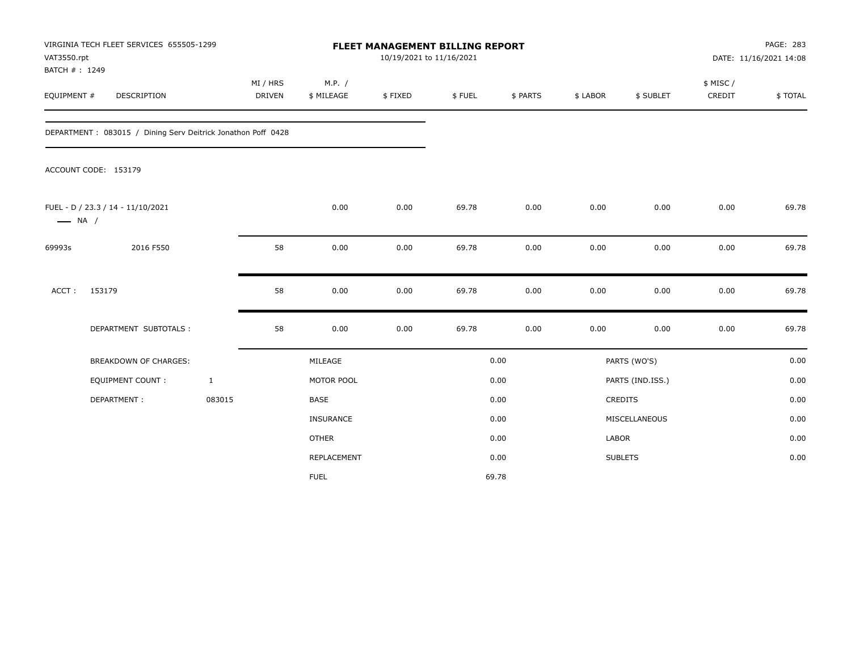| VAT3550.rpt<br>BATCH #: 1249 | VIRGINIA TECH FLEET SERVICES 655505-1299                     |                           |                      | <b>FLEET MANAGEMENT BILLING REPORT</b><br>10/19/2021 to 11/16/2021 |        |          |              |                  |                     | PAGE: 283<br>DATE: 11/16/2021 14:08 |
|------------------------------|--------------------------------------------------------------|---------------------------|----------------------|--------------------------------------------------------------------|--------|----------|--------------|------------------|---------------------|-------------------------------------|
| EQUIPMENT #                  | <b>DESCRIPTION</b>                                           | MI / HRS<br><b>DRIVEN</b> | M.P. /<br>\$ MILEAGE | \$FIXED                                                            | \$FUEL | \$ PARTS | \$ LABOR     | \$ SUBLET        | \$ MISC /<br>CREDIT | \$TOTAL                             |
|                              | DEPARTMENT: 083015 / Dining Serv Deitrick Jonathon Poff 0428 |                           |                      |                                                                    |        |          |              |                  |                     |                                     |
|                              | ACCOUNT CODE: 153179                                         |                           |                      |                                                                    |        |          |              |                  |                     |                                     |
| $\longrightarrow$ NA /       | FUEL - D / 23.3 / 14 - 11/10/2021                            |                           | 0.00                 | 0.00                                                               | 69.78  | 0.00     | 0.00         | 0.00             | 0.00                | 69.78                               |
| 69993s                       | 2016 F550                                                    | 58                        | 0.00                 | 0.00                                                               | 69.78  | 0.00     | 0.00         | 0.00             | 0.00                | 69.78                               |
| ACCT:                        | 153179                                                       | 58                        | 0.00                 | 0.00                                                               | 69.78  | 0.00     | 0.00         | 0.00             | 0.00                | 69.78                               |
|                              | DEPARTMENT SUBTOTALS :                                       | 58                        | 0.00                 | 0.00                                                               | 69.78  | 0.00     | 0.00         | 0.00             | 0.00                | 69.78                               |
|                              | <b>BREAKDOWN OF CHARGES:</b>                                 |                           | MILEAGE              |                                                                    |        | 0.00     |              | PARTS (WO'S)     |                     | 0.00                                |
|                              | EQUIPMENT COUNT :                                            | $\mathbf{1}$              | MOTOR POOL           |                                                                    |        | 0.00     |              | PARTS (IND.ISS.) |                     | 0.00                                |
|                              | DEPARTMENT:                                                  | 083015                    | <b>BASE</b>          |                                                                    |        | 0.00     |              | <b>CREDITS</b>   |                     | 0.00                                |
|                              |                                                              |                           | <b>INSURANCE</b>     |                                                                    |        | 0.00     |              | MISCELLANEOUS    |                     | 0.00                                |
|                              |                                                              |                           | <b>OTHER</b>         |                                                                    |        | 0.00     | <b>LABOR</b> |                  |                     | 0.00                                |
|                              |                                                              |                           | REPLACEMENT          |                                                                    |        | 0.00     |              | <b>SUBLETS</b>   |                     | 0.00                                |
|                              |                                                              |                           | <b>FUEL</b>          |                                                                    |        | 69.78    |              |                  |                     |                                     |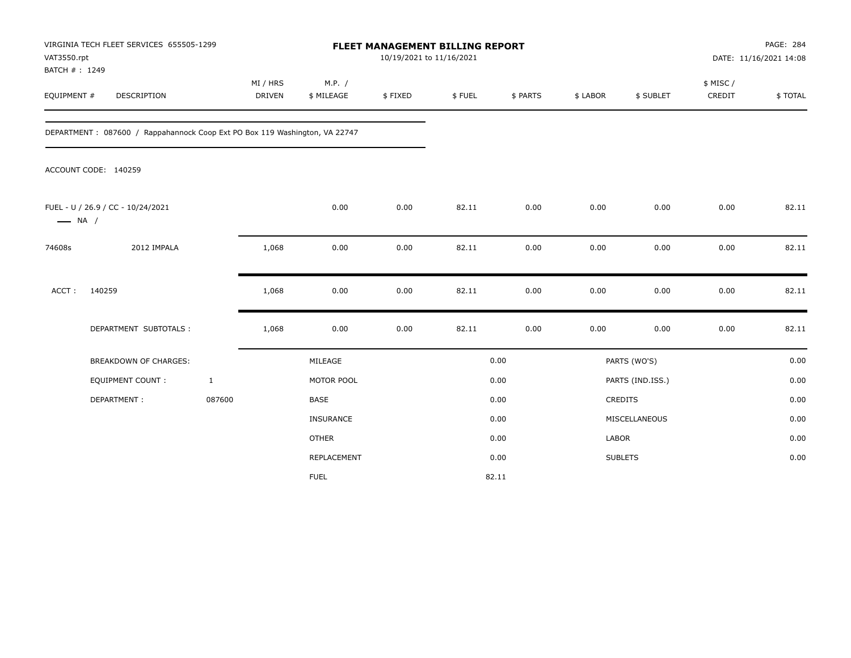| VAT3550.rpt<br>BATCH #: 1249 | VIRGINIA TECH FLEET SERVICES 655505-1299                                   |                           |                      | FLEET MANAGEMENT BILLING REPORT<br>10/19/2021 to 11/16/2021 |        |          |              |                  |                     | PAGE: 284<br>DATE: 11/16/2021 14:08 |
|------------------------------|----------------------------------------------------------------------------|---------------------------|----------------------|-------------------------------------------------------------|--------|----------|--------------|------------------|---------------------|-------------------------------------|
| EQUIPMENT #                  | <b>DESCRIPTION</b>                                                         | MI / HRS<br><b>DRIVEN</b> | M.P. /<br>\$ MILEAGE | \$FIXED                                                     | \$FUEL | \$ PARTS | \$ LABOR     | \$ SUBLET        | \$ MISC /<br>CREDIT | \$TOTAL                             |
|                              | DEPARTMENT: 087600 / Rappahannock Coop Ext PO Box 119 Washington, VA 22747 |                           |                      |                                                             |        |          |              |                  |                     |                                     |
|                              | ACCOUNT CODE: 140259                                                       |                           |                      |                                                             |        |          |              |                  |                     |                                     |
| $\longrightarrow$ NA /       | FUEL - U / 26.9 / CC - 10/24/2021                                          |                           | 0.00                 | 0.00                                                        | 82.11  | 0.00     | 0.00         | 0.00             | 0.00                | 82.11                               |
| 74608s                       | 2012 IMPALA                                                                | 1,068                     | 0.00                 | 0.00                                                        | 82.11  | 0.00     | 0.00         | 0.00             | 0.00                | 82.11                               |
| $ACCT$ :                     | 140259                                                                     | 1,068                     | 0.00                 | 0.00                                                        | 82.11  | 0.00     | 0.00         | 0.00             | 0.00                | 82.11                               |
|                              | DEPARTMENT SUBTOTALS :                                                     | 1,068                     | 0.00                 | 0.00                                                        | 82.11  | 0.00     | 0.00         | 0.00             | 0.00                | 82.11                               |
|                              | <b>BREAKDOWN OF CHARGES:</b>                                               |                           | MILEAGE              |                                                             |        | 0.00     |              | PARTS (WO'S)     |                     | 0.00                                |
|                              | <b>EQUIPMENT COUNT:</b>                                                    | $\mathbf{1}$              | MOTOR POOL           |                                                             |        | 0.00     |              | PARTS (IND.ISS.) |                     | 0.00                                |
|                              | DEPARTMENT:                                                                | 087600                    | <b>BASE</b>          |                                                             |        | 0.00     |              | <b>CREDITS</b>   |                     | 0.00                                |
|                              |                                                                            |                           | <b>INSURANCE</b>     |                                                             |        | 0.00     |              | MISCELLANEOUS    |                     | 0.00                                |
|                              |                                                                            |                           | <b>OTHER</b>         |                                                             |        | 0.00     | <b>LABOR</b> |                  |                     | 0.00                                |
|                              |                                                                            |                           | REPLACEMENT          |                                                             |        | 0.00     |              | <b>SUBLETS</b>   |                     | 0.00                                |
|                              |                                                                            |                           | <b>FUEL</b>          |                                                             |        | 82.11    |              |                  |                     |                                     |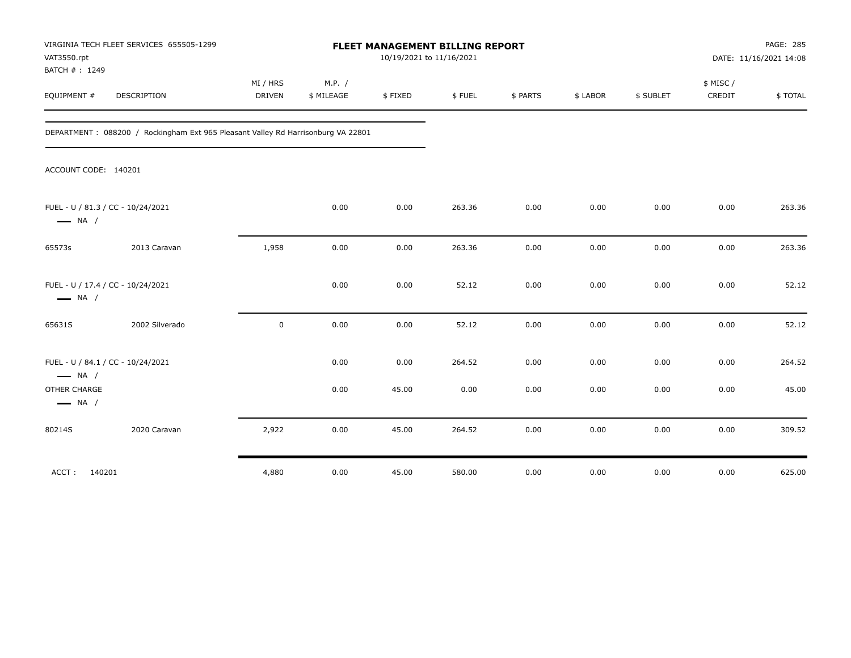| VAT3550.rpt<br>BATCH #: 1249                                | VIRGINIA TECH FLEET SERVICES 655505-1299                                         |                           |                      | 10/19/2021 to 11/16/2021 | FLEET MANAGEMENT BILLING REPORT |          |          |           |                    | PAGE: 285<br>DATE: 11/16/2021 14:08 |
|-------------------------------------------------------------|----------------------------------------------------------------------------------|---------------------------|----------------------|--------------------------|---------------------------------|----------|----------|-----------|--------------------|-------------------------------------|
| EQUIPMENT #                                                 | <b>DESCRIPTION</b>                                                               | MI / HRS<br><b>DRIVEN</b> | M.P. /<br>\$ MILEAGE | \$FIXED                  | \$FUEL                          | \$ PARTS | \$ LABOR | \$ SUBLET | \$ MISC/<br>CREDIT | \$TOTAL                             |
|                                                             | DEPARTMENT: 088200 / Rockingham Ext 965 Pleasant Valley Rd Harrisonburg VA 22801 |                           |                      |                          |                                 |          |          |           |                    |                                     |
| ACCOUNT CODE: 140201                                        |                                                                                  |                           |                      |                          |                                 |          |          |           |                    |                                     |
| FUEL - U / 81.3 / CC - 10/24/2021<br>$\longrightarrow$ NA / |                                                                                  |                           | 0.00                 | 0.00                     | 263.36                          | 0.00     | 0.00     | 0.00      | 0.00               | 263.36                              |
| 65573s                                                      | 2013 Caravan                                                                     | 1,958                     | 0.00                 | 0.00                     | 263.36                          | 0.00     | 0.00     | 0.00      | 0.00               | 263.36                              |
| FUEL - U / 17.4 / CC - 10/24/2021<br>$\longrightarrow$ NA / |                                                                                  |                           | 0.00                 | 0.00                     | 52.12                           | 0.00     | 0.00     | 0.00      | 0.00               | 52.12                               |
| 65631S                                                      | 2002 Silverado                                                                   | $\mathbf 0$               | 0.00                 | 0.00                     | 52.12                           | 0.00     | 0.00     | 0.00      | 0.00               | 52.12                               |
| FUEL - U / 84.1 / CC - 10/24/2021<br>$\longrightarrow$ NA / |                                                                                  |                           | 0.00                 | 0.00                     | 264.52                          | 0.00     | 0.00     | 0.00      | 0.00               | 264.52                              |
| OTHER CHARGE<br>$\longrightarrow$ NA /                      |                                                                                  |                           | 0.00                 | 45.00                    | 0.00                            | 0.00     | 0.00     | 0.00      | 0.00               | 45.00                               |
| 80214S                                                      | 2020 Caravan                                                                     | 2,922                     | 0.00                 | 45.00                    | 264.52                          | 0.00     | 0.00     | 0.00      | 0.00               | 309.52                              |
| ACCT:<br>140201                                             |                                                                                  | 4,880                     | 0.00                 | 45.00                    | 580.00                          | 0.00     | 0.00     | 0.00      | 0.00               | 625.00                              |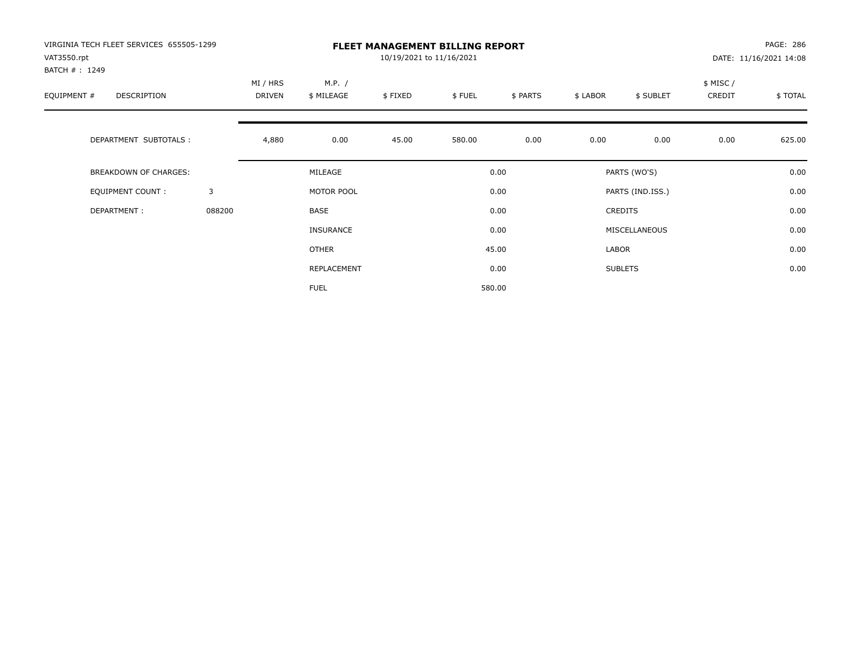| VIRGINIA TECH FLEET SERVICES 655505-1299<br>VAT3550.rpt<br>BATCH #: 1249 |        |                    |                      | 10/19/2021 to 11/16/2021 | <b>FLEET MANAGEMENT BILLING REPORT</b> |          |          |                  |                     | PAGE: 286<br>DATE: 11/16/2021 14:08 |
|--------------------------------------------------------------------------|--------|--------------------|----------------------|--------------------------|----------------------------------------|----------|----------|------------------|---------------------|-------------------------------------|
| EQUIPMENT #<br><b>DESCRIPTION</b>                                        |        | MI / HRS<br>DRIVEN | M.P. /<br>\$ MILEAGE | \$FIXED                  | \$FUEL                                 | \$ PARTS | \$ LABOR | \$ SUBLET        | \$ MISC /<br>CREDIT | \$TOTAL                             |
| DEPARTMENT SUBTOTALS :                                                   |        | 4,880              | 0.00                 | 45.00                    | 580.00                                 | 0.00     | 0.00     | 0.00             | 0.00                | 625.00                              |
| <b>BREAKDOWN OF CHARGES:</b>                                             |        |                    | MILEAGE              |                          |                                        | 0.00     |          | PARTS (WO'S)     |                     | 0.00                                |
| EQUIPMENT COUNT:                                                         | 3      |                    | MOTOR POOL           |                          |                                        | 0.00     |          | PARTS (IND.ISS.) |                     | 0.00                                |
| DEPARTMENT:                                                              | 088200 |                    | <b>BASE</b>          |                          |                                        | 0.00     |          | <b>CREDITS</b>   |                     | 0.00                                |
|                                                                          |        |                    | INSURANCE            |                          |                                        | 0.00     |          | MISCELLANEOUS    |                     | 0.00                                |
|                                                                          |        |                    | <b>OTHER</b>         |                          |                                        | 45.00    | LABOR    |                  |                     | 0.00                                |
|                                                                          |        |                    | REPLACEMENT          |                          |                                        | 0.00     |          | <b>SUBLETS</b>   |                     | 0.00                                |
|                                                                          |        |                    | <b>FUEL</b>          |                          |                                        | 580.00   |          |                  |                     |                                     |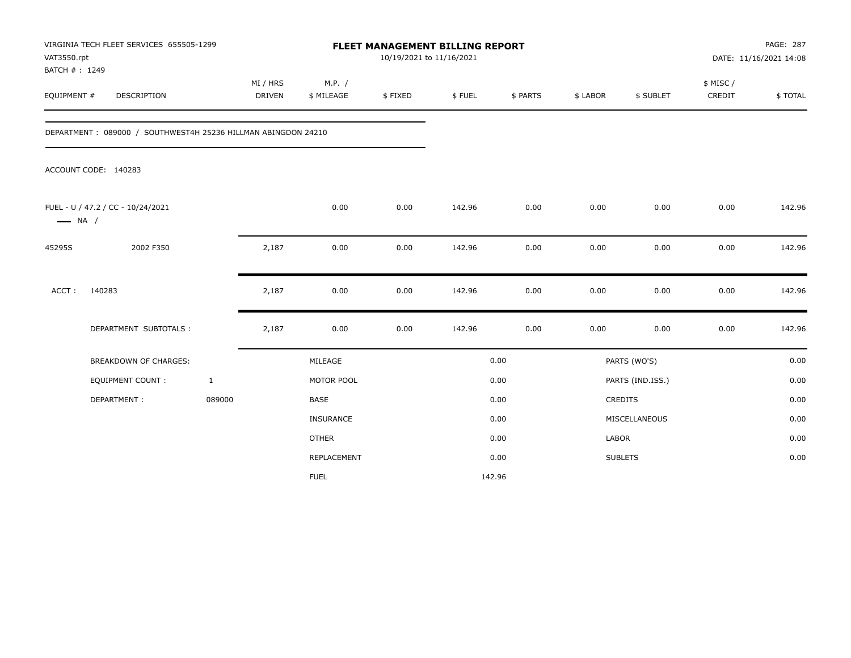| VAT3550.rpt<br>BATCH #: 1249 | VIRGINIA TECH FLEET SERVICES 655505-1299                      |                           | FLEET MANAGEMENT BILLING REPORT<br>10/19/2021 to 11/16/2021 |         |        |          |              | PAGE: 287<br>DATE: 11/16/2021 14:08 |                     |         |
|------------------------------|---------------------------------------------------------------|---------------------------|-------------------------------------------------------------|---------|--------|----------|--------------|-------------------------------------|---------------------|---------|
| EQUIPMENT #                  | DESCRIPTION                                                   | MI / HRS<br><b>DRIVEN</b> | M.P. /<br>\$ MILEAGE                                        | \$FIXED | \$FUEL | \$ PARTS | \$ LABOR     | \$ SUBLET                           | \$ MISC /<br>CREDIT | \$TOTAL |
|                              | DEPARTMENT: 089000 / SOUTHWEST4H 25236 HILLMAN ABINGDON 24210 |                           |                                                             |         |        |          |              |                                     |                     |         |
|                              | ACCOUNT CODE: 140283                                          |                           |                                                             |         |        |          |              |                                     |                     |         |
| $\longrightarrow$ NA /       | FUEL - U / 47.2 / CC - 10/24/2021                             |                           | 0.00                                                        | 0.00    | 142.96 | 0.00     | 0.00         | 0.00                                | 0.00                | 142.96  |
| 45295S                       | 2002 F350                                                     | 2,187                     | 0.00                                                        | 0.00    | 142.96 | 0.00     | 0.00         | 0.00                                | 0.00                | 142.96  |
| ACCT:                        | 140283                                                        | 2,187                     | 0.00                                                        | 0.00    | 142.96 | 0.00     | 0.00         | 0.00                                | 0.00                | 142.96  |
|                              | DEPARTMENT SUBTOTALS :                                        | 2,187                     | 0.00                                                        | 0.00    | 142.96 | 0.00     | 0.00         | 0.00                                | 0.00                | 142.96  |
|                              | <b>BREAKDOWN OF CHARGES:</b>                                  |                           | MILEAGE                                                     |         |        | 0.00     |              | PARTS (WO'S)                        |                     | 0.00    |
|                              | <b>EQUIPMENT COUNT:</b>                                       | $\mathbf{1}$              | MOTOR POOL                                                  |         |        | 0.00     |              | PARTS (IND.ISS.)                    |                     | 0.00    |
|                              | DEPARTMENT:                                                   | 089000                    | BASE                                                        |         |        | 0.00     |              | <b>CREDITS</b>                      |                     | 0.00    |
|                              |                                                               |                           | INSURANCE                                                   |         |        | 0.00     |              | MISCELLANEOUS                       |                     | 0.00    |
|                              |                                                               |                           | <b>OTHER</b>                                                |         |        | 0.00     | <b>LABOR</b> |                                     |                     | 0.00    |
|                              |                                                               |                           | REPLACEMENT                                                 |         |        | 0.00     |              | <b>SUBLETS</b>                      |                     | 0.00    |
|                              |                                                               |                           | <b>FUEL</b>                                                 |         |        | 142.96   |              |                                     |                     |         |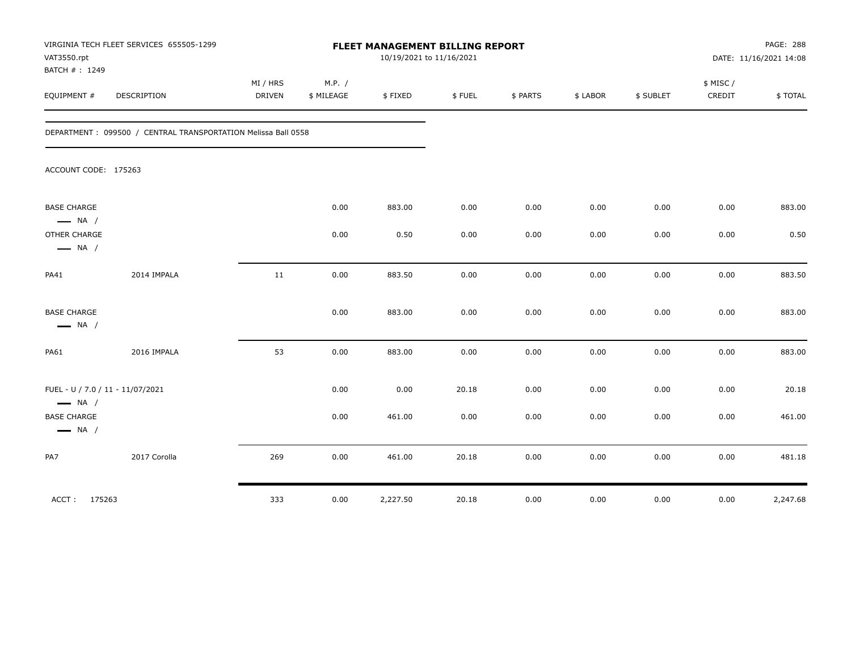| VAT3550.rpt<br>BATCH #: 1249                               | VIRGINIA TECH FLEET SERVICES 655505-1299                      |                           |                      |          | FLEET MANAGEMENT BILLING REPORT<br>10/19/2021 to 11/16/2021 |          |          |           |                    | PAGE: 288<br>DATE: 11/16/2021 14:08 |
|------------------------------------------------------------|---------------------------------------------------------------|---------------------------|----------------------|----------|-------------------------------------------------------------|----------|----------|-----------|--------------------|-------------------------------------|
| EQUIPMENT #                                                | <b>DESCRIPTION</b>                                            | MI / HRS<br><b>DRIVEN</b> | M.P. /<br>\$ MILEAGE | \$FIXED  | \$FUEL                                                      | \$ PARTS | \$ LABOR | \$ SUBLET | \$ MISC/<br>CREDIT | \$TOTAL                             |
|                                                            | DEPARTMENT: 099500 / CENTRAL TRANSPORTATION Melissa Ball 0558 |                           |                      |          |                                                             |          |          |           |                    |                                     |
| ACCOUNT CODE: 175263                                       |                                                               |                           |                      |          |                                                             |          |          |           |                    |                                     |
| <b>BASE CHARGE</b><br>$\longrightarrow$ NA /               |                                                               |                           | 0.00                 | 883.00   | 0.00                                                        | 0.00     | 0.00     | 0.00      | 0.00               | 883.00                              |
| OTHER CHARGE<br>$\longrightarrow$ NA /                     |                                                               |                           | 0.00                 | 0.50     | 0.00                                                        | 0.00     | 0.00     | 0.00      | 0.00               | 0.50                                |
| <b>PA41</b>                                                | 2014 IMPALA                                                   | 11                        | 0.00                 | 883.50   | 0.00                                                        | 0.00     | 0.00     | 0.00      | 0.00               | 883.50                              |
| <b>BASE CHARGE</b><br>$\longrightarrow$ NA /               |                                                               |                           | 0.00                 | 883.00   | 0.00                                                        | 0.00     | 0.00     | 0.00      | 0.00               | 883.00                              |
| PA61                                                       | 2016 IMPALA                                                   | 53                        | 0.00                 | 883.00   | 0.00                                                        | 0.00     | 0.00     | 0.00      | 0.00               | 883.00                              |
| FUEL - U / 7.0 / 11 - 11/07/2021<br>$\longrightarrow$ NA / |                                                               |                           | 0.00                 | 0.00     | 20.18                                                       | 0.00     | 0.00     | 0.00      | 0.00               | 20.18                               |
| <b>BASE CHARGE</b><br>$\longrightarrow$ NA /               |                                                               |                           | 0.00                 | 461.00   | 0.00                                                        | 0.00     | 0.00     | 0.00      | 0.00               | 461.00                              |
| PA7                                                        | 2017 Corolla                                                  | 269                       | 0.00                 | 461.00   | 20.18                                                       | 0.00     | 0.00     | 0.00      | 0.00               | 481.18                              |
| ACCT: 175263                                               |                                                               | 333                       | 0.00                 | 2,227.50 | 20.18                                                       | 0.00     | 0.00     | 0.00      | 0.00               | 2,247.68                            |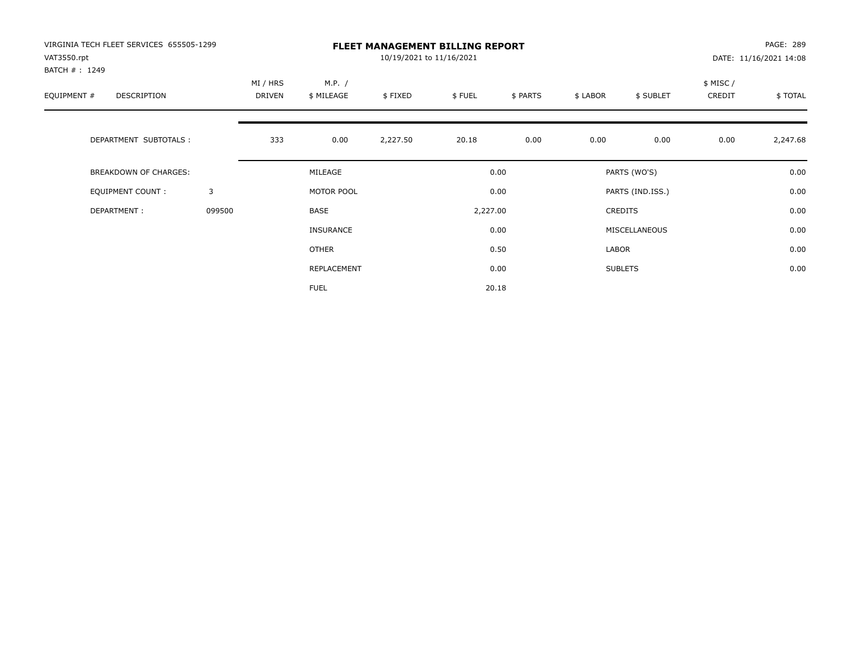| VIRGINIA TECH FLEET SERVICES 655505-1299<br>VAT3550.rpt<br>BATCH #: 1249 | <b>FLEET MANAGEMENT BILLING REPORT</b><br>10/19/2021 to 11/16/2021 |                    |                      |          |          |          |               |                  | PAGE: 289<br>DATE: 11/16/2021 14:08 |          |  |
|--------------------------------------------------------------------------|--------------------------------------------------------------------|--------------------|----------------------|----------|----------|----------|---------------|------------------|-------------------------------------|----------|--|
| EQUIPMENT #<br><b>DESCRIPTION</b>                                        |                                                                    | MI / HRS<br>DRIVEN | M.P. /<br>\$ MILEAGE | \$FIXED  | \$FUEL   | \$ PARTS | \$ LABOR      | \$ SUBLET        | \$ MISC /<br>CREDIT                 | \$TOTAL  |  |
| DEPARTMENT SUBTOTALS :                                                   |                                                                    | 333                | 0.00                 | 2,227.50 | 20.18    | 0.00     | 0.00          | 0.00             | 0.00                                | 2,247.68 |  |
| <b>BREAKDOWN OF CHARGES:</b>                                             |                                                                    |                    | MILEAGE              |          |          | 0.00     |               | PARTS (WO'S)     |                                     | 0.00     |  |
| <b>EQUIPMENT COUNT:</b>                                                  | 3                                                                  |                    | MOTOR POOL           |          |          | 0.00     |               | PARTS (IND.ISS.) |                                     | 0.00     |  |
| DEPARTMENT:                                                              | 099500                                                             |                    | <b>BASE</b>          |          | 2,227.00 |          |               | <b>CREDITS</b>   |                                     | 0.00     |  |
|                                                                          |                                                                    |                    | INSURANCE            |          | 0.00     |          | MISCELLANEOUS |                  |                                     | 0.00     |  |
|                                                                          |                                                                    |                    | OTHER                |          |          | 0.50     | LABOR         |                  |                                     | 0.00     |  |
|                                                                          |                                                                    |                    | REPLACEMENT          |          |          | 0.00     |               | <b>SUBLETS</b>   |                                     | 0.00     |  |
|                                                                          |                                                                    |                    | <b>FUEL</b>          |          |          | 20.18    |               |                  |                                     |          |  |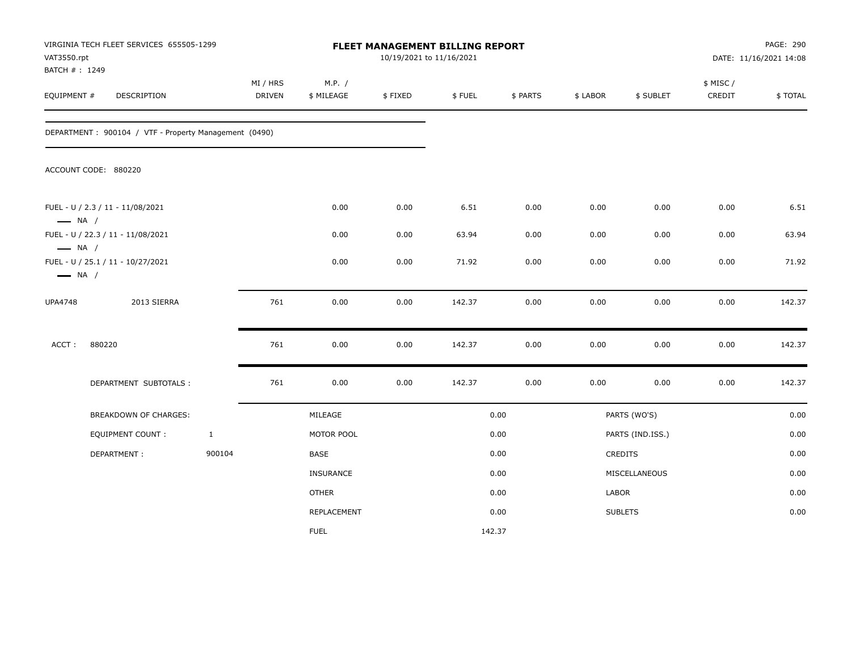| VIRGINIA TECH FLEET SERVICES 655505-1299<br>VAT3550.rpt<br>BATCH #: 1249              |                                                       |              | FLEET MANAGEMENT BILLING REPORT<br>10/19/2021 to 11/16/2021 |                  |         |        |          |                  |                      |           | PAGE: 290<br>DATE: 11/16/2021 14:08 |  |
|---------------------------------------------------------------------------------------|-------------------------------------------------------|--------------|-------------------------------------------------------------|------------------|---------|--------|----------|------------------|----------------------|-----------|-------------------------------------|--|
|                                                                                       |                                                       |              | MI / HRS                                                    | M.P. /           |         |        |          |                  |                      | \$ MISC / |                                     |  |
| EQUIPMENT #                                                                           | DESCRIPTION                                           |              | DRIVEN                                                      | \$ MILEAGE       | \$FIXED | \$FUEL | \$ PARTS | \$ LABOR         | \$ SUBLET            | CREDIT    | \$TOTAL                             |  |
|                                                                                       | DEPARTMENT: 900104 / VTF - Property Management (0490) |              |                                                             |                  |         |        |          |                  |                      |           |                                     |  |
|                                                                                       | ACCOUNT CODE: 880220                                  |              |                                                             |                  |         |        |          |                  |                      |           |                                     |  |
|                                                                                       | FUEL - U / 2.3 / 11 - 11/08/2021                      |              |                                                             | 0.00             | 0.00    | 6.51   | 0.00     | 0.00             | 0.00                 | 0.00      | 6.51                                |  |
| $\longrightarrow$ NA /<br>FUEL - U / 22.3 / 11 - 11/08/2021<br>$\longrightarrow$ NA / |                                                       |              |                                                             | 0.00             | 0.00    | 63.94  | 0.00     | 0.00             | 0.00                 | 0.00      | 63.94                               |  |
| FUEL - U / 25.1 / 11 - 10/27/2021<br>$\longrightarrow$ NA /                           |                                                       |              |                                                             | 0.00             | 0.00    | 71.92  | 0.00     | 0.00             | 0.00                 | 0.00      | 71.92                               |  |
| <b>UPA4748</b>                                                                        | 2013 SIERRA                                           |              | 761                                                         | 0.00             | 0.00    | 142.37 | 0.00     | 0.00             | 0.00                 | 0.00      | 142.37                              |  |
| ACCT:                                                                                 | 880220                                                |              | 761                                                         | 0.00             | 0.00    | 142.37 | 0.00     | 0.00             | 0.00                 | 0.00      | 142.37                              |  |
|                                                                                       | DEPARTMENT SUBTOTALS :                                |              | 761                                                         | 0.00             | 0.00    | 142.37 | 0.00     | 0.00             | 0.00                 | 0.00      | 142.37                              |  |
|                                                                                       | <b>BREAKDOWN OF CHARGES:</b>                          |              |                                                             | MILEAGE          |         | 0.00   |          |                  | PARTS (WO'S)<br>0.00 |           |                                     |  |
|                                                                                       | <b>EQUIPMENT COUNT:</b>                               | $\mathbf{1}$ |                                                             | MOTOR POOL       |         | 0.00   |          | PARTS (IND.ISS.) |                      |           | 0.00                                |  |
|                                                                                       | DEPARTMENT:                                           | 900104       |                                                             | <b>BASE</b>      |         |        | 0.00     |                  | CREDITS              |           | 0.00                                |  |
|                                                                                       |                                                       |              |                                                             | <b>INSURANCE</b> |         |        | 0.00     |                  | MISCELLANEOUS        |           | 0.00                                |  |
|                                                                                       |                                                       |              |                                                             | <b>OTHER</b>     |         |        | 0.00     | LABOR            |                      |           | 0.00                                |  |
|                                                                                       |                                                       |              |                                                             | REPLACEMENT      |         |        | 0.00     |                  | <b>SUBLETS</b>       |           | 0.00                                |  |
|                                                                                       |                                                       |              |                                                             | <b>FUEL</b>      |         |        | 142.37   |                  |                      |           |                                     |  |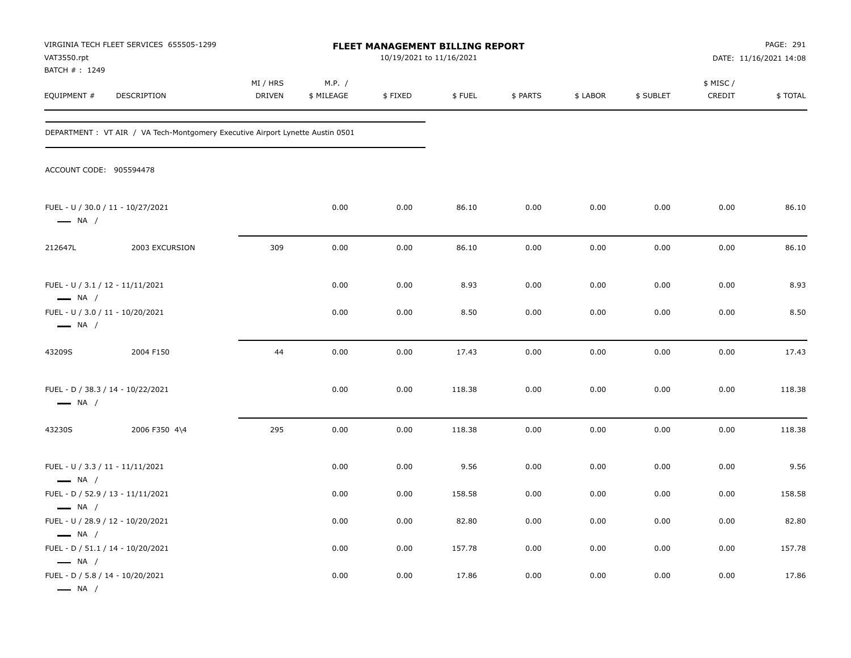| VAT3550.rpt<br>BATCH #: 1249                                                          | VIRGINIA TECH FLEET SERVICES 655505-1299                                       | <b>FLEET MANAGEMENT BILLING REPORT</b><br>10/19/2021 to 11/16/2021 |                      |         |        |          |          |           |                    | PAGE: 291<br>DATE: 11/16/2021 14:08 |
|---------------------------------------------------------------------------------------|--------------------------------------------------------------------------------|--------------------------------------------------------------------|----------------------|---------|--------|----------|----------|-----------|--------------------|-------------------------------------|
| EQUIPMENT #                                                                           | DESCRIPTION                                                                    | MI / HRS<br>DRIVEN                                                 | M.P. /<br>\$ MILEAGE | \$FIXED | \$FUEL | \$ PARTS | \$ LABOR | \$ SUBLET | \$ MISC/<br>CREDIT | \$TOTAL                             |
|                                                                                       | DEPARTMENT : VT AIR / VA Tech-Montgomery Executive Airport Lynette Austin 0501 |                                                                    |                      |         |        |          |          |           |                    |                                     |
| ACCOUNT CODE: 905594478                                                               |                                                                                |                                                                    |                      |         |        |          |          |           |                    |                                     |
| FUEL - U / 30.0 / 11 - 10/27/2021<br>$\longrightarrow$ NA /                           |                                                                                |                                                                    | 0.00                 | 0.00    | 86.10  | 0.00     | 0.00     | 0.00      | 0.00               | 86.10                               |
| 212647L                                                                               | 2003 EXCURSION                                                                 | 309                                                                | 0.00                 | 0.00    | 86.10  | 0.00     | 0.00     | 0.00      | 0.00               | 86.10                               |
| FUEL - U / 3.1 / 12 - 11/11/2021<br>$\longrightarrow$ NA /                            |                                                                                |                                                                    | 0.00                 | 0.00    | 8.93   | 0.00     | 0.00     | 0.00      | 0.00               | 8.93                                |
| FUEL - U / 3.0 / 11 - 10/20/2021<br>$\longrightarrow$ NA /                            |                                                                                |                                                                    | 0.00                 | 0.00    | 8.50   | 0.00     | 0.00     | 0.00      | 0.00               | 8.50                                |
| 43209S                                                                                | 2004 F150                                                                      | 44                                                                 | 0.00                 | 0.00    | 17.43  | 0.00     | 0.00     | 0.00      | 0.00               | 17.43                               |
| FUEL - D / 38.3 / 14 - 10/22/2021<br>$\longrightarrow$ NA /                           |                                                                                |                                                                    | 0.00                 | 0.00    | 118.38 | 0.00     | 0.00     | 0.00      | 0.00               | 118.38                              |
| 43230S                                                                                | 2006 F350 4\4                                                                  | 295                                                                | 0.00                 | 0.00    | 118.38 | 0.00     | 0.00     | 0.00      | 0.00               | 118.38                              |
| FUEL - U / 3.3 / 11 - 11/11/2021<br>$\longrightarrow$ NA /                            |                                                                                |                                                                    | 0.00                 | 0.00    | 9.56   | 0.00     | 0.00     | 0.00      | 0.00               | 9.56                                |
| FUEL - D / 52.9 / 13 - 11/11/2021                                                     |                                                                                |                                                                    | 0.00                 | 0.00    | 158.58 | 0.00     | 0.00     | 0.00      | 0.00               | 158.58                              |
| $\longrightarrow$ NA /<br>FUEL - U / 28.9 / 12 - 10/20/2021<br>$\longrightarrow$ NA / |                                                                                |                                                                    | 0.00                 | 0.00    | 82.80  | 0.00     | 0.00     | 0.00      | 0.00               | 82.80                               |
| FUEL - D / 51.1 / 14 - 10/20/2021                                                     |                                                                                |                                                                    | 0.00                 | 0.00    | 157.78 | 0.00     | 0.00     | 0.00      | 0.00               | 157.78                              |
| $\longrightarrow$ NA /<br>FUEL - D / 5.8 / 14 - 10/20/2021<br>$\longrightarrow$ NA /  |                                                                                |                                                                    | 0.00                 | 0.00    | 17.86  | 0.00     | 0.00     | 0.00      | 0.00               | 17.86                               |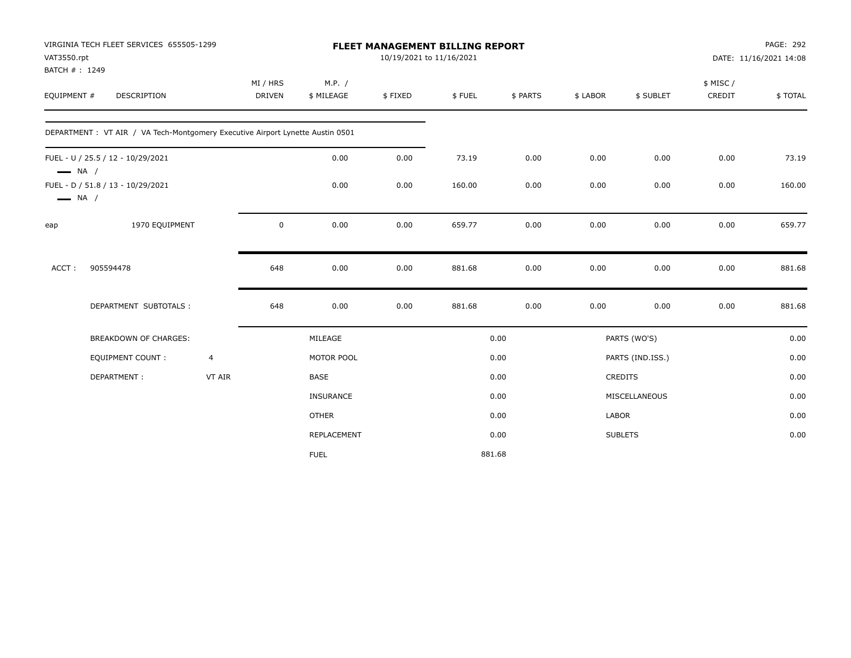|                                                  | VIRGINIA TECH FLEET SERVICES 655505-1299                                       |                | <b>FLEET MANAGEMENT BILLING REPORT</b> |                  |         |        |          |                | PAGE: 292              |           |         |
|--------------------------------------------------|--------------------------------------------------------------------------------|----------------|----------------------------------------|------------------|---------|--------|----------|----------------|------------------------|-----------|---------|
| VAT3550.rpt                                      |                                                                                |                | 10/19/2021 to 11/16/2021               |                  |         |        |          |                | DATE: 11/16/2021 14:08 |           |         |
| BATCH #: 1249                                    |                                                                                |                |                                        |                  |         |        |          |                |                        |           |         |
|                                                  |                                                                                |                | MI / HRS                               | M.P. /           |         |        |          |                |                        | \$ MISC / |         |
| EQUIPMENT #                                      | DESCRIPTION                                                                    |                | <b>DRIVEN</b>                          | \$ MILEAGE       | \$FIXED | \$FUEL | \$ PARTS | \$ LABOR       | \$ SUBLET              | CREDIT    | \$TOTAL |
|                                                  | DEPARTMENT : VT AIR / VA Tech-Montgomery Executive Airport Lynette Austin 0501 |                |                                        |                  |         |        |          |                |                        |           |         |
| FUEL - U / 25.5 / 12 - 10/29/2021                |                                                                                |                |                                        | 0.00             | 0.00    | 73.19  | 0.00     | 0.00           | 0.00                   | 0.00      | 73.19   |
| $\longrightarrow$ NA /<br>$\longrightarrow$ NA / | FUEL - D / 51.8 / 13 - 10/29/2021                                              |                |                                        | 0.00             | 0.00    | 160.00 | 0.00     | 0.00           | 0.00                   | 0.00      | 160.00  |
| eap                                              | 1970 EQUIPMENT                                                                 |                | $\mathbf 0$                            | 0.00             | 0.00    | 659.77 | 0.00     | 0.00           | 0.00                   | 0.00      | 659.77  |
| ACCT:                                            | 905594478                                                                      |                | 648                                    | 0.00             | 0.00    | 881.68 | 0.00     | 0.00           | 0.00                   | 0.00      | 881.68  |
|                                                  | DEPARTMENT SUBTOTALS :                                                         |                | 648                                    | 0.00             | 0.00    | 881.68 | 0.00     | 0.00           | 0.00                   | 0.00      | 881.68  |
|                                                  | <b>BREAKDOWN OF CHARGES:</b>                                                   |                |                                        | MILEAGE          |         |        | 0.00     |                | PARTS (WO'S)           |           | 0.00    |
|                                                  | <b>EQUIPMENT COUNT:</b>                                                        | $\overline{4}$ |                                        | MOTOR POOL       |         |        | 0.00     |                | PARTS (IND.ISS.)       |           | 0.00    |
|                                                  | DEPARTMENT:                                                                    | VT AIR         |                                        | <b>BASE</b>      |         |        | 0.00     | <b>CREDITS</b> |                        |           | 0.00    |
|                                                  |                                                                                |                |                                        | <b>INSURANCE</b> |         |        | 0.00     |                | MISCELLANEOUS          |           | 0.00    |
|                                                  |                                                                                |                |                                        | <b>OTHER</b>     |         |        | 0.00     | LABOR          |                        |           | 0.00    |
|                                                  |                                                                                |                |                                        | REPLACEMENT      |         |        | 0.00     | <b>SUBLETS</b> |                        |           | 0.00    |
|                                                  |                                                                                |                |                                        | <b>FUEL</b>      |         | 881.68 |          |                |                        |           |         |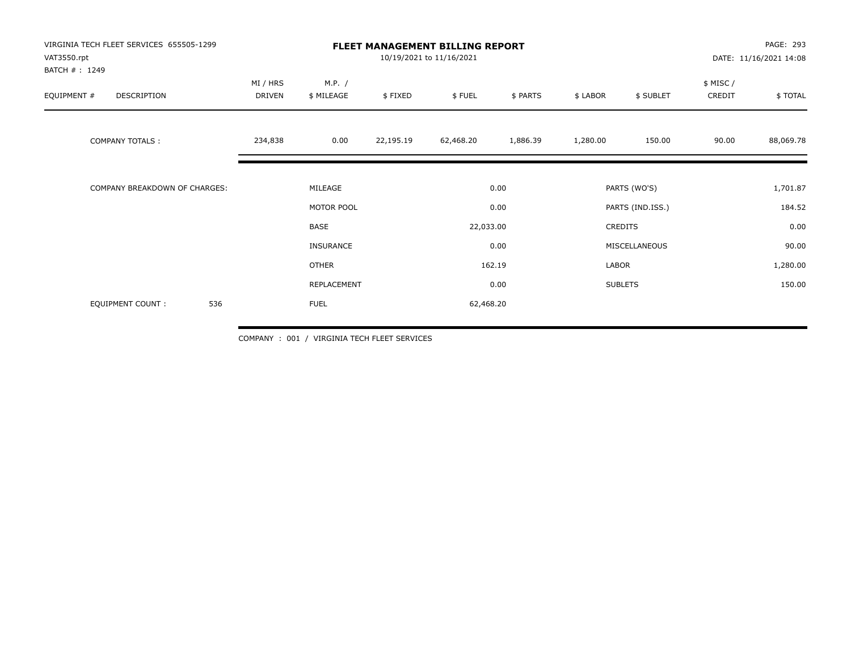| VIRGINIA TECH FLEET SERVICES 655505-1299<br>VAT3550.rpt<br>BATCH #: 1249 |                           | <b>FLEET MANAGEMENT BILLING REPORT</b><br>10/19/2021 to 11/16/2021 |           |                           |          |                                              |                |                    | PAGE: 293<br>DATE: 11/16/2021 14:08 |  |  |
|--------------------------------------------------------------------------|---------------------------|--------------------------------------------------------------------|-----------|---------------------------|----------|----------------------------------------------|----------------|--------------------|-------------------------------------|--|--|
| EQUIPMENT #<br>DESCRIPTION                                               | MI / HRS<br><b>DRIVEN</b> | M.P. /<br>\$ MILEAGE                                               | \$FIXED   | \$FUEL                    | \$ PARTS | \$ LABOR                                     | \$ SUBLET      | \$ MISC/<br>CREDIT | \$TOTAL                             |  |  |
| <b>COMPANY TOTALS:</b>                                                   | 234,838                   | 0.00                                                               | 22,195.19 | 62,468.20                 | 1,886.39 | 1,280.00                                     | 150.00         | 90.00              | 88,069.78                           |  |  |
| COMPANY BREAKDOWN OF CHARGES:                                            |                           | MILEAGE                                                            |           |                           | 0.00     |                                              | PARTS (WO'S)   |                    | 1,701.87                            |  |  |
|                                                                          |                           | MOTOR POOL<br>BASE<br><b>INSURANCE</b>                             |           | 0.00<br>22,033.00<br>0.00 |          | PARTS (IND.ISS.)<br>CREDITS<br>MISCELLANEOUS |                | 184.52<br>0.00     |                                     |  |  |
|                                                                          |                           |                                                                    |           |                           |          |                                              |                |                    |                                     |  |  |
|                                                                          |                           |                                                                    |           |                           |          |                                              |                |                    | 90.00                               |  |  |
|                                                                          |                           | <b>OTHER</b>                                                       |           |                           | 162.19   | LABOR                                        |                |                    | 1,280.00                            |  |  |
|                                                                          |                           | REPLACEMENT                                                        |           |                           | 0.00     |                                              | <b>SUBLETS</b> |                    | 150.00                              |  |  |
| 536<br>EQUIPMENT COUNT:                                                  |                           | <b>FUEL</b>                                                        |           | 62,468.20                 |          |                                              |                |                    |                                     |  |  |

COMPANY : 001 / VIRGINIA TECH FLEET SERVICES